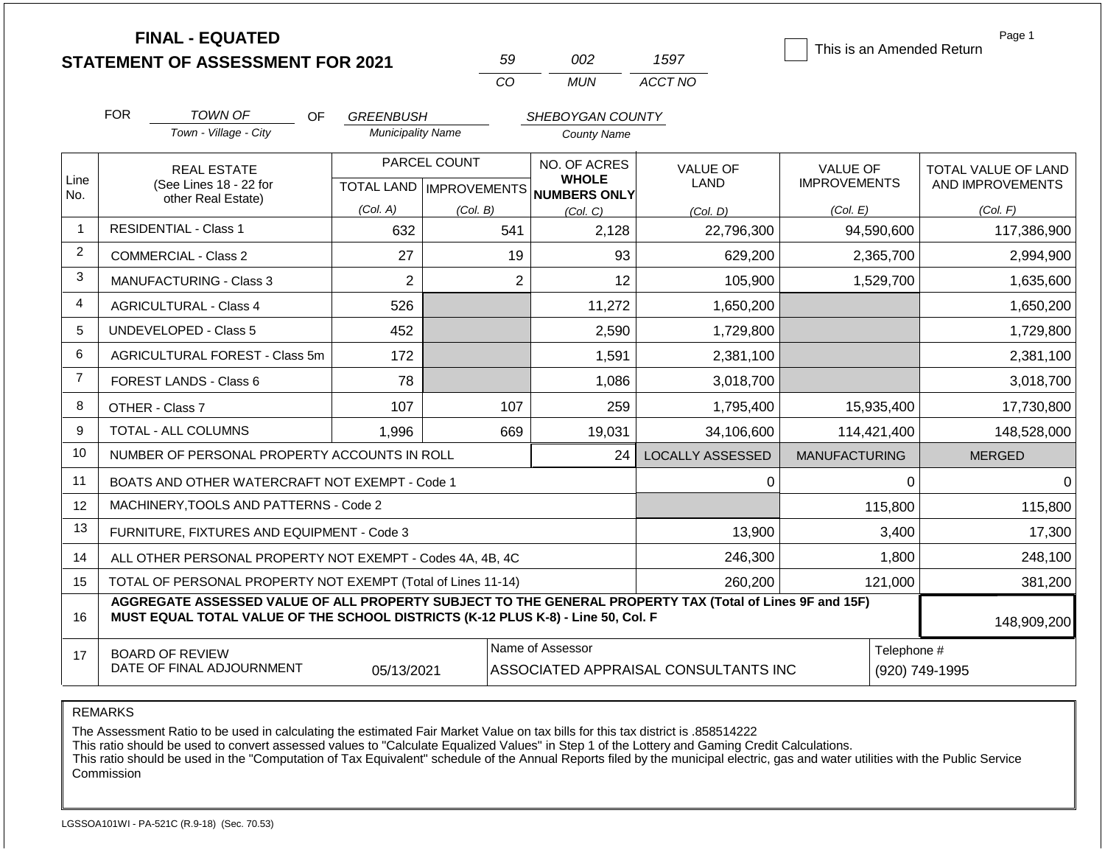|                |            | <b>FINAL - EQUATED</b><br><b>STATEMENT OF ASSESSMENT FOR 2021</b>                                                                                                                            |                           |              | 59             | 002                          | 1597                                 |                      |             | Page 1<br>This is an Amended Return |
|----------------|------------|----------------------------------------------------------------------------------------------------------------------------------------------------------------------------------------------|---------------------------|--------------|----------------|------------------------------|--------------------------------------|----------------------|-------------|-------------------------------------|
|                |            |                                                                                                                                                                                              |                           |              | CO             | <b>MUN</b>                   | ACCT NO                              |                      |             |                                     |
|                | <b>FOR</b> | <b>TOWN OF</b><br>OF                                                                                                                                                                         | <b>GREENBUSH</b>          |              |                | SHEBOYGAN COUNTY             |                                      |                      |             |                                     |
|                |            | Town - Village - City                                                                                                                                                                        | <b>Municipality Name</b>  |              |                | <b>County Name</b>           |                                      |                      |             |                                     |
|                |            | <b>REAL ESTATE</b>                                                                                                                                                                           |                           | PARCEL COUNT |                | NO. OF ACRES                 | <b>VALUE OF</b>                      | <b>VALUE OF</b>      |             | TOTAL VALUE OF LAND                 |
| Line<br>No.    |            | (See Lines 18 - 22 for                                                                                                                                                                       | TOTAL LAND   IMPROVEMENTS |              |                | <b>WHOLE</b><br>NUMBERS ONLY | LAND                                 | <b>IMPROVEMENTS</b>  |             | AND IMPROVEMENTS                    |
|                |            | other Real Estate)                                                                                                                                                                           | (Col. A)                  | (Col. B)     |                | (Col, C)                     | (Col. D)                             | (Col. E)             |             | (Col. F)                            |
| 1              |            | <b>RESIDENTIAL - Class 1</b>                                                                                                                                                                 | 632                       |              | 541            | 2,128                        | 22,796,300                           |                      | 94,590,600  | 117,386,900                         |
| 2              |            | <b>COMMERCIAL - Class 2</b>                                                                                                                                                                  | 27                        |              | 19             | 93                           | 629,200                              |                      | 2,365,700   | 2,994,900                           |
| 3              |            | MANUFACTURING - Class 3                                                                                                                                                                      | $\overline{2}$            |              | $\overline{2}$ | 12                           | 105,900                              |                      | 1,529,700   | 1,635,600                           |
| 4              |            | <b>AGRICULTURAL - Class 4</b>                                                                                                                                                                | 526                       |              |                | 11,272                       | 1,650,200                            |                      |             | 1,650,200                           |
| 5              |            | <b>UNDEVELOPED - Class 5</b>                                                                                                                                                                 | 452                       |              |                | 2,590                        | 1,729,800                            |                      |             | 1,729,800                           |
| 6              |            | AGRICULTURAL FOREST - Class 5m                                                                                                                                                               | 172                       |              |                | 1,591                        | 2,381,100                            |                      |             | 2,381,100                           |
| $\overline{7}$ |            | FOREST LANDS - Class 6                                                                                                                                                                       | 78                        |              |                | 1,086                        | 3,018,700                            |                      |             | 3,018,700                           |
| 8              |            | OTHER - Class 7                                                                                                                                                                              | 107                       |              | 107            | 259                          | 1,795,400                            |                      | 15,935,400  | 17,730,800                          |
| 9              |            | TOTAL - ALL COLUMNS                                                                                                                                                                          | 1,996                     |              | 669            | 19,031                       | 34,106,600                           |                      | 114,421,400 | 148,528,000                         |
| 10             |            | NUMBER OF PERSONAL PROPERTY ACCOUNTS IN ROLL                                                                                                                                                 |                           |              |                | 24                           | <b>LOCALLY ASSESSED</b>              | <b>MANUFACTURING</b> |             | <b>MERGED</b>                       |
| 11             |            | BOATS AND OTHER WATERCRAFT NOT EXEMPT - Code 1                                                                                                                                               |                           |              |                |                              | 0                                    |                      | 0           | $\Omega$                            |
| 12             |            | MACHINERY, TOOLS AND PATTERNS - Code 2                                                                                                                                                       |                           |              |                |                              |                                      |                      | 115,800     | 115,800                             |
| 13             |            | FURNITURE, FIXTURES AND EQUIPMENT - Code 3                                                                                                                                                   |                           |              |                |                              | 13,900                               |                      | 3,400       | 17,300                              |
| 14             |            | ALL OTHER PERSONAL PROPERTY NOT EXEMPT - Codes 4A, 4B, 4C                                                                                                                                    |                           |              |                |                              | 246,300                              |                      | 1,800       | 248,100                             |
| 15             |            | TOTAL OF PERSONAL PROPERTY NOT EXEMPT (Total of Lines 11-14)                                                                                                                                 |                           |              |                |                              | 260,200                              |                      | 121,000     | 381,200                             |
| 16             |            | AGGREGATE ASSESSED VALUE OF ALL PROPERTY SUBJECT TO THE GENERAL PROPERTY TAX (Total of Lines 9F and 15F)<br>MUST EQUAL TOTAL VALUE OF THE SCHOOL DISTRICTS (K-12 PLUS K-8) - Line 50, Col. F |                           |              |                |                              |                                      |                      |             | 148,909,200                         |
| 17             |            | <b>BOARD OF REVIEW</b>                                                                                                                                                                       |                           |              |                | Name of Assessor             |                                      |                      | Telephone # |                                     |
|                |            | DATE OF FINAL ADJOURNMENT                                                                                                                                                                    | 05/13/2021                |              |                |                              | ASSOCIATED APPRAISAL CONSULTANTS INC |                      |             | (920) 749-1995                      |

## REMARKS

The Assessment Ratio to be used in calculating the estimated Fair Market Value on tax bills for this tax district is .858514222

This ratio should be used to convert assessed values to "Calculate Equalized Values" in Step 1 of the Lottery and Gaming Credit Calculations.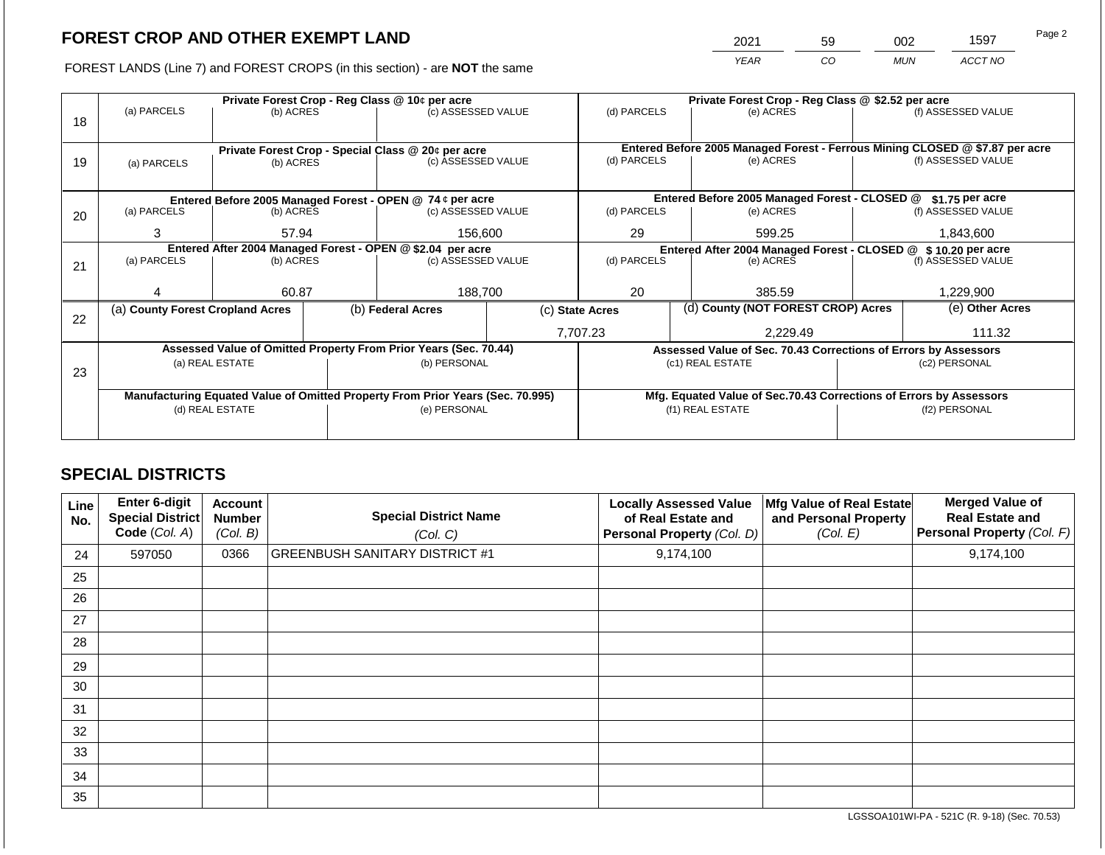2021 59 002 1597

FOREST LANDS (Line 7) and FOREST CROPS (in this section) - are **NOT** the same *YEAR CO MUN ACCT NO*

|    |                                                                                |                 |  | Private Forest Crop - Reg Class @ 10¢ per acre                           |                                                                    | Private Forest Crop - Reg Class @ \$2.52 per acre                            |  |                                                                 |  |                    |  |
|----|--------------------------------------------------------------------------------|-----------------|--|--------------------------------------------------------------------------|--------------------------------------------------------------------|------------------------------------------------------------------------------|--|-----------------------------------------------------------------|--|--------------------|--|
| 18 | (a) PARCELS                                                                    | (b) ACRES       |  | (c) ASSESSED VALUE                                                       |                                                                    | (d) PARCELS                                                                  |  | (e) ACRES                                                       |  | (f) ASSESSED VALUE |  |
|    |                                                                                |                 |  |                                                                          |                                                                    |                                                                              |  |                                                                 |  |                    |  |
|    |                                                                                |                 |  |                                                                          |                                                                    | Entered Before 2005 Managed Forest - Ferrous Mining CLOSED @ \$7.87 per acre |  |                                                                 |  |                    |  |
| 19 | (a) PARCELS                                                                    | (b) ACRES       |  | Private Forest Crop - Special Class @ 20¢ per acre<br>(c) ASSESSED VALUE |                                                                    | (d) PARCELS                                                                  |  | (e) ACRES                                                       |  | (f) ASSESSED VALUE |  |
|    |                                                                                |                 |  |                                                                          |                                                                    |                                                                              |  |                                                                 |  |                    |  |
|    |                                                                                |                 |  |                                                                          |                                                                    |                                                                              |  |                                                                 |  |                    |  |
|    |                                                                                |                 |  | Entered Before 2005 Managed Forest - OPEN @ 74 ¢ per acre                |                                                                    |                                                                              |  | Entered Before 2005 Managed Forest - CLOSED @                   |  | $$1.75$ per acre   |  |
| 20 | (a) PARCELS                                                                    | (b) ACRES       |  | (c) ASSESSED VALUE                                                       |                                                                    | (d) PARCELS                                                                  |  | (e) ACRES                                                       |  | (f) ASSESSED VALUE |  |
|    | 3                                                                              | 57.94           |  | 156,600                                                                  |                                                                    | 29                                                                           |  |                                                                 |  |                    |  |
|    |                                                                                |                 |  |                                                                          |                                                                    | 599.25                                                                       |  | 1,843,600                                                       |  |                    |  |
|    | Entered After 2004 Managed Forest - OPEN @ \$2.04 per acre                     |                 |  |                                                                          | Entered After 2004 Managed Forest - CLOSED @ \$ 10.20 per acre     |                                                                              |  |                                                                 |  |                    |  |
| 21 | (a) PARCELS                                                                    | (b) ACRES       |  | (c) ASSESSED VALUE                                                       |                                                                    | (d) PARCELS                                                                  |  | (e) ACRES                                                       |  | (f) ASSESSED VALUE |  |
|    |                                                                                |                 |  |                                                                          |                                                                    |                                                                              |  |                                                                 |  |                    |  |
|    |                                                                                | 60.87           |  | 188,700                                                                  |                                                                    | 20                                                                           |  | 385.59                                                          |  | 1,229,900          |  |
|    | (a) County Forest Cropland Acres                                               |                 |  | (b) Federal Acres                                                        |                                                                    | (c) State Acres                                                              |  | (d) County (NOT FOREST CROP) Acres                              |  | (e) Other Acres    |  |
| 22 |                                                                                |                 |  |                                                                          |                                                                    |                                                                              |  |                                                                 |  |                    |  |
|    |                                                                                |                 |  |                                                                          | 7,707.23<br>2,229.49                                               |                                                                              |  | 111.32                                                          |  |                    |  |
|    |                                                                                |                 |  | Assessed Value of Omitted Property From Prior Years (Sec. 70.44)         |                                                                    |                                                                              |  | Assessed Value of Sec. 70.43 Corrections of Errors by Assessors |  |                    |  |
|    |                                                                                | (a) REAL ESTATE |  | (b) PERSONAL                                                             |                                                                    |                                                                              |  | (c1) REAL ESTATE                                                |  | (c2) PERSONAL      |  |
| 23 |                                                                                |                 |  |                                                                          |                                                                    |                                                                              |  |                                                                 |  |                    |  |
|    | Manufacturing Equated Value of Omitted Property From Prior Years (Sec. 70.995) |                 |  |                                                                          | Mfg. Equated Value of Sec.70.43 Corrections of Errors by Assessors |                                                                              |  |                                                                 |  |                    |  |
|    |                                                                                | (d) REAL ESTATE |  | (e) PERSONAL                                                             |                                                                    |                                                                              |  | (f1) REAL ESTATE                                                |  | (f2) PERSONAL      |  |
|    |                                                                                |                 |  |                                                                          |                                                                    |                                                                              |  |                                                                 |  |                    |  |
|    |                                                                                |                 |  |                                                                          |                                                                    |                                                                              |  |                                                                 |  |                    |  |

## **SPECIAL DISTRICTS**

| Line<br>No. | <b>Enter 6-digit</b><br>Special District<br>Code (Col. A) | <b>Account</b><br><b>Number</b><br>(Col. B) | <b>Special District Name</b><br>(Col. C) | <b>Locally Assessed Value</b><br>of Real Estate and<br><b>Personal Property (Col. D)</b> | Mfg Value of Real Estate<br>and Personal Property<br>(Col. E) | <b>Merged Value of</b><br><b>Real Estate and</b><br>Personal Property (Col. F) |
|-------------|-----------------------------------------------------------|---------------------------------------------|------------------------------------------|------------------------------------------------------------------------------------------|---------------------------------------------------------------|--------------------------------------------------------------------------------|
| 24          | 597050                                                    | 0366                                        | <b>GREENBUSH SANITARY DISTRICT #1</b>    | 9,174,100                                                                                |                                                               | 9,174,100                                                                      |
| 25          |                                                           |                                             |                                          |                                                                                          |                                                               |                                                                                |
| 26          |                                                           |                                             |                                          |                                                                                          |                                                               |                                                                                |
| 27          |                                                           |                                             |                                          |                                                                                          |                                                               |                                                                                |
| 28          |                                                           |                                             |                                          |                                                                                          |                                                               |                                                                                |
| 29          |                                                           |                                             |                                          |                                                                                          |                                                               |                                                                                |
| 30          |                                                           |                                             |                                          |                                                                                          |                                                               |                                                                                |
| 31          |                                                           |                                             |                                          |                                                                                          |                                                               |                                                                                |
| 32          |                                                           |                                             |                                          |                                                                                          |                                                               |                                                                                |
| 33          |                                                           |                                             |                                          |                                                                                          |                                                               |                                                                                |
| 34          |                                                           |                                             |                                          |                                                                                          |                                                               |                                                                                |
| 35          |                                                           |                                             |                                          |                                                                                          |                                                               |                                                                                |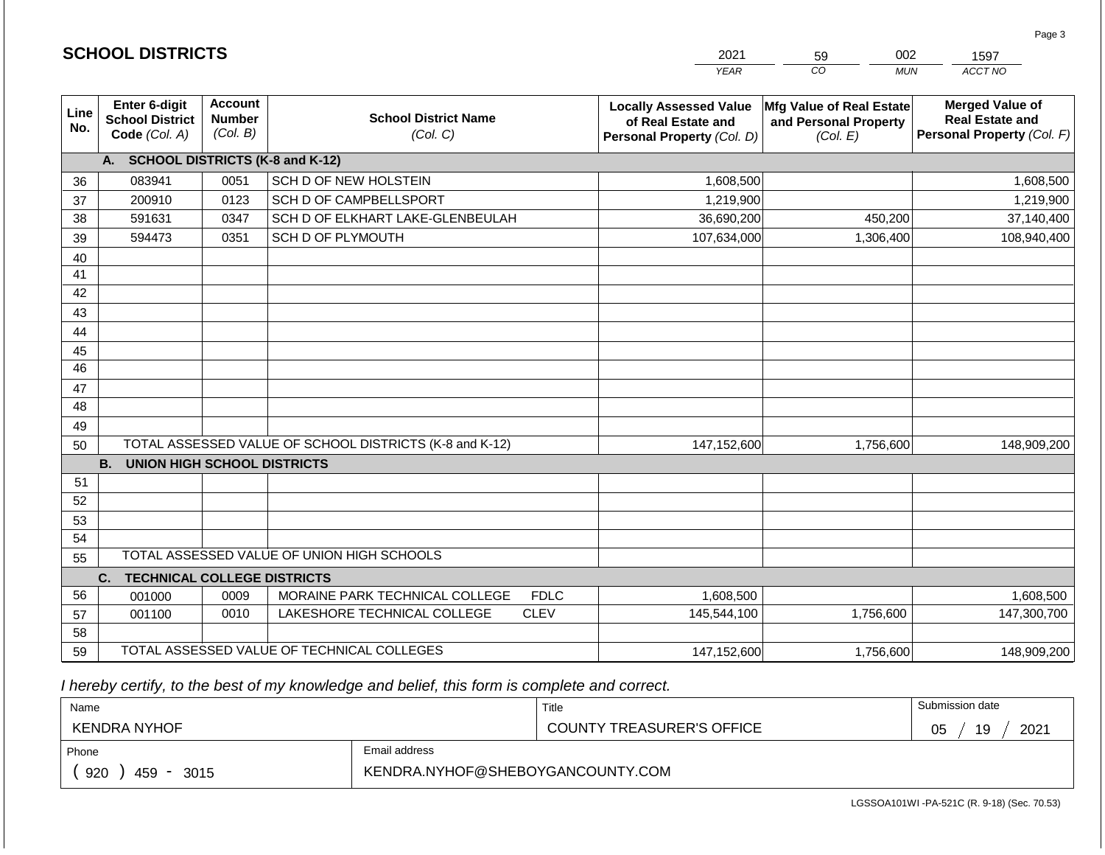|                 |                                                          |                                             |                                                         | <b>YEAR</b>                                                                       | CO<br><b>MUN</b>                                              | ACCT NO                                                                        |
|-----------------|----------------------------------------------------------|---------------------------------------------|---------------------------------------------------------|-----------------------------------------------------------------------------------|---------------------------------------------------------------|--------------------------------------------------------------------------------|
| Line<br>No.     | Enter 6-digit<br><b>School District</b><br>Code (Col. A) | <b>Account</b><br><b>Number</b><br>(Col. B) | <b>School District Name</b><br>(Col. C)                 | <b>Locally Assessed Value</b><br>of Real Estate and<br>Personal Property (Col. D) | Mfg Value of Real Estate<br>and Personal Property<br>(Col. E) | <b>Merged Value of</b><br><b>Real Estate and</b><br>Personal Property (Col. F) |
|                 | <b>SCHOOL DISTRICTS (K-8 and K-12)</b><br>A.             |                                             |                                                         |                                                                                   |                                                               |                                                                                |
| 36              | 083941                                                   | 0051                                        | SCH D OF NEW HOLSTEIN                                   | 1,608,500                                                                         |                                                               | 1,608,500                                                                      |
| 37              | 200910                                                   | 0123                                        | SCH D OF CAMPBELLSPORT                                  | 1,219,900                                                                         |                                                               | 1,219,900                                                                      |
| 38              | 591631                                                   | 0347                                        | SCH D OF ELKHART LAKE-GLENBEULAH                        | 36,690,200                                                                        | 450,200                                                       | 37,140,400                                                                     |
| 39              | 594473                                                   | 0351                                        | SCH D OF PLYMOUTH                                       | 107,634,000                                                                       | 1,306,400                                                     | 108,940,400                                                                    |
| 40              |                                                          |                                             |                                                         |                                                                                   |                                                               |                                                                                |
| 41              |                                                          |                                             |                                                         |                                                                                   |                                                               |                                                                                |
| 42              |                                                          |                                             |                                                         |                                                                                   |                                                               |                                                                                |
| 43              |                                                          |                                             |                                                         |                                                                                   |                                                               |                                                                                |
| 44              |                                                          |                                             |                                                         |                                                                                   |                                                               |                                                                                |
| 45              |                                                          |                                             |                                                         |                                                                                   |                                                               |                                                                                |
| $\overline{46}$ |                                                          |                                             |                                                         |                                                                                   |                                                               |                                                                                |
| 47              |                                                          |                                             |                                                         |                                                                                   |                                                               |                                                                                |
| 48              |                                                          |                                             |                                                         |                                                                                   |                                                               |                                                                                |
| 49              |                                                          |                                             |                                                         |                                                                                   |                                                               |                                                                                |
| 50              |                                                          |                                             | TOTAL ASSESSED VALUE OF SCHOOL DISTRICTS (K-8 and K-12) | 147,152,600                                                                       | 1,756,600                                                     | 148,909,200                                                                    |
|                 | <b>B.</b><br><b>UNION HIGH SCHOOL DISTRICTS</b>          |                                             |                                                         |                                                                                   |                                                               |                                                                                |
| 51              |                                                          |                                             |                                                         |                                                                                   |                                                               |                                                                                |
| 52              |                                                          |                                             |                                                         |                                                                                   |                                                               |                                                                                |
| 53              |                                                          |                                             |                                                         |                                                                                   |                                                               |                                                                                |
| 54              |                                                          |                                             |                                                         |                                                                                   |                                                               |                                                                                |
| 55              |                                                          |                                             | TOTAL ASSESSED VALUE OF UNION HIGH SCHOOLS              |                                                                                   |                                                               |                                                                                |
|                 | <b>TECHNICAL COLLEGE DISTRICTS</b><br>C.                 |                                             |                                                         |                                                                                   |                                                               |                                                                                |
| 56              | 001000                                                   | 0009                                        | MORAINE PARK TECHNICAL COLLEGE<br><b>FDLC</b>           | 1,608,500                                                                         |                                                               | 1,608,500                                                                      |
| 57              | 001100                                                   | 0010                                        | LAKESHORE TECHNICAL COLLEGE<br><b>CLEV</b>              | 145,544,100                                                                       | 1,756,600                                                     | 147,300,700                                                                    |
| 58              |                                                          |                                             |                                                         |                                                                                   |                                                               |                                                                                |
| 59              |                                                          |                                             | TOTAL ASSESSED VALUE OF TECHNICAL COLLEGES              | 147,152,600                                                                       | 1,756,600                                                     | 148,909,200                                                                    |

2021

59

002

 *I hereby certify, to the best of my knowledge and belief, this form is complete and correct.*

**SCHOOL DISTRICTS**

| Name                                           |                                  | Title                            | Submission date        |
|------------------------------------------------|----------------------------------|----------------------------------|------------------------|
| <b>KENDRA NYHOF</b>                            |                                  | <b>COUNTY TREASURER'S OFFICE</b> | 2021<br>∩ҕ<br>19<br>◡◡ |
| Phone                                          | Email address                    |                                  |                        |
| 920<br>459<br>3015<br>$\overline{\phantom{0}}$ | KENDRA.NYHOF@SHEBOYGANCOUNTY.COM |                                  |                        |

1597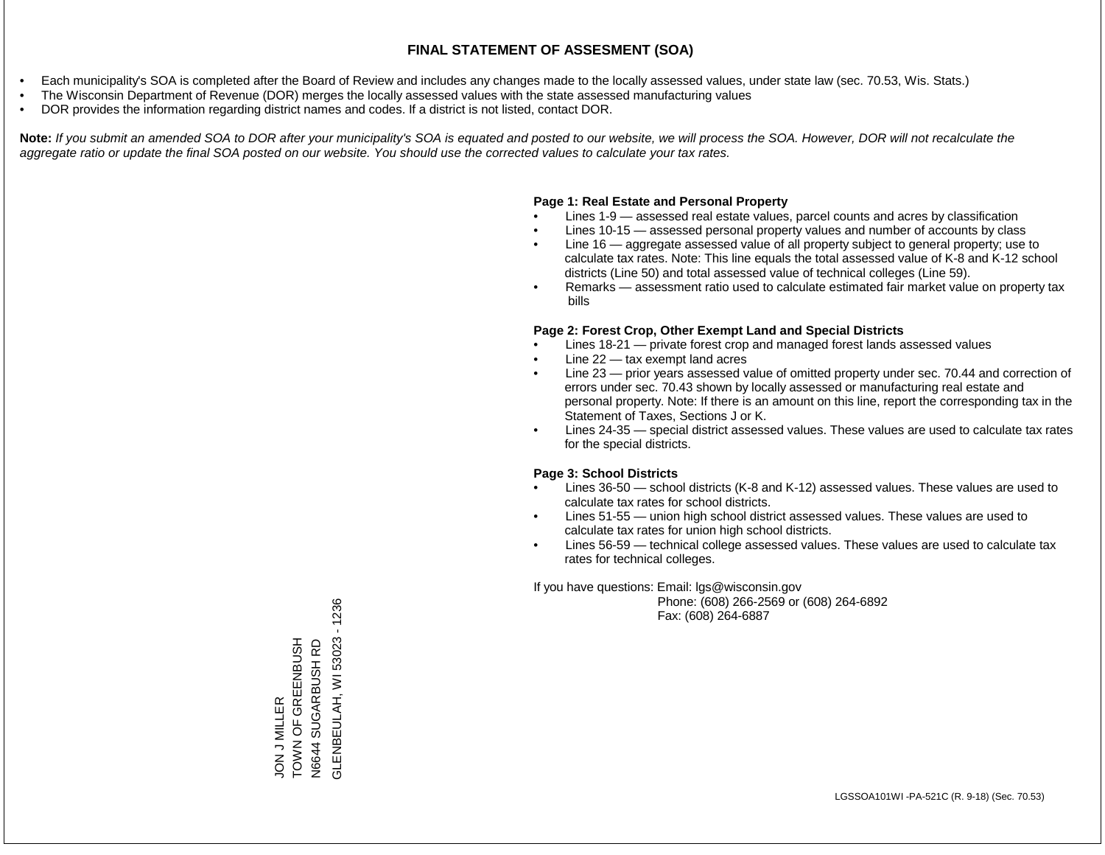- Each municipality's SOA is completed after the Board of Review and includes any changes made to the locally assessed values, under state law (sec. 70.53, Wis. Stats.)
- The Wisconsin Department of Revenue (DOR) merges the locally assessed values with the state assessed manufacturing values
- DOR provides the information regarding district names and codes. If a district is not listed, contact DOR.

Note: If you submit an amended SOA to DOR after your municipality's SOA is equated and posted to our website, we will process the SOA. However, DOR will not recalculate the *aggregate ratio or update the final SOA posted on our website. You should use the corrected values to calculate your tax rates.*

#### **Page 1: Real Estate and Personal Property**

- Lines 1-9 assessed real estate values, parcel counts and acres by classification
- Lines 10-15 assessed personal property values and number of accounts by class
- Line 16 aggregate assessed value of all property subject to general property; use to calculate tax rates. Note: This line equals the total assessed value of K-8 and K-12 school districts (Line 50) and total assessed value of technical colleges (Line 59).
- Remarks assessment ratio used to calculate estimated fair market value on property tax bills

#### **Page 2: Forest Crop, Other Exempt Land and Special Districts**

- Lines 18-21 private forest crop and managed forest lands assessed values
- Line  $22 -$  tax exempt land acres
- Line 23 prior years assessed value of omitted property under sec. 70.44 and correction of errors under sec. 70.43 shown by locally assessed or manufacturing real estate and personal property. Note: If there is an amount on this line, report the corresponding tax in the Statement of Taxes, Sections J or K.
- Lines 24-35 special district assessed values. These values are used to calculate tax rates for the special districts.

#### **Page 3: School Districts**

- Lines 36-50 school districts (K-8 and K-12) assessed values. These values are used to calculate tax rates for school districts.
- Lines 51-55 union high school district assessed values. These values are used to calculate tax rates for union high school districts.
- Lines 56-59 technical college assessed values. These values are used to calculate tax rates for technical colleges.

If you have questions: Email: lgs@wisconsin.gov

 Phone: (608) 266-2569 or (608) 264-6892 Fax: (608) 264-6887

 $-1236$ GLENBEULAH, WI 53023 - 1236TON OF GREENBUSH GLENBEULAH, WI 53023 JON J MILLER<br>TOWN OF GREENBUSH SUGARBUSH RD N6644 SUGARBUSH RD N6644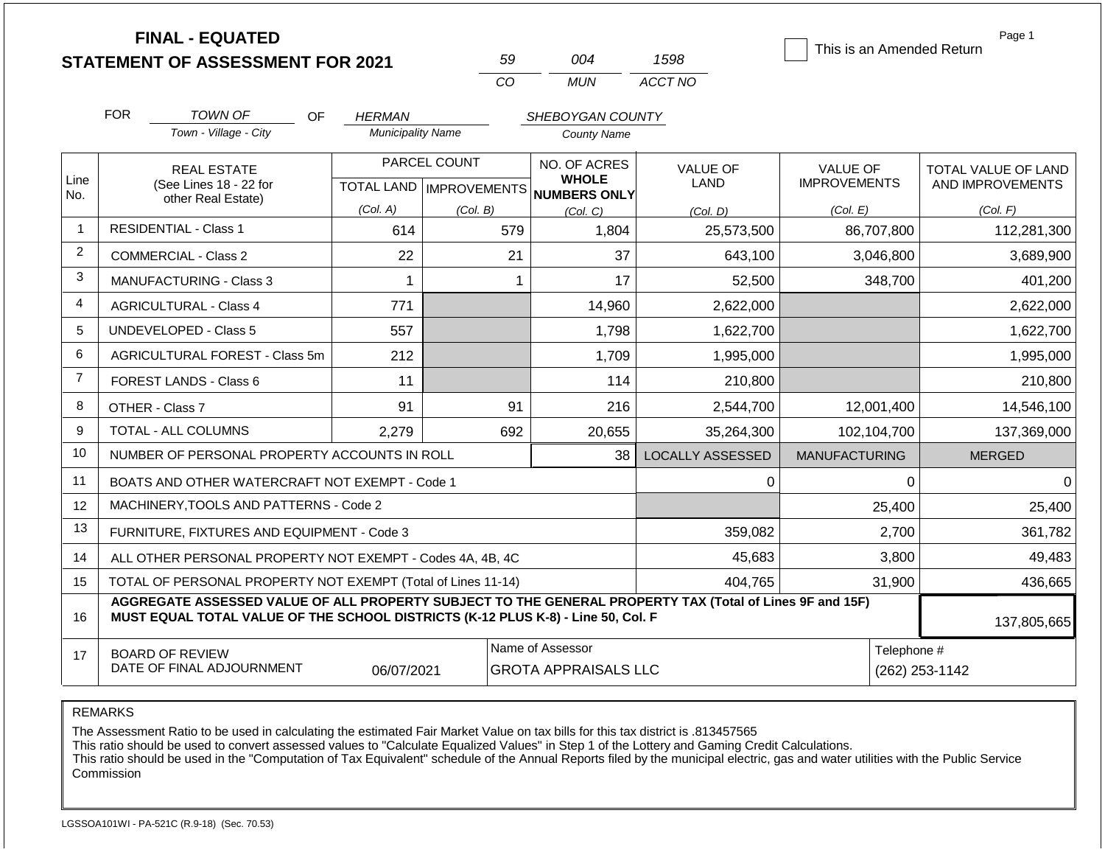|                | <b>FINAL - EQUATED</b>                                                                                                                                                                       |                          |                           |                                                 |                         | This is an Amended Return | Page 1                     |
|----------------|----------------------------------------------------------------------------------------------------------------------------------------------------------------------------------------------|--------------------------|---------------------------|-------------------------------------------------|-------------------------|---------------------------|----------------------------|
|                | <b>STATEMENT OF ASSESSMENT FOR 2021</b>                                                                                                                                                      |                          | 59                        | 004                                             | 1598                    |                           |                            |
|                |                                                                                                                                                                                              |                          | CO                        | <b>MUN</b>                                      | ACCT NO                 |                           |                            |
|                | <b>FOR</b><br>TOWN OF<br>OF                                                                                                                                                                  | <b>HERMAN</b>            |                           | SHEBOYGAN COUNTY                                |                         |                           |                            |
|                | Town - Village - City                                                                                                                                                                        | <b>Municipality Name</b> |                           | <b>County Name</b>                              |                         |                           |                            |
| Line           | <b>REAL ESTATE</b>                                                                                                                                                                           |                          | PARCEL COUNT              | NO. OF ACRES<br><b>WHOLE</b>                    | <b>VALUE OF</b>         | VALUE OF                  | <b>TOTAL VALUE OF LAND</b> |
| No.            | (See Lines 18 - 22 for<br>other Real Estate)                                                                                                                                                 |                          | TOTAL LAND   IMPROVEMENTS | <b>NUMBERS ONLY</b>                             | <b>LAND</b>             | <b>IMPROVEMENTS</b>       | AND IMPROVEMENTS           |
|                |                                                                                                                                                                                              | (Col. A)                 | (Col. B)                  | (Col, C)                                        | (Col. D)                | (Col. E)                  | (Col. F)                   |
| -1             | <b>RESIDENTIAL - Class 1</b>                                                                                                                                                                 | 614                      |                           | 579<br>1,804                                    | 25,573,500              | 86,707,800                | 112,281,300                |
| 2              | <b>COMMERCIAL - Class 2</b>                                                                                                                                                                  | 22                       | 21                        | 37                                              | 643,100                 | 3,046,800                 | 3,689,900                  |
| 3              | <b>MANUFACTURING - Class 3</b>                                                                                                                                                               | 1                        | 1                         | 17                                              | 52,500                  | 348,700                   | 401,200                    |
| $\overline{4}$ | 771<br><b>AGRICULTURAL - Class 4</b>                                                                                                                                                         |                          |                           | 14,960                                          | 2,622,000               |                           | 2,622,000                  |
| 5              | <b>UNDEVELOPED - Class 5</b><br>557                                                                                                                                                          |                          |                           | 1,798                                           | 1,622,700               |                           | 1,622,700                  |
| 6              | AGRICULTURAL FOREST - Class 5m                                                                                                                                                               | 212                      |                           | 1,709                                           | 1,995,000               |                           | 1,995,000                  |
| $\overline{7}$ | FOREST LANDS - Class 6                                                                                                                                                                       | 11                       |                           | 114                                             | 210,800                 |                           | 210,800                    |
| 8              | OTHER - Class 7                                                                                                                                                                              | 91                       | 91                        | 216                                             | 2,544,700               | 12,001,400                | 14,546,100                 |
| 9              | TOTAL - ALL COLUMNS                                                                                                                                                                          | 2,279                    | 692                       | 20,655                                          | 35,264,300              | 102,104,700               | 137,369,000                |
| 10             | NUMBER OF PERSONAL PROPERTY ACCOUNTS IN ROLL                                                                                                                                                 |                          |                           | 38                                              | <b>LOCALLY ASSESSED</b> | <b>MANUFACTURING</b>      | <b>MERGED</b>              |
| 11             | BOATS AND OTHER WATERCRAFT NOT EXEMPT - Code 1                                                                                                                                               |                          |                           |                                                 | 0                       | $\Omega$                  | $\Omega$                   |
| 12             | MACHINERY, TOOLS AND PATTERNS - Code 2                                                                                                                                                       |                          |                           |                                                 |                         | 25,400                    | 25,400                     |
| 13             | FURNITURE, FIXTURES AND EQUIPMENT - Code 3                                                                                                                                                   |                          |                           |                                                 | 359,082                 | 2,700                     | 361,782                    |
| 14             | ALL OTHER PERSONAL PROPERTY NOT EXEMPT - Codes 4A, 4B, 4C                                                                                                                                    |                          |                           |                                                 | 45,683                  | 3,800                     | 49,483                     |
| 15             | TOTAL OF PERSONAL PROPERTY NOT EXEMPT (Total of Lines 11-14)                                                                                                                                 |                          |                           |                                                 | 404,765                 | 31,900                    | 436,665                    |
| 16             | AGGREGATE ASSESSED VALUE OF ALL PROPERTY SUBJECT TO THE GENERAL PROPERTY TAX (Total of Lines 9F and 15F)<br>MUST EQUAL TOTAL VALUE OF THE SCHOOL DISTRICTS (K-12 PLUS K-8) - Line 50, Col. F |                          |                           |                                                 |                         |                           | 137,805,665                |
| 17             | <b>BOARD OF REVIEW</b><br>DATE OF FINAL ADJOURNMENT                                                                                                                                          | 06/07/2021               |                           | Name of Assessor<br><b>GROTA APPRAISALS LLC</b> |                         | Telephone #               | (262) 253-1142             |

REMARKS

The Assessment Ratio to be used in calculating the estimated Fair Market Value on tax bills for this tax district is .813457565

This ratio should be used to convert assessed values to "Calculate Equalized Values" in Step 1 of the Lottery and Gaming Credit Calculations.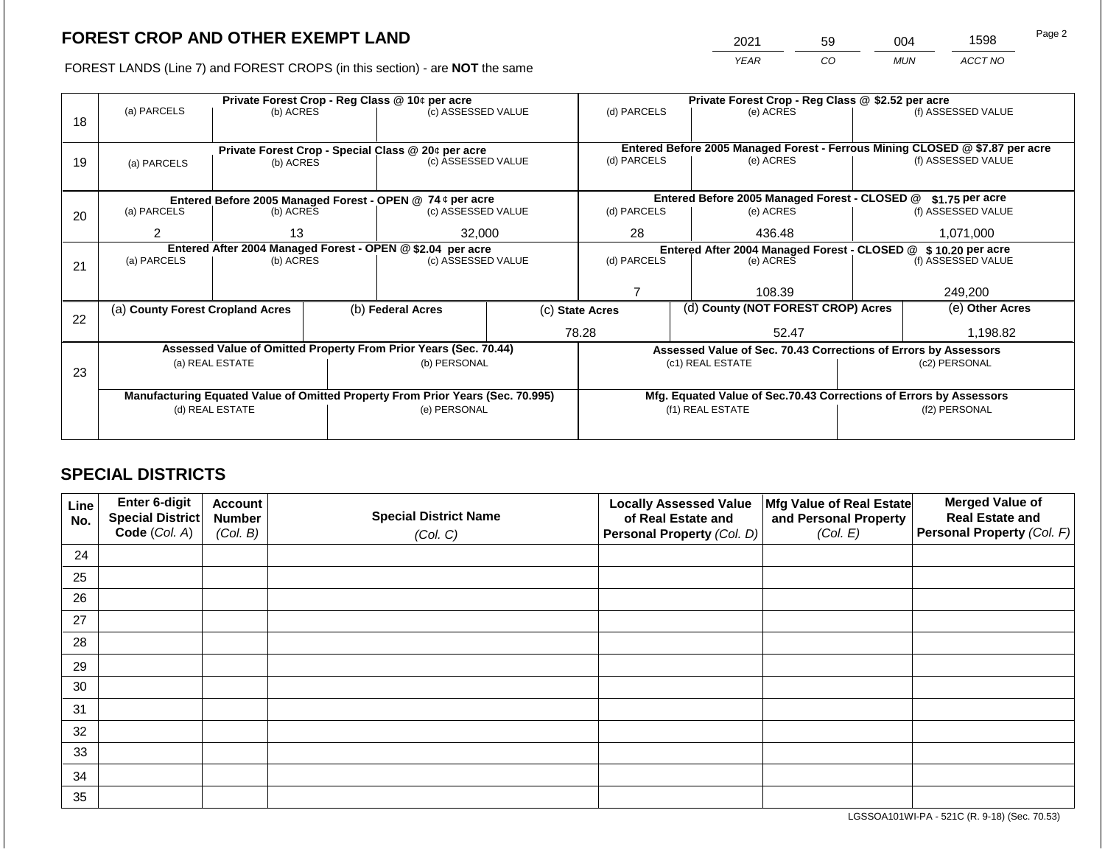2021 59 004 1598

FOREST LANDS (Line 7) and FOREST CROPS (in this section) - are **NOT** the same *YEAR CO MUN ACCT NO*

|    |                                                                                                   |                          |  | Private Forest Crop - Reg Class @ 10¢ per acre                   |                                                                    | Private Forest Crop - Reg Class @ \$2.52 per acre |  |                                                                 |                                                                              |                    |
|----|---------------------------------------------------------------------------------------------------|--------------------------|--|------------------------------------------------------------------|--------------------------------------------------------------------|---------------------------------------------------|--|-----------------------------------------------------------------|------------------------------------------------------------------------------|--------------------|
|    | (a) PARCELS                                                                                       | (b) ACRES                |  | (c) ASSESSED VALUE                                               |                                                                    | (d) PARCELS                                       |  | (e) ACRES                                                       |                                                                              | (f) ASSESSED VALUE |
| 18 |                                                                                                   |                          |  |                                                                  |                                                                    |                                                   |  |                                                                 |                                                                              |                    |
|    |                                                                                                   |                          |  |                                                                  |                                                                    |                                                   |  |                                                                 |                                                                              |                    |
|    |                                                                                                   |                          |  | Private Forest Crop - Special Class @ 20¢ per acre               |                                                                    |                                                   |  | (e) ACRES                                                       | Entered Before 2005 Managed Forest - Ferrous Mining CLOSED @ \$7.87 per acre |                    |
| 19 | (a) PARCELS                                                                                       | (b) ACRES                |  | (c) ASSESSED VALUE                                               |                                                                    | (d) PARCELS                                       |  |                                                                 |                                                                              | (f) ASSESSED VALUE |
|    |                                                                                                   |                          |  |                                                                  |                                                                    |                                                   |  |                                                                 |                                                                              |                    |
|    |                                                                                                   |                          |  | Entered Before 2005 Managed Forest - OPEN @ 74 ¢ per acre        |                                                                    |                                                   |  | Entered Before 2005 Managed Forest - CLOSED @                   |                                                                              | \$1.75 per acre    |
| 20 | (a) PARCELS                                                                                       | (b) ACRES                |  | (c) ASSESSED VALUE                                               |                                                                    | (d) PARCELS                                       |  | (e) ACRES                                                       |                                                                              | (f) ASSESSED VALUE |
|    |                                                                                                   |                          |  |                                                                  |                                                                    |                                                   |  |                                                                 |                                                                              |                    |
|    |                                                                                                   | 13<br>$\overline{2}$     |  | 32,000                                                           |                                                                    | 28                                                |  | 436.48                                                          |                                                                              | 1,071,000          |
|    |                                                                                                   |                          |  | Entered After 2004 Managed Forest - OPEN @ \$2.04 per acre       |                                                                    |                                                   |  | Entered After 2004 Managed Forest - CLOSED @ \$10.20 per acre   |                                                                              |                    |
| 21 |                                                                                                   | (a) PARCELS<br>(b) ACRES |  | (c) ASSESSED VALUE                                               |                                                                    | (d) PARCELS                                       |  | (e) ACRES                                                       |                                                                              | (f) ASSESSED VALUE |
|    |                                                                                                   |                          |  |                                                                  |                                                                    |                                                   |  |                                                                 |                                                                              |                    |
|    |                                                                                                   |                          |  |                                                                  |                                                                    |                                                   |  | 108.39                                                          |                                                                              | 249,200            |
|    | (a) County Forest Cropland Acres                                                                  |                          |  | (b) Federal Acres                                                |                                                                    | (c) State Acres                                   |  | (d) County (NOT FOREST CROP) Acres                              |                                                                              | (e) Other Acres    |
| 22 |                                                                                                   |                          |  |                                                                  |                                                                    |                                                   |  |                                                                 |                                                                              |                    |
|    |                                                                                                   |                          |  |                                                                  |                                                                    | 78.28                                             |  | 52.47                                                           |                                                                              | 1,198.82           |
|    |                                                                                                   |                          |  | Assessed Value of Omitted Property From Prior Years (Sec. 70.44) |                                                                    |                                                   |  | Assessed Value of Sec. 70.43 Corrections of Errors by Assessors |                                                                              |                    |
|    |                                                                                                   | (a) REAL ESTATE          |  | (b) PERSONAL                                                     |                                                                    |                                                   |  | (c1) REAL ESTATE                                                |                                                                              | (c2) PERSONAL      |
| 23 |                                                                                                   |                          |  |                                                                  |                                                                    |                                                   |  |                                                                 |                                                                              |                    |
|    |                                                                                                   |                          |  |                                                                  | Mfg. Equated Value of Sec.70.43 Corrections of Errors by Assessors |                                                   |  |                                                                 |                                                                              |                    |
|    | Manufacturing Equated Value of Omitted Property From Prior Years (Sec. 70.995)<br>(d) REAL ESTATE |                          |  | (e) PERSONAL                                                     |                                                                    |                                                   |  | (f1) REAL ESTATE                                                | (f2) PERSONAL                                                                |                    |
|    |                                                                                                   |                          |  |                                                                  |                                                                    |                                                   |  |                                                                 |                                                                              |                    |
|    |                                                                                                   |                          |  |                                                                  |                                                                    |                                                   |  |                                                                 |                                                                              |                    |

## **SPECIAL DISTRICTS**

| Line<br>No. | Enter 6-digit<br>Special District<br>Code (Col. A) | <b>Account</b><br><b>Number</b><br>(Col. B) | <b>Special District Name</b><br>(Col. C) | <b>Locally Assessed Value</b><br>of Real Estate and<br><b>Personal Property (Col. D)</b> | Mfg Value of Real Estate<br>and Personal Property<br>(Col. E) | <b>Merged Value of</b><br><b>Real Estate and</b><br>Personal Property (Col. F) |
|-------------|----------------------------------------------------|---------------------------------------------|------------------------------------------|------------------------------------------------------------------------------------------|---------------------------------------------------------------|--------------------------------------------------------------------------------|
| 24          |                                                    |                                             |                                          |                                                                                          |                                                               |                                                                                |
| 25          |                                                    |                                             |                                          |                                                                                          |                                                               |                                                                                |
| 26          |                                                    |                                             |                                          |                                                                                          |                                                               |                                                                                |
| 27          |                                                    |                                             |                                          |                                                                                          |                                                               |                                                                                |
| 28          |                                                    |                                             |                                          |                                                                                          |                                                               |                                                                                |
| 29          |                                                    |                                             |                                          |                                                                                          |                                                               |                                                                                |
| 30          |                                                    |                                             |                                          |                                                                                          |                                                               |                                                                                |
| 31          |                                                    |                                             |                                          |                                                                                          |                                                               |                                                                                |
| 32          |                                                    |                                             |                                          |                                                                                          |                                                               |                                                                                |
| 33          |                                                    |                                             |                                          |                                                                                          |                                                               |                                                                                |
| 34          |                                                    |                                             |                                          |                                                                                          |                                                               |                                                                                |
| 35          |                                                    |                                             |                                          |                                                                                          |                                                               |                                                                                |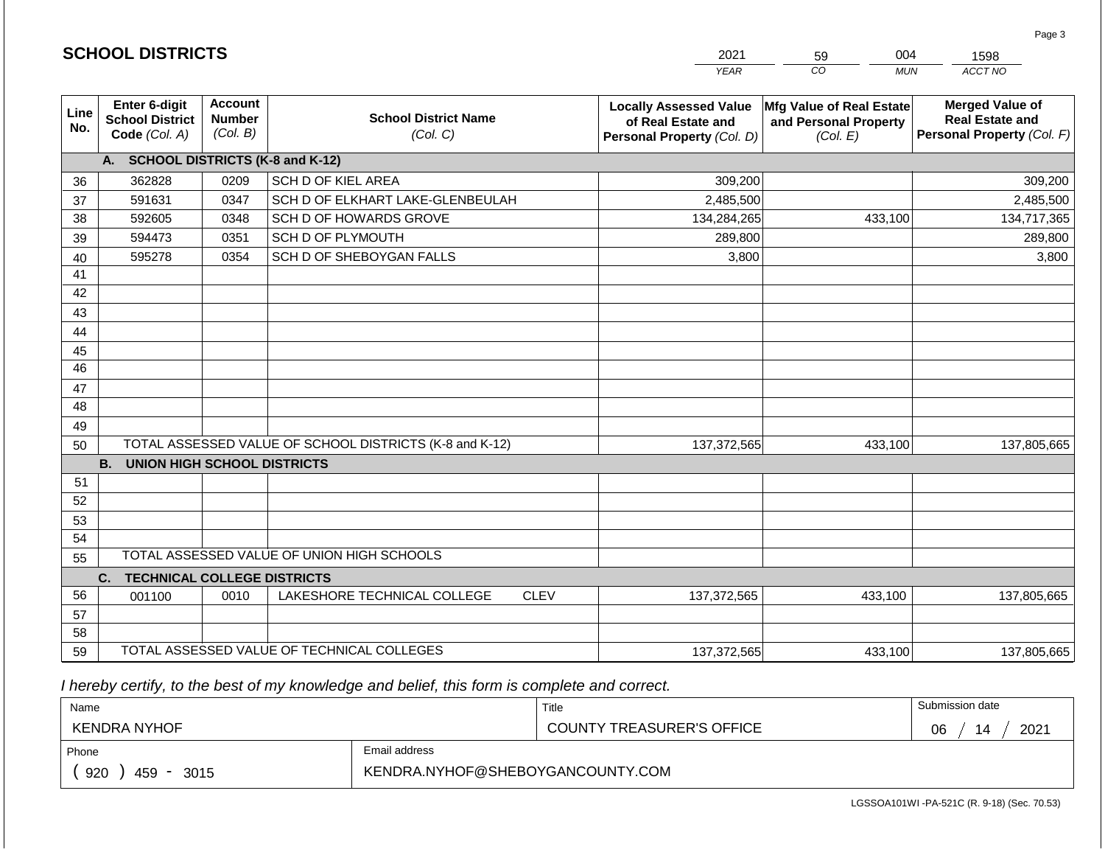|                       | <b>SCHOOL DISTRICTS</b>                                  |                                             |                                                         | 2021                                                                              | 004<br>59<br>1598                                             |                                                                                |  |  |
|-----------------------|----------------------------------------------------------|---------------------------------------------|---------------------------------------------------------|-----------------------------------------------------------------------------------|---------------------------------------------------------------|--------------------------------------------------------------------------------|--|--|
|                       |                                                          |                                             |                                                         | <b>YEAR</b>                                                                       | CO<br><b>MUN</b>                                              | ACCT NO                                                                        |  |  |
| Line<br>No.           | Enter 6-digit<br><b>School District</b><br>Code (Col. A) | <b>Account</b><br><b>Number</b><br>(Col. B) | <b>School District Name</b><br>(Col. C)                 | <b>Locally Assessed Value</b><br>of Real Estate and<br>Personal Property (Col. D) | Mfg Value of Real Estate<br>and Personal Property<br>(Col. E) | <b>Merged Value of</b><br><b>Real Estate and</b><br>Personal Property (Col. F) |  |  |
|                       | A. SCHOOL DISTRICTS (K-8 and K-12)                       |                                             |                                                         |                                                                                   |                                                               |                                                                                |  |  |
| 36                    | 362828                                                   | 0209                                        | <b>SCH D OF KIEL AREA</b>                               | 309,200                                                                           |                                                               | 309,200                                                                        |  |  |
| 37                    | 591631                                                   | 0347                                        | SCH D OF ELKHART LAKE-GLENBEULAH                        | 2,485,500                                                                         |                                                               | 2,485,500                                                                      |  |  |
| 38                    | 592605                                                   | 0348                                        | SCH D OF HOWARDS GROVE                                  | 134,284,265                                                                       | 433,100                                                       | 134,717,365                                                                    |  |  |
| 39                    | 594473                                                   | 0351                                        | SCH D OF PLYMOUTH                                       | 289,800                                                                           |                                                               | 289,800                                                                        |  |  |
| 40                    | 595278                                                   | 0354                                        | SCH D OF SHEBOYGAN FALLS                                | 3,800                                                                             |                                                               | 3,800                                                                          |  |  |
| 41                    |                                                          |                                             |                                                         |                                                                                   |                                                               |                                                                                |  |  |
| 42                    |                                                          |                                             |                                                         |                                                                                   |                                                               |                                                                                |  |  |
| 43                    |                                                          |                                             |                                                         |                                                                                   |                                                               |                                                                                |  |  |
| 44                    |                                                          |                                             |                                                         |                                                                                   |                                                               |                                                                                |  |  |
| 45<br>$\overline{46}$ |                                                          |                                             |                                                         |                                                                                   |                                                               |                                                                                |  |  |
| 47                    |                                                          |                                             |                                                         |                                                                                   |                                                               |                                                                                |  |  |
| 48                    |                                                          |                                             |                                                         |                                                                                   |                                                               |                                                                                |  |  |
| 49                    |                                                          |                                             |                                                         |                                                                                   |                                                               |                                                                                |  |  |
| 50                    |                                                          |                                             | TOTAL ASSESSED VALUE OF SCHOOL DISTRICTS (K-8 and K-12) | 137,372,565                                                                       | 433,100                                                       | 137,805,665                                                                    |  |  |
|                       | <b>B.</b><br><b>UNION HIGH SCHOOL DISTRICTS</b>          |                                             |                                                         |                                                                                   |                                                               |                                                                                |  |  |
| 51                    |                                                          |                                             |                                                         |                                                                                   |                                                               |                                                                                |  |  |
| 52                    |                                                          |                                             |                                                         |                                                                                   |                                                               |                                                                                |  |  |
| 53                    |                                                          |                                             |                                                         |                                                                                   |                                                               |                                                                                |  |  |
| 54                    |                                                          |                                             |                                                         |                                                                                   |                                                               |                                                                                |  |  |
| 55                    |                                                          |                                             | TOTAL ASSESSED VALUE OF UNION HIGH SCHOOLS              |                                                                                   |                                                               |                                                                                |  |  |
|                       | <b>TECHNICAL COLLEGE DISTRICTS</b><br>C.                 |                                             |                                                         |                                                                                   |                                                               |                                                                                |  |  |
| 56                    | 001100                                                   | 0010                                        | <b>CLEV</b><br>LAKESHORE TECHNICAL COLLEGE              | 137,372,565                                                                       | 433,100                                                       | 137,805,665                                                                    |  |  |
| 57                    |                                                          |                                             |                                                         |                                                                                   |                                                               |                                                                                |  |  |
| 58                    |                                                          |                                             |                                                         |                                                                                   |                                                               |                                                                                |  |  |
| 59                    |                                                          |                                             | TOTAL ASSESSED VALUE OF TECHNICAL COLLEGES              | 137,372,565                                                                       | 433,100                                                       | 137,805,665                                                                    |  |  |

 *I hereby certify, to the best of my knowledge and belief, this form is complete and correct.*

**SCHOOL DISTRICTS**

| Name               |                                  | Title                            | Submission date  |
|--------------------|----------------------------------|----------------------------------|------------------|
| KENDRA NYHOF       |                                  | <b>COUNTY TREASURER'S OFFICE</b> | 2021<br>06<br>14 |
| Phone              | Email address                    |                                  |                  |
| 920<br>459<br>3015 | KENDRA.NYHOF@SHEBOYGANCOUNTY.COM |                                  |                  |

Page 3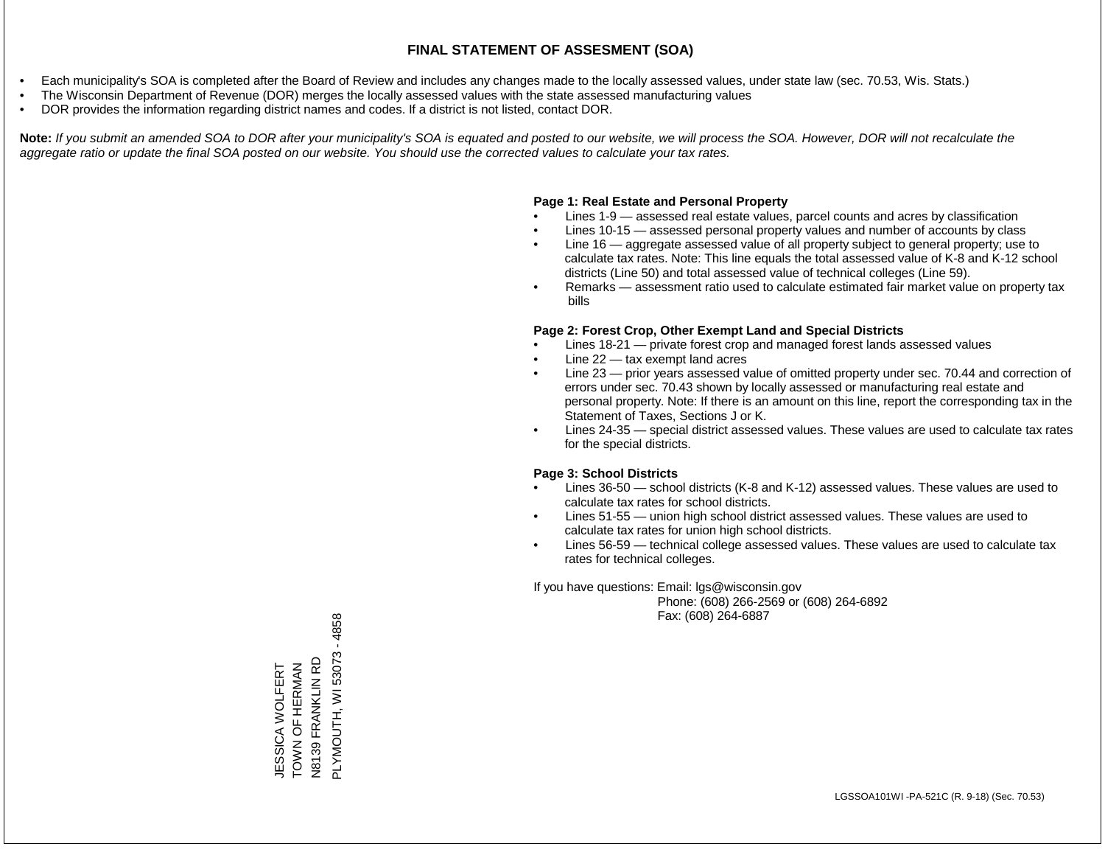- Each municipality's SOA is completed after the Board of Review and includes any changes made to the locally assessed values, under state law (sec. 70.53, Wis. Stats.)
- The Wisconsin Department of Revenue (DOR) merges the locally assessed values with the state assessed manufacturing values
- DOR provides the information regarding district names and codes. If a district is not listed, contact DOR.

Note: If you submit an amended SOA to DOR after your municipality's SOA is equated and posted to our website, we will process the SOA. However, DOR will not recalculate the *aggregate ratio or update the final SOA posted on our website. You should use the corrected values to calculate your tax rates.*

#### **Page 1: Real Estate and Personal Property**

- Lines 1-9 assessed real estate values, parcel counts and acres by classification
- Lines 10-15 assessed personal property values and number of accounts by class
- Line 16 aggregate assessed value of all property subject to general property; use to calculate tax rates. Note: This line equals the total assessed value of K-8 and K-12 school districts (Line 50) and total assessed value of technical colleges (Line 59).
- Remarks assessment ratio used to calculate estimated fair market value on property tax bills

#### **Page 2: Forest Crop, Other Exempt Land and Special Districts**

- Lines 18-21 private forest crop and managed forest lands assessed values
- Line  $22 -$  tax exempt land acres
- Line 23 prior years assessed value of omitted property under sec. 70.44 and correction of errors under sec. 70.43 shown by locally assessed or manufacturing real estate and personal property. Note: If there is an amount on this line, report the corresponding tax in the Statement of Taxes, Sections J or K.
- Lines 24-35 special district assessed values. These values are used to calculate tax rates for the special districts.

#### **Page 3: School Districts**

- Lines 36-50 school districts (K-8 and K-12) assessed values. These values are used to calculate tax rates for school districts.
- Lines 51-55 union high school district assessed values. These values are used to calculate tax rates for union high school districts.
- Lines 56-59 technical college assessed values. These values are used to calculate tax rates for technical colleges.

If you have questions: Email: lgs@wisconsin.gov

 Phone: (608) 266-2569 or (608) 264-6892 Fax: (608) 264-6887

 $-4858$ PLYMOUTH, WI 53073 - 4858JESSICA WOLFERT<br>TOWN OF HERMAN<br>N8139 FRANKLIN RD PLYMOUTH, WI 53073 N8139 FRANKLIN RD TOWN OF HERMAN JESSICA WOLFERT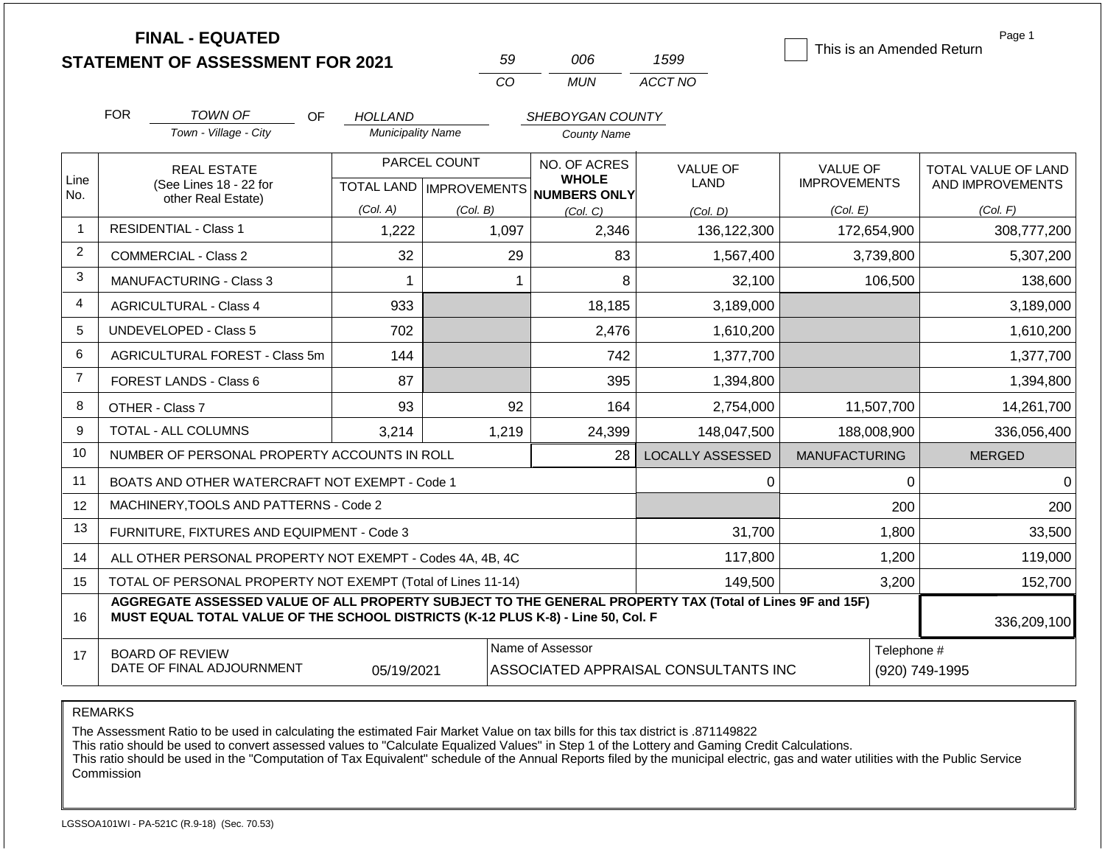|                | <b>FINAL - EQUATED</b><br><b>STATEMENT OF ASSESSMENT FOR 2021</b>                                                                                                                            |                            | 59                                        | 006                                                                     | 1599                    | This is an Amended Return              | Page 1                                  |
|----------------|----------------------------------------------------------------------------------------------------------------------------------------------------------------------------------------------|----------------------------|-------------------------------------------|-------------------------------------------------------------------------|-------------------------|----------------------------------------|-----------------------------------------|
|                |                                                                                                                                                                                              |                            | CO                                        | <b>MUN</b>                                                              | ACCT NO                 |                                        |                                         |
|                | <b>FOR</b><br><b>TOWN OF</b><br>OF                                                                                                                                                           | HOLLAND                    |                                           | SHEBOYGAN COUNTY                                                        |                         |                                        |                                         |
|                | Town - Village - City                                                                                                                                                                        | <b>Municipality Name</b>   |                                           | <b>County Name</b>                                                      |                         |                                        |                                         |
| Line           | <b>REAL ESTATE</b><br>(See Lines 18 - 22 for                                                                                                                                                 |                            | PARCEL COUNT<br>TOTAL LAND   IMPROVEMENTS | NO. OF ACRES<br><b>WHOLE</b>                                            | <b>VALUE OF</b><br>LAND | <b>VALUE OF</b><br><b>IMPROVEMENTS</b> | TOTAL VALUE OF LAND<br>AND IMPROVEMENTS |
| No.            | other Real Estate)                                                                                                                                                                           | (Col. A)                   | (Col. B)                                  | <b>NUMBERS ONLY</b><br>(Col, C)                                         | (Col. D)                | (Col. E)                               | (Col. F)                                |
| $\mathbf{1}$   | <b>RESIDENTIAL - Class 1</b>                                                                                                                                                                 | 1,222                      | 1,097                                     | 2,346                                                                   | 136,122,300             | 172,654,900                            | 308,777,200                             |
| $\overline{2}$ | <b>COMMERCIAL - Class 2</b>                                                                                                                                                                  | 32                         | 29                                        | 83                                                                      | 1,567,400               | 3,739,800                              | 5,307,200                               |
| 3              | <b>MANUFACTURING - Class 3</b>                                                                                                                                                               | $\mathbf 1$                | $\mathbf 1$                               | 8                                                                       | 32,100                  | 106,500                                | 138,600                                 |
| 4              | <b>AGRICULTURAL - Class 4</b>                                                                                                                                                                | 933<br>18,185<br>3,189,000 |                                           |                                                                         | 3,189,000               |                                        |                                         |
| 5              | <b>UNDEVELOPED - Class 5</b>                                                                                                                                                                 | 702                        | 2,476<br>1,610,200                        |                                                                         |                         | 1,610,200                              |                                         |
| 6              | AGRICULTURAL FOREST - Class 5m                                                                                                                                                               | 144                        |                                           | 742                                                                     | 1,377,700               |                                        | 1,377,700                               |
| $\overline{7}$ | FOREST LANDS - Class 6                                                                                                                                                                       | 87                         |                                           | 395                                                                     | 1,394,800               |                                        | 1,394,800                               |
| 8              | OTHER - Class 7                                                                                                                                                                              | 93                         | 92                                        | 164                                                                     | 2,754,000               | 11,507,700                             | 14,261,700                              |
| 9              | <b>TOTAL - ALL COLUMNS</b>                                                                                                                                                                   | 3,214                      | 1,219                                     | 24,399                                                                  | 148,047,500             | 188,008,900                            | 336,056,400                             |
| 10             | NUMBER OF PERSONAL PROPERTY ACCOUNTS IN ROLL                                                                                                                                                 |                            |                                           | 28                                                                      | <b>LOCALLY ASSESSED</b> | <b>MANUFACTURING</b>                   | <b>MERGED</b>                           |
| 11             | BOATS AND OTHER WATERCRAFT NOT EXEMPT - Code 1                                                                                                                                               |                            |                                           |                                                                         | $\Omega$                | $\mathbf 0$                            | 0                                       |
| 12             | MACHINERY, TOOLS AND PATTERNS - Code 2                                                                                                                                                       |                            |                                           |                                                                         |                         | 200                                    | 200                                     |
| 13             | FURNITURE, FIXTURES AND EQUIPMENT - Code 3                                                                                                                                                   |                            |                                           |                                                                         | 31,700                  | 1,800                                  | 33,500                                  |
| 14             | ALL OTHER PERSONAL PROPERTY NOT EXEMPT - Codes 4A, 4B, 4C                                                                                                                                    |                            |                                           |                                                                         | 117,800                 | 1,200                                  | 119,000                                 |
| 15             | TOTAL OF PERSONAL PROPERTY NOT EXEMPT (Total of Lines 11-14)                                                                                                                                 |                            |                                           |                                                                         | 149,500                 | 3,200                                  | 152,700                                 |
| 16             | AGGREGATE ASSESSED VALUE OF ALL PROPERTY SUBJECT TO THE GENERAL PROPERTY TAX (Total of Lines 9F and 15F)<br>MUST EQUAL TOTAL VALUE OF THE SCHOOL DISTRICTS (K-12 PLUS K-8) - Line 50, Col. F |                            |                                           |                                                                         |                         |                                        | 336,209,100                             |
| 17             | <b>BOARD OF REVIEW</b><br>DATE OF FINAL ADJOURNMENT                                                                                                                                          | 05/19/2021                 |                                           | Name of Assessor<br>Telephone #<br>ASSOCIATED APPRAISAL CONSULTANTS INC |                         |                                        | (920) 749-1995                          |

REMARKS

The Assessment Ratio to be used in calculating the estimated Fair Market Value on tax bills for this tax district is .871149822

This ratio should be used to convert assessed values to "Calculate Equalized Values" in Step 1 of the Lottery and Gaming Credit Calculations.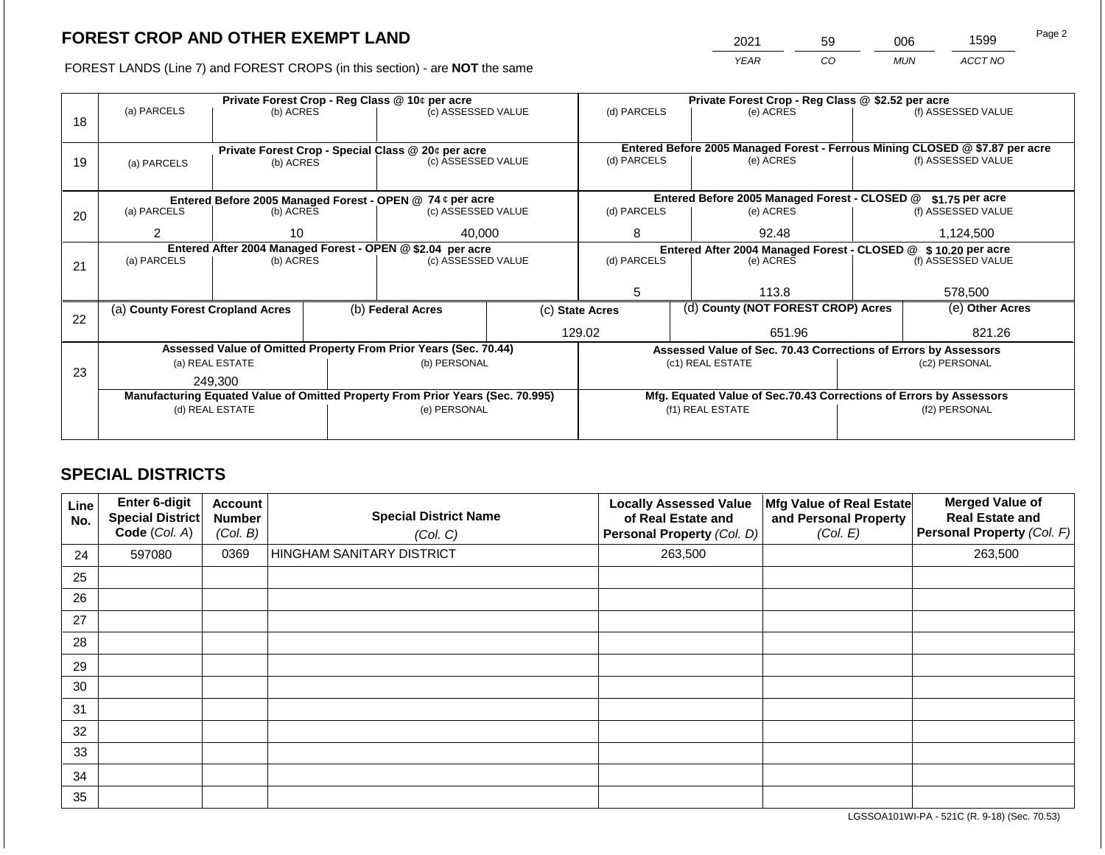2021 59 006 1599

FOREST LANDS (Line 7) and FOREST CROPS (in this section) - are **NOT** the same *YEAR CO MUN ACCT NO*

|    |                                                                                                   |                 |  | Private Forest Crop - Reg Class @ 10¢ per acre                           |                    | Private Forest Crop - Reg Class @ \$2.52 per acre                            |       |                                                                    |         |                    |  |
|----|---------------------------------------------------------------------------------------------------|-----------------|--|--------------------------------------------------------------------------|--------------------|------------------------------------------------------------------------------|-------|--------------------------------------------------------------------|---------|--------------------|--|
| 18 | (a) PARCELS                                                                                       | (b) ACRES       |  | (c) ASSESSED VALUE                                                       |                    | (d) PARCELS                                                                  |       | (e) ACRES                                                          |         | (f) ASSESSED VALUE |  |
|    |                                                                                                   |                 |  |                                                                          |                    |                                                                              |       |                                                                    |         |                    |  |
|    |                                                                                                   |                 |  |                                                                          |                    | Entered Before 2005 Managed Forest - Ferrous Mining CLOSED @ \$7.87 per acre |       |                                                                    |         |                    |  |
| 19 | (a) PARCELS                                                                                       | (b) ACRES       |  | Private Forest Crop - Special Class @ 20¢ per acre<br>(c) ASSESSED VALUE |                    | (d) PARCELS                                                                  |       | (e) ACRES                                                          |         | (f) ASSESSED VALUE |  |
|    |                                                                                                   |                 |  |                                                                          |                    |                                                                              |       |                                                                    |         |                    |  |
|    |                                                                                                   |                 |  |                                                                          |                    |                                                                              |       |                                                                    |         |                    |  |
|    |                                                                                                   |                 |  | Entered Before 2005 Managed Forest - OPEN @ 74 ¢ per acre                |                    |                                                                              |       | Entered Before 2005 Managed Forest - CLOSED @                      |         | $$1.75$ per acre   |  |
| 20 | (a) PARCELS                                                                                       | (b) ACRES       |  | (c) ASSESSED VALUE                                                       |                    | (d) PARCELS                                                                  |       | (e) ACRES                                                          |         | (f) ASSESSED VALUE |  |
|    | 2<br>10                                                                                           |                 |  | 40,000                                                                   |                    | 8                                                                            |       | 92.48                                                              |         | 1,124,500          |  |
|    | Entered After 2004 Managed Forest - OPEN @ \$2.04 per acre                                        |                 |  |                                                                          |                    |                                                                              |       |                                                                    |         |                    |  |
|    |                                                                                                   |                 |  |                                                                          |                    | (d) PARCELS                                                                  |       | Entered After 2004 Managed Forest - CLOSED @ \$ 10.20 per acre     |         |                    |  |
| 21 | (a) PARCELS                                                                                       | (b) ACRES       |  |                                                                          | (c) ASSESSED VALUE |                                                                              |       | (e) ACRES                                                          |         | (f) ASSESSED VALUE |  |
|    |                                                                                                   |                 |  |                                                                          |                    |                                                                              |       |                                                                    |         |                    |  |
|    |                                                                                                   |                 |  |                                                                          | 5                  |                                                                              | 113.8 |                                                                    | 578,500 |                    |  |
|    | (a) County Forest Cropland Acres                                                                  |                 |  | (b) Federal Acres                                                        |                    | (c) State Acres                                                              |       | (d) County (NOT FOREST CROP) Acres                                 |         | (e) Other Acres    |  |
| 22 |                                                                                                   |                 |  |                                                                          |                    |                                                                              |       |                                                                    |         |                    |  |
|    |                                                                                                   |                 |  |                                                                          |                    | 129.02                                                                       |       | 651.96                                                             |         | 821.26             |  |
|    |                                                                                                   |                 |  | Assessed Value of Omitted Property From Prior Years (Sec. 70.44)         |                    |                                                                              |       | Assessed Value of Sec. 70.43 Corrections of Errors by Assessors    |         |                    |  |
|    |                                                                                                   | (a) REAL ESTATE |  | (b) PERSONAL                                                             |                    |                                                                              |       | (c1) REAL ESTATE                                                   |         | (c2) PERSONAL      |  |
| 23 |                                                                                                   | 249.300         |  |                                                                          |                    |                                                                              |       |                                                                    |         |                    |  |
|    |                                                                                                   |                 |  |                                                                          |                    |                                                                              |       | Mfg. Equated Value of Sec.70.43 Corrections of Errors by Assessors |         |                    |  |
|    | Manufacturing Equated Value of Omitted Property From Prior Years (Sec. 70.995)<br>(d) REAL ESTATE |                 |  | (e) PERSONAL                                                             |                    |                                                                              |       | (f1) REAL ESTATE                                                   |         | (f2) PERSONAL      |  |
|    |                                                                                                   |                 |  |                                                                          |                    |                                                                              |       |                                                                    |         |                    |  |
|    |                                                                                                   |                 |  |                                                                          |                    |                                                                              |       |                                                                    |         |                    |  |

## **SPECIAL DISTRICTS**

| Line<br>No. | Enter 6-digit<br><b>Special District</b><br>Code (Col. A) | <b>Account</b><br><b>Number</b><br>(Col. B) | <b>Special District Name</b><br>(Col. C) | <b>Locally Assessed Value</b><br>of Real Estate and<br><b>Personal Property (Col. D)</b> | Mfg Value of Real Estate<br>and Personal Property<br>(Col. E) | <b>Merged Value of</b><br><b>Real Estate and</b><br>Personal Property (Col. F) |
|-------------|-----------------------------------------------------------|---------------------------------------------|------------------------------------------|------------------------------------------------------------------------------------------|---------------------------------------------------------------|--------------------------------------------------------------------------------|
| 24          | 597080                                                    | 0369                                        | HINGHAM SANITARY DISTRICT                | 263,500                                                                                  |                                                               | 263,500                                                                        |
| 25          |                                                           |                                             |                                          |                                                                                          |                                                               |                                                                                |
| 26          |                                                           |                                             |                                          |                                                                                          |                                                               |                                                                                |
| 27          |                                                           |                                             |                                          |                                                                                          |                                                               |                                                                                |
| 28          |                                                           |                                             |                                          |                                                                                          |                                                               |                                                                                |
| 29          |                                                           |                                             |                                          |                                                                                          |                                                               |                                                                                |
| 30          |                                                           |                                             |                                          |                                                                                          |                                                               |                                                                                |
| 31          |                                                           |                                             |                                          |                                                                                          |                                                               |                                                                                |
| 32          |                                                           |                                             |                                          |                                                                                          |                                                               |                                                                                |
| 33          |                                                           |                                             |                                          |                                                                                          |                                                               |                                                                                |
| 34          |                                                           |                                             |                                          |                                                                                          |                                                               |                                                                                |
| 35          |                                                           |                                             |                                          |                                                                                          |                                                               |                                                                                |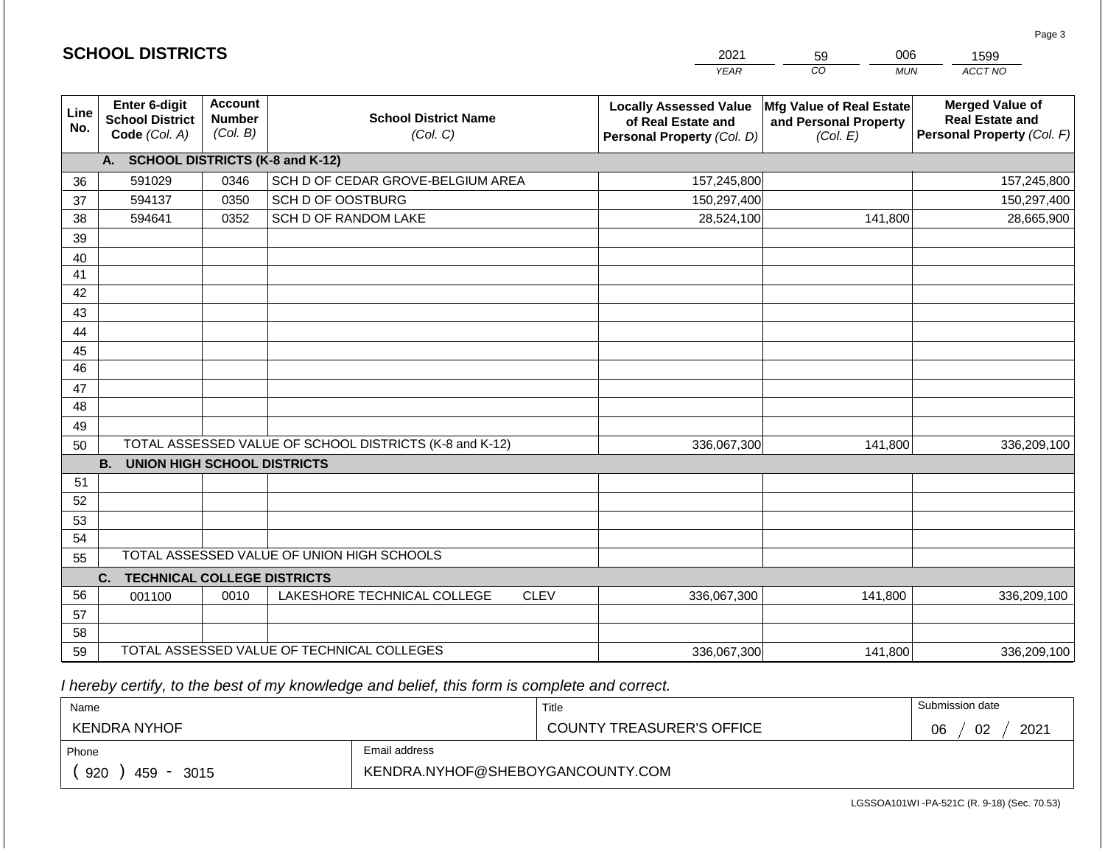|                 |                                                          |                                             |                                                         |             | <b>YEAR</b>                                                                       | $\overline{co}$<br><b>MUN</b>                                        | ACCT NO                                                                        |
|-----------------|----------------------------------------------------------|---------------------------------------------|---------------------------------------------------------|-------------|-----------------------------------------------------------------------------------|----------------------------------------------------------------------|--------------------------------------------------------------------------------|
| Line<br>No.     | Enter 6-digit<br><b>School District</b><br>Code (Col. A) | <b>Account</b><br><b>Number</b><br>(Col. B) | <b>School District Name</b><br>(Col. C)                 |             | <b>Locally Assessed Value</b><br>of Real Estate and<br>Personal Property (Col. D) | <b>Mfg Value of Real Estate</b><br>and Personal Property<br>(Col. E) | <b>Merged Value of</b><br><b>Real Estate and</b><br>Personal Property (Col. F) |
|                 | <b>SCHOOL DISTRICTS (K-8 and K-12)</b><br>A.             |                                             |                                                         |             |                                                                                   |                                                                      |                                                                                |
| 36              | 591029                                                   | 0346                                        | SCH D OF CEDAR GROVE-BELGIUM AREA                       |             | 157,245,800                                                                       |                                                                      | 157,245,800                                                                    |
| 37              | 594137                                                   | 0350                                        | SCH D OF OOSTBURG                                       |             | 150,297,400                                                                       |                                                                      | 150,297,400                                                                    |
| 38              | 594641                                                   | 0352                                        | SCH D OF RANDOM LAKE                                    |             | 28,524,100                                                                        | 141,800                                                              | 28,665,900                                                                     |
| 39              |                                                          |                                             |                                                         |             |                                                                                   |                                                                      |                                                                                |
| 40              |                                                          |                                             |                                                         |             |                                                                                   |                                                                      |                                                                                |
| 41              |                                                          |                                             |                                                         |             |                                                                                   |                                                                      |                                                                                |
| 42              |                                                          |                                             |                                                         |             |                                                                                   |                                                                      |                                                                                |
| 43              |                                                          |                                             |                                                         |             |                                                                                   |                                                                      |                                                                                |
| 44              |                                                          |                                             |                                                         |             |                                                                                   |                                                                      |                                                                                |
| 45              |                                                          |                                             |                                                         |             |                                                                                   |                                                                      |                                                                                |
| $\overline{46}$ |                                                          |                                             |                                                         |             |                                                                                   |                                                                      |                                                                                |
| 47              |                                                          |                                             |                                                         |             |                                                                                   |                                                                      |                                                                                |
| 48              |                                                          |                                             |                                                         |             |                                                                                   |                                                                      |                                                                                |
| 49              |                                                          |                                             |                                                         |             |                                                                                   |                                                                      |                                                                                |
| 50              |                                                          |                                             | TOTAL ASSESSED VALUE OF SCHOOL DISTRICTS (K-8 and K-12) |             | 336,067,300                                                                       | 141,800                                                              | 336,209,100                                                                    |
| 51              | <b>UNION HIGH SCHOOL DISTRICTS</b><br><b>B.</b>          |                                             |                                                         |             |                                                                                   |                                                                      |                                                                                |
| 52              |                                                          |                                             |                                                         |             |                                                                                   |                                                                      |                                                                                |
| 53              |                                                          |                                             |                                                         |             |                                                                                   |                                                                      |                                                                                |
| 54              |                                                          |                                             |                                                         |             |                                                                                   |                                                                      |                                                                                |
| 55              |                                                          |                                             | TOTAL ASSESSED VALUE OF UNION HIGH SCHOOLS              |             |                                                                                   |                                                                      |                                                                                |
|                 | C.<br><b>TECHNICAL COLLEGE DISTRICTS</b>                 |                                             |                                                         |             |                                                                                   |                                                                      |                                                                                |
| 56              | 001100                                                   | 0010                                        | LAKESHORE TECHNICAL COLLEGE                             | <b>CLEV</b> | 336,067,300                                                                       | 141,800                                                              | 336,209,100                                                                    |
| 57              |                                                          |                                             |                                                         |             |                                                                                   |                                                                      |                                                                                |
| 58              |                                                          |                                             |                                                         |             |                                                                                   |                                                                      |                                                                                |
| 59              | TOTAL ASSESSED VALUE OF TECHNICAL COLLEGES               |                                             |                                                         | 336,067,300 | 141,800                                                                           | 336,209,100                                                          |                                                                                |

 *I hereby certify, to the best of my knowledge and belief, this form is complete and correct.*

| Name                                                   |  | Title                            | Submission date  |
|--------------------------------------------------------|--|----------------------------------|------------------|
| <b>KENDRA NYHOF</b>                                    |  | <b>COUNTY TREASURER'S OFFICE</b> | 2021<br>02<br>06 |
| Email address<br>Phone                                 |  |                                  |                  |
| KENDRA.NYHOF@SHEBOYGANCOUNTY.COM<br>920<br>459<br>3015 |  |                                  |                  |

Page 3

| <b>SCHOOL DISTRICTS</b> |  |
|-------------------------|--|
|-------------------------|--|

59

2021

006 1599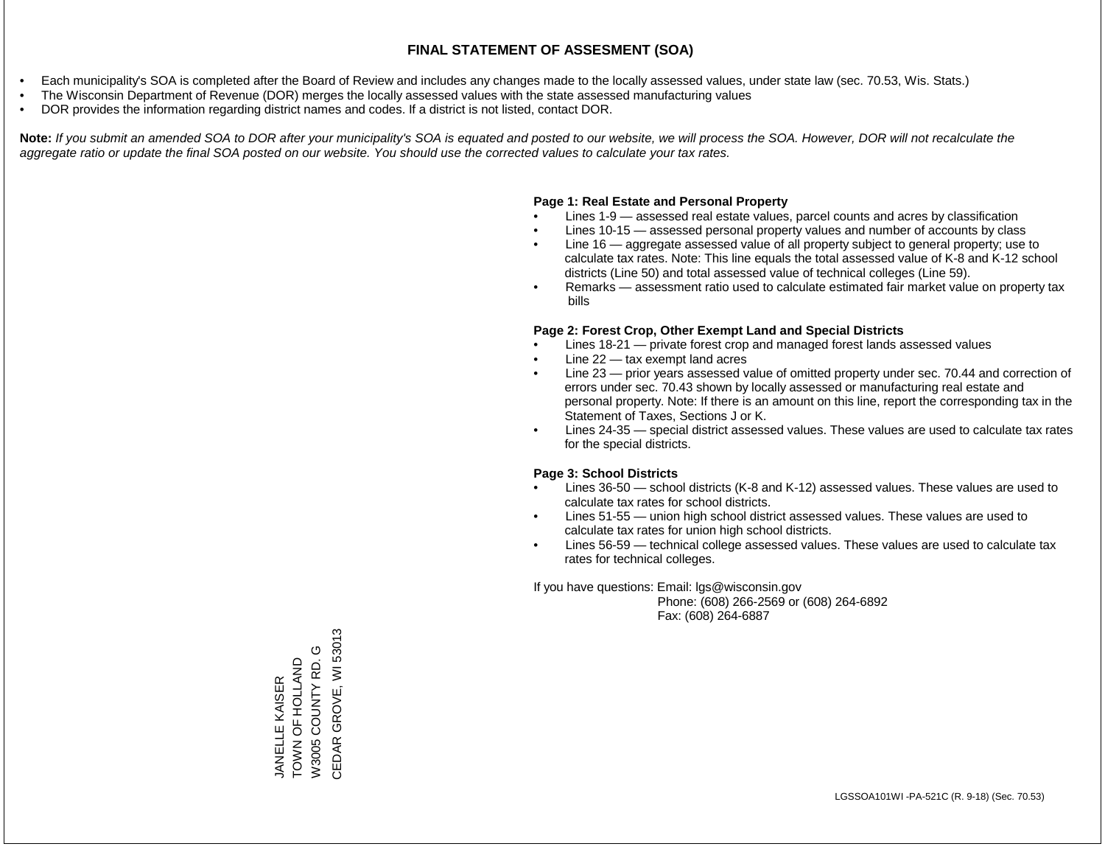- Each municipality's SOA is completed after the Board of Review and includes any changes made to the locally assessed values, under state law (sec. 70.53, Wis. Stats.)
- The Wisconsin Department of Revenue (DOR) merges the locally assessed values with the state assessed manufacturing values
- DOR provides the information regarding district names and codes. If a district is not listed, contact DOR.

Note: If you submit an amended SOA to DOR after your municipality's SOA is equated and posted to our website, we will process the SOA. However, DOR will not recalculate the *aggregate ratio or update the final SOA posted on our website. You should use the corrected values to calculate your tax rates.*

## **Page 1: Real Estate and Personal Property**

- Lines 1-9 assessed real estate values, parcel counts and acres by classification
- Lines 10-15 assessed personal property values and number of accounts by class
- Line 16 aggregate assessed value of all property subject to general property; use to calculate tax rates. Note: This line equals the total assessed value of K-8 and K-12 school districts (Line 50) and total assessed value of technical colleges (Line 59).
- Remarks assessment ratio used to calculate estimated fair market value on property tax bills

## **Page 2: Forest Crop, Other Exempt Land and Special Districts**

- Lines 18-21 private forest crop and managed forest lands assessed values
- Line  $22 -$  tax exempt land acres
- Line 23 prior years assessed value of omitted property under sec. 70.44 and correction of errors under sec. 70.43 shown by locally assessed or manufacturing real estate and personal property. Note: If there is an amount on this line, report the corresponding tax in the Statement of Taxes, Sections J or K.
- Lines 24-35 special district assessed values. These values are used to calculate tax rates for the special districts.

## **Page 3: School Districts**

- Lines 36-50 school districts (K-8 and K-12) assessed values. These values are used to calculate tax rates for school districts.
- Lines 51-55 union high school district assessed values. These values are used to calculate tax rates for union high school districts.
- Lines 56-59 technical college assessed values. These values are used to calculate tax rates for technical colleges.

If you have questions: Email: lgs@wisconsin.gov

 Phone: (608) 266-2569 or (608) 264-6892 Fax: (608) 264-6887

CEDAR GROVE, WI 53013 CEDAR GROVE, WI 53013W3005 COUNTY RD. G W3005 COUNTY RD. G TOWN OF HOLLAND TOWN OF HOLLAND **JANELLE KAISER** JANELLE KAISER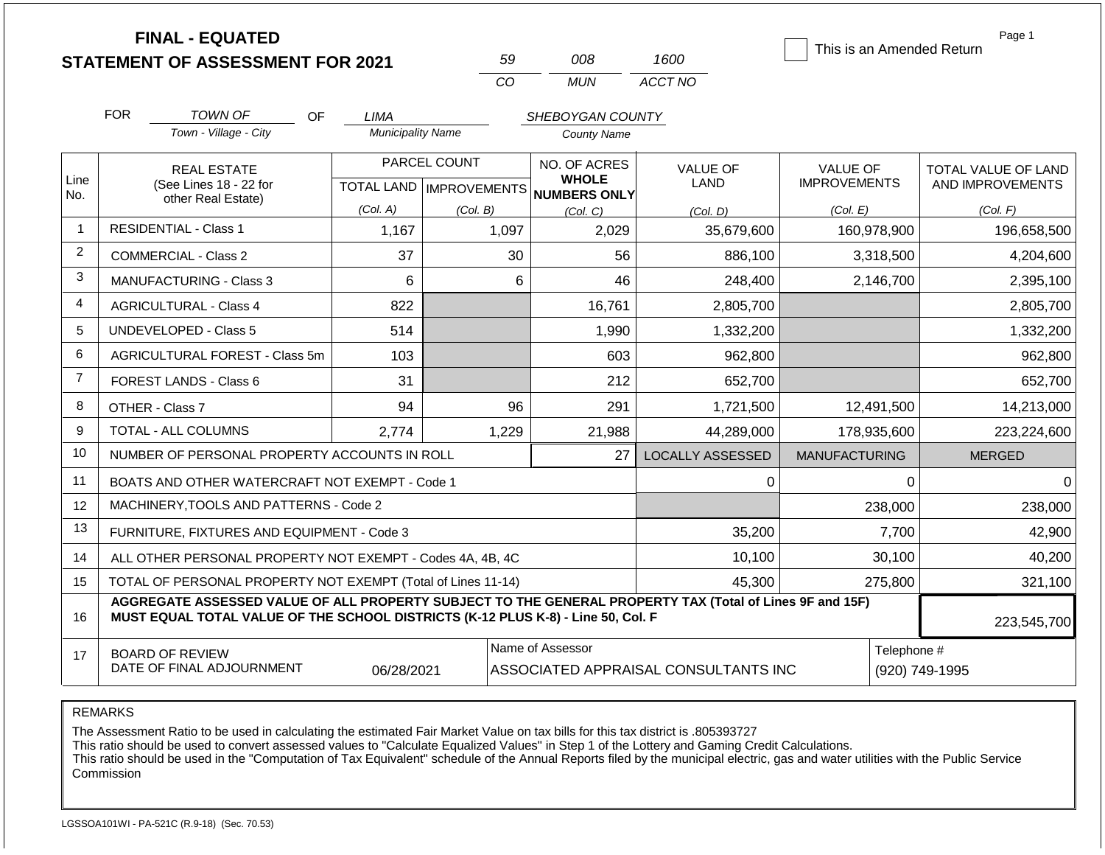| <b>FINAL - EQUATED</b>                  |    |
|-----------------------------------------|----|
| <b>STATEMENT OF ASSESSMENT FOR 2021</b> | 59 |

*CO MUN 59 008 ACCT NO 1600*

This is an Amended Return

Page 1

|                | <b>FOR</b>                                                                                                                                                                                                  | TOWN OF<br><b>OF</b>                           | <b>LIMA</b>              |                           | SHEBOYGAN COUNTY                     |                         |                      |                     |
|----------------|-------------------------------------------------------------------------------------------------------------------------------------------------------------------------------------------------------------|------------------------------------------------|--------------------------|---------------------------|--------------------------------------|-------------------------|----------------------|---------------------|
|                |                                                                                                                                                                                                             | Town - Village - City                          | <b>Municipality Name</b> |                           | <b>County Name</b>                   |                         |                      |                     |
|                |                                                                                                                                                                                                             | <b>REAL ESTATE</b>                             |                          | PARCEL COUNT              | NO. OF ACRES                         | <b>VALUE OF</b>         | VALUE OF             | TOTAL VALUE OF LAND |
| Line<br>No.    |                                                                                                                                                                                                             | (See Lines 18 - 22 for<br>other Real Estate)   |                          | TOTAL LAND   IMPROVEMENTS | <b>WHOLE</b><br><b>NUMBERS ONLY</b>  | LAND                    | <b>IMPROVEMENTS</b>  | AND IMPROVEMENTS    |
|                |                                                                                                                                                                                                             |                                                | (Col. A)                 | (Col. B)                  | (Col. C)                             | (Col. D)                | (Col. E)             | (Col. F)            |
| $\mathbf{1}$   |                                                                                                                                                                                                             | <b>RESIDENTIAL - Class 1</b>                   | 1,167                    | 1,097                     | 2,029                                | 35,679,600              | 160,978,900          | 196,658,500         |
| $\overline{2}$ |                                                                                                                                                                                                             | <b>COMMERCIAL - Class 2</b>                    | 37                       | 30                        | 56                                   | 886,100                 | 3,318,500            | 4,204,600           |
| 3              |                                                                                                                                                                                                             | <b>MANUFACTURING - Class 3</b>                 | 6                        | 6                         | 46                                   | 248,400                 | 2,146,700            | 2,395,100           |
| $\overline{4}$ |                                                                                                                                                                                                             | <b>AGRICULTURAL - Class 4</b>                  | 822                      |                           | 16,761                               | 2,805,700               |                      | 2,805,700           |
| 5              |                                                                                                                                                                                                             | <b>UNDEVELOPED - Class 5</b>                   | 514                      |                           | 1,990                                | 1,332,200               |                      | 1,332,200           |
| 6              |                                                                                                                                                                                                             | AGRICULTURAL FOREST - Class 5m                 | 103                      |                           | 603                                  | 962,800                 |                      | 962,800             |
| $\overline{7}$ |                                                                                                                                                                                                             | FOREST LANDS - Class 6                         | 31                       |                           | 212                                  | 652,700                 |                      | 652,700             |
| 8              |                                                                                                                                                                                                             | OTHER - Class 7                                | 94                       | 96                        | 291                                  | 1,721,500               | 12,491,500           | 14,213,000          |
| 9              |                                                                                                                                                                                                             | <b>TOTAL - ALL COLUMNS</b>                     | 2,774                    | 1,229                     | 21,988                               | 44,289,000              | 178,935,600          | 223,224,600         |
| 10             |                                                                                                                                                                                                             | NUMBER OF PERSONAL PROPERTY ACCOUNTS IN ROLL   |                          |                           | 27                                   | <b>LOCALLY ASSESSED</b> | <b>MANUFACTURING</b> | <b>MERGED</b>       |
| 11             |                                                                                                                                                                                                             | BOATS AND OTHER WATERCRAFT NOT EXEMPT - Code 1 |                          |                           |                                      | $\Omega$                | $\Omega$             | $\Omega$            |
| 12             |                                                                                                                                                                                                             | MACHINERY, TOOLS AND PATTERNS - Code 2         |                          |                           |                                      |                         | 238,000              | 238,000             |
| 13             |                                                                                                                                                                                                             | FURNITURE, FIXTURES AND EQUIPMENT - Code 3     |                          |                           |                                      | 35,200                  | 7,700                | 42,900              |
| 14             | 10,100<br>ALL OTHER PERSONAL PROPERTY NOT EXEMPT - Codes 4A, 4B, 4C                                                                                                                                         |                                                |                          |                           |                                      |                         | 30,100               | 40,200              |
| 15             | TOTAL OF PERSONAL PROPERTY NOT EXEMPT (Total of Lines 11-14)<br>45,300                                                                                                                                      |                                                |                          |                           |                                      |                         | 275,800              | 321,100             |
| 16             | AGGREGATE ASSESSED VALUE OF ALL PROPERTY SUBJECT TO THE GENERAL PROPERTY TAX (Total of Lines 9F and 15F)<br>MUST EQUAL TOTAL VALUE OF THE SCHOOL DISTRICTS (K-12 PLUS K-8) - Line 50, Col. F<br>223,545,700 |                                                |                          |                           |                                      |                         |                      |                     |
| 17             |                                                                                                                                                                                                             | <b>BOARD OF REVIEW</b>                         |                          |                           | Name of Assessor<br>Telephone #      |                         |                      |                     |
|                | DATE OF FINAL ADJOURNMENT<br>06/28/2021                                                                                                                                                                     |                                                |                          |                           | ASSOCIATED APPRAISAL CONSULTANTS INC |                         |                      | (920) 749-1995      |

REMARKS

The Assessment Ratio to be used in calculating the estimated Fair Market Value on tax bills for this tax district is .805393727

This ratio should be used to convert assessed values to "Calculate Equalized Values" in Step 1 of the Lottery and Gaming Credit Calculations.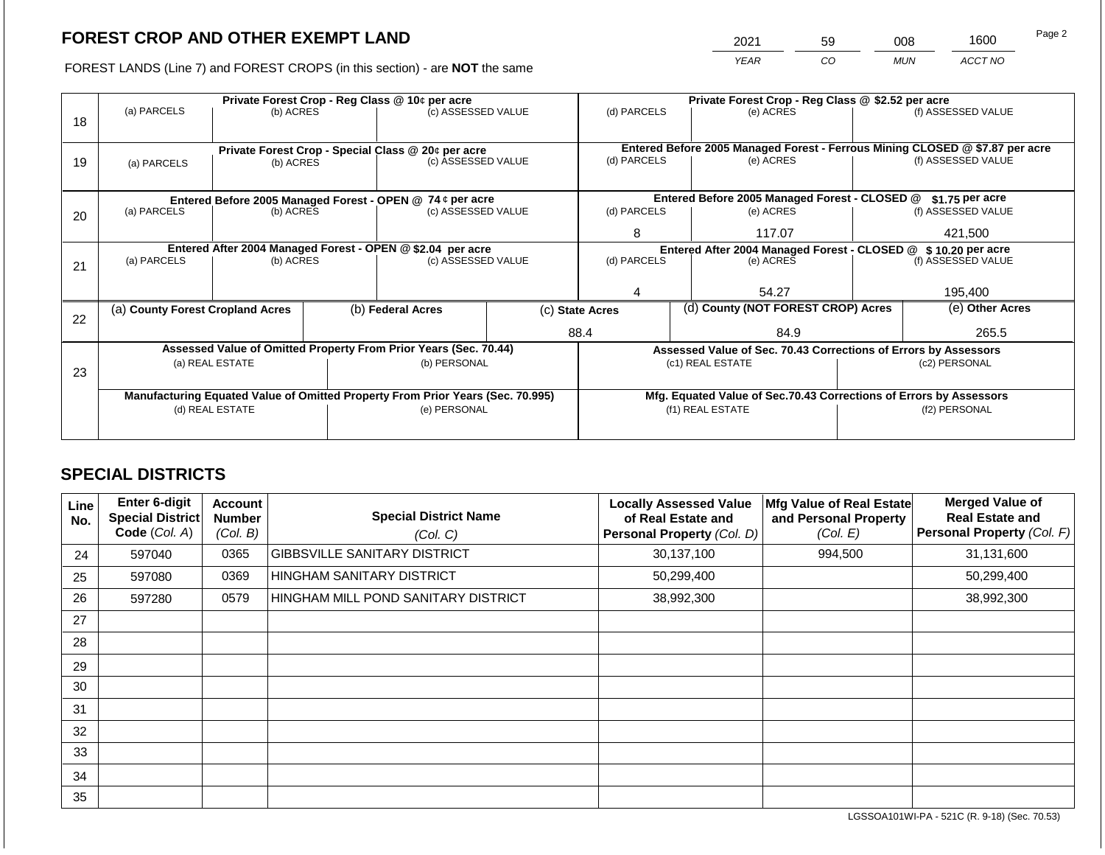2021 59 008 1600

FOREST LANDS (Line 7) and FOREST CROPS (in this section) - are **NOT** the same *YEAR CO MUN ACCT NO*

|    |                                                                                |                 | Private Forest Crop - Reg Class @ \$2.52 per acre |                                                           |                                                                 |                                                                    |  |                                               |               |                                                                                                    |
|----|--------------------------------------------------------------------------------|-----------------|---------------------------------------------------|-----------------------------------------------------------|-----------------------------------------------------------------|--------------------------------------------------------------------|--|-----------------------------------------------|---------------|----------------------------------------------------------------------------------------------------|
|    | (a) PARCELS                                                                    | (b) ACRES       |                                                   | (c) ASSESSED VALUE                                        |                                                                 | (d) PARCELS                                                        |  | (e) ACRES                                     |               | (f) ASSESSED VALUE                                                                                 |
| 18 |                                                                                |                 |                                                   |                                                           |                                                                 |                                                                    |  |                                               |               |                                                                                                    |
|    |                                                                                |                 |                                                   |                                                           |                                                                 |                                                                    |  |                                               |               |                                                                                                    |
|    |                                                                                |                 |                                                   | Private Forest Crop - Special Class @ 20¢ per acre        |                                                                 | (d) PARCELS                                                        |  | (e) ACRES                                     |               | Entered Before 2005 Managed Forest - Ferrous Mining CLOSED @ \$7.87 per acre<br>(f) ASSESSED VALUE |
| 19 | (a) PARCELS                                                                    | (b) ACRES       |                                                   | (c) ASSESSED VALUE                                        |                                                                 |                                                                    |  |                                               |               |                                                                                                    |
|    |                                                                                |                 |                                                   |                                                           |                                                                 |                                                                    |  |                                               |               |                                                                                                    |
|    |                                                                                |                 |                                                   | Entered Before 2005 Managed Forest - OPEN @ 74 ¢ per acre |                                                                 |                                                                    |  | Entered Before 2005 Managed Forest - CLOSED @ |               | \$1.75 per acre                                                                                    |
| 20 | (a) PARCELS                                                                    | (b) ACRES       |                                                   | (c) ASSESSED VALUE                                        |                                                                 | (d) PARCELS                                                        |  | (e) ACRES                                     |               | (f) ASSESSED VALUE                                                                                 |
|    |                                                                                |                 |                                                   |                                                           |                                                                 |                                                                    |  |                                               |               |                                                                                                    |
|    |                                                                                |                 |                                                   |                                                           |                                                                 | 8                                                                  |  | 117.07                                        |               | 421,500                                                                                            |
|    | Entered After 2004 Managed Forest - OPEN @ \$2.04 per acre                     |                 |                                                   |                                                           |                                                                 | Entered After 2004 Managed Forest - CLOSED @ \$10.20 per acre      |  |                                               |               |                                                                                                    |
| 21 | (a) PARCELS                                                                    | (b) ACRES       |                                                   | (c) ASSESSED VALUE                                        |                                                                 | (d) PARCELS                                                        |  | (e) ACRES                                     |               | (f) ASSESSED VALUE                                                                                 |
|    |                                                                                |                 |                                                   |                                                           |                                                                 |                                                                    |  |                                               |               |                                                                                                    |
|    |                                                                                |                 |                                                   |                                                           |                                                                 |                                                                    |  | 54.27                                         |               | 195.400                                                                                            |
|    | (a) County Forest Cropland Acres                                               |                 |                                                   | (b) Federal Acres                                         |                                                                 | (c) State Acres                                                    |  | (d) County (NOT FOREST CROP) Acres            |               | (e) Other Acres                                                                                    |
| 22 |                                                                                |                 |                                                   |                                                           |                                                                 |                                                                    |  |                                               |               |                                                                                                    |
|    |                                                                                |                 |                                                   |                                                           |                                                                 | 88.4                                                               |  | 84.9                                          |               | 265.5                                                                                              |
|    | Assessed Value of Omitted Property From Prior Years (Sec. 70.44)               |                 |                                                   |                                                           | Assessed Value of Sec. 70.43 Corrections of Errors by Assessors |                                                                    |  |                                               |               |                                                                                                    |
|    |                                                                                | (a) REAL ESTATE |                                                   | (b) PERSONAL                                              |                                                                 |                                                                    |  | (c1) REAL ESTATE                              |               | (c2) PERSONAL                                                                                      |
| 23 |                                                                                |                 |                                                   |                                                           |                                                                 |                                                                    |  |                                               |               |                                                                                                    |
|    | Manufacturing Equated Value of Omitted Property From Prior Years (Sec. 70.995) |                 |                                                   |                                                           |                                                                 | Mfg. Equated Value of Sec.70.43 Corrections of Errors by Assessors |  |                                               |               |                                                                                                    |
|    | (d) REAL ESTATE                                                                |                 |                                                   | (e) PERSONAL                                              |                                                                 |                                                                    |  | (f1) REAL ESTATE                              | (f2) PERSONAL |                                                                                                    |
|    |                                                                                |                 |                                                   |                                                           |                                                                 |                                                                    |  |                                               |               |                                                                                                    |
|    |                                                                                |                 |                                                   |                                                           |                                                                 |                                                                    |  |                                               |               |                                                                                                    |

## **SPECIAL DISTRICTS**

| Line<br>No. | Enter 6-digit<br>Special District<br>Code (Col. A) | <b>Account</b><br><b>Number</b><br>(Col. B) | <b>Special District Name</b><br>(Col. C) | <b>Locally Assessed Value</b><br>of Real Estate and<br>Personal Property (Col. D) | Mfg Value of Real Estate<br>and Personal Property<br>(Col. E) | <b>Merged Value of</b><br><b>Real Estate and</b><br>Personal Property (Col. F) |
|-------------|----------------------------------------------------|---------------------------------------------|------------------------------------------|-----------------------------------------------------------------------------------|---------------------------------------------------------------|--------------------------------------------------------------------------------|
| 24          | 597040                                             | 0365                                        | <b>GIBBSVILLE SANITARY DISTRICT</b>      | 30,137,100                                                                        | 994,500                                                       | 31,131,600                                                                     |
| 25          | 597080                                             | 0369                                        | HINGHAM SANITARY DISTRICT                | 50,299,400                                                                        |                                                               | 50,299,400                                                                     |
| 26          | 597280                                             | 0579                                        | HINGHAM MILL POND SANITARY DISTRICT      | 38,992,300                                                                        |                                                               | 38,992,300                                                                     |
| 27          |                                                    |                                             |                                          |                                                                                   |                                                               |                                                                                |
| 28          |                                                    |                                             |                                          |                                                                                   |                                                               |                                                                                |
| 29          |                                                    |                                             |                                          |                                                                                   |                                                               |                                                                                |
| 30          |                                                    |                                             |                                          |                                                                                   |                                                               |                                                                                |
| 31          |                                                    |                                             |                                          |                                                                                   |                                                               |                                                                                |
| 32          |                                                    |                                             |                                          |                                                                                   |                                                               |                                                                                |
| 33          |                                                    |                                             |                                          |                                                                                   |                                                               |                                                                                |
| 34          |                                                    |                                             |                                          |                                                                                   |                                                               |                                                                                |
| 35          |                                                    |                                             |                                          |                                                                                   |                                                               |                                                                                |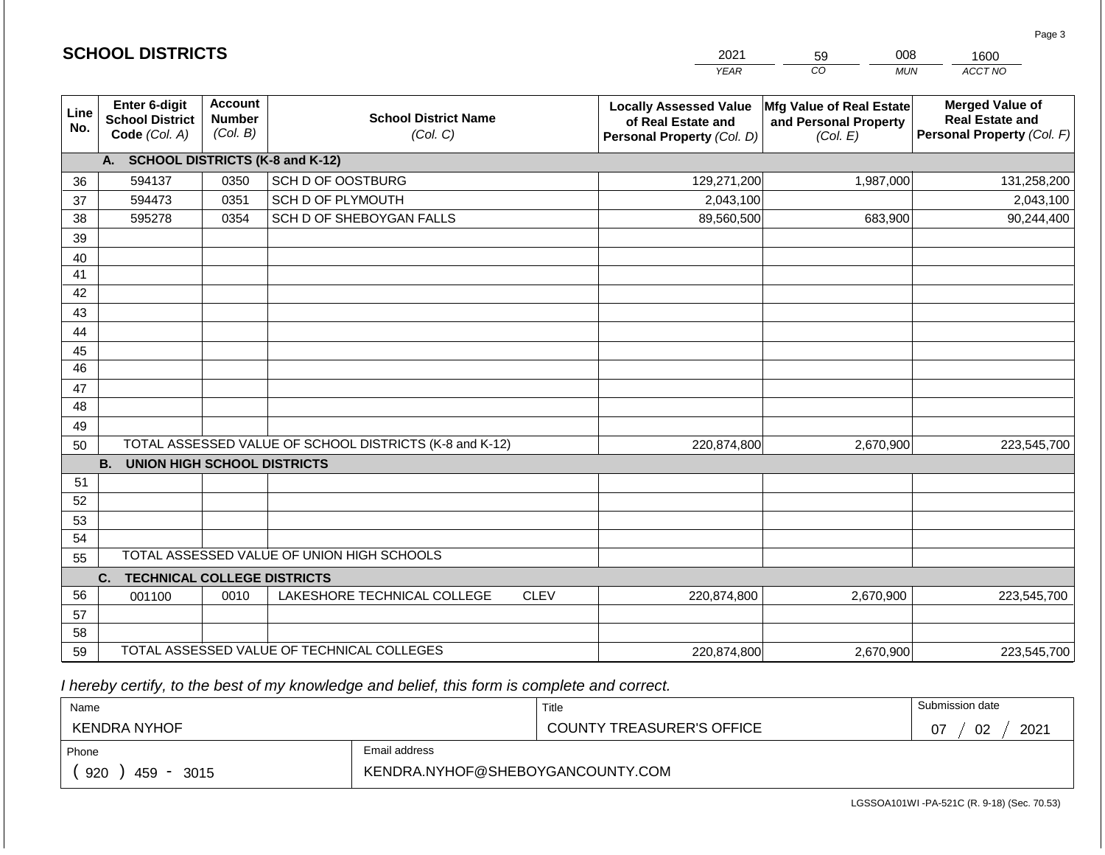|                 |                                                          |                                             |                                                         |             | <b>YEAR</b>                                                                       | CO<br><b>MUN</b>                                                     | ACCT NO                                                                        |
|-----------------|----------------------------------------------------------|---------------------------------------------|---------------------------------------------------------|-------------|-----------------------------------------------------------------------------------|----------------------------------------------------------------------|--------------------------------------------------------------------------------|
| Line<br>No.     | Enter 6-digit<br><b>School District</b><br>Code (Col. A) | <b>Account</b><br><b>Number</b><br>(Col. B) | <b>School District Name</b><br>(Col. C)                 |             | <b>Locally Assessed Value</b><br>of Real Estate and<br>Personal Property (Col. D) | <b>Mfg Value of Real Estate</b><br>and Personal Property<br>(Col. E) | <b>Merged Value of</b><br><b>Real Estate and</b><br>Personal Property (Col. F) |
|                 | A.                                                       |                                             | <b>SCHOOL DISTRICTS (K-8 and K-12)</b>                  |             |                                                                                   |                                                                      |                                                                                |
| 36              | 594137                                                   | 0350                                        | SCH D OF OOSTBURG                                       |             | 129,271,200                                                                       | 1,987,000                                                            | 131,258,200                                                                    |
| 37              | 594473                                                   | 0351                                        | SCH D OF PLYMOUTH                                       |             | 2,043,100                                                                         |                                                                      | 2,043,100                                                                      |
| 38              | 595278                                                   | 0354                                        | SCH D OF SHEBOYGAN FALLS                                |             | 89,560,500                                                                        | 683,900                                                              | 90,244,400                                                                     |
| 39              |                                                          |                                             |                                                         |             |                                                                                   |                                                                      |                                                                                |
| 40              |                                                          |                                             |                                                         |             |                                                                                   |                                                                      |                                                                                |
| 41              |                                                          |                                             |                                                         |             |                                                                                   |                                                                      |                                                                                |
| 42              |                                                          |                                             |                                                         |             |                                                                                   |                                                                      |                                                                                |
| 43              |                                                          |                                             |                                                         |             |                                                                                   |                                                                      |                                                                                |
| 44              |                                                          |                                             |                                                         |             |                                                                                   |                                                                      |                                                                                |
| 45              |                                                          |                                             |                                                         |             |                                                                                   |                                                                      |                                                                                |
| $\overline{46}$ |                                                          |                                             |                                                         |             |                                                                                   |                                                                      |                                                                                |
| 47              |                                                          |                                             |                                                         |             |                                                                                   |                                                                      |                                                                                |
| 48              |                                                          |                                             |                                                         |             |                                                                                   |                                                                      |                                                                                |
| 49              |                                                          |                                             |                                                         |             |                                                                                   |                                                                      |                                                                                |
| 50              |                                                          |                                             | TOTAL ASSESSED VALUE OF SCHOOL DISTRICTS (K-8 and K-12) |             | 220,874,800                                                                       | 2,670,900                                                            | 223,545,700                                                                    |
|                 | <b>B.</b><br><b>UNION HIGH SCHOOL DISTRICTS</b>          |                                             |                                                         |             |                                                                                   |                                                                      |                                                                                |
| 51              |                                                          |                                             |                                                         |             |                                                                                   |                                                                      |                                                                                |
| 52              |                                                          |                                             |                                                         |             |                                                                                   |                                                                      |                                                                                |
| 53              |                                                          |                                             |                                                         |             |                                                                                   |                                                                      |                                                                                |
| 54              |                                                          |                                             |                                                         |             |                                                                                   |                                                                      |                                                                                |
| 55              |                                                          |                                             | TOTAL ASSESSED VALUE OF UNION HIGH SCHOOLS              |             |                                                                                   |                                                                      |                                                                                |
|                 | C.<br><b>TECHNICAL COLLEGE DISTRICTS</b>                 |                                             |                                                         |             |                                                                                   |                                                                      |                                                                                |
| 56              | 001100                                                   | 0010                                        | LAKESHORE TECHNICAL COLLEGE                             | <b>CLEV</b> | 220,874,800                                                                       | 2,670,900                                                            | 223,545,700                                                                    |
| 57              |                                                          |                                             |                                                         |             |                                                                                   |                                                                      |                                                                                |
| 58              |                                                          |                                             |                                                         |             |                                                                                   |                                                                      |                                                                                |
| 59              |                                                          | TOTAL ASSESSED VALUE OF TECHNICAL COLLEGES  |                                                         |             | 220,874,800                                                                       | 2,670,900                                                            | 223,545,700                                                                    |

 *I hereby certify, to the best of my knowledge and belief, this form is complete and correct.*

| Name                                                   |  | Title                            | Submission date  |
|--------------------------------------------------------|--|----------------------------------|------------------|
| <b>KENDRA NYHOF</b>                                    |  | <b>COUNTY TREASURER'S OFFICE</b> | 2021<br>02<br>U. |
| Email address<br>Phone                                 |  |                                  |                  |
| KENDRA.NYHOF@SHEBOYGANCOUNTY.COM<br>920<br>459<br>3015 |  |                                  |                  |

Page 3

|  | <b>SCHOOL DISTRICTS</b> |
|--|-------------------------|
|--|-------------------------|

59

2021

008 1600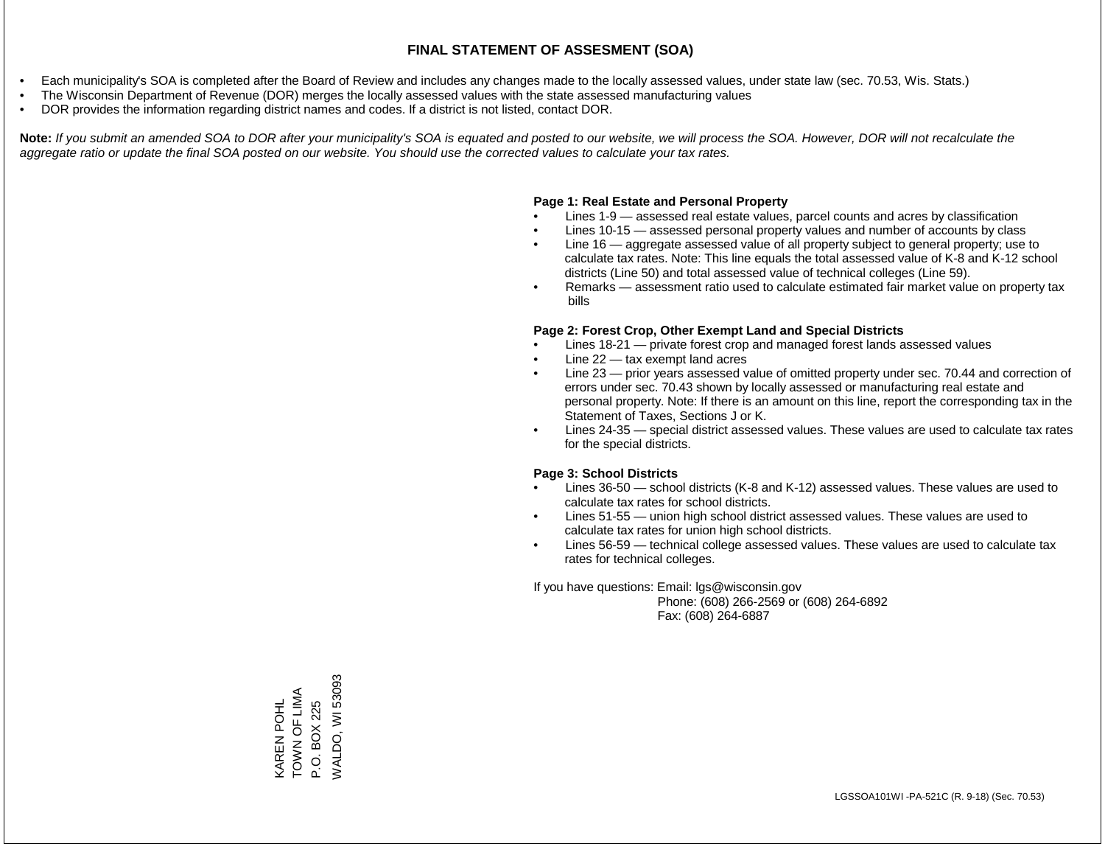- Each municipality's SOA is completed after the Board of Review and includes any changes made to the locally assessed values, under state law (sec. 70.53, Wis. Stats.)
- The Wisconsin Department of Revenue (DOR) merges the locally assessed values with the state assessed manufacturing values
- DOR provides the information regarding district names and codes. If a district is not listed, contact DOR.

Note: If you submit an amended SOA to DOR after your municipality's SOA is equated and posted to our website, we will process the SOA. However, DOR will not recalculate the *aggregate ratio or update the final SOA posted on our website. You should use the corrected values to calculate your tax rates.*

#### **Page 1: Real Estate and Personal Property**

- Lines 1-9 assessed real estate values, parcel counts and acres by classification
- Lines 10-15 assessed personal property values and number of accounts by class
- Line 16 aggregate assessed value of all property subject to general property; use to calculate tax rates. Note: This line equals the total assessed value of K-8 and K-12 school districts (Line 50) and total assessed value of technical colleges (Line 59).
- Remarks assessment ratio used to calculate estimated fair market value on property tax bills

#### **Page 2: Forest Crop, Other Exempt Land and Special Districts**

- Lines 18-21 private forest crop and managed forest lands assessed values
- Line  $22 -$  tax exempt land acres
- Line 23 prior years assessed value of omitted property under sec. 70.44 and correction of errors under sec. 70.43 shown by locally assessed or manufacturing real estate and personal property. Note: If there is an amount on this line, report the corresponding tax in the Statement of Taxes, Sections J or K.
- Lines 24-35 special district assessed values. These values are used to calculate tax rates for the special districts.

#### **Page 3: School Districts**

- Lines 36-50 school districts (K-8 and K-12) assessed values. These values are used to calculate tax rates for school districts.
- Lines 51-55 union high school district assessed values. These values are used to calculate tax rates for union high school districts.
- Lines 56-59 technical college assessed values. These values are used to calculate tax rates for technical colleges.

If you have questions: Email: lgs@wisconsin.gov

 Phone: (608) 266-2569 or (608) 264-6892 Fax: (608) 264-6887

KAREN POHL P.O. BOX 225 TOWN OF LIMA WALDO, WI 53093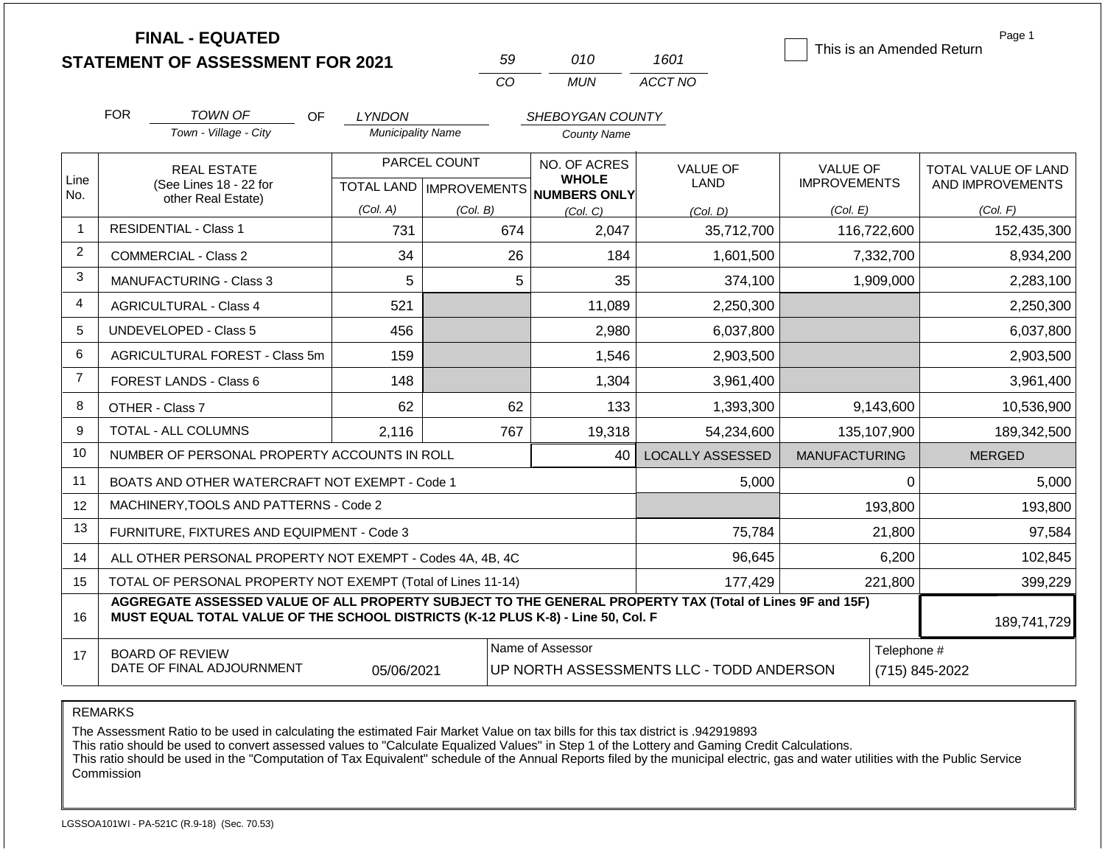| <b>STATEMENT OF ASSESSMENT FOR 2021</b> |
|-----------------------------------------|
|                                         |

**FINAL - EQUATED**

| 50  | 010   | 1601    |
|-----|-------|---------|
| CO. | MI IN | ACCT NO |

This is an Amended Return

Page 1

|                | <b>FOR</b>                                                                            | TOWN OF<br>OF.                                                                                                                                                                               | <b>LYNDON</b>            |          | SHEBOYGAN COUNTY                                         |                                          |                      |                     |
|----------------|---------------------------------------------------------------------------------------|----------------------------------------------------------------------------------------------------------------------------------------------------------------------------------------------|--------------------------|----------|----------------------------------------------------------|------------------------------------------|----------------------|---------------------|
|                |                                                                                       | Town - Village - City                                                                                                                                                                        | <b>Municipality Name</b> |          | <b>County Name</b>                                       |                                          |                      |                     |
|                |                                                                                       | <b>REAL ESTATE</b>                                                                                                                                                                           | PARCEL COUNT             |          | NO. OF ACRES                                             | <b>VALUE OF</b>                          | <b>VALUE OF</b>      | TOTAL VALUE OF LAND |
| Line<br>No.    |                                                                                       | (See Lines 18 - 22 for<br>other Real Estate)                                                                                                                                                 |                          |          | <b>WHOLE</b><br>TOTAL LAND   IMPROVEMENTS   NUMBERS ONLY | <b>LAND</b>                              | <b>IMPROVEMENTS</b>  | AND IMPROVEMENTS    |
|                |                                                                                       |                                                                                                                                                                                              | (Col. A)                 | (Col, B) | (Col. C)                                                 | (Col, D)                                 | (Col. E)             | (Col. F)            |
| $\overline{1}$ |                                                                                       | <b>RESIDENTIAL - Class 1</b>                                                                                                                                                                 | 731                      | 674      | 2,047                                                    | 35,712,700                               | 116,722,600          | 152,435,300         |
| $\overline{2}$ |                                                                                       | <b>COMMERCIAL - Class 2</b>                                                                                                                                                                  | 34                       | 26       | 184                                                      | 1,601,500                                | 7,332,700            | 8,934,200           |
| 3              |                                                                                       | <b>MANUFACTURING - Class 3</b>                                                                                                                                                               | 5                        | 5        | 35                                                       | 374,100                                  | 1,909,000            | 2,283,100           |
| $\overline{4}$ |                                                                                       | <b>AGRICULTURAL - Class 4</b>                                                                                                                                                                | 521                      |          | 11,089                                                   | 2,250,300                                |                      | 2,250,300           |
| 5              |                                                                                       | <b>UNDEVELOPED - Class 5</b>                                                                                                                                                                 | 456                      |          | 2,980                                                    | 6,037,800                                |                      | 6,037,800           |
| 6              | AGRICULTURAL FOREST - Class 5m                                                        |                                                                                                                                                                                              | 159                      |          | 1,546                                                    | 2,903,500                                |                      | 2,903,500           |
| $\overline{7}$ |                                                                                       | <b>FOREST LANDS - Class 6</b>                                                                                                                                                                | 148                      |          | 1,304                                                    | 3,961,400                                |                      | 3,961,400           |
| 8              |                                                                                       | OTHER - Class 7                                                                                                                                                                              | 62                       | 62       | 133                                                      | 1,393,300                                | 9,143,600            | 10,536,900          |
| 9              |                                                                                       | TOTAL - ALL COLUMNS                                                                                                                                                                          | 2,116                    | 767      | 19,318                                                   | 54,234,600                               | 135,107,900          | 189,342,500         |
| 10             |                                                                                       | NUMBER OF PERSONAL PROPERTY ACCOUNTS IN ROLL                                                                                                                                                 |                          |          | 40                                                       | <b>LOCALLY ASSESSED</b>                  | <b>MANUFACTURING</b> | <b>MERGED</b>       |
| 11             |                                                                                       | BOATS AND OTHER WATERCRAFT NOT EXEMPT - Code 1                                                                                                                                               |                          |          |                                                          | 5,000                                    |                      | 5,000<br>0          |
| 12             |                                                                                       | MACHINERY, TOOLS AND PATTERNS - Code 2                                                                                                                                                       |                          |          |                                                          |                                          | 193,800              | 193,800             |
| 13             |                                                                                       | FURNITURE, FIXTURES AND EQUIPMENT - Code 3                                                                                                                                                   |                          |          |                                                          | 75,784                                   | 21,800               | 97,584              |
| 14             |                                                                                       | ALL OTHER PERSONAL PROPERTY NOT EXEMPT - Codes 4A, 4B, 4C                                                                                                                                    |                          |          |                                                          | 96,645                                   | 6,200                | 102,845             |
| 15             |                                                                                       | TOTAL OF PERSONAL PROPERTY NOT EXEMPT (Total of Lines 11-14)                                                                                                                                 |                          |          |                                                          | 177,429                                  | 221,800              | 399,229             |
| 16             |                                                                                       | AGGREGATE ASSESSED VALUE OF ALL PROPERTY SUBJECT TO THE GENERAL PROPERTY TAX (Total of Lines 9F and 15F)<br>MUST EQUAL TOTAL VALUE OF THE SCHOOL DISTRICTS (K-12 PLUS K-8) - Line 50, Col. F |                          |          |                                                          |                                          |                      | 189,741,729         |
| 17             | Name of Assessor<br><b>BOARD OF REVIEW</b><br>DATE OF FINAL ADJOURNMENT<br>05/06/2021 |                                                                                                                                                                                              |                          |          |                                                          | UP NORTH ASSESSMENTS LLC - TODD ANDERSON | Telephone #          | (715) 845-2022      |

REMARKS

The Assessment Ratio to be used in calculating the estimated Fair Market Value on tax bills for this tax district is .942919893

This ratio should be used to convert assessed values to "Calculate Equalized Values" in Step 1 of the Lottery and Gaming Credit Calculations.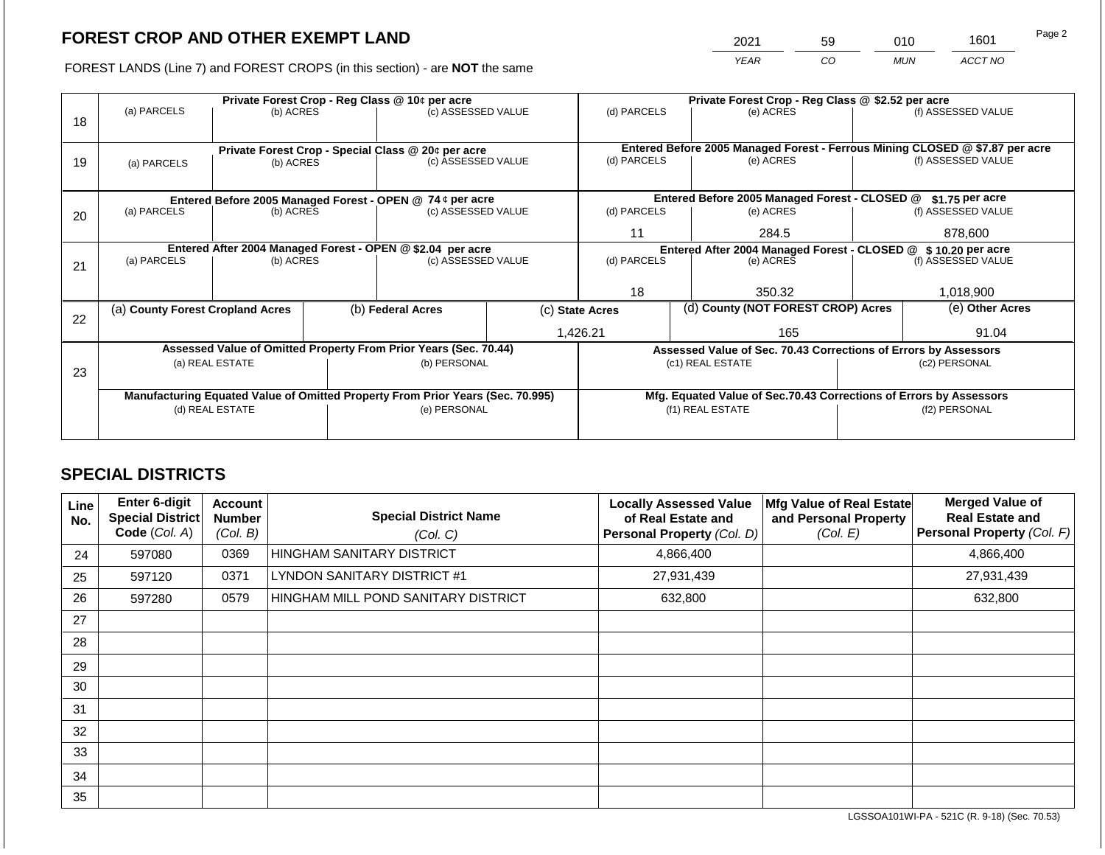2021 59 010 1601

FOREST LANDS (Line 7) and FOREST CROPS (in this section) - are **NOT** the same *YEAR CO MUN ACCT NO*

|    |                                                            |                 | Private Forest Crop - Reg Class @ \$2.52 per acre |                                                                                |  |                                                       |  |                                                                    |               |                                                                              |
|----|------------------------------------------------------------|-----------------|---------------------------------------------------|--------------------------------------------------------------------------------|--|-------------------------------------------------------|--|--------------------------------------------------------------------|---------------|------------------------------------------------------------------------------|
|    | (a) PARCELS                                                | (b) ACRES       |                                                   | Private Forest Crop - Reg Class @ 10¢ per acre<br>(c) ASSESSED VALUE           |  | (d) PARCELS                                           |  | (e) ACRES                                                          |               | (f) ASSESSED VALUE                                                           |
| 18 |                                                            |                 |                                                   |                                                                                |  |                                                       |  |                                                                    |               |                                                                              |
|    |                                                            |                 |                                                   |                                                                                |  |                                                       |  |                                                                    |               |                                                                              |
|    |                                                            |                 |                                                   | Private Forest Crop - Special Class @ 20¢ per acre                             |  |                                                       |  |                                                                    |               | Entered Before 2005 Managed Forest - Ferrous Mining CLOSED @ \$7.87 per acre |
| 19 | (a) PARCELS                                                | (b) ACRES       |                                                   | (c) ASSESSED VALUE                                                             |  | (d) PARCELS                                           |  | (e) ACRES                                                          |               | (f) ASSESSED VALUE                                                           |
|    |                                                            |                 |                                                   |                                                                                |  |                                                       |  |                                                                    |               |                                                                              |
|    |                                                            |                 |                                                   | Entered Before 2005 Managed Forest - OPEN @ 74 ¢ per acre                      |  |                                                       |  | Entered Before 2005 Managed Forest - CLOSED @                      |               | $$1.75$ per acre                                                             |
| 20 | (a) PARCELS                                                | (b) ACRES       |                                                   | (c) ASSESSED VALUE                                                             |  | (d) PARCELS                                           |  | (e) ACRES                                                          |               | (f) ASSESSED VALUE                                                           |
|    |                                                            |                 |                                                   |                                                                                |  |                                                       |  |                                                                    |               |                                                                              |
|    |                                                            |                 |                                                   |                                                                                |  | 11                                                    |  | 284.5                                                              |               | 878.600                                                                      |
|    | Entered After 2004 Managed Forest - OPEN @ \$2.04 per acre |                 |                                                   |                                                                                |  |                                                       |  | Entered After 2004 Managed Forest - CLOSED @ \$10.20 per acre      |               |                                                                              |
| 21 | (a) PARCELS                                                | (b) ACRES       |                                                   | (c) ASSESSED VALUE                                                             |  | (d) PARCELS<br>(e) ACRES                              |  | (f) ASSESSED VALUE                                                 |               |                                                                              |
|    |                                                            |                 |                                                   |                                                                                |  |                                                       |  |                                                                    |               |                                                                              |
|    |                                                            |                 |                                                   |                                                                                |  | 18<br>350.32                                          |  |                                                                    | 1,018,900     |                                                                              |
|    | (a) County Forest Cropland Acres                           |                 |                                                   | (b) Federal Acres                                                              |  | (d) County (NOT FOREST CROP) Acres<br>(c) State Acres |  | (e) Other Acres                                                    |               |                                                                              |
| 22 |                                                            |                 |                                                   |                                                                                |  |                                                       |  |                                                                    |               |                                                                              |
|    |                                                            |                 |                                                   |                                                                                |  | 1,426.21                                              |  | 165                                                                |               | 91.04                                                                        |
|    |                                                            |                 |                                                   | Assessed Value of Omitted Property From Prior Years (Sec. 70.44)               |  |                                                       |  | Assessed Value of Sec. 70.43 Corrections of Errors by Assessors    |               |                                                                              |
|    |                                                            | (a) REAL ESTATE |                                                   | (b) PERSONAL                                                                   |  |                                                       |  | (c1) REAL ESTATE                                                   |               | (c2) PERSONAL                                                                |
| 23 |                                                            |                 |                                                   |                                                                                |  |                                                       |  |                                                                    |               |                                                                              |
|    |                                                            |                 |                                                   | Manufacturing Equated Value of Omitted Property From Prior Years (Sec. 70.995) |  |                                                       |  | Mfg. Equated Value of Sec.70.43 Corrections of Errors by Assessors |               |                                                                              |
|    |                                                            | (d) REAL ESTATE |                                                   | (e) PERSONAL                                                                   |  |                                                       |  | (f1) REAL ESTATE                                                   | (f2) PERSONAL |                                                                              |
|    |                                                            |                 |                                                   |                                                                                |  |                                                       |  |                                                                    |               |                                                                              |
|    |                                                            |                 |                                                   |                                                                                |  |                                                       |  |                                                                    |               |                                                                              |

## **SPECIAL DISTRICTS**

| Line<br>No. | Enter 6-digit<br>Special District<br>Code (Col. A) | <b>Account</b><br><b>Number</b><br>(Col. B) | <b>Special District Name</b><br>(Col. C) | <b>Locally Assessed Value</b><br>of Real Estate and<br>Personal Property (Col. D) | Mfg Value of Real Estate<br>and Personal Property<br>(Col. E) | <b>Merged Value of</b><br><b>Real Estate and</b><br>Personal Property (Col. F) |
|-------------|----------------------------------------------------|---------------------------------------------|------------------------------------------|-----------------------------------------------------------------------------------|---------------------------------------------------------------|--------------------------------------------------------------------------------|
| 24          | 597080                                             | 0369                                        | HINGHAM SANITARY DISTRICT                | 4,866,400                                                                         |                                                               | 4,866,400                                                                      |
| 25          | 597120                                             | 0371                                        | LYNDON SANITARY DISTRICT #1              | 27,931,439                                                                        |                                                               | 27,931,439                                                                     |
| 26          | 597280                                             | 0579                                        | HINGHAM MILL POND SANITARY DISTRICT      | 632,800                                                                           |                                                               | 632,800                                                                        |
| 27          |                                                    |                                             |                                          |                                                                                   |                                                               |                                                                                |
| 28          |                                                    |                                             |                                          |                                                                                   |                                                               |                                                                                |
| 29          |                                                    |                                             |                                          |                                                                                   |                                                               |                                                                                |
| 30          |                                                    |                                             |                                          |                                                                                   |                                                               |                                                                                |
| 31          |                                                    |                                             |                                          |                                                                                   |                                                               |                                                                                |
| 32          |                                                    |                                             |                                          |                                                                                   |                                                               |                                                                                |
| 33          |                                                    |                                             |                                          |                                                                                   |                                                               |                                                                                |
| 34          |                                                    |                                             |                                          |                                                                                   |                                                               |                                                                                |
| 35          |                                                    |                                             |                                          |                                                                                   |                                                               |                                                                                |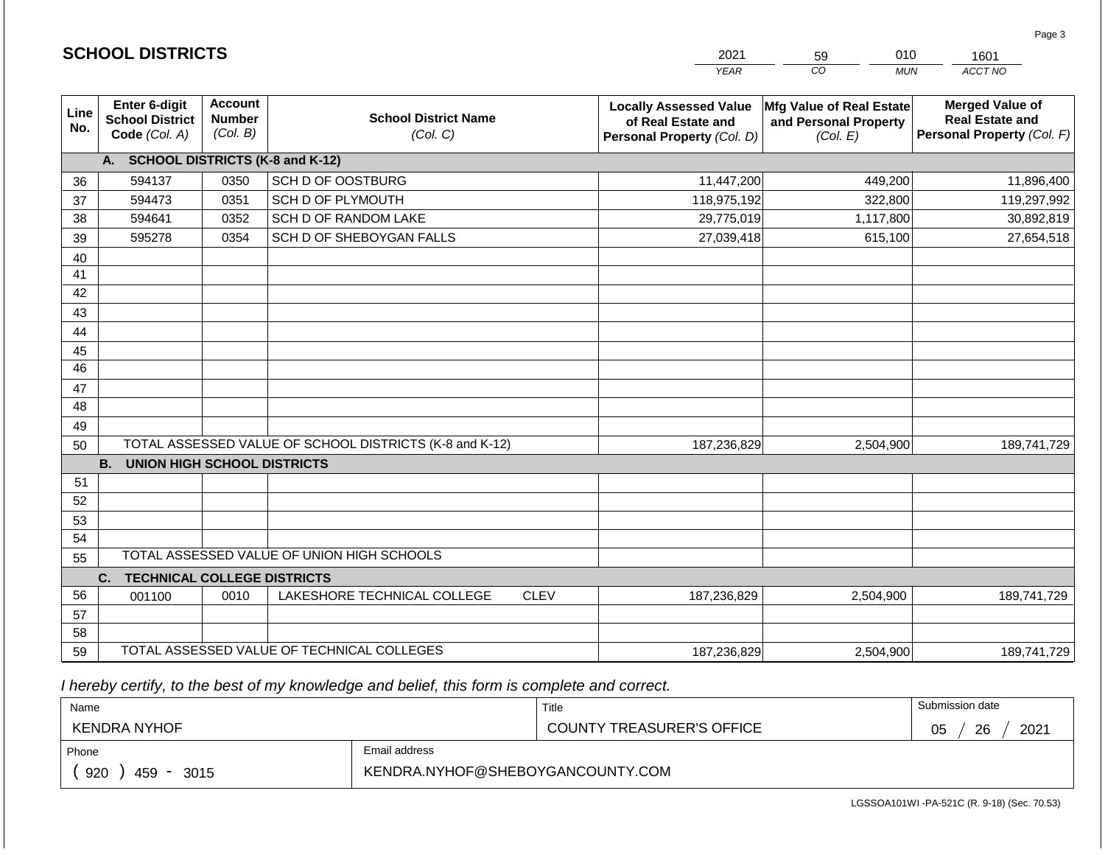|                 |                                                          |                                             |                                                         |             | <b>YEAR</b>                                                                       | $\overline{co}$<br><b>MUN</b>                                 | ACCT NO                                                                        |
|-----------------|----------------------------------------------------------|---------------------------------------------|---------------------------------------------------------|-------------|-----------------------------------------------------------------------------------|---------------------------------------------------------------|--------------------------------------------------------------------------------|
| Line<br>No.     | Enter 6-digit<br><b>School District</b><br>Code (Col. A) | <b>Account</b><br><b>Number</b><br>(Col. B) | <b>School District Name</b><br>(Col. C)                 |             | <b>Locally Assessed Value</b><br>of Real Estate and<br>Personal Property (Col. D) | Mfg Value of Real Estate<br>and Personal Property<br>(Col. E) | <b>Merged Value of</b><br><b>Real Estate and</b><br>Personal Property (Col. F) |
|                 | A.                                                       |                                             | <b>SCHOOL DISTRICTS (K-8 and K-12)</b>                  |             |                                                                                   |                                                               |                                                                                |
| 36              | 594137                                                   | 0350                                        | SCH D OF OOSTBURG                                       |             | 11,447,200                                                                        | 449,200                                                       | 11,896,400                                                                     |
| 37              | 594473                                                   | 0351                                        | SCH D OF PLYMOUTH                                       |             | 118,975,192                                                                       | 322,800                                                       | 119,297,992                                                                    |
| 38              | 594641                                                   | 0352                                        | SCH D OF RANDOM LAKE                                    |             | 29,775,019                                                                        | 1,117,800                                                     | 30,892,819                                                                     |
| 39              | 595278                                                   | 0354                                        | SCH D OF SHEBOYGAN FALLS                                |             | 27,039,418                                                                        | 615,100                                                       | 27,654,518                                                                     |
| 40              |                                                          |                                             |                                                         |             |                                                                                   |                                                               |                                                                                |
| 41              |                                                          |                                             |                                                         |             |                                                                                   |                                                               |                                                                                |
| 42              |                                                          |                                             |                                                         |             |                                                                                   |                                                               |                                                                                |
| 43              |                                                          |                                             |                                                         |             |                                                                                   |                                                               |                                                                                |
| 44              |                                                          |                                             |                                                         |             |                                                                                   |                                                               |                                                                                |
| 45              |                                                          |                                             |                                                         |             |                                                                                   |                                                               |                                                                                |
| $\overline{46}$ |                                                          |                                             |                                                         |             |                                                                                   |                                                               |                                                                                |
| 47              |                                                          |                                             |                                                         |             |                                                                                   |                                                               |                                                                                |
| 48              |                                                          |                                             |                                                         |             |                                                                                   |                                                               |                                                                                |
| 49              |                                                          |                                             |                                                         |             |                                                                                   |                                                               |                                                                                |
| 50              |                                                          |                                             | TOTAL ASSESSED VALUE OF SCHOOL DISTRICTS (K-8 and K-12) |             | 187,236,829                                                                       | 2,504,900                                                     | 189,741,729                                                                    |
|                 | <b>B.</b><br><b>UNION HIGH SCHOOL DISTRICTS</b>          |                                             |                                                         |             |                                                                                   |                                                               |                                                                                |
| 51              |                                                          |                                             |                                                         |             |                                                                                   |                                                               |                                                                                |
| 52              |                                                          |                                             |                                                         |             |                                                                                   |                                                               |                                                                                |
| 53              |                                                          |                                             |                                                         |             |                                                                                   |                                                               |                                                                                |
| 54              |                                                          |                                             |                                                         |             |                                                                                   |                                                               |                                                                                |
| 55              |                                                          |                                             | TOTAL ASSESSED VALUE OF UNION HIGH SCHOOLS              |             |                                                                                   |                                                               |                                                                                |
|                 | C.<br><b>TECHNICAL COLLEGE DISTRICTS</b>                 |                                             |                                                         |             |                                                                                   |                                                               |                                                                                |
| 56              | 001100                                                   | 0010                                        | LAKESHORE TECHNICAL COLLEGE                             | <b>CLEV</b> | 187,236,829                                                                       | 2,504,900                                                     | 189,741,729                                                                    |
| 57              |                                                          |                                             |                                                         |             |                                                                                   |                                                               |                                                                                |
| 58              |                                                          |                                             |                                                         |             |                                                                                   |                                                               |                                                                                |
| 59              |                                                          |                                             | TOTAL ASSESSED VALUE OF TECHNICAL COLLEGES              |             | 187,236,829                                                                       | 2,504,900                                                     | 189,741,729                                                                    |

2021

59

010

 *I hereby certify, to the best of my knowledge and belief, this form is complete and correct.*

**SCHOOL DISTRICTS**

| Name                |                                  | Title                            | Submission date        |
|---------------------|----------------------------------|----------------------------------|------------------------|
| <b>KENDRA NYHOF</b> |                                  | <b>COUNTY TREASURER'S OFFICE</b> | 2021<br>26<br>∩ҕ<br>υJ |
| Phone               | Email address                    |                                  |                        |
| 920<br>459<br>3015  | KENDRA.NYHOF@SHEBOYGANCOUNTY.COM |                                  |                        |

Page 3

1601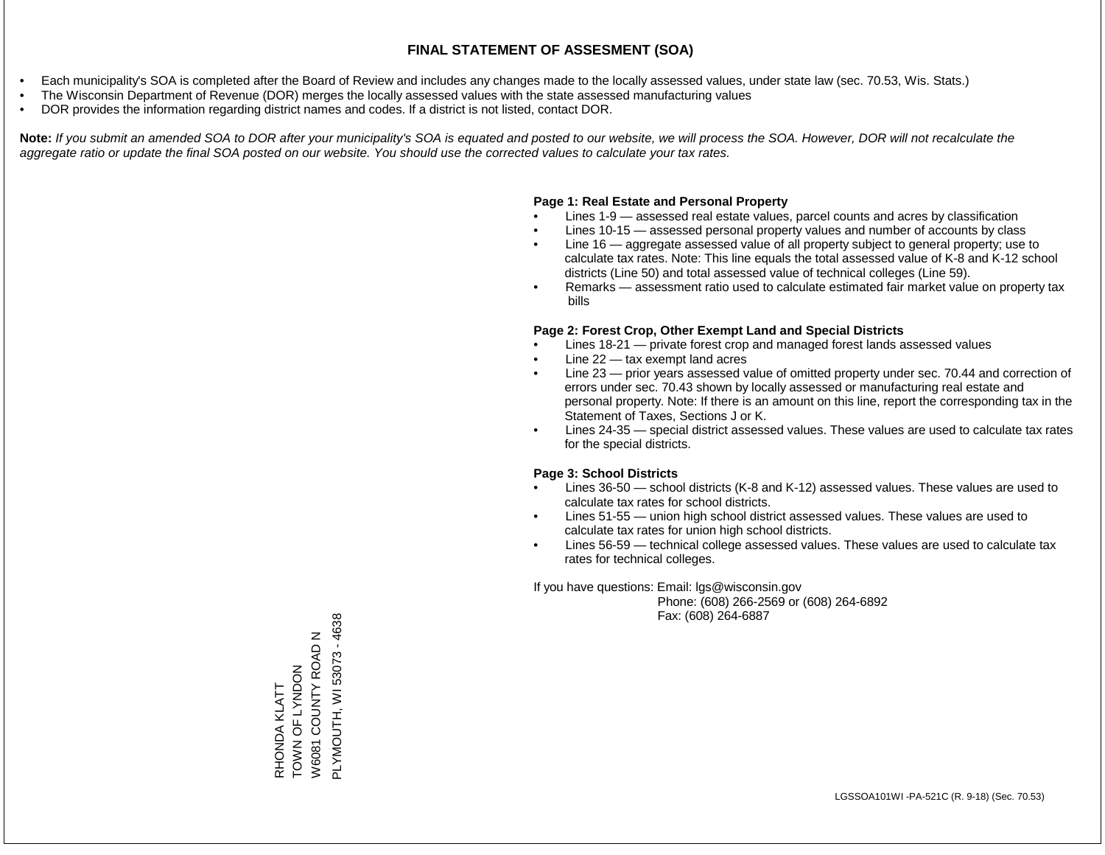- Each municipality's SOA is completed after the Board of Review and includes any changes made to the locally assessed values, under state law (sec. 70.53, Wis. Stats.)
- The Wisconsin Department of Revenue (DOR) merges the locally assessed values with the state assessed manufacturing values
- DOR provides the information regarding district names and codes. If a district is not listed, contact DOR.

Note: If you submit an amended SOA to DOR after your municipality's SOA is equated and posted to our website, we will process the SOA. However, DOR will not recalculate the *aggregate ratio or update the final SOA posted on our website. You should use the corrected values to calculate your tax rates.*

#### **Page 1: Real Estate and Personal Property**

- Lines 1-9 assessed real estate values, parcel counts and acres by classification
- Lines 10-15 assessed personal property values and number of accounts by class
- Line 16 aggregate assessed value of all property subject to general property; use to calculate tax rates. Note: This line equals the total assessed value of K-8 and K-12 school districts (Line 50) and total assessed value of technical colleges (Line 59).
- Remarks assessment ratio used to calculate estimated fair market value on property tax bills

#### **Page 2: Forest Crop, Other Exempt Land and Special Districts**

- Lines 18-21 private forest crop and managed forest lands assessed values
- Line  $22 -$  tax exempt land acres
- Line 23 prior years assessed value of omitted property under sec. 70.44 and correction of errors under sec. 70.43 shown by locally assessed or manufacturing real estate and personal property. Note: If there is an amount on this line, report the corresponding tax in the Statement of Taxes, Sections J or K.
- Lines 24-35 special district assessed values. These values are used to calculate tax rates for the special districts.

#### **Page 3: School Districts**

- Lines 36-50 school districts (K-8 and K-12) assessed values. These values are used to calculate tax rates for school districts.
- Lines 51-55 union high school district assessed values. These values are used to calculate tax rates for union high school districts.
- Lines 56-59 technical college assessed values. These values are used to calculate tax rates for technical colleges.

If you have questions: Email: lgs@wisconsin.gov

 Phone: (608) 266-2569 or (608) 264-6892 Fax: (608) 264-6887

PLYMOUTH, WI 53073 - 4638 PLYMOUTH, WI 53073 - 4638W6081 COUNTY ROAD N W6081 COUNTY ROAD N ZOQNYJ LO NNOL TOWN OF LYNDON RHONDA KLATT RHONDA KLATT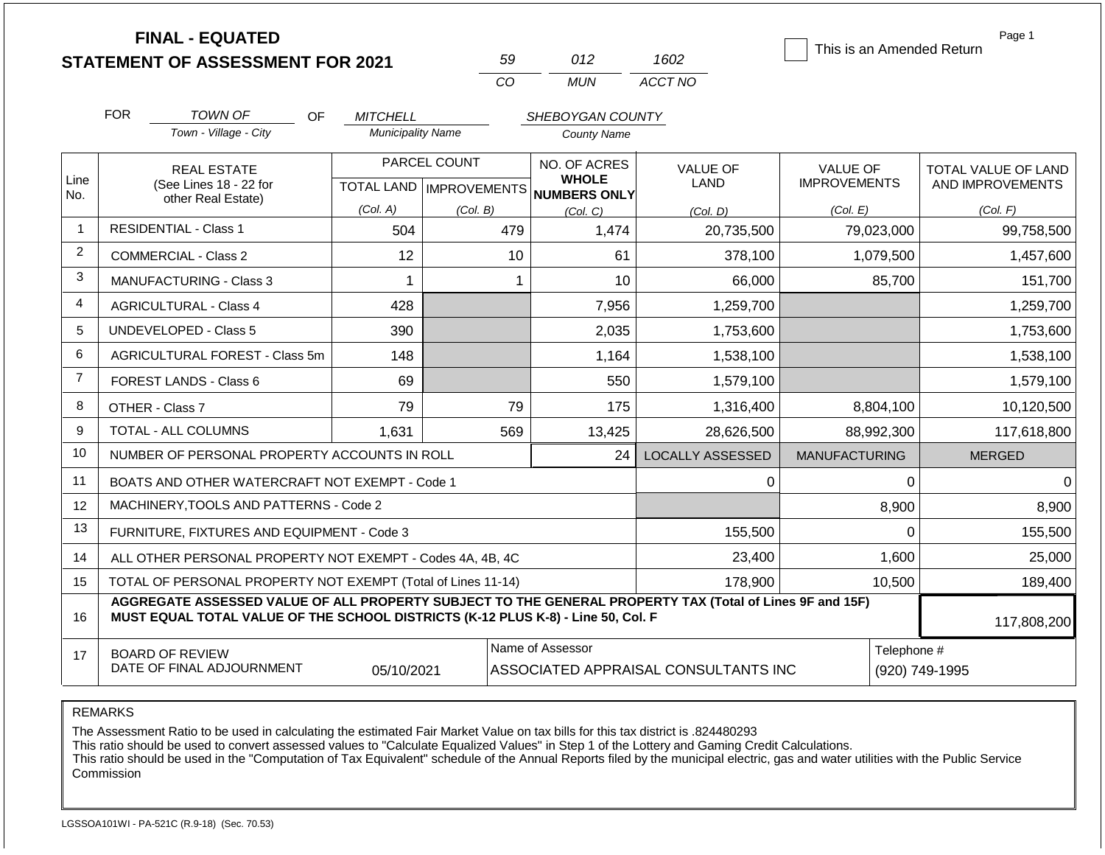|                | <b>FINAL - EQUATED</b>                                                                                                                                                                       |                          |                           |                                      |                         | This is an Amended Return | Page 1              |
|----------------|----------------------------------------------------------------------------------------------------------------------------------------------------------------------------------------------|--------------------------|---------------------------|--------------------------------------|-------------------------|---------------------------|---------------------|
|                | <b>STATEMENT OF ASSESSMENT FOR 2021</b>                                                                                                                                                      |                          | 59                        | 012                                  | 1602                    |                           |                     |
|                |                                                                                                                                                                                              |                          | CO                        | <b>MUN</b>                           | ACCT NO                 |                           |                     |
|                | <b>FOR</b><br><b>TOWN OF</b>                                                                                                                                                                 | OF<br><b>MITCHELL</b>    |                           | SHEBOYGAN COUNTY                     |                         |                           |                     |
|                | Town - Village - City                                                                                                                                                                        | <b>Municipality Name</b> |                           | <b>County Name</b>                   |                         |                           |                     |
| Line           | <b>REAL ESTATE</b>                                                                                                                                                                           |                          | PARCEL COUNT              | NO. OF ACRES<br><b>WHOLE</b>         | VALUE OF                | <b>VALUE OF</b>           | TOTAL VALUE OF LAND |
| No.            | (See Lines 18 - 22 for<br>other Real Estate)                                                                                                                                                 |                          | TOTAL LAND   IMPROVEMENTS | <b>NUMBERS ONLY</b>                  | LAND                    | <b>IMPROVEMENTS</b>       | AND IMPROVEMENTS    |
|                |                                                                                                                                                                                              | (Col. A)                 | (Col. B)                  | (Col. C)                             | (Col. D)                | (Col. E)                  | (Col. F)            |
|                | <b>RESIDENTIAL - Class 1</b>                                                                                                                                                                 | 504                      | 479                       | 1,474                                | 20,735,500              | 79,023,000                | 99,758,500          |
| 2              | <b>COMMERCIAL - Class 2</b>                                                                                                                                                                  | 12                       | 10                        | 61                                   | 378,100                 | 1,079,500                 | 1,457,600           |
| 3              | <b>MANUFACTURING - Class 3</b>                                                                                                                                                               |                          |                           | 10                                   | 66,000                  | 85,700                    | 151,700             |
| 4              | 428<br><b>AGRICULTURAL - Class 4</b>                                                                                                                                                         |                          |                           | 7,956                                | 1,259,700               |                           | 1,259,700           |
| 5              | <b>UNDEVELOPED - Class 5</b>                                                                                                                                                                 | 390                      |                           | 2,035                                | 1,753,600               |                           | 1,753,600           |
| 6              | AGRICULTURAL FOREST - Class 5m                                                                                                                                                               | 148                      |                           | 1,164                                | 1,538,100               |                           | 1,538,100           |
| $\overline{7}$ | FOREST LANDS - Class 6                                                                                                                                                                       | 69                       |                           | 550                                  | 1,579,100               |                           | 1,579,100           |
| 8              | OTHER - Class 7                                                                                                                                                                              | 79                       | 79                        | 175                                  | 1,316,400               | 8,804,100                 | 10,120,500          |
| 9              | TOTAL - ALL COLUMNS                                                                                                                                                                          | 1,631                    | 569                       | 13,425                               | 28,626,500              | 88,992,300                | 117,618,800         |
| 10             | NUMBER OF PERSONAL PROPERTY ACCOUNTS IN ROLL                                                                                                                                                 |                          |                           | 24                                   | <b>LOCALLY ASSESSED</b> | <b>MANUFACTURING</b>      | <b>MERGED</b>       |
| 11             | BOATS AND OTHER WATERCRAFT NOT EXEMPT - Code 1                                                                                                                                               |                          |                           |                                      | 0                       | $\Omega$                  | ∩                   |
| 12             | MACHINERY, TOOLS AND PATTERNS - Code 2                                                                                                                                                       |                          |                           |                                      |                         | 8,900                     | 8,900               |
| 13             | FURNITURE, FIXTURES AND EQUIPMENT - Code 3                                                                                                                                                   |                          |                           |                                      | 155,500                 | $\Omega$                  | 155,500             |
| 14             | ALL OTHER PERSONAL PROPERTY NOT EXEMPT - Codes 4A, 4B, 4C                                                                                                                                    |                          |                           |                                      | 23,400                  | 1,600                     | 25,000              |
| 15             | TOTAL OF PERSONAL PROPERTY NOT EXEMPT (Total of Lines 11-14)                                                                                                                                 |                          |                           |                                      | 178,900                 | 10,500                    | 189,400             |
| 16             | AGGREGATE ASSESSED VALUE OF ALL PROPERTY SUBJECT TO THE GENERAL PROPERTY TAX (Total of Lines 9F and 15F)<br>MUST EQUAL TOTAL VALUE OF THE SCHOOL DISTRICTS (K-12 PLUS K-8) - Line 50, Col. F |                          |                           |                                      |                         |                           | 117,808,200         |
| 17             | <b>BOARD OF REVIEW</b><br>DATE OF FINAL ADJOURNMENT                                                                                                                                          | 05/10/2021               | Name of Assessor          | ASSOCIATED APPRAISAL CONSULTANTS INC | Telephone #             | (920) 749-1995            |                     |

REMARKS

The Assessment Ratio to be used in calculating the estimated Fair Market Value on tax bills for this tax district is .824480293

This ratio should be used to convert assessed values to "Calculate Equalized Values" in Step 1 of the Lottery and Gaming Credit Calculations.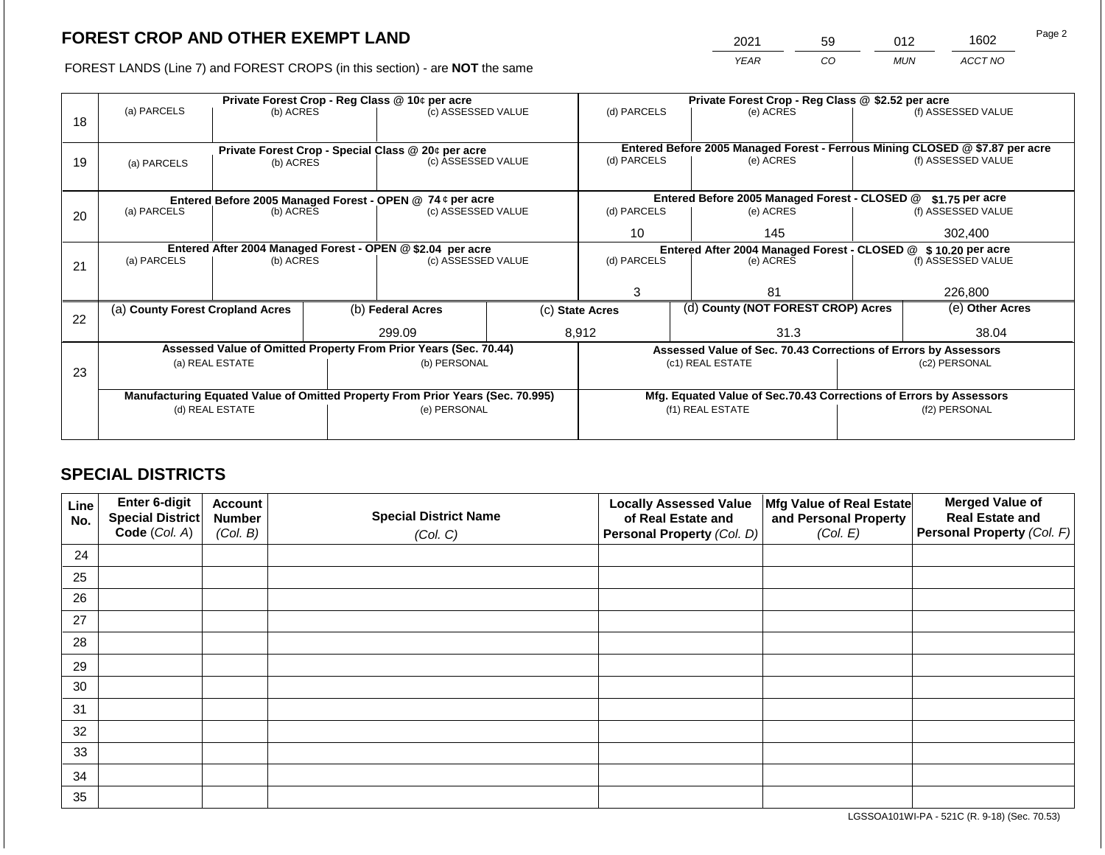2021 59 012 1602

FOREST LANDS (Line 7) and FOREST CROPS (in this section) - are **NOT** the same *YEAR CO MUN ACCT NO*

|    |                                  |                                                            | Private Forest Crop - Reg Class @ \$2.52 per acre |                                                                                |  |                                                       |           |                                                                    |                                                                              |                    |
|----|----------------------------------|------------------------------------------------------------|---------------------------------------------------|--------------------------------------------------------------------------------|--|-------------------------------------------------------|-----------|--------------------------------------------------------------------|------------------------------------------------------------------------------|--------------------|
|    | (a) PARCELS                      | (b) ACRES                                                  |                                                   | Private Forest Crop - Reg Class @ 10¢ per acre<br>(c) ASSESSED VALUE           |  | (d) PARCELS                                           |           | (e) ACRES                                                          |                                                                              | (f) ASSESSED VALUE |
| 18 |                                  |                                                            |                                                   |                                                                                |  |                                                       |           |                                                                    |                                                                              |                    |
|    |                                  |                                                            |                                                   |                                                                                |  |                                                       |           |                                                                    |                                                                              |                    |
|    |                                  |                                                            |                                                   | Private Forest Crop - Special Class @ 20¢ per acre                             |  |                                                       |           |                                                                    | Entered Before 2005 Managed Forest - Ferrous Mining CLOSED @ \$7.87 per acre |                    |
| 19 | (a) PARCELS                      | (b) ACRES                                                  |                                                   | (c) ASSESSED VALUE                                                             |  | (d) PARCELS                                           |           | (e) ACRES                                                          |                                                                              | (f) ASSESSED VALUE |
|    |                                  |                                                            |                                                   |                                                                                |  |                                                       |           |                                                                    |                                                                              |                    |
|    |                                  |                                                            |                                                   | Entered Before 2005 Managed Forest - OPEN @ 74 ¢ per acre                      |  |                                                       |           | Entered Before 2005 Managed Forest - CLOSED @                      |                                                                              | $$1.75$ per acre   |
| 20 | (a) PARCELS                      | (b) ACRES                                                  |                                                   | (c) ASSESSED VALUE                                                             |  | (d) PARCELS                                           |           | (e) ACRES                                                          |                                                                              | (f) ASSESSED VALUE |
|    |                                  |                                                            |                                                   |                                                                                |  |                                                       |           |                                                                    |                                                                              |                    |
|    |                                  |                                                            |                                                   |                                                                                |  | 10                                                    |           | 145                                                                |                                                                              | 302,400            |
|    |                                  | Entered After 2004 Managed Forest - OPEN @ \$2.04 per acre |                                                   |                                                                                |  |                                                       |           | Entered After 2004 Managed Forest - CLOSED @ \$ 10.20 per acre     |                                                                              |                    |
| 21 | (a) PARCELS                      | (b) ACRES                                                  |                                                   | (c) ASSESSED VALUE                                                             |  | (d) PARCELS                                           | (e) ACRES |                                                                    | (f) ASSESSED VALUE                                                           |                    |
|    |                                  |                                                            |                                                   |                                                                                |  |                                                       |           |                                                                    |                                                                              |                    |
|    |                                  |                                                            |                                                   |                                                                                |  | 3<br>81                                               |           | 226,800                                                            |                                                                              |                    |
|    | (a) County Forest Cropland Acres |                                                            |                                                   | (b) Federal Acres                                                              |  | (d) County (NOT FOREST CROP) Acres<br>(c) State Acres |           |                                                                    | (e) Other Acres                                                              |                    |
| 22 |                                  |                                                            |                                                   |                                                                                |  |                                                       |           |                                                                    |                                                                              |                    |
|    |                                  |                                                            |                                                   | 299.09                                                                         |  | 8,912                                                 |           | 31.3                                                               |                                                                              | 38.04              |
|    |                                  |                                                            |                                                   | Assessed Value of Omitted Property From Prior Years (Sec. 70.44)               |  |                                                       |           | Assessed Value of Sec. 70.43 Corrections of Errors by Assessors    |                                                                              |                    |
|    |                                  | (a) REAL ESTATE                                            |                                                   | (b) PERSONAL                                                                   |  |                                                       |           | (c1) REAL ESTATE                                                   |                                                                              | (c2) PERSONAL      |
| 23 |                                  |                                                            |                                                   |                                                                                |  |                                                       |           |                                                                    |                                                                              |                    |
|    |                                  |                                                            |                                                   | Manufacturing Equated Value of Omitted Property From Prior Years (Sec. 70.995) |  |                                                       |           | Mfg. Equated Value of Sec.70.43 Corrections of Errors by Assessors |                                                                              |                    |
|    |                                  | (d) REAL ESTATE                                            |                                                   | (e) PERSONAL                                                                   |  | (f1) REAL ESTATE                                      |           |                                                                    | (f2) PERSONAL                                                                |                    |
|    |                                  |                                                            |                                                   |                                                                                |  |                                                       |           |                                                                    |                                                                              |                    |
|    |                                  |                                                            |                                                   |                                                                                |  |                                                       |           |                                                                    |                                                                              |                    |

## **SPECIAL DISTRICTS**

| Line<br>No. | Enter 6-digit<br>Special District<br>Code (Col. A) | <b>Account</b><br><b>Number</b><br>(Col. B) | <b>Special District Name</b><br>(Col. C) | <b>Locally Assessed Value</b><br>of Real Estate and<br><b>Personal Property (Col. D)</b> | Mfg Value of Real Estate<br>and Personal Property<br>(Col. E) | <b>Merged Value of</b><br><b>Real Estate and</b><br>Personal Property (Col. F) |
|-------------|----------------------------------------------------|---------------------------------------------|------------------------------------------|------------------------------------------------------------------------------------------|---------------------------------------------------------------|--------------------------------------------------------------------------------|
| 24          |                                                    |                                             |                                          |                                                                                          |                                                               |                                                                                |
| 25          |                                                    |                                             |                                          |                                                                                          |                                                               |                                                                                |
| 26          |                                                    |                                             |                                          |                                                                                          |                                                               |                                                                                |
| 27          |                                                    |                                             |                                          |                                                                                          |                                                               |                                                                                |
| 28          |                                                    |                                             |                                          |                                                                                          |                                                               |                                                                                |
| 29          |                                                    |                                             |                                          |                                                                                          |                                                               |                                                                                |
| 30          |                                                    |                                             |                                          |                                                                                          |                                                               |                                                                                |
| 31          |                                                    |                                             |                                          |                                                                                          |                                                               |                                                                                |
| 32          |                                                    |                                             |                                          |                                                                                          |                                                               |                                                                                |
| 33          |                                                    |                                             |                                          |                                                                                          |                                                               |                                                                                |
| 34          |                                                    |                                             |                                          |                                                                                          |                                                               |                                                                                |
| 35          |                                                    |                                             |                                          |                                                                                          |                                                               |                                                                                |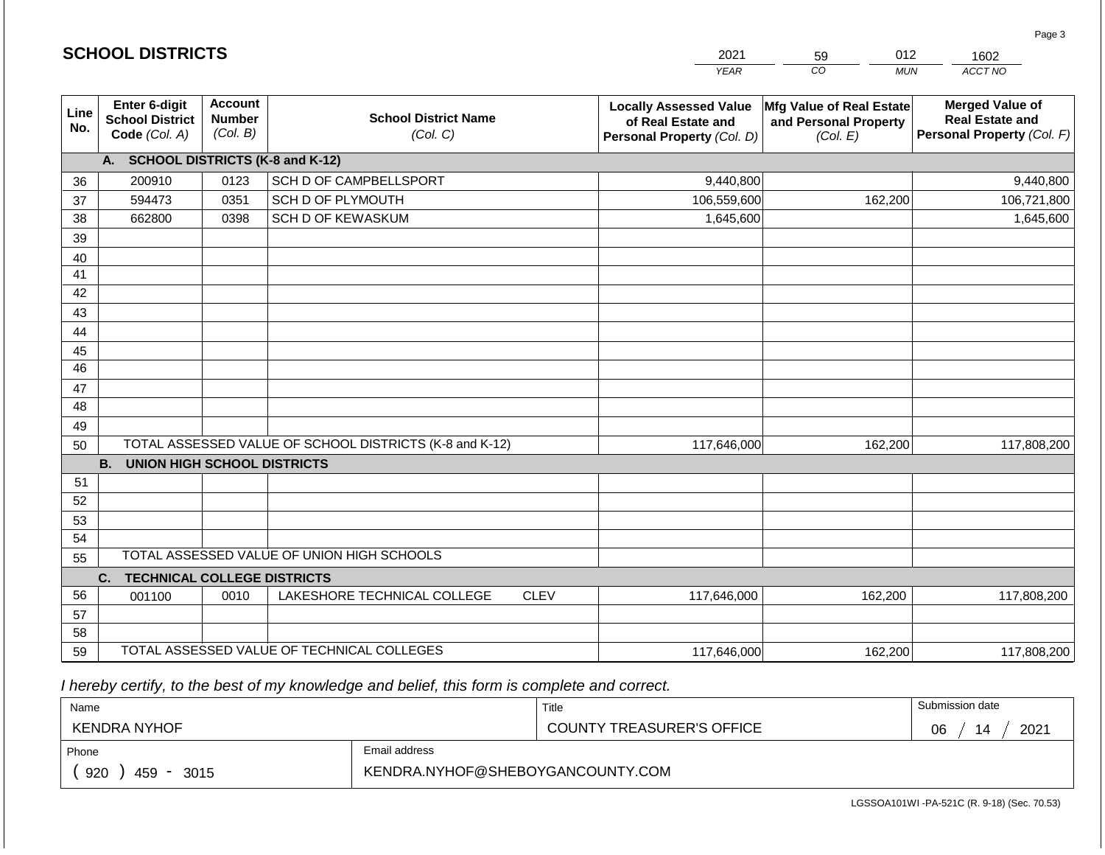|                 |                                                          |                                             |                                                         |             | <b>YEAR</b>                                                                       | $\overline{co}$<br><b>MUN</b>                                 | ACCT NO                                                                        |
|-----------------|----------------------------------------------------------|---------------------------------------------|---------------------------------------------------------|-------------|-----------------------------------------------------------------------------------|---------------------------------------------------------------|--------------------------------------------------------------------------------|
| Line<br>No.     | Enter 6-digit<br><b>School District</b><br>Code (Col. A) | <b>Account</b><br><b>Number</b><br>(Col. B) | <b>School District Name</b><br>(Col. C)                 |             | <b>Locally Assessed Value</b><br>of Real Estate and<br>Personal Property (Col. D) | Mfg Value of Real Estate<br>and Personal Property<br>(Col. E) | <b>Merged Value of</b><br><b>Real Estate and</b><br>Personal Property (Col. F) |
|                 | <b>SCHOOL DISTRICTS (K-8 and K-12)</b><br>A.             |                                             |                                                         |             |                                                                                   |                                                               |                                                                                |
| 36              | 200910                                                   | 0123                                        | SCH D OF CAMPBELLSPORT                                  |             | 9,440,800                                                                         |                                                               | 9,440,800                                                                      |
| 37              | 594473                                                   | 0351                                        | SCH D OF PLYMOUTH                                       |             | 106,559,600                                                                       | 162,200                                                       | 106,721,800                                                                    |
| 38              | 662800                                                   | 0398                                        | SCH D OF KEWASKUM                                       |             | 1,645,600                                                                         |                                                               | 1,645,600                                                                      |
| 39              |                                                          |                                             |                                                         |             |                                                                                   |                                                               |                                                                                |
| 40              |                                                          |                                             |                                                         |             |                                                                                   |                                                               |                                                                                |
| 41              |                                                          |                                             |                                                         |             |                                                                                   |                                                               |                                                                                |
| 42              |                                                          |                                             |                                                         |             |                                                                                   |                                                               |                                                                                |
| 43              |                                                          |                                             |                                                         |             |                                                                                   |                                                               |                                                                                |
| 44              |                                                          |                                             |                                                         |             |                                                                                   |                                                               |                                                                                |
| 45              |                                                          |                                             |                                                         |             |                                                                                   |                                                               |                                                                                |
| $\overline{46}$ |                                                          |                                             |                                                         |             |                                                                                   |                                                               |                                                                                |
| 47              |                                                          |                                             |                                                         |             |                                                                                   |                                                               |                                                                                |
| 48              |                                                          |                                             |                                                         |             |                                                                                   |                                                               |                                                                                |
| 49              |                                                          |                                             |                                                         |             |                                                                                   |                                                               |                                                                                |
| 50              |                                                          |                                             | TOTAL ASSESSED VALUE OF SCHOOL DISTRICTS (K-8 and K-12) |             | 117,646,000                                                                       | 162,200                                                       | 117,808,200                                                                    |
|                 | <b>B.</b><br><b>UNION HIGH SCHOOL DISTRICTS</b>          |                                             |                                                         |             |                                                                                   |                                                               |                                                                                |
| 51              |                                                          |                                             |                                                         |             |                                                                                   |                                                               |                                                                                |
| 52              |                                                          |                                             |                                                         |             |                                                                                   |                                                               |                                                                                |
| 53              |                                                          |                                             |                                                         |             |                                                                                   |                                                               |                                                                                |
| 54              |                                                          |                                             |                                                         |             |                                                                                   |                                                               |                                                                                |
| 55              |                                                          |                                             | TOTAL ASSESSED VALUE OF UNION HIGH SCHOOLS              |             |                                                                                   |                                                               |                                                                                |
|                 | C.<br><b>TECHNICAL COLLEGE DISTRICTS</b>                 |                                             |                                                         |             |                                                                                   |                                                               |                                                                                |
| 56              | 001100                                                   | 0010                                        | LAKESHORE TECHNICAL COLLEGE                             | <b>CLEV</b> | 117,646,000                                                                       | 162,200                                                       | 117,808,200                                                                    |
| 57              |                                                          |                                             |                                                         |             |                                                                                   |                                                               |                                                                                |
| 58              |                                                          |                                             |                                                         |             |                                                                                   |                                                               |                                                                                |
| 59              |                                                          |                                             | TOTAL ASSESSED VALUE OF TECHNICAL COLLEGES              |             | 117,646,000                                                                       | 162,200                                                       | 117,808,200                                                                    |

2021

59

012

 *I hereby certify, to the best of my knowledge and belief, this form is complete and correct.*

**SCHOOL DISTRICTS**

| Name                                           |                                  | Title                            | Submission date  |
|------------------------------------------------|----------------------------------|----------------------------------|------------------|
| <b>KENDRA NYHOF</b>                            |                                  | <b>COUNTY TREASURER'S OFFICE</b> | 2021<br>∩ഭ<br>14 |
| Phone                                          | Email address                    |                                  |                  |
| 920<br>459<br>3015<br>$\overline{\phantom{0}}$ | KENDRA.NYHOF@SHEBOYGANCOUNTY.COM |                                  |                  |

Page 3

1602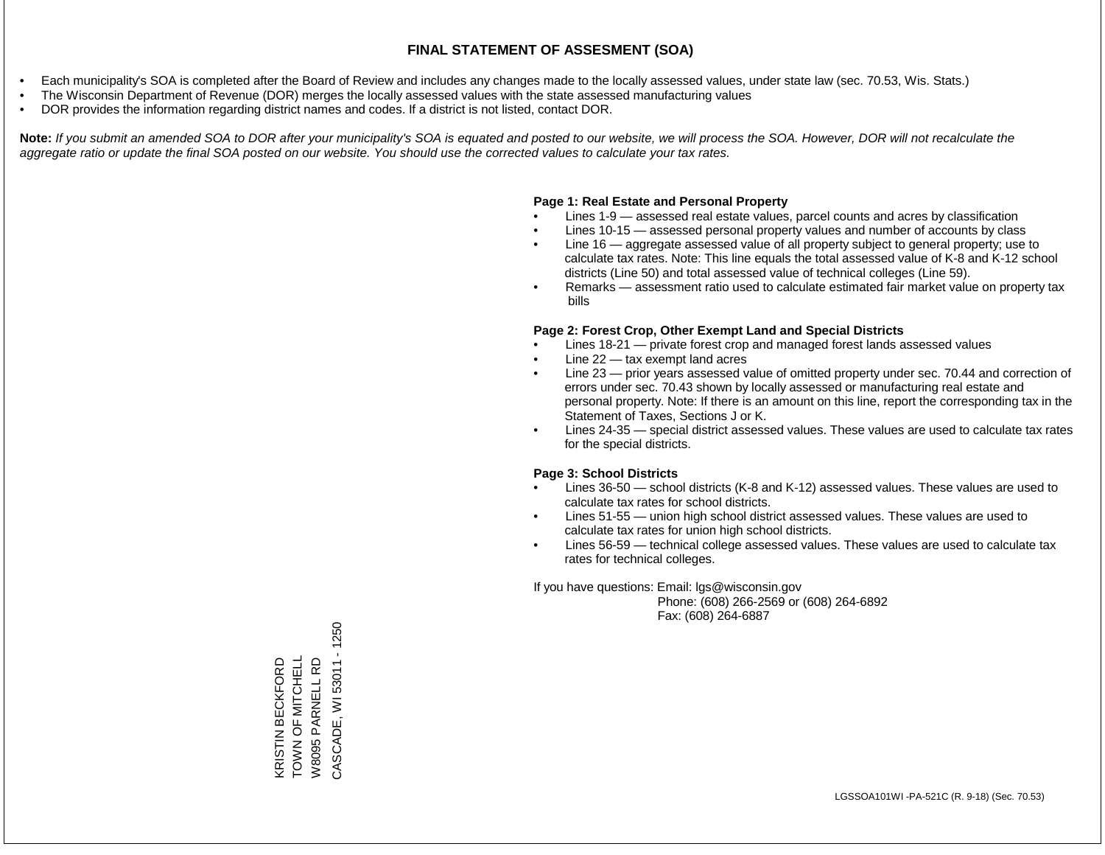- Each municipality's SOA is completed after the Board of Review and includes any changes made to the locally assessed values, under state law (sec. 70.53, Wis. Stats.)
- The Wisconsin Department of Revenue (DOR) merges the locally assessed values with the state assessed manufacturing values
- DOR provides the information regarding district names and codes. If a district is not listed, contact DOR.

Note: If you submit an amended SOA to DOR after your municipality's SOA is equated and posted to our website, we will process the SOA. However, DOR will not recalculate the *aggregate ratio or update the final SOA posted on our website. You should use the corrected values to calculate your tax rates.*

## **Page 1: Real Estate and Personal Property**

- Lines 1-9 assessed real estate values, parcel counts and acres by classification
- Lines 10-15 assessed personal property values and number of accounts by class
- Line 16 aggregate assessed value of all property subject to general property; use to calculate tax rates. Note: This line equals the total assessed value of K-8 and K-12 school districts (Line 50) and total assessed value of technical colleges (Line 59).
- Remarks assessment ratio used to calculate estimated fair market value on property tax bills

## **Page 2: Forest Crop, Other Exempt Land and Special Districts**

- Lines 18-21 private forest crop and managed forest lands assessed values
- Line  $22 -$  tax exempt land acres
- Line 23 prior years assessed value of omitted property under sec. 70.44 and correction of errors under sec. 70.43 shown by locally assessed or manufacturing real estate and personal property. Note: If there is an amount on this line, report the corresponding tax in the Statement of Taxes, Sections J or K.
- Lines 24-35 special district assessed values. These values are used to calculate tax rates for the special districts.

## **Page 3: School Districts**

- Lines 36-50 school districts (K-8 and K-12) assessed values. These values are used to calculate tax rates for school districts.
- Lines 51-55 union high school district assessed values. These values are used to calculate tax rates for union high school districts.
- Lines 56-59 technical college assessed values. These values are used to calculate tax rates for technical colleges.

If you have questions: Email: lgs@wisconsin.gov

 Phone: (608) 266-2569 or (608) 264-6892 Fax: (608) 264-6887

 $-1250$ CASCADE, WI 53011 - 1250TOWN OF MITCHELL KRISTIN BECKFORD<br>TOWN OF MITCHELL W8095 PARNELL RD KRISTIN BECKFORD W8095 PARNELL RD CASCADE, WI 53011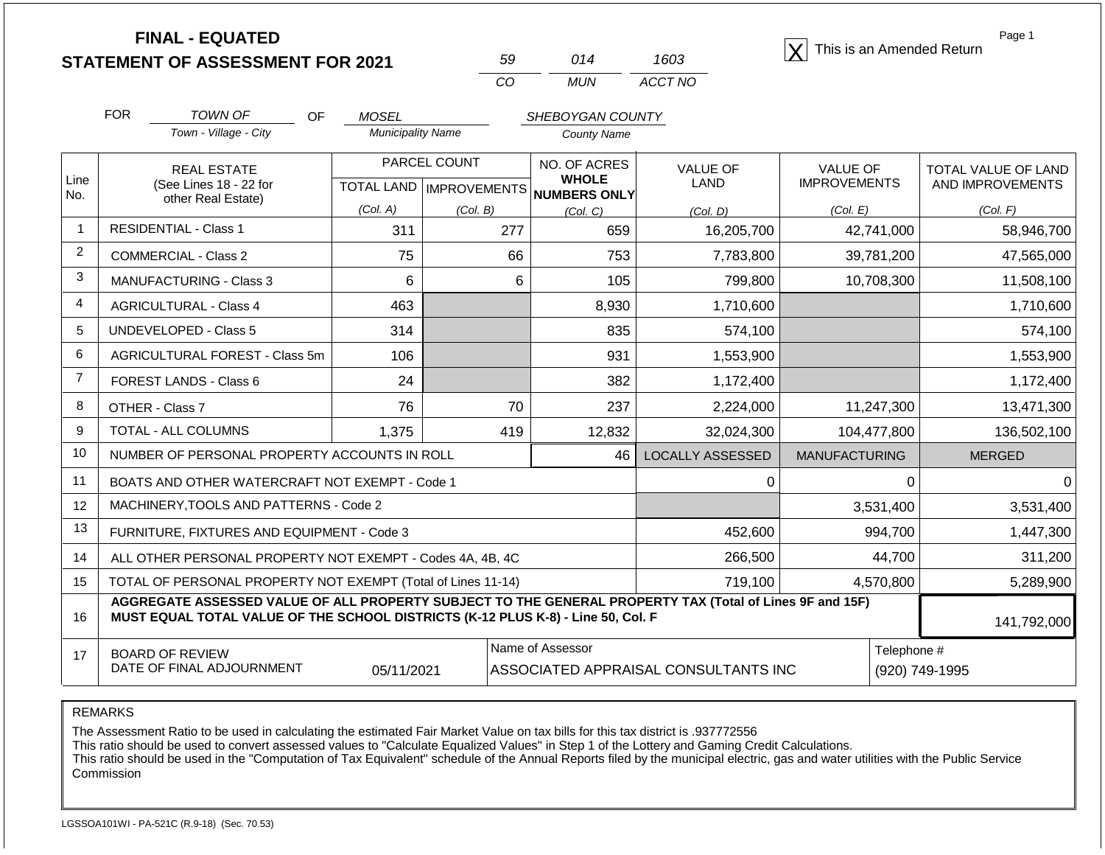**STATEMENT OF ASSESSMENT FOR 2021**

| 59  | 014 | 1603    |
|-----|-----|---------|
| CO. | MUN | ACCT NO |

**FINAL - EQUATED**<br>  $\overline{X}$  This is an Amended Return

Page 1

|                | <b>FOR</b>                                                                                                                                                                                                  | <b>TOWN OF</b>                                               | <b>OF</b> | <b>MOSEL</b>             |                           | SHEBOYGAN COUNTY             |                                      |                                        |             |                                         |
|----------------|-------------------------------------------------------------------------------------------------------------------------------------------------------------------------------------------------------------|--------------------------------------------------------------|-----------|--------------------------|---------------------------|------------------------------|--------------------------------------|----------------------------------------|-------------|-----------------------------------------|
|                |                                                                                                                                                                                                             | Town - Village - City                                        |           | <b>Municipality Name</b> |                           | <b>County Name</b>           |                                      |                                        |             |                                         |
| Line           |                                                                                                                                                                                                             | <b>REAL ESTATE</b><br>(See Lines 18 - 22 for                 |           |                          | PARCEL COUNT              | NO. OF ACRES<br><b>WHOLE</b> | <b>VALUE OF</b><br><b>LAND</b>       | <b>VALUE OF</b><br><b>IMPROVEMENTS</b> |             | TOTAL VALUE OF LAND<br>AND IMPROVEMENTS |
| No.            |                                                                                                                                                                                                             | other Real Estate)                                           |           | (Col. A)                 | TOTAL LAND   IMPROVEMENTS | NUMBERS ONLY                 |                                      |                                        |             |                                         |
| $\mathbf{1}$   |                                                                                                                                                                                                             | <b>RESIDENTIAL - Class 1</b>                                 |           | 311                      | (Col. B)<br>277           | (Col, C)<br>659              | (Col, D)<br>16,205,700               | (Col. E)                               | 42,741,000  | (Col. F)<br>58,946,700                  |
| $\overline{2}$ |                                                                                                                                                                                                             |                                                              |           |                          |                           |                              |                                      |                                        |             |                                         |
| 3              |                                                                                                                                                                                                             | <b>COMMERCIAL - Class 2</b>                                  |           | 75                       | 66                        | 753                          | 7,783,800                            |                                        | 39,781,200  | 47,565,000                              |
|                |                                                                                                                                                                                                             | <b>MANUFACTURING - Class 3</b>                               |           | 6                        | 6                         | 105                          | 799,800                              |                                        | 10,708,300  | 11,508,100                              |
| $\overline{4}$ |                                                                                                                                                                                                             | <b>AGRICULTURAL - Class 4</b>                                |           | 463                      |                           | 8,930                        | 1,710,600                            |                                        |             | 1,710,600                               |
| 5              |                                                                                                                                                                                                             | <b>UNDEVELOPED - Class 5</b>                                 |           | 314                      |                           | 835                          | 574,100                              |                                        |             | 574,100                                 |
| 6              |                                                                                                                                                                                                             | <b>AGRICULTURAL FOREST - Class 5m</b>                        |           | 106                      |                           | 931                          | 1,553,900                            |                                        |             | 1,553,900                               |
| $\overline{7}$ |                                                                                                                                                                                                             | FOREST LANDS - Class 6                                       |           | 24                       |                           | 382                          | 1,172,400                            |                                        |             | 1,172,400                               |
| 8              |                                                                                                                                                                                                             | OTHER - Class 7                                              |           | 76                       | 70                        | 237                          | 2,224,000                            |                                        | 11,247,300  | 13,471,300                              |
| 9              |                                                                                                                                                                                                             | <b>TOTAL - ALL COLUMNS</b>                                   |           | 1,375                    | 419                       | 12,832                       | 32,024,300                           |                                        | 104,477,800 | 136,502,100                             |
| 10             |                                                                                                                                                                                                             | NUMBER OF PERSONAL PROPERTY ACCOUNTS IN ROLL                 |           |                          |                           | 46                           | <b>LOCALLY ASSESSED</b>              | <b>MANUFACTURING</b>                   |             | <b>MERGED</b>                           |
| 11             |                                                                                                                                                                                                             | BOATS AND OTHER WATERCRAFT NOT EXEMPT - Code 1               |           |                          |                           |                              | 0                                    |                                        | 0           | ∩                                       |
| 12             |                                                                                                                                                                                                             | MACHINERY, TOOLS AND PATTERNS - Code 2                       |           |                          |                           |                              |                                      |                                        | 3,531,400   | 3,531,400                               |
| 13             |                                                                                                                                                                                                             | FURNITURE, FIXTURES AND EQUIPMENT - Code 3                   |           |                          |                           |                              | 452,600                              |                                        | 994,700     | 1,447,300                               |
| 14             |                                                                                                                                                                                                             | ALL OTHER PERSONAL PROPERTY NOT EXEMPT - Codes 4A, 4B, 4C    |           |                          |                           |                              | 266,500                              |                                        | 44,700      | 311,200                                 |
| 15             |                                                                                                                                                                                                             | TOTAL OF PERSONAL PROPERTY NOT EXEMPT (Total of Lines 11-14) |           |                          |                           |                              | 719,100                              |                                        | 4,570,800   | 5,289,900                               |
| 16             | AGGREGATE ASSESSED VALUE OF ALL PROPERTY SUBJECT TO THE GENERAL PROPERTY TAX (Total of Lines 9F and 15F)<br>MUST EQUAL TOTAL VALUE OF THE SCHOOL DISTRICTS (K-12 PLUS K-8) - Line 50, Col. F<br>141,792,000 |                                                              |           |                          |                           |                              |                                      |                                        |             |                                         |
| 17             | Name of Assessor<br><b>BOARD OF REVIEW</b><br>DATE OF FINAL ADJOURNMENT<br>05/11/2021                                                                                                                       |                                                              |           |                          |                           |                              | ASSOCIATED APPRAISAL CONSULTANTS INC |                                        | Telephone # | (920) 749-1995                          |

REMARKS

The Assessment Ratio to be used in calculating the estimated Fair Market Value on tax bills for this tax district is .937772556

This ratio should be used to convert assessed values to "Calculate Equalized Values" in Step 1 of the Lottery and Gaming Credit Calculations.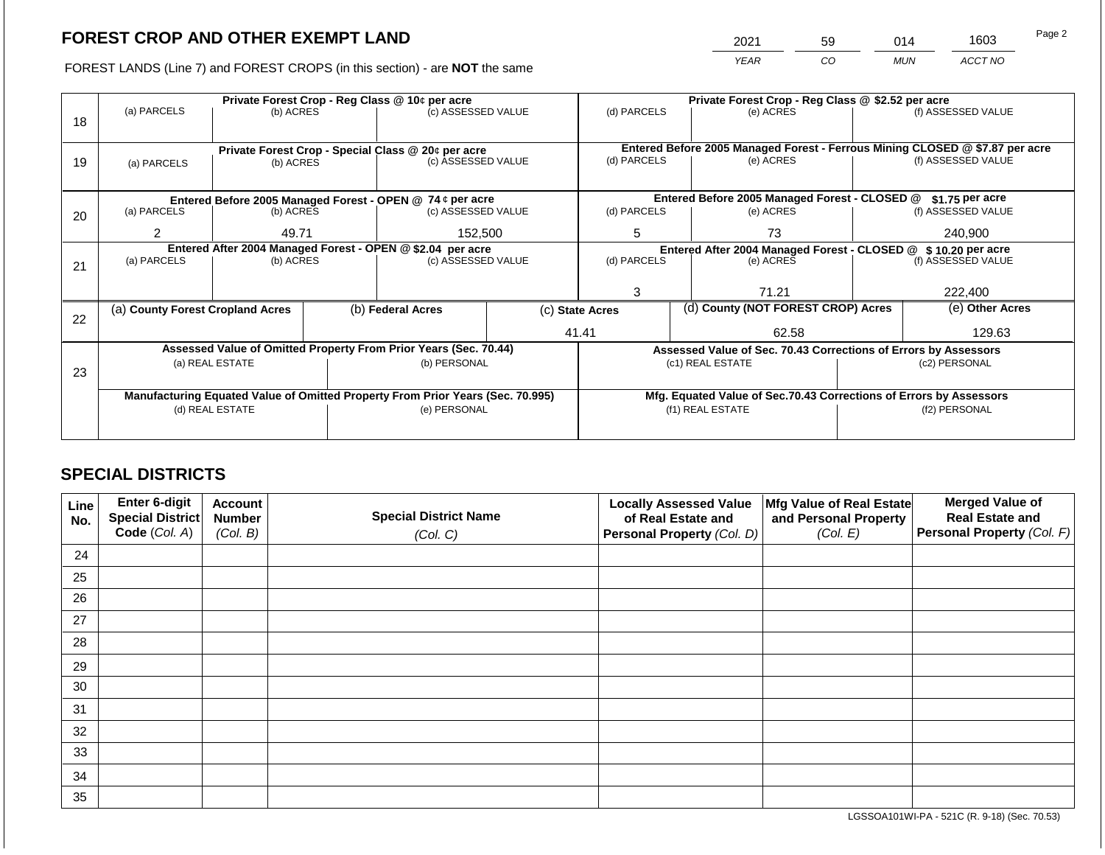2021 59 014 1603

FOREST LANDS (Line 7) and FOREST CROPS (in this section) - are **NOT** the same *YEAR CO MUN ACCT NO*

|    |                                                            |                 | Private Forest Crop - Reg Class @ \$2.52 per acre |                                                                                |  |                 |  |                                                                              |  |                    |
|----|------------------------------------------------------------|-----------------|---------------------------------------------------|--------------------------------------------------------------------------------|--|-----------------|--|------------------------------------------------------------------------------|--|--------------------|
|    | (a) PARCELS                                                | (b) ACRES       |                                                   | (c) ASSESSED VALUE                                                             |  | (d) PARCELS     |  | (e) ACRES                                                                    |  | (f) ASSESSED VALUE |
| 18 |                                                            |                 |                                                   |                                                                                |  |                 |  |                                                                              |  |                    |
|    |                                                            |                 |                                                   |                                                                                |  |                 |  | Entered Before 2005 Managed Forest - Ferrous Mining CLOSED @ \$7.87 per acre |  |                    |
| 19 |                                                            | (b) ACRES       |                                                   | Private Forest Crop - Special Class @ 20¢ per acre<br>(c) ASSESSED VALUE       |  | (d) PARCELS     |  | (e) ACRES                                                                    |  | (f) ASSESSED VALUE |
|    | (a) PARCELS                                                |                 |                                                   |                                                                                |  |                 |  |                                                                              |  |                    |
|    |                                                            |                 |                                                   |                                                                                |  |                 |  |                                                                              |  |                    |
|    | Entered Before 2005 Managed Forest - OPEN @ 74 ¢ per acre  |                 |                                                   |                                                                                |  |                 |  | Entered Before 2005 Managed Forest - CLOSED @                                |  | \$1.75 per acre    |
| 20 | (a) PARCELS                                                | (b) ACRES       |                                                   | (c) ASSESSED VALUE                                                             |  | (d) PARCELS     |  | (e) ACRES                                                                    |  | (f) ASSESSED VALUE |
|    | 2                                                          | 49.71           |                                                   | 152,500                                                                        |  | 5               |  | 73                                                                           |  | 240,900            |
|    |                                                            |                 |                                                   |                                                                                |  |                 |  |                                                                              |  |                    |
|    | Entered After 2004 Managed Forest - OPEN @ \$2.04 per acre |                 |                                                   |                                                                                |  |                 |  | Entered After 2004 Managed Forest - CLOSED @ \$10.20 per acre                |  |                    |
| 21 | (a) PARCELS                                                | (b) ACRES       |                                                   | (c) ASSESSED VALUE                                                             |  | (d) PARCELS     |  | (e) ACRES                                                                    |  | (f) ASSESSED VALUE |
|    |                                                            |                 |                                                   |                                                                                |  |                 |  |                                                                              |  |                    |
|    |                                                            |                 |                                                   |                                                                                |  | 3<br>71.21      |  | 222,400                                                                      |  |                    |
|    | (a) County Forest Cropland Acres                           |                 |                                                   | (b) Federal Acres                                                              |  | (c) State Acres |  | (d) County (NOT FOREST CROP) Acres                                           |  | (e) Other Acres    |
| 22 |                                                            |                 |                                                   |                                                                                |  |                 |  |                                                                              |  |                    |
|    |                                                            |                 |                                                   |                                                                                |  | 41.41           |  | 62.58                                                                        |  | 129.63             |
|    |                                                            |                 |                                                   | Assessed Value of Omitted Property From Prior Years (Sec. 70.44)               |  |                 |  | Assessed Value of Sec. 70.43 Corrections of Errors by Assessors              |  |                    |
|    |                                                            | (a) REAL ESTATE |                                                   | (b) PERSONAL                                                                   |  |                 |  | (c1) REAL ESTATE                                                             |  | (c2) PERSONAL      |
| 23 |                                                            |                 |                                                   |                                                                                |  |                 |  |                                                                              |  |                    |
|    |                                                            |                 |                                                   | Manufacturing Equated Value of Omitted Property From Prior Years (Sec. 70.995) |  |                 |  | Mfg. Equated Value of Sec.70.43 Corrections of Errors by Assessors           |  |                    |
|    |                                                            | (d) REAL ESTATE |                                                   | (e) PERSONAL                                                                   |  |                 |  | (f1) REAL ESTATE                                                             |  | (f2) PERSONAL      |
|    |                                                            |                 |                                                   |                                                                                |  |                 |  |                                                                              |  |                    |
|    |                                                            |                 |                                                   |                                                                                |  |                 |  |                                                                              |  |                    |

## **SPECIAL DISTRICTS**

| Line<br>No. | Enter 6-digit<br>Special District<br>Code (Col. A) | <b>Account</b><br><b>Number</b><br>(Col. B) | <b>Special District Name</b><br>(Col. C) | <b>Locally Assessed Value</b><br>of Real Estate and<br><b>Personal Property (Col. D)</b> | Mfg Value of Real Estate<br>and Personal Property<br>(Col. E) | <b>Merged Value of</b><br><b>Real Estate and</b><br>Personal Property (Col. F) |
|-------------|----------------------------------------------------|---------------------------------------------|------------------------------------------|------------------------------------------------------------------------------------------|---------------------------------------------------------------|--------------------------------------------------------------------------------|
| 24          |                                                    |                                             |                                          |                                                                                          |                                                               |                                                                                |
| 25          |                                                    |                                             |                                          |                                                                                          |                                                               |                                                                                |
| 26          |                                                    |                                             |                                          |                                                                                          |                                                               |                                                                                |
| 27          |                                                    |                                             |                                          |                                                                                          |                                                               |                                                                                |
| 28          |                                                    |                                             |                                          |                                                                                          |                                                               |                                                                                |
| 29          |                                                    |                                             |                                          |                                                                                          |                                                               |                                                                                |
| 30          |                                                    |                                             |                                          |                                                                                          |                                                               |                                                                                |
| 31          |                                                    |                                             |                                          |                                                                                          |                                                               |                                                                                |
| 32          |                                                    |                                             |                                          |                                                                                          |                                                               |                                                                                |
| 33          |                                                    |                                             |                                          |                                                                                          |                                                               |                                                                                |
| 34          |                                                    |                                             |                                          |                                                                                          |                                                               |                                                                                |
| 35          |                                                    |                                             |                                          |                                                                                          |                                                               |                                                                                |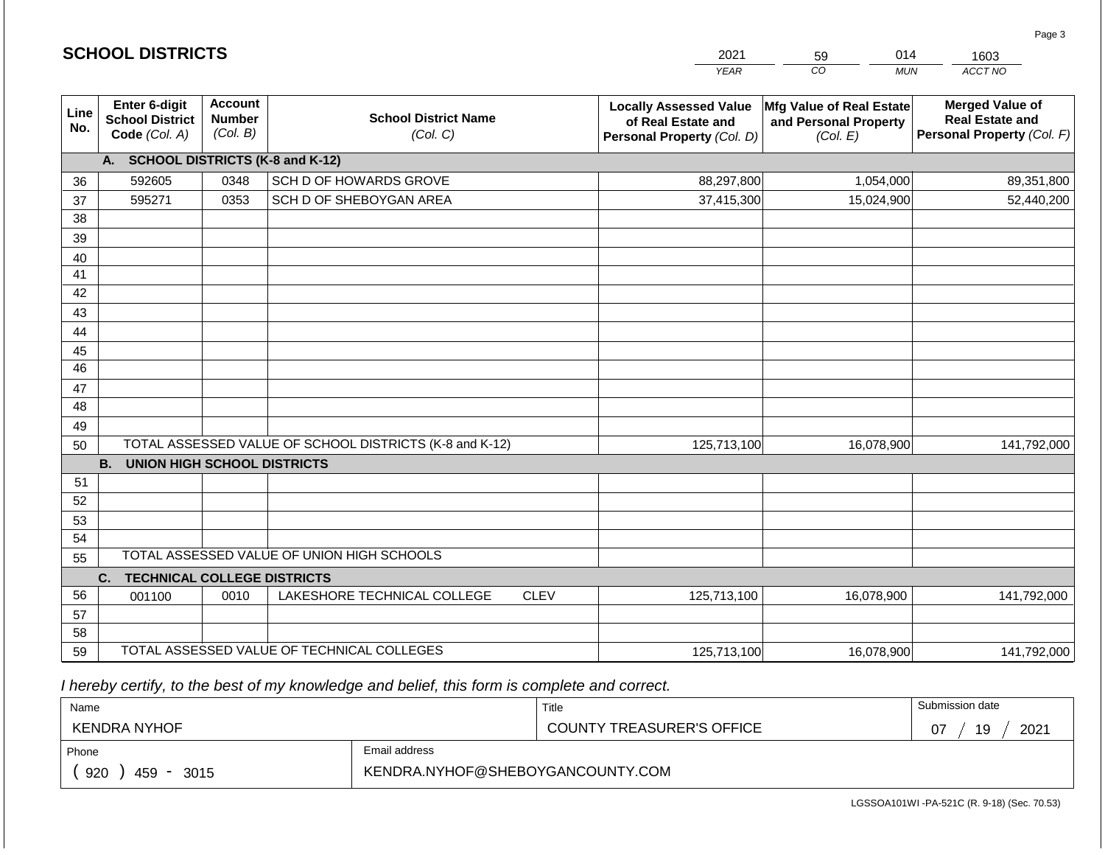|                       | <b>SCHOOL DISTRICTS</b>                                  |                                             |                                                         | 2021        | 014<br>59                                                                         | 1603                                                          |                                                                                |
|-----------------------|----------------------------------------------------------|---------------------------------------------|---------------------------------------------------------|-------------|-----------------------------------------------------------------------------------|---------------------------------------------------------------|--------------------------------------------------------------------------------|
|                       |                                                          |                                             |                                                         |             | <b>YEAR</b>                                                                       | CO<br><b>MUN</b>                                              | ACCT NO                                                                        |
| Line<br>No.           | Enter 6-digit<br><b>School District</b><br>Code (Col. A) | <b>Account</b><br><b>Number</b><br>(Col. B) | <b>School District Name</b><br>(Col. C)                 |             | <b>Locally Assessed Value</b><br>of Real Estate and<br>Personal Property (Col. D) | Mfg Value of Real Estate<br>and Personal Property<br>(Col. E) | <b>Merged Value of</b><br><b>Real Estate and</b><br>Personal Property (Col. F) |
|                       | A. SCHOOL DISTRICTS (K-8 and K-12)                       |                                             |                                                         |             |                                                                                   |                                                               |                                                                                |
| 36                    | 592605                                                   | 0348                                        | SCH D OF HOWARDS GROVE                                  |             | 88,297,800                                                                        | 1,054,000                                                     | 89,351,800                                                                     |
| 37                    | 595271                                                   | 0353                                        | SCH D OF SHEBOYGAN AREA                                 |             | 37,415,300                                                                        | 15,024,900                                                    | 52,440,200                                                                     |
| 38                    |                                                          |                                             |                                                         |             |                                                                                   |                                                               |                                                                                |
| 39                    |                                                          |                                             |                                                         |             |                                                                                   |                                                               |                                                                                |
| 40                    |                                                          |                                             |                                                         |             |                                                                                   |                                                               |                                                                                |
| 41                    |                                                          |                                             |                                                         |             |                                                                                   |                                                               |                                                                                |
| 42                    |                                                          |                                             |                                                         |             |                                                                                   |                                                               |                                                                                |
| 43                    |                                                          |                                             |                                                         |             |                                                                                   |                                                               |                                                                                |
| 44                    |                                                          |                                             |                                                         |             |                                                                                   |                                                               |                                                                                |
| 45<br>$\overline{46}$ |                                                          |                                             |                                                         |             |                                                                                   |                                                               |                                                                                |
| 47                    |                                                          |                                             |                                                         |             |                                                                                   |                                                               |                                                                                |
| 48                    |                                                          |                                             |                                                         |             |                                                                                   |                                                               |                                                                                |
| 49                    |                                                          |                                             |                                                         |             |                                                                                   |                                                               |                                                                                |
| 50                    |                                                          |                                             | TOTAL ASSESSED VALUE OF SCHOOL DISTRICTS (K-8 and K-12) |             | 125,713,100                                                                       | 16,078,900                                                    | 141,792,000                                                                    |
|                       | <b>B.</b><br><b>UNION HIGH SCHOOL DISTRICTS</b>          |                                             |                                                         |             |                                                                                   |                                                               |                                                                                |
| 51                    |                                                          |                                             |                                                         |             |                                                                                   |                                                               |                                                                                |
| 52                    |                                                          |                                             |                                                         |             |                                                                                   |                                                               |                                                                                |
| 53                    |                                                          |                                             |                                                         |             |                                                                                   |                                                               |                                                                                |
| 54                    |                                                          |                                             |                                                         |             |                                                                                   |                                                               |                                                                                |
| 55                    |                                                          |                                             | TOTAL ASSESSED VALUE OF UNION HIGH SCHOOLS              |             |                                                                                   |                                                               |                                                                                |
|                       | C.<br><b>TECHNICAL COLLEGE DISTRICTS</b>                 |                                             |                                                         |             |                                                                                   |                                                               |                                                                                |
| 56                    | 001100                                                   | 0010                                        | LAKESHORE TECHNICAL COLLEGE                             | <b>CLEV</b> | 125,713,100                                                                       | 16,078,900                                                    | 141,792,000                                                                    |
| 57                    |                                                          |                                             |                                                         |             |                                                                                   |                                                               |                                                                                |
| 58                    |                                                          |                                             |                                                         |             |                                                                                   |                                                               |                                                                                |
| 59                    |                                                          |                                             | TOTAL ASSESSED VALUE OF TECHNICAL COLLEGES              |             | 125,713,100                                                                       | 16,078,900                                                    | 141,792,000                                                                    |

 *I hereby certify, to the best of my knowledge and belief, this form is complete and correct.*

**SCHOOL DISTRICTS**

| Name                                           |                                  | Title                            | Submission date  |
|------------------------------------------------|----------------------------------|----------------------------------|------------------|
| KENDRA NYHOF                                   |                                  | <b>COUNTY TREASURER'S OFFICE</b> | 2021<br>19<br>07 |
| Phone                                          | Email address                    |                                  |                  |
| 920<br>459<br>3015<br>$\overline{\phantom{0}}$ | KENDRA.NYHOF@SHEBOYGANCOUNTY.COM |                                  |                  |

Page 3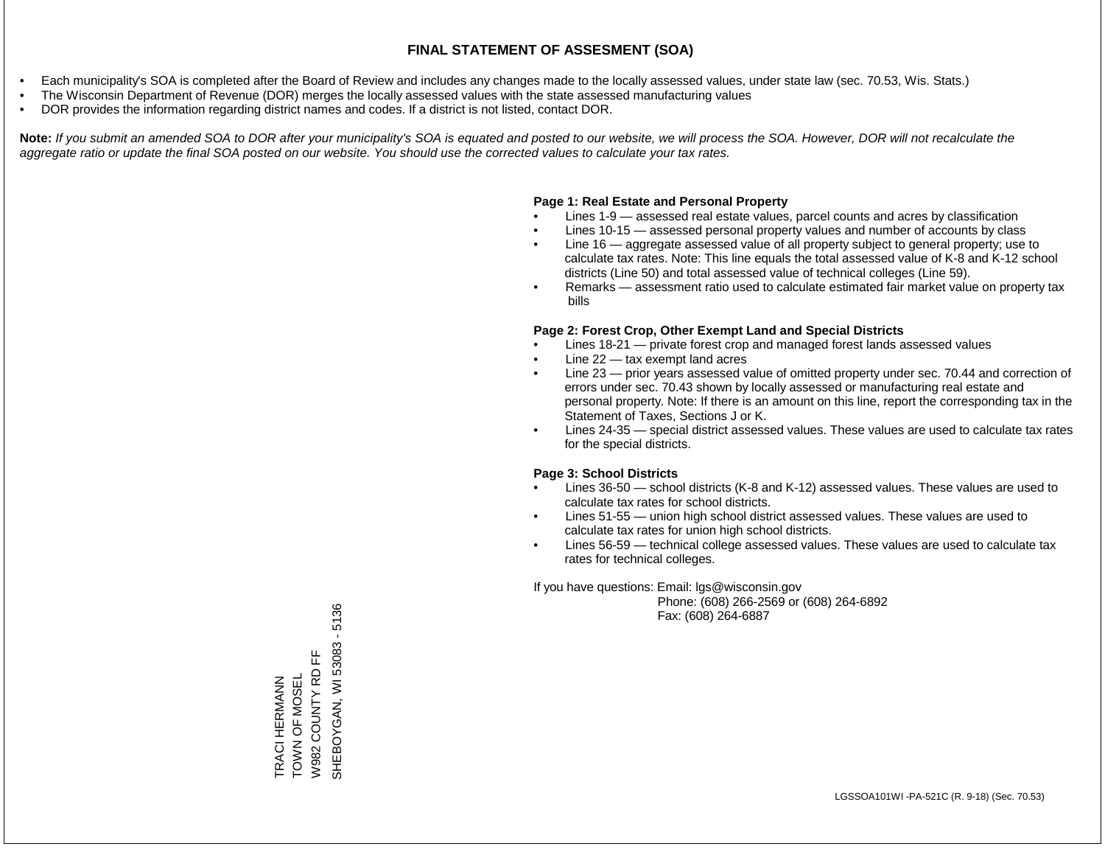- Each municipality's SOA is completed after the Board of Review and includes any changes made to the locally assessed values, under state law (sec. 70.53, Wis. Stats.)
- The Wisconsin Department of Revenue (DOR) merges the locally assessed values with the state assessed manufacturing values
- DOR provides the information regarding district names and codes. If a district is not listed, contact DOR.

Note: If you submit an amended SOA to DOR after your municipality's SOA is equated and posted to our website, we will process the SOA. However, DOR will not recalculate the *aggregate ratio or update the final SOA posted on our website. You should use the corrected values to calculate your tax rates.*

## **Page 1: Real Estate and Personal Property**

- Lines 1-9 assessed real estate values, parcel counts and acres by classification
- Lines 10-15 assessed personal property values and number of accounts by class
- Line 16 aggregate assessed value of all property subject to general property; use to calculate tax rates. Note: This line equals the total assessed value of K-8 and K-12 school districts (Line 50) and total assessed value of technical colleges (Line 59).
- Remarks assessment ratio used to calculate estimated fair market value on property tax bills

## **Page 2: Forest Crop, Other Exempt Land and Special Districts**

- Lines 18-21 private forest crop and managed forest lands assessed values
- Line  $22 -$  tax exempt land acres
- Line 23 prior years assessed value of omitted property under sec. 70.44 and correction of errors under sec. 70.43 shown by locally assessed or manufacturing real estate and personal property. Note: If there is an amount on this line, report the corresponding tax in the Statement of Taxes, Sections J or K.
- Lines 24-35 special district assessed values. These values are used to calculate tax rates for the special districts.

## **Page 3: School Districts**

- Lines 36-50 school districts (K-8 and K-12) assessed values. These values are used to calculate tax rates for school districts.
- Lines 51-55 union high school district assessed values. These values are used to calculate tax rates for union high school districts.
- Lines 56-59 technical college assessed values. These values are used to calculate tax rates for technical colleges.

If you have questions: Email: lgs@wisconsin.gov

 Phone: (608) 266-2569 or (608) 264-6892 Fax: (608) 264-6887

SHEBOYGAN, WI 53083 - 5136 SHEBOYGAN, WI 53083 - 5136푼 W982 COUNTY RD FF TRACI HERMANN<br>TOWN OF MOSEL W982 COUNTY RD TOWN OF MOSEL TRACI HERMANN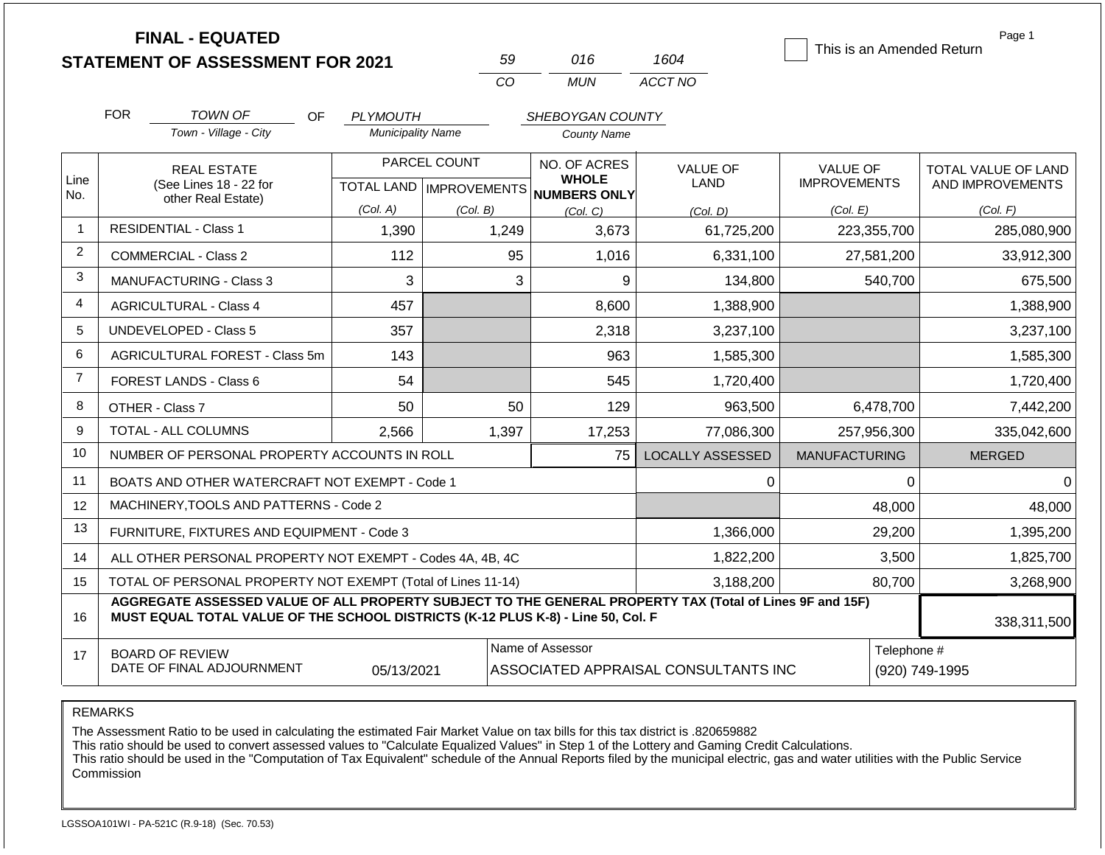|                | <b>FINAL - EQUATED</b><br><b>STATEMENT OF ASSESSMENT FOR 2021</b>                                                                                                                            |                          | 59                                               | 016                                                 | 1604                                 | This is an Amended Return       | Page 1                                  |
|----------------|----------------------------------------------------------------------------------------------------------------------------------------------------------------------------------------------|--------------------------|--------------------------------------------------|-----------------------------------------------------|--------------------------------------|---------------------------------|-----------------------------------------|
|                |                                                                                                                                                                                              |                          | CO                                               | <b>MUN</b>                                          | ACCT NO                              |                                 |                                         |
|                | <b>FOR</b><br>TOWN OF<br><b>OF</b>                                                                                                                                                           | <b>PLYMOUTH</b>          |                                                  | SHEBOYGAN COUNTY                                    |                                      |                                 |                                         |
|                | Town - Village - City                                                                                                                                                                        | <b>Municipality Name</b> |                                                  | <b>County Name</b>                                  |                                      |                                 |                                         |
| Line<br>No.    | <b>REAL ESTATE</b><br>(See Lines 18 - 22 for                                                                                                                                                 |                          | PARCEL COUNT<br><b>TOTAL LAND   IMPROVEMENTS</b> | NO. OF ACRES<br><b>WHOLE</b><br><b>NUMBERS ONLY</b> | <b>VALUE OF</b><br><b>LAND</b>       | VALUE OF<br><b>IMPROVEMENTS</b> | TOTAL VALUE OF LAND<br>AND IMPROVEMENTS |
|                | other Real Estate)                                                                                                                                                                           | (Col. A)                 | (Col. B)                                         | (Col, C)                                            | (Col. D)                             | (Col. E)                        | (Col. F)                                |
| 1              | <b>RESIDENTIAL - Class 1</b>                                                                                                                                                                 | 1,390                    | 1,249                                            | 3,673                                               | 61,725,200                           | 223,355,700                     | 285,080,900                             |
| 2              | <b>COMMERCIAL - Class 2</b>                                                                                                                                                                  | 112                      | 95                                               | 1,016                                               | 6,331,100                            | 27,581,200                      | 33,912,300                              |
| 3              | <b>MANUFACTURING - Class 3</b>                                                                                                                                                               | 3                        | 3                                                | 9                                                   | 134,800                              | 540,700                         | 675,500                                 |
| 4              | <b>AGRICULTURAL - Class 4</b>                                                                                                                                                                | 457                      |                                                  | 8,600                                               | 1,388,900                            |                                 | 1,388,900                               |
| 5              | <b>UNDEVELOPED - Class 5</b>                                                                                                                                                                 | 357                      |                                                  | 2,318                                               | 3,237,100                            |                                 | 3,237,100                               |
| 6              | AGRICULTURAL FOREST - Class 5m                                                                                                                                                               | 143                      |                                                  | 963                                                 | 1,585,300                            |                                 | 1,585,300                               |
| $\overline{7}$ | FOREST LANDS - Class 6                                                                                                                                                                       | 54                       |                                                  | 545                                                 | 1,720,400                            |                                 | 1,720,400                               |
| 8              | OTHER - Class 7                                                                                                                                                                              | 50                       | 50                                               | 129                                                 | 963,500                              | 6,478,700                       | 7,442,200                               |
| 9              | <b>TOTAL - ALL COLUMNS</b>                                                                                                                                                                   | 2,566                    | 1,397                                            | 17,253                                              | 77,086,300                           | 257,956,300                     | 335,042,600                             |
| 10             | NUMBER OF PERSONAL PROPERTY ACCOUNTS IN ROLL                                                                                                                                                 |                          |                                                  | 75                                                  | <b>LOCALLY ASSESSED</b>              | <b>MANUFACTURING</b>            | <b>MERGED</b>                           |
| 11             | BOATS AND OTHER WATERCRAFT NOT EXEMPT - Code 1                                                                                                                                               |                          |                                                  |                                                     | $\Omega$                             | $\Omega$                        | $\Omega$                                |
| 12             | MACHINERY, TOOLS AND PATTERNS - Code 2                                                                                                                                                       |                          |                                                  |                                                     |                                      | 48,000                          | 48,000                                  |
| 13             | FURNITURE, FIXTURES AND EQUIPMENT - Code 3                                                                                                                                                   |                          |                                                  |                                                     | 1,366,000                            | 29,200                          | 1,395,200                               |
| 14             | ALL OTHER PERSONAL PROPERTY NOT EXEMPT - Codes 4A, 4B, 4C                                                                                                                                    |                          |                                                  |                                                     | 1,822,200                            | 3,500                           | 1,825,700                               |
| 15             | TOTAL OF PERSONAL PROPERTY NOT EXEMPT (Total of Lines 11-14)                                                                                                                                 |                          |                                                  |                                                     | 3,188,200                            | 80,700                          | 3,268,900                               |
| 16             | AGGREGATE ASSESSED VALUE OF ALL PROPERTY SUBJECT TO THE GENERAL PROPERTY TAX (Total of Lines 9F and 15F)<br>MUST EQUAL TOTAL VALUE OF THE SCHOOL DISTRICTS (K-12 PLUS K-8) - Line 50, Col. F |                          |                                                  |                                                     |                                      |                                 | 338,311,500                             |
| 17             | <b>BOARD OF REVIEW</b><br>DATE OF FINAL ADJOURNMENT                                                                                                                                          | 05/13/2021               |                                                  | Name of Assessor                                    | ASSOCIATED APPRAISAL CONSULTANTS INC | Telephone #                     | (920) 749-1995                          |

REMARKS

The Assessment Ratio to be used in calculating the estimated Fair Market Value on tax bills for this tax district is .820659882

This ratio should be used to convert assessed values to "Calculate Equalized Values" in Step 1 of the Lottery and Gaming Credit Calculations.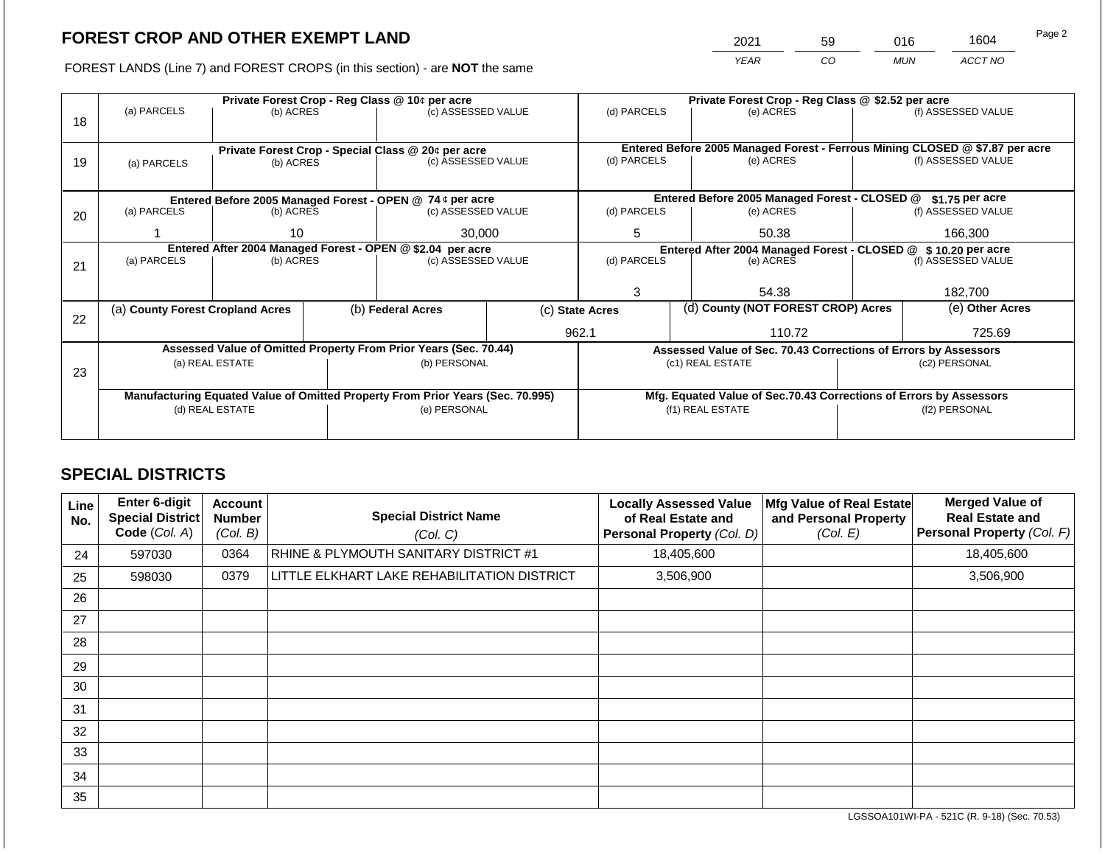2021 59 016 1604

FOREST LANDS (Line 7) and FOREST CROPS (in this section) - are **NOT** the same *YEAR CO MUN ACCT NO*

|    | Private Forest Crop - Reg Class @ 10¢ per acre                                                    |                                                    |  |                                                                  |  | Private Forest Crop - Reg Class @ \$2.52 per acre |                                                               |                                                                    |         |                                                                                                    |
|----|---------------------------------------------------------------------------------------------------|----------------------------------------------------|--|------------------------------------------------------------------|--|---------------------------------------------------|---------------------------------------------------------------|--------------------------------------------------------------------|---------|----------------------------------------------------------------------------------------------------|
|    | (a) PARCELS                                                                                       | (b) ACRES                                          |  | (c) ASSESSED VALUE                                               |  | (d) PARCELS                                       |                                                               | (e) ACRES                                                          |         | (f) ASSESSED VALUE                                                                                 |
| 18 |                                                                                                   |                                                    |  |                                                                  |  |                                                   |                                                               |                                                                    |         |                                                                                                    |
|    |                                                                                                   |                                                    |  |                                                                  |  |                                                   |                                                               |                                                                    |         |                                                                                                    |
|    |                                                                                                   | Private Forest Crop - Special Class @ 20¢ per acre |  | (c) ASSESSED VALUE                                               |  | (d) PARCELS                                       |                                                               | (e) ACRES                                                          |         | Entered Before 2005 Managed Forest - Ferrous Mining CLOSED @ \$7.87 per acre<br>(f) ASSESSED VALUE |
| 19 | (a) PARCELS                                                                                       | (b) ACRES                                          |  |                                                                  |  |                                                   |                                                               |                                                                    |         |                                                                                                    |
|    |                                                                                                   |                                                    |  |                                                                  |  |                                                   |                                                               |                                                                    |         |                                                                                                    |
|    |                                                                                                   |                                                    |  | Entered Before 2005 Managed Forest - OPEN @ 74 ¢ per acre        |  |                                                   |                                                               | Entered Before 2005 Managed Forest - CLOSED @                      |         | $$1.75$ per acre                                                                                   |
| 20 | (a) PARCELS                                                                                       | (b) ACRES                                          |  | (c) ASSESSED VALUE                                               |  | (d) PARCELS                                       |                                                               | (e) ACRES                                                          |         | (f) ASSESSED VALUE                                                                                 |
|    |                                                                                                   |                                                    |  |                                                                  |  |                                                   |                                                               |                                                                    |         |                                                                                                    |
|    |                                                                                                   | 10                                                 |  | 30,000                                                           |  | 5                                                 |                                                               | 50.38                                                              | 166.300 |                                                                                                    |
|    | Entered After 2004 Managed Forest - OPEN @ \$2.04 per acre                                        |                                                    |  |                                                                  |  |                                                   | Entered After 2004 Managed Forest - CLOSED @ \$10.20 per acre |                                                                    |         |                                                                                                    |
| 21 | (a) PARCELS                                                                                       | (b) ACRES                                          |  | (c) ASSESSED VALUE                                               |  | (d) PARCELS                                       |                                                               | (e) ACRES                                                          |         | (f) ASSESSED VALUE                                                                                 |
|    |                                                                                                   |                                                    |  |                                                                  |  |                                                   |                                                               |                                                                    |         |                                                                                                    |
|    |                                                                                                   |                                                    |  |                                                                  |  | 3<br>54.38                                        |                                                               | 182,700                                                            |         |                                                                                                    |
|    | (a) County Forest Cropland Acres                                                                  |                                                    |  | (b) Federal Acres                                                |  | (c) State Acres                                   |                                                               | (d) County (NOT FOREST CROP) Acres                                 |         | (e) Other Acres                                                                                    |
| 22 |                                                                                                   |                                                    |  |                                                                  |  |                                                   |                                                               |                                                                    |         |                                                                                                    |
|    |                                                                                                   |                                                    |  |                                                                  |  | 962.1                                             |                                                               | 110.72                                                             |         | 725.69                                                                                             |
|    |                                                                                                   |                                                    |  | Assessed Value of Omitted Property From Prior Years (Sec. 70.44) |  |                                                   |                                                               | Assessed Value of Sec. 70.43 Corrections of Errors by Assessors    |         |                                                                                                    |
|    |                                                                                                   | (a) REAL ESTATE                                    |  | (b) PERSONAL                                                     |  |                                                   |                                                               | (c1) REAL ESTATE                                                   |         | (c2) PERSONAL                                                                                      |
| 23 |                                                                                                   |                                                    |  |                                                                  |  |                                                   |                                                               |                                                                    |         |                                                                                                    |
|    |                                                                                                   |                                                    |  |                                                                  |  |                                                   |                                                               | Mfg. Equated Value of Sec.70.43 Corrections of Errors by Assessors |         |                                                                                                    |
|    | Manufacturing Equated Value of Omitted Property From Prior Years (Sec. 70.995)<br>(d) REAL ESTATE |                                                    |  | (e) PERSONAL                                                     |  |                                                   |                                                               | (f1) REAL ESTATE                                                   |         | (f2) PERSONAL                                                                                      |
|    |                                                                                                   |                                                    |  |                                                                  |  |                                                   |                                                               |                                                                    |         |                                                                                                    |
|    |                                                                                                   |                                                    |  |                                                                  |  |                                                   |                                                               |                                                                    |         |                                                                                                    |

## **SPECIAL DISTRICTS**

| Line<br>No. | <b>Enter 6-digit</b><br>Special District<br>Code (Col. A) | <b>Account</b><br><b>Number</b><br>(Col. B) | <b>Special District Name</b><br>(Col. C)    | <b>Locally Assessed Value</b><br>of Real Estate and<br>Personal Property (Col. D) | Mfg Value of Real Estate<br>and Personal Property<br>(Col. E) | <b>Merged Value of</b><br><b>Real Estate and</b><br>Personal Property (Col. F) |
|-------------|-----------------------------------------------------------|---------------------------------------------|---------------------------------------------|-----------------------------------------------------------------------------------|---------------------------------------------------------------|--------------------------------------------------------------------------------|
| 24          | 597030                                                    | 0364                                        | RHINE & PLYMOUTH SANITARY DISTRICT #1       | 18,405,600                                                                        |                                                               | 18,405,600                                                                     |
| 25          | 598030                                                    | 0379                                        | LITTLE ELKHART LAKE REHABILITATION DISTRICT | 3,506,900                                                                         |                                                               | 3,506,900                                                                      |
| 26          |                                                           |                                             |                                             |                                                                                   |                                                               |                                                                                |
| 27          |                                                           |                                             |                                             |                                                                                   |                                                               |                                                                                |
| 28          |                                                           |                                             |                                             |                                                                                   |                                                               |                                                                                |
| 29          |                                                           |                                             |                                             |                                                                                   |                                                               |                                                                                |
| 30          |                                                           |                                             |                                             |                                                                                   |                                                               |                                                                                |
| 31          |                                                           |                                             |                                             |                                                                                   |                                                               |                                                                                |
| 32          |                                                           |                                             |                                             |                                                                                   |                                                               |                                                                                |
| 33          |                                                           |                                             |                                             |                                                                                   |                                                               |                                                                                |
| 34          |                                                           |                                             |                                             |                                                                                   |                                                               |                                                                                |
| 35          |                                                           |                                             |                                             |                                                                                   |                                                               |                                                                                |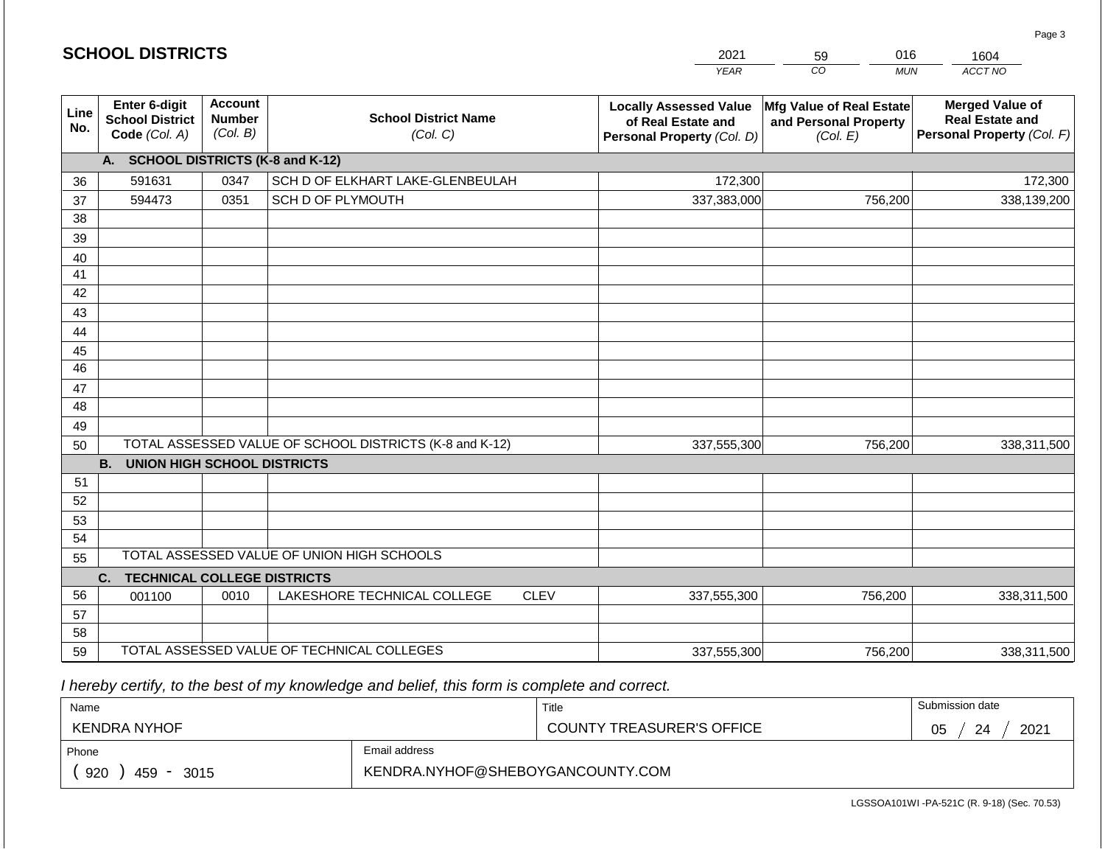|                       |                                                          |                                             |                                                         |             | <b>YEAR</b>                                                                       | $\overline{co}$<br><b>MUN</b>                                 | ACCT NO                                                                        |  |
|-----------------------|----------------------------------------------------------|---------------------------------------------|---------------------------------------------------------|-------------|-----------------------------------------------------------------------------------|---------------------------------------------------------------|--------------------------------------------------------------------------------|--|
| Line<br>No.           | Enter 6-digit<br><b>School District</b><br>Code (Col. A) | <b>Account</b><br><b>Number</b><br>(Col. B) | <b>School District Name</b><br>(Col. C)                 |             | <b>Locally Assessed Value</b><br>of Real Estate and<br>Personal Property (Col. D) | Mfg Value of Real Estate<br>and Personal Property<br>(Col. E) | <b>Merged Value of</b><br><b>Real Estate and</b><br>Personal Property (Col. F) |  |
|                       | A.                                                       |                                             | <b>SCHOOL DISTRICTS (K-8 and K-12)</b>                  |             |                                                                                   |                                                               |                                                                                |  |
| 36                    | 591631                                                   | 0347                                        | SCH D OF ELKHART LAKE-GLENBEULAH                        |             | 172,300                                                                           |                                                               | 172,300                                                                        |  |
| 37                    | 594473                                                   | 0351                                        | SCH D OF PLYMOUTH                                       |             | 337,383,000                                                                       | 756,200                                                       | 338,139,200                                                                    |  |
| 38                    |                                                          |                                             |                                                         |             |                                                                                   |                                                               |                                                                                |  |
| 39                    |                                                          |                                             |                                                         |             |                                                                                   |                                                               |                                                                                |  |
| 40                    |                                                          |                                             |                                                         |             |                                                                                   |                                                               |                                                                                |  |
| 41                    |                                                          |                                             |                                                         |             |                                                                                   |                                                               |                                                                                |  |
| 42                    |                                                          |                                             |                                                         |             |                                                                                   |                                                               |                                                                                |  |
| 43                    |                                                          |                                             |                                                         |             |                                                                                   |                                                               |                                                                                |  |
| 44                    |                                                          |                                             |                                                         |             |                                                                                   |                                                               |                                                                                |  |
| 45<br>$\overline{46}$ |                                                          |                                             |                                                         |             |                                                                                   |                                                               |                                                                                |  |
|                       |                                                          |                                             |                                                         |             |                                                                                   |                                                               |                                                                                |  |
| 47<br>48              |                                                          |                                             |                                                         |             |                                                                                   |                                                               |                                                                                |  |
| 49                    |                                                          |                                             |                                                         |             |                                                                                   |                                                               |                                                                                |  |
| 50                    |                                                          |                                             | TOTAL ASSESSED VALUE OF SCHOOL DISTRICTS (K-8 and K-12) |             | 337,555,300                                                                       | 756,200                                                       | 338,311,500                                                                    |  |
|                       | <b>B.</b><br><b>UNION HIGH SCHOOL DISTRICTS</b>          |                                             |                                                         |             |                                                                                   |                                                               |                                                                                |  |
| 51                    |                                                          |                                             |                                                         |             |                                                                                   |                                                               |                                                                                |  |
| 52                    |                                                          |                                             |                                                         |             |                                                                                   |                                                               |                                                                                |  |
| 53                    |                                                          |                                             |                                                         |             |                                                                                   |                                                               |                                                                                |  |
| 54                    |                                                          |                                             |                                                         |             |                                                                                   |                                                               |                                                                                |  |
| 55                    | TOTAL ASSESSED VALUE OF UNION HIGH SCHOOLS               |                                             |                                                         |             |                                                                                   |                                                               |                                                                                |  |
|                       | C.<br><b>TECHNICAL COLLEGE DISTRICTS</b>                 |                                             |                                                         |             |                                                                                   |                                                               |                                                                                |  |
| 56                    | 001100                                                   | 0010                                        | LAKESHORE TECHNICAL COLLEGE                             | <b>CLEV</b> | 337,555,300                                                                       | 756,200                                                       | 338,311,500                                                                    |  |
| 57                    |                                                          |                                             |                                                         |             |                                                                                   |                                                               |                                                                                |  |
| 58                    |                                                          |                                             |                                                         |             |                                                                                   |                                                               |                                                                                |  |
| 59                    |                                                          |                                             | TOTAL ASSESSED VALUE OF TECHNICAL COLLEGES              |             | 337,555,300                                                                       | 756,200                                                       | 338,311,500                                                                    |  |

2021

59

016

 *I hereby certify, to the best of my knowledge and belief, this form is complete and correct.*

**SCHOOL DISTRICTS**

| Name                                           |                                  | Title                            | Submission date  |
|------------------------------------------------|----------------------------------|----------------------------------|------------------|
| <b>KENDRA NYHOF</b>                            |                                  | <b>COUNTY TREASURER'S OFFICE</b> | 2021<br>24<br>υu |
| Phone                                          | Email address                    |                                  |                  |
| 920<br>459<br>3015<br>$\overline{\phantom{0}}$ | KENDRA.NYHOF@SHEBOYGANCOUNTY.COM |                                  |                  |

1604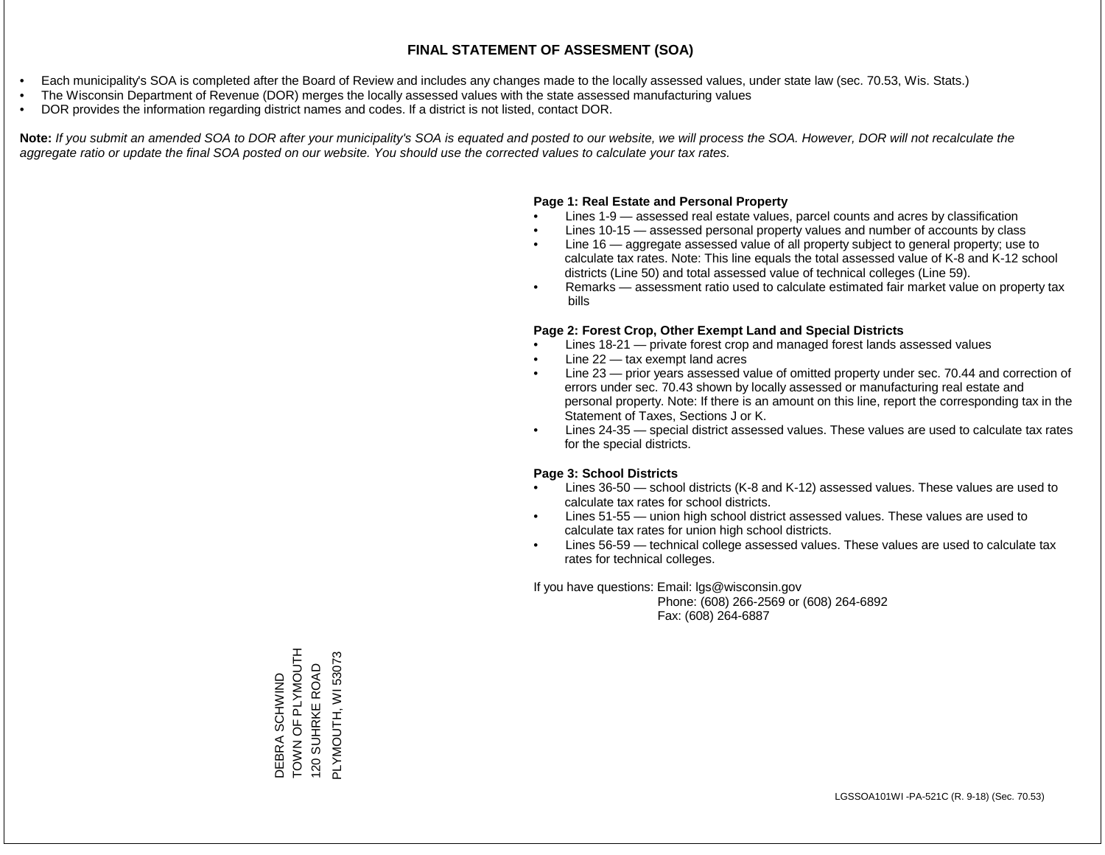- Each municipality's SOA is completed after the Board of Review and includes any changes made to the locally assessed values, under state law (sec. 70.53, Wis. Stats.)
- The Wisconsin Department of Revenue (DOR) merges the locally assessed values with the state assessed manufacturing values
- DOR provides the information regarding district names and codes. If a district is not listed, contact DOR.

Note: If you submit an amended SOA to DOR after your municipality's SOA is equated and posted to our website, we will process the SOA. However, DOR will not recalculate the *aggregate ratio or update the final SOA posted on our website. You should use the corrected values to calculate your tax rates.*

## **Page 1: Real Estate and Personal Property**

- Lines 1-9 assessed real estate values, parcel counts and acres by classification
- Lines 10-15 assessed personal property values and number of accounts by class
- Line 16 aggregate assessed value of all property subject to general property; use to calculate tax rates. Note: This line equals the total assessed value of K-8 and K-12 school districts (Line 50) and total assessed value of technical colleges (Line 59).
- Remarks assessment ratio used to calculate estimated fair market value on property tax bills

## **Page 2: Forest Crop, Other Exempt Land and Special Districts**

- Lines 18-21 private forest crop and managed forest lands assessed values
- Line  $22 -$  tax exempt land acres
- Line 23 prior years assessed value of omitted property under sec. 70.44 and correction of errors under sec. 70.43 shown by locally assessed or manufacturing real estate and personal property. Note: If there is an amount on this line, report the corresponding tax in the Statement of Taxes, Sections J or K.
- Lines 24-35 special district assessed values. These values are used to calculate tax rates for the special districts.

## **Page 3: School Districts**

- Lines 36-50 school districts (K-8 and K-12) assessed values. These values are used to calculate tax rates for school districts.
- Lines 51-55 union high school district assessed values. These values are used to calculate tax rates for union high school districts.
- Lines 56-59 technical college assessed values. These values are used to calculate tax rates for technical colleges.

If you have questions: Email: lgs@wisconsin.gov

 Phone: (608) 266-2569 or (608) 264-6892 Fax: (608) 264-6887

DEBRA SCHWIND<br>TOWN OF PLYMOUTH<br>120 SUHRKE ROAD THOMY OF PLYMOM PLYMOUTH, WI 53073 PLYMOUTH, WI 53073120 SUHRKE ROAD DEBRA SCHWIND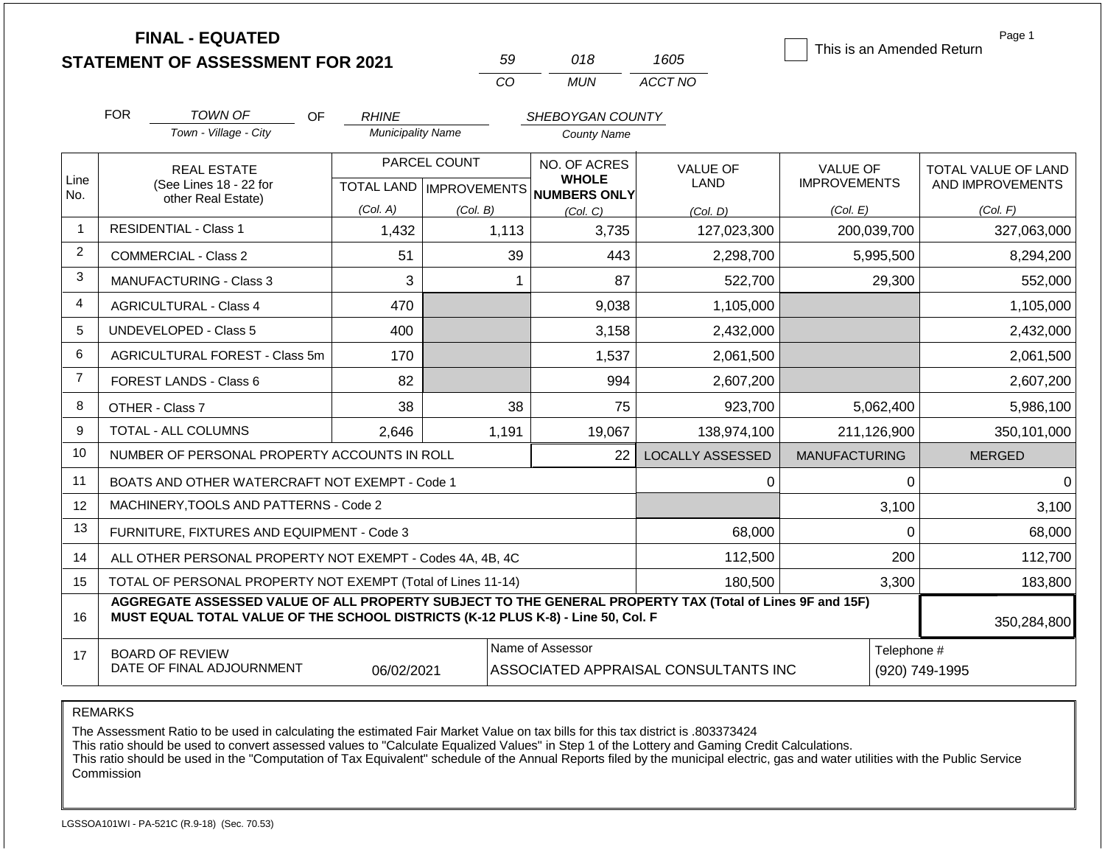| <b>FINAL - EQUATED</b>                  |  |
|-----------------------------------------|--|
| <b>STATEMENT OF ASSESSMENT FOR 2021</b> |  |

| 59  | 018 | 1605    |
|-----|-----|---------|
| CO. | MUN | ACCT NO |

This is an Amended Return

Page 1

|                | <b>FOR</b>                                                                                                                                                                                                  | <b>TOWN OF</b><br>OF                                      | <b>RHINE</b>             |                           | SHEBOYGAN COUNTY             |                         |                               |                     |
|----------------|-------------------------------------------------------------------------------------------------------------------------------------------------------------------------------------------------------------|-----------------------------------------------------------|--------------------------|---------------------------|------------------------------|-------------------------|-------------------------------|---------------------|
|                |                                                                                                                                                                                                             | Town - Village - City                                     | <b>Municipality Name</b> |                           | County Name                  |                         |                               |                     |
|                |                                                                                                                                                                                                             | <b>REAL ESTATE</b>                                        | PARCEL COUNT             |                           | NO. OF ACRES                 | <b>VALUE OF</b>         | <b>VALUE OF</b>               | TOTAL VALUE OF LAND |
| Line<br>No.    | (See Lines 18 - 22 for<br>other Real Estate)                                                                                                                                                                |                                                           |                          | TOTAL LAND   IMPROVEMENTS | <b>WHOLE</b><br>NUMBERS ONLY | <b>LAND</b>             | <b>IMPROVEMENTS</b>           | AND IMPROVEMENTS    |
|                |                                                                                                                                                                                                             |                                                           | (Col. A)                 | (Col. B)                  | (Col, C)                     | (Col, D)                | (Col. E)                      | (Col. F)            |
| 1              |                                                                                                                                                                                                             | <b>RESIDENTIAL - Class 1</b>                              | 1,432                    | 1,113                     | 3,735                        | 127,023,300             | 200,039,700                   | 327,063,000         |
| $\overline{2}$ |                                                                                                                                                                                                             | <b>COMMERCIAL - Class 2</b>                               | 51                       | 39                        | 443                          | 2,298,700               | 5,995,500                     | 8,294,200           |
| 3              |                                                                                                                                                                                                             | <b>MANUFACTURING - Class 3</b>                            | 3                        | 1                         | 87                           | 522,700                 | 29,300                        | 552,000             |
| 4              |                                                                                                                                                                                                             | <b>AGRICULTURAL - Class 4</b>                             | 470                      |                           | 9,038                        | 1,105,000               |                               | 1,105,000           |
| 5              |                                                                                                                                                                                                             | <b>UNDEVELOPED - Class 5</b>                              | 400                      |                           | 3,158                        | 2,432,000               |                               | 2,432,000           |
| 6              |                                                                                                                                                                                                             | AGRICULTURAL FOREST - Class 5m                            | 170                      |                           | 1,537                        | 2,061,500               |                               | 2,061,500           |
| $\overline{7}$ |                                                                                                                                                                                                             | <b>FOREST LANDS - Class 6</b>                             | 82                       |                           | 994                          | 2,607,200               |                               | 2,607,200           |
| 8              |                                                                                                                                                                                                             | OTHER - Class 7                                           | 38                       | 38                        | 75                           | 923,700                 | 5,062,400                     | 5,986,100           |
| 9              |                                                                                                                                                                                                             | TOTAL - ALL COLUMNS                                       | 2,646                    | 1,191                     | 19,067                       | 138,974,100             | 211,126,900                   | 350,101,000         |
| 10             |                                                                                                                                                                                                             | NUMBER OF PERSONAL PROPERTY ACCOUNTS IN ROLL              |                          |                           | 22                           | <b>LOCALLY ASSESSED</b> | <b>MANUFACTURING</b>          | <b>MERGED</b>       |
| 11             |                                                                                                                                                                                                             | BOATS AND OTHER WATERCRAFT NOT EXEMPT - Code 1            |                          |                           |                              | $\Omega$                |                               | $\Omega$<br>0       |
| 12             |                                                                                                                                                                                                             | MACHINERY, TOOLS AND PATTERNS - Code 2                    |                          |                           |                              |                         |                               | 3,100<br>3,100      |
| 13             |                                                                                                                                                                                                             | FURNITURE, FIXTURES AND EQUIPMENT - Code 3                |                          |                           |                              | 68,000                  |                               | $\Omega$<br>68,000  |
| 14             |                                                                                                                                                                                                             | ALL OTHER PERSONAL PROPERTY NOT EXEMPT - Codes 4A, 4B, 4C |                          |                           | 112,500                      | 200<br>112,700          |                               |                     |
| 15             | TOTAL OF PERSONAL PROPERTY NOT EXEMPT (Total of Lines 11-14)                                                                                                                                                |                                                           |                          |                           |                              |                         |                               | 3,300<br>183,800    |
| 16             | AGGREGATE ASSESSED VALUE OF ALL PROPERTY SUBJECT TO THE GENERAL PROPERTY TAX (Total of Lines 9F and 15F)<br>MUST EQUAL TOTAL VALUE OF THE SCHOOL DISTRICTS (K-12 PLUS K-8) - Line 50, Col. F<br>350,284,800 |                                                           |                          |                           |                              |                         |                               |                     |
| 17             | Name of Assessor<br><b>BOARD OF REVIEW</b><br>DATE OF FINAL ADJOURNMENT<br>06/02/2021<br>ASSOCIATED APPRAISAL CONSULTANTS INC                                                                               |                                                           |                          |                           |                              |                         | Telephone #<br>(920) 749-1995 |                     |

REMARKS

The Assessment Ratio to be used in calculating the estimated Fair Market Value on tax bills for this tax district is .803373424

This ratio should be used to convert assessed values to "Calculate Equalized Values" in Step 1 of the Lottery and Gaming Credit Calculations.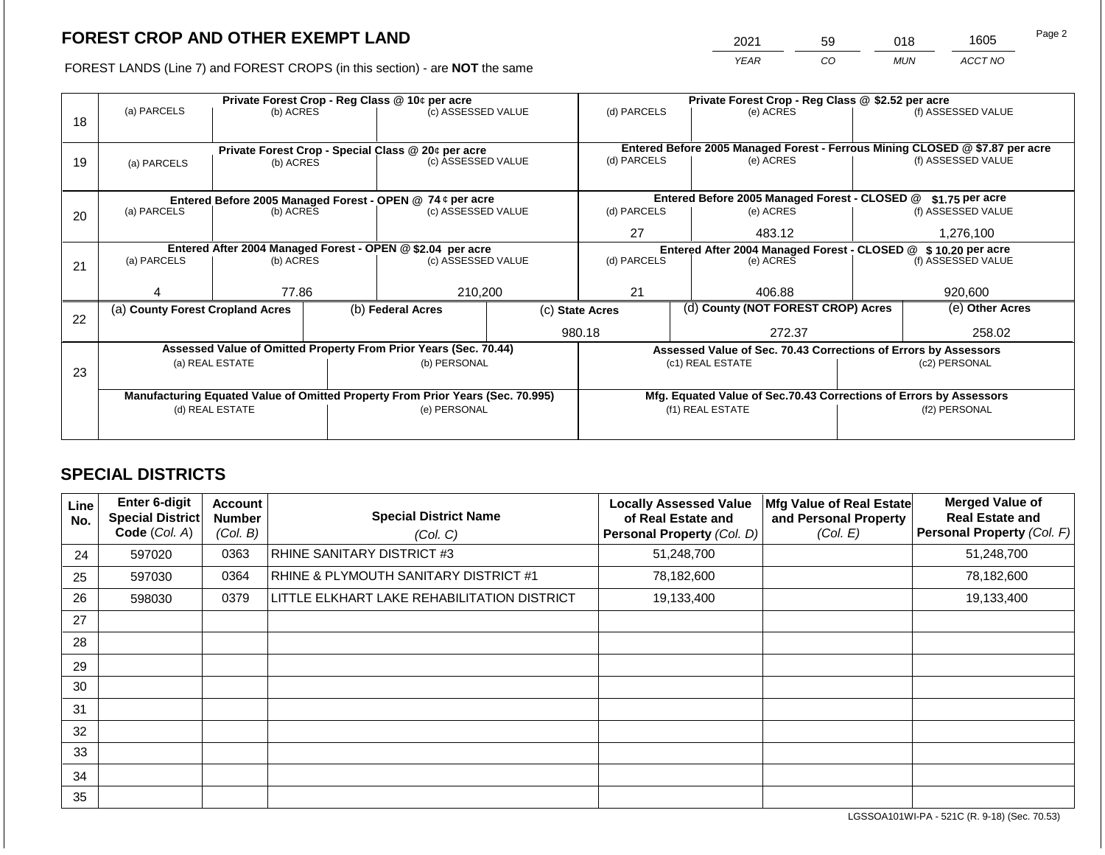2021 59 018 1605

FOREST LANDS (Line 7) and FOREST CROPS (in this section) - are **NOT** the same *YEAR CO MUN ACCT NO*

|    | Private Forest Crop - Reg Class @ 10¢ per acre                                 |           |  |                                                           | Private Forest Crop - Reg Class @ \$2.52 per acre |                                                                                                          |  |                                               |  |                    |  |
|----|--------------------------------------------------------------------------------|-----------|--|-----------------------------------------------------------|---------------------------------------------------|----------------------------------------------------------------------------------------------------------|--|-----------------------------------------------|--|--------------------|--|
|    | (a) PARCELS                                                                    | (b) ACRES |  | (c) ASSESSED VALUE                                        |                                                   | (d) PARCELS                                                                                              |  | (e) ACRES                                     |  | (f) ASSESSED VALUE |  |
| 18 |                                                                                |           |  |                                                           |                                                   |                                                                                                          |  |                                               |  |                    |  |
|    |                                                                                |           |  |                                                           |                                                   |                                                                                                          |  |                                               |  |                    |  |
|    |                                                                                |           |  | Private Forest Crop - Special Class @ 20¢ per acre        |                                                   | Entered Before 2005 Managed Forest - Ferrous Mining CLOSED @ \$7.87 per acre<br>(d) PARCELS<br>(e) ACRES |  |                                               |  | (f) ASSESSED VALUE |  |
| 19 | (a) PARCELS                                                                    | (b) ACRES |  | (c) ASSESSED VALUE                                        |                                                   |                                                                                                          |  |                                               |  |                    |  |
|    |                                                                                |           |  |                                                           |                                                   |                                                                                                          |  |                                               |  |                    |  |
|    |                                                                                |           |  | Entered Before 2005 Managed Forest - OPEN @ 74 ¢ per acre |                                                   |                                                                                                          |  | Entered Before 2005 Managed Forest - CLOSED @ |  | $$1.75$ per acre   |  |
| 20 | (a) PARCELS                                                                    | (b) ACRES |  | (c) ASSESSED VALUE                                        |                                                   | (d) PARCELS                                                                                              |  | (e) ACRES                                     |  | (f) ASSESSED VALUE |  |
|    |                                                                                |           |  |                                                           |                                                   |                                                                                                          |  |                                               |  |                    |  |
|    |                                                                                |           |  |                                                           |                                                   | 27<br>483.12                                                                                             |  | 1,276,100                                     |  |                    |  |
|    | Entered After 2004 Managed Forest - OPEN @ \$2.04 per acre                     |           |  |                                                           |                                                   | Entered After 2004 Managed Forest - CLOSED @ \$ 10.20 per acre                                           |  |                                               |  |                    |  |
| 21 | (a) PARCELS<br>(b) ACRES                                                       |           |  | (c) ASSESSED VALUE                                        |                                                   | (d) PARCELS                                                                                              |  | (e) ACRES                                     |  | (f) ASSESSED VALUE |  |
|    |                                                                                |           |  |                                                           |                                                   |                                                                                                          |  |                                               |  |                    |  |
|    |                                                                                | 77.86     |  | 210,200                                                   |                                                   | 21                                                                                                       |  | 406.88                                        |  | 920,600            |  |
|    | (a) County Forest Cropland Acres                                               |           |  | (b) Federal Acres                                         |                                                   | (d) County (NOT FOREST CROP) Acres<br>(c) State Acres                                                    |  | (e) Other Acres                               |  |                    |  |
| 22 |                                                                                |           |  |                                                           |                                                   |                                                                                                          |  |                                               |  |                    |  |
|    |                                                                                |           |  |                                                           |                                                   | 980.18                                                                                                   |  | 272.37                                        |  | 258.02             |  |
|    | Assessed Value of Omitted Property From Prior Years (Sec. 70.44)               |           |  |                                                           |                                                   | Assessed Value of Sec. 70.43 Corrections of Errors by Assessors                                          |  |                                               |  |                    |  |
|    | (a) REAL ESTATE                                                                |           |  | (b) PERSONAL                                              |                                                   | (c1) REAL ESTATE                                                                                         |  | (c2) PERSONAL                                 |  |                    |  |
| 23 |                                                                                |           |  |                                                           |                                                   |                                                                                                          |  |                                               |  |                    |  |
|    | Manufacturing Equated Value of Omitted Property From Prior Years (Sec. 70.995) |           |  |                                                           |                                                   | Mfg. Equated Value of Sec.70.43 Corrections of Errors by Assessors                                       |  |                                               |  |                    |  |
|    | (d) REAL ESTATE                                                                |           |  | (e) PERSONAL                                              |                                                   | (f1) REAL ESTATE                                                                                         |  | (f2) PERSONAL                                 |  |                    |  |
|    |                                                                                |           |  |                                                           |                                                   |                                                                                                          |  |                                               |  |                    |  |
|    |                                                                                |           |  |                                                           |                                                   |                                                                                                          |  |                                               |  |                    |  |

## **SPECIAL DISTRICTS**

| Line<br>No. | <b>Enter 6-digit</b><br>Special District | <b>Account</b><br><b>Number</b> | <b>Special District Name</b>                | <b>Locally Assessed Value</b><br>of Real Estate and | Mfg Value of Real Estate<br>and Personal Property | <b>Merged Value of</b><br><b>Real Estate and</b> |
|-------------|------------------------------------------|---------------------------------|---------------------------------------------|-----------------------------------------------------|---------------------------------------------------|--------------------------------------------------|
|             | Code (Col. A)                            | (Col. B)                        | (Col. C)                                    | Personal Property (Col. D)                          | (Col. E)                                          | Personal Property (Col. F)                       |
| 24          | 597020                                   | 0363                            | RHINE SANITARY DISTRICT #3                  | 51,248,700                                          |                                                   | 51,248,700                                       |
| 25          | 597030                                   | 0364                            | RHINE & PLYMOUTH SANITARY DISTRICT #1       | 78,182,600                                          |                                                   | 78,182,600                                       |
| 26          | 598030                                   | 0379                            | LITTLE ELKHART LAKE REHABILITATION DISTRICT | 19,133,400                                          |                                                   | 19,133,400                                       |
| 27          |                                          |                                 |                                             |                                                     |                                                   |                                                  |
| 28          |                                          |                                 |                                             |                                                     |                                                   |                                                  |
| 29          |                                          |                                 |                                             |                                                     |                                                   |                                                  |
| 30          |                                          |                                 |                                             |                                                     |                                                   |                                                  |
| 31          |                                          |                                 |                                             |                                                     |                                                   |                                                  |
| 32          |                                          |                                 |                                             |                                                     |                                                   |                                                  |
| 33          |                                          |                                 |                                             |                                                     |                                                   |                                                  |
| 34          |                                          |                                 |                                             |                                                     |                                                   |                                                  |
| 35          |                                          |                                 |                                             |                                                     |                                                   |                                                  |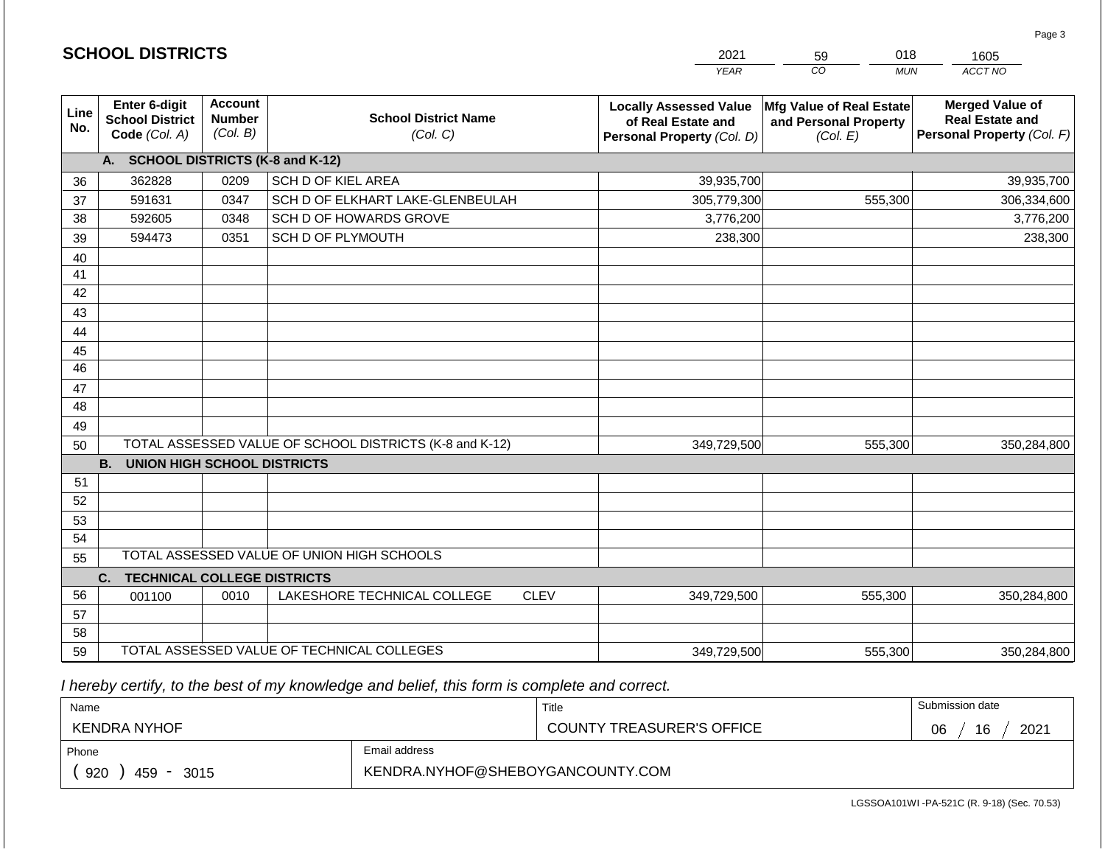|                 |                                                          |                                             |                                                         |             | <b>YEAR</b>                                                                       | CO<br><b>MUN</b>                                                     | ACCT NO                                                                        |  |  |
|-----------------|----------------------------------------------------------|---------------------------------------------|---------------------------------------------------------|-------------|-----------------------------------------------------------------------------------|----------------------------------------------------------------------|--------------------------------------------------------------------------------|--|--|
| Line<br>No.     | Enter 6-digit<br><b>School District</b><br>Code (Col. A) | <b>Account</b><br><b>Number</b><br>(Col. B) | <b>School District Name</b><br>(Col. C)                 |             | <b>Locally Assessed Value</b><br>of Real Estate and<br>Personal Property (Col. D) | <b>Mfg Value of Real Estate</b><br>and Personal Property<br>(Col. E) | <b>Merged Value of</b><br><b>Real Estate and</b><br>Personal Property (Col. F) |  |  |
|                 | А.                                                       |                                             | <b>SCHOOL DISTRICTS (K-8 and K-12)</b>                  |             |                                                                                   |                                                                      |                                                                                |  |  |
| 36              | 362828                                                   | 0209                                        | <b>SCH D OF KIEL AREA</b>                               |             | 39,935,700                                                                        |                                                                      | 39,935,700                                                                     |  |  |
| 37              | 591631                                                   | 0347                                        | SCH D OF ELKHART LAKE-GLENBEULAH                        |             | 305,779,300                                                                       | 555,300                                                              | 306,334,600                                                                    |  |  |
| 38              | 592605                                                   | 0348                                        | SCH D OF HOWARDS GROVE                                  |             | 3,776,200                                                                         |                                                                      | 3,776,200                                                                      |  |  |
| 39              | 594473                                                   | 0351                                        | SCH D OF PLYMOUTH                                       |             | 238,300                                                                           |                                                                      | 238,300                                                                        |  |  |
| 40              |                                                          |                                             |                                                         |             |                                                                                   |                                                                      |                                                                                |  |  |
| 41              |                                                          |                                             |                                                         |             |                                                                                   |                                                                      |                                                                                |  |  |
| 42              |                                                          |                                             |                                                         |             |                                                                                   |                                                                      |                                                                                |  |  |
| 43              |                                                          |                                             |                                                         |             |                                                                                   |                                                                      |                                                                                |  |  |
| 44              |                                                          |                                             |                                                         |             |                                                                                   |                                                                      |                                                                                |  |  |
| 45              |                                                          |                                             |                                                         |             |                                                                                   |                                                                      |                                                                                |  |  |
| $\overline{46}$ |                                                          |                                             |                                                         |             |                                                                                   |                                                                      |                                                                                |  |  |
| 47              |                                                          |                                             |                                                         |             |                                                                                   |                                                                      |                                                                                |  |  |
| 48              |                                                          |                                             |                                                         |             |                                                                                   |                                                                      |                                                                                |  |  |
| 49              |                                                          |                                             |                                                         |             |                                                                                   |                                                                      |                                                                                |  |  |
| 50              |                                                          |                                             | TOTAL ASSESSED VALUE OF SCHOOL DISTRICTS (K-8 and K-12) |             | 349,729,500                                                                       | 555,300                                                              | 350,284,800                                                                    |  |  |
|                 | <b>B.</b><br><b>UNION HIGH SCHOOL DISTRICTS</b>          |                                             |                                                         |             |                                                                                   |                                                                      |                                                                                |  |  |
| 51              |                                                          |                                             |                                                         |             |                                                                                   |                                                                      |                                                                                |  |  |
| 52              |                                                          |                                             |                                                         |             |                                                                                   |                                                                      |                                                                                |  |  |
| 53              |                                                          |                                             |                                                         |             |                                                                                   |                                                                      |                                                                                |  |  |
| 54              |                                                          |                                             |                                                         |             |                                                                                   |                                                                      |                                                                                |  |  |
| 55              | TOTAL ASSESSED VALUE OF UNION HIGH SCHOOLS               |                                             |                                                         |             |                                                                                   |                                                                      |                                                                                |  |  |
|                 | <b>TECHNICAL COLLEGE DISTRICTS</b><br>C.                 |                                             |                                                         |             |                                                                                   |                                                                      |                                                                                |  |  |
| 56              | 001100                                                   | 0010                                        | LAKESHORE TECHNICAL COLLEGE                             | <b>CLEV</b> | 349,729,500                                                                       | 555,300                                                              | 350,284,800                                                                    |  |  |
| 57              |                                                          |                                             |                                                         |             |                                                                                   |                                                                      |                                                                                |  |  |
| 58              |                                                          |                                             |                                                         |             |                                                                                   |                                                                      |                                                                                |  |  |
| 59              |                                                          |                                             | TOTAL ASSESSED VALUE OF TECHNICAL COLLEGES              | 349,729,500 | 555,300                                                                           | 350,284,800                                                          |                                                                                |  |  |

2021

59

018

 *I hereby certify, to the best of my knowledge and belief, this form is complete and correct.*

**SCHOOL DISTRICTS**

| Name                |                                  | Title                            | Submission date  |
|---------------------|----------------------------------|----------------------------------|------------------|
| <b>KENDRA NYHOF</b> |                                  | <b>COUNTY TREASURER'S OFFICE</b> | 2021<br>16<br>06 |
| Phone               | Email address                    |                                  |                  |
| 920<br>459<br>3015  | KENDRA.NYHOF@SHEBOYGANCOUNTY.COM |                                  |                  |

Page 3

1605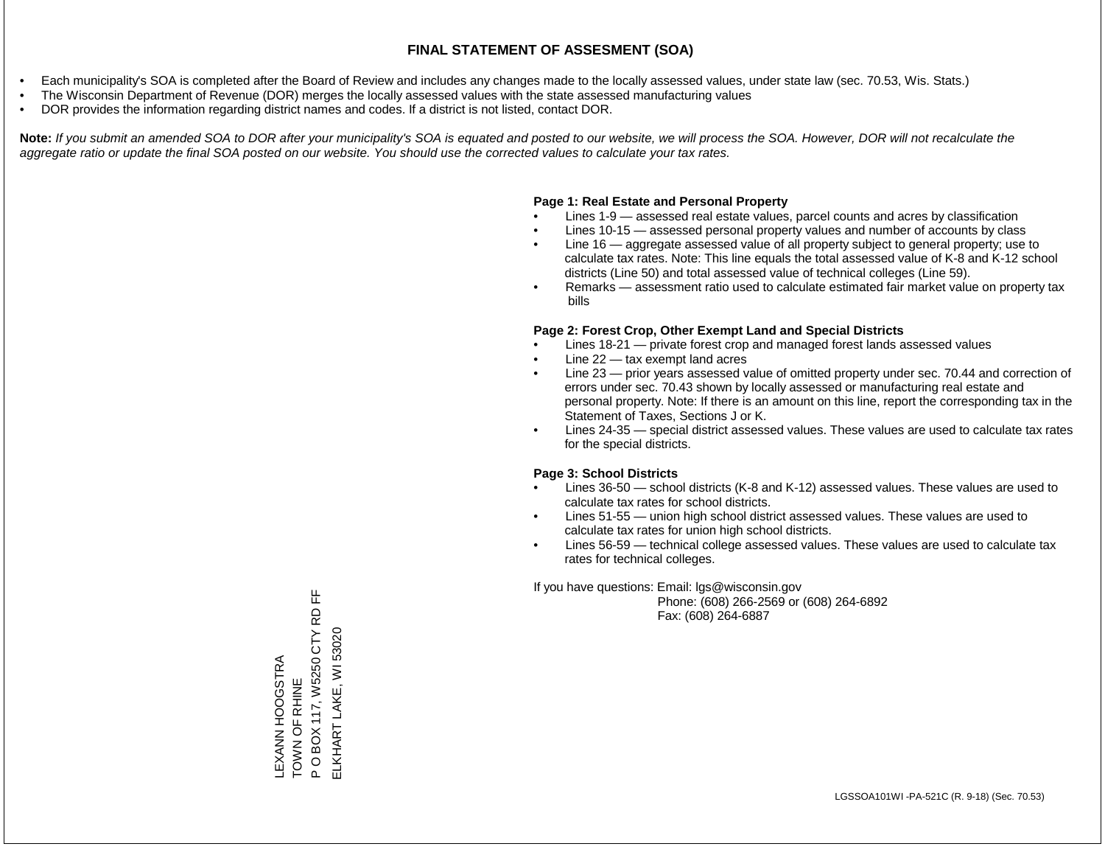- Each municipality's SOA is completed after the Board of Review and includes any changes made to the locally assessed values, under state law (sec. 70.53, Wis. Stats.)
- The Wisconsin Department of Revenue (DOR) merges the locally assessed values with the state assessed manufacturing values
- DOR provides the information regarding district names and codes. If a district is not listed, contact DOR.

Note: If you submit an amended SOA to DOR after your municipality's SOA is equated and posted to our website, we will process the SOA. However, DOR will not recalculate the *aggregate ratio or update the final SOA posted on our website. You should use the corrected values to calculate your tax rates.*

#### **Page 1: Real Estate and Personal Property**

- Lines 1-9 assessed real estate values, parcel counts and acres by classification
- Lines 10-15 assessed personal property values and number of accounts by class
- Line 16 aggregate assessed value of all property subject to general property; use to calculate tax rates. Note: This line equals the total assessed value of K-8 and K-12 school districts (Line 50) and total assessed value of technical colleges (Line 59).
- Remarks assessment ratio used to calculate estimated fair market value on property tax bills

#### **Page 2: Forest Crop, Other Exempt Land and Special Districts**

- Lines 18-21 private forest crop and managed forest lands assessed values
- Line  $22 -$  tax exempt land acres
- Line 23 prior years assessed value of omitted property under sec. 70.44 and correction of errors under sec. 70.43 shown by locally assessed or manufacturing real estate and personal property. Note: If there is an amount on this line, report the corresponding tax in the Statement of Taxes, Sections J or K.
- Lines 24-35 special district assessed values. These values are used to calculate tax rates for the special districts.

#### **Page 3: School Districts**

- Lines 36-50 school districts (K-8 and K-12) assessed values. These values are used to calculate tax rates for school districts.
- Lines 51-55 union high school district assessed values. These values are used to calculate tax rates for union high school districts.
- Lines 56-59 technical college assessed values. These values are used to calculate tax rates for technical colleges.

If you have questions: Email: lgs@wisconsin.gov

 Phone: (608) 266-2569 or (608) 264-6892 Fax: (608) 264-6887

P O BOX 117, W5250 CTY RD FF BOX 117, W5250 CTY RD ELKHART LAKE, WI 53020 ELKHART LAKE, WI 53020LEXANN HOOGSTRA<br>TOWN OF RHINE LEXANN HOOGSTRA TOWN OF RHINE  $\overline{P}$ 

푼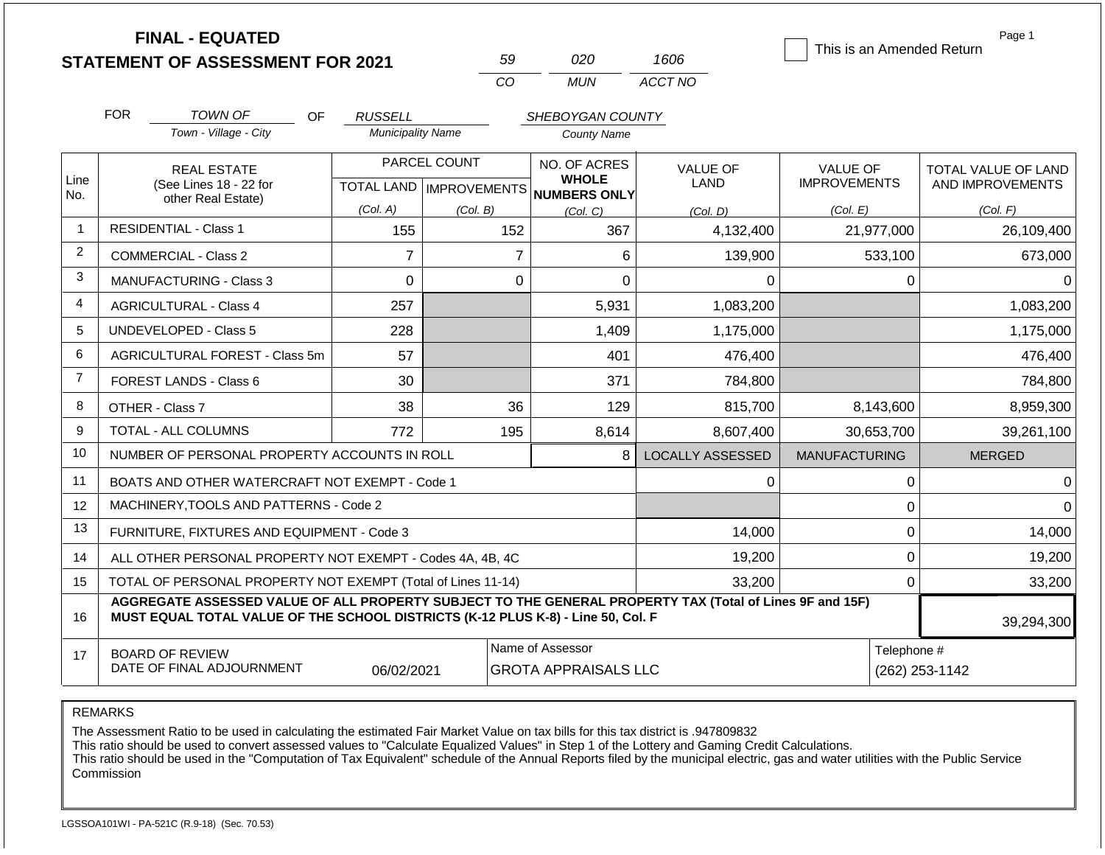|                |            | <b>FINAL - EQUATED</b><br><b>STATEMENT OF ASSESSMENT FOR 2021</b>                                                                                                                            |                                                  | 59       |                                                 | 020                | 1606                    |                                        |              | Page 1<br>This is an Amended Return     |
|----------------|------------|----------------------------------------------------------------------------------------------------------------------------------------------------------------------------------------------|--------------------------------------------------|----------|-------------------------------------------------|--------------------|-------------------------|----------------------------------------|--------------|-----------------------------------------|
|                |            |                                                                                                                                                                                              |                                                  | CO       |                                                 | <b>MUN</b>         | ACCT NO                 |                                        |              |                                         |
|                | <b>FOR</b> | <b>TOWN OF</b><br>OF                                                                                                                                                                         | <b>RUSSELL</b>                                   |          |                                                 | SHEBOYGAN COUNTY   |                         |                                        |              |                                         |
|                |            | Town - Village - City                                                                                                                                                                        | <b>Municipality Name</b>                         |          |                                                 | <b>County Name</b> |                         |                                        |              |                                         |
| Line           |            | <b>REAL ESTATE</b><br>(See Lines 18 - 22 for                                                                                                                                                 | PARCEL COUNT<br><b>TOTAL LAND   IMPROVEMENTS</b> |          | NO. OF ACRES<br><b>WHOLE</b><br>NUMBERS ONLY    |                    | VALUE OF<br><b>LAND</b> | <b>VALUE OF</b><br><b>IMPROVEMENTS</b> |              | TOTAL VALUE OF LAND<br>AND IMPROVEMENTS |
| No.            |            | other Real Estate)                                                                                                                                                                           | (Col. A)                                         | (Col. B) |                                                 | (Col, C)           | (Col, D)                | (Col. E)                               |              | (Col. F)                                |
| $\mathbf{1}$   |            | <b>RESIDENTIAL - Class 1</b>                                                                                                                                                                 | 155                                              |          | 152                                             | 367                | 4,132,400               |                                        | 21,977,000   | 26,109,400                              |
| $\overline{c}$ |            | <b>COMMERCIAL - Class 2</b>                                                                                                                                                                  | $\overline{7}$                                   |          | $\overline{7}$                                  | 6                  | 139,900                 |                                        | 533,100      | 673,000                                 |
| 3              |            | <b>MANUFACTURING - Class 3</b>                                                                                                                                                               | $\mathbf 0$                                      |          | $\mathbf 0$                                     | $\overline{0}$     | 0                       |                                        | $\mathbf 0$  | 0                                       |
| 4              |            | <b>AGRICULTURAL - Class 4</b>                                                                                                                                                                | 257<br>5,931<br>1,083,200                        |          |                                                 |                    | 1,083,200               |                                        |              |                                         |
| 5              |            | UNDEVELOPED - Class 5                                                                                                                                                                        | 228                                              |          |                                                 | 1,409              | 1,175,000               |                                        |              | 1,175,000                               |
| 6              |            | <b>AGRICULTURAL FOREST - Class 5m</b>                                                                                                                                                        | 57                                               |          |                                                 | 401                | 476,400                 |                                        |              | 476,400                                 |
| $\overline{7}$ |            | FOREST LANDS - Class 6                                                                                                                                                                       | 30                                               |          | 371                                             |                    | 784,800                 |                                        |              | 784,800                                 |
| 8              |            | OTHER - Class 7                                                                                                                                                                              | 38                                               |          | 36                                              | 129                | 815,700                 |                                        | 8,143,600    | 8,959,300                               |
| 9              |            | TOTAL - ALL COLUMNS                                                                                                                                                                          | 772                                              |          | 195                                             | 8,614              | 8,607,400               |                                        | 30,653,700   | 39,261,100                              |
| 10             |            | NUMBER OF PERSONAL PROPERTY ACCOUNTS IN ROLL                                                                                                                                                 |                                                  |          |                                                 | 8                  | <b>LOCALLY ASSESSED</b> | <b>MANUFACTURING</b>                   |              | <b>MERGED</b>                           |
| 11             |            | BOATS AND OTHER WATERCRAFT NOT EXEMPT - Code 1                                                                                                                                               |                                                  |          |                                                 |                    | 0                       |                                        | $\pmb{0}$    | 0                                       |
| 12             |            | MACHINERY, TOOLS AND PATTERNS - Code 2                                                                                                                                                       |                                                  |          |                                                 |                    |                         |                                        | $\mathbf 0$  | 0                                       |
| 13             |            | FURNITURE, FIXTURES AND EQUIPMENT - Code 3                                                                                                                                                   |                                                  |          |                                                 |                    | 14,000                  |                                        | $\mathbf 0$  | 14,000                                  |
| 14             |            | ALL OTHER PERSONAL PROPERTY NOT EXEMPT - Codes 4A, 4B, 4C                                                                                                                                    |                                                  |          |                                                 |                    | 19,200                  |                                        | $\mathbf 0$  | 19,200                                  |
| 15             |            | TOTAL OF PERSONAL PROPERTY NOT EXEMPT (Total of Lines 11-14)                                                                                                                                 |                                                  |          |                                                 |                    | 33,200                  |                                        | $\mathbf{0}$ | 33,200                                  |
| 16             |            | AGGREGATE ASSESSED VALUE OF ALL PROPERTY SUBJECT TO THE GENERAL PROPERTY TAX (Total of Lines 9F and 15F)<br>MUST EQUAL TOTAL VALUE OF THE SCHOOL DISTRICTS (K-12 PLUS K-8) - Line 50, Col. F |                                                  |          |                                                 |                    |                         |                                        |              | 39,294,300                              |
| 17             |            | <b>BOARD OF REVIEW</b><br>DATE OF FINAL ADJOURNMENT                                                                                                                                          | 06/02/2021                                       |          | Name of Assessor<br><b>GROTA APPRAISALS LLC</b> |                    |                         | Telephone #<br>(262) 253-1142          |              |                                         |

REMARKS

The Assessment Ratio to be used in calculating the estimated Fair Market Value on tax bills for this tax district is .947809832

This ratio should be used to convert assessed values to "Calculate Equalized Values" in Step 1 of the Lottery and Gaming Credit Calculations.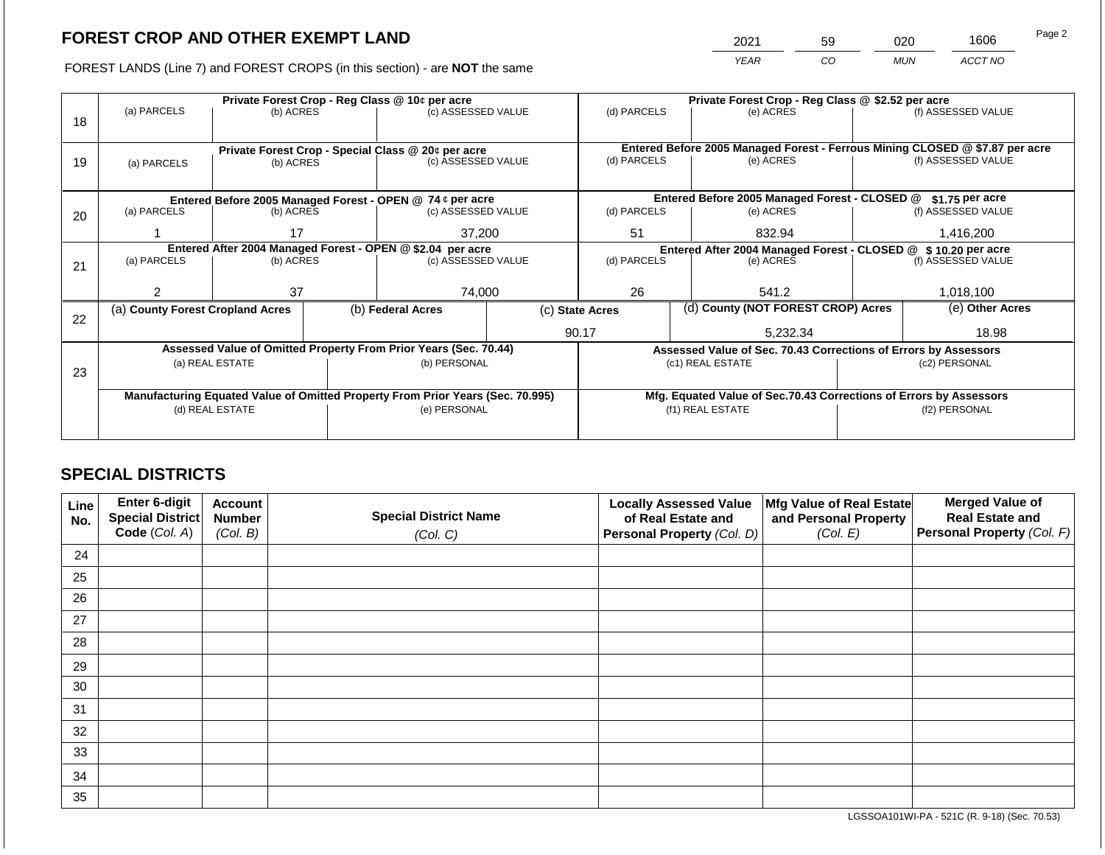2021 59 020 1606

FOREST LANDS (Line 7) and FOREST CROPS (in this section) - are **NOT** the same *YEAR CO MUN ACCT NO*

|    |                                                                                                   |                                                           |  | Private Forest Crop - Reg Class @ 10¢ per acre                   |                                                                    | Private Forest Crop - Reg Class @ \$2.52 per acre              |  |                                                                 |                                                                              |                    |  |
|----|---------------------------------------------------------------------------------------------------|-----------------------------------------------------------|--|------------------------------------------------------------------|--------------------------------------------------------------------|----------------------------------------------------------------|--|-----------------------------------------------------------------|------------------------------------------------------------------------------|--------------------|--|
|    | (a) PARCELS                                                                                       | (b) ACRES                                                 |  | (c) ASSESSED VALUE                                               |                                                                    | (d) PARCELS                                                    |  | (e) ACRES                                                       |                                                                              | (f) ASSESSED VALUE |  |
| 18 |                                                                                                   |                                                           |  |                                                                  |                                                                    |                                                                |  |                                                                 |                                                                              |                    |  |
|    |                                                                                                   |                                                           |  |                                                                  |                                                                    |                                                                |  |                                                                 |                                                                              |                    |  |
|    |                                                                                                   |                                                           |  | Private Forest Crop - Special Class @ 20¢ per acre               |                                                                    |                                                                |  |                                                                 | Entered Before 2005 Managed Forest - Ferrous Mining CLOSED @ \$7.87 per acre |                    |  |
| 19 | (a) PARCELS                                                                                       | (b) ACRES                                                 |  | (c) ASSESSED VALUE                                               |                                                                    | (d) PARCELS                                                    |  | (e) ACRES                                                       |                                                                              | (f) ASSESSED VALUE |  |
|    |                                                                                                   |                                                           |  |                                                                  |                                                                    |                                                                |  |                                                                 |                                                                              |                    |  |
|    |                                                                                                   | Entered Before 2005 Managed Forest - OPEN @ 74 ¢ per acre |  |                                                                  |                                                                    | Entered Before 2005 Managed Forest - CLOSED @                  |  | \$1.75 per acre                                                 |                                                                              |                    |  |
| 20 | (a) PARCELS                                                                                       | (b) ACRES                                                 |  | (c) ASSESSED VALUE                                               |                                                                    | (d) PARCELS                                                    |  | (e) ACRES                                                       |                                                                              | (f) ASSESSED VALUE |  |
|    |                                                                                                   |                                                           |  |                                                                  |                                                                    |                                                                |  |                                                                 |                                                                              |                    |  |
|    |                                                                                                   | 17                                                        |  | 37,200                                                           |                                                                    | 51                                                             |  | 832.94                                                          |                                                                              | 1,416,200          |  |
|    | Entered After 2004 Managed Forest - OPEN @ \$2.04 per acre                                        |                                                           |  |                                                                  |                                                                    | Entered After 2004 Managed Forest - CLOSED @ \$ 10.20 per acre |  |                                                                 |                                                                              |                    |  |
| 21 |                                                                                                   | (a) PARCELS<br>(b) ACRES                                  |  | (c) ASSESSED VALUE                                               |                                                                    | (d) PARCELS                                                    |  | (e) ACRES                                                       |                                                                              | (f) ASSESSED VALUE |  |
|    |                                                                                                   |                                                           |  |                                                                  |                                                                    |                                                                |  |                                                                 |                                                                              |                    |  |
|    | っ                                                                                                 | 37                                                        |  | 74,000                                                           |                                                                    | 26                                                             |  | 541.2                                                           |                                                                              | 1,018,100          |  |
|    | (a) County Forest Cropland Acres                                                                  |                                                           |  | (b) Federal Acres                                                |                                                                    | (c) State Acres                                                |  | (d) County (NOT FOREST CROP) Acres                              |                                                                              | (e) Other Acres    |  |
| 22 |                                                                                                   |                                                           |  |                                                                  |                                                                    |                                                                |  |                                                                 |                                                                              |                    |  |
|    |                                                                                                   |                                                           |  |                                                                  |                                                                    | 90.17                                                          |  | 5,232.34                                                        | 18.98                                                                        |                    |  |
|    |                                                                                                   |                                                           |  | Assessed Value of Omitted Property From Prior Years (Sec. 70.44) |                                                                    |                                                                |  | Assessed Value of Sec. 70.43 Corrections of Errors by Assessors |                                                                              |                    |  |
|    |                                                                                                   | (a) REAL ESTATE                                           |  | (b) PERSONAL                                                     |                                                                    |                                                                |  | (c1) REAL ESTATE                                                |                                                                              | (c2) PERSONAL      |  |
| 23 |                                                                                                   |                                                           |  |                                                                  |                                                                    |                                                                |  |                                                                 |                                                                              |                    |  |
|    |                                                                                                   |                                                           |  |                                                                  | Mfg. Equated Value of Sec.70.43 Corrections of Errors by Assessors |                                                                |  |                                                                 |                                                                              |                    |  |
|    | Manufacturing Equated Value of Omitted Property From Prior Years (Sec. 70.995)<br>(d) REAL ESTATE |                                                           |  | (e) PERSONAL                                                     |                                                                    |                                                                |  | (f1) REAL ESTATE                                                |                                                                              | (f2) PERSONAL      |  |
|    |                                                                                                   |                                                           |  |                                                                  |                                                                    |                                                                |  |                                                                 |                                                                              |                    |  |
|    |                                                                                                   |                                                           |  |                                                                  |                                                                    |                                                                |  |                                                                 |                                                                              |                    |  |

## **SPECIAL DISTRICTS**

| Line<br>No. | Enter 6-digit<br>Special District<br>Code (Col. A) | <b>Account</b><br><b>Number</b><br>(Col. B) | <b>Special District Name</b><br>(Col. C) | <b>Locally Assessed Value</b><br>of Real Estate and<br><b>Personal Property (Col. D)</b> | Mfg Value of Real Estate<br>and Personal Property<br>(Col. E) | <b>Merged Value of</b><br><b>Real Estate and</b><br>Personal Property (Col. F) |
|-------------|----------------------------------------------------|---------------------------------------------|------------------------------------------|------------------------------------------------------------------------------------------|---------------------------------------------------------------|--------------------------------------------------------------------------------|
| 24          |                                                    |                                             |                                          |                                                                                          |                                                               |                                                                                |
| 25          |                                                    |                                             |                                          |                                                                                          |                                                               |                                                                                |
| 26          |                                                    |                                             |                                          |                                                                                          |                                                               |                                                                                |
| 27          |                                                    |                                             |                                          |                                                                                          |                                                               |                                                                                |
| 28          |                                                    |                                             |                                          |                                                                                          |                                                               |                                                                                |
| 29          |                                                    |                                             |                                          |                                                                                          |                                                               |                                                                                |
| 30          |                                                    |                                             |                                          |                                                                                          |                                                               |                                                                                |
| 31          |                                                    |                                             |                                          |                                                                                          |                                                               |                                                                                |
| 32          |                                                    |                                             |                                          |                                                                                          |                                                               |                                                                                |
| 33          |                                                    |                                             |                                          |                                                                                          |                                                               |                                                                                |
| 34          |                                                    |                                             |                                          |                                                                                          |                                                               |                                                                                |
| 35          |                                                    |                                             |                                          |                                                                                          |                                                               |                                                                                |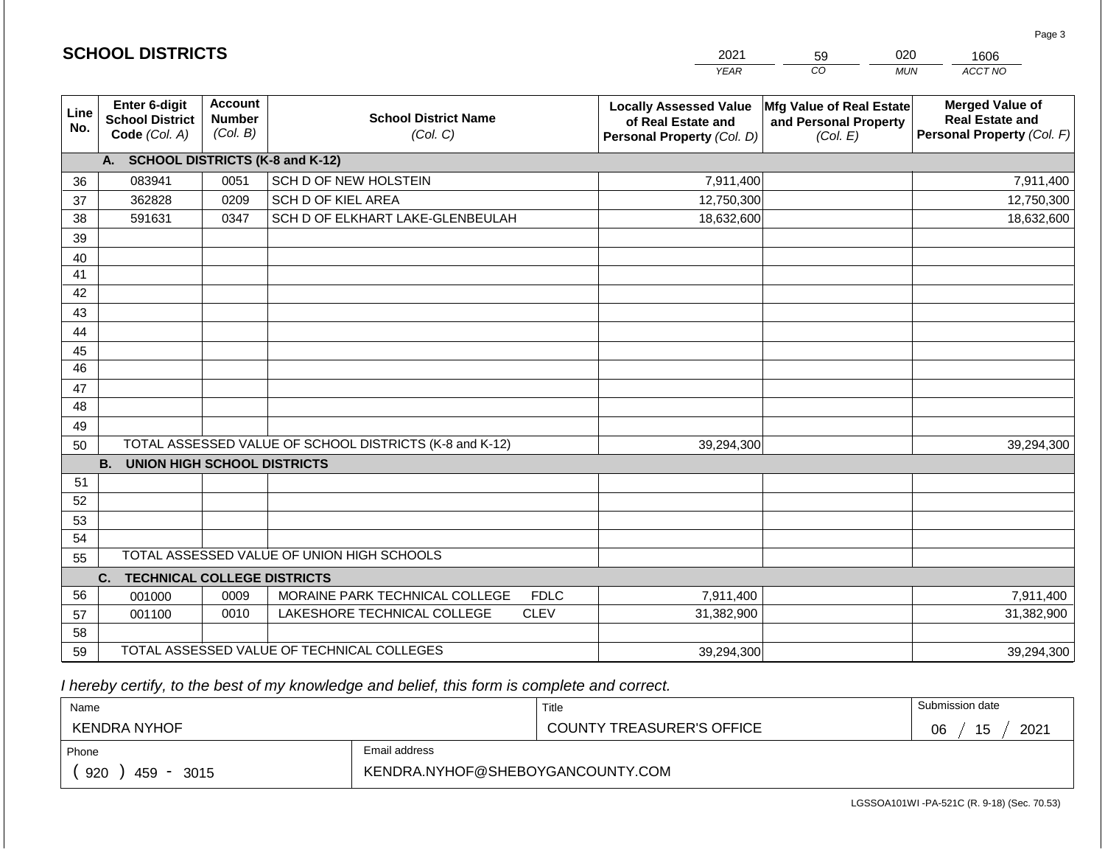|             | <b>SCHOOL DISTRICTS</b>                                  |                                             |                                                         | 2021                                                                              | 020<br>59<br>1606                                             |                                                                                |  |  |
|-------------|----------------------------------------------------------|---------------------------------------------|---------------------------------------------------------|-----------------------------------------------------------------------------------|---------------------------------------------------------------|--------------------------------------------------------------------------------|--|--|
|             |                                                          |                                             |                                                         | <b>YEAR</b>                                                                       | CO                                                            | ACCT NO<br><b>MUN</b>                                                          |  |  |
| Line<br>No. | Enter 6-digit<br><b>School District</b><br>Code (Col. A) | <b>Account</b><br><b>Number</b><br>(Col. B) | <b>School District Name</b><br>(Col. C)                 | <b>Locally Assessed Value</b><br>of Real Estate and<br>Personal Property (Col. D) | Mfg Value of Real Estate<br>and Personal Property<br>(Col. E) | <b>Merged Value of</b><br><b>Real Estate and</b><br>Personal Property (Col. F) |  |  |
|             | A. SCHOOL DISTRICTS (K-8 and K-12)                       |                                             |                                                         |                                                                                   |                                                               |                                                                                |  |  |
| 36          | 083941                                                   | 0051                                        | SCH D OF NEW HOLSTEIN                                   | 7,911,400                                                                         |                                                               | 7,911,400                                                                      |  |  |
| 37          | 362828                                                   | 0209                                        | SCH D OF KIEL AREA                                      | 12,750,300                                                                        |                                                               | 12,750,300                                                                     |  |  |
| 38          | 591631                                                   | 0347                                        | SCH D OF ELKHART LAKE-GLENBEULAH                        | 18,632,600                                                                        |                                                               | 18,632,600                                                                     |  |  |
| 39          |                                                          |                                             |                                                         |                                                                                   |                                                               |                                                                                |  |  |
| 40          |                                                          |                                             |                                                         |                                                                                   |                                                               |                                                                                |  |  |
| 41          |                                                          |                                             |                                                         |                                                                                   |                                                               |                                                                                |  |  |
| 42          |                                                          |                                             |                                                         |                                                                                   |                                                               |                                                                                |  |  |
| 43          |                                                          |                                             |                                                         |                                                                                   |                                                               |                                                                                |  |  |
| 44          |                                                          |                                             |                                                         |                                                                                   |                                                               |                                                                                |  |  |
| 45          |                                                          |                                             |                                                         |                                                                                   |                                                               |                                                                                |  |  |
| 46          |                                                          |                                             |                                                         |                                                                                   |                                                               |                                                                                |  |  |
| 47          |                                                          |                                             |                                                         |                                                                                   |                                                               |                                                                                |  |  |
| 48          |                                                          |                                             |                                                         |                                                                                   |                                                               |                                                                                |  |  |
| 49<br>50    |                                                          |                                             | TOTAL ASSESSED VALUE OF SCHOOL DISTRICTS (K-8 and K-12) | 39,294,300                                                                        |                                                               | 39,294,300                                                                     |  |  |
|             | <b>B.</b><br><b>UNION HIGH SCHOOL DISTRICTS</b>          |                                             |                                                         |                                                                                   |                                                               |                                                                                |  |  |
| 51          |                                                          |                                             |                                                         |                                                                                   |                                                               |                                                                                |  |  |
| 52          |                                                          |                                             |                                                         |                                                                                   |                                                               |                                                                                |  |  |
| 53          |                                                          |                                             |                                                         |                                                                                   |                                                               |                                                                                |  |  |
| 54          |                                                          |                                             |                                                         |                                                                                   |                                                               |                                                                                |  |  |
| 55          |                                                          |                                             | TOTAL ASSESSED VALUE OF UNION HIGH SCHOOLS              |                                                                                   |                                                               |                                                                                |  |  |
|             | <b>TECHNICAL COLLEGE DISTRICTS</b><br>C.                 |                                             |                                                         |                                                                                   |                                                               |                                                                                |  |  |
| 56          | 001000                                                   | 0009                                        | MORAINE PARK TECHNICAL COLLEGE<br><b>FDLC</b>           | 7,911,400                                                                         |                                                               | 7,911,400                                                                      |  |  |
| 57          | 001100                                                   | 0010                                        | LAKESHORE TECHNICAL COLLEGE<br><b>CLEV</b>              | 31,382,900                                                                        |                                                               | 31,382,900                                                                     |  |  |
| 58          |                                                          |                                             |                                                         |                                                                                   |                                                               |                                                                                |  |  |
| 59          |                                                          |                                             | TOTAL ASSESSED VALUE OF TECHNICAL COLLEGES              | 39,294,300                                                                        |                                                               | 39,294,300                                                                     |  |  |

 *I hereby certify, to the best of my knowledge and belief, this form is complete and correct.*

**SCHOOL DISTRICTS**

| Name                                           |                                  | Title                            | Submission date  |
|------------------------------------------------|----------------------------------|----------------------------------|------------------|
| KENDRA NYHOF                                   |                                  | <b>COUNTY TREASURER'S OFFICE</b> | 2021<br>15<br>06 |
| Phone                                          | Email address                    |                                  |                  |
| 920<br>459<br>3015<br>$\overline{\phantom{a}}$ | KENDRA.NYHOF@SHEBOYGANCOUNTY.COM |                                  |                  |

Page 3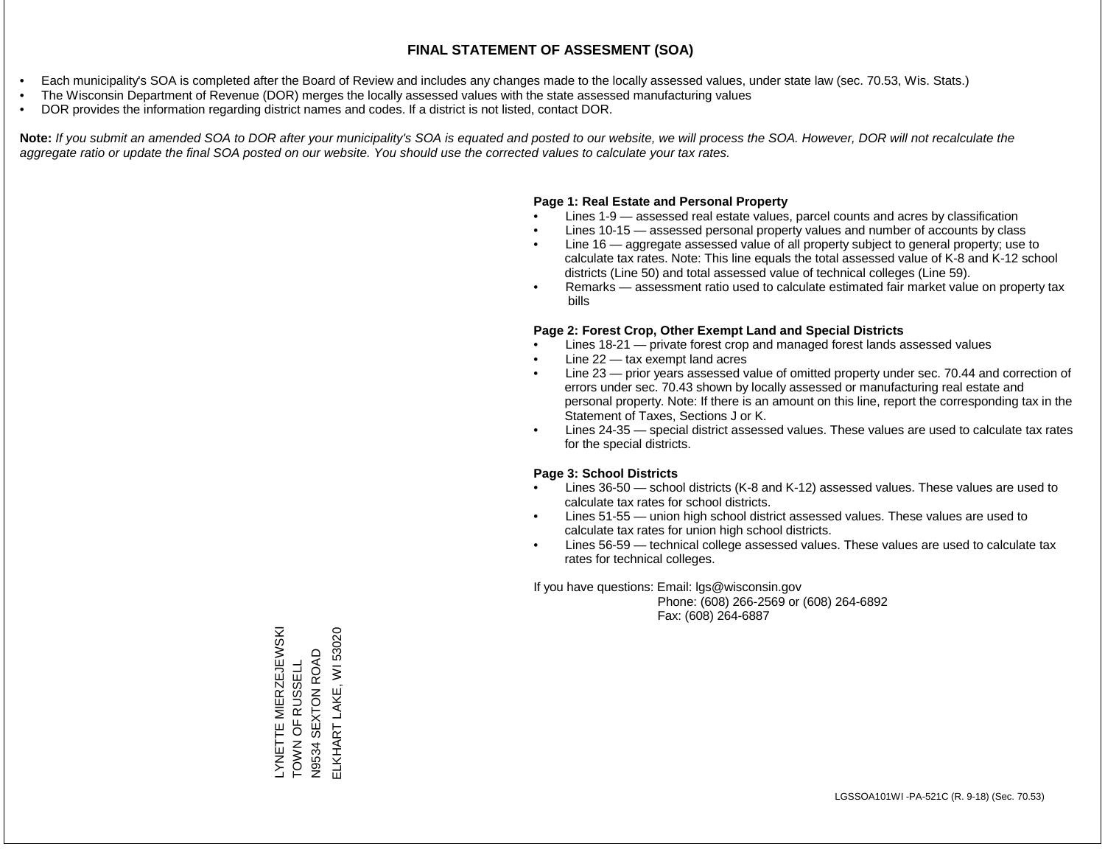- Each municipality's SOA is completed after the Board of Review and includes any changes made to the locally assessed values, under state law (sec. 70.53, Wis. Stats.)
- The Wisconsin Department of Revenue (DOR) merges the locally assessed values with the state assessed manufacturing values
- DOR provides the information regarding district names and codes. If a district is not listed, contact DOR.

Note: If you submit an amended SOA to DOR after your municipality's SOA is equated and posted to our website, we will process the SOA. However, DOR will not recalculate the *aggregate ratio or update the final SOA posted on our website. You should use the corrected values to calculate your tax rates.*

## **Page 1: Real Estate and Personal Property**

- Lines 1-9 assessed real estate values, parcel counts and acres by classification
- Lines 10-15 assessed personal property values and number of accounts by class
- Line 16 aggregate assessed value of all property subject to general property; use to calculate tax rates. Note: This line equals the total assessed value of K-8 and K-12 school districts (Line 50) and total assessed value of technical colleges (Line 59).
- Remarks assessment ratio used to calculate estimated fair market value on property tax bills

## **Page 2: Forest Crop, Other Exempt Land and Special Districts**

- Lines 18-21 private forest crop and managed forest lands assessed values
- Line  $22 -$  tax exempt land acres
- Line 23 prior years assessed value of omitted property under sec. 70.44 and correction of errors under sec. 70.43 shown by locally assessed or manufacturing real estate and personal property. Note: If there is an amount on this line, report the corresponding tax in the Statement of Taxes, Sections J or K.
- Lines 24-35 special district assessed values. These values are used to calculate tax rates for the special districts.

## **Page 3: School Districts**

- Lines 36-50 school districts (K-8 and K-12) assessed values. These values are used to calculate tax rates for school districts.
- Lines 51-55 union high school district assessed values. These values are used to calculate tax rates for union high school districts.
- Lines 56-59 technical college assessed values. These values are used to calculate tax rates for technical colleges.

If you have questions: Email: lgs@wisconsin.gov

 Phone: (608) 266-2569 or (608) 264-6892 Fax: (608) 264-6887

LYNETTE MIERZEJEWSKI<br>TOWN OF RUSSELL ELKHART LAKE, WI 53020 LYNETTE MIERZEJEWSKI ELKHART LAKE, WI 53020SEXTON ROAD N9534 SEXTON ROAD TOWN OF RUSSELL N9534 \$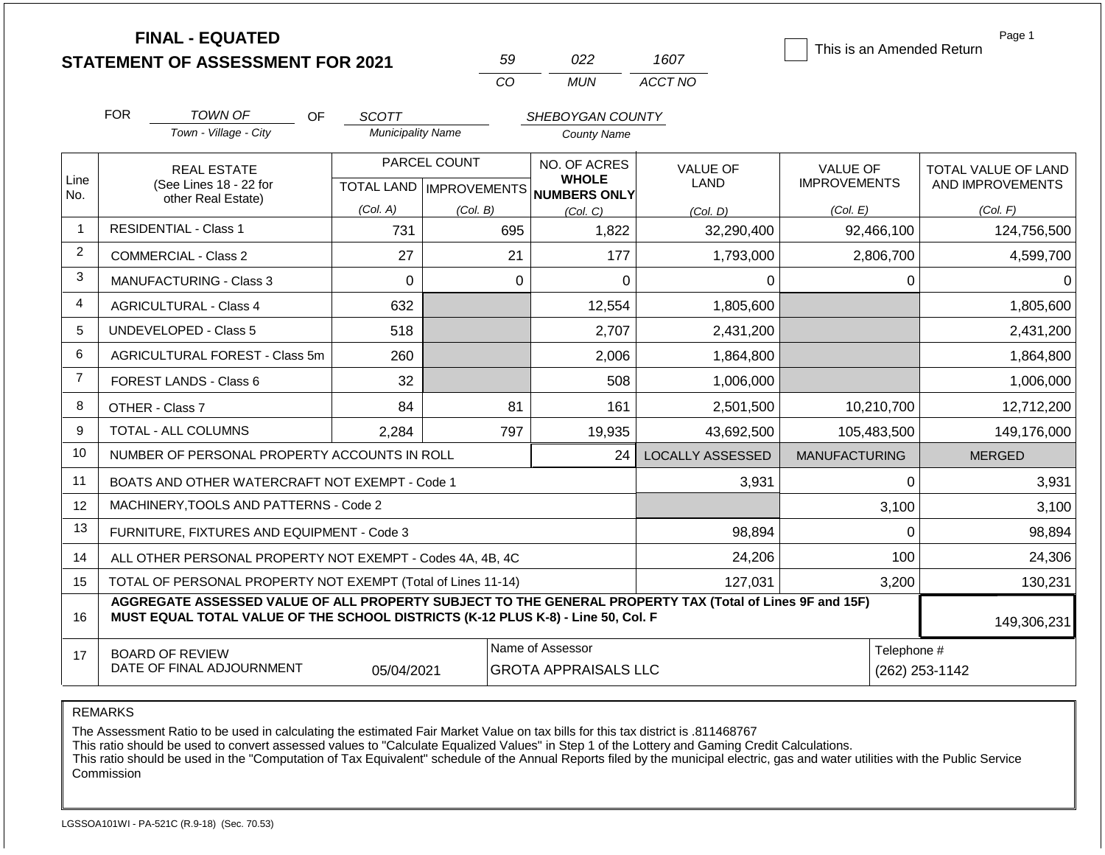|                | <b>FINAL - EQUATED</b><br><b>STATEMENT OF ASSESSMENT FOR 2021</b>                                                                                                                            |                                          | 59                        | 022                                             | 1607                    | This is an Amended Return     | Page 1              |  |
|----------------|----------------------------------------------------------------------------------------------------------------------------------------------------------------------------------------------|------------------------------------------|---------------------------|-------------------------------------------------|-------------------------|-------------------------------|---------------------|--|
|                |                                                                                                                                                                                              |                                          | CO                        | <b>MUN</b>                                      | ACCT NO                 |                               |                     |  |
|                |                                                                                                                                                                                              |                                          |                           |                                                 |                         |                               |                     |  |
|                | <b>FOR</b><br>TOWN OF<br>OF<br>Town - Village - City                                                                                                                                         | <b>SCOTT</b><br><b>Municipality Name</b> |                           | SHEBOYGAN COUNTY<br><b>County Name</b>          |                         |                               |                     |  |
|                |                                                                                                                                                                                              |                                          |                           |                                                 |                         |                               |                     |  |
|                | <b>REAL ESTATE</b>                                                                                                                                                                           |                                          | PARCEL COUNT              | NO. OF ACRES<br><b>WHOLE</b>                    | <b>VALUE OF</b>         | <b>VALUE OF</b>               | TOTAL VALUE OF LAND |  |
| Line<br>No.    | (See Lines 18 - 22 for<br>other Real Estate)                                                                                                                                                 |                                          | TOTAL LAND   IMPROVEMENTS | NUMBERS ONLY                                    | LAND                    | <b>IMPROVEMENTS</b>           | AND IMPROVEMENTS    |  |
|                |                                                                                                                                                                                              | (Col. A)                                 | (Col. B)                  | (Col, C)                                        | (Col. D)                | (Col. E)                      | (Col. F)            |  |
| $\overline{1}$ | <b>RESIDENTIAL - Class 1</b>                                                                                                                                                                 | 731                                      | 695                       | 1,822                                           | 32,290,400              | 92,466,100                    | 124,756,500         |  |
| 2              | <b>COMMERCIAL - Class 2</b>                                                                                                                                                                  | 27                                       | 21                        | 177                                             | 1,793,000               | 2,806,700                     | 4,599,700           |  |
| 3              | <b>MANUFACTURING - Class 3</b>                                                                                                                                                               | $\Omega$                                 | $\Omega$                  | $\overline{0}$                                  | 0                       | 0                             | $\Omega$            |  |
| 4              | <b>AGRICULTURAL - Class 4</b>                                                                                                                                                                | 632                                      |                           | 12,554                                          | 1,805,600               |                               | 1,805,600           |  |
| 5              | UNDEVELOPED - Class 5<br>518                                                                                                                                                                 |                                          |                           | 2,707                                           | 2,431,200               |                               | 2,431,200           |  |
| 6              | <b>AGRICULTURAL FOREST - Class 5m</b>                                                                                                                                                        | 260                                      |                           | 2,006                                           | 1,864,800               |                               | 1,864,800           |  |
| $\overline{7}$ | <b>FOREST LANDS - Class 6</b>                                                                                                                                                                | 32                                       |                           | 508                                             | 1,006,000               |                               | 1,006,000           |  |
| 8              | OTHER - Class 7                                                                                                                                                                              | 84                                       | 81                        | 161                                             | 2,501,500               | 10,210,700                    | 12,712,200          |  |
| 9              | <b>TOTAL - ALL COLUMNS</b>                                                                                                                                                                   | 2,284                                    | 797                       | 19,935                                          | 43,692,500              | 105,483,500                   | 149,176,000         |  |
| 10             | NUMBER OF PERSONAL PROPERTY ACCOUNTS IN ROLL                                                                                                                                                 |                                          |                           | 24                                              | <b>LOCALLY ASSESSED</b> | <b>MANUFACTURING</b>          | <b>MERGED</b>       |  |
| 11             | BOATS AND OTHER WATERCRAFT NOT EXEMPT - Code 1                                                                                                                                               |                                          |                           |                                                 | 3,931                   | $\Omega$                      | 3,931               |  |
| 12             | MACHINERY, TOOLS AND PATTERNS - Code 2                                                                                                                                                       |                                          |                           |                                                 |                         | 3,100                         | 3,100               |  |
| 13             | FURNITURE, FIXTURES AND EQUIPMENT - Code 3                                                                                                                                                   |                                          |                           |                                                 | 98,894                  | 0                             | 98,894              |  |
| 14             | ALL OTHER PERSONAL PROPERTY NOT EXEMPT - Codes 4A, 4B, 4C                                                                                                                                    |                                          |                           |                                                 | 24,206                  | 100                           | 24,306              |  |
| 15             | TOTAL OF PERSONAL PROPERTY NOT EXEMPT (Total of Lines 11-14)                                                                                                                                 |                                          |                           |                                                 | 127,031                 | 3,200                         | 130,231             |  |
| 16             | AGGREGATE ASSESSED VALUE OF ALL PROPERTY SUBJECT TO THE GENERAL PROPERTY TAX (Total of Lines 9F and 15F)<br>MUST EQUAL TOTAL VALUE OF THE SCHOOL DISTRICTS (K-12 PLUS K-8) - Line 50, Col. F |                                          |                           |                                                 |                         |                               | 149,306,231         |  |
| 17             | <b>BOARD OF REVIEW</b><br>DATE OF FINAL ADJOURNMENT                                                                                                                                          | 05/04/2021                               |                           | Name of Assessor<br><b>GROTA APPRAISALS LLC</b> |                         | Telephone #<br>(262) 253-1142 |                     |  |

REMARKS

The Assessment Ratio to be used in calculating the estimated Fair Market Value on tax bills for this tax district is .811468767

This ratio should be used to convert assessed values to "Calculate Equalized Values" in Step 1 of the Lottery and Gaming Credit Calculations.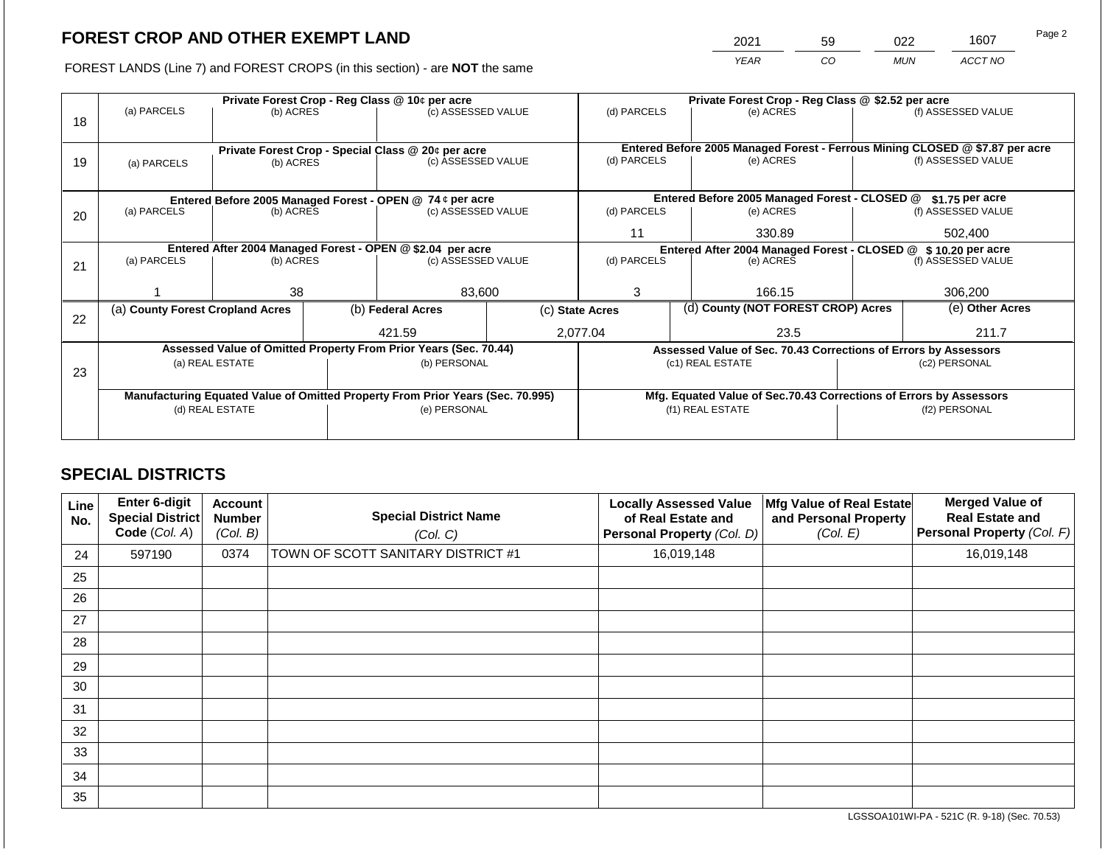2021 59 022 1607

FOREST LANDS (Line 7) and FOREST CROPS (in this section) - are **NOT** the same *YEAR CO MUN ACCT NO*

|    |                                                                                |                          |  | Private Forest Crop - Reg Class @ 10¢ per acre                           |  | Private Forest Crop - Reg Class @ \$2.52 per acre             |                                                                    |  |                                                                                                    |  |  |
|----|--------------------------------------------------------------------------------|--------------------------|--|--------------------------------------------------------------------------|--|---------------------------------------------------------------|--------------------------------------------------------------------|--|----------------------------------------------------------------------------------------------------|--|--|
|    | (a) PARCELS                                                                    | (b) ACRES                |  | (c) ASSESSED VALUE                                                       |  | (d) PARCELS                                                   | (e) ACRES                                                          |  | (f) ASSESSED VALUE                                                                                 |  |  |
| 18 |                                                                                |                          |  |                                                                          |  |                                                               |                                                                    |  |                                                                                                    |  |  |
|    |                                                                                |                          |  |                                                                          |  |                                                               |                                                                    |  |                                                                                                    |  |  |
|    |                                                                                |                          |  | Private Forest Crop - Special Class @ 20¢ per acre<br>(c) ASSESSED VALUE |  | (d) PARCELS                                                   | (e) ACRES                                                          |  | Entered Before 2005 Managed Forest - Ferrous Mining CLOSED @ \$7.87 per acre<br>(f) ASSESSED VALUE |  |  |
| 19 | (a) PARCELS                                                                    | (b) ACRES                |  |                                                                          |  |                                                               |                                                                    |  |                                                                                                    |  |  |
|    |                                                                                |                          |  |                                                                          |  |                                                               |                                                                    |  |                                                                                                    |  |  |
|    |                                                                                |                          |  | Entered Before 2005 Managed Forest - OPEN @ 74 ¢ per acre                |  |                                                               | Entered Before 2005 Managed Forest - CLOSED @                      |  | $$1.75$ per acre                                                                                   |  |  |
| 20 | (a) PARCELS                                                                    | (b) ACRES                |  | (c) ASSESSED VALUE                                                       |  | (d) PARCELS                                                   | (e) ACRES                                                          |  | (f) ASSESSED VALUE                                                                                 |  |  |
|    |                                                                                |                          |  |                                                                          |  |                                                               |                                                                    |  |                                                                                                    |  |  |
|    |                                                                                |                          |  |                                                                          |  | 11<br>330.89                                                  |                                                                    |  | 502.400                                                                                            |  |  |
|    | Entered After 2004 Managed Forest - OPEN @ \$2.04 per acre                     |                          |  |                                                                          |  | Entered After 2004 Managed Forest - CLOSED @ \$10.20 per acre |                                                                    |  |                                                                                                    |  |  |
| 21 |                                                                                | (a) PARCELS<br>(b) ACRES |  | (c) ASSESSED VALUE                                                       |  | (d) PARCELS                                                   | (e) ACRES                                                          |  | (f) ASSESSED VALUE                                                                                 |  |  |
|    |                                                                                |                          |  |                                                                          |  |                                                               |                                                                    |  |                                                                                                    |  |  |
|    |                                                                                | 38                       |  | 83,600                                                                   |  | 3                                                             | 166.15                                                             |  | 306,200                                                                                            |  |  |
|    | (a) County Forest Cropland Acres                                               |                          |  | (b) Federal Acres                                                        |  | (d) County (NOT FOREST CROP) Acres<br>(c) State Acres         |                                                                    |  | (e) Other Acres                                                                                    |  |  |
| 22 |                                                                                |                          |  |                                                                          |  |                                                               |                                                                    |  |                                                                                                    |  |  |
|    |                                                                                |                          |  | 421.59                                                                   |  | 2,077.04                                                      | 23.5                                                               |  | 211.7                                                                                              |  |  |
|    |                                                                                |                          |  | Assessed Value of Omitted Property From Prior Years (Sec. 70.44)         |  |                                                               | Assessed Value of Sec. 70.43 Corrections of Errors by Assessors    |  |                                                                                                    |  |  |
|    |                                                                                | (a) REAL ESTATE          |  | (b) PERSONAL                                                             |  |                                                               | (c1) REAL ESTATE                                                   |  | (c2) PERSONAL                                                                                      |  |  |
| 23 |                                                                                |                          |  |                                                                          |  |                                                               |                                                                    |  |                                                                                                    |  |  |
|    | Manufacturing Equated Value of Omitted Property From Prior Years (Sec. 70.995) |                          |  |                                                                          |  |                                                               | Mfg. Equated Value of Sec.70.43 Corrections of Errors by Assessors |  |                                                                                                    |  |  |
|    |                                                                                | (d) REAL ESTATE          |  | (e) PERSONAL                                                             |  |                                                               | (f1) REAL ESTATE                                                   |  | (f2) PERSONAL                                                                                      |  |  |
|    |                                                                                |                          |  |                                                                          |  |                                                               |                                                                    |  |                                                                                                    |  |  |
|    |                                                                                |                          |  |                                                                          |  |                                                               |                                                                    |  |                                                                                                    |  |  |

## **SPECIAL DISTRICTS**

| Line<br>No. | Enter 6-digit<br><b>Special District</b><br>Code (Col. A) | Account<br><b>Number</b><br>(Col. B) | <b>Special District Name</b><br>(Col. C) | <b>Locally Assessed Value</b><br>of Real Estate and<br>Personal Property (Col. D) | Mfg Value of Real Estate<br>and Personal Property<br>(Col. E) | <b>Merged Value of</b><br><b>Real Estate and</b><br>Personal Property (Col. F) |
|-------------|-----------------------------------------------------------|--------------------------------------|------------------------------------------|-----------------------------------------------------------------------------------|---------------------------------------------------------------|--------------------------------------------------------------------------------|
| 24          | 597190                                                    | 0374                                 | TOWN OF SCOTT SANITARY DISTRICT #1       | 16,019,148                                                                        |                                                               | 16,019,148                                                                     |
| 25          |                                                           |                                      |                                          |                                                                                   |                                                               |                                                                                |
| 26          |                                                           |                                      |                                          |                                                                                   |                                                               |                                                                                |
| 27          |                                                           |                                      |                                          |                                                                                   |                                                               |                                                                                |
| 28          |                                                           |                                      |                                          |                                                                                   |                                                               |                                                                                |
| 29          |                                                           |                                      |                                          |                                                                                   |                                                               |                                                                                |
| 30          |                                                           |                                      |                                          |                                                                                   |                                                               |                                                                                |
| 31          |                                                           |                                      |                                          |                                                                                   |                                                               |                                                                                |
| 32          |                                                           |                                      |                                          |                                                                                   |                                                               |                                                                                |
| 33          |                                                           |                                      |                                          |                                                                                   |                                                               |                                                                                |
| 34          |                                                           |                                      |                                          |                                                                                   |                                                               |                                                                                |
| 35          |                                                           |                                      |                                          |                                                                                   |                                                               |                                                                                |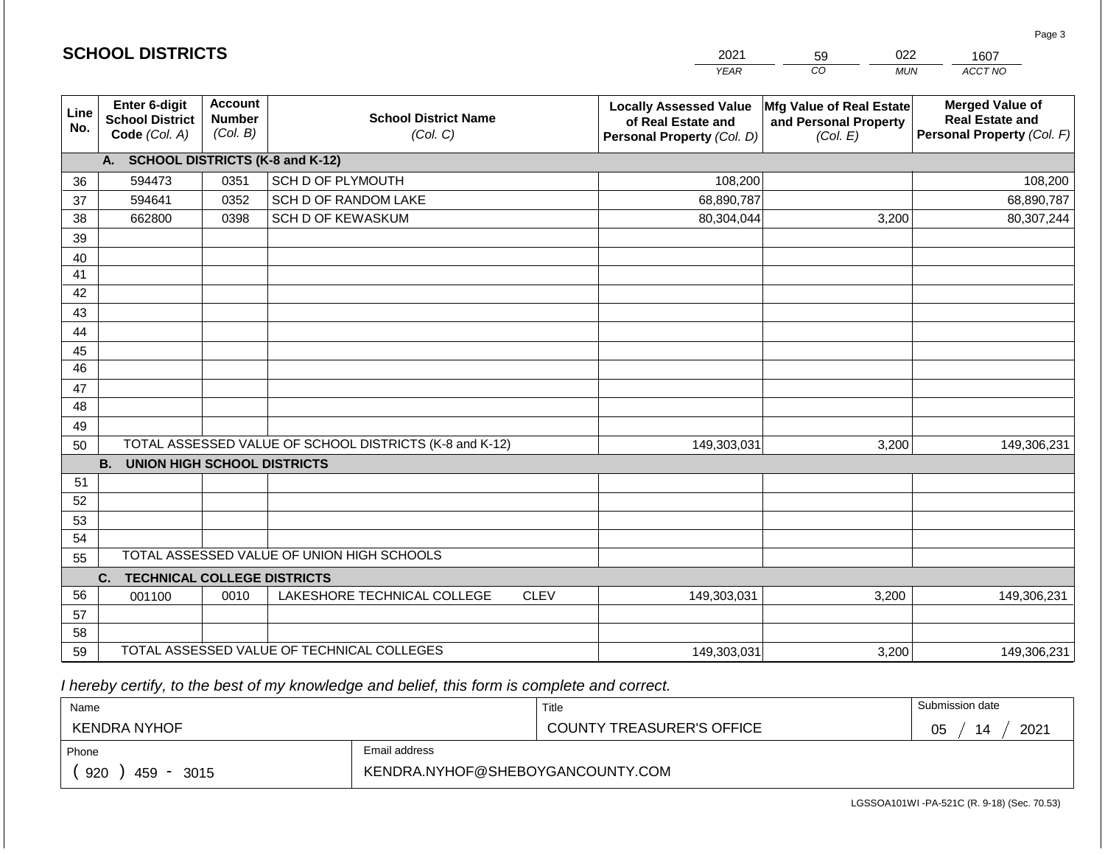|                       | <b>SCHOOL DISTRICTS</b>                                  |                                             |                                                         |             | 2021                                                                              | 022<br>59<br>1607                                             |                                                                                |  |  |
|-----------------------|----------------------------------------------------------|---------------------------------------------|---------------------------------------------------------|-------------|-----------------------------------------------------------------------------------|---------------------------------------------------------------|--------------------------------------------------------------------------------|--|--|
|                       |                                                          |                                             |                                                         |             | <b>YEAR</b>                                                                       | CO<br><b>MUN</b>                                              | ACCT NO                                                                        |  |  |
| Line<br>No.           | Enter 6-digit<br><b>School District</b><br>Code (Col. A) | <b>Account</b><br><b>Number</b><br>(Col. B) | <b>School District Name</b><br>(Col. C)                 |             | <b>Locally Assessed Value</b><br>of Real Estate and<br>Personal Property (Col. D) | Mfg Value of Real Estate<br>and Personal Property<br>(Col. E) | <b>Merged Value of</b><br><b>Real Estate and</b><br>Personal Property (Col. F) |  |  |
|                       | A. SCHOOL DISTRICTS (K-8 and K-12)                       |                                             |                                                         |             |                                                                                   |                                                               |                                                                                |  |  |
| 36                    | 594473                                                   | 0351                                        | SCH D OF PLYMOUTH                                       |             | 108,200                                                                           |                                                               | 108,200                                                                        |  |  |
| 37                    | 594641                                                   | 0352                                        | SCH D OF RANDOM LAKE                                    |             | 68,890,787                                                                        |                                                               | 68,890,787                                                                     |  |  |
| 38                    | 662800                                                   | 0398                                        | SCH D OF KEWASKUM                                       |             | 80,304,044                                                                        | 3,200                                                         | 80,307,244                                                                     |  |  |
| 39                    |                                                          |                                             |                                                         |             |                                                                                   |                                                               |                                                                                |  |  |
| 40                    |                                                          |                                             |                                                         |             |                                                                                   |                                                               |                                                                                |  |  |
| 41                    |                                                          |                                             |                                                         |             |                                                                                   |                                                               |                                                                                |  |  |
| 42                    |                                                          |                                             |                                                         |             |                                                                                   |                                                               |                                                                                |  |  |
| 43                    |                                                          |                                             |                                                         |             |                                                                                   |                                                               |                                                                                |  |  |
| 44                    |                                                          |                                             |                                                         |             |                                                                                   |                                                               |                                                                                |  |  |
| 45<br>$\overline{46}$ |                                                          |                                             |                                                         |             |                                                                                   |                                                               |                                                                                |  |  |
| 47                    |                                                          |                                             |                                                         |             |                                                                                   |                                                               |                                                                                |  |  |
| 48                    |                                                          |                                             |                                                         |             |                                                                                   |                                                               |                                                                                |  |  |
| 49                    |                                                          |                                             |                                                         |             |                                                                                   |                                                               |                                                                                |  |  |
| 50                    |                                                          |                                             | TOTAL ASSESSED VALUE OF SCHOOL DISTRICTS (K-8 and K-12) |             | 149,303,031                                                                       | 3,200                                                         | 149,306,231                                                                    |  |  |
|                       | <b>B.</b><br><b>UNION HIGH SCHOOL DISTRICTS</b>          |                                             |                                                         |             |                                                                                   |                                                               |                                                                                |  |  |
| 51                    |                                                          |                                             |                                                         |             |                                                                                   |                                                               |                                                                                |  |  |
| 52                    |                                                          |                                             |                                                         |             |                                                                                   |                                                               |                                                                                |  |  |
| 53                    |                                                          |                                             |                                                         |             |                                                                                   |                                                               |                                                                                |  |  |
| 54                    |                                                          |                                             |                                                         |             |                                                                                   |                                                               |                                                                                |  |  |
| 55                    |                                                          |                                             | TOTAL ASSESSED VALUE OF UNION HIGH SCHOOLS              |             |                                                                                   |                                                               |                                                                                |  |  |
|                       | C.<br><b>TECHNICAL COLLEGE DISTRICTS</b>                 |                                             |                                                         |             |                                                                                   |                                                               |                                                                                |  |  |
| 56                    | 001100                                                   | 0010                                        | LAKESHORE TECHNICAL COLLEGE                             | <b>CLEV</b> | 149,303,031                                                                       | 3,200                                                         | 149,306,231                                                                    |  |  |
| 57                    |                                                          |                                             |                                                         |             |                                                                                   |                                                               |                                                                                |  |  |
| 58                    |                                                          |                                             |                                                         |             |                                                                                   |                                                               |                                                                                |  |  |
| 59                    |                                                          |                                             | TOTAL ASSESSED VALUE OF TECHNICAL COLLEGES              |             | 149,303,031                                                                       | 3,200                                                         | 149,306,231                                                                    |  |  |

 *I hereby certify, to the best of my knowledge and belief, this form is complete and correct.*

**SCHOOL DISTRICTS**

| Name                                           |                                  | Title                            | Submission date  |
|------------------------------------------------|----------------------------------|----------------------------------|------------------|
| KENDRA NYHOF                                   |                                  | <b>COUNTY TREASURER'S OFFICE</b> | 2021<br>05<br>14 |
| Phone                                          | Email address                    |                                  |                  |
| 920<br>459<br>3015<br>$\overline{\phantom{a}}$ | KENDRA.NYHOF@SHEBOYGANCOUNTY.COM |                                  |                  |

Page 3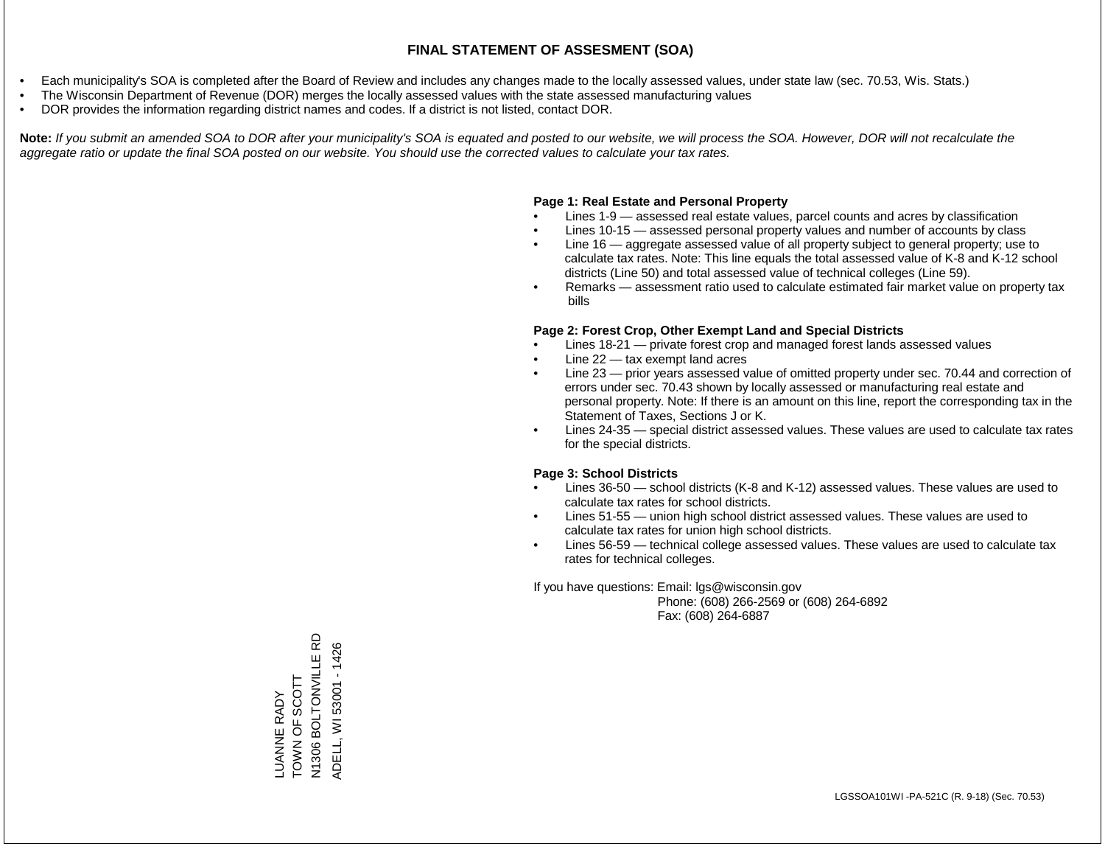- Each municipality's SOA is completed after the Board of Review and includes any changes made to the locally assessed values, under state law (sec. 70.53, Wis. Stats.)
- The Wisconsin Department of Revenue (DOR) merges the locally assessed values with the state assessed manufacturing values
- DOR provides the information regarding district names and codes. If a district is not listed, contact DOR.

Note: If you submit an amended SOA to DOR after your municipality's SOA is equated and posted to our website, we will process the SOA. However, DOR will not recalculate the *aggregate ratio or update the final SOA posted on our website. You should use the corrected values to calculate your tax rates.*

## **Page 1: Real Estate and Personal Property**

- Lines 1-9 assessed real estate values, parcel counts and acres by classification
- Lines 10-15 assessed personal property values and number of accounts by class
- Line 16 aggregate assessed value of all property subject to general property; use to calculate tax rates. Note: This line equals the total assessed value of K-8 and K-12 school districts (Line 50) and total assessed value of technical colleges (Line 59).
- Remarks assessment ratio used to calculate estimated fair market value on property tax bills

## **Page 2: Forest Crop, Other Exempt Land and Special Districts**

- Lines 18-21 private forest crop and managed forest lands assessed values
- Line  $22 -$  tax exempt land acres
- Line 23 prior years assessed value of omitted property under sec. 70.44 and correction of errors under sec. 70.43 shown by locally assessed or manufacturing real estate and personal property. Note: If there is an amount on this line, report the corresponding tax in the Statement of Taxes, Sections J or K.
- Lines 24-35 special district assessed values. These values are used to calculate tax rates for the special districts.

## **Page 3: School Districts**

- Lines 36-50 school districts (K-8 and K-12) assessed values. These values are used to calculate tax rates for school districts.
- Lines 51-55 union high school district assessed values. These values are used to calculate tax rates for union high school districts.
- Lines 56-59 technical college assessed values. These values are used to calculate tax rates for technical colleges.

If you have questions: Email: lgs@wisconsin.gov

 Phone: (608) 266-2569 or (608) 264-6892 Fax: (608) 264-6887

N1306 BOLTONVILLE RD N1306 BOLTONVILLE RD ADELL, WI 53001 - 1426 ADELL, WI 53001 - 1426LUANNE RADY<br>TOWN OF SCOTT TOWN OF SCOTT LUANNE RADY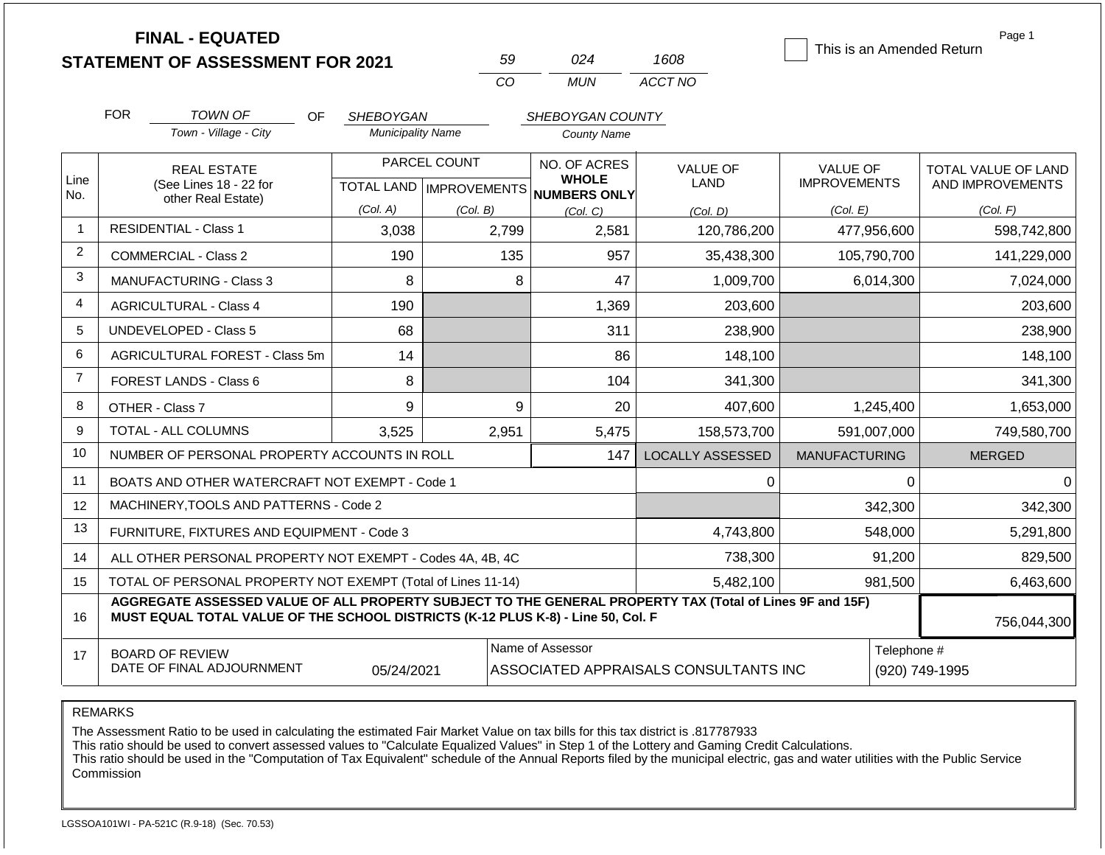|                | <b>FINAL - EQUATED</b><br><b>STATEMENT OF ASSESSMENT FOR 2021</b>                                                                                                                            |                          | 59                                               | 024                                                 | 1608                                  | This is an Amended Return              | Page 1                                  |  |
|----------------|----------------------------------------------------------------------------------------------------------------------------------------------------------------------------------------------|--------------------------|--------------------------------------------------|-----------------------------------------------------|---------------------------------------|----------------------------------------|-----------------------------------------|--|
|                |                                                                                                                                                                                              |                          | CO                                               | <b>MUN</b>                                          | ACCT NO                               |                                        |                                         |  |
|                | <b>FOR</b><br><b>TOWN OF</b><br>OF.                                                                                                                                                          | <b>SHEBOYGAN</b>         |                                                  | SHEBOYGAN COUNTY                                    |                                       |                                        |                                         |  |
|                | Town - Village - City                                                                                                                                                                        | <b>Municipality Name</b> |                                                  | <b>County Name</b>                                  |                                       |                                        |                                         |  |
| Line<br>No.    | <b>REAL ESTATE</b><br>(See Lines 18 - 22 for                                                                                                                                                 |                          | PARCEL COUNT<br><b>TOTAL LAND   IMPROVEMENTS</b> | NO. OF ACRES<br><b>WHOLE</b><br><b>NUMBERS ONLY</b> | <b>VALUE OF</b><br>LAND               | <b>VALUE OF</b><br><b>IMPROVEMENTS</b> | TOTAL VALUE OF LAND<br>AND IMPROVEMENTS |  |
|                | other Real Estate)                                                                                                                                                                           | (Col. A)                 | (Col. B)                                         | (Col. C)                                            | (Col, D)                              | (Col. E)                               | (Col. F)                                |  |
| 1              | <b>RESIDENTIAL - Class 1</b>                                                                                                                                                                 | 3,038                    | 2,799                                            | 2,581                                               | 120,786,200                           | 477,956,600                            | 598,742,800                             |  |
| $\overline{c}$ | <b>COMMERCIAL - Class 2</b>                                                                                                                                                                  | 190                      | 135                                              | 957                                                 | 35,438,300                            | 105,790,700                            | 141,229,000                             |  |
| 3              | <b>MANUFACTURING - Class 3</b>                                                                                                                                                               | 8                        | 8                                                | 47                                                  | 1,009,700                             | 6,014,300                              | 7,024,000                               |  |
| 4              | <b>AGRICULTURAL - Class 4</b>                                                                                                                                                                | 190                      |                                                  | 1,369                                               | 203,600                               |                                        | 203,600                                 |  |
| 5              | UNDEVELOPED - Class 5<br>68                                                                                                                                                                  |                          |                                                  | 311                                                 | 238,900                               |                                        | 238,900                                 |  |
| 6              | AGRICULTURAL FOREST - Class 5m                                                                                                                                                               | 14                       |                                                  | 86                                                  | 148,100                               |                                        | 148,100                                 |  |
| $\overline{7}$ | FOREST LANDS - Class 6                                                                                                                                                                       | 8                        |                                                  | 104<br>341,300                                      |                                       |                                        | 341,300                                 |  |
| 8              | OTHER - Class 7                                                                                                                                                                              | 9                        | 9                                                | 20                                                  | 407,600                               | 1,245,400                              | 1,653,000                               |  |
| 9              | TOTAL - ALL COLUMNS                                                                                                                                                                          | 3,525                    | 2,951                                            | 5,475                                               | 158,573,700                           | 591,007,000                            | 749,580,700                             |  |
| 10             | NUMBER OF PERSONAL PROPERTY ACCOUNTS IN ROLL                                                                                                                                                 |                          |                                                  | 147                                                 | <b>LOCALLY ASSESSED</b>               | <b>MANUFACTURING</b>                   | <b>MERGED</b>                           |  |
| 11             | BOATS AND OTHER WATERCRAFT NOT EXEMPT - Code 1                                                                                                                                               |                          |                                                  |                                                     | 0                                     | 0                                      | 0                                       |  |
| 12             | MACHINERY, TOOLS AND PATTERNS - Code 2                                                                                                                                                       |                          |                                                  |                                                     |                                       | 342,300                                | 342,300                                 |  |
| 13             | FURNITURE, FIXTURES AND EQUIPMENT - Code 3                                                                                                                                                   |                          |                                                  |                                                     | 4,743,800                             | 548,000                                | 5,291,800                               |  |
| 14             | ALL OTHER PERSONAL PROPERTY NOT EXEMPT - Codes 4A, 4B, 4C                                                                                                                                    |                          |                                                  |                                                     | 738,300                               | 91,200                                 | 829,500                                 |  |
| 15             | TOTAL OF PERSONAL PROPERTY NOT EXEMPT (Total of Lines 11-14)                                                                                                                                 |                          |                                                  |                                                     | 5,482,100                             | 981,500                                | 6,463,600                               |  |
| 16             | AGGREGATE ASSESSED VALUE OF ALL PROPERTY SUBJECT TO THE GENERAL PROPERTY TAX (Total of Lines 9F and 15F)<br>MUST EQUAL TOTAL VALUE OF THE SCHOOL DISTRICTS (K-12 PLUS K-8) - Line 50, Col. F |                          |                                                  |                                                     |                                       |                                        | 756,044,300                             |  |
| 17             | <b>BOARD OF REVIEW</b><br>DATE OF FINAL ADJOURNMENT                                                                                                                                          | 05/24/2021               |                                                  | Name of Assessor                                    | ASSOCIATED APPRAISALS CONSULTANTS INC | Telephone #<br>(920) 749-1995          |                                         |  |

REMARKS

The Assessment Ratio to be used in calculating the estimated Fair Market Value on tax bills for this tax district is .817787933

This ratio should be used to convert assessed values to "Calculate Equalized Values" in Step 1 of the Lottery and Gaming Credit Calculations.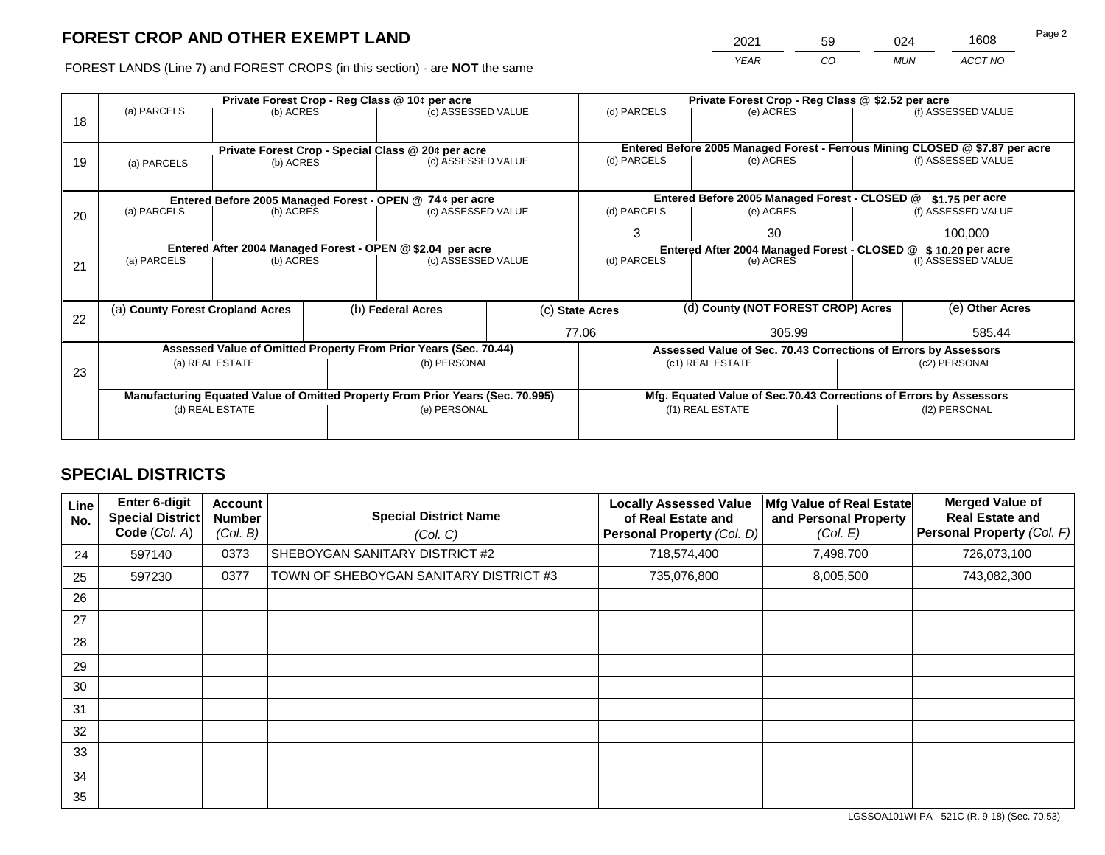2021 59 024 1608

FOREST LANDS (Line 7) and FOREST CROPS (in this section) - are **NOT** the same *YEAR CO MUN ACCT NO*

|    |                                                                                | Private Forest Crop - Reg Class @ 10¢ per acre |  |                                                                  |                                                                    | Private Forest Crop - Reg Class @ \$2.52 per acre |  |                                                                |                                                                              |                    |  |
|----|--------------------------------------------------------------------------------|------------------------------------------------|--|------------------------------------------------------------------|--------------------------------------------------------------------|---------------------------------------------------|--|----------------------------------------------------------------|------------------------------------------------------------------------------|--------------------|--|
| 18 | (a) PARCELS                                                                    | (b) ACRES                                      |  | (c) ASSESSED VALUE                                               |                                                                    | (d) PARCELS                                       |  | (e) ACRES                                                      |                                                                              | (f) ASSESSED VALUE |  |
|    |                                                                                |                                                |  |                                                                  |                                                                    |                                                   |  |                                                                |                                                                              |                    |  |
|    |                                                                                |                                                |  | Private Forest Crop - Special Class @ 20¢ per acre               |                                                                    |                                                   |  |                                                                | Entered Before 2005 Managed Forest - Ferrous Mining CLOSED @ \$7.87 per acre |                    |  |
| 19 | (a) PARCELS                                                                    | (b) ACRES                                      |  | (c) ASSESSED VALUE                                               |                                                                    | (d) PARCELS                                       |  | (e) ACRES                                                      |                                                                              | (f) ASSESSED VALUE |  |
|    |                                                                                |                                                |  |                                                                  |                                                                    |                                                   |  |                                                                |                                                                              |                    |  |
|    |                                                                                |                                                |  | Entered Before 2005 Managed Forest - OPEN @ 74 ¢ per acre        |                                                                    |                                                   |  | Entered Before 2005 Managed Forest - CLOSED @                  |                                                                              | $$1.75$ per acre   |  |
| 20 | (a) PARCELS<br>(b) ACRES                                                       |                                                |  | (c) ASSESSED VALUE                                               |                                                                    | (d) PARCELS                                       |  | (e) ACRES                                                      |                                                                              | (f) ASSESSED VALUE |  |
|    |                                                                                |                                                |  |                                                                  |                                                                    | 3                                                 |  | 30                                                             |                                                                              | 100,000            |  |
|    | Entered After 2004 Managed Forest - OPEN @ \$2.04 per acre                     |                                                |  |                                                                  |                                                                    |                                                   |  | Entered After 2004 Managed Forest - CLOSED @ \$ 10.20 per acre |                                                                              |                    |  |
| 21 | (a) PARCELS                                                                    | (b) ACRES                                      |  | (c) ASSESSED VALUE                                               |                                                                    | (d) PARCELS                                       |  | (e) ACRES                                                      |                                                                              | (f) ASSESSED VALUE |  |
|    |                                                                                |                                                |  |                                                                  |                                                                    |                                                   |  |                                                                |                                                                              |                    |  |
|    |                                                                                |                                                |  |                                                                  |                                                                    |                                                   |  |                                                                |                                                                              |                    |  |
| 22 | (a) County Forest Cropland Acres                                               |                                                |  | (b) Federal Acres                                                |                                                                    | (c) State Acres                                   |  | (d) County (NOT FOREST CROP) Acres                             |                                                                              | (e) Other Acres    |  |
|    |                                                                                |                                                |  |                                                                  |                                                                    | 77.06                                             |  | 305.99                                                         |                                                                              | 585.44             |  |
|    |                                                                                |                                                |  | Assessed Value of Omitted Property From Prior Years (Sec. 70.44) |                                                                    |                                                   |  |                                                                | Assessed Value of Sec. 70.43 Corrections of Errors by Assessors              |                    |  |
|    |                                                                                | (a) REAL ESTATE                                |  | (b) PERSONAL                                                     |                                                                    |                                                   |  | (c1) REAL ESTATE                                               | (c2) PERSONAL                                                                |                    |  |
| 23 |                                                                                |                                                |  |                                                                  |                                                                    |                                                   |  |                                                                |                                                                              |                    |  |
|    | Manufacturing Equated Value of Omitted Property From Prior Years (Sec. 70.995) |                                                |  |                                                                  | Mfg. Equated Value of Sec.70.43 Corrections of Errors by Assessors |                                                   |  |                                                                |                                                                              |                    |  |
|    | (d) REAL ESTATE                                                                |                                                |  | (e) PERSONAL                                                     |                                                                    |                                                   |  | (f1) REAL ESTATE                                               |                                                                              | (f2) PERSONAL      |  |
|    |                                                                                |                                                |  |                                                                  |                                                                    |                                                   |  |                                                                |                                                                              |                    |  |
|    |                                                                                |                                                |  |                                                                  |                                                                    |                                                   |  |                                                                |                                                                              |                    |  |

## **SPECIAL DISTRICTS**

| Line<br>No. | <b>Enter 6-digit</b><br>Special District<br>Code (Col. A) | <b>Account</b><br><b>Number</b><br>(Col. B) | <b>Special District Name</b><br>(Col. C) | <b>Locally Assessed Value</b><br>of Real Estate and<br>Personal Property (Col. D) | Mfg Value of Real Estate<br>and Personal Property<br>(Col. E) | <b>Merged Value of</b><br><b>Real Estate and</b><br>Personal Property (Col. F) |
|-------------|-----------------------------------------------------------|---------------------------------------------|------------------------------------------|-----------------------------------------------------------------------------------|---------------------------------------------------------------|--------------------------------------------------------------------------------|
| 24          | 597140                                                    | 0373                                        | SHEBOYGAN SANITARY DISTRICT #2           | 718,574,400                                                                       | 7,498,700                                                     | 726,073,100                                                                    |
| 25          | 597230                                                    | 0377                                        | TOWN OF SHEBOYGAN SANITARY DISTRICT #3   | 735,076,800                                                                       | 8,005,500                                                     | 743,082,300                                                                    |
| 26          |                                                           |                                             |                                          |                                                                                   |                                                               |                                                                                |
| 27          |                                                           |                                             |                                          |                                                                                   |                                                               |                                                                                |
| 28          |                                                           |                                             |                                          |                                                                                   |                                                               |                                                                                |
| 29          |                                                           |                                             |                                          |                                                                                   |                                                               |                                                                                |
| 30          |                                                           |                                             |                                          |                                                                                   |                                                               |                                                                                |
| 31          |                                                           |                                             |                                          |                                                                                   |                                                               |                                                                                |
| 32          |                                                           |                                             |                                          |                                                                                   |                                                               |                                                                                |
| 33          |                                                           |                                             |                                          |                                                                                   |                                                               |                                                                                |
| 34          |                                                           |                                             |                                          |                                                                                   |                                                               |                                                                                |
| 35          |                                                           |                                             |                                          |                                                                                   |                                                               |                                                                                |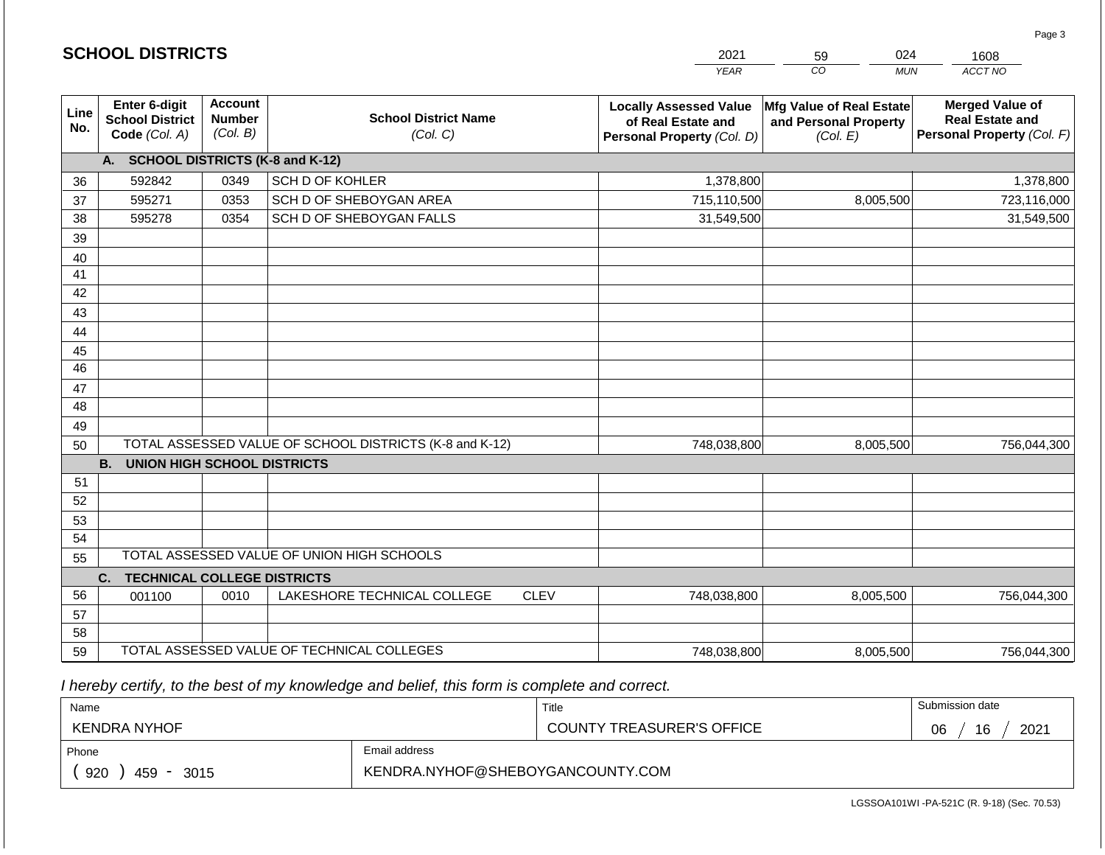|                 |                                                          |                                             |                                                         |             | <b>YEAR</b>                                                                       | $\overline{co}$<br><b>MUN</b>                                 | ACCT NO                                                                        |
|-----------------|----------------------------------------------------------|---------------------------------------------|---------------------------------------------------------|-------------|-----------------------------------------------------------------------------------|---------------------------------------------------------------|--------------------------------------------------------------------------------|
| Line<br>No.     | Enter 6-digit<br><b>School District</b><br>Code (Col. A) | <b>Account</b><br><b>Number</b><br>(Col. B) | <b>School District Name</b><br>(Col. C)                 |             | <b>Locally Assessed Value</b><br>of Real Estate and<br>Personal Property (Col. D) | Mfg Value of Real Estate<br>and Personal Property<br>(Col. E) | <b>Merged Value of</b><br><b>Real Estate and</b><br>Personal Property (Col. F) |
|                 | A.                                                       |                                             | <b>SCHOOL DISTRICTS (K-8 and K-12)</b>                  |             |                                                                                   |                                                               |                                                                                |
| 36              | 592842                                                   | 0349                                        | SCH D OF KOHLER                                         |             | 1,378,800                                                                         |                                                               | 1,378,800                                                                      |
| 37              | 595271                                                   | 0353                                        | SCH D OF SHEBOYGAN AREA                                 |             | 715,110,500                                                                       | 8,005,500                                                     | 723,116,000                                                                    |
| 38              | 595278                                                   | 0354                                        | SCH D OF SHEBOYGAN FALLS                                |             | 31,549,500                                                                        |                                                               | 31,549,500                                                                     |
| 39              |                                                          |                                             |                                                         |             |                                                                                   |                                                               |                                                                                |
| 40              |                                                          |                                             |                                                         |             |                                                                                   |                                                               |                                                                                |
| 41              |                                                          |                                             |                                                         |             |                                                                                   |                                                               |                                                                                |
| 42              |                                                          |                                             |                                                         |             |                                                                                   |                                                               |                                                                                |
| 43              |                                                          |                                             |                                                         |             |                                                                                   |                                                               |                                                                                |
| 44              |                                                          |                                             |                                                         |             |                                                                                   |                                                               |                                                                                |
| 45              |                                                          |                                             |                                                         |             |                                                                                   |                                                               |                                                                                |
| $\overline{46}$ |                                                          |                                             |                                                         |             |                                                                                   |                                                               |                                                                                |
| 47              |                                                          |                                             |                                                         |             |                                                                                   |                                                               |                                                                                |
| 48              |                                                          |                                             |                                                         |             |                                                                                   |                                                               |                                                                                |
| 49              |                                                          |                                             |                                                         |             |                                                                                   |                                                               |                                                                                |
| 50              |                                                          |                                             | TOTAL ASSESSED VALUE OF SCHOOL DISTRICTS (K-8 and K-12) |             | 748,038,800                                                                       | 8,005,500                                                     | 756,044,300                                                                    |
|                 | <b>B.</b><br><b>UNION HIGH SCHOOL DISTRICTS</b>          |                                             |                                                         |             |                                                                                   |                                                               |                                                                                |
| 51              |                                                          |                                             |                                                         |             |                                                                                   |                                                               |                                                                                |
| 52              |                                                          |                                             |                                                         |             |                                                                                   |                                                               |                                                                                |
| 53<br>54        |                                                          |                                             |                                                         |             |                                                                                   |                                                               |                                                                                |
| 55              |                                                          |                                             | TOTAL ASSESSED VALUE OF UNION HIGH SCHOOLS              |             |                                                                                   |                                                               |                                                                                |
|                 | C.<br><b>TECHNICAL COLLEGE DISTRICTS</b>                 |                                             |                                                         |             |                                                                                   |                                                               |                                                                                |
| 56              | 001100                                                   | 0010                                        | LAKESHORE TECHNICAL COLLEGE                             | <b>CLEV</b> | 748,038,800                                                                       | 8,005,500                                                     | 756,044,300                                                                    |
| 57              |                                                          |                                             |                                                         |             |                                                                                   |                                                               |                                                                                |
| 58              |                                                          |                                             |                                                         |             |                                                                                   |                                                               |                                                                                |
| 59              |                                                          |                                             | TOTAL ASSESSED VALUE OF TECHNICAL COLLEGES              |             | 748,038,800                                                                       | 8,005,500                                                     | 756,044,300                                                                    |

2021

59

024

 *I hereby certify, to the best of my knowledge and belief, this form is complete and correct.*

**SCHOOL DISTRICTS**

| Name                                           |                                  | Title                            | Submission date  |
|------------------------------------------------|----------------------------------|----------------------------------|------------------|
| KENDRA NYHOF                                   |                                  | <b>COUNTY TREASURER'S OFFICE</b> | 2021<br>16<br>06 |
| Phone                                          | Email address                    |                                  |                  |
| 920<br>459<br>3015<br>$\overline{\phantom{a}}$ | KENDRA.NYHOF@SHEBOYGANCOUNTY.COM |                                  |                  |

Page 3

1608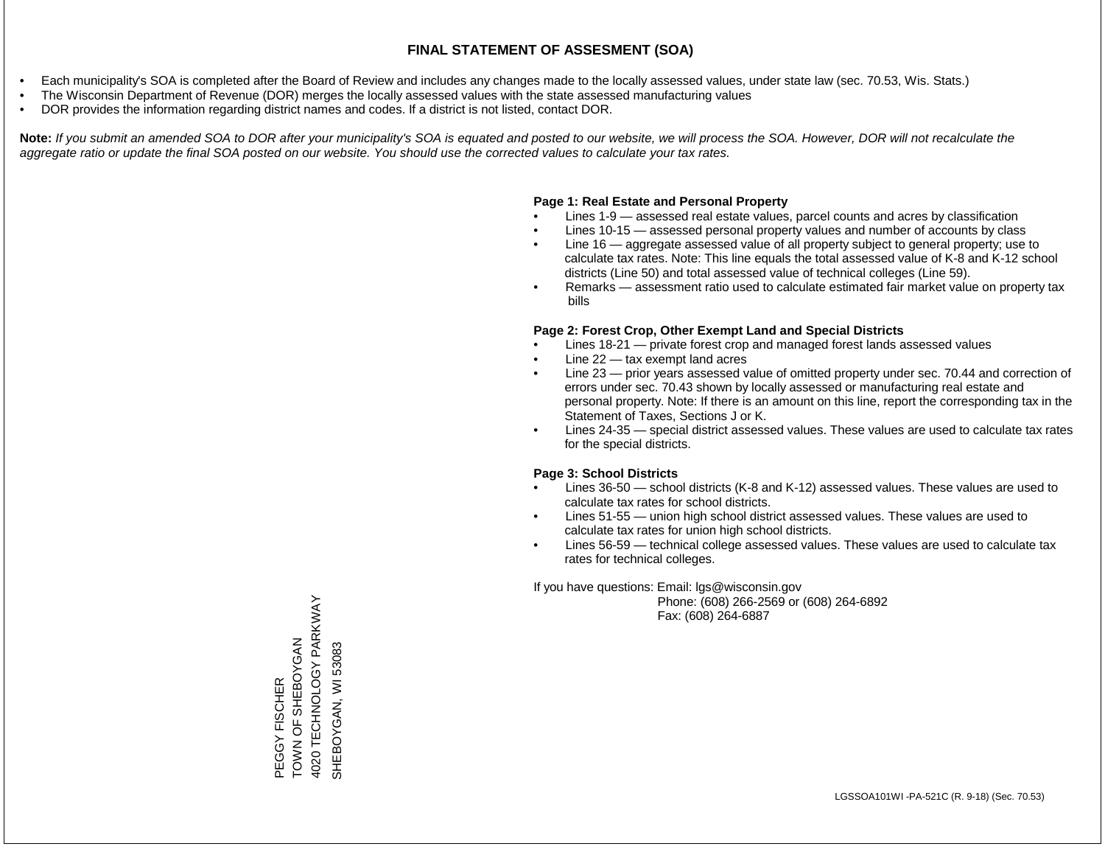- Each municipality's SOA is completed after the Board of Review and includes any changes made to the locally assessed values, under state law (sec. 70.53, Wis. Stats.)
- The Wisconsin Department of Revenue (DOR) merges the locally assessed values with the state assessed manufacturing values
- DOR provides the information regarding district names and codes. If a district is not listed, contact DOR.

Note: If you submit an amended SOA to DOR after your municipality's SOA is equated and posted to our website, we will process the SOA. However, DOR will not recalculate the *aggregate ratio or update the final SOA posted on our website. You should use the corrected values to calculate your tax rates.*

## **Page 1: Real Estate and Personal Property**

- Lines 1-9 assessed real estate values, parcel counts and acres by classification
- Lines 10-15 assessed personal property values and number of accounts by class
- Line 16 aggregate assessed value of all property subject to general property; use to calculate tax rates. Note: This line equals the total assessed value of K-8 and K-12 school districts (Line 50) and total assessed value of technical colleges (Line 59).
- Remarks assessment ratio used to calculate estimated fair market value on property tax bills

## **Page 2: Forest Crop, Other Exempt Land and Special Districts**

- Lines 18-21 private forest crop and managed forest lands assessed values
- Line  $22 -$  tax exempt land acres
- Line 23 prior years assessed value of omitted property under sec. 70.44 and correction of errors under sec. 70.43 shown by locally assessed or manufacturing real estate and personal property. Note: If there is an amount on this line, report the corresponding tax in the Statement of Taxes, Sections J or K.
- Lines 24-35 special district assessed values. These values are used to calculate tax rates for the special districts.

## **Page 3: School Districts**

- Lines 36-50 school districts (K-8 and K-12) assessed values. These values are used to calculate tax rates for school districts.
- Lines 51-55 union high school district assessed values. These values are used to calculate tax rates for union high school districts.
- Lines 56-59 technical college assessed values. These values are used to calculate tax rates for technical colleges.

If you have questions: Email: lgs@wisconsin.gov

 Phone: (608) 266-2569 or (608) 264-6892 Fax: (608) 264-6887

PEGGY FISCHER<br>TOWN OF SHEBOYGAN<br>4020 TECHNOLOGY PARKWAY 4020 TECHNOLOGY PARKWAY NAN SHORT SHOW SHAFF SHOW SHAFEBOY OF SHEP SHOW SHAFF SHAFF SHAFF SHAFF SHAFF SHAFF SHAFF SHAFF SHAFF SHAFF SH SHEBOYGAN, WI 53083 SHEBOYGAN, WI 53083PEGGY FISCHER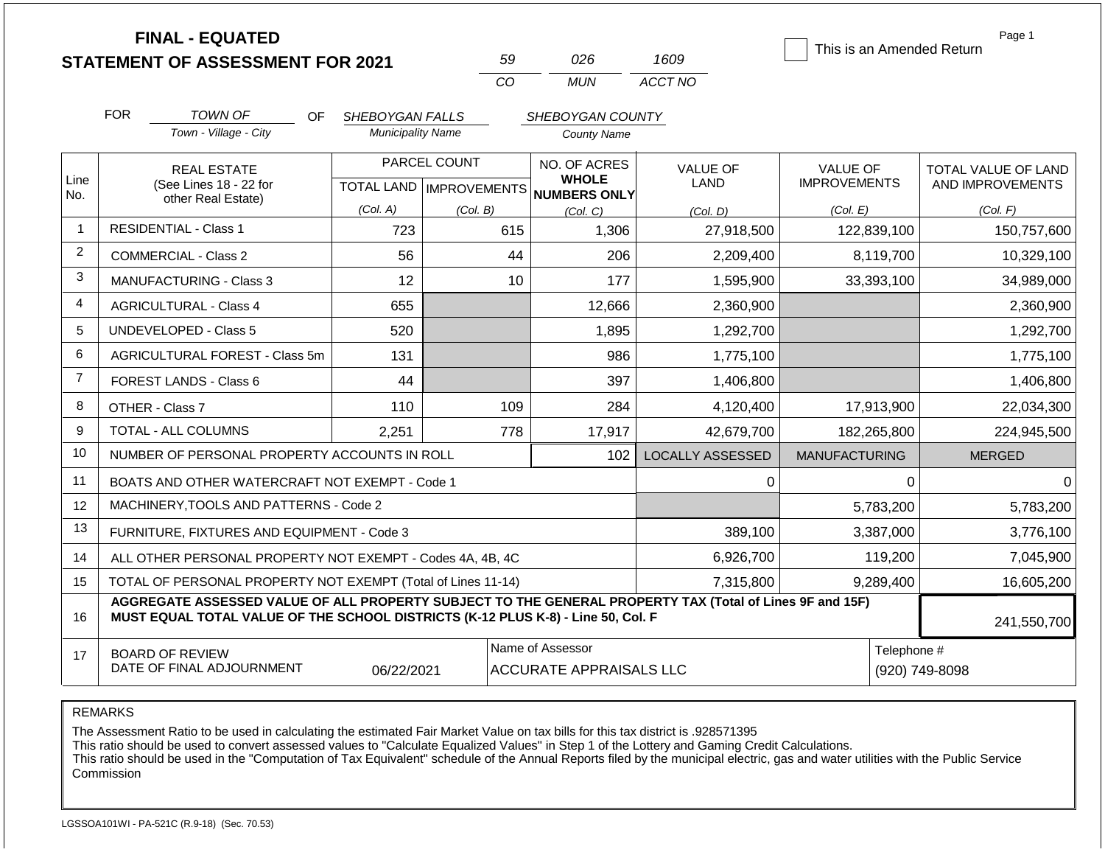|                |                                                                   | <b>FINAL - EQUATED</b><br><b>STATEMENT OF ASSESSMENT FOR 2021</b>                                                                                                                            |                          |              | 59                                                   | 026                                                | 1609                    |                      |             | Page 1<br>This is an Amended Return |
|----------------|-------------------------------------------------------------------|----------------------------------------------------------------------------------------------------------------------------------------------------------------------------------------------|--------------------------|--------------|------------------------------------------------------|----------------------------------------------------|-------------------------|----------------------|-------------|-------------------------------------|
|                |                                                                   |                                                                                                                                                                                              |                          |              | CO                                                   | <b>MUN</b>                                         | ACCT NO                 |                      |             |                                     |
|                | <b>FOR</b>                                                        | <b>TOWN OF</b><br>OF.                                                                                                                                                                        | SHEBOYGAN FALLS          |              |                                                      | SHEBOYGAN COUNTY                                   |                         |                      |             |                                     |
|                |                                                                   | Town - Village - City                                                                                                                                                                        | <b>Municipality Name</b> |              |                                                      | <b>County Name</b>                                 |                         |                      |             |                                     |
|                |                                                                   | <b>REAL ESTATE</b>                                                                                                                                                                           |                          | PARCEL COUNT |                                                      | NO. OF ACRES                                       | <b>VALUE OF</b>         | <b>VALUE OF</b>      |             | TOTAL VALUE OF LAND                 |
| Line<br>No.    | (See Lines 18 - 22 for<br>other Real Estate)                      |                                                                                                                                                                                              |                          |              | <b>WHOLE</b><br>TOTAL LAND IMPROVEMENTS NUMBERS ONLY |                                                    | <b>LAND</b>             | <b>IMPROVEMENTS</b>  |             | AND IMPROVEMENTS                    |
|                |                                                                   |                                                                                                                                                                                              | (Col. A)                 | (Col. B)     |                                                      | (Col, C)                                           | (Col. D)                | (Col. E)             |             | (Col. F)                            |
|                |                                                                   | <b>RESIDENTIAL - Class 1</b>                                                                                                                                                                 | 723                      |              | 615                                                  | 1,306                                              | 27,918,500              |                      | 122,839,100 | 150,757,600                         |
| $\overline{2}$ |                                                                   | <b>COMMERCIAL - Class 2</b>                                                                                                                                                                  | 56                       |              | 44                                                   | 206                                                | 2,209,400               |                      | 8,119,700   | 10,329,100                          |
| 3              |                                                                   | <b>MANUFACTURING - Class 3</b>                                                                                                                                                               | 12                       |              | 10                                                   | 177                                                | 1,595,900               |                      | 33,393,100  | 34,989,000                          |
| 4              |                                                                   | <b>AGRICULTURAL - Class 4</b>                                                                                                                                                                | 655                      |              |                                                      | 12,666                                             | 2,360,900               |                      |             | 2,360,900                           |
| 5              |                                                                   | UNDEVELOPED - Class 5                                                                                                                                                                        | 520                      |              |                                                      | 1,895                                              | 1,292,700               |                      |             | 1,292,700                           |
| 6              |                                                                   | <b>AGRICULTURAL FOREST - Class 5m</b>                                                                                                                                                        | 131                      |              |                                                      | 986                                                | 1,775,100               |                      |             | 1,775,100                           |
| $\overline{7}$ |                                                                   | <b>FOREST LANDS - Class 6</b>                                                                                                                                                                | 44                       |              |                                                      | 397                                                | 1,406,800               |                      |             | 1,406,800                           |
| 8              |                                                                   | OTHER - Class 7                                                                                                                                                                              | 110                      |              | 109                                                  | 284                                                | 4,120,400               |                      | 17,913,900  | 22,034,300                          |
| 9              |                                                                   | <b>TOTAL - ALL COLUMNS</b>                                                                                                                                                                   | 2,251                    |              | 778                                                  | 17,917                                             | 42,679,700              |                      | 182,265,800 | 224,945,500                         |
| 10             |                                                                   | NUMBER OF PERSONAL PROPERTY ACCOUNTS IN ROLL                                                                                                                                                 |                          |              |                                                      | 102                                                | <b>LOCALLY ASSESSED</b> | <b>MANUFACTURING</b> |             | <b>MERGED</b>                       |
| 11             |                                                                   | BOATS AND OTHER WATERCRAFT NOT EXEMPT - Code 1                                                                                                                                               |                          |              |                                                      |                                                    | 0                       |                      | 0           | 0                                   |
| 12             |                                                                   | MACHINERY, TOOLS AND PATTERNS - Code 2                                                                                                                                                       |                          |              |                                                      |                                                    |                         |                      | 5,783,200   | 5,783,200                           |
| 13             |                                                                   | FURNITURE, FIXTURES AND EQUIPMENT - Code 3                                                                                                                                                   |                          |              |                                                      |                                                    | 389,100                 |                      | 3,387,000   | 3,776,100                           |
| 14             |                                                                   | ALL OTHER PERSONAL PROPERTY NOT EXEMPT - Codes 4A, 4B, 4C                                                                                                                                    |                          |              |                                                      |                                                    | 6,926,700               |                      | 119,200     | 7,045,900                           |
| 15             | TOTAL OF PERSONAL PROPERTY NOT EXEMPT (Total of Lines 11-14)      |                                                                                                                                                                                              |                          |              |                                                      |                                                    | 7,315,800               |                      | 9,289,400   | 16,605,200                          |
| 16             |                                                                   | AGGREGATE ASSESSED VALUE OF ALL PROPERTY SUBJECT TO THE GENERAL PROPERTY TAX (Total of Lines 9F and 15F)<br>MUST EQUAL TOTAL VALUE OF THE SCHOOL DISTRICTS (K-12 PLUS K-8) - Line 50, Col. F |                          |              |                                                      |                                                    |                         |                      |             | 241,550,700                         |
| 17             | <b>BOARD OF REVIEW</b><br>DATE OF FINAL ADJOURNMENT<br>06/22/2021 |                                                                                                                                                                                              |                          |              |                                                      | Name of Assessor<br><b>ACCURATE APPRAISALS LLC</b> |                         |                      | Telephone # | (920) 749-8098                      |

REMARKS

The Assessment Ratio to be used in calculating the estimated Fair Market Value on tax bills for this tax district is .928571395

This ratio should be used to convert assessed values to "Calculate Equalized Values" in Step 1 of the Lottery and Gaming Credit Calculations.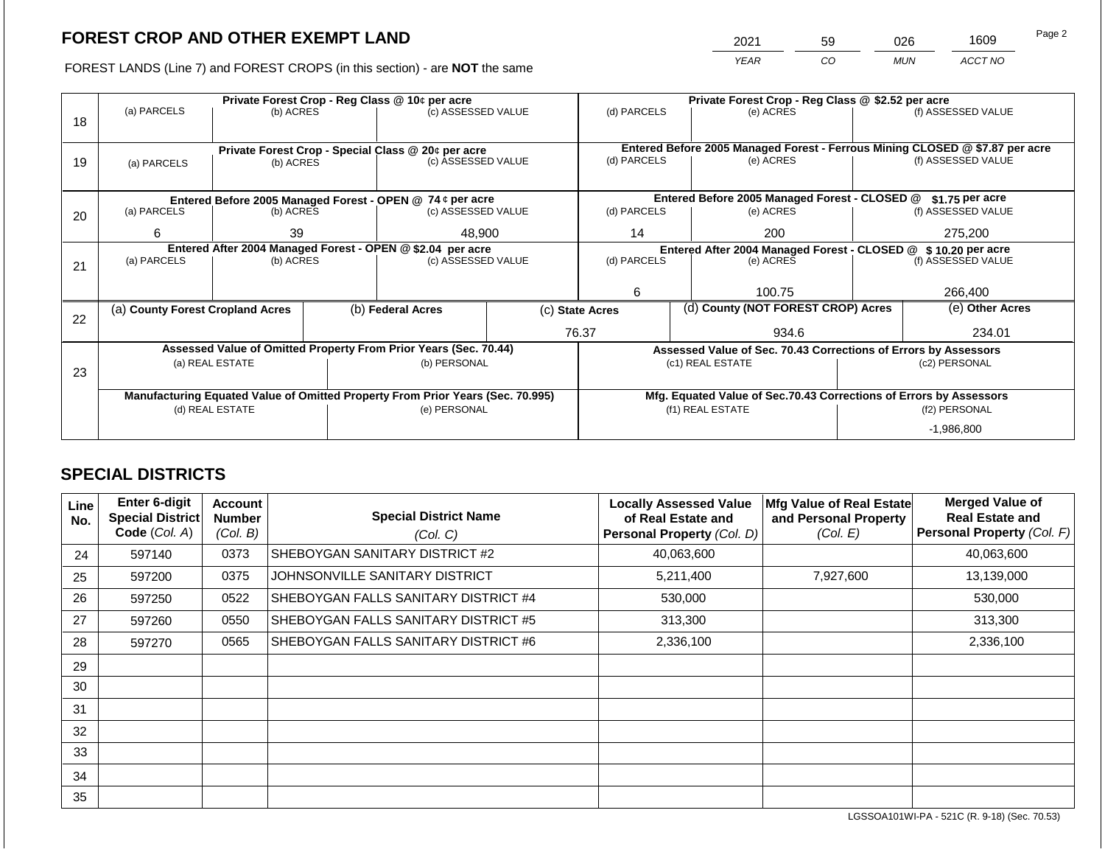2021 59 026 1609

FOREST LANDS (Line 7) and FOREST CROPS (in this section) - are **NOT** the same *YEAR CO MUN ACCT NO*

|    |                                                                                |                 |  | Private Forest Crop - Reg Class @ 10¢ per acre                           |                 | Private Forest Crop - Reg Class @ \$2.52 per acre                                           |  |                                                                    |               |                    |  |
|----|--------------------------------------------------------------------------------|-----------------|--|--------------------------------------------------------------------------|-----------------|---------------------------------------------------------------------------------------------|--|--------------------------------------------------------------------|---------------|--------------------|--|
|    | (a) PARCELS                                                                    | (b) ACRES       |  | (c) ASSESSED VALUE                                                       |                 | (d) PARCELS                                                                                 |  | (e) ACRES                                                          |               | (f) ASSESSED VALUE |  |
| 18 |                                                                                |                 |  |                                                                          |                 |                                                                                             |  |                                                                    |               |                    |  |
|    |                                                                                |                 |  |                                                                          |                 |                                                                                             |  |                                                                    |               |                    |  |
|    |                                                                                |                 |  | Private Forest Crop - Special Class @ 20¢ per acre<br>(c) ASSESSED VALUE |                 | Entered Before 2005 Managed Forest - Ferrous Mining CLOSED @ \$7.87 per acre<br>(d) PARCELS |  | (e) ACRES                                                          |               | (f) ASSESSED VALUE |  |
| 19 | (a) PARCELS                                                                    | (b) ACRES       |  |                                                                          |                 |                                                                                             |  |                                                                    |               |                    |  |
|    |                                                                                |                 |  |                                                                          |                 |                                                                                             |  |                                                                    |               |                    |  |
|    |                                                                                |                 |  | Entered Before 2005 Managed Forest - OPEN @ 74 ¢ per acre                |                 |                                                                                             |  | Entered Before 2005 Managed Forest - CLOSED @                      |               | $$1.75$ per acre   |  |
| 20 | (a) PARCELS<br>(b) ACRES                                                       |                 |  | (c) ASSESSED VALUE                                                       |                 | (d) PARCELS                                                                                 |  | (e) ACRES                                                          |               | (f) ASSESSED VALUE |  |
|    |                                                                                |                 |  |                                                                          |                 |                                                                                             |  |                                                                    |               |                    |  |
|    | 6<br>39                                                                        |                 |  | 48,900                                                                   |                 | 14<br>200                                                                                   |  |                                                                    |               | 275,200            |  |
|    | Entered After 2004 Managed Forest - OPEN @ \$2.04 per acre                     |                 |  |                                                                          |                 | Entered After 2004 Managed Forest - CLOSED @ \$ 10.20 per acre                              |  |                                                                    |               |                    |  |
| 21 | (a) PARCELS                                                                    | (b) ACRES       |  | (c) ASSESSED VALUE                                                       |                 | (d) PARCELS                                                                                 |  | (e) ACRES                                                          |               | (f) ASSESSED VALUE |  |
|    |                                                                                |                 |  |                                                                          |                 |                                                                                             |  |                                                                    |               |                    |  |
|    |                                                                                |                 |  |                                                                          | 6<br>100.75     |                                                                                             |  |                                                                    | 266,400       |                    |  |
|    | (a) County Forest Cropland Acres                                               |                 |  | (b) Federal Acres                                                        | (c) State Acres |                                                                                             |  | (d) County (NOT FOREST CROP) Acres                                 |               | (e) Other Acres    |  |
| 22 |                                                                                |                 |  |                                                                          |                 |                                                                                             |  |                                                                    |               |                    |  |
|    |                                                                                |                 |  |                                                                          |                 | 76.37                                                                                       |  | 934.6                                                              | 234.01        |                    |  |
|    |                                                                                |                 |  | Assessed Value of Omitted Property From Prior Years (Sec. 70.44)         |                 |                                                                                             |  | Assessed Value of Sec. 70.43 Corrections of Errors by Assessors    |               |                    |  |
|    |                                                                                | (a) REAL ESTATE |  | (b) PERSONAL                                                             |                 |                                                                                             |  | (c1) REAL ESTATE                                                   |               | (c2) PERSONAL      |  |
| 23 |                                                                                |                 |  |                                                                          |                 |                                                                                             |  |                                                                    |               |                    |  |
|    | Manufacturing Equated Value of Omitted Property From Prior Years (Sec. 70.995) |                 |  |                                                                          |                 |                                                                                             |  | Mfg. Equated Value of Sec.70.43 Corrections of Errors by Assessors |               |                    |  |
|    |                                                                                | (d) REAL ESTATE |  | (e) PERSONAL                                                             |                 |                                                                                             |  | (f1) REAL ESTATE                                                   | (f2) PERSONAL |                    |  |
|    |                                                                                |                 |  |                                                                          |                 |                                                                                             |  |                                                                    |               | $-1,986,800$       |  |

## **SPECIAL DISTRICTS**

| Line<br>No. | <b>Enter 6-digit</b><br>Special District<br>Code (Col. A) | Account<br><b>Number</b><br>(Col. B) | <b>Special District Name</b><br>(Col. C) | <b>Locally Assessed Value</b><br>of Real Estate and<br>Personal Property (Col. D) | Mfg Value of Real Estate<br>and Personal Property<br>(Col. E) | <b>Merged Value of</b><br><b>Real Estate and</b><br>Personal Property (Col. F) |
|-------------|-----------------------------------------------------------|--------------------------------------|------------------------------------------|-----------------------------------------------------------------------------------|---------------------------------------------------------------|--------------------------------------------------------------------------------|
| 24          | 597140                                                    | 0373                                 | SHEBOYGAN SANITARY DISTRICT #2           | 40,063,600                                                                        |                                                               | 40,063,600                                                                     |
| 25          | 597200                                                    | 0375                                 | JOHNSONVILLE SANITARY DISTRICT           | 5,211,400                                                                         | 7,927,600                                                     | 13,139,000                                                                     |
| 26          | 597250                                                    | 0522                                 | SHEBOYGAN FALLS SANITARY DISTRICT #4     | 530,000                                                                           |                                                               | 530,000                                                                        |
| 27          | 597260                                                    | 0550                                 | SHEBOYGAN FALLS SANITARY DISTRICT #5     | 313,300                                                                           |                                                               | 313,300                                                                        |
| 28          | 597270                                                    | 0565                                 | SHEBOYGAN FALLS SANITARY DISTRICT #6     | 2,336,100                                                                         |                                                               | 2,336,100                                                                      |
| 29          |                                                           |                                      |                                          |                                                                                   |                                                               |                                                                                |
| 30          |                                                           |                                      |                                          |                                                                                   |                                                               |                                                                                |
| 31          |                                                           |                                      |                                          |                                                                                   |                                                               |                                                                                |
| 32          |                                                           |                                      |                                          |                                                                                   |                                                               |                                                                                |
| 33          |                                                           |                                      |                                          |                                                                                   |                                                               |                                                                                |
| 34          |                                                           |                                      |                                          |                                                                                   |                                                               |                                                                                |
| 35          |                                                           |                                      |                                          |                                                                                   |                                                               |                                                                                |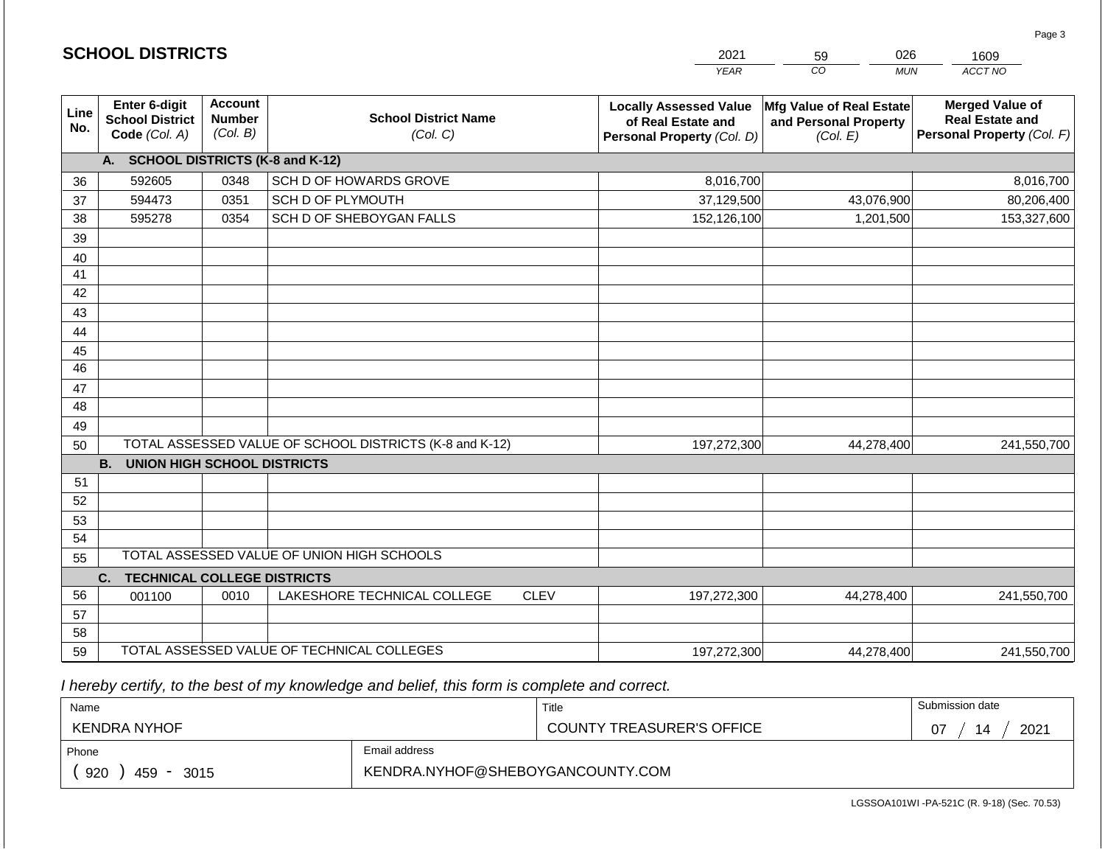|                 |                                                          |                                             |                                                         |             | <b>YEAR</b>                                                                       | $\overline{co}$<br><b>MUN</b>                                 | ACCT NO                                                                        |
|-----------------|----------------------------------------------------------|---------------------------------------------|---------------------------------------------------------|-------------|-----------------------------------------------------------------------------------|---------------------------------------------------------------|--------------------------------------------------------------------------------|
| Line<br>No.     | Enter 6-digit<br><b>School District</b><br>Code (Col. A) | <b>Account</b><br><b>Number</b><br>(Col. B) | <b>School District Name</b><br>(Col. C)                 |             | <b>Locally Assessed Value</b><br>of Real Estate and<br>Personal Property (Col. D) | Mfg Value of Real Estate<br>and Personal Property<br>(Col. E) | <b>Merged Value of</b><br><b>Real Estate and</b><br>Personal Property (Col. F) |
|                 | A.                                                       |                                             | <b>SCHOOL DISTRICTS (K-8 and K-12)</b>                  |             |                                                                                   |                                                               |                                                                                |
| 36              | 592605                                                   | 0348                                        | SCH D OF HOWARDS GROVE                                  |             | 8,016,700                                                                         |                                                               | 8,016,700                                                                      |
| 37              | 594473                                                   | 0351                                        | SCH D OF PLYMOUTH                                       |             | 37,129,500                                                                        | 43,076,900                                                    | 80,206,400                                                                     |
| 38              | 595278                                                   | 0354                                        | SCH D OF SHEBOYGAN FALLS                                |             | 152,126,100                                                                       | 1,201,500                                                     | 153,327,600                                                                    |
| 39              |                                                          |                                             |                                                         |             |                                                                                   |                                                               |                                                                                |
| 40              |                                                          |                                             |                                                         |             |                                                                                   |                                                               |                                                                                |
| 41              |                                                          |                                             |                                                         |             |                                                                                   |                                                               |                                                                                |
| 42              |                                                          |                                             |                                                         |             |                                                                                   |                                                               |                                                                                |
| 43              |                                                          |                                             |                                                         |             |                                                                                   |                                                               |                                                                                |
| 44              |                                                          |                                             |                                                         |             |                                                                                   |                                                               |                                                                                |
| 45              |                                                          |                                             |                                                         |             |                                                                                   |                                                               |                                                                                |
| $\overline{46}$ |                                                          |                                             |                                                         |             |                                                                                   |                                                               |                                                                                |
| 47              |                                                          |                                             |                                                         |             |                                                                                   |                                                               |                                                                                |
| 48              |                                                          |                                             |                                                         |             |                                                                                   |                                                               |                                                                                |
| 49              |                                                          |                                             |                                                         |             |                                                                                   |                                                               |                                                                                |
| 50              |                                                          |                                             | TOTAL ASSESSED VALUE OF SCHOOL DISTRICTS (K-8 and K-12) |             | 197,272,300                                                                       | 44,278,400                                                    | 241,550,700                                                                    |
|                 | <b>B.</b><br><b>UNION HIGH SCHOOL DISTRICTS</b>          |                                             |                                                         |             |                                                                                   |                                                               |                                                                                |
| 51<br>52        |                                                          |                                             |                                                         |             |                                                                                   |                                                               |                                                                                |
| 53              |                                                          |                                             |                                                         |             |                                                                                   |                                                               |                                                                                |
| 54              |                                                          |                                             |                                                         |             |                                                                                   |                                                               |                                                                                |
| 55              |                                                          |                                             | TOTAL ASSESSED VALUE OF UNION HIGH SCHOOLS              |             |                                                                                   |                                                               |                                                                                |
|                 | C.<br><b>TECHNICAL COLLEGE DISTRICTS</b>                 |                                             |                                                         |             |                                                                                   |                                                               |                                                                                |
| 56              | 001100                                                   | 0010                                        | LAKESHORE TECHNICAL COLLEGE                             | <b>CLEV</b> | 197,272,300                                                                       | 44,278,400                                                    | 241,550,700                                                                    |
| 57              |                                                          |                                             |                                                         |             |                                                                                   |                                                               |                                                                                |
| 58              |                                                          |                                             |                                                         |             |                                                                                   |                                                               |                                                                                |
| 59              |                                                          |                                             | TOTAL ASSESSED VALUE OF TECHNICAL COLLEGES              |             | 197,272,300                                                                       | 44,278,400                                                    | 241,550,700                                                                    |

2021

59

026

 *I hereby certify, to the best of my knowledge and belief, this form is complete and correct.*

**SCHOOL DISTRICTS**

| Name                                           |                                  | Title                            | Submission date  |
|------------------------------------------------|----------------------------------|----------------------------------|------------------|
| KENDRA NYHOF                                   |                                  | <b>COUNTY TREASURER'S OFFICE</b> | 2021<br>14<br>07 |
| Phone                                          | Email address                    |                                  |                  |
| 920<br>459<br>3015<br>$\overline{\phantom{0}}$ | KENDRA.NYHOF@SHEBOYGANCOUNTY.COM |                                  |                  |

Page 3

1609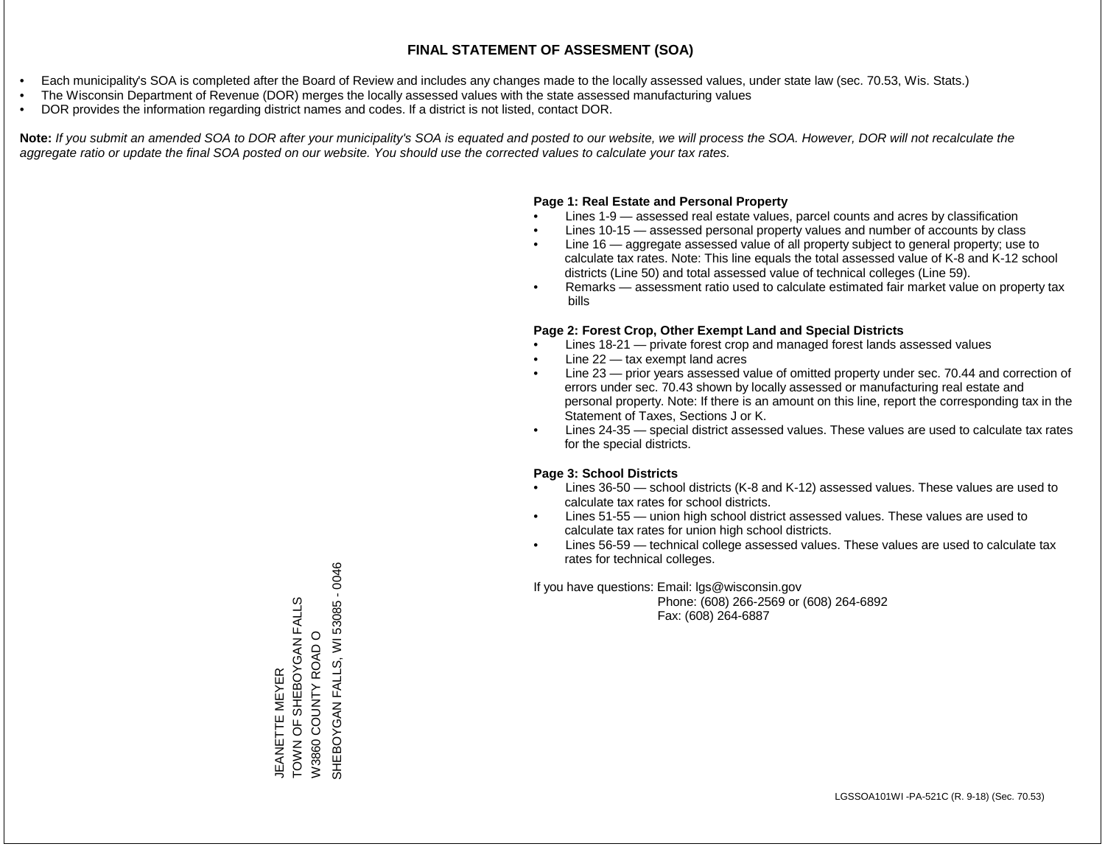- Each municipality's SOA is completed after the Board of Review and includes any changes made to the locally assessed values, under state law (sec. 70.53, Wis. Stats.)
- The Wisconsin Department of Revenue (DOR) merges the locally assessed values with the state assessed manufacturing values
- DOR provides the information regarding district names and codes. If a district is not listed, contact DOR.

Note: If you submit an amended SOA to DOR after your municipality's SOA is equated and posted to our website, we will process the SOA. However, DOR will not recalculate the *aggregate ratio or update the final SOA posted on our website. You should use the corrected values to calculate your tax rates.*

## **Page 1: Real Estate and Personal Property**

- Lines 1-9 assessed real estate values, parcel counts and acres by classification
- Lines 10-15 assessed personal property values and number of accounts by class
- Line 16 aggregate assessed value of all property subject to general property; use to calculate tax rates. Note: This line equals the total assessed value of K-8 and K-12 school districts (Line 50) and total assessed value of technical colleges (Line 59).
- Remarks assessment ratio used to calculate estimated fair market value on property tax bills

## **Page 2: Forest Crop, Other Exempt Land and Special Districts**

- Lines 18-21 private forest crop and managed forest lands assessed values
- Line  $22 -$  tax exempt land acres
- Line 23 prior years assessed value of omitted property under sec. 70.44 and correction of errors under sec. 70.43 shown by locally assessed or manufacturing real estate and personal property. Note: If there is an amount on this line, report the corresponding tax in the Statement of Taxes, Sections J or K.
- Lines 24-35 special district assessed values. These values are used to calculate tax rates for the special districts.

## **Page 3: School Districts**

- Lines 36-50 school districts (K-8 and K-12) assessed values. These values are used to calculate tax rates for school districts.
- Lines 51-55 union high school district assessed values. These values are used to calculate tax rates for union high school districts.
- Lines 56-59 technical college assessed values. These values are used to calculate tax rates for technical colleges.

If you have questions: Email: lgs@wisconsin.gov

 Phone: (608) 266-2569 or (608) 264-6892 Fax: (608) 264-6887

SHEBOYGAN FALLS, WI 53085 - 0046 SHEBOYGAN FALLS, WI 53085 - 0046 SHER SHORGAN FALLS TOWN OF SHEBOYGAN FALLS W3860 COUNTY ROAD O W3860 COUNTY ROAD O **JEANETTE MEYER** JEANETTE MEYER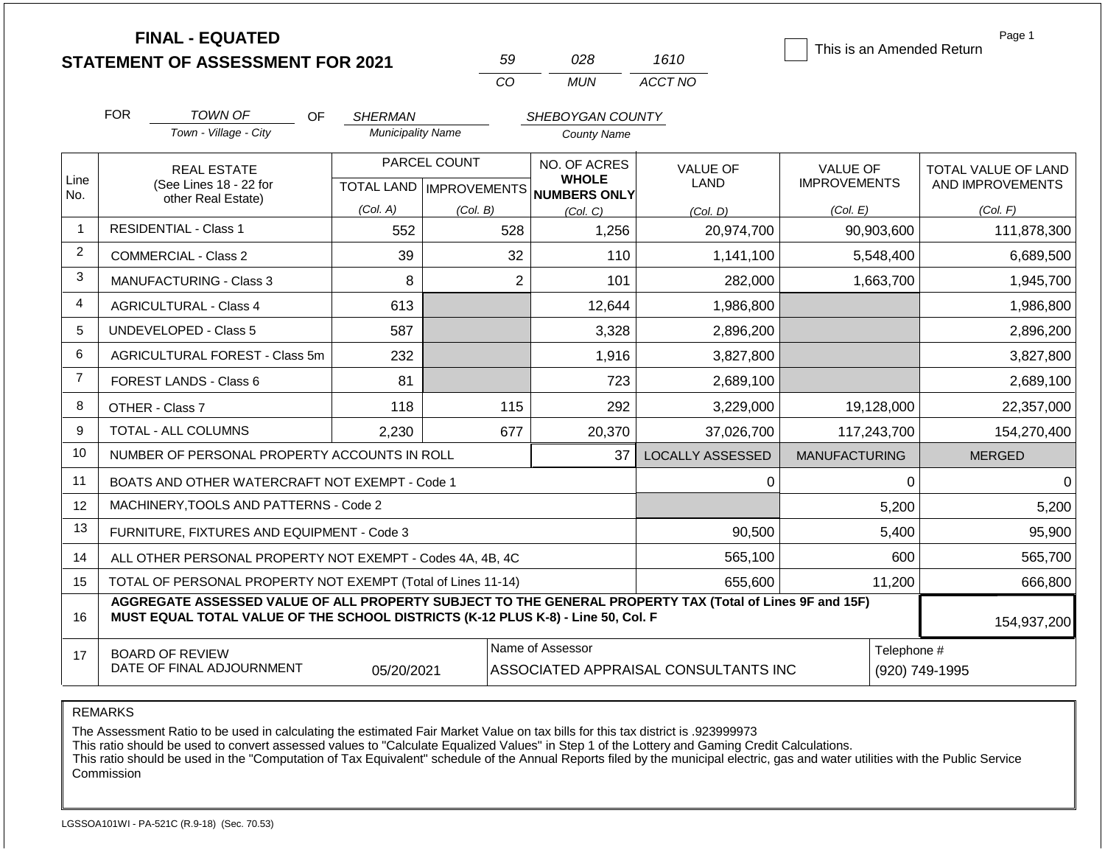|                | <b>FINAL - EQUATED</b>                       |                          |                     |                                     |                 | This is an Amended Return | Page 1                     |  |
|----------------|----------------------------------------------|--------------------------|---------------------|-------------------------------------|-----------------|---------------------------|----------------------------|--|
|                | <b>STATEMENT OF ASSESSMENT FOR 2021</b>      |                          | 59                  | 028                                 | 1610            |                           |                            |  |
|                |                                              |                          | CO                  | <b>MUN</b>                          | ACCT NO         |                           |                            |  |
|                | <b>FOR</b><br><b>TOWN OF</b><br>OF.          | <b>SHERMAN</b>           |                     | SHEBOYGAN COUNTY                    |                 |                           |                            |  |
|                | Town - Village - City                        | <b>Municipality Name</b> |                     | <b>County Name</b>                  |                 |                           |                            |  |
|                | <b>REAL ESTATE</b>                           |                          | PARCEL COUNT        | NO. OF ACRES                        | <b>VALUE OF</b> | <b>VALUE OF</b>           | <b>TOTAL VALUE OF LAND</b> |  |
| Line<br>No.    | (See Lines 18 - 22 for<br>other Real Estate) | <b>TOTAL LAND</b>        | <b>IMPROVEMENTS</b> | <b>WHOLE</b><br><b>NUMBERS ONLY</b> | <b>LAND</b>     | <b>IMPROVEMENTS</b>       | AND IMPROVEMENTS           |  |
|                |                                              | (Col. A)                 | (Col. B)            | (Col, C)                            | (Col, D)        | (Col. E)                  | (Col. F)                   |  |
| -1             | <b>RESIDENTIAL - Class 1</b>                 | 552                      | 528                 | 1,256                               | 20,974,700      | 90,903,600                | 111,878,300                |  |
| $\overline{c}$ | COMMERCIAL - Class 2                         | 39                       | 32                  | 110                                 | 1,141,100       | 5,548,400                 | 6,689,500                  |  |
| 3              | <b>MANUFACTURING - Class 3</b>               | 8                        | $\overline{2}$      | 101                                 | 282,000         | 1,663,700                 | 1,945,700                  |  |
| 4              | <b>AGRICULTURAL - Class 4</b>                | 613                      |                     | 12,644                              | 1,986,800       |                           | 1,986,800                  |  |
| 5              | UNDEVELOPED - Class 5                        | 587                      |                     | 3,328                               | 2,896,200       |                           | 2,896,200                  |  |
| 6              | AGRICULTURAL FOREST - Class 5m               | 232                      |                     | 1,916                               | 3,827,800       |                           | 3,827,800                  |  |
| $\overline{7}$ | FOREST LANDS - Class 6                       | 81                       |                     | 723                                 | 2,689,100       |                           | 2,689,100                  |  |
|                |                                              |                          |                     |                                     |                 |                           |                            |  |

|    | FOREST LANDS - Class 6                                                                                                                                                                       | 81    |     | 723.   | 2,689,100        |                      |  | 2,689,100     |  |  |
|----|----------------------------------------------------------------------------------------------------------------------------------------------------------------------------------------------|-------|-----|--------|------------------|----------------------|--|---------------|--|--|
| 8  | OTHER - Class 7                                                                                                                                                                              | 118   | 115 | 292    | 3,229,000        | 19,128,000           |  | 22,357,000    |  |  |
| 9  | TOTAL - ALL COLUMNS                                                                                                                                                                          | 2,230 | 677 | 20,370 | 37,026,700       | 117,243,700          |  | 154,270,400   |  |  |
| 10 | NUMBER OF PERSONAL PROPERTY ACCOUNTS IN ROLL                                                                                                                                                 |       |     | 37     | LOCALLY ASSESSED | <b>MANUFACTURING</b> |  | <b>MERGED</b> |  |  |
| 11 | BOATS AND OTHER WATERCRAFT NOT EXEMPT - Code 1                                                                                                                                               |       |     |        |                  |                      |  |               |  |  |
| 12 | MACHINERY, TOOLS AND PATTERNS - Code 2                                                                                                                                                       |       |     |        |                  | 5,200                |  | 5,200         |  |  |
| 13 | FURNITURE, FIXTURES AND EQUIPMENT - Code 3                                                                                                                                                   |       |     |        | 90,500           | 5,400                |  | 95,900        |  |  |
| 14 | ALL OTHER PERSONAL PROPERTY NOT EXEMPT - Codes 4A, 4B, 4C                                                                                                                                    |       |     |        | 565,100          | 600                  |  | 565,700       |  |  |
| 15 | TOTAL OF PERSONAL PROPERTY NOT EXEMPT (Total of Lines 11-14)                                                                                                                                 |       |     |        | 655,600          | 11,200               |  | 666,800       |  |  |
| 16 | AGGREGATE ASSESSED VALUE OF ALL PROPERTY SUBJECT TO THE GENERAL PROPERTY TAX (Total of Lines 9F and 15F)<br>MUST EQUAL TOTAL VALUE OF THE SCHOOL DISTRICTS (K-12 PLUS K-8) - Line 50, Col. F |       |     |        |                  |                      |  |               |  |  |
| 17 | Name of Assessor<br>Telephone #<br><b>BOARD OF REVIEW</b><br>DATE OF FINAL ADJOURNMENT<br>ASSOCIATED APPRAISAL CONSULTANTS INC<br>05/20/2021<br>(920) 749-1995                               |       |     |        |                  |                      |  |               |  |  |

REMARKS

The Assessment Ratio to be used in calculating the estimated Fair Market Value on tax bills for this tax district is .923999973

This ratio should be used to convert assessed values to "Calculate Equalized Values" in Step 1 of the Lottery and Gaming Credit Calculations.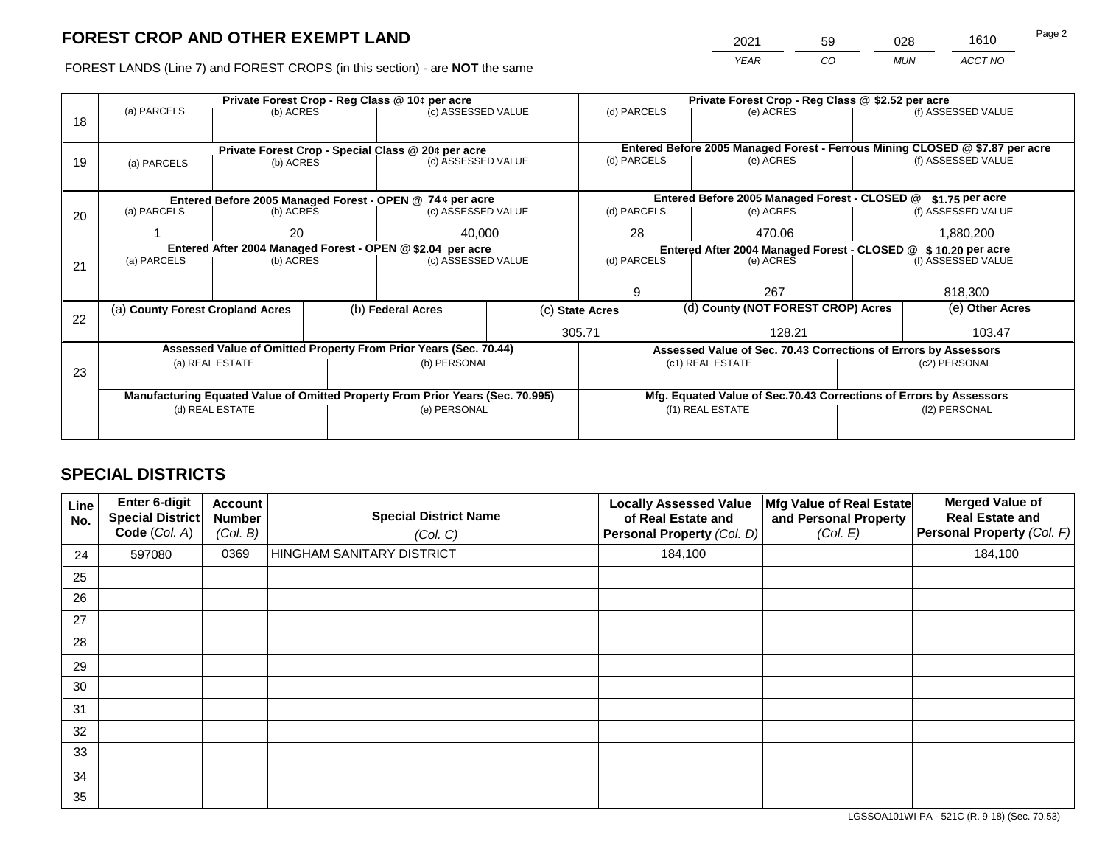2021 59 028 1610

FOREST LANDS (Line 7) and FOREST CROPS (in this section) - are **NOT** the same *YEAR CO MUN ACCT NO*

|    |                                                                                |                 |  | Private Forest Crop - Reg Class @ 10¢ per acre                   |  | Private Forest Crop - Reg Class @ \$2.52 per acre             |  |                                                                    |                                                                              |                    |
|----|--------------------------------------------------------------------------------|-----------------|--|------------------------------------------------------------------|--|---------------------------------------------------------------|--|--------------------------------------------------------------------|------------------------------------------------------------------------------|--------------------|
|    | (a) PARCELS                                                                    | (b) ACRES       |  | (c) ASSESSED VALUE                                               |  | (d) PARCELS                                                   |  | (e) ACRES                                                          |                                                                              | (f) ASSESSED VALUE |
| 18 |                                                                                |                 |  |                                                                  |  |                                                               |  |                                                                    |                                                                              |                    |
|    |                                                                                |                 |  |                                                                  |  |                                                               |  |                                                                    |                                                                              |                    |
|    |                                                                                |                 |  | Private Forest Crop - Special Class @ 20¢ per acre               |  |                                                               |  |                                                                    | Entered Before 2005 Managed Forest - Ferrous Mining CLOSED @ \$7.87 per acre |                    |
| 19 | (a) PARCELS                                                                    | (b) ACRES       |  | (c) ASSESSED VALUE                                               |  | (d) PARCELS                                                   |  | (e) ACRES                                                          |                                                                              | (f) ASSESSED VALUE |
|    |                                                                                |                 |  |                                                                  |  |                                                               |  |                                                                    |                                                                              |                    |
|    |                                                                                |                 |  | Entered Before 2005 Managed Forest - OPEN @ 74 ¢ per acre        |  |                                                               |  | Entered Before 2005 Managed Forest - CLOSED @                      |                                                                              | \$1.75 per acre    |
| 20 | (a) PARCELS<br>(b) ACRES                                                       |                 |  | (c) ASSESSED VALUE                                               |  | (d) PARCELS                                                   |  | (e) ACRES                                                          |                                                                              | (f) ASSESSED VALUE |
|    |                                                                                |                 |  |                                                                  |  |                                                               |  |                                                                    |                                                                              |                    |
|    | 20                                                                             |                 |  | 40,000                                                           |  | 28                                                            |  | 470.06                                                             |                                                                              | 1,880,200          |
|    | Entered After 2004 Managed Forest - OPEN @ \$2.04 per acre                     |                 |  |                                                                  |  | Entered After 2004 Managed Forest - CLOSED @ \$10.20 per acre |  |                                                                    |                                                                              |                    |
| 21 | (a) PARCELS                                                                    | (b) ACRES       |  | (c) ASSESSED VALUE                                               |  | (d) PARCELS                                                   |  | (e) ACRES                                                          |                                                                              | (f) ASSESSED VALUE |
|    |                                                                                |                 |  |                                                                  |  |                                                               |  |                                                                    |                                                                              |                    |
|    |                                                                                |                 |  |                                                                  |  | 9                                                             |  | 267                                                                |                                                                              | 818,300            |
|    | (a) County Forest Cropland Acres                                               |                 |  | (b) Federal Acres                                                |  | (c) State Acres                                               |  | (d) County (NOT FOREST CROP) Acres                                 |                                                                              | (e) Other Acres    |
| 22 |                                                                                |                 |  |                                                                  |  |                                                               |  |                                                                    |                                                                              |                    |
|    |                                                                                |                 |  |                                                                  |  | 305.71                                                        |  | 128.21                                                             |                                                                              | 103.47             |
|    |                                                                                |                 |  | Assessed Value of Omitted Property From Prior Years (Sec. 70.44) |  |                                                               |  | Assessed Value of Sec. 70.43 Corrections of Errors by Assessors    |                                                                              |                    |
|    |                                                                                | (a) REAL ESTATE |  | (b) PERSONAL                                                     |  |                                                               |  | (c1) REAL ESTATE                                                   | (c2) PERSONAL                                                                |                    |
| 23 |                                                                                |                 |  |                                                                  |  |                                                               |  |                                                                    |                                                                              |                    |
|    | Manufacturing Equated Value of Omitted Property From Prior Years (Sec. 70.995) |                 |  |                                                                  |  |                                                               |  | Mfg. Equated Value of Sec.70.43 Corrections of Errors by Assessors |                                                                              |                    |
|    | (d) REAL ESTATE                                                                |                 |  | (e) PERSONAL                                                     |  |                                                               |  | (f1) REAL ESTATE                                                   |                                                                              | (f2) PERSONAL      |
|    |                                                                                |                 |  |                                                                  |  |                                                               |  |                                                                    |                                                                              |                    |
|    |                                                                                |                 |  |                                                                  |  |                                                               |  |                                                                    |                                                                              |                    |

## **SPECIAL DISTRICTS**

| Line<br>No. | <b>Enter 6-digit</b><br>Special District<br>Code (Col. A) | <b>Account</b><br><b>Number</b><br>(Col. B) | <b>Special District Name</b><br>(Col. C) | <b>Locally Assessed Value</b><br>of Real Estate and<br>Personal Property (Col. D) | Mfg Value of Real Estate<br>and Personal Property<br>(Col. E) | <b>Merged Value of</b><br><b>Real Estate and</b><br>Personal Property (Col. F) |
|-------------|-----------------------------------------------------------|---------------------------------------------|------------------------------------------|-----------------------------------------------------------------------------------|---------------------------------------------------------------|--------------------------------------------------------------------------------|
| 24          | 597080                                                    | 0369                                        | HINGHAM SANITARY DISTRICT                | 184,100                                                                           |                                                               | 184,100                                                                        |
| 25          |                                                           |                                             |                                          |                                                                                   |                                                               |                                                                                |
| 26          |                                                           |                                             |                                          |                                                                                   |                                                               |                                                                                |
| 27          |                                                           |                                             |                                          |                                                                                   |                                                               |                                                                                |
| 28          |                                                           |                                             |                                          |                                                                                   |                                                               |                                                                                |
| 29          |                                                           |                                             |                                          |                                                                                   |                                                               |                                                                                |
| 30          |                                                           |                                             |                                          |                                                                                   |                                                               |                                                                                |
| 31          |                                                           |                                             |                                          |                                                                                   |                                                               |                                                                                |
| 32          |                                                           |                                             |                                          |                                                                                   |                                                               |                                                                                |
| 33          |                                                           |                                             |                                          |                                                                                   |                                                               |                                                                                |
| 34          |                                                           |                                             |                                          |                                                                                   |                                                               |                                                                                |
| 35          |                                                           |                                             |                                          |                                                                                   |                                                               |                                                                                |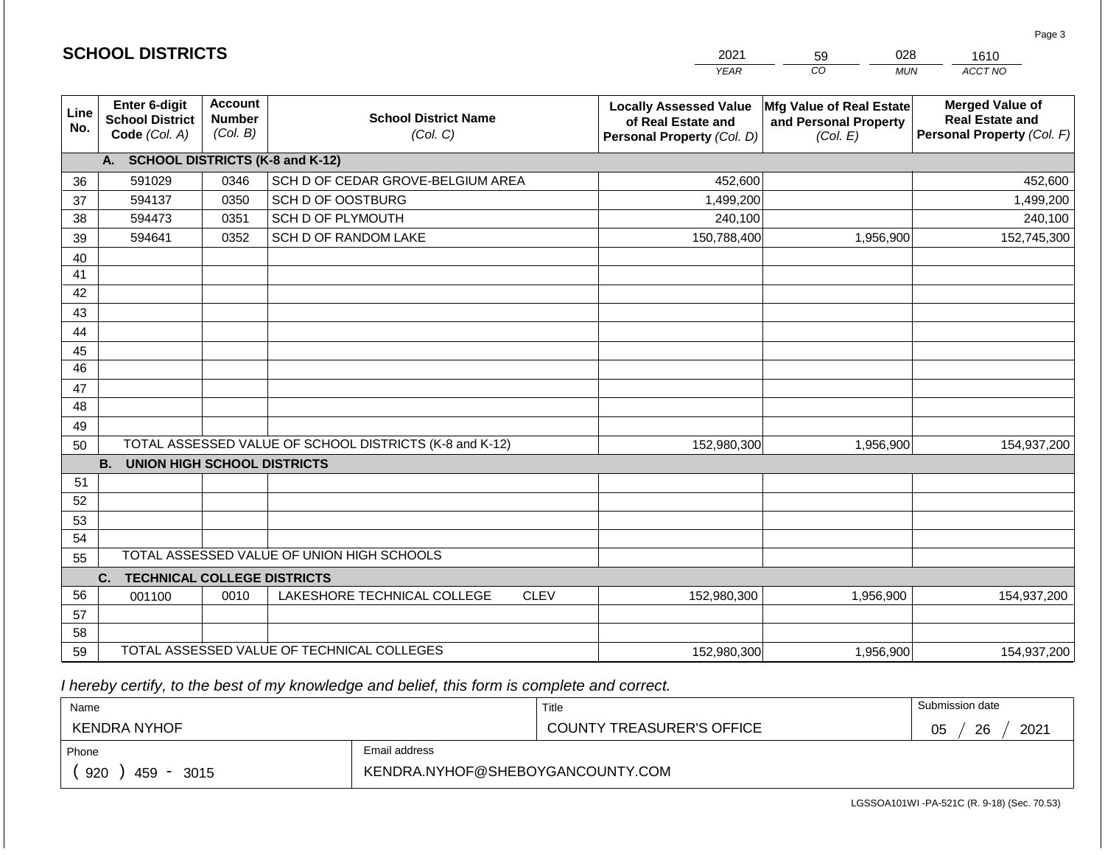|             |                                                          |                                             |                                                         | <b>YEAR</b>                                                                       | CO<br><b>MUN</b>                                              | ACCT NO                                                                        |
|-------------|----------------------------------------------------------|---------------------------------------------|---------------------------------------------------------|-----------------------------------------------------------------------------------|---------------------------------------------------------------|--------------------------------------------------------------------------------|
| Line<br>No. | Enter 6-digit<br><b>School District</b><br>Code (Col. A) | <b>Account</b><br><b>Number</b><br>(Col. B) | <b>School District Name</b><br>(Col. C)                 | <b>Locally Assessed Value</b><br>of Real Estate and<br>Personal Property (Col. D) | Mfg Value of Real Estate<br>and Personal Property<br>(Col. E) | <b>Merged Value of</b><br><b>Real Estate and</b><br>Personal Property (Col. F) |
|             | <b>SCHOOL DISTRICTS (K-8 and K-12)</b><br>А.             |                                             |                                                         |                                                                                   |                                                               |                                                                                |
| 36          | 591029                                                   | 0346                                        | SCH D OF CEDAR GROVE-BELGIUM AREA                       | 452,600                                                                           |                                                               | 452,600                                                                        |
| 37          | 594137                                                   | 0350                                        | SCH D OF OOSTBURG                                       | 1,499,200                                                                         |                                                               | 1,499,200                                                                      |
| 38          | 594473                                                   | 0351                                        | SCH D OF PLYMOUTH                                       | 240,100                                                                           |                                                               | 240,100                                                                        |
| 39          | 594641                                                   | 0352                                        | SCH D OF RANDOM LAKE                                    | 150,788,400                                                                       | 1,956,900                                                     | 152,745,300                                                                    |
| 40          |                                                          |                                             |                                                         |                                                                                   |                                                               |                                                                                |
| 41          |                                                          |                                             |                                                         |                                                                                   |                                                               |                                                                                |
| 42          |                                                          |                                             |                                                         |                                                                                   |                                                               |                                                                                |
| 43          |                                                          |                                             |                                                         |                                                                                   |                                                               |                                                                                |
| 44          |                                                          |                                             |                                                         |                                                                                   |                                                               |                                                                                |
| 45          |                                                          |                                             |                                                         |                                                                                   |                                                               |                                                                                |
| 46          |                                                          |                                             |                                                         |                                                                                   |                                                               |                                                                                |
| 47          |                                                          |                                             |                                                         |                                                                                   |                                                               |                                                                                |
| 48          |                                                          |                                             |                                                         |                                                                                   |                                                               |                                                                                |
| 49          |                                                          |                                             |                                                         |                                                                                   |                                                               |                                                                                |
| 50          |                                                          |                                             | TOTAL ASSESSED VALUE OF SCHOOL DISTRICTS (K-8 and K-12) | 152,980,300                                                                       | 1,956,900                                                     | 154,937,200                                                                    |
|             | <b>B.</b><br><b>UNION HIGH SCHOOL DISTRICTS</b>          |                                             |                                                         |                                                                                   |                                                               |                                                                                |
| 51          |                                                          |                                             |                                                         |                                                                                   |                                                               |                                                                                |
| 52          |                                                          |                                             |                                                         |                                                                                   |                                                               |                                                                                |
| 53          |                                                          |                                             |                                                         |                                                                                   |                                                               |                                                                                |
| 54          |                                                          |                                             | TOTAL ASSESSED VALUE OF UNION HIGH SCHOOLS              |                                                                                   |                                                               |                                                                                |
| 55          |                                                          |                                             |                                                         |                                                                                   |                                                               |                                                                                |
|             | <b>TECHNICAL COLLEGE DISTRICTS</b><br>C.                 |                                             |                                                         |                                                                                   |                                                               |                                                                                |
| 56          | 001100                                                   | 0010                                        | LAKESHORE TECHNICAL COLLEGE<br><b>CLEV</b>              | 152,980,300                                                                       | 1,956,900                                                     | 154,937,200                                                                    |
| 57          |                                                          |                                             |                                                         |                                                                                   |                                                               |                                                                                |
| 58          |                                                          |                                             | TOTAL ASSESSED VALUE OF TECHNICAL COLLEGES              |                                                                                   |                                                               |                                                                                |
| 59          |                                                          |                                             |                                                         | 152,980,300                                                                       | 1,956,900                                                     | 154,937,200                                                                    |

2021

59

028

1610

Page 3

 *I hereby certify, to the best of my knowledge and belief, this form is complete and correct.*

**SCHOOL DISTRICTS**

| Name                |                                  | Title                     | Submission date        |
|---------------------|----------------------------------|---------------------------|------------------------|
| <b>KENDRA NYHOF</b> |                                  | COUNTY TREASURER'S OFFICE | 2021<br>26<br>∩ҕ<br>◡◡ |
| Phone               | Email address                    |                           |                        |
| 920<br>459<br>3015  | KENDRA.NYHOF@SHEBOYGANCOUNTY.COM |                           |                        |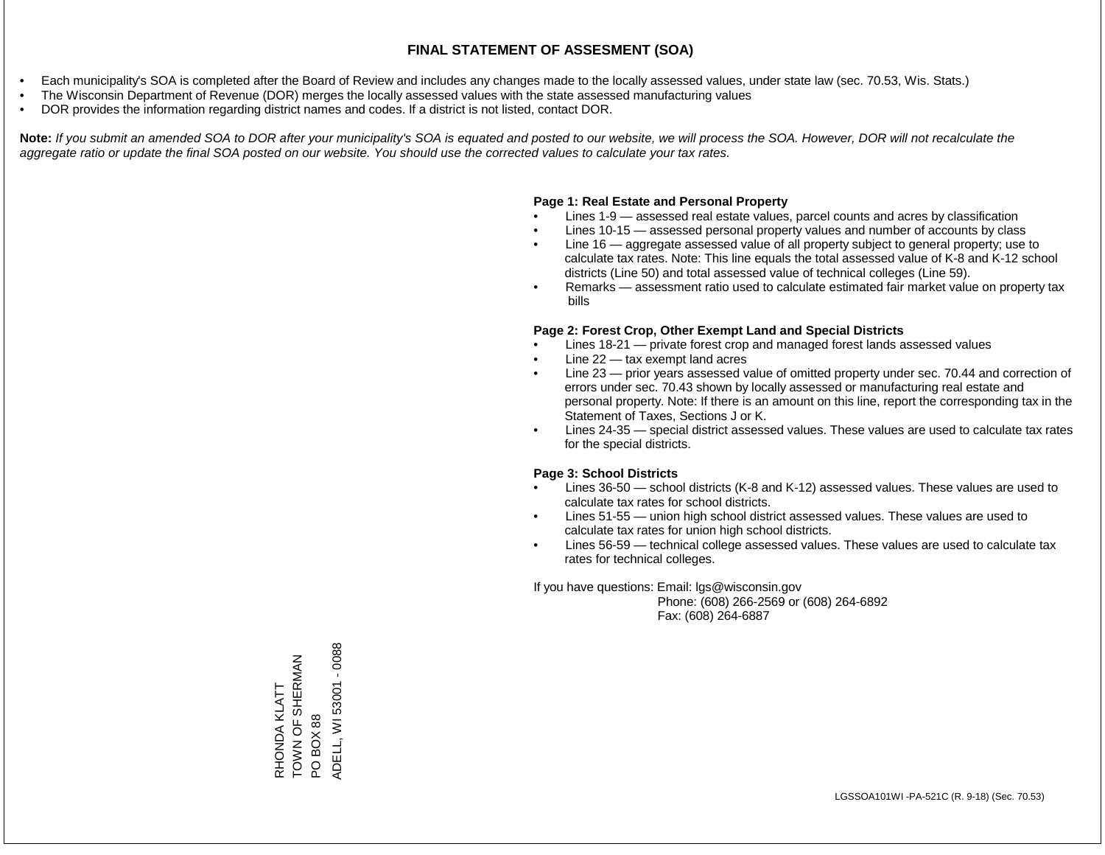- Each municipality's SOA is completed after the Board of Review and includes any changes made to the locally assessed values, under state law (sec. 70.53, Wis. Stats.)
- The Wisconsin Department of Revenue (DOR) merges the locally assessed values with the state assessed manufacturing values
- DOR provides the information regarding district names and codes. If a district is not listed, contact DOR.

Note: If you submit an amended SOA to DOR after your municipality's SOA is equated and posted to our website, we will process the SOA. However, DOR will not recalculate the *aggregate ratio or update the final SOA posted on our website. You should use the corrected values to calculate your tax rates.*

#### **Page 1: Real Estate and Personal Property**

- Lines 1-9 assessed real estate values, parcel counts and acres by classification
- Lines 10-15 assessed personal property values and number of accounts by class
- Line 16 aggregate assessed value of all property subject to general property; use to calculate tax rates. Note: This line equals the total assessed value of K-8 and K-12 school districts (Line 50) and total assessed value of technical colleges (Line 59).
- Remarks assessment ratio used to calculate estimated fair market value on property tax bills

#### **Page 2: Forest Crop, Other Exempt Land and Special Districts**

- Lines 18-21 private forest crop and managed forest lands assessed values
- Line  $22 -$  tax exempt land acres
- Line 23 prior years assessed value of omitted property under sec. 70.44 and correction of errors under sec. 70.43 shown by locally assessed or manufacturing real estate and personal property. Note: If there is an amount on this line, report the corresponding tax in the Statement of Taxes, Sections J or K.
- Lines 24-35 special district assessed values. These values are used to calculate tax rates for the special districts.

#### **Page 3: School Districts**

- Lines 36-50 school districts (K-8 and K-12) assessed values. These values are used to calculate tax rates for school districts.
- Lines 51-55 union high school district assessed values. These values are used to calculate tax rates for union high school districts.
- Lines 56-59 technical college assessed values. These values are used to calculate tax rates for technical colleges.

If you have questions: Email: lgs@wisconsin.gov

 Phone: (608) 266-2569 or (608) 264-6892 Fax: (608) 264-6887

PO BOX 88<br>ADELL, WI 53001 - 0088 ADELL, WI 53001 - 0088TOWN OF SHERMAN TOWN OF SHERMAN RHONDA KLATT RHONDA KLATT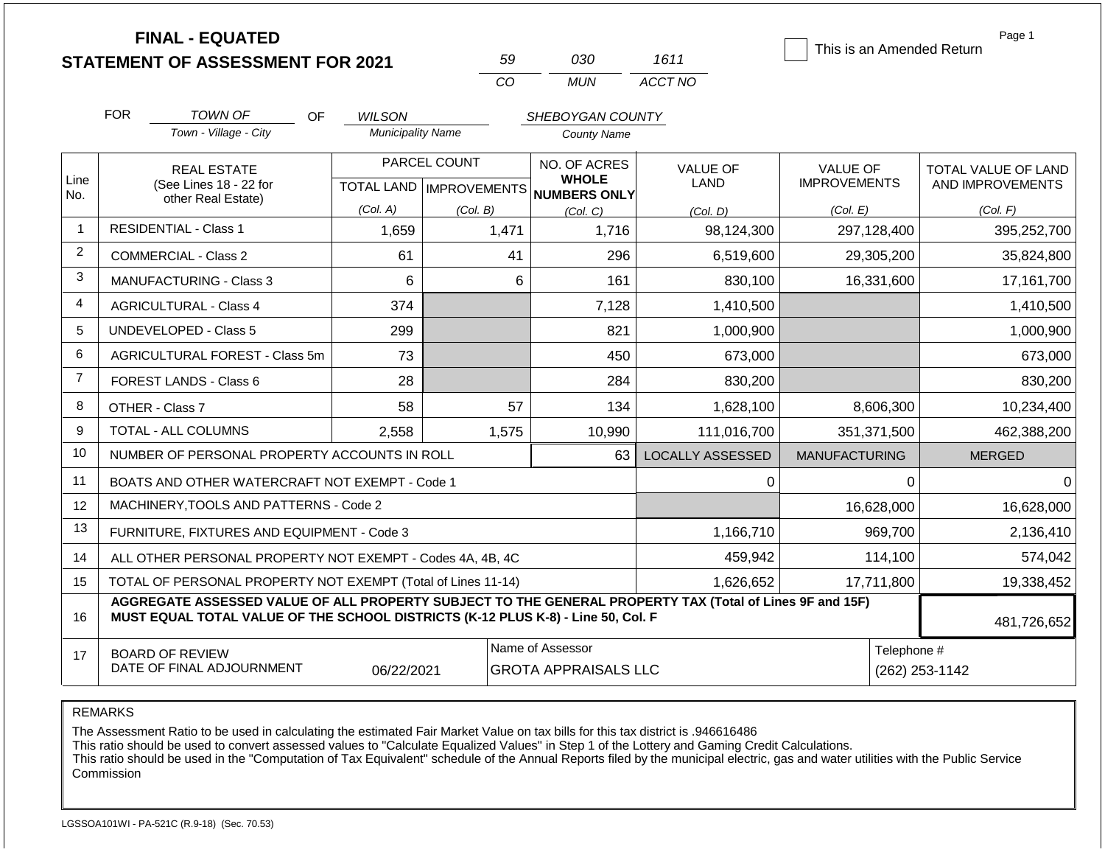|                | <b>FINAL - EQUATED</b>                                                                                                                                                                       |                          | 59                               | 030                                 | 1611                    | This is an Amended Return | Page 1              |  |
|----------------|----------------------------------------------------------------------------------------------------------------------------------------------------------------------------------------------|--------------------------|----------------------------------|-------------------------------------|-------------------------|---------------------------|---------------------|--|
|                | <b>STATEMENT OF ASSESSMENT FOR 2021</b>                                                                                                                                                      |                          | CO                               | <b>MUN</b>                          | ACCT NO                 |                           |                     |  |
|                |                                                                                                                                                                                              |                          |                                  |                                     |                         |                           |                     |  |
|                | <b>FOR</b><br>TOWN OF<br>OF                                                                                                                                                                  | <b>WILSON</b>            |                                  | SHEBOYGAN COUNTY                    |                         |                           |                     |  |
|                | Town - Village - City                                                                                                                                                                        | <b>Municipality Name</b> |                                  | <b>County Name</b>                  |                         |                           |                     |  |
|                | <b>REAL ESTATE</b>                                                                                                                                                                           |                          | PARCEL COUNT                     | NO. OF ACRES                        | <b>VALUE OF</b>         | <b>VALUE OF</b>           | TOTAL VALUE OF LAND |  |
| Line<br>No.    | (See Lines 18 - 22 for<br>other Real Estate)                                                                                                                                                 |                          | <b>TOTAL LAND   IMPROVEMENTS</b> | <b>WHOLE</b><br><b>NUMBERS ONLY</b> | <b>LAND</b>             | <b>IMPROVEMENTS</b>       | AND IMPROVEMENTS    |  |
|                |                                                                                                                                                                                              | (Col. A)                 | (Col. B)                         | (Col. C)                            | (Col. D)                | (Col. E)                  | (Col. F)            |  |
| -1             | <b>RESIDENTIAL - Class 1</b>                                                                                                                                                                 | 1,659                    | 1,471                            | 1,716                               | 98,124,300              | 297,128,400               | 395,252,700         |  |
| $\overline{c}$ | <b>COMMERCIAL - Class 2</b>                                                                                                                                                                  | 61                       | 41                               | 296                                 | 6,519,600               | 29,305,200                | 35,824,800          |  |
| 3              | MANUFACTURING - Class 3                                                                                                                                                                      | $6\phantom{1}6$          | 6                                | 161                                 | 830,100                 | 16,331,600                | 17,161,700          |  |
| 4              | <b>AGRICULTURAL - Class 4</b>                                                                                                                                                                | 374                      |                                  | 7,128                               | 1,410,500               |                           | 1,410,500           |  |
| 5              | <b>UNDEVELOPED - Class 5</b>                                                                                                                                                                 | 299                      |                                  | 821                                 | 1,000,900               |                           | 1,000,900           |  |
| 6              | AGRICULTURAL FOREST - Class 5m                                                                                                                                                               | 73                       |                                  | 450                                 | 673,000                 |                           | 673,000             |  |
| $\overline{7}$ | FOREST LANDS - Class 6                                                                                                                                                                       | 28                       |                                  | 284                                 | 830,200                 |                           | 830,200             |  |
| 8              | OTHER - Class 7                                                                                                                                                                              | 58                       | 57                               | 134                                 | 1,628,100               | 8,606,300                 | 10,234,400          |  |
| 9              | TOTAL - ALL COLUMNS                                                                                                                                                                          | 2,558                    | 1,575                            | 10,990                              | 111,016,700             | 351,371,500               | 462,388,200         |  |
| 10             | NUMBER OF PERSONAL PROPERTY ACCOUNTS IN ROLL                                                                                                                                                 |                          |                                  | 63                                  | <b>LOCALLY ASSESSED</b> | <b>MANUFACTURING</b>      | <b>MERGED</b>       |  |
| 11             | BOATS AND OTHER WATERCRAFT NOT EXEMPT - Code 1                                                                                                                                               |                          |                                  |                                     | 0                       | $\Omega$                  | $\Omega$            |  |
| 12             | MACHINERY, TOOLS AND PATTERNS - Code 2                                                                                                                                                       |                          |                                  |                                     |                         | 16,628,000                | 16,628,000          |  |
| 13             | FURNITURE, FIXTURES AND EQUIPMENT - Code 3                                                                                                                                                   |                          |                                  |                                     | 1,166,710               | 969,700                   | 2,136,410           |  |
| 14             | ALL OTHER PERSONAL PROPERTY NOT EXEMPT - Codes 4A, 4B, 4C                                                                                                                                    |                          |                                  |                                     | 459,942                 | 114,100                   | 574,042             |  |
| 15             | TOTAL OF PERSONAL PROPERTY NOT EXEMPT (Total of Lines 11-14)                                                                                                                                 |                          |                                  |                                     | 1,626,652               | 17,711,800                | 19,338,452          |  |
| 16             | AGGREGATE ASSESSED VALUE OF ALL PROPERTY SUBJECT TO THE GENERAL PROPERTY TAX (Total of Lines 9F and 15F)<br>MUST EQUAL TOTAL VALUE OF THE SCHOOL DISTRICTS (K-12 PLUS K-8) - Line 50, Col. F |                          |                                  |                                     |                         |                           | 481,726,652         |  |
| 17             | <b>BOARD OF REVIEW</b>                                                                                                                                                                       |                          |                                  | Name of Assessor                    |                         |                           | Telephone #         |  |
|                | DATE OF FINAL ADJOURNMENT                                                                                                                                                                    | 06/22/2021               |                                  | <b>GROTA APPRAISALS LLC</b>         |                         |                           | (262) 253-1142      |  |

REMARKS

The Assessment Ratio to be used in calculating the estimated Fair Market Value on tax bills for this tax district is .946616486

This ratio should be used to convert assessed values to "Calculate Equalized Values" in Step 1 of the Lottery and Gaming Credit Calculations.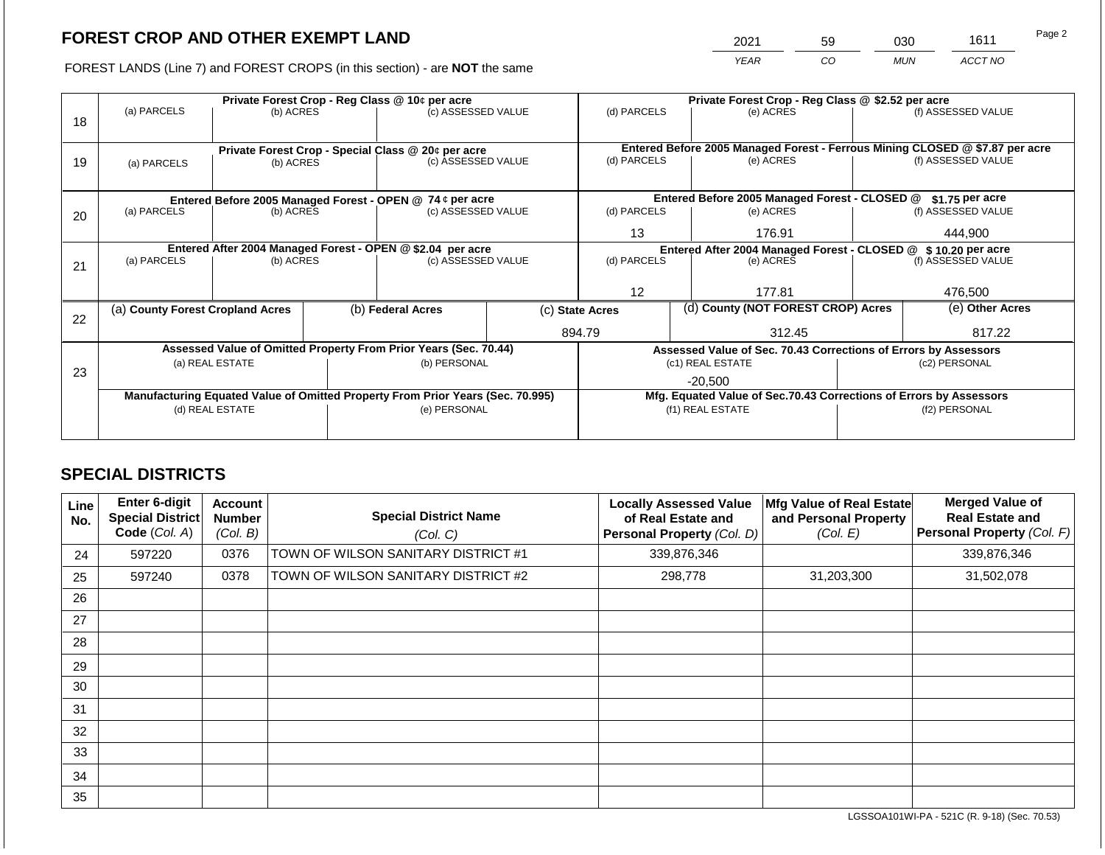2021 59 030 1611

FOREST LANDS (Line 7) and FOREST CROPS (in this section) - are **NOT** the same *YEAR CO MUN ACCT NO*

|    |                                                            | Private Forest Crop - Reg Class @ 10¢ per acre |  |                                                                                |  |                   |  | Private Forest Crop - Reg Class @ \$2.52 per acre                            |                                                                    |                    |  |  |
|----|------------------------------------------------------------|------------------------------------------------|--|--------------------------------------------------------------------------------|--|-------------------|--|------------------------------------------------------------------------------|--------------------------------------------------------------------|--------------------|--|--|
|    | (a) PARCELS                                                | (b) ACRES                                      |  | (c) ASSESSED VALUE                                                             |  | (d) PARCELS       |  | (e) ACRES                                                                    |                                                                    | (f) ASSESSED VALUE |  |  |
| 18 |                                                            |                                                |  |                                                                                |  |                   |  |                                                                              |                                                                    |                    |  |  |
|    |                                                            |                                                |  |                                                                                |  |                   |  |                                                                              |                                                                    |                    |  |  |
|    |                                                            |                                                |  | Private Forest Crop - Special Class @ 20¢ per acre                             |  |                   |  | Entered Before 2005 Managed Forest - Ferrous Mining CLOSED @ \$7.87 per acre |                                                                    |                    |  |  |
| 19 | (a) PARCELS                                                | (b) ACRES                                      |  | (c) ASSESSED VALUE                                                             |  | (d) PARCELS       |  | (e) ACRES                                                                    |                                                                    | (f) ASSESSED VALUE |  |  |
|    |                                                            |                                                |  |                                                                                |  |                   |  |                                                                              |                                                                    |                    |  |  |
|    | Entered Before 2005 Managed Forest - OPEN @ 74 ¢ per acre  |                                                |  |                                                                                |  |                   |  | Entered Before 2005 Managed Forest - CLOSED @                                |                                                                    | $$1.75$ per acre   |  |  |
| 20 | (a) PARCELS                                                | (b) ACRES                                      |  | (c) ASSESSED VALUE                                                             |  | (d) PARCELS       |  | (e) ACRES                                                                    |                                                                    | (f) ASSESSED VALUE |  |  |
|    |                                                            |                                                |  |                                                                                |  |                   |  |                                                                              |                                                                    |                    |  |  |
|    |                                                            |                                                |  |                                                                                |  | 13<br>176.91      |  | 444.900                                                                      |                                                                    |                    |  |  |
|    | Entered After 2004 Managed Forest - OPEN @ \$2.04 per acre |                                                |  |                                                                                |  |                   |  | Entered After 2004 Managed Forest - CLOSED @ \$10.20 per acre                |                                                                    |                    |  |  |
| 21 | (a) PARCELS                                                | (b) ACRES                                      |  | (c) ASSESSED VALUE                                                             |  | (d) PARCELS       |  | (e) ACRES                                                                    |                                                                    | (f) ASSESSED VALUE |  |  |
|    |                                                            |                                                |  |                                                                                |  |                   |  |                                                                              |                                                                    |                    |  |  |
|    |                                                            |                                                |  |                                                                                |  | $12 \overline{ }$ |  | 177.81                                                                       |                                                                    | 476,500            |  |  |
|    | (a) County Forest Cropland Acres                           |                                                |  | (b) Federal Acres                                                              |  | (c) State Acres   |  | (d) County (NOT FOREST CROP) Acres                                           |                                                                    | (e) Other Acres    |  |  |
| 22 |                                                            |                                                |  |                                                                                |  |                   |  |                                                                              |                                                                    |                    |  |  |
|    |                                                            |                                                |  |                                                                                |  | 894.79            |  | 312.45                                                                       |                                                                    | 817.22             |  |  |
|    |                                                            |                                                |  | Assessed Value of Omitted Property From Prior Years (Sec. 70.44)               |  |                   |  | Assessed Value of Sec. 70.43 Corrections of Errors by Assessors              |                                                                    |                    |  |  |
|    |                                                            | (a) REAL ESTATE                                |  | (b) PERSONAL                                                                   |  |                   |  | (c1) REAL ESTATE                                                             |                                                                    | (c2) PERSONAL      |  |  |
| 23 |                                                            |                                                |  |                                                                                |  |                   |  | $-20.500$                                                                    |                                                                    |                    |  |  |
|    |                                                            |                                                |  | Manufacturing Equated Value of Omitted Property From Prior Years (Sec. 70.995) |  |                   |  |                                                                              |                                                                    |                    |  |  |
|    |                                                            | (d) REAL ESTATE                                |  | (e) PERSONAL                                                                   |  |                   |  | (f1) REAL ESTATE                                                             | Mfg. Equated Value of Sec.70.43 Corrections of Errors by Assessors |                    |  |  |
|    |                                                            |                                                |  |                                                                                |  |                   |  |                                                                              |                                                                    | (f2) PERSONAL      |  |  |
|    |                                                            |                                                |  |                                                                                |  |                   |  |                                                                              |                                                                    |                    |  |  |

## **SPECIAL DISTRICTS**

| Line<br>No. | <b>Enter 6-digit</b><br>Special District<br>Code (Col. A) | <b>Account</b><br><b>Number</b><br>(Col. B) | <b>Special District Name</b><br>(Col. C) | <b>Locally Assessed Value</b><br>of Real Estate and<br><b>Personal Property (Col. D)</b> | Mfg Value of Real Estate<br>and Personal Property<br>(Col. E) | <b>Merged Value of</b><br><b>Real Estate and</b><br>Personal Property (Col. F) |
|-------------|-----------------------------------------------------------|---------------------------------------------|------------------------------------------|------------------------------------------------------------------------------------------|---------------------------------------------------------------|--------------------------------------------------------------------------------|
| 24          | 597220                                                    | 0376                                        | TOWN OF WILSON SANITARY DISTRICT #1      | 339,876,346                                                                              |                                                               | 339,876,346                                                                    |
| 25          | 597240                                                    | 0378                                        | TOWN OF WILSON SANITARY DISTRICT #2      | 298,778                                                                                  | 31,203,300                                                    | 31,502,078                                                                     |
| 26          |                                                           |                                             |                                          |                                                                                          |                                                               |                                                                                |
| 27          |                                                           |                                             |                                          |                                                                                          |                                                               |                                                                                |
| 28          |                                                           |                                             |                                          |                                                                                          |                                                               |                                                                                |
| 29          |                                                           |                                             |                                          |                                                                                          |                                                               |                                                                                |
| 30          |                                                           |                                             |                                          |                                                                                          |                                                               |                                                                                |
| 31          |                                                           |                                             |                                          |                                                                                          |                                                               |                                                                                |
| 32          |                                                           |                                             |                                          |                                                                                          |                                                               |                                                                                |
| 33          |                                                           |                                             |                                          |                                                                                          |                                                               |                                                                                |
| 34          |                                                           |                                             |                                          |                                                                                          |                                                               |                                                                                |
| 35          |                                                           |                                             |                                          |                                                                                          |                                                               |                                                                                |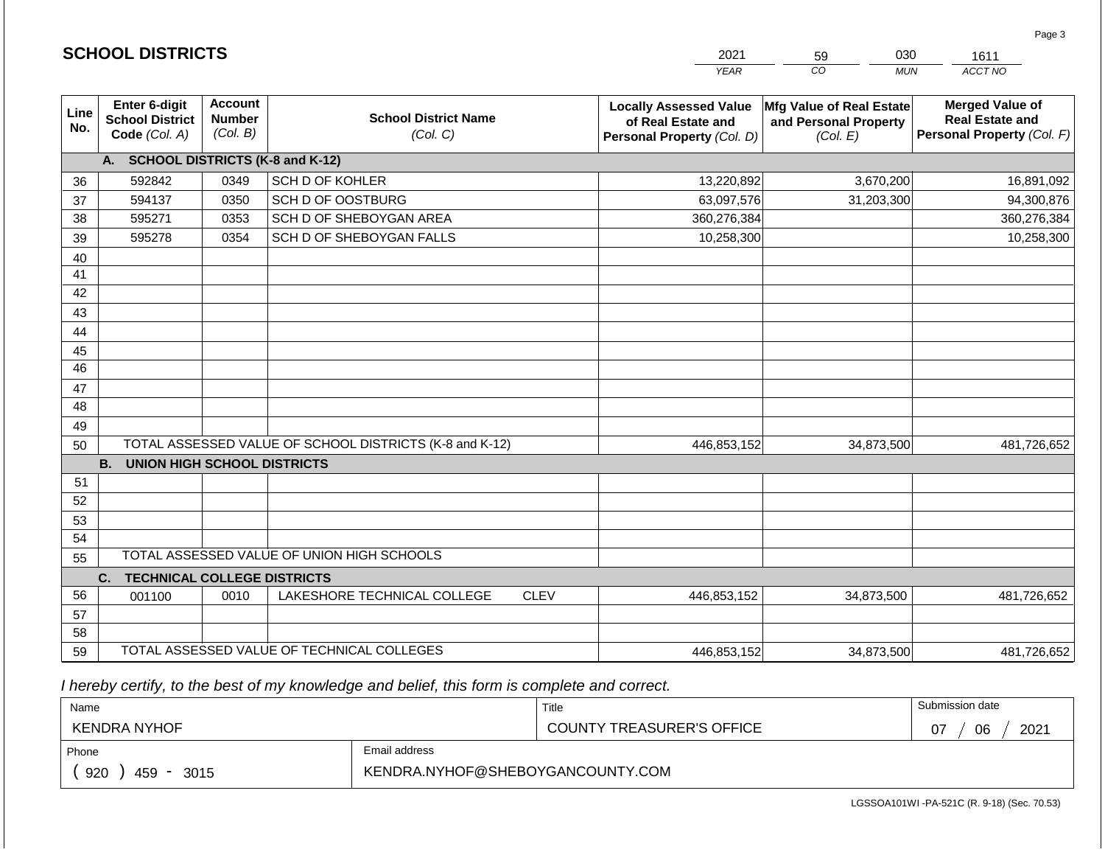|                 | <b>SCHOOL DISTRICTS</b>                                  |                                             |                                                         | 2021<br>030<br>59<br>1611 |                                                                                   |                                                               |                                                                                |
|-----------------|----------------------------------------------------------|---------------------------------------------|---------------------------------------------------------|---------------------------|-----------------------------------------------------------------------------------|---------------------------------------------------------------|--------------------------------------------------------------------------------|
|                 |                                                          |                                             |                                                         |                           | <b>YEAR</b>                                                                       | CO<br><b>MUN</b>                                              | ACCT NO                                                                        |
| Line<br>No.     | Enter 6-digit<br><b>School District</b><br>Code (Col. A) | <b>Account</b><br><b>Number</b><br>(Col. B) | <b>School District Name</b><br>(Col. C)                 |                           | <b>Locally Assessed Value</b><br>of Real Estate and<br>Personal Property (Col. D) | Mfg Value of Real Estate<br>and Personal Property<br>(Col. E) | <b>Merged Value of</b><br><b>Real Estate and</b><br>Personal Property (Col. F) |
|                 | A. SCHOOL DISTRICTS (K-8 and K-12)                       |                                             |                                                         |                           |                                                                                   |                                                               |                                                                                |
| 36              | 592842                                                   | 0349                                        | SCH D OF KOHLER                                         |                           | 13,220,892                                                                        | 3,670,200                                                     | 16,891,092                                                                     |
| 37              | 594137                                                   | 0350                                        | SCH D OF OOSTBURG                                       |                           | 63,097,576                                                                        | 31,203,300                                                    | 94,300,876                                                                     |
| 38              | 595271                                                   | 0353                                        | SCH D OF SHEBOYGAN AREA                                 |                           | 360,276,384                                                                       |                                                               | 360,276,384                                                                    |
| 39              | 595278                                                   | 0354                                        | SCH D OF SHEBOYGAN FALLS                                |                           | 10,258,300                                                                        |                                                               | 10,258,300                                                                     |
| 40              |                                                          |                                             |                                                         |                           |                                                                                   |                                                               |                                                                                |
| 41              |                                                          |                                             |                                                         |                           |                                                                                   |                                                               |                                                                                |
| 42              |                                                          |                                             |                                                         |                           |                                                                                   |                                                               |                                                                                |
| 43              |                                                          |                                             |                                                         |                           |                                                                                   |                                                               |                                                                                |
| 44              |                                                          |                                             |                                                         |                           |                                                                                   |                                                               |                                                                                |
| 45              |                                                          |                                             |                                                         |                           |                                                                                   |                                                               |                                                                                |
| $\overline{46}$ |                                                          |                                             |                                                         |                           |                                                                                   |                                                               |                                                                                |
| 47              |                                                          |                                             |                                                         |                           |                                                                                   |                                                               |                                                                                |
| 48              |                                                          |                                             |                                                         |                           |                                                                                   |                                                               |                                                                                |
| 49<br>50        |                                                          |                                             | TOTAL ASSESSED VALUE OF SCHOOL DISTRICTS (K-8 and K-12) |                           | 446,853,152                                                                       | 34,873,500                                                    | 481,726,652                                                                    |
|                 | <b>B.</b><br><b>UNION HIGH SCHOOL DISTRICTS</b>          |                                             |                                                         |                           |                                                                                   |                                                               |                                                                                |
| 51              |                                                          |                                             |                                                         |                           |                                                                                   |                                                               |                                                                                |
| 52              |                                                          |                                             |                                                         |                           |                                                                                   |                                                               |                                                                                |
| 53              |                                                          |                                             |                                                         |                           |                                                                                   |                                                               |                                                                                |
| 54              |                                                          |                                             |                                                         |                           |                                                                                   |                                                               |                                                                                |
| 55              |                                                          |                                             | TOTAL ASSESSED VALUE OF UNION HIGH SCHOOLS              |                           |                                                                                   |                                                               |                                                                                |
|                 | C.<br><b>TECHNICAL COLLEGE DISTRICTS</b>                 |                                             |                                                         |                           |                                                                                   |                                                               |                                                                                |
| 56              | 001100                                                   | 0010                                        | LAKESHORE TECHNICAL COLLEGE                             | <b>CLEV</b>               | 446,853,152                                                                       | 34,873,500                                                    | 481,726,652                                                                    |
| 57              |                                                          |                                             |                                                         |                           |                                                                                   |                                                               |                                                                                |
| 58              |                                                          |                                             |                                                         |                           |                                                                                   |                                                               |                                                                                |
| 59              |                                                          |                                             | TOTAL ASSESSED VALUE OF TECHNICAL COLLEGES              |                           | 446,853,152                                                                       | 34,873,500                                                    | 481,726,652                                                                    |

 *I hereby certify, to the best of my knowledge and belief, this form is complete and correct.*

**SCHOOL DISTRICTS**

| Name                |                                  | Title                            | Submission date  |
|---------------------|----------------------------------|----------------------------------|------------------|
| <b>KENDRA NYHOF</b> |                                  | <b>COUNTY TREASURER'S OFFICE</b> | 2021<br>06<br>07 |
| Phone               | Email address                    |                                  |                  |
| 920<br>459<br>3015  | KENDRA.NYHOF@SHEBOYGANCOUNTY.COM |                                  |                  |

Page 3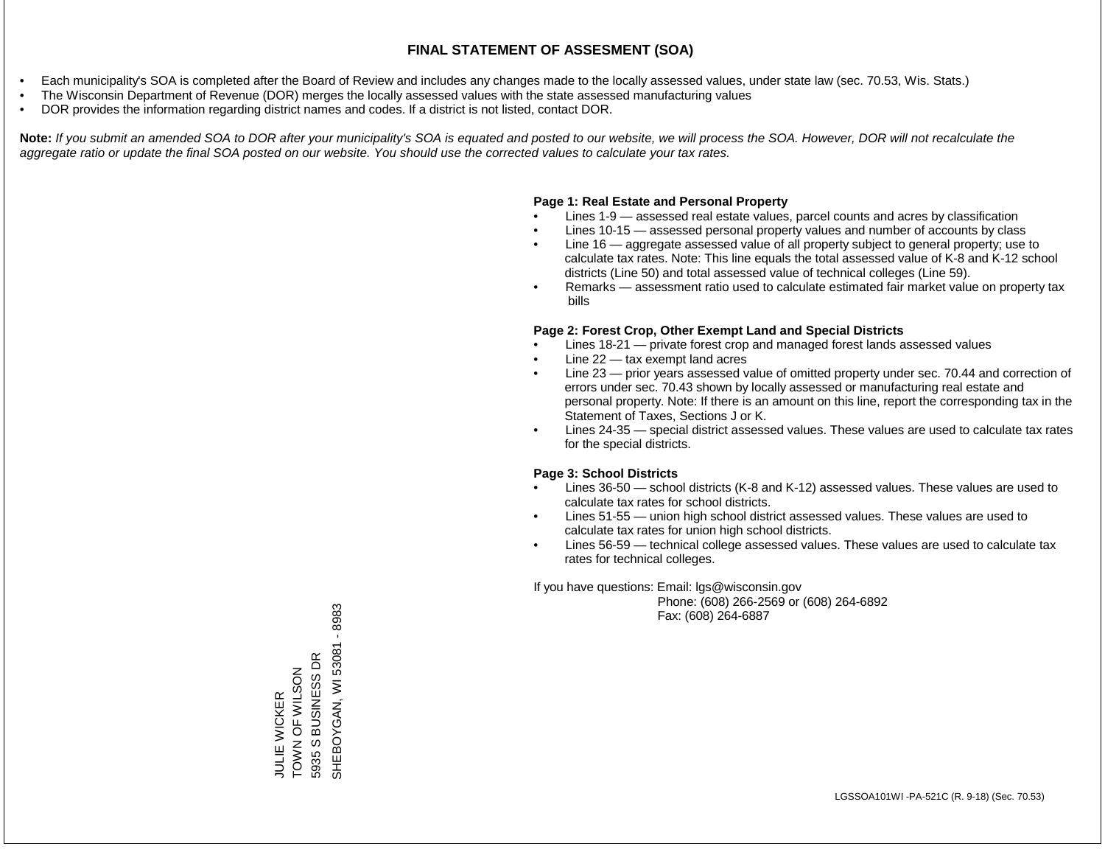- Each municipality's SOA is completed after the Board of Review and includes any changes made to the locally assessed values, under state law (sec. 70.53, Wis. Stats.)
- The Wisconsin Department of Revenue (DOR) merges the locally assessed values with the state assessed manufacturing values
- DOR provides the information regarding district names and codes. If a district is not listed, contact DOR.

Note: If you submit an amended SOA to DOR after your municipality's SOA is equated and posted to our website, we will process the SOA. However, DOR will not recalculate the *aggregate ratio or update the final SOA posted on our website. You should use the corrected values to calculate your tax rates.*

## **Page 1: Real Estate and Personal Property**

- Lines 1-9 assessed real estate values, parcel counts and acres by classification
- Lines 10-15 assessed personal property values and number of accounts by class
- Line 16 aggregate assessed value of all property subject to general property; use to calculate tax rates. Note: This line equals the total assessed value of K-8 and K-12 school districts (Line 50) and total assessed value of technical colleges (Line 59).
- Remarks assessment ratio used to calculate estimated fair market value on property tax bills

## **Page 2: Forest Crop, Other Exempt Land and Special Districts**

- Lines 18-21 private forest crop and managed forest lands assessed values
- Line  $22 -$  tax exempt land acres
- Line 23 prior years assessed value of omitted property under sec. 70.44 and correction of errors under sec. 70.43 shown by locally assessed or manufacturing real estate and personal property. Note: If there is an amount on this line, report the corresponding tax in the Statement of Taxes, Sections J or K.
- Lines 24-35 special district assessed values. These values are used to calculate tax rates for the special districts.

## **Page 3: School Districts**

- Lines 36-50 school districts (K-8 and K-12) assessed values. These values are used to calculate tax rates for school districts.
- Lines 51-55 union high school district assessed values. These values are used to calculate tax rates for union high school districts.
- Lines 56-59 technical college assessed values. These values are used to calculate tax rates for technical colleges.

If you have questions: Email: lgs@wisconsin.gov

 Phone: (608) 266-2569 or (608) 264-6892 Fax: (608) 264-6887

SHEBOYGAN, WI 53081 - 8983 SHEBOYGAN, YYOXOGEHES JULIE WICKER<br>TOWN OF WILSON<br>5935 S BUSINESS DR 5935 S BUSINESS DR ZOSTS FOR WARD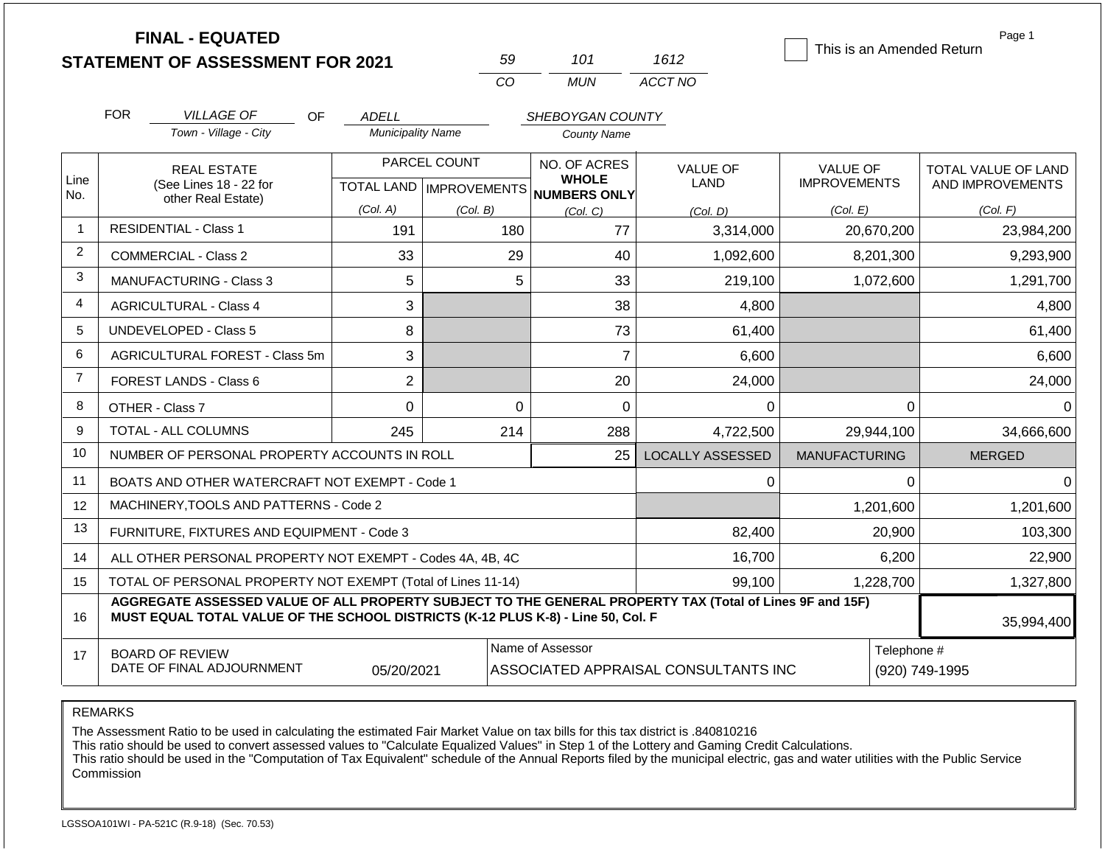|                |                                | <b>FINAL - EQUATED</b>                                                                                                                                                                       |                          |                           |                                     |                                      | This is an Amended Return | Page 1              |  |
|----------------|--------------------------------|----------------------------------------------------------------------------------------------------------------------------------------------------------------------------------------------|--------------------------|---------------------------|-------------------------------------|--------------------------------------|---------------------------|---------------------|--|
|                |                                | <b>STATEMENT OF ASSESSMENT FOR 2021</b>                                                                                                                                                      |                          | 59                        | 101                                 | 1612                                 |                           |                     |  |
|                |                                |                                                                                                                                                                                              |                          | CO                        | <b>MUN</b>                          | ACCT NO                              |                           |                     |  |
|                | <b>FOR</b>                     | <b>VILLAGE OF</b><br>OF.                                                                                                                                                                     | <b>ADELL</b>             |                           | SHEBOYGAN COUNTY                    |                                      |                           |                     |  |
|                |                                | Town - Village - City                                                                                                                                                                        | <b>Municipality Name</b> |                           | <b>County Name</b>                  |                                      |                           |                     |  |
|                |                                | <b>REAL ESTATE</b>                                                                                                                                                                           |                          | PARCEL COUNT              | NO. OF ACRES                        | <b>VALUE OF</b>                      | <b>VALUE OF</b>           | TOTAL VALUE OF LAND |  |
| Line<br>No.    |                                | (See Lines 18 - 22 for                                                                                                                                                                       |                          | TOTAL LAND   IMPROVEMENTS | <b>WHOLE</b><br><b>NUMBERS ONLY</b> | <b>LAND</b>                          | <b>IMPROVEMENTS</b>       | AND IMPROVEMENTS    |  |
|                |                                | other Real Estate)                                                                                                                                                                           | (Col. A)                 | (Col. B)                  | (Col, C)                            | (Col. D)                             | (Col. E)                  | (Col. F)            |  |
| $\overline{1}$ |                                | <b>RESIDENTIAL - Class 1</b>                                                                                                                                                                 | 191                      |                           | 180<br>77                           | 3,314,000                            | 20,670,200                | 23,984,200          |  |
| 2              |                                | <b>COMMERCIAL - Class 2</b>                                                                                                                                                                  | 33                       |                           | 29<br>40                            | 1,092,600                            | 8,201,300                 | 9,293,900           |  |
| 3              | <b>MANUFACTURING - Class 3</b> |                                                                                                                                                                                              | 5                        |                           | 5<br>33                             | 219,100                              | 1,072,600                 | 1,291,700           |  |
| $\overline{4}$ | <b>AGRICULTURAL - Class 4</b>  |                                                                                                                                                                                              | 3                        |                           | 38                                  | 4,800                                |                           | 4,800               |  |
| 5              |                                | <b>UNDEVELOPED - Class 5</b>                                                                                                                                                                 | 8                        |                           | 73                                  | 61,400                               |                           | 61,400              |  |
| 6              |                                | <b>AGRICULTURAL FOREST - Class 5m</b>                                                                                                                                                        | 3                        |                           | $\overline{7}$                      | 6,600                                |                           | 6,600               |  |
| $\overline{7}$ |                                | <b>FOREST LANDS - Class 6</b>                                                                                                                                                                | $\overline{2}$           |                           | 20                                  | 24,000                               |                           | 24,000              |  |
| 8              |                                | OTHER - Class 7                                                                                                                                                                              | $\mathbf 0$              |                           | $\mathbf 0$<br>0                    | 0                                    | $\Omega$                  | $\Omega$            |  |
| 9              |                                | TOTAL - ALL COLUMNS                                                                                                                                                                          | 245                      | 214                       | 288                                 | 4,722,500                            | 29,944,100                | 34,666,600          |  |
| 10             |                                | NUMBER OF PERSONAL PROPERTY ACCOUNTS IN ROLL                                                                                                                                                 |                          |                           | 25                                  | <b>LOCALLY ASSESSED</b>              | <b>MANUFACTURING</b>      | <b>MERGED</b>       |  |
| 11             |                                | BOATS AND OTHER WATERCRAFT NOT EXEMPT - Code 1                                                                                                                                               |                          |                           |                                     | 0                                    | $\Omega$                  | $\Omega$            |  |
| 12             |                                | MACHINERY, TOOLS AND PATTERNS - Code 2                                                                                                                                                       |                          |                           |                                     |                                      | 1,201,600                 | 1,201,600           |  |
| 13             |                                | FURNITURE, FIXTURES AND EQUIPMENT - Code 3                                                                                                                                                   |                          |                           |                                     | 82,400                               | 20,900                    | 103,300             |  |
| 14             |                                | ALL OTHER PERSONAL PROPERTY NOT EXEMPT - Codes 4A, 4B, 4C                                                                                                                                    |                          |                           |                                     | 16,700                               | 6,200                     | 22,900              |  |
| 15             |                                | TOTAL OF PERSONAL PROPERTY NOT EXEMPT (Total of Lines 11-14)                                                                                                                                 |                          |                           | 99,100                              | 1,228,700                            | 1,327,800                 |                     |  |
| 16             |                                | AGGREGATE ASSESSED VALUE OF ALL PROPERTY SUBJECT TO THE GENERAL PROPERTY TAX (Total of Lines 9F and 15F)<br>MUST EQUAL TOTAL VALUE OF THE SCHOOL DISTRICTS (K-12 PLUS K-8) - Line 50, Col. F |                          |                           |                                     |                                      |                           | 35,994,400          |  |
| 17             |                                | <b>BOARD OF REVIEW</b>                                                                                                                                                                       |                          |                           | Name of Assessor                    |                                      | Telephone #               |                     |  |
|                |                                | DATE OF FINAL ADJOURNMENT                                                                                                                                                                    | 05/20/2021               |                           |                                     | ASSOCIATED APPRAISAL CONSULTANTS INC |                           | (920) 749-1995      |  |

REMARKS

The Assessment Ratio to be used in calculating the estimated Fair Market Value on tax bills for this tax district is .840810216

This ratio should be used to convert assessed values to "Calculate Equalized Values" in Step 1 of the Lottery and Gaming Credit Calculations.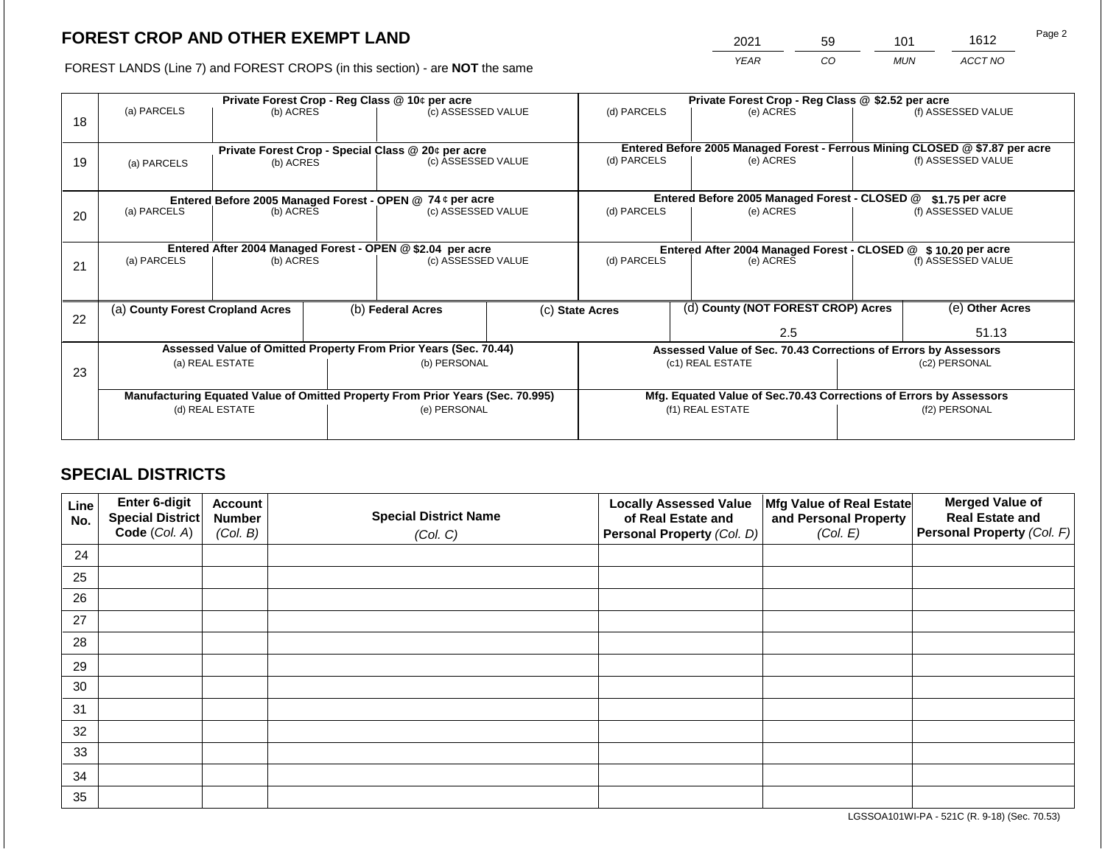2021 59 101 1612

FOREST LANDS (Line 7) and FOREST CROPS (in this section) - are **NOT** the same *YEAR CO MUN ACCT NO*

|    |                                  | Private Forest Crop - Reg Class @ 10¢ per acre |                                                           |                                                                                |  | Private Forest Crop - Reg Class @ \$2.52 per acre |                                               |                                                                    |                                                                                                    |                    |
|----|----------------------------------|------------------------------------------------|-----------------------------------------------------------|--------------------------------------------------------------------------------|--|---------------------------------------------------|-----------------------------------------------|--------------------------------------------------------------------|----------------------------------------------------------------------------------------------------|--------------------|
| 18 | (a) PARCELS                      | (b) ACRES                                      |                                                           | (c) ASSESSED VALUE                                                             |  | (d) PARCELS                                       |                                               | (e) ACRES                                                          |                                                                                                    | (f) ASSESSED VALUE |
|    |                                  |                                                |                                                           |                                                                                |  |                                                   |                                               |                                                                    |                                                                                                    |                    |
|    |                                  |                                                |                                                           |                                                                                |  |                                                   |                                               |                                                                    |                                                                                                    |                    |
| 19 |                                  | (b) ACRES                                      |                                                           | Private Forest Crop - Special Class @ 20¢ per acre<br>(c) ASSESSED VALUE       |  | (d) PARCELS                                       |                                               | (e) ACRES                                                          | Entered Before 2005 Managed Forest - Ferrous Mining CLOSED @ \$7.87 per acre<br>(f) ASSESSED VALUE |                    |
|    | (a) PARCELS                      |                                                |                                                           |                                                                                |  |                                                   |                                               |                                                                    |                                                                                                    |                    |
|    |                                  |                                                |                                                           |                                                                                |  |                                                   |                                               |                                                                    |                                                                                                    |                    |
|    |                                  |                                                | Entered Before 2005 Managed Forest - OPEN @ 74 ¢ per acre |                                                                                |  |                                                   | Entered Before 2005 Managed Forest - CLOSED @ |                                                                    | \$1.75 per acre                                                                                    |                    |
| 20 | (a) PARCELS                      | (b) ACRES                                      |                                                           | (c) ASSESSED VALUE                                                             |  | (d) PARCELS                                       |                                               | (e) ACRES                                                          |                                                                                                    | (f) ASSESSED VALUE |
|    |                                  |                                                |                                                           |                                                                                |  |                                                   |                                               |                                                                    |                                                                                                    |                    |
|    |                                  |                                                |                                                           | Entered After 2004 Managed Forest - OPEN @ \$2.04 per acre                     |  |                                                   |                                               |                                                                    | Entered After 2004 Managed Forest - CLOSED @ \$10.20 per acre                                      |                    |
|    | (a) PARCELS<br>(b) ACRES         |                                                |                                                           | (c) ASSESSED VALUE                                                             |  | (d) PARCELS<br>(e) ACRES                          |                                               |                                                                    |                                                                                                    | (f) ASSESSED VALUE |
| 21 |                                  |                                                |                                                           |                                                                                |  |                                                   |                                               |                                                                    |                                                                                                    |                    |
|    |                                  |                                                |                                                           |                                                                                |  |                                                   |                                               |                                                                    |                                                                                                    |                    |
|    | (a) County Forest Cropland Acres |                                                |                                                           | (b) Federal Acres                                                              |  | (c) State Acres                                   |                                               | (d) County (NOT FOREST CROP) Acres                                 |                                                                                                    | (e) Other Acres    |
| 22 |                                  |                                                |                                                           |                                                                                |  |                                                   |                                               |                                                                    |                                                                                                    |                    |
|    |                                  |                                                |                                                           |                                                                                |  |                                                   | 2.5                                           |                                                                    |                                                                                                    | 51.13              |
|    |                                  |                                                |                                                           | Assessed Value of Omitted Property From Prior Years (Sec. 70.44)               |  |                                                   |                                               | Assessed Value of Sec. 70.43 Corrections of Errors by Assessors    |                                                                                                    |                    |
|    |                                  | (a) REAL ESTATE                                |                                                           | (b) PERSONAL                                                                   |  |                                                   |                                               | (c1) REAL ESTATE                                                   | (c2) PERSONAL                                                                                      |                    |
| 23 |                                  |                                                |                                                           |                                                                                |  |                                                   |                                               |                                                                    |                                                                                                    |                    |
|    |                                  |                                                |                                                           | Manufacturing Equated Value of Omitted Property From Prior Years (Sec. 70.995) |  |                                                   |                                               | Mfg. Equated Value of Sec.70.43 Corrections of Errors by Assessors |                                                                                                    |                    |
|    |                                  | (d) REAL ESTATE                                |                                                           | (e) PERSONAL                                                                   |  |                                                   |                                               | (f1) REAL ESTATE                                                   | (f2) PERSONAL                                                                                      |                    |
|    |                                  |                                                |                                                           |                                                                                |  |                                                   |                                               |                                                                    |                                                                                                    |                    |
|    |                                  |                                                |                                                           |                                                                                |  |                                                   |                                               |                                                                    |                                                                                                    |                    |

## **SPECIAL DISTRICTS**

| Line<br>No. | <b>Enter 6-digit</b><br>Special District | <b>Account</b><br><b>Number</b> | <b>Special District Name</b> | <b>Locally Assessed Value</b><br>of Real Estate and | Mfg Value of Real Estate<br>and Personal Property | <b>Merged Value of</b><br><b>Real Estate and</b> |
|-------------|------------------------------------------|---------------------------------|------------------------------|-----------------------------------------------------|---------------------------------------------------|--------------------------------------------------|
|             | Code (Col. A)                            | (Col. B)                        | (Col. C)                     | Personal Property (Col. D)                          | (Col. E)                                          | Personal Property (Col. F)                       |
| 24          |                                          |                                 |                              |                                                     |                                                   |                                                  |
| 25          |                                          |                                 |                              |                                                     |                                                   |                                                  |
| 26          |                                          |                                 |                              |                                                     |                                                   |                                                  |
| 27          |                                          |                                 |                              |                                                     |                                                   |                                                  |
| 28          |                                          |                                 |                              |                                                     |                                                   |                                                  |
| 29          |                                          |                                 |                              |                                                     |                                                   |                                                  |
| 30          |                                          |                                 |                              |                                                     |                                                   |                                                  |
| 31          |                                          |                                 |                              |                                                     |                                                   |                                                  |
| 32          |                                          |                                 |                              |                                                     |                                                   |                                                  |
| 33          |                                          |                                 |                              |                                                     |                                                   |                                                  |
| 34          |                                          |                                 |                              |                                                     |                                                   |                                                  |
| 35          |                                          |                                 |                              |                                                     |                                                   |                                                  |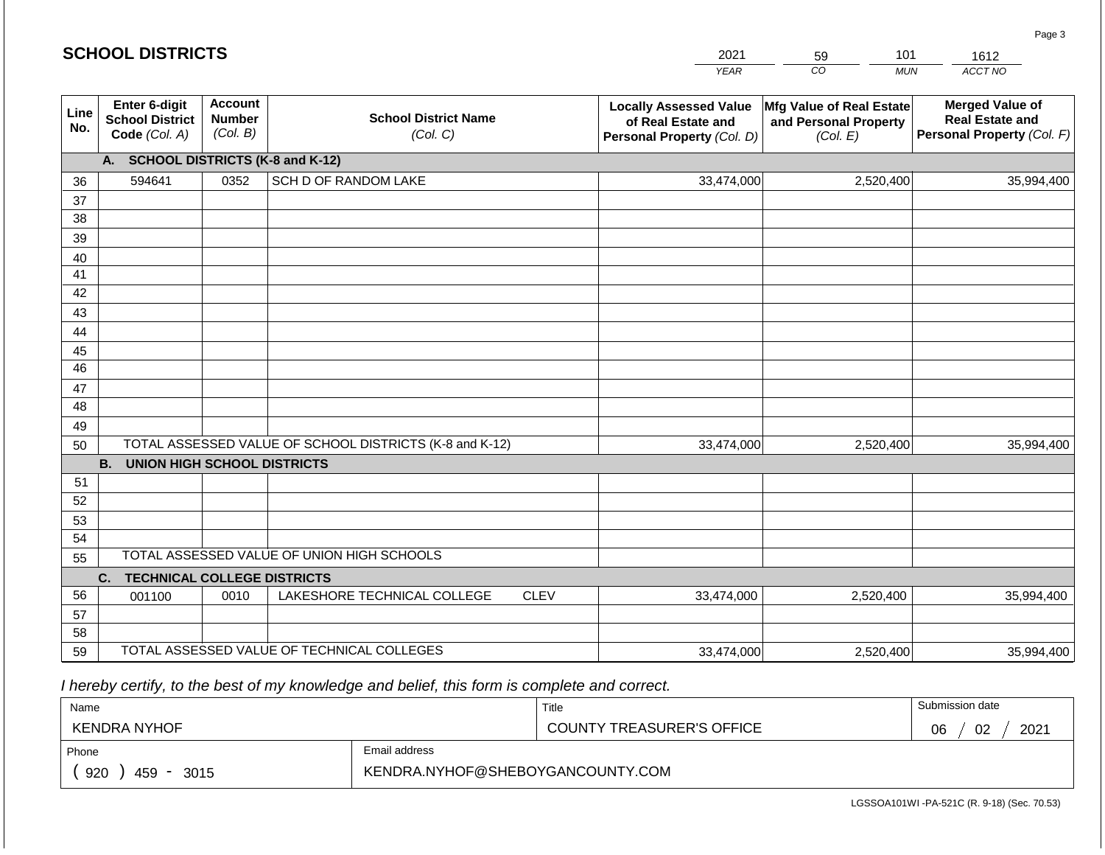|                 | <b>SCHOOL DISTRICTS</b>                                                                |                                             |                                                         |             | 2021                                                                              | 101<br>59                                                     | 1612                                                                           |  |  |  |
|-----------------|----------------------------------------------------------------------------------------|---------------------------------------------|---------------------------------------------------------|-------------|-----------------------------------------------------------------------------------|---------------------------------------------------------------|--------------------------------------------------------------------------------|--|--|--|
|                 |                                                                                        |                                             |                                                         |             | <b>YEAR</b>                                                                       | CO<br><b>MUN</b>                                              | ACCT NO                                                                        |  |  |  |
| Line<br>No.     | Enter 6-digit<br><b>School District</b><br>Code (Col. A)                               | <b>Account</b><br><b>Number</b><br>(Col. B) | <b>School District Name</b><br>(Col. C)                 |             | <b>Locally Assessed Value</b><br>of Real Estate and<br>Personal Property (Col. D) | Mfg Value of Real Estate<br>and Personal Property<br>(Col. E) | <b>Merged Value of</b><br><b>Real Estate and</b><br>Personal Property (Col. F) |  |  |  |
|                 | <b>SCHOOL DISTRICTS (K-8 and K-12)</b><br>A.                                           |                                             |                                                         |             |                                                                                   |                                                               |                                                                                |  |  |  |
| 36              | 594641                                                                                 | 0352                                        | SCH D OF RANDOM LAKE                                    |             | 33,474,000                                                                        | 2,520,400                                                     | 35,994,400                                                                     |  |  |  |
| 37              |                                                                                        |                                             |                                                         |             |                                                                                   |                                                               |                                                                                |  |  |  |
| 38              |                                                                                        |                                             |                                                         |             |                                                                                   |                                                               |                                                                                |  |  |  |
| 39              |                                                                                        |                                             |                                                         |             |                                                                                   |                                                               |                                                                                |  |  |  |
| 40              |                                                                                        |                                             |                                                         |             |                                                                                   |                                                               |                                                                                |  |  |  |
| 41<br>42        |                                                                                        |                                             |                                                         |             |                                                                                   |                                                               |                                                                                |  |  |  |
| 43              |                                                                                        |                                             |                                                         |             |                                                                                   |                                                               |                                                                                |  |  |  |
| 44              |                                                                                        |                                             |                                                         |             |                                                                                   |                                                               |                                                                                |  |  |  |
| 45              |                                                                                        |                                             |                                                         |             |                                                                                   |                                                               |                                                                                |  |  |  |
| $\overline{46}$ |                                                                                        |                                             |                                                         |             |                                                                                   |                                                               |                                                                                |  |  |  |
| 47              |                                                                                        |                                             |                                                         |             |                                                                                   |                                                               |                                                                                |  |  |  |
| 48              |                                                                                        |                                             |                                                         |             |                                                                                   |                                                               |                                                                                |  |  |  |
| 49              |                                                                                        |                                             |                                                         |             |                                                                                   |                                                               |                                                                                |  |  |  |
| 50              |                                                                                        |                                             | TOTAL ASSESSED VALUE OF SCHOOL DISTRICTS (K-8 and K-12) |             | 33,474,000                                                                        | 2,520,400                                                     | 35,994,400                                                                     |  |  |  |
|                 | <b>B.</b><br><b>UNION HIGH SCHOOL DISTRICTS</b>                                        |                                             |                                                         |             |                                                                                   |                                                               |                                                                                |  |  |  |
| 51              |                                                                                        |                                             |                                                         |             |                                                                                   |                                                               |                                                                                |  |  |  |
| 52              |                                                                                        |                                             |                                                         |             |                                                                                   |                                                               |                                                                                |  |  |  |
| 53              |                                                                                        |                                             |                                                         |             |                                                                                   |                                                               |                                                                                |  |  |  |
| 54              |                                                                                        |                                             |                                                         |             |                                                                                   |                                                               |                                                                                |  |  |  |
|                 | TOTAL ASSESSED VALUE OF UNION HIGH SCHOOLS<br>55<br><b>TECHNICAL COLLEGE DISTRICTS</b> |                                             |                                                         |             |                                                                                   |                                                               |                                                                                |  |  |  |
| 56              | C.                                                                                     | 0010                                        | LAKESHORE TECHNICAL COLLEGE                             | <b>CLEV</b> | 33,474,000                                                                        | 2,520,400                                                     | 35,994,400                                                                     |  |  |  |
| 57              | 001100                                                                                 |                                             |                                                         |             |                                                                                   |                                                               |                                                                                |  |  |  |
| 58              |                                                                                        |                                             |                                                         |             |                                                                                   |                                                               |                                                                                |  |  |  |
| 59              |                                                                                        |                                             | TOTAL ASSESSED VALUE OF TECHNICAL COLLEGES              |             | 33,474,000                                                                        | 2,520,400                                                     | 35,994,400                                                                     |  |  |  |

 *I hereby certify, to the best of my knowledge and belief, this form is complete and correct.*

| Name                                           |                                  | Title                            | Submission date  |
|------------------------------------------------|----------------------------------|----------------------------------|------------------|
| KENDRA NYHOF                                   |                                  | <b>COUNTY TREASURER'S OFFICE</b> | 2021<br>02<br>06 |
| Phone                                          | Email address                    |                                  |                  |
| 920<br>459<br>3015<br>$\overline{\phantom{a}}$ | KENDRA.NYHOF@SHEBOYGANCOUNTY.COM |                                  |                  |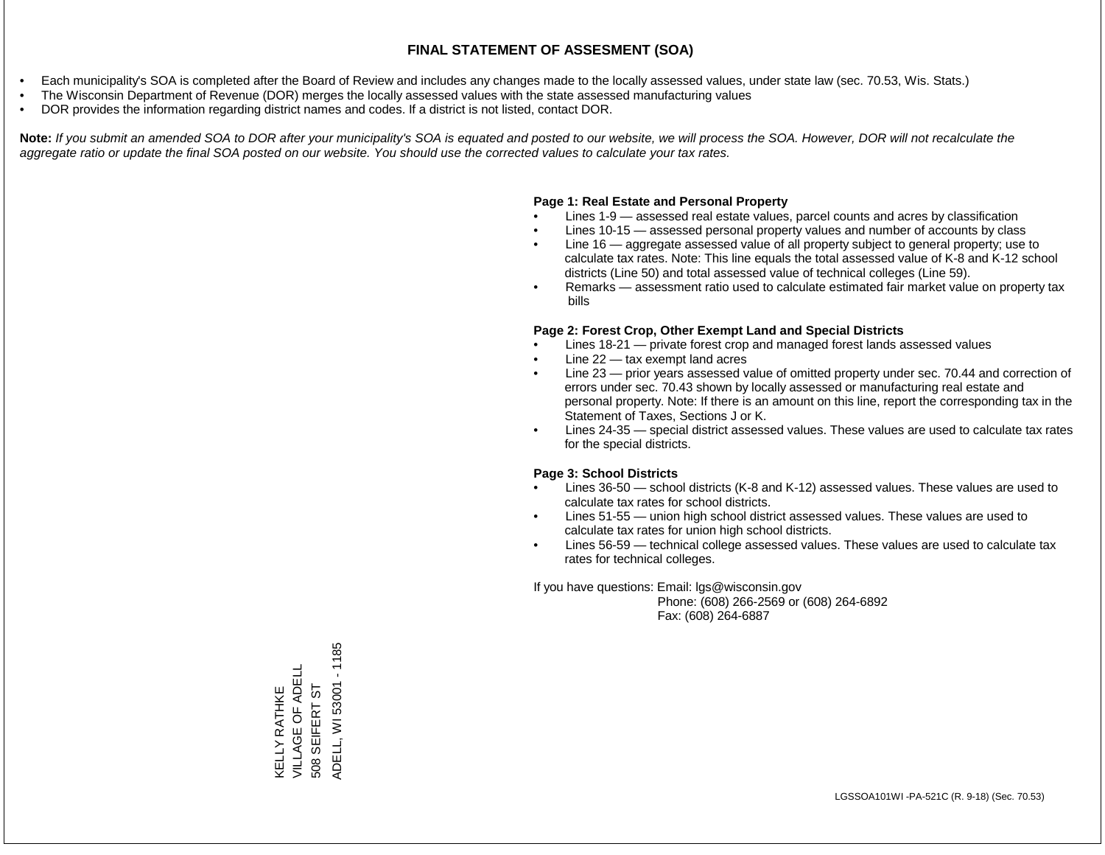- Each municipality's SOA is completed after the Board of Review and includes any changes made to the locally assessed values, under state law (sec. 70.53, Wis. Stats.)
- The Wisconsin Department of Revenue (DOR) merges the locally assessed values with the state assessed manufacturing values
- DOR provides the information regarding district names and codes. If a district is not listed, contact DOR.

Note: If you submit an amended SOA to DOR after your municipality's SOA is equated and posted to our website, we will process the SOA. However, DOR will not recalculate the *aggregate ratio or update the final SOA posted on our website. You should use the corrected values to calculate your tax rates.*

#### **Page 1: Real Estate and Personal Property**

- Lines 1-9 assessed real estate values, parcel counts and acres by classification
- Lines 10-15 assessed personal property values and number of accounts by class
- Line 16 aggregate assessed value of all property subject to general property; use to calculate tax rates. Note: This line equals the total assessed value of K-8 and K-12 school districts (Line 50) and total assessed value of technical colleges (Line 59).
- Remarks assessment ratio used to calculate estimated fair market value on property tax bills

#### **Page 2: Forest Crop, Other Exempt Land and Special Districts**

- Lines 18-21 private forest crop and managed forest lands assessed values
- Line  $22 -$  tax exempt land acres
- Line 23 prior years assessed value of omitted property under sec. 70.44 and correction of errors under sec. 70.43 shown by locally assessed or manufacturing real estate and personal property. Note: If there is an amount on this line, report the corresponding tax in the Statement of Taxes, Sections J or K.
- Lines 24-35 special district assessed values. These values are used to calculate tax rates for the special districts.

#### **Page 3: School Districts**

- Lines 36-50 school districts (K-8 and K-12) assessed values. These values are used to calculate tax rates for school districts.
- Lines 51-55 union high school district assessed values. These values are used to calculate tax rates for union high school districts.
- Lines 56-59 technical college assessed values. These values are used to calculate tax rates for technical colleges.

If you have questions: Email: lgs@wisconsin.gov

 Phone: (608) 266-2569 or (608) 264-6892 Fax: (608) 264-6887

 $-1185$ ADELL, WI 53001 - 1185KELLY RATHKE<br>VILLAGE OF ADELL VILLAGE OF ADELL ADELL, WI 53001 508 SEIFERT ST 508 SEIFERT ST KELLY RATHKE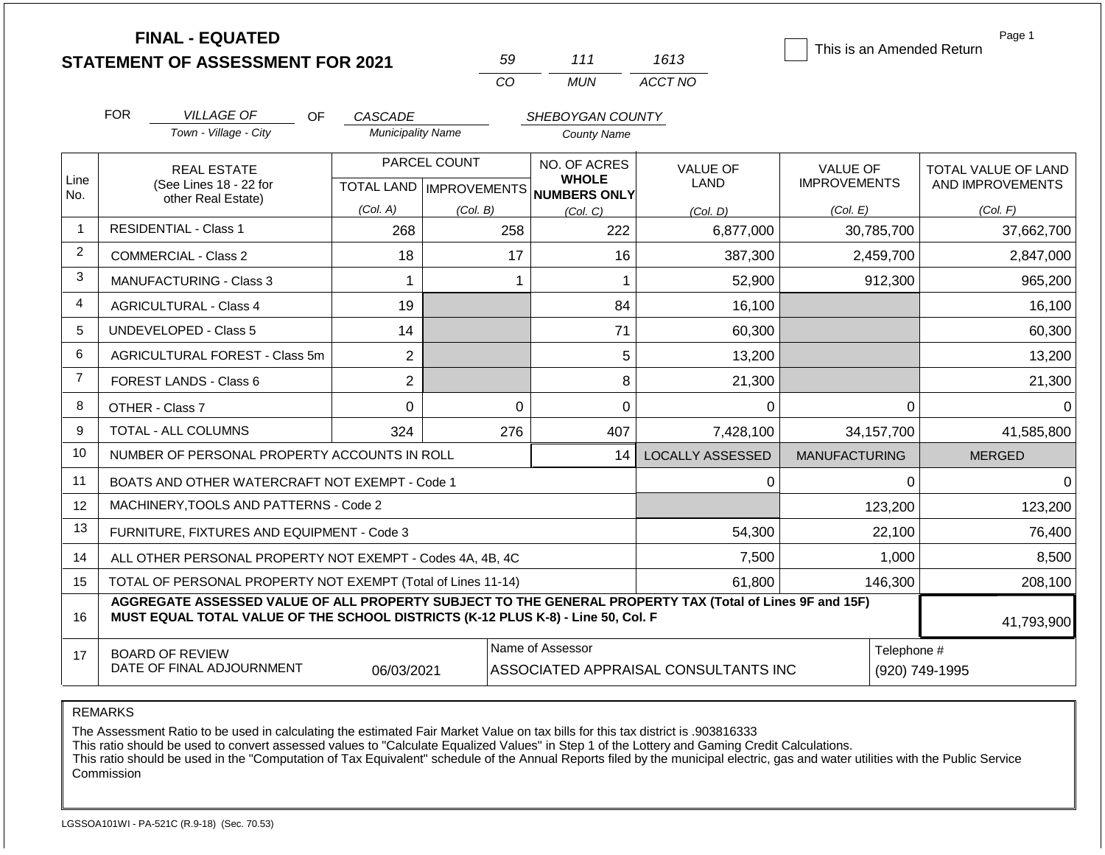**FINAL - EQUATED**

| 59          | 111   | 1613    |
|-------------|-------|---------|
| $($ . $($ ) | MI IN | ACCT NO |

This is an Amended Return

Page 1

|                | <b>FOR</b><br><b>VILLAGE OF</b><br><b>OF</b><br>Town - Village - City                                                                                                                        | CASCADE<br><b>Municipality Name</b> |                                           | SHEBOYGAN COUNTY<br><b>County Name</b>       |                                      |                                        |                                         |
|----------------|----------------------------------------------------------------------------------------------------------------------------------------------------------------------------------------------|-------------------------------------|-------------------------------------------|----------------------------------------------|--------------------------------------|----------------------------------------|-----------------------------------------|
| Line           | <b>REAL ESTATE</b><br>(See Lines 18 - 22 for                                                                                                                                                 |                                     | PARCEL COUNT<br>TOTAL LAND   IMPROVEMENTS | NO. OF ACRES<br><b>WHOLE</b><br>NUMBERS ONLY | <b>VALUE OF</b><br><b>LAND</b>       | <b>VALUE OF</b><br><b>IMPROVEMENTS</b> | TOTAL VALUE OF LAND<br>AND IMPROVEMENTS |
| No.            | other Real Estate)                                                                                                                                                                           | (Col. A)                            | (Col, B)                                  | (Col, C)                                     | (Col, D)                             | (Col. E)                               | (Col. F)                                |
| $\mathbf{1}$   | <b>RESIDENTIAL - Class 1</b>                                                                                                                                                                 | 268                                 | 258                                       | 222                                          | 6,877,000                            | 30,785,700                             | 37,662,700                              |
| 2              | <b>COMMERCIAL - Class 2</b>                                                                                                                                                                  | 18                                  | 17                                        | 16                                           | 387,300                              | 2,459,700                              | 2,847,000                               |
| $\mathbf{3}$   | <b>MANUFACTURING - Class 3</b>                                                                                                                                                               |                                     |                                           |                                              | 52,900                               | 912,300                                | 965,200                                 |
| $\overline{4}$ | <b>AGRICULTURAL - Class 4</b>                                                                                                                                                                | 19                                  |                                           | 84                                           | 16,100                               |                                        | 16,100                                  |
| 5              | <b>UNDEVELOPED - Class 5</b>                                                                                                                                                                 | 14                                  |                                           | 71                                           | 60,300                               |                                        | 60,300                                  |
| 6              | AGRICULTURAL FOREST - Class 5m                                                                                                                                                               | $\overline{2}$                      |                                           | 5                                            | 13,200                               |                                        | 13,200                                  |
| $\overline{7}$ | FOREST LANDS - Class 6                                                                                                                                                                       | $\overline{2}$                      |                                           | 8                                            | 21,300                               |                                        | 21,300                                  |
| 8              | OTHER - Class 7                                                                                                                                                                              | $\Omega$                            | $\Omega$                                  | 0                                            | $\Omega$                             | $\Omega$                               |                                         |
| 9              | <b>TOTAL - ALL COLUMNS</b>                                                                                                                                                                   | 324                                 | 276                                       | 407                                          | 7,428,100                            | 34,157,700                             | 41,585,800                              |
| 10             | NUMBER OF PERSONAL PROPERTY ACCOUNTS IN ROLL                                                                                                                                                 |                                     |                                           | 14                                           | <b>LOCALLY ASSESSED</b>              | <b>MANUFACTURING</b>                   | <b>MERGED</b>                           |
| 11             | BOATS AND OTHER WATERCRAFT NOT EXEMPT - Code 1                                                                                                                                               |                                     |                                           |                                              | 0                                    | $\Omega$                               | $\Omega$                                |
| 12             | MACHINERY, TOOLS AND PATTERNS - Code 2                                                                                                                                                       |                                     |                                           |                                              |                                      | 123,200                                | 123,200                                 |
| 13             | FURNITURE, FIXTURES AND EQUIPMENT - Code 3                                                                                                                                                   |                                     |                                           |                                              | 54,300                               | 22,100                                 | 76,400                                  |
| 14             | ALL OTHER PERSONAL PROPERTY NOT EXEMPT - Codes 4A, 4B, 4C                                                                                                                                    |                                     |                                           |                                              | 7,500                                | 1,000                                  | 8,500                                   |
| 15             | TOTAL OF PERSONAL PROPERTY NOT EXEMPT (Total of Lines 11-14)                                                                                                                                 |                                     |                                           |                                              | 61,800                               | 146,300                                | 208,100                                 |
| 16             | AGGREGATE ASSESSED VALUE OF ALL PROPERTY SUBJECT TO THE GENERAL PROPERTY TAX (Total of Lines 9F and 15F)<br>MUST EQUAL TOTAL VALUE OF THE SCHOOL DISTRICTS (K-12 PLUS K-8) - Line 50, Col. F |                                     |                                           |                                              |                                      |                                        | 41,793,900                              |
| 17             | <b>BOARD OF REVIEW</b><br>DATE OF FINAL ADJOURNMENT                                                                                                                                          | 06/03/2021                          |                                           | Name of Assessor                             | ASSOCIATED APPRAISAL CONSULTANTS INC | Telephone #                            | (920) 749-1995                          |

REMARKS

The Assessment Ratio to be used in calculating the estimated Fair Market Value on tax bills for this tax district is .903816333

This ratio should be used to convert assessed values to "Calculate Equalized Values" in Step 1 of the Lottery and Gaming Credit Calculations.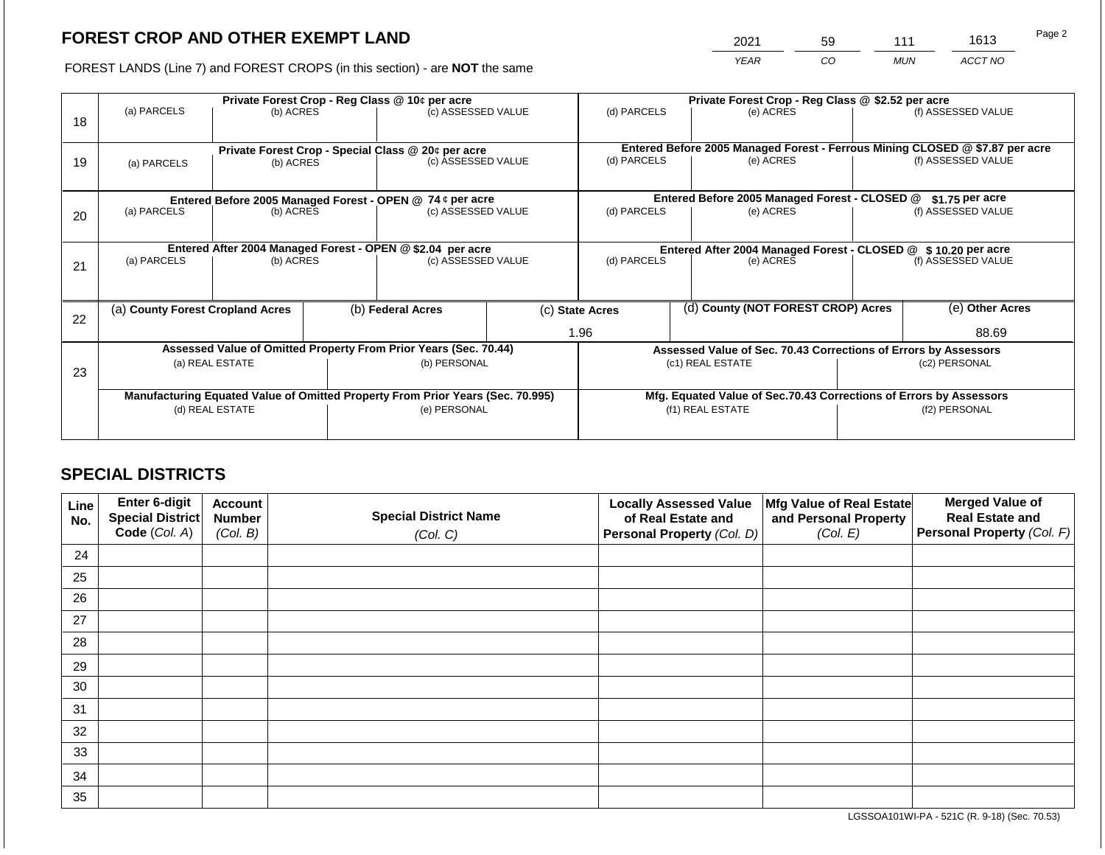2021 59 111 1613

FOREST LANDS (Line 7) and FOREST CROPS (in this section) - are **NOT** the same *YEAR CO MUN ACCT NO*

|    | Private Forest Crop - Reg Class @ 10¢ per acre |                 |  |                                                                                |  | Private Forest Crop - Reg Class @ \$2.52 per acre             |  |                                                                                           |                                                                    |                    |
|----|------------------------------------------------|-----------------|--|--------------------------------------------------------------------------------|--|---------------------------------------------------------------|--|-------------------------------------------------------------------------------------------|--------------------------------------------------------------------|--------------------|
| 18 | (a) PARCELS                                    | (b) ACRES       |  | (c) ASSESSED VALUE                                                             |  | (d) PARCELS                                                   |  | (e) ACRES                                                                                 |                                                                    | (f) ASSESSED VALUE |
|    |                                                |                 |  |                                                                                |  |                                                               |  |                                                                                           |                                                                    |                    |
|    |                                                |                 |  | Private Forest Crop - Special Class @ 20¢ per acre                             |  | (d) PARCELS                                                   |  | Entered Before 2005 Managed Forest - Ferrous Mining CLOSED @ \$7.87 per acre<br>(e) ACRES |                                                                    | (f) ASSESSED VALUE |
| 19 | (a) PARCELS                                    | (b) ACRES       |  | (c) ASSESSED VALUE                                                             |  |                                                               |  |                                                                                           |                                                                    |                    |
|    |                                                |                 |  |                                                                                |  |                                                               |  |                                                                                           |                                                                    |                    |
|    |                                                |                 |  | Entered Before 2005 Managed Forest - OPEN @ 74 ¢ per acre                      |  |                                                               |  | Entered Before 2005 Managed Forest - CLOSED @                                             |                                                                    | $$1.75$ per acre   |
| 20 | (a) PARCELS                                    | (b) ACRES       |  | (c) ASSESSED VALUE                                                             |  | (d) PARCELS                                                   |  | (e) ACRES                                                                                 |                                                                    | (f) ASSESSED VALUE |
|    |                                                |                 |  |                                                                                |  |                                                               |  |                                                                                           |                                                                    |                    |
|    |                                                |                 |  | Entered After 2004 Managed Forest - OPEN @ \$2.04 per acre                     |  | Entered After 2004 Managed Forest - CLOSED @ \$10.20 per acre |  |                                                                                           |                                                                    |                    |
| 21 | (a) PARCELS                                    | (b) ACRES       |  | (c) ASSESSED VALUE                                                             |  | (d) PARCELS                                                   |  | (e) ACRES                                                                                 |                                                                    | (f) ASSESSED VALUE |
|    |                                                |                 |  |                                                                                |  |                                                               |  |                                                                                           |                                                                    |                    |
|    |                                                |                 |  |                                                                                |  |                                                               |  |                                                                                           |                                                                    |                    |
| 22 | (a) County Forest Cropland Acres               |                 |  | (b) Federal Acres                                                              |  | (c) State Acres                                               |  | (d) County (NOT FOREST CROP) Acres                                                        |                                                                    | (e) Other Acres    |
|    |                                                |                 |  |                                                                                |  | 1.96                                                          |  |                                                                                           |                                                                    | 88.69              |
|    |                                                |                 |  | Assessed Value of Omitted Property From Prior Years (Sec. 70.44)               |  |                                                               |  | Assessed Value of Sec. 70.43 Corrections of Errors by Assessors                           |                                                                    |                    |
| 23 |                                                | (a) REAL ESTATE |  | (b) PERSONAL                                                                   |  |                                                               |  | (c1) REAL ESTATE                                                                          | (c2) PERSONAL                                                      |                    |
|    |                                                |                 |  |                                                                                |  |                                                               |  |                                                                                           |                                                                    |                    |
|    |                                                |                 |  | Manufacturing Equated Value of Omitted Property From Prior Years (Sec. 70.995) |  |                                                               |  |                                                                                           | Mfg. Equated Value of Sec.70.43 Corrections of Errors by Assessors |                    |
|    |                                                | (d) REAL ESTATE |  | (e) PERSONAL                                                                   |  |                                                               |  | (f1) REAL ESTATE                                                                          |                                                                    | (f2) PERSONAL      |
|    |                                                |                 |  |                                                                                |  |                                                               |  |                                                                                           |                                                                    |                    |
|    |                                                |                 |  |                                                                                |  |                                                               |  |                                                                                           |                                                                    |                    |

## **SPECIAL DISTRICTS**

| Line<br>No. | Enter 6-digit<br>Special District<br>Code (Col. A) | <b>Account</b><br><b>Number</b><br>(Col. B) | <b>Special District Name</b><br>(Col. C) | <b>Locally Assessed Value</b><br>of Real Estate and<br><b>Personal Property (Col. D)</b> | Mfg Value of Real Estate<br>and Personal Property<br>(Col. E) | <b>Merged Value of</b><br><b>Real Estate and</b><br>Personal Property (Col. F) |
|-------------|----------------------------------------------------|---------------------------------------------|------------------------------------------|------------------------------------------------------------------------------------------|---------------------------------------------------------------|--------------------------------------------------------------------------------|
| 24          |                                                    |                                             |                                          |                                                                                          |                                                               |                                                                                |
| 25          |                                                    |                                             |                                          |                                                                                          |                                                               |                                                                                |
| 26          |                                                    |                                             |                                          |                                                                                          |                                                               |                                                                                |
| 27          |                                                    |                                             |                                          |                                                                                          |                                                               |                                                                                |
| 28          |                                                    |                                             |                                          |                                                                                          |                                                               |                                                                                |
| 29          |                                                    |                                             |                                          |                                                                                          |                                                               |                                                                                |
| 30          |                                                    |                                             |                                          |                                                                                          |                                                               |                                                                                |
| 31          |                                                    |                                             |                                          |                                                                                          |                                                               |                                                                                |
| 32          |                                                    |                                             |                                          |                                                                                          |                                                               |                                                                                |
| 33          |                                                    |                                             |                                          |                                                                                          |                                                               |                                                                                |
| 34          |                                                    |                                             |                                          |                                                                                          |                                                               |                                                                                |
| 35          |                                                    |                                             |                                          |                                                                                          |                                                               |                                                                                |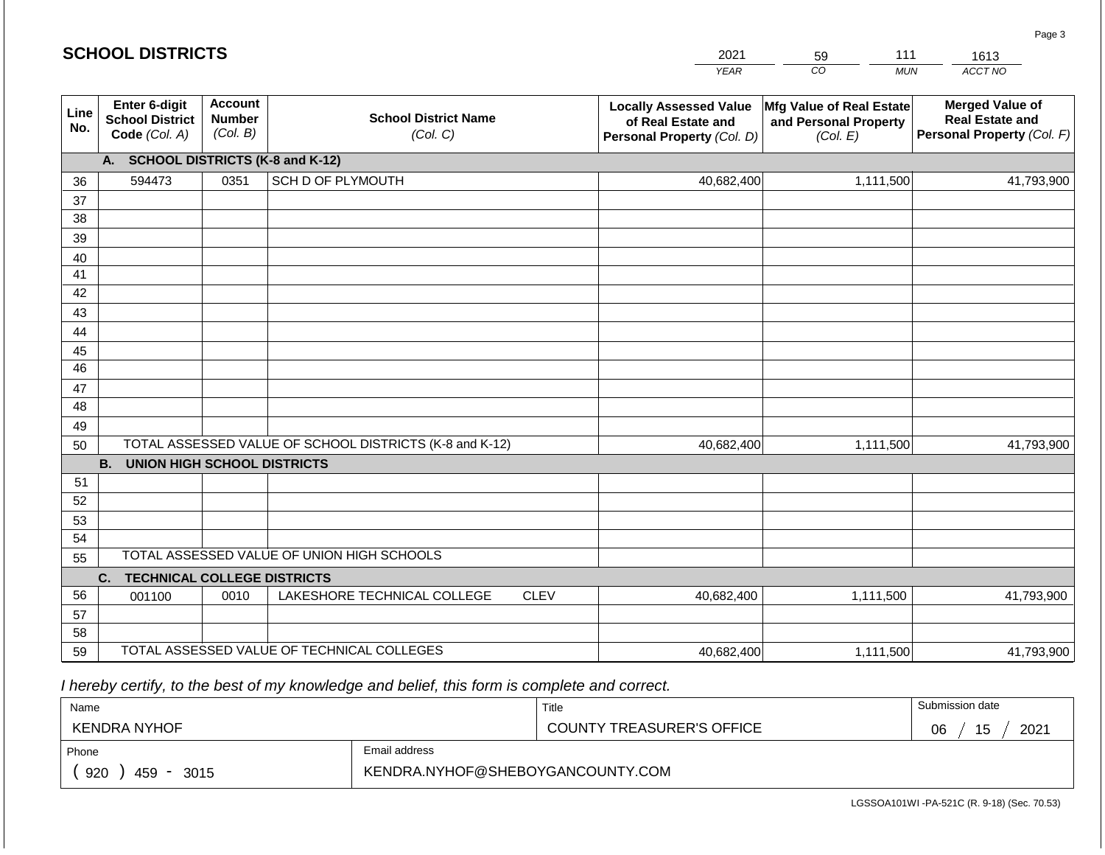|             | <b>SCHOOL DISTRICTS</b>                                  |                                             |                                                         |             | 2021                                                                              | 111<br>59                                                     | 1613                                                                           |
|-------------|----------------------------------------------------------|---------------------------------------------|---------------------------------------------------------|-------------|-----------------------------------------------------------------------------------|---------------------------------------------------------------|--------------------------------------------------------------------------------|
|             |                                                          |                                             |                                                         |             | <b>YEAR</b>                                                                       | CO<br><b>MUN</b>                                              | ACCT NO                                                                        |
| Line<br>No. | Enter 6-digit<br><b>School District</b><br>Code (Col. A) | <b>Account</b><br><b>Number</b><br>(Col. B) | <b>School District Name</b><br>(Col. C)                 |             | <b>Locally Assessed Value</b><br>of Real Estate and<br>Personal Property (Col. D) | Mfg Value of Real Estate<br>and Personal Property<br>(Col. E) | <b>Merged Value of</b><br><b>Real Estate and</b><br>Personal Property (Col. F) |
|             | А.                                                       |                                             | <b>SCHOOL DISTRICTS (K-8 and K-12)</b>                  |             |                                                                                   |                                                               |                                                                                |
| 36          | 594473                                                   | 0351                                        | SCH D OF PLYMOUTH                                       |             | 40,682,400                                                                        | 1,111,500                                                     | 41,793,900                                                                     |
| 37          |                                                          |                                             |                                                         |             |                                                                                   |                                                               |                                                                                |
| 38          |                                                          |                                             |                                                         |             |                                                                                   |                                                               |                                                                                |
| 39          |                                                          |                                             |                                                         |             |                                                                                   |                                                               |                                                                                |
| 40          |                                                          |                                             |                                                         |             |                                                                                   |                                                               |                                                                                |
| 41<br>42    |                                                          |                                             |                                                         |             |                                                                                   |                                                               |                                                                                |
| 43          |                                                          |                                             |                                                         |             |                                                                                   |                                                               |                                                                                |
| 44          |                                                          |                                             |                                                         |             |                                                                                   |                                                               |                                                                                |
| 45          |                                                          |                                             |                                                         |             |                                                                                   |                                                               |                                                                                |
| 46          |                                                          |                                             |                                                         |             |                                                                                   |                                                               |                                                                                |
| 47          |                                                          |                                             |                                                         |             |                                                                                   |                                                               |                                                                                |
| 48          |                                                          |                                             |                                                         |             |                                                                                   |                                                               |                                                                                |
| 49          |                                                          |                                             |                                                         |             |                                                                                   |                                                               |                                                                                |
| 50          |                                                          |                                             | TOTAL ASSESSED VALUE OF SCHOOL DISTRICTS (K-8 and K-12) |             | 40,682,400                                                                        | 1,111,500                                                     | 41,793,900                                                                     |
|             | <b>B.</b><br><b>UNION HIGH SCHOOL DISTRICTS</b>          |                                             |                                                         |             |                                                                                   |                                                               |                                                                                |
| 51          |                                                          |                                             |                                                         |             |                                                                                   |                                                               |                                                                                |
| 52          |                                                          |                                             |                                                         |             |                                                                                   |                                                               |                                                                                |
| 53          |                                                          |                                             |                                                         |             |                                                                                   |                                                               |                                                                                |
| 54          |                                                          |                                             |                                                         |             |                                                                                   |                                                               |                                                                                |
| 55          |                                                          |                                             | TOTAL ASSESSED VALUE OF UNION HIGH SCHOOLS              |             |                                                                                   |                                                               |                                                                                |
|             | <b>TECHNICAL COLLEGE DISTRICTS</b><br>C.                 |                                             |                                                         |             |                                                                                   |                                                               |                                                                                |
| 56          | 001100                                                   | 0010                                        | LAKESHORE TECHNICAL COLLEGE                             | <b>CLEV</b> | 40,682,400                                                                        | 1,111,500                                                     | 41,793,900                                                                     |
| 57<br>58    |                                                          |                                             |                                                         |             |                                                                                   |                                                               |                                                                                |
| 59          |                                                          |                                             | TOTAL ASSESSED VALUE OF TECHNICAL COLLEGES              |             |                                                                                   |                                                               |                                                                                |
|             |                                                          |                                             |                                                         |             | 40,682,400                                                                        | 1,111,500                                                     | 41,793,900                                                                     |

 *I hereby certify, to the best of my knowledge and belief, this form is complete and correct.*

| Name                                           |                                  | Title                            | Submission date  |
|------------------------------------------------|----------------------------------|----------------------------------|------------------|
| KENDRA NYHOF                                   |                                  | <b>COUNTY TREASURER'S OFFICE</b> | 2021<br>15<br>06 |
| Phone                                          | Email address                    |                                  |                  |
| 920<br>459<br>3015<br>$\overline{\phantom{a}}$ | KENDRA.NYHOF@SHEBOYGANCOUNTY.COM |                                  |                  |

Page 3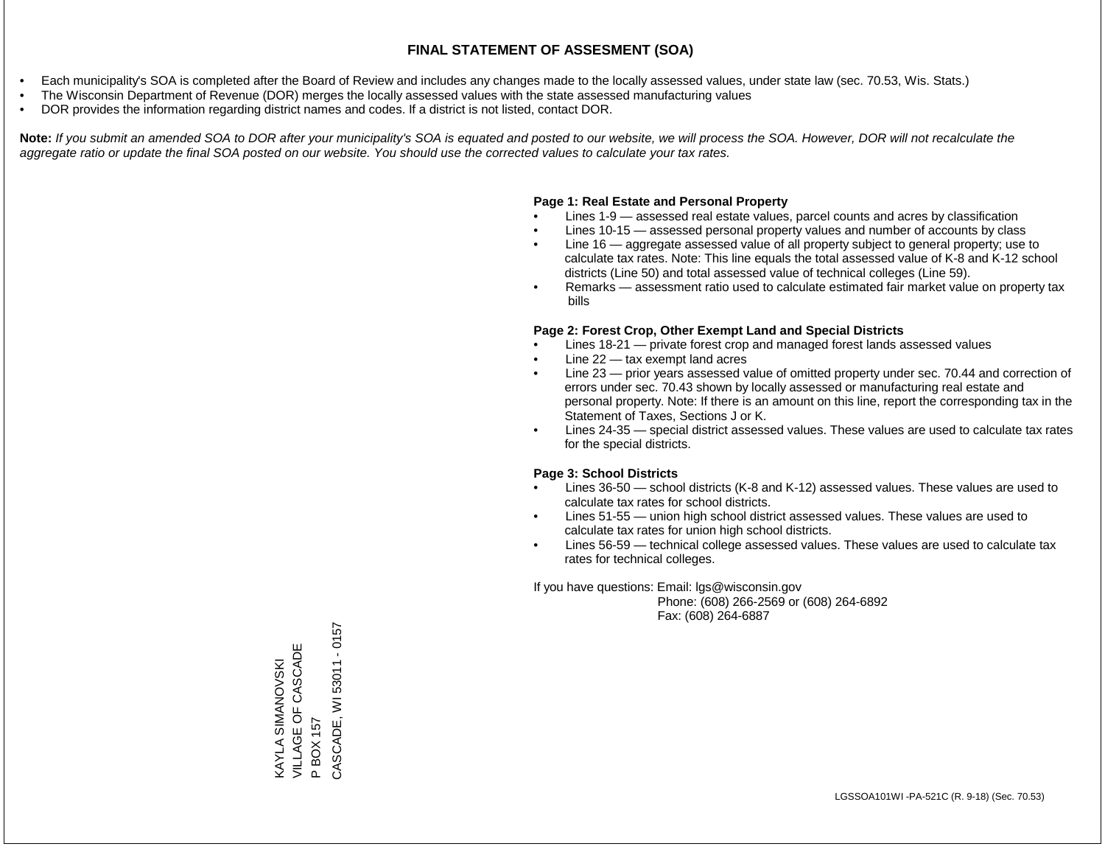- Each municipality's SOA is completed after the Board of Review and includes any changes made to the locally assessed values, under state law (sec. 70.53, Wis. Stats.)
- The Wisconsin Department of Revenue (DOR) merges the locally assessed values with the state assessed manufacturing values
- DOR provides the information regarding district names and codes. If a district is not listed, contact DOR.

Note: If you submit an amended SOA to DOR after your municipality's SOA is equated and posted to our website, we will process the SOA. However, DOR will not recalculate the *aggregate ratio or update the final SOA posted on our website. You should use the corrected values to calculate your tax rates.*

#### **Page 1: Real Estate and Personal Property**

- Lines 1-9 assessed real estate values, parcel counts and acres by classification
- Lines 10-15 assessed personal property values and number of accounts by class
- Line 16 aggregate assessed value of all property subject to general property; use to calculate tax rates. Note: This line equals the total assessed value of K-8 and K-12 school districts (Line 50) and total assessed value of technical colleges (Line 59).
- Remarks assessment ratio used to calculate estimated fair market value on property tax bills

#### **Page 2: Forest Crop, Other Exempt Land and Special Districts**

- Lines 18-21 private forest crop and managed forest lands assessed values
- Line  $22 -$  tax exempt land acres
- Line 23 prior years assessed value of omitted property under sec. 70.44 and correction of errors under sec. 70.43 shown by locally assessed or manufacturing real estate and personal property. Note: If there is an amount on this line, report the corresponding tax in the Statement of Taxes, Sections J or K.
- Lines 24-35 special district assessed values. These values are used to calculate tax rates for the special districts.

#### **Page 3: School Districts**

- Lines 36-50 school districts (K-8 and K-12) assessed values. These values are used to calculate tax rates for school districts.
- Lines 51-55 union high school district assessed values. These values are used to calculate tax rates for union high school districts.
- Lines 56-59 technical college assessed values. These values are used to calculate tax rates for technical colleges.

If you have questions: Email: lgs@wisconsin.gov

 Phone: (608) 266-2569 or (608) 264-6892 Fax: (608) 264-6887

CASCADE, WI 53011 - 0157 CASCADE, WI 53011 - 0157VILLAGE OF CASCADE KAYLA SIMANOVSKI<br>VILLAGE OF CASCADE KAYLA SIMANOVSKI P BOX 157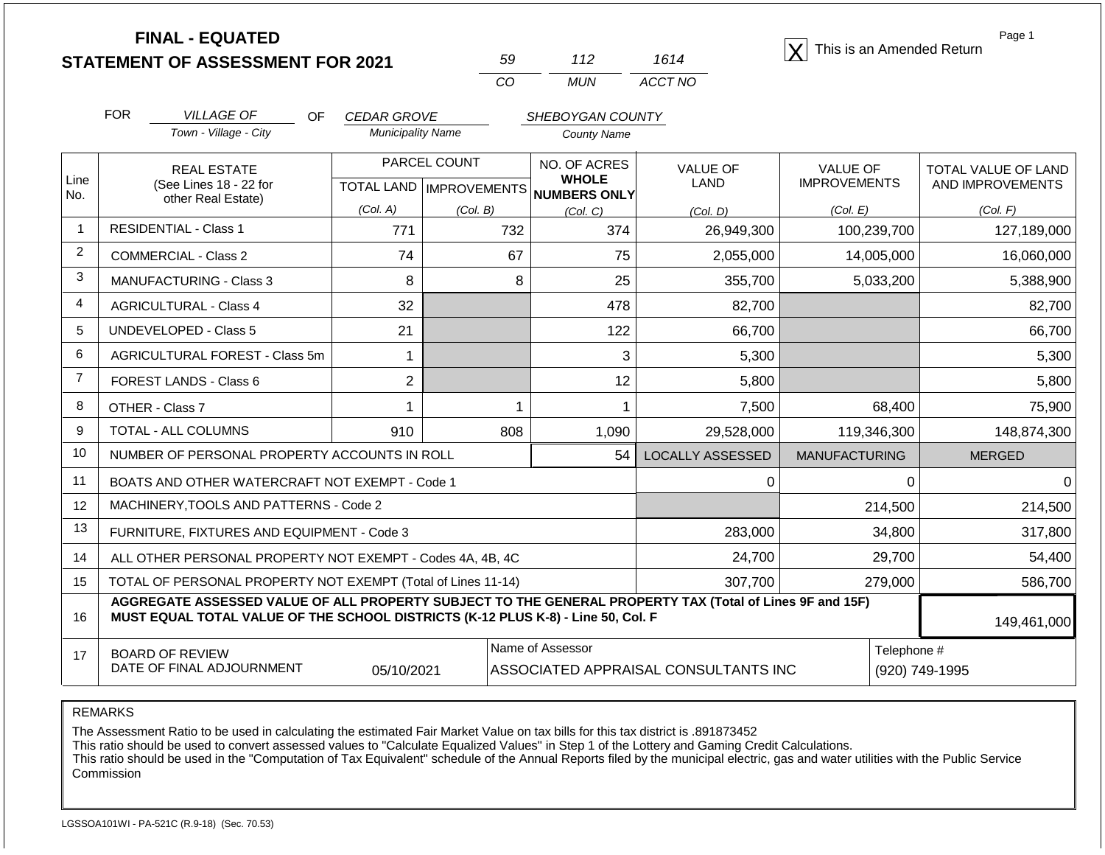**STATEMENT OF ASSESSMENT FOR 2021** 59 112 1614 1614 **X** This is an Amended Return<br> **STATEMENT OF ASSESSMENT FOR 2021** 59 112 1614 1614

| 50 | 112 | 1614    |
|----|-----|---------|
| Γn | MUN | ACCT NO |

Page 1

|                | <b>FOR</b>                                                                                                                                                                                   | <b>VILLAGE OF</b><br>OF.                                           | <b>CEDAR GROVE</b>       |                                                     | SHEBOYGAN COUNTY             |                         |                                        |                                                |
|----------------|----------------------------------------------------------------------------------------------------------------------------------------------------------------------------------------------|--------------------------------------------------------------------|--------------------------|-----------------------------------------------------|------------------------------|-------------------------|----------------------------------------|------------------------------------------------|
|                |                                                                                                                                                                                              | Town - Village - City                                              | <b>Municipality Name</b> |                                                     | <b>County Name</b>           |                         |                                        |                                                |
| Line<br>No.    |                                                                                                                                                                                              | <b>REAL ESTATE</b><br>(See Lines 18 - 22 for<br>other Real Estate) |                          | PARCEL COUNT<br>TOTAL LAND MPROVEMENTS NUMBERS ONLY | NO. OF ACRES<br><b>WHOLE</b> | <b>VALUE OF</b><br>LAND | <b>VALUE OF</b><br><b>IMPROVEMENTS</b> | <b>TOTAL VALUE OF LAND</b><br>AND IMPROVEMENTS |
|                |                                                                                                                                                                                              |                                                                    | (Col. A)                 | (Col. B)                                            | (Col, C)                     | (Col, D)                | (Col. E)                               | (Col. F)                                       |
| 1              |                                                                                                                                                                                              | <b>RESIDENTIAL - Class 1</b>                                       | 771                      | 732                                                 | 374                          | 26,949,300              | 100,239,700                            | 127,189,000                                    |
| $\overline{2}$ |                                                                                                                                                                                              | <b>COMMERCIAL - Class 2</b>                                        | 74                       | 67                                                  | 75                           | 2,055,000               | 14,005,000                             | 16,060,000                                     |
| 3              |                                                                                                                                                                                              | <b>MANUFACTURING - Class 3</b>                                     | 8                        | 8                                                   | 25                           | 355,700                 | 5,033,200                              | 5,388,900                                      |
| $\overline{4}$ |                                                                                                                                                                                              | <b>AGRICULTURAL - Class 4</b>                                      | 32                       |                                                     | 478                          | 82,700                  |                                        | 82,700                                         |
| 5              |                                                                                                                                                                                              | <b>UNDEVELOPED - Class 5</b>                                       | 21                       |                                                     | 122                          | 66,700                  |                                        | 66,700                                         |
| 6              |                                                                                                                                                                                              | AGRICULTURAL FOREST - Class 5m                                     |                          |                                                     | 3                            | 5,300                   |                                        | 5,300                                          |
| $\overline{7}$ |                                                                                                                                                                                              | FOREST LANDS - Class 6                                             | $\overline{2}$           |                                                     | 12                           | 5,800                   |                                        | 5,800                                          |
| 8              |                                                                                                                                                                                              | OTHER - Class 7                                                    |                          |                                                     |                              | 7,500                   | 68,400                                 | 75,900                                         |
| 9              |                                                                                                                                                                                              | TOTAL - ALL COLUMNS                                                | 910                      | 808                                                 | 1,090                        | 29,528,000              | 119,346,300                            | 148,874,300                                    |
| 10             |                                                                                                                                                                                              | NUMBER OF PERSONAL PROPERTY ACCOUNTS IN ROLL                       |                          |                                                     | 54                           | <b>LOCALLY ASSESSED</b> | <b>MANUFACTURING</b>                   | <b>MERGED</b>                                  |
| 11             |                                                                                                                                                                                              | BOATS AND OTHER WATERCRAFT NOT EXEMPT - Code 1                     |                          |                                                     |                              | 0                       | 0                                      | 0                                              |
| 12             |                                                                                                                                                                                              | MACHINERY, TOOLS AND PATTERNS - Code 2                             |                          |                                                     |                              |                         | 214,500                                | 214,500                                        |
| 13             |                                                                                                                                                                                              | FURNITURE, FIXTURES AND EQUIPMENT - Code 3                         |                          |                                                     |                              | 283,000                 | 34,800                                 | 317,800                                        |
| 14             |                                                                                                                                                                                              | ALL OTHER PERSONAL PROPERTY NOT EXEMPT - Codes 4A, 4B, 4C          |                          |                                                     |                              | 24,700                  | 29,700                                 | 54,400                                         |
| 15             |                                                                                                                                                                                              | TOTAL OF PERSONAL PROPERTY NOT EXEMPT (Total of Lines 11-14)       |                          |                                                     |                              | 307,700                 | 279,000                                | 586,700                                        |
| 16             | AGGREGATE ASSESSED VALUE OF ALL PROPERTY SUBJECT TO THE GENERAL PROPERTY TAX (Total of Lines 9F and 15F)<br>MUST EQUAL TOTAL VALUE OF THE SCHOOL DISTRICTS (K-12 PLUS K-8) - Line 50, Col. F |                                                                    |                          |                                                     |                              |                         |                                        | 149,461,000                                    |
|                |                                                                                                                                                                                              |                                                                    |                          |                                                     |                              |                         |                                        |                                                |

BOARD OF REVIEW DATE OF FINAL ADJOURNMENT 05/10/2021 ASSOCIATED APPRAISAL CONSULTANTS INC (920) 749-1995

Name of Assessor **Telephone #** 

REMARKS

17

The Assessment Ratio to be used in calculating the estimated Fair Market Value on tax bills for this tax district is .891873452

This ratio should be used to convert assessed values to "Calculate Equalized Values" in Step 1 of the Lottery and Gaming Credit Calculations.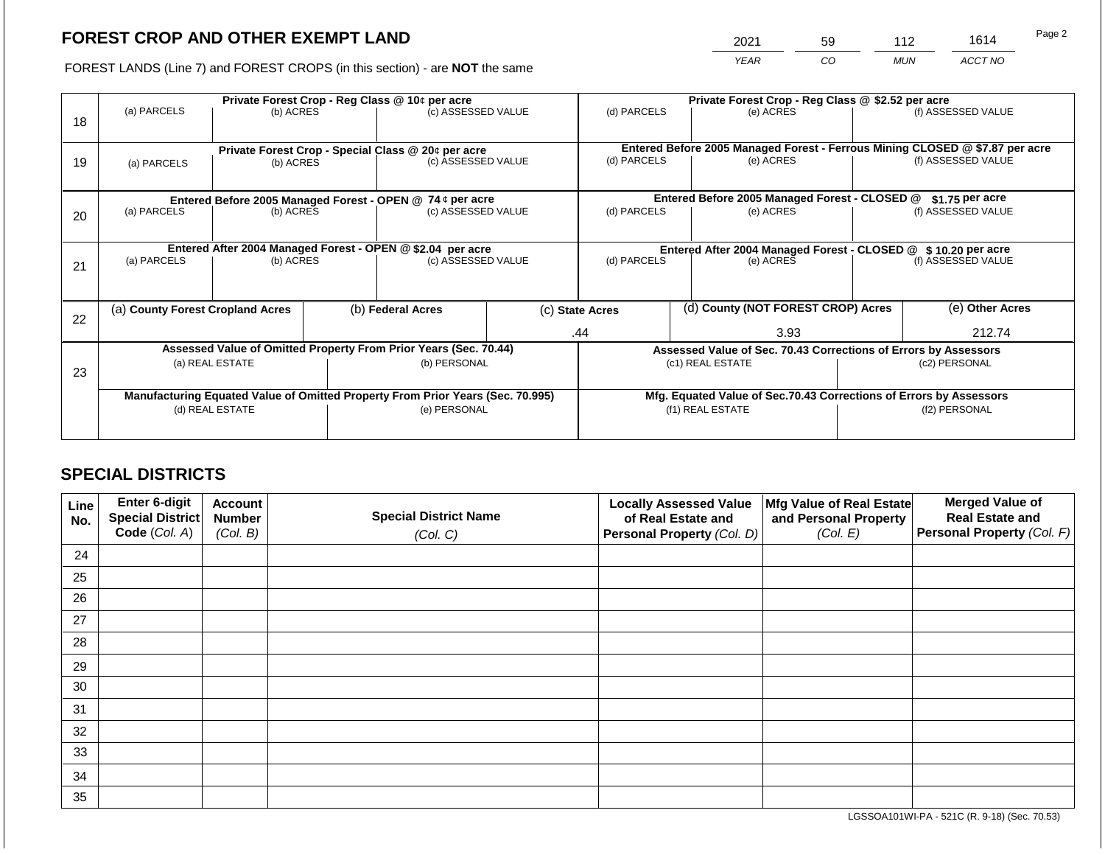2021 59 112 1614

FOREST LANDS (Line 7) and FOREST CROPS (in this section) - are **NOT** the same *YEAR CO MUN ACCT NO*

| 18 | (a) PARCELS                      | (b) ACRES       | Private Forest Crop - Reg Class @ 10¢ per acre<br>(c) ASSESSED VALUE           |  | (d) PARCELS                                                   |  | Private Forest Crop - Reg Class @ \$2.52 per acre<br>(e) ACRES                            |               | (f) ASSESSED VALUE |
|----|----------------------------------|-----------------|--------------------------------------------------------------------------------|--|---------------------------------------------------------------|--|-------------------------------------------------------------------------------------------|---------------|--------------------|
| 19 | (a) PARCELS                      | (b) ACRES       | Private Forest Crop - Special Class @ 20¢ per acre<br>(c) ASSESSED VALUE       |  | (d) PARCELS                                                   |  | Entered Before 2005 Managed Forest - Ferrous Mining CLOSED @ \$7.87 per acre<br>(e) ACRES |               | (f) ASSESSED VALUE |
|    |                                  |                 | Entered Before 2005 Managed Forest - OPEN @ 74 ¢ per acre                      |  |                                                               |  | Entered Before 2005 Managed Forest - CLOSED @                                             |               | $$1.75$ per acre   |
| 20 | (a) PARCELS                      | (b) ACRES       | (c) ASSESSED VALUE                                                             |  | (d) PARCELS                                                   |  | (e) ACRES                                                                                 |               | (f) ASSESSED VALUE |
|    |                                  |                 | Entered After 2004 Managed Forest - OPEN @ \$2.04 per acre                     |  | Entered After 2004 Managed Forest - CLOSED @ \$10.20 per acre |  |                                                                                           |               |                    |
| 21 | (a) PARCELS                      | (b) ACRES       | (c) ASSESSED VALUE                                                             |  | (d) PARCELS                                                   |  | (e) ACRES                                                                                 |               | (f) ASSESSED VALUE |
|    |                                  |                 |                                                                                |  |                                                               |  |                                                                                           |               |                    |
| 22 | (a) County Forest Cropland Acres |                 | (b) Federal Acres                                                              |  | (c) State Acres                                               |  | (d) County (NOT FOREST CROP) Acres                                                        |               | (e) Other Acres    |
|    |                                  |                 |                                                                                |  | .44                                                           |  | 3.93                                                                                      |               | 212.74             |
|    |                                  |                 | Assessed Value of Omitted Property From Prior Years (Sec. 70.44)               |  |                                                               |  | Assessed Value of Sec. 70.43 Corrections of Errors by Assessors                           |               |                    |
| 23 | (a) REAL ESTATE                  |                 | (b) PERSONAL                                                                   |  | (c1) REAL ESTATE                                              |  |                                                                                           | (c2) PERSONAL |                    |
|    |                                  |                 | Manufacturing Equated Value of Omitted Property From Prior Years (Sec. 70.995) |  |                                                               |  | Mfg. Equated Value of Sec.70.43 Corrections of Errors by Assessors                        |               |                    |
|    |                                  | (d) REAL ESTATE | (e) PERSONAL                                                                   |  |                                                               |  | (f1) REAL ESTATE                                                                          |               | (f2) PERSONAL      |
|    |                                  |                 |                                                                                |  |                                                               |  |                                                                                           |               |                    |

## **SPECIAL DISTRICTS**

| Line<br>No. | Enter 6-digit<br>Special District<br>Code (Col. A) | <b>Account</b><br><b>Number</b><br>(Col. B) | <b>Special District Name</b><br>(Col. C) | <b>Locally Assessed Value</b><br>of Real Estate and<br><b>Personal Property (Col. D)</b> | Mfg Value of Real Estate<br>and Personal Property<br>(Col. E) | <b>Merged Value of</b><br><b>Real Estate and</b><br>Personal Property (Col. F) |
|-------------|----------------------------------------------------|---------------------------------------------|------------------------------------------|------------------------------------------------------------------------------------------|---------------------------------------------------------------|--------------------------------------------------------------------------------|
| 24          |                                                    |                                             |                                          |                                                                                          |                                                               |                                                                                |
| 25          |                                                    |                                             |                                          |                                                                                          |                                                               |                                                                                |
| 26          |                                                    |                                             |                                          |                                                                                          |                                                               |                                                                                |
| 27          |                                                    |                                             |                                          |                                                                                          |                                                               |                                                                                |
| 28          |                                                    |                                             |                                          |                                                                                          |                                                               |                                                                                |
| 29          |                                                    |                                             |                                          |                                                                                          |                                                               |                                                                                |
| 30          |                                                    |                                             |                                          |                                                                                          |                                                               |                                                                                |
| 31          |                                                    |                                             |                                          |                                                                                          |                                                               |                                                                                |
| 32          |                                                    |                                             |                                          |                                                                                          |                                                               |                                                                                |
| 33          |                                                    |                                             |                                          |                                                                                          |                                                               |                                                                                |
| 34          |                                                    |                                             |                                          |                                                                                          |                                                               |                                                                                |
| 35          |                                                    |                                             |                                          |                                                                                          |                                                               |                                                                                |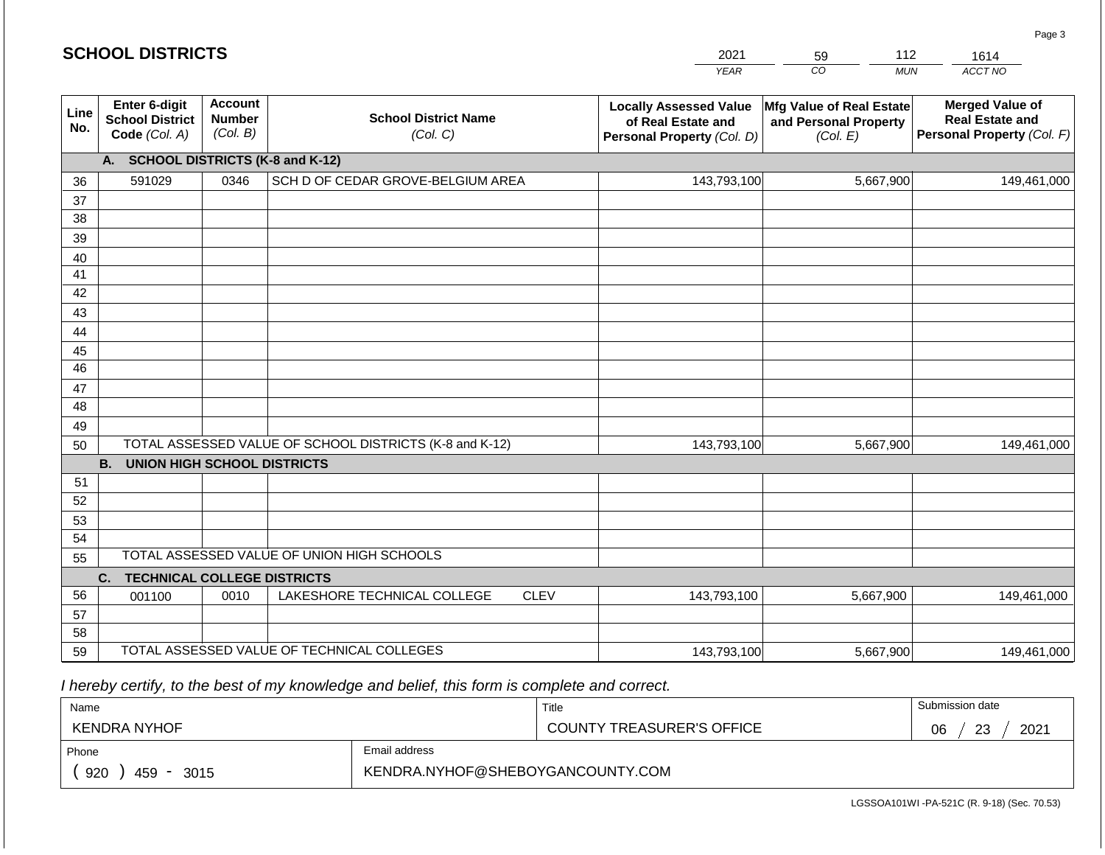| <b>SCHOOL DISTRICTS</b> |  |  |
|-------------------------|--|--|
|                         |  |  |

|             | -^ | $\sim$ |         |
|-------------|----|--------|---------|
| <b>VEAR</b> |    | MUN    | ACCT NO |

| Line<br>No. | Enter 6-digit<br><b>School District</b><br>Code (Col. A) | <b>Account</b><br><b>Number</b><br>(Col. B) | <b>School District Name</b><br>(Col. C)                 | <b>Locally Assessed Value</b><br>of Real Estate and<br>Personal Property (Col. D) | <b>Mfg Value of Real Estate</b><br>and Personal Property<br>(Col. E) | <b>Merged Value of</b><br><b>Real Estate and</b><br>Personal Property (Col. F) |  |
|-------------|----------------------------------------------------------|---------------------------------------------|---------------------------------------------------------|-----------------------------------------------------------------------------------|----------------------------------------------------------------------|--------------------------------------------------------------------------------|--|
|             | A. SCHOOL DISTRICTS (K-8 and K-12)                       |                                             |                                                         |                                                                                   |                                                                      |                                                                                |  |
| 36          | 591029                                                   | 0346                                        | SCH D OF CEDAR GROVE-BELGIUM AREA                       | 143,793,100                                                                       | 5,667,900                                                            | 149,461,000                                                                    |  |
| 37          |                                                          |                                             |                                                         |                                                                                   |                                                                      |                                                                                |  |
| 38          |                                                          |                                             |                                                         |                                                                                   |                                                                      |                                                                                |  |
| 39          |                                                          |                                             |                                                         |                                                                                   |                                                                      |                                                                                |  |
| 40          |                                                          |                                             |                                                         |                                                                                   |                                                                      |                                                                                |  |
| 41          |                                                          |                                             |                                                         |                                                                                   |                                                                      |                                                                                |  |
| 42          |                                                          |                                             |                                                         |                                                                                   |                                                                      |                                                                                |  |
| 43          |                                                          |                                             |                                                         |                                                                                   |                                                                      |                                                                                |  |
| 44          |                                                          |                                             |                                                         |                                                                                   |                                                                      |                                                                                |  |
| 45          |                                                          |                                             |                                                         |                                                                                   |                                                                      |                                                                                |  |
| 46          |                                                          |                                             |                                                         |                                                                                   |                                                                      |                                                                                |  |
| 47          |                                                          |                                             |                                                         |                                                                                   |                                                                      |                                                                                |  |
| 48          |                                                          |                                             |                                                         |                                                                                   |                                                                      |                                                                                |  |
| 49          |                                                          |                                             |                                                         |                                                                                   |                                                                      |                                                                                |  |
| 50          |                                                          |                                             | TOTAL ASSESSED VALUE OF SCHOOL DISTRICTS (K-8 and K-12) | 143,793,100                                                                       | 5,667,900                                                            | 149,461,000                                                                    |  |
|             | <b>B.</b><br><b>UNION HIGH SCHOOL DISTRICTS</b>          |                                             |                                                         |                                                                                   |                                                                      |                                                                                |  |
| 51          |                                                          |                                             |                                                         |                                                                                   |                                                                      |                                                                                |  |
| 52          |                                                          |                                             |                                                         |                                                                                   |                                                                      |                                                                                |  |
| 53          |                                                          |                                             |                                                         |                                                                                   |                                                                      |                                                                                |  |
| 54          |                                                          |                                             |                                                         |                                                                                   |                                                                      |                                                                                |  |
| 55          |                                                          | TOTAL ASSESSED VALUE OF UNION HIGH SCHOOLS  |                                                         |                                                                                   |                                                                      |                                                                                |  |
|             | C.<br><b>TECHNICAL COLLEGE DISTRICTS</b>                 |                                             |                                                         |                                                                                   |                                                                      |                                                                                |  |
| 56          | 001100                                                   | 0010                                        | <b>CLEV</b><br>LAKESHORE TECHNICAL COLLEGE              | 143,793,100                                                                       | 5,667,900                                                            | 149,461,000                                                                    |  |
| 57          |                                                          |                                             |                                                         |                                                                                   |                                                                      |                                                                                |  |
| 58          |                                                          |                                             |                                                         |                                                                                   |                                                                      |                                                                                |  |
| 59          | TOTAL ASSESSED VALUE OF TECHNICAL COLLEGES               |                                             |                                                         | 143,793,100                                                                       | 5,667,900                                                            | 149,461,000                                                                    |  |

 *I hereby certify, to the best of my knowledge and belief, this form is complete and correct.*

| Name              |                                  | Title                            | Submission date   |  |
|-------------------|----------------------------------|----------------------------------|-------------------|--|
| KENDRA NYHOF      |                                  | <b>COUNTY TREASURER'S OFFICE</b> | 2021<br>06<br>-23 |  |
| Phone             | Email address                    |                                  |                   |  |
| 920<br>459 - 3015 | KENDRA.NYHOF@SHEBOYGANCOUNTY.COM |                                  |                   |  |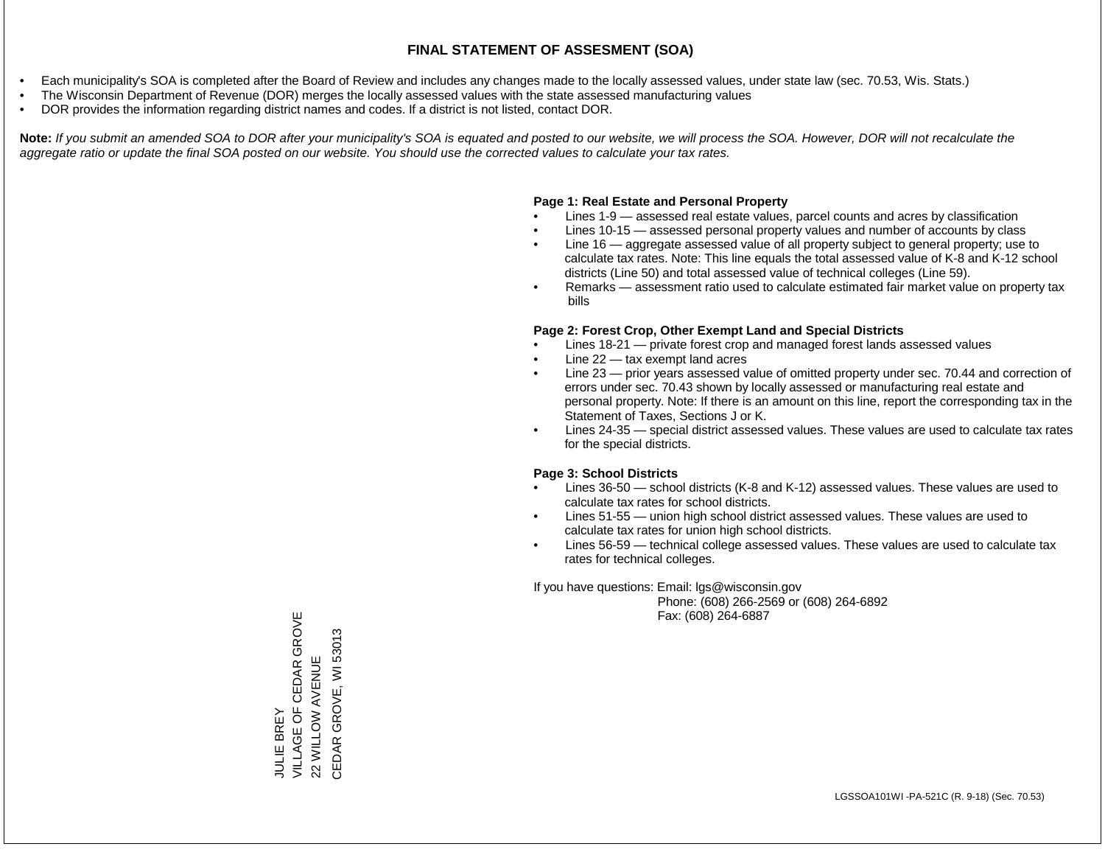- Each municipality's SOA is completed after the Board of Review and includes any changes made to the locally assessed values, under state law (sec. 70.53, Wis. Stats.)
- The Wisconsin Department of Revenue (DOR) merges the locally assessed values with the state assessed manufacturing values
- DOR provides the information regarding district names and codes. If a district is not listed, contact DOR.

Note: If you submit an amended SOA to DOR after your municipality's SOA is equated and posted to our website, we will process the SOA. However, DOR will not recalculate the *aggregate ratio or update the final SOA posted on our website. You should use the corrected values to calculate your tax rates.*

#### **Page 1: Real Estate and Personal Property**

- Lines 1-9 assessed real estate values, parcel counts and acres by classification
- Lines 10-15 assessed personal property values and number of accounts by class
- Line 16 aggregate assessed value of all property subject to general property; use to calculate tax rates. Note: This line equals the total assessed value of K-8 and K-12 school districts (Line 50) and total assessed value of technical colleges (Line 59).
- Remarks assessment ratio used to calculate estimated fair market value on property tax bills

#### **Page 2: Forest Crop, Other Exempt Land and Special Districts**

- Lines 18-21 private forest crop and managed forest lands assessed values
- Line  $22 -$  tax exempt land acres
- Line 23 prior years assessed value of omitted property under sec. 70.44 and correction of errors under sec. 70.43 shown by locally assessed or manufacturing real estate and personal property. Note: If there is an amount on this line, report the corresponding tax in the Statement of Taxes, Sections J or K.
- Lines 24-35 special district assessed values. These values are used to calculate tax rates for the special districts.

#### **Page 3: School Districts**

- Lines 36-50 school districts (K-8 and K-12) assessed values. These values are used to calculate tax rates for school districts.
- Lines 51-55 union high school district assessed values. These values are used to calculate tax rates for union high school districts.
- Lines 56-59 technical college assessed values. These values are used to calculate tax rates for technical colleges.

If you have questions: Email: lgs@wisconsin.gov

 Phone: (608) 266-2569 or (608) 264-6892 Fax: (608) 264-6887

VILLAGE OF CEDAR GROVE JULIE BREY<br>VILLAGE OF CEDAR GROVE CEDAR GROVE, WI 53013 CEDAR GROVE, WI 5301322 WILLOW AVENUE 22 WILLOW AVENUE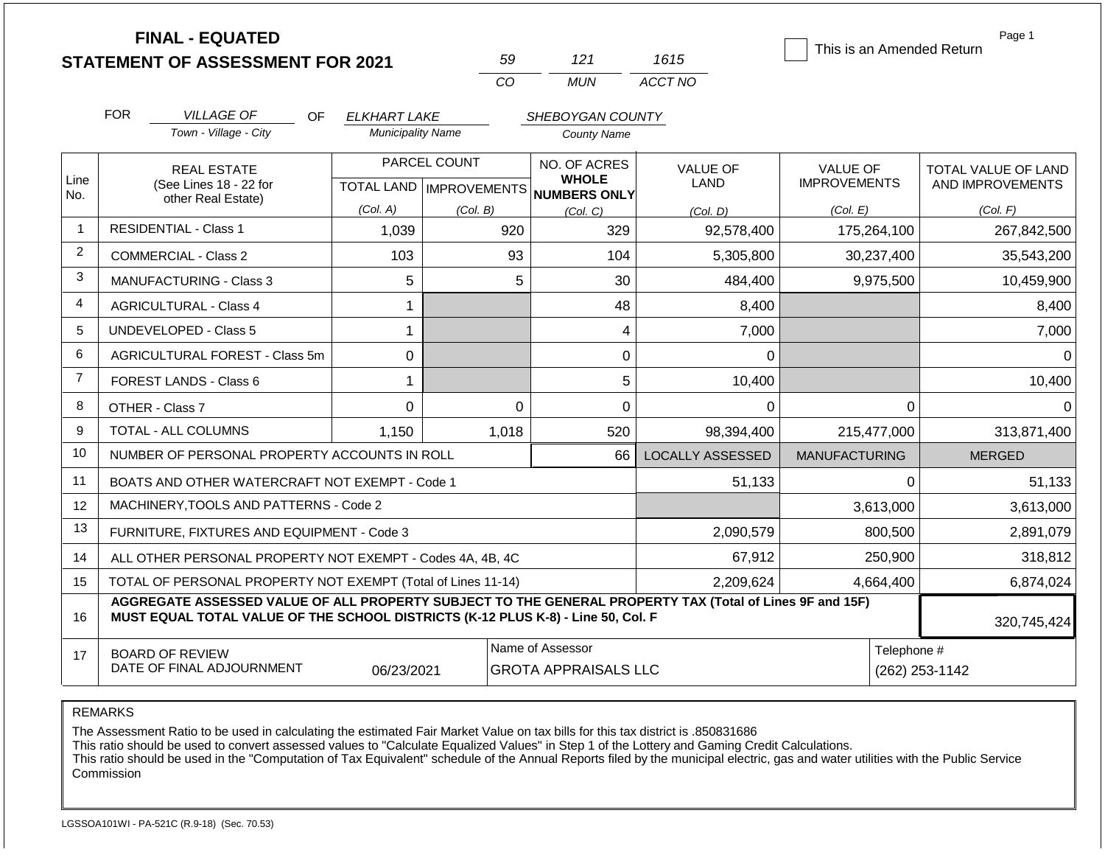|                | <b>FINAL - EQUATED</b><br><b>STATEMENT OF ASSESSMENT FOR 2021</b>                                                                                                                            |                                                 | 59             | 121                                                 | 1615                    | Page 1<br>This is an Amended Return |                     |  |
|----------------|----------------------------------------------------------------------------------------------------------------------------------------------------------------------------------------------|-------------------------------------------------|----------------|-----------------------------------------------------|-------------------------|-------------------------------------|---------------------|--|
|                |                                                                                                                                                                                              |                                                 | CO             | <b>MUN</b>                                          | ACCT NO                 |                                     |                     |  |
|                |                                                                                                                                                                                              |                                                 |                |                                                     |                         |                                     |                     |  |
|                | <b>FOR</b><br><b>VILLAGE OF</b><br>OF.<br>Town - Village - City                                                                                                                              | <b>ELKHART LAKE</b><br><b>Municipality Name</b> |                | SHEBOYGAN COUNTY                                    |                         |                                     |                     |  |
|                |                                                                                                                                                                                              |                                                 |                | <b>County Name</b>                                  |                         |                                     |                     |  |
|                | <b>REAL ESTATE</b>                                                                                                                                                                           |                                                 | PARCEL COUNT   | NO. OF ACRES                                        | <b>VALUE OF</b>         | <b>VALUE OF</b>                     | TOTAL VALUE OF LAND |  |
| Line<br>No.    | (See Lines 18 - 22 for<br>other Real Estate)                                                                                                                                                 |                                                 |                | <b>WHOLE</b><br>TOTAL LAND MPROVEMENTS NUMBERS ONLY | LAND                    | <b>IMPROVEMENTS</b>                 | AND IMPROVEMENTS    |  |
|                |                                                                                                                                                                                              | (Col. A)                                        | (Col. B)       | (Col. C)                                            | (Col, D)                | (Col. E)                            | (Col. F)            |  |
|                | <b>RESIDENTIAL - Class 1</b>                                                                                                                                                                 | 1,039                                           | 920            | 329                                                 | 92,578,400              | 175,264,100                         | 267,842,500         |  |
| $\overline{2}$ | <b>COMMERCIAL - Class 2</b>                                                                                                                                                                  | 103                                             | 93             | 104                                                 | 5,305,800               | 30,237,400                          | 35,543,200          |  |
| 3              | <b>MANUFACTURING - Class 3</b>                                                                                                                                                               | 5                                               | 5              | 30                                                  | 484,400                 | 9,975,500                           | 10,459,900          |  |
| 4              | <b>AGRICULTURAL - Class 4</b>                                                                                                                                                                | 1                                               |                | 48                                                  | 8,400                   |                                     | 8,400               |  |
| 5              | UNDEVELOPED - Class 5                                                                                                                                                                        | 1                                               |                | 4                                                   | 7,000                   |                                     | 7,000               |  |
| 6              | AGRICULTURAL FOREST - Class 5m                                                                                                                                                               | 0                                               |                | 0                                                   | 0                       |                                     | 0                   |  |
| $\overline{7}$ | FOREST LANDS - Class 6                                                                                                                                                                       | 1                                               |                | 5                                                   | 10,400                  |                                     | 10,400              |  |
| 8              | OTHER - Class 7                                                                                                                                                                              | 0                                               | $\Omega$       | $\overline{0}$                                      | 0                       | $\mathbf{0}$                        | $\Omega$            |  |
| 9              | TOTAL - ALL COLUMNS                                                                                                                                                                          | 1,150                                           | 1,018          | 520                                                 | 98,394,400              | 215,477,000                         | 313,871,400         |  |
| 10             | NUMBER OF PERSONAL PROPERTY ACCOUNTS IN ROLL                                                                                                                                                 |                                                 |                | 66                                                  | <b>LOCALLY ASSESSED</b> | <b>MANUFACTURING</b>                | <b>MERGED</b>       |  |
| 11             | BOATS AND OTHER WATERCRAFT NOT EXEMPT - Code 1                                                                                                                                               |                                                 |                |                                                     | 51,133                  | $\Omega$                            | 51,133              |  |
| 12             | MACHINERY, TOOLS AND PATTERNS - Code 2                                                                                                                                                       |                                                 |                |                                                     |                         | 3,613,000                           | 3,613,000           |  |
| 13             | FURNITURE, FIXTURES AND EQUIPMENT - Code 3                                                                                                                                                   |                                                 |                |                                                     | 2,090,579               | 800,500                             | 2,891,079           |  |
| 14             | ALL OTHER PERSONAL PROPERTY NOT EXEMPT - Codes 4A, 4B, 4C                                                                                                                                    |                                                 |                |                                                     | 67,912                  | 250,900                             | 318,812             |  |
| 15             | TOTAL OF PERSONAL PROPERTY NOT EXEMPT (Total of Lines 11-14)                                                                                                                                 |                                                 |                |                                                     | 2,209,624               | 4,664,400                           | 6,874,024           |  |
| 16             | AGGREGATE ASSESSED VALUE OF ALL PROPERTY SUBJECT TO THE GENERAL PROPERTY TAX (Total of Lines 9F and 15F)<br>MUST EQUAL TOTAL VALUE OF THE SCHOOL DISTRICTS (K-12 PLUS K-8) - Line 50, Col. F |                                                 | 320,745,424    |                                                     |                         |                                     |                     |  |
| 17             | <b>BOARD OF REVIEW</b><br>DATE OF FINAL ADJOURNMENT                                                                                                                                          | Telephone #                                     | (262) 253-1142 |                                                     |                         |                                     |                     |  |

The Assessment Ratio to be used in calculating the estimated Fair Market Value on tax bills for this tax district is .850831686

This ratio should be used to convert assessed values to "Calculate Equalized Values" in Step 1 of the Lottery and Gaming Credit Calculations.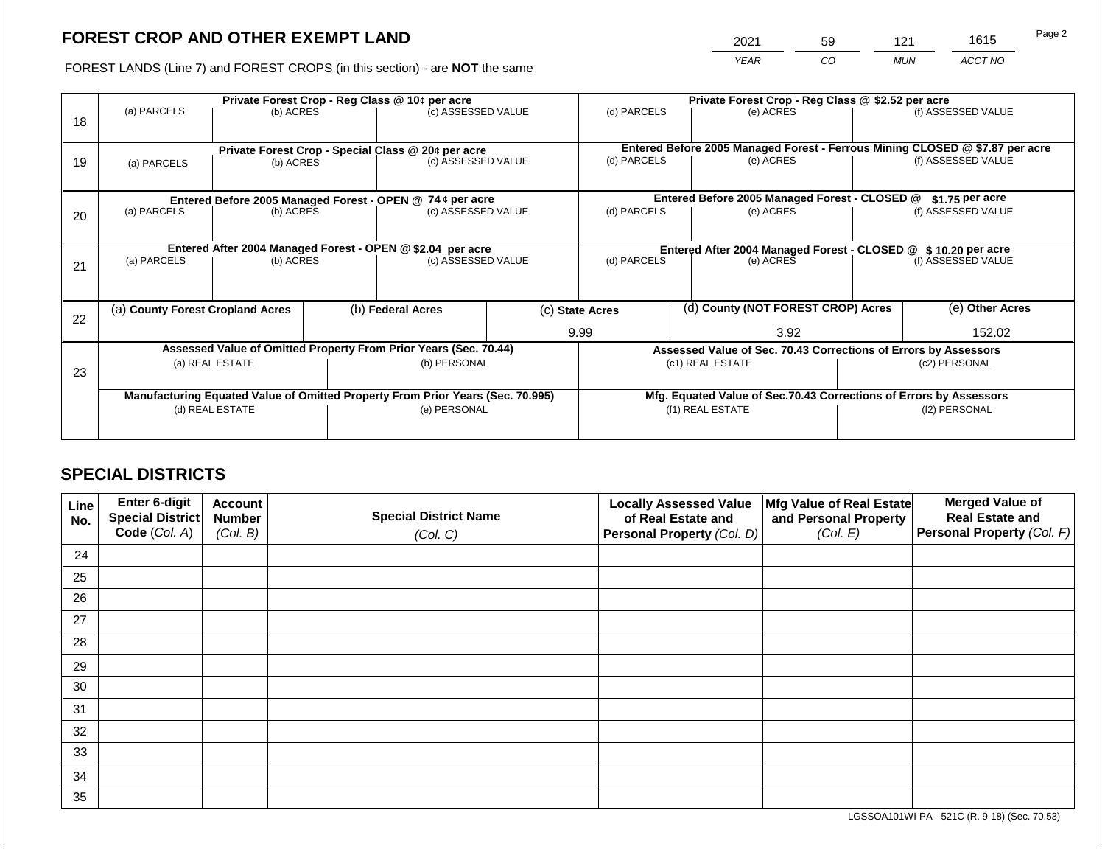2021 59 121 1615

FOREST LANDS (Line 7) and FOREST CROPS (in this section) - are **NOT** the same *YEAR CO MUN ACCT NO*

|    |                                                           |                 |                                                                 | Private Forest Crop - Reg Class @ 10¢ per acre                                 |                                                                              | Private Forest Crop - Reg Class @ \$2.52 per acre |                                                                              |                                                                    |                    |                    |  |
|----|-----------------------------------------------------------|-----------------|-----------------------------------------------------------------|--------------------------------------------------------------------------------|------------------------------------------------------------------------------|---------------------------------------------------|------------------------------------------------------------------------------|--------------------------------------------------------------------|--------------------|--------------------|--|
|    | (a) PARCELS                                               | (b) ACRES       |                                                                 | (c) ASSESSED VALUE                                                             |                                                                              | (d) PARCELS                                       |                                                                              | (e) ACRES                                                          |                    | (f) ASSESSED VALUE |  |
| 18 |                                                           |                 |                                                                 |                                                                                |                                                                              |                                                   |                                                                              |                                                                    |                    |                    |  |
|    |                                                           |                 |                                                                 |                                                                                |                                                                              |                                                   | Entered Before 2005 Managed Forest - Ferrous Mining CLOSED @ \$7.87 per acre |                                                                    |                    |                    |  |
|    |                                                           |                 | Private Forest Crop - Special Class @ 20¢ per acre<br>(b) ACRES |                                                                                | (c) ASSESSED VALUE                                                           | (d) PARCELS<br>(e) ACRES                          |                                                                              |                                                                    | (f) ASSESSED VALUE |                    |  |
| 19 | (a) PARCELS                                               |                 |                                                                 |                                                                                |                                                                              |                                                   |                                                                              |                                                                    |                    |                    |  |
|    |                                                           |                 |                                                                 |                                                                                |                                                                              |                                                   |                                                                              |                                                                    |                    |                    |  |
|    | Entered Before 2005 Managed Forest - OPEN @ 74 ¢ per acre |                 |                                                                 |                                                                                | Entered Before 2005 Managed Forest - CLOSED @                                |                                                   | \$1.75 per acre                                                              |                                                                    |                    |                    |  |
| 20 | (a) PARCELS                                               | (b) ACRES       |                                                                 | (c) ASSESSED VALUE                                                             |                                                                              | (d) PARCELS                                       |                                                                              | (e) ACRES                                                          |                    | (f) ASSESSED VALUE |  |
|    |                                                           |                 |                                                                 |                                                                                |                                                                              |                                                   |                                                                              |                                                                    |                    |                    |  |
|    |                                                           |                 |                                                                 |                                                                                |                                                                              |                                                   |                                                                              |                                                                    |                    |                    |  |
|    |                                                           |                 |                                                                 | Entered After 2004 Managed Forest - OPEN @ \$2.04 per acre                     | Entered After 2004 Managed Forest - CLOSED @ \$10.20 per acre<br>(d) PARCELS |                                                   |                                                                              |                                                                    |                    |                    |  |
| 21 | (a) PARCELS                                               | (b) ACRES       |                                                                 | (c) ASSESSED VALUE                                                             |                                                                              |                                                   | (e) ACRES                                                                    |                                                                    | (f) ASSESSED VALUE |                    |  |
|    |                                                           |                 |                                                                 |                                                                                |                                                                              |                                                   |                                                                              |                                                                    |                    |                    |  |
|    |                                                           |                 |                                                                 |                                                                                |                                                                              |                                                   |                                                                              |                                                                    |                    |                    |  |
|    | (a) County Forest Cropland Acres                          |                 |                                                                 | (b) Federal Acres                                                              |                                                                              | (c) State Acres                                   |                                                                              | (d) County (NOT FOREST CROP) Acres                                 |                    | (e) Other Acres    |  |
| 22 |                                                           |                 |                                                                 |                                                                                |                                                                              |                                                   |                                                                              |                                                                    |                    |                    |  |
|    |                                                           |                 |                                                                 |                                                                                |                                                                              | 9.99                                              |                                                                              | 3.92                                                               |                    | 152.02             |  |
|    |                                                           |                 |                                                                 | Assessed Value of Omitted Property From Prior Years (Sec. 70.44)               |                                                                              |                                                   |                                                                              | Assessed Value of Sec. 70.43 Corrections of Errors by Assessors    |                    |                    |  |
| 23 |                                                           | (a) REAL ESTATE |                                                                 | (b) PERSONAL                                                                   |                                                                              |                                                   |                                                                              | (c1) REAL ESTATE                                                   | (c2) PERSONAL      |                    |  |
|    |                                                           |                 |                                                                 |                                                                                |                                                                              |                                                   |                                                                              |                                                                    |                    |                    |  |
|    |                                                           |                 |                                                                 | Manufacturing Equated Value of Omitted Property From Prior Years (Sec. 70.995) |                                                                              |                                                   |                                                                              | Mfg. Equated Value of Sec.70.43 Corrections of Errors by Assessors |                    |                    |  |
|    | (d) REAL ESTATE                                           |                 |                                                                 | (e) PERSONAL                                                                   |                                                                              |                                                   |                                                                              | (f1) REAL ESTATE                                                   | (f2) PERSONAL      |                    |  |
|    |                                                           |                 |                                                                 |                                                                                |                                                                              |                                                   |                                                                              |                                                                    |                    |                    |  |
|    |                                                           |                 |                                                                 |                                                                                |                                                                              |                                                   |                                                                              |                                                                    |                    |                    |  |

# **SPECIAL DISTRICTS**

| Line<br>No. | Enter 6-digit<br>Special District | <b>Account</b><br><b>Number</b> | <b>Special District Name</b> | <b>Locally Assessed Value</b><br>of Real Estate and | Mfg Value of Real Estate<br>and Personal Property | <b>Merged Value of</b><br><b>Real Estate and</b> |
|-------------|-----------------------------------|---------------------------------|------------------------------|-----------------------------------------------------|---------------------------------------------------|--------------------------------------------------|
|             | Code (Col. A)                     | (Col. B)                        | (Col. C)                     | Personal Property (Col. D)                          | (Col. E)                                          | Personal Property (Col. F)                       |
| 24          |                                   |                                 |                              |                                                     |                                                   |                                                  |
| 25          |                                   |                                 |                              |                                                     |                                                   |                                                  |
| 26          |                                   |                                 |                              |                                                     |                                                   |                                                  |
| 27          |                                   |                                 |                              |                                                     |                                                   |                                                  |
| 28          |                                   |                                 |                              |                                                     |                                                   |                                                  |
| 29          |                                   |                                 |                              |                                                     |                                                   |                                                  |
| 30          |                                   |                                 |                              |                                                     |                                                   |                                                  |
| 31          |                                   |                                 |                              |                                                     |                                                   |                                                  |
| 32          |                                   |                                 |                              |                                                     |                                                   |                                                  |
| 33          |                                   |                                 |                              |                                                     |                                                   |                                                  |
| 34          |                                   |                                 |                              |                                                     |                                                   |                                                  |
| 35          |                                   |                                 |                              |                                                     |                                                   |                                                  |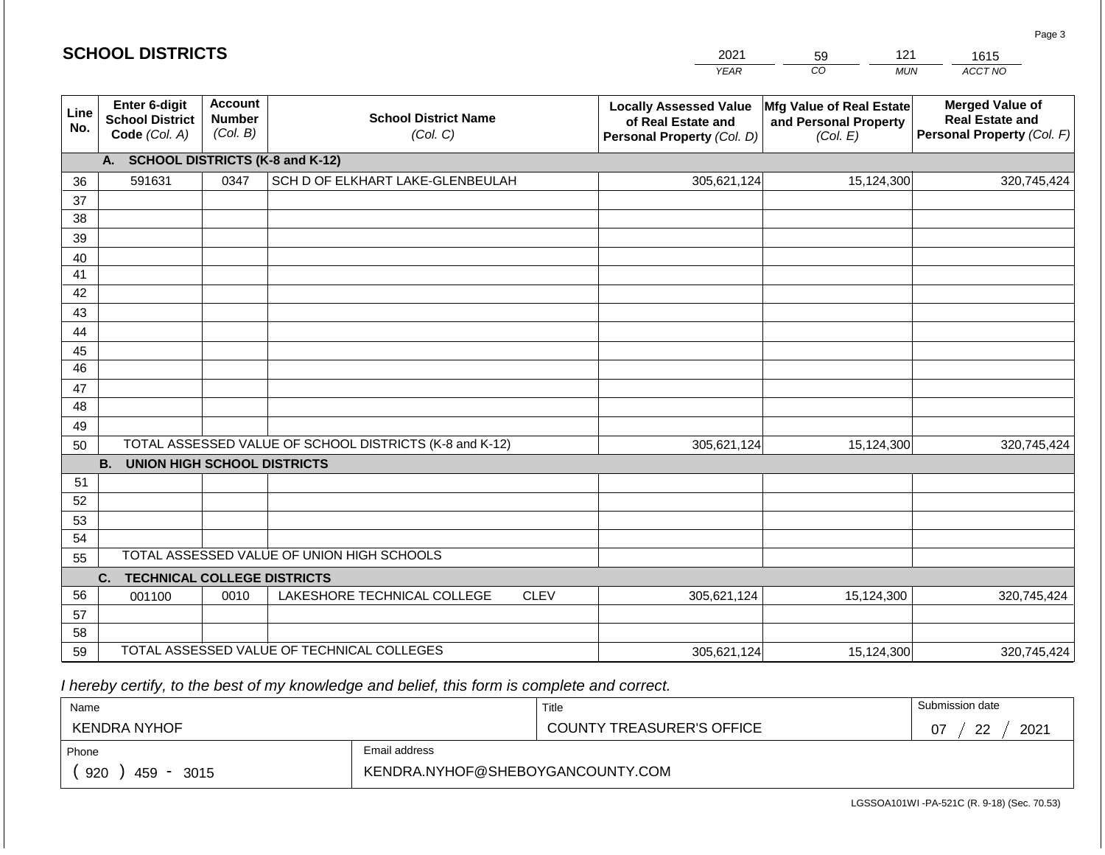#### *YEAR*  2021  $\overline{co}$ 59 *MUN*  121 *ACCT NO*  1615 **SCHOOL DISTRICTS Line No. Enter 6-digit School District Code** *(Col. A)* **Account Number** *(Col. B)* **School District Name** *(Col. C)* **Locally Assessed Value of Real Estate and Personal Property** *(Col. D)* **Mfg Value of Real Estate and Personal Property** *(Col. E)* **Merged Value of Real Estate and Personal Property** *(Col. F)* **A. SCHOOL DISTRICTS (K-8 and K-12)** 36 37 38 39 40 41 42 43 44 45 46 47 48 49 50 TOTAL ASSESSED VALUE OF SCHOOL DISTRICTS (K-8 and K-12) **B. UNION HIGH SCHOOL DISTRICTS** 51 52 53 54 TOTAL ASSESSED VALUE OF UNION HIGH SCHOOLS 591631 0347 SCH D OF ELKHART LAKE-GLENBEULAH 305,621,124 305,621,124 15,124,300 320,745,424 15,124,300 320,745,424

55 **C. TECHNICAL COLLEGE DISTRICTS** 56 57 58 59 TOTAL ASSESSED VALUE OF TECHNICAL COLLEGES 001100 | 0010 | LAKESHORE TECHNICAL COLLEGE CLEV 305,621,124 15,124,300 320,745,424 305,621,124 15,124,300 320,745,424

 *I hereby certify, to the best of my knowledge and belief, this form is complete and correct.*

| Name               |               | Title                            | Submission date        |
|--------------------|---------------|----------------------------------|------------------------|
| KENDRA NYHOF       |               | <b>COUNTY TREASURER'S OFFICE</b> | 2021<br>ററ<br>07<br>▃▃ |
| Phone              | Email address |                                  |                        |
| 920<br>459<br>3015 |               |                                  |                        |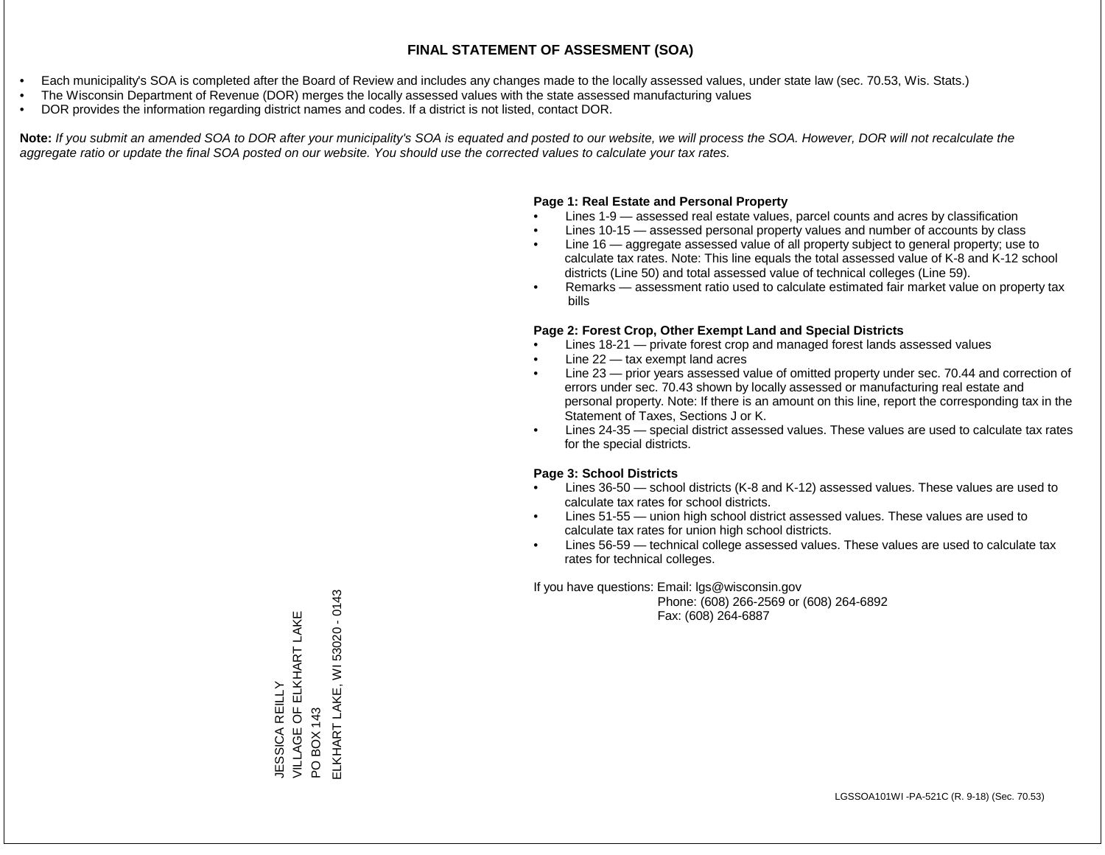- Each municipality's SOA is completed after the Board of Review and includes any changes made to the locally assessed values, under state law (sec. 70.53, Wis. Stats.)
- The Wisconsin Department of Revenue (DOR) merges the locally assessed values with the state assessed manufacturing values
- DOR provides the information regarding district names and codes. If a district is not listed, contact DOR.

Note: If you submit an amended SOA to DOR after your municipality's SOA is equated and posted to our website, we will process the SOA. However, DOR will not recalculate the *aggregate ratio or update the final SOA posted on our website. You should use the corrected values to calculate your tax rates.*

# **Page 1: Real Estate and Personal Property**

- Lines 1-9 assessed real estate values, parcel counts and acres by classification
- Lines 10-15 assessed personal property values and number of accounts by class
- Line 16 aggregate assessed value of all property subject to general property; use to calculate tax rates. Note: This line equals the total assessed value of K-8 and K-12 school districts (Line 50) and total assessed value of technical colleges (Line 59).
- Remarks assessment ratio used to calculate estimated fair market value on property tax bills

# **Page 2: Forest Crop, Other Exempt Land and Special Districts**

- Lines 18-21 private forest crop and managed forest lands assessed values
- Line  $22 -$  tax exempt land acres
- Line 23 prior years assessed value of omitted property under sec. 70.44 and correction of errors under sec. 70.43 shown by locally assessed or manufacturing real estate and personal property. Note: If there is an amount on this line, report the corresponding tax in the Statement of Taxes, Sections J or K.
- Lines 24-35 special district assessed values. These values are used to calculate tax rates for the special districts.

# **Page 3: School Districts**

- Lines 36-50 school districts (K-8 and K-12) assessed values. These values are used to calculate tax rates for school districts.
- Lines 51-55 union high school district assessed values. These values are used to calculate tax rates for union high school districts.
- Lines 56-59 technical college assessed values. These values are used to calculate tax rates for technical colleges.

If you have questions: Email: lgs@wisconsin.gov

 Phone: (608) 266-2569 or (608) 264-6892 Fax: (608) 264-6887

ELKHART LAKE, WI 53020 - 0143 ELKHART LAKE, WI 53020 - 0143VILLAGE OF ELKHART LAKE JESSICA REILLY<br>VILLAGE OF ELKHART LAKE JESSICA REILLY PO BOX 143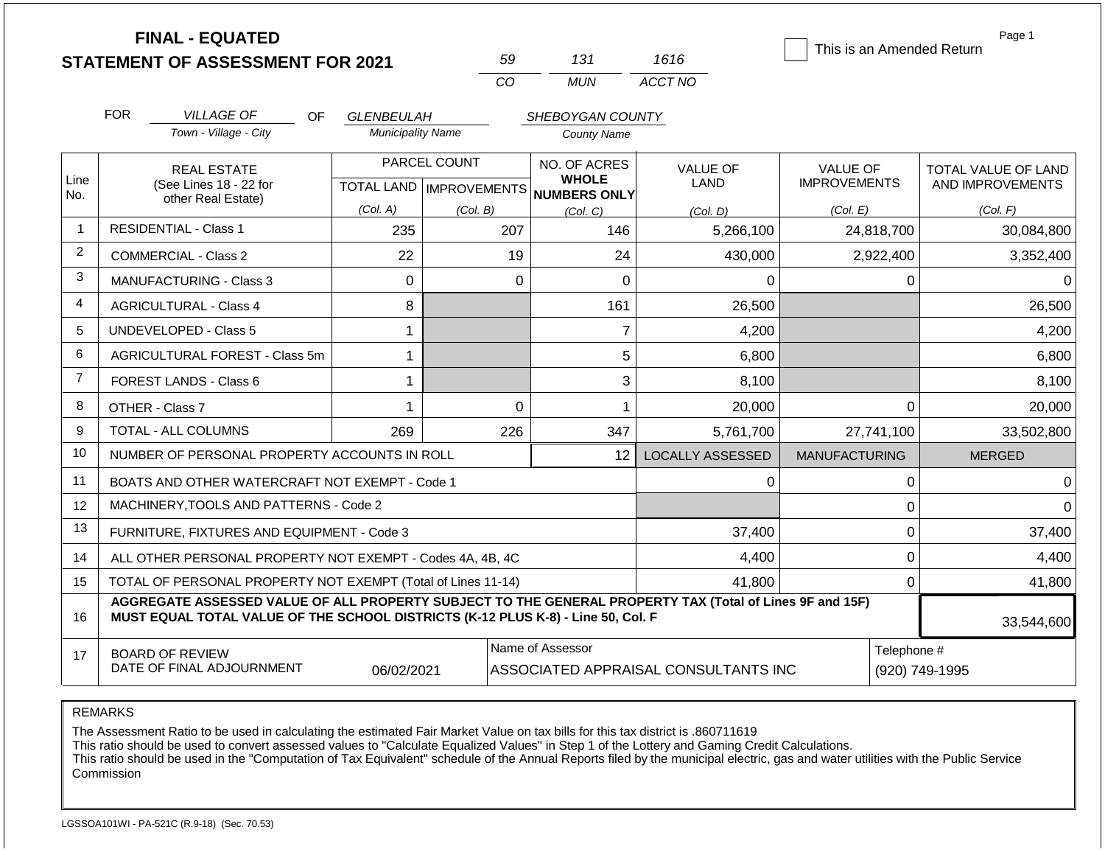|                | <b>FINAL - EQUATED</b>                                                                                                                                                                       |                                              | 59                               | 131                          | 1616                                 | This is an Amended Return | Page 1              |  |
|----------------|----------------------------------------------------------------------------------------------------------------------------------------------------------------------------------------------|----------------------------------------------|----------------------------------|------------------------------|--------------------------------------|---------------------------|---------------------|--|
|                | <b>STATEMENT OF ASSESSMENT FOR 2021</b>                                                                                                                                                      |                                              | CO                               | <b>MUN</b>                   | ACCT NO                              |                           |                     |  |
|                |                                                                                                                                                                                              |                                              |                                  |                              |                                      |                           |                     |  |
|                | <b>FOR</b><br><b>VILLAGE OF</b><br>OF                                                                                                                                                        | GLENBEULAH                                   |                                  | SHEBOYGAN COUNTY             |                                      |                           |                     |  |
|                | Town - Village - City                                                                                                                                                                        | <b>Municipality Name</b>                     |                                  | <b>County Name</b>           |                                      |                           |                     |  |
|                | <b>REAL ESTATE</b>                                                                                                                                                                           | PARCEL COUNT                                 |                                  | NO. OF ACRES                 | <b>VALUE OF</b>                      | <b>VALUE OF</b>           | TOTAL VALUE OF LAND |  |
| Line<br>No.    | (See Lines 18 - 22 for<br>other Real Estate)                                                                                                                                                 |                                              | <b>TOTAL LAND   IMPROVEMENTS</b> | <b>WHOLE</b><br>NUMBERS ONLY | <b>LAND</b>                          | <b>IMPROVEMENTS</b>       | AND IMPROVEMENTS    |  |
|                |                                                                                                                                                                                              | (Col. A)<br>(Col. B)<br>(Col. C)<br>(Col. D) |                                  | (Col. E)                     | (Col. F)                             |                           |                     |  |
| $\mathbf 1$    | <b>RESIDENTIAL - Class 1</b>                                                                                                                                                                 | 235                                          | 207                              | 146                          | 5,266,100                            | 24,818,700                | 30,084,800          |  |
| 2              | <b>COMMERCIAL - Class 2</b>                                                                                                                                                                  | 22                                           | 19                               | 24                           | 430,000                              | 2,922,400                 | 3,352,400           |  |
| 3              | <b>MANUFACTURING - Class 3</b>                                                                                                                                                               | $\mathbf 0$                                  | $\Omega$                         | $\mathbf 0$                  | 0                                    | 0                         | $\Omega$            |  |
| 4              | <b>AGRICULTURAL - Class 4</b>                                                                                                                                                                | 8                                            |                                  | 161                          | 26,500                               |                           | 26,500              |  |
| 5              | <b>UNDEVELOPED - Class 5</b>                                                                                                                                                                 | 1                                            |                                  | $\overline{7}$               | 4,200                                |                           | 4,200               |  |
| 6              | AGRICULTURAL FOREST - Class 5m                                                                                                                                                               | 1                                            |                                  | 5                            | 6,800                                |                           | 6,800               |  |
| $\overline{7}$ | FOREST LANDS - Class 6                                                                                                                                                                       | 1                                            |                                  | 3                            | 8,100                                |                           | 8,100               |  |
| 8              | OTHER - Class 7                                                                                                                                                                              | $\mathbf 1$                                  | $\mathbf{0}$                     | 1                            | 20,000                               | $\Omega$                  | 20,000              |  |
| 9              | TOTAL - ALL COLUMNS                                                                                                                                                                          | 269                                          | 226                              | 347                          | 5,761,700                            | 27,741,100                | 33,502,800          |  |
| 10             | NUMBER OF PERSONAL PROPERTY ACCOUNTS IN ROLL                                                                                                                                                 |                                              |                                  | 12                           | <b>LOCALLY ASSESSED</b>              | <b>MANUFACTURING</b>      | <b>MERGED</b>       |  |
| 11             | BOATS AND OTHER WATERCRAFT NOT EXEMPT - Code 1                                                                                                                                               |                                              |                                  |                              | $\Omega$                             | $\mathbf 0$               | $\Omega$            |  |
| 12             | MACHINERY, TOOLS AND PATTERNS - Code 2                                                                                                                                                       |                                              |                                  |                              |                                      | $\pmb{0}$                 | $\Omega$            |  |
| 13             | FURNITURE, FIXTURES AND EQUIPMENT - Code 3                                                                                                                                                   |                                              |                                  |                              | 37,400                               | $\pmb{0}$                 | 37,400              |  |
| 14             | ALL OTHER PERSONAL PROPERTY NOT EXEMPT - Codes 4A, 4B, 4C                                                                                                                                    |                                              |                                  |                              | 4,400                                | $\mathbf 0$               | 4,400               |  |
| 15             | TOTAL OF PERSONAL PROPERTY NOT EXEMPT (Total of Lines 11-14)                                                                                                                                 |                                              |                                  |                              | 41,800                               | $\mathbf{0}$              | 41,800              |  |
| 16             | AGGREGATE ASSESSED VALUE OF ALL PROPERTY SUBJECT TO THE GENERAL PROPERTY TAX (Total of Lines 9F and 15F)<br>MUST EQUAL TOTAL VALUE OF THE SCHOOL DISTRICTS (K-12 PLUS K-8) - Line 50, Col. F |                                              |                                  |                              |                                      |                           | 33,544,600          |  |
| 17             | <b>BOARD OF REVIEW</b>                                                                                                                                                                       |                                              |                                  | Name of Assessor             |                                      | Telephone #               |                     |  |
|                | DATE OF FINAL ADJOURNMENT                                                                                                                                                                    | 06/02/2021                                   |                                  |                              | ASSOCIATED APPRAISAL CONSULTANTS INC |                           | (920) 749-1995      |  |

The Assessment Ratio to be used in calculating the estimated Fair Market Value on tax bills for this tax district is .860711619

This ratio should be used to convert assessed values to "Calculate Equalized Values" in Step 1 of the Lottery and Gaming Credit Calculations.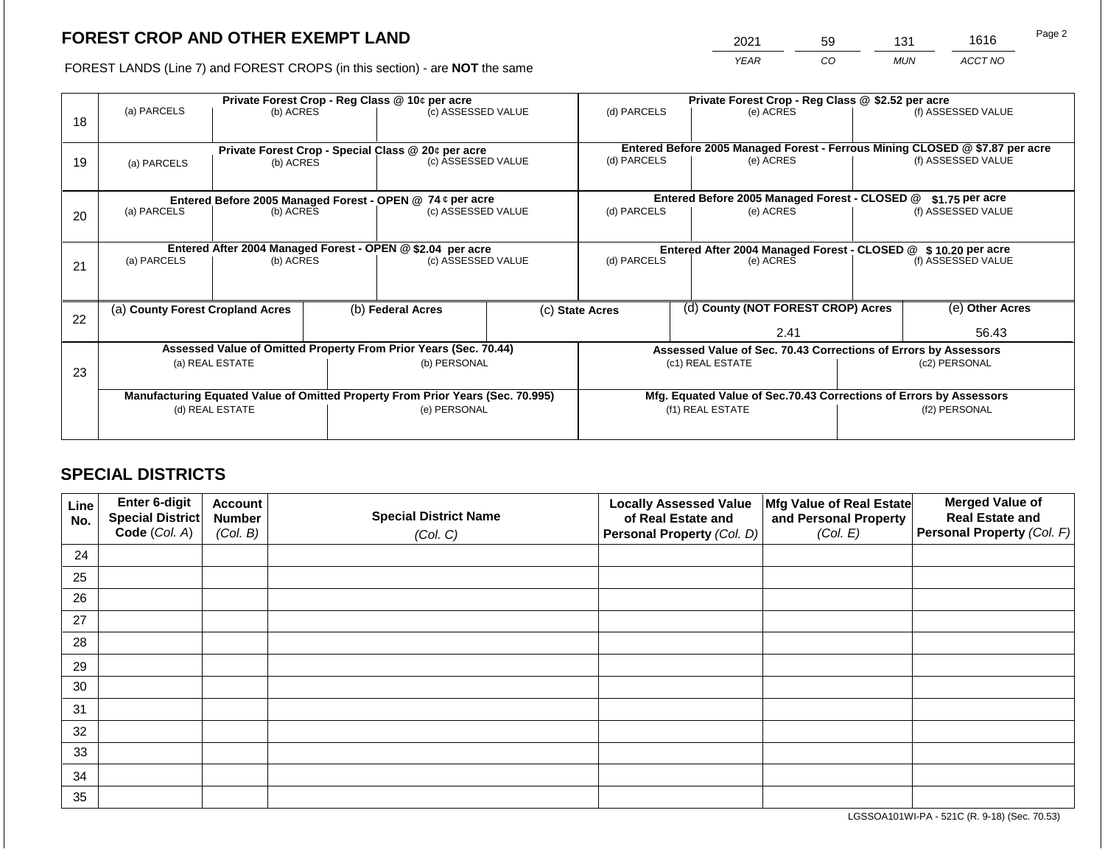2021 59 131 1616

FOREST LANDS (Line 7) and FOREST CROPS (in this section) - are **NOT** the same *YEAR CO MUN ACCT NO*

|    |                                                            | Private Forest Crop - Reg Class @ 10¢ per acre                                 |  |                                                    |                                               | Private Forest Crop - Reg Class @ \$2.52 per acre                            |                                                               |                                                                    |                    |                    |  |
|----|------------------------------------------------------------|--------------------------------------------------------------------------------|--|----------------------------------------------------|-----------------------------------------------|------------------------------------------------------------------------------|---------------------------------------------------------------|--------------------------------------------------------------------|--------------------|--------------------|--|
| 18 | (a) PARCELS                                                | (b) ACRES                                                                      |  | (c) ASSESSED VALUE                                 |                                               | (d) PARCELS                                                                  |                                                               | (e) ACRES                                                          |                    | (f) ASSESSED VALUE |  |
|    |                                                            |                                                                                |  | Private Forest Crop - Special Class @ 20¢ per acre |                                               | Entered Before 2005 Managed Forest - Ferrous Mining CLOSED @ \$7.87 per acre |                                                               |                                                                    |                    |                    |  |
| 19 | (a) PARCELS                                                | (b) ACRES                                                                      |  | (c) ASSESSED VALUE                                 |                                               | (d) PARCELS                                                                  |                                                               | (e) ACRES                                                          |                    | (f) ASSESSED VALUE |  |
|    |                                                            |                                                                                |  |                                                    |                                               |                                                                              |                                                               |                                                                    |                    |                    |  |
|    | Entered Before 2005 Managed Forest - OPEN @ 74 ¢ per acre  |                                                                                |  |                                                    | Entered Before 2005 Managed Forest - CLOSED @ |                                                                              | \$1.75 per acre                                               |                                                                    |                    |                    |  |
| 20 | (a) PARCELS                                                | (b) ACRES                                                                      |  | (c) ASSESSED VALUE                                 |                                               | (d) PARCELS                                                                  |                                                               | (e) ACRES                                                          |                    | (f) ASSESSED VALUE |  |
|    |                                                            |                                                                                |  |                                                    |                                               |                                                                              |                                                               |                                                                    |                    |                    |  |
|    | Entered After 2004 Managed Forest - OPEN @ \$2.04 per acre |                                                                                |  |                                                    |                                               |                                                                              | Entered After 2004 Managed Forest - CLOSED @ \$10.20 per acre |                                                                    |                    |                    |  |
| 21 | (a) PARCELS                                                | (b) ACRES                                                                      |  | (c) ASSESSED VALUE                                 |                                               | (d) PARCELS<br>(e) ACRES                                                     |                                                               |                                                                    | (f) ASSESSED VALUE |                    |  |
|    |                                                            |                                                                                |  |                                                    |                                               |                                                                              |                                                               |                                                                    |                    |                    |  |
| 22 |                                                            | (a) County Forest Cropland Acres                                               |  | (b) Federal Acres                                  |                                               | (c) State Acres                                                              |                                                               | (d) County (NOT FOREST CROP) Acres                                 |                    | (e) Other Acres    |  |
|    |                                                            |                                                                                |  |                                                    |                                               |                                                                              |                                                               | 2.41                                                               |                    | 56.43              |  |
|    |                                                            | Assessed Value of Omitted Property From Prior Years (Sec. 70.44)               |  |                                                    |                                               | Assessed Value of Sec. 70.43 Corrections of Errors by Assessors              |                                                               |                                                                    |                    |                    |  |
| 23 |                                                            | (a) REAL ESTATE                                                                |  | (b) PERSONAL                                       |                                               |                                                                              |                                                               | (c1) REAL ESTATE                                                   | (c2) PERSONAL      |                    |  |
|    |                                                            |                                                                                |  |                                                    |                                               |                                                                              |                                                               |                                                                    |                    |                    |  |
|    |                                                            | Manufacturing Equated Value of Omitted Property From Prior Years (Sec. 70.995) |  |                                                    |                                               |                                                                              |                                                               | Mfg. Equated Value of Sec.70.43 Corrections of Errors by Assessors |                    |                    |  |
|    | (d) REAL ESTATE                                            |                                                                                |  | (e) PERSONAL                                       |                                               |                                                                              | (f1) REAL ESTATE                                              |                                                                    |                    | (f2) PERSONAL      |  |
|    |                                                            |                                                                                |  |                                                    |                                               |                                                                              |                                                               |                                                                    |                    |                    |  |
|    |                                                            |                                                                                |  |                                                    |                                               |                                                                              |                                                               |                                                                    |                    |                    |  |

# **SPECIAL DISTRICTS**

| Line<br>No. | Enter 6-digit<br>Special District<br>Code (Col. A) | <b>Account</b><br><b>Number</b><br>(Col. B) | <b>Special District Name</b><br>(Col. C) | <b>Locally Assessed Value</b><br>of Real Estate and<br><b>Personal Property (Col. D)</b> | Mfg Value of Real Estate<br>and Personal Property<br>(Col. E) | <b>Merged Value of</b><br><b>Real Estate and</b><br>Personal Property (Col. F) |
|-------------|----------------------------------------------------|---------------------------------------------|------------------------------------------|------------------------------------------------------------------------------------------|---------------------------------------------------------------|--------------------------------------------------------------------------------|
| 24          |                                                    |                                             |                                          |                                                                                          |                                                               |                                                                                |
| 25          |                                                    |                                             |                                          |                                                                                          |                                                               |                                                                                |
| 26          |                                                    |                                             |                                          |                                                                                          |                                                               |                                                                                |
| 27          |                                                    |                                             |                                          |                                                                                          |                                                               |                                                                                |
| 28          |                                                    |                                             |                                          |                                                                                          |                                                               |                                                                                |
| 29          |                                                    |                                             |                                          |                                                                                          |                                                               |                                                                                |
| 30          |                                                    |                                             |                                          |                                                                                          |                                                               |                                                                                |
| 31          |                                                    |                                             |                                          |                                                                                          |                                                               |                                                                                |
| 32          |                                                    |                                             |                                          |                                                                                          |                                                               |                                                                                |
| 33          |                                                    |                                             |                                          |                                                                                          |                                                               |                                                                                |
| 34          |                                                    |                                             |                                          |                                                                                          |                                                               |                                                                                |
| 35          |                                                    |                                             |                                          |                                                                                          |                                                               |                                                                                |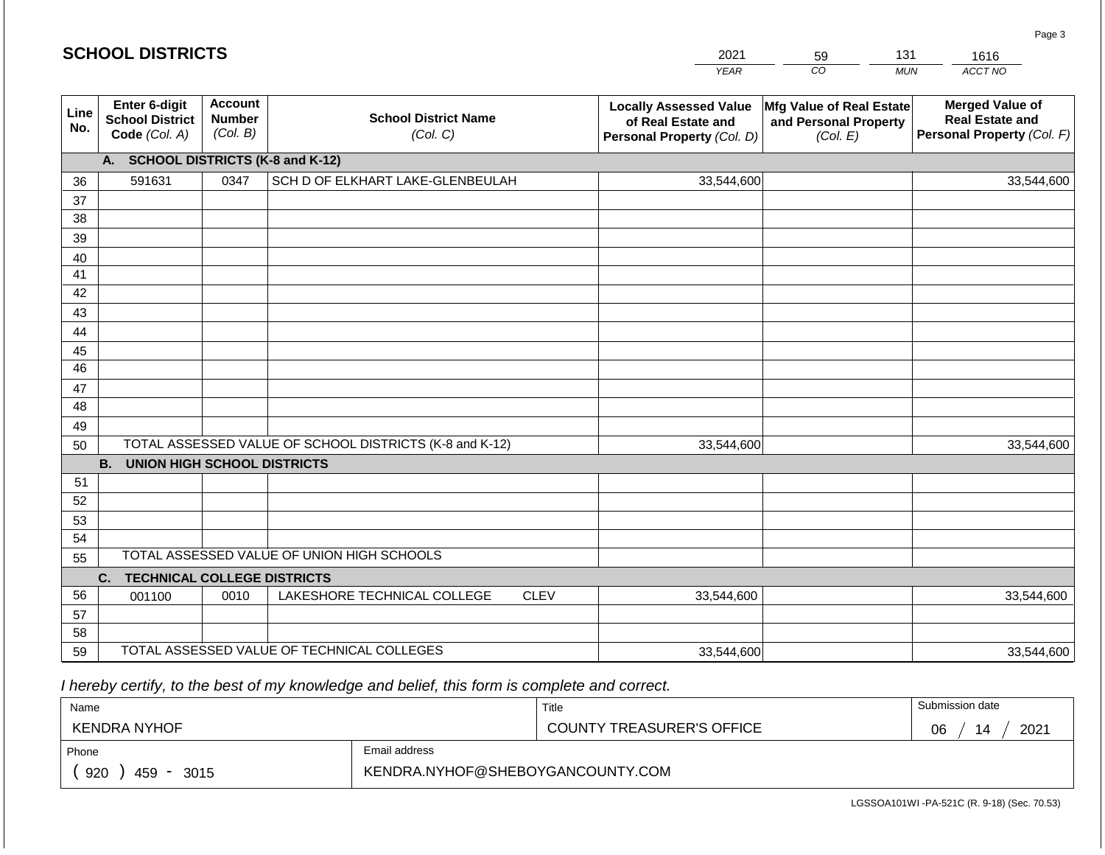#### *YEAR*   $\overline{co}$ 59 *MUN*  131 *ACCT NO*  1616 **Line No. Enter 6-digit School District Code** *(Col. A)* **Account Number** *(Col. B)* **School District Name** *(Col. C)* **Locally Assessed Value of Real Estate and Personal Property** *(Col. D)* **Mfg Value of Real Estate and Personal Property** *(Col. E)* **Merged Value of Real Estate and Personal Property** *(Col. F)* **A. SCHOOL DISTRICTS (K-8 and K-12)** 36 37 38 39 40 41 42 43 44 45 46 47 48 49 50 TOTAL ASSESSED VALUE OF SCHOOL DISTRICTS (K-8 and K-12) **B. UNION HIGH SCHOOL DISTRICTS** 51 52 53 54 55 **C. TECHNICAL COLLEGE DISTRICTS** 56 57 58 59 TOTAL ASSESSED VALUE OF TECHNICAL COLLEGES TOTAL ASSESSED VALUE OF UNION HIGH SCHOOLS 591631 0347 SCH D OF ELKHART LAKE-GLENBEULAH 33,544,600 33,544,600 001100 | 0010 | LAKESHORE TECHNICAL COLLEGE CLEV 33,544,600 33,544,600 33,544,600 33,544,600 33,544,600 33,544,600

2021

 *I hereby certify, to the best of my knowledge and belief, this form is complete and correct.*

**SCHOOL DISTRICTS**

| Name                                                                               |               | Title                            | Submission date  |
|------------------------------------------------------------------------------------|---------------|----------------------------------|------------------|
| KENDRA NYHOF                                                                       |               | <b>COUNTY TREASURER'S OFFICE</b> | 2021<br>06<br>14 |
| Phone                                                                              | Email address |                                  |                  |
| KENDRA.NYHOF@SHEBOYGANCOUNTY.COM<br>920<br>459<br>3015<br>$\overline{\phantom{a}}$ |               |                                  |                  |

Page 3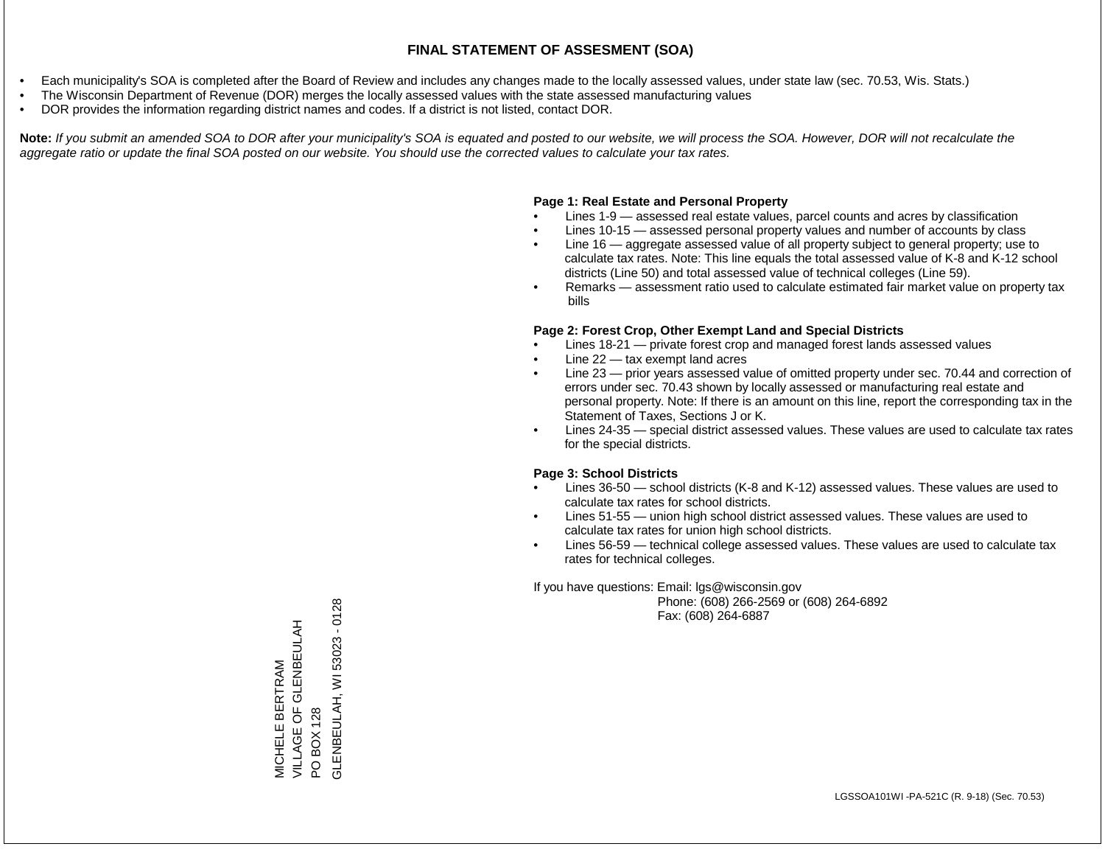- Each municipality's SOA is completed after the Board of Review and includes any changes made to the locally assessed values, under state law (sec. 70.53, Wis. Stats.)
- The Wisconsin Department of Revenue (DOR) merges the locally assessed values with the state assessed manufacturing values
- DOR provides the information regarding district names and codes. If a district is not listed, contact DOR.

Note: If you submit an amended SOA to DOR after your municipality's SOA is equated and posted to our website, we will process the SOA. However, DOR will not recalculate the *aggregate ratio or update the final SOA posted on our website. You should use the corrected values to calculate your tax rates.*

# **Page 1: Real Estate and Personal Property**

- Lines 1-9 assessed real estate values, parcel counts and acres by classification
- Lines 10-15 assessed personal property values and number of accounts by class
- Line 16 aggregate assessed value of all property subject to general property; use to calculate tax rates. Note: This line equals the total assessed value of K-8 and K-12 school districts (Line 50) and total assessed value of technical colleges (Line 59).
- Remarks assessment ratio used to calculate estimated fair market value on property tax bills

# **Page 2: Forest Crop, Other Exempt Land and Special Districts**

- Lines 18-21 private forest crop and managed forest lands assessed values
- Line  $22 -$  tax exempt land acres
- Line 23 prior years assessed value of omitted property under sec. 70.44 and correction of errors under sec. 70.43 shown by locally assessed or manufacturing real estate and personal property. Note: If there is an amount on this line, report the corresponding tax in the Statement of Taxes, Sections J or K.
- Lines 24-35 special district assessed values. These values are used to calculate tax rates for the special districts.

# **Page 3: School Districts**

- Lines 36-50 school districts (K-8 and K-12) assessed values. These values are used to calculate tax rates for school districts.
- Lines 51-55 union high school district assessed values. These values are used to calculate tax rates for union high school districts.
- Lines 56-59 technical college assessed values. These values are used to calculate tax rates for technical colleges.

If you have questions: Email: lgs@wisconsin.gov

 Phone: (608) 266-2569 or (608) 264-6892 Fax: (608) 264-6887

PO BOX 128<br>SLENBEULAH, WI 53023 - 0128 GLENBEULAH, WI 53023 - 0128MICHELE BERTRAM<br>VILLAGE OF GLENBEULAH VILLAGE OF GLENBEULAH MICHELE BERTRAM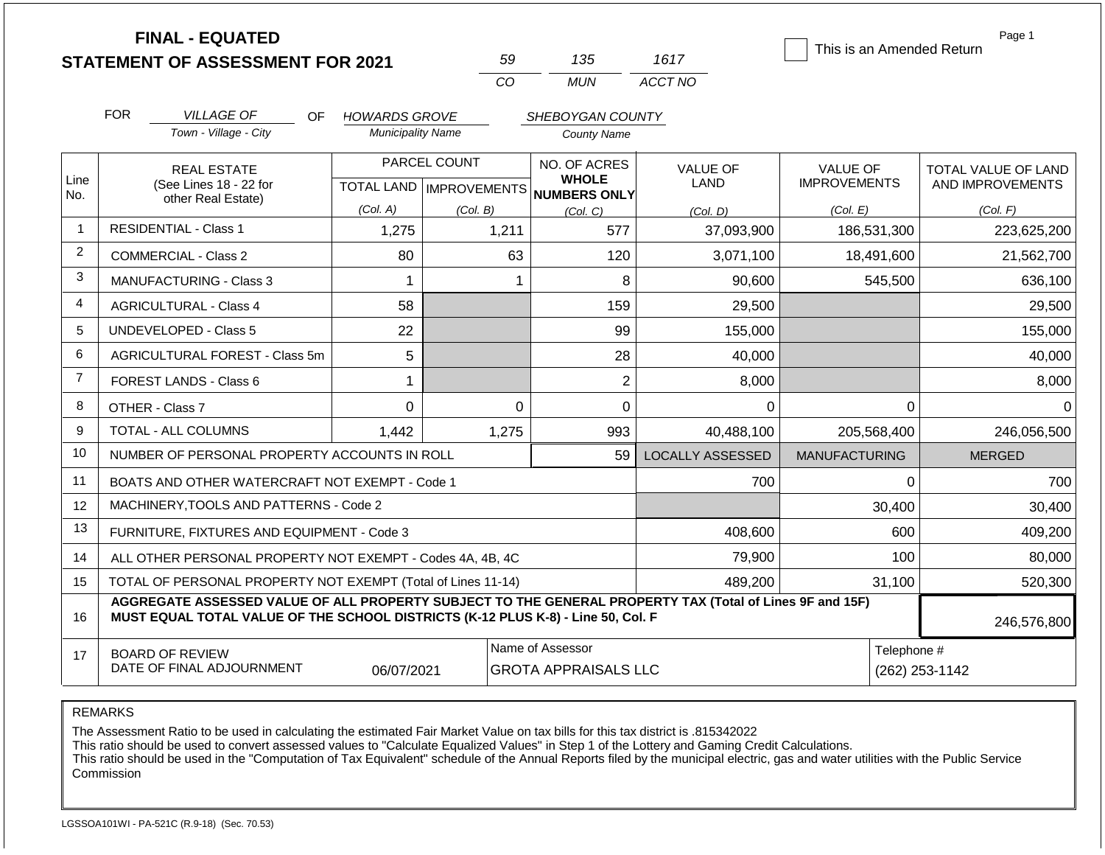|                | <b>FINAL - EQUATED</b><br><b>STATEMENT OF ASSESSMENT FOR 2021</b>                                                                                                                            |                                                  | 59          | 135                                                 | 1617                    | This is an Amended Return              | Page 1                                  |  |
|----------------|----------------------------------------------------------------------------------------------------------------------------------------------------------------------------------------------|--------------------------------------------------|-------------|-----------------------------------------------------|-------------------------|----------------------------------------|-----------------------------------------|--|
|                |                                                                                                                                                                                              |                                                  | CO          | <b>MUN</b>                                          | ACCT NO                 |                                        |                                         |  |
|                | <b>FOR</b><br><b>VILLAGE OF</b><br>OF.                                                                                                                                                       | <b>HOWARDS GROVE</b>                             |             | SHEBOYGAN COUNTY                                    |                         |                                        |                                         |  |
|                | Town - Village - City                                                                                                                                                                        | <b>Municipality Name</b>                         |             | <b>County Name</b>                                  |                         |                                        |                                         |  |
| Line<br>No.    | <b>REAL ESTATE</b><br>(See Lines 18 - 22 for                                                                                                                                                 | PARCEL COUNT<br><b>TOTAL LAND   IMPROVEMENTS</b> |             | NO. OF ACRES<br><b>WHOLE</b><br><b>NUMBERS ONLY</b> | <b>VALUE OF</b><br>LAND | <b>VALUE OF</b><br><b>IMPROVEMENTS</b> | TOTAL VALUE OF LAND<br>AND IMPROVEMENTS |  |
|                | other Real Estate)                                                                                                                                                                           | (Col. A)                                         | (Col. B)    | (Col, C)                                            | (Col. D)                | (Col. E)                               | (Col. F)                                |  |
| 1              | <b>RESIDENTIAL - Class 1</b>                                                                                                                                                                 | 1,275                                            | 1,211       | 577                                                 | 37,093,900              | 186,531,300                            | 223,625,200                             |  |
| $\overline{2}$ | <b>COMMERCIAL - Class 2</b>                                                                                                                                                                  | 80                                               | 63          | 120                                                 | 3,071,100               | 18,491,600                             | 21,562,700                              |  |
| 3              | <b>MANUFACTURING - Class 3</b>                                                                                                                                                               | 1                                                | $\mathbf 1$ | 8                                                   | 90.600                  | 545,500                                | 636,100                                 |  |
| 4              | <b>AGRICULTURAL - Class 4</b>                                                                                                                                                                | 58                                               |             | 159                                                 | 29,500                  |                                        | 29,500                                  |  |
| 5              | UNDEVELOPED - Class 5                                                                                                                                                                        | 22                                               |             | 99                                                  | 155,000                 |                                        | 155,000                                 |  |
| 6              | AGRICULTURAL FOREST - Class 5m                                                                                                                                                               | 5                                                |             | 28                                                  | 40,000                  |                                        | 40,000                                  |  |
| $\overline{7}$ | FOREST LANDS - Class 6                                                                                                                                                                       | 1                                                |             | $\overline{2}$                                      | 8,000                   |                                        | 8,000                                   |  |
| 8              | OTHER - Class 7                                                                                                                                                                              | $\mathbf 0$                                      | $\Omega$    | 0                                                   | 0                       | $\Omega$                               | $\Omega$                                |  |
| 9              | <b>TOTAL - ALL COLUMNS</b>                                                                                                                                                                   | 1,442                                            | 1,275       | 993                                                 | 40,488,100              | 205,568,400                            | 246,056,500                             |  |
| 10             | NUMBER OF PERSONAL PROPERTY ACCOUNTS IN ROLL                                                                                                                                                 |                                                  |             | 59                                                  | <b>LOCALLY ASSESSED</b> | <b>MANUFACTURING</b>                   | <b>MERGED</b>                           |  |
| 11             | BOATS AND OTHER WATERCRAFT NOT EXEMPT - Code 1                                                                                                                                               |                                                  |             |                                                     | 700                     | 0                                      | 700                                     |  |
| 12             | MACHINERY, TOOLS AND PATTERNS - Code 2                                                                                                                                                       |                                                  |             |                                                     |                         | 30,400                                 | 30,400                                  |  |
| 13             | FURNITURE, FIXTURES AND EQUIPMENT - Code 3                                                                                                                                                   |                                                  |             |                                                     | 408,600                 | 600                                    | 409,200                                 |  |
| 14             | ALL OTHER PERSONAL PROPERTY NOT EXEMPT - Codes 4A, 4B, 4C                                                                                                                                    |                                                  |             |                                                     | 79,900                  | 100                                    | 80,000                                  |  |
| 15             | TOTAL OF PERSONAL PROPERTY NOT EXEMPT (Total of Lines 11-14)                                                                                                                                 |                                                  |             |                                                     | 489,200                 | 31,100                                 | 520,300                                 |  |
| 16             | AGGREGATE ASSESSED VALUE OF ALL PROPERTY SUBJECT TO THE GENERAL PROPERTY TAX (Total of Lines 9F and 15F)<br>MUST EQUAL TOTAL VALUE OF THE SCHOOL DISTRICTS (K-12 PLUS K-8) - Line 50, Col. F |                                                  | 246,576,800 |                                                     |                         |                                        |                                         |  |
| 17             | <b>BOARD OF REVIEW</b><br>DATE OF FINAL ADJOURNMENT                                                                                                                                          | 06/07/2021                                       |             | Name of Assessor<br><b>GROTA APPRAISALS LLC</b>     |                         | Telephone #<br>(262) 253-1142          |                                         |  |

The Assessment Ratio to be used in calculating the estimated Fair Market Value on tax bills for this tax district is .815342022

This ratio should be used to convert assessed values to "Calculate Equalized Values" in Step 1 of the Lottery and Gaming Credit Calculations.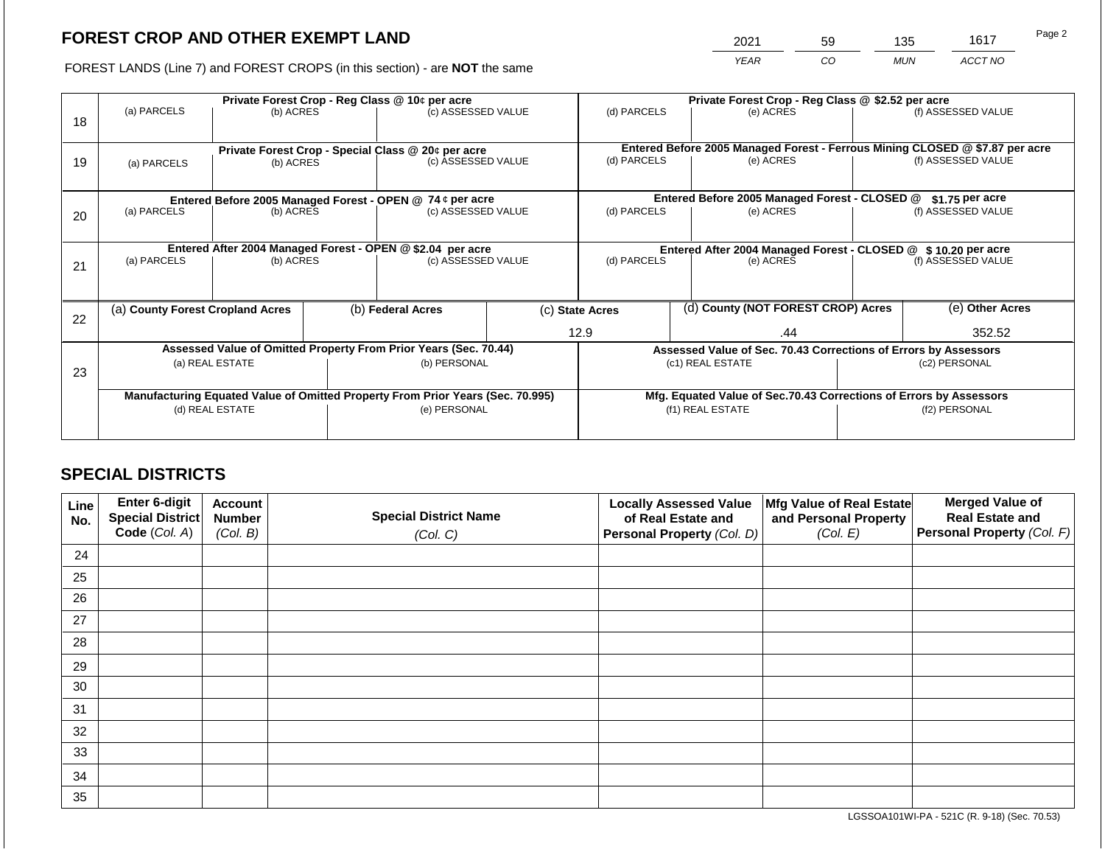2021 59 135 1617

FOREST LANDS (Line 7) and FOREST CROPS (in this section) - are **NOT** the same *YEAR CO MUN ACCT NO*

|    |                                                           |                                                            |                                                    | Private Forest Crop - Reg Class @ 10¢ per acre                                 |                                               | Private Forest Crop - Reg Class @ \$2.52 per acre                            |                                                                              |                                                                    |                    |                    |  |
|----|-----------------------------------------------------------|------------------------------------------------------------|----------------------------------------------------|--------------------------------------------------------------------------------|-----------------------------------------------|------------------------------------------------------------------------------|------------------------------------------------------------------------------|--------------------------------------------------------------------|--------------------|--------------------|--|
|    | (a) PARCELS                                               | (b) ACRES                                                  |                                                    | (c) ASSESSED VALUE                                                             |                                               | (d) PARCELS                                                                  |                                                                              | (e) ACRES                                                          |                    | (f) ASSESSED VALUE |  |
| 18 |                                                           |                                                            |                                                    |                                                                                |                                               |                                                                              |                                                                              |                                                                    |                    |                    |  |
|    |                                                           |                                                            |                                                    |                                                                                |                                               |                                                                              | Entered Before 2005 Managed Forest - Ferrous Mining CLOSED @ \$7.87 per acre |                                                                    |                    |                    |  |
|    |                                                           |                                                            | Private Forest Crop - Special Class @ 20¢ per acre |                                                                                |                                               | (d) PARCELS<br>(e) ACRES                                                     |                                                                              |                                                                    | (f) ASSESSED VALUE |                    |  |
| 19 | (a) PARCELS                                               | (b) ACRES                                                  |                                                    | (c) ASSESSED VALUE                                                             |                                               |                                                                              |                                                                              |                                                                    |                    |                    |  |
|    |                                                           |                                                            |                                                    |                                                                                |                                               |                                                                              |                                                                              |                                                                    |                    |                    |  |
|    | Entered Before 2005 Managed Forest - OPEN @ 74 ¢ per acre |                                                            |                                                    |                                                                                | Entered Before 2005 Managed Forest - CLOSED @ |                                                                              | \$1.75 per acre                                                              |                                                                    |                    |                    |  |
| 20 | (a) PARCELS                                               | (b) ACRES                                                  |                                                    | (c) ASSESSED VALUE                                                             |                                               | (d) PARCELS                                                                  |                                                                              | (e) ACRES                                                          |                    | (f) ASSESSED VALUE |  |
|    |                                                           |                                                            |                                                    |                                                                                |                                               |                                                                              |                                                                              |                                                                    |                    |                    |  |
|    |                                                           |                                                            |                                                    |                                                                                |                                               |                                                                              |                                                                              |                                                                    |                    |                    |  |
|    |                                                           | Entered After 2004 Managed Forest - OPEN @ \$2.04 per acre |                                                    |                                                                                |                                               | Entered After 2004 Managed Forest - CLOSED @ \$10.20 per acre<br>(d) PARCELS |                                                                              |                                                                    |                    |                    |  |
| 21 | (a) PARCELS                                               | (b) ACRES                                                  |                                                    |                                                                                | (c) ASSESSED VALUE                            |                                                                              |                                                                              | (e) ACRES                                                          |                    | (f) ASSESSED VALUE |  |
|    |                                                           |                                                            |                                                    |                                                                                |                                               |                                                                              |                                                                              |                                                                    |                    |                    |  |
|    |                                                           |                                                            |                                                    |                                                                                |                                               |                                                                              |                                                                              |                                                                    |                    |                    |  |
|    | (a) County Forest Cropland Acres                          |                                                            |                                                    | (b) Federal Acres                                                              |                                               | (c) State Acres                                                              |                                                                              | (d) County (NOT FOREST CROP) Acres                                 |                    | (e) Other Acres    |  |
| 22 |                                                           |                                                            |                                                    |                                                                                |                                               |                                                                              |                                                                              |                                                                    |                    |                    |  |
|    |                                                           |                                                            |                                                    |                                                                                |                                               | 12.9                                                                         |                                                                              | .44                                                                |                    | 352.52             |  |
|    |                                                           |                                                            |                                                    | Assessed Value of Omitted Property From Prior Years (Sec. 70.44)               |                                               |                                                                              |                                                                              | Assessed Value of Sec. 70.43 Corrections of Errors by Assessors    |                    |                    |  |
|    |                                                           | (a) REAL ESTATE                                            |                                                    | (b) PERSONAL                                                                   |                                               |                                                                              |                                                                              | (c1) REAL ESTATE                                                   |                    | (c2) PERSONAL      |  |
| 23 |                                                           |                                                            |                                                    |                                                                                |                                               |                                                                              |                                                                              |                                                                    |                    |                    |  |
|    |                                                           |                                                            |                                                    | Manufacturing Equated Value of Omitted Property From Prior Years (Sec. 70.995) |                                               |                                                                              |                                                                              | Mfg. Equated Value of Sec.70.43 Corrections of Errors by Assessors |                    |                    |  |
|    |                                                           | (d) REAL ESTATE                                            |                                                    | (e) PERSONAL                                                                   |                                               |                                                                              |                                                                              | (f1) REAL ESTATE                                                   | (f2) PERSONAL      |                    |  |
|    |                                                           |                                                            |                                                    |                                                                                |                                               |                                                                              |                                                                              |                                                                    |                    |                    |  |
|    |                                                           |                                                            |                                                    |                                                                                |                                               |                                                                              |                                                                              |                                                                    |                    |                    |  |

# **SPECIAL DISTRICTS**

| Line<br>No. | Enter 6-digit<br>Special District | <b>Account</b><br><b>Number</b> | <b>Special District Name</b> | <b>Locally Assessed Value</b><br>of Real Estate and | Mfg Value of Real Estate<br>and Personal Property | <b>Merged Value of</b><br><b>Real Estate and</b> |
|-------------|-----------------------------------|---------------------------------|------------------------------|-----------------------------------------------------|---------------------------------------------------|--------------------------------------------------|
|             | Code (Col. A)                     | (Col. B)                        | (Col. C)                     | Personal Property (Col. D)                          | (Col. E)                                          | Personal Property (Col. F)                       |
| 24          |                                   |                                 |                              |                                                     |                                                   |                                                  |
| 25          |                                   |                                 |                              |                                                     |                                                   |                                                  |
| 26          |                                   |                                 |                              |                                                     |                                                   |                                                  |
| 27          |                                   |                                 |                              |                                                     |                                                   |                                                  |
| 28          |                                   |                                 |                              |                                                     |                                                   |                                                  |
| 29          |                                   |                                 |                              |                                                     |                                                   |                                                  |
| 30          |                                   |                                 |                              |                                                     |                                                   |                                                  |
| 31          |                                   |                                 |                              |                                                     |                                                   |                                                  |
| 32          |                                   |                                 |                              |                                                     |                                                   |                                                  |
| 33          |                                   |                                 |                              |                                                     |                                                   |                                                  |
| 34          |                                   |                                 |                              |                                                     |                                                   |                                                  |
| 35          |                                   |                                 |                              |                                                     |                                                   |                                                  |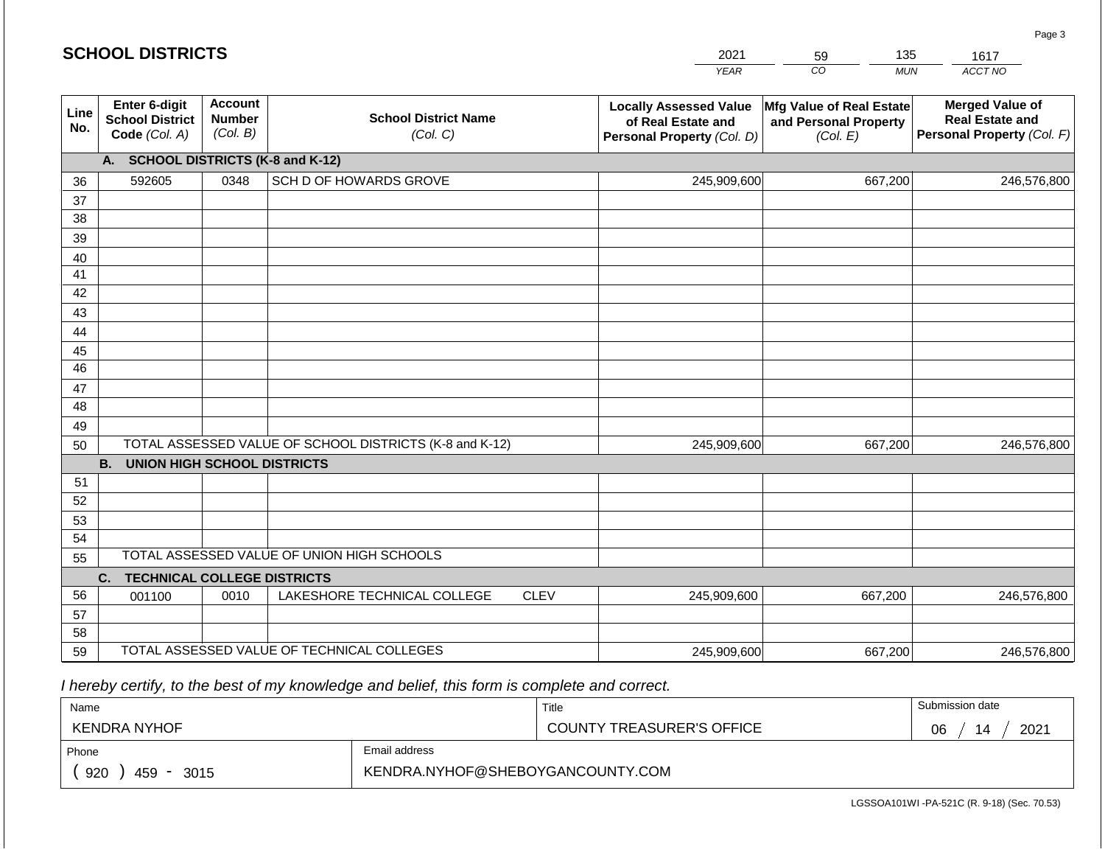#### *YEAR CO MUN ACCT NO*  **Line No. Enter 6-digit School District Code** *(Col. A)* **Account Number** *(Col. B)* **School District Name** *(Col. C)* **Locally Assessed Value of Real Estate and Personal Property** *(Col. D)* **Mfg Value of Real Estate and Personal Property** *(Col. E)* **Merged Value of Real Estate and Personal Property** *(Col. F)* **A. SCHOOL DISTRICTS (K-8 and K-12)** 36 37 38 39 40 41 42 43 44 45 46 47 48 49 50 TOTAL ASSESSED VALUE OF SCHOOL DISTRICTS (K-8 and K-12) **B. UNION HIGH SCHOOL DISTRICTS** 51 52 53 54 55 **C. TECHNICAL COLLEGE DISTRICTS** 56 57 58 59 TOTAL ASSESSED VALUE OF TECHNICAL COLLEGES TOTAL ASSESSED VALUE OF UNION HIGH SCHOOLS 592605 0348 SCH D OF HOWARDS GROVE 245,909,600 245,909,600 001100 | 0010 | LAKESHORE TECHNICAL COLLEGE CLEV 245,909,600 667,200 246,576,800 667,200 246,576,800 667,200 246,576,800 245,909,600 667,200 246,576,800

 *I hereby certify, to the best of my knowledge and belief, this form is complete and correct.*

| Name                                                   |               | Title                            | Submission date  |  |
|--------------------------------------------------------|---------------|----------------------------------|------------------|--|
| KENDRA NYHOF                                           |               | <b>COUNTY TREASURER'S OFFICE</b> | 2021<br>06<br>14 |  |
| Phone                                                  | Email address |                                  |                  |  |
| KENDRA.NYHOF@SHEBOYGANCOUNTY.COM<br>920<br>459<br>3015 |               |                                  |                  |  |

LGSSOA101WI -PA-521C (R. 9-18) (Sec. 70.53)

Page 3

|  |  | <b>SCHOOL DISTRICTS</b> |  |
|--|--|-------------------------|--|
|--|--|-------------------------|--|

20 59 135 1617

| 121 | nu       | 135          |
|-----|----------|--------------|
| AR  | $\cdots$ | <b>MI IN</b> |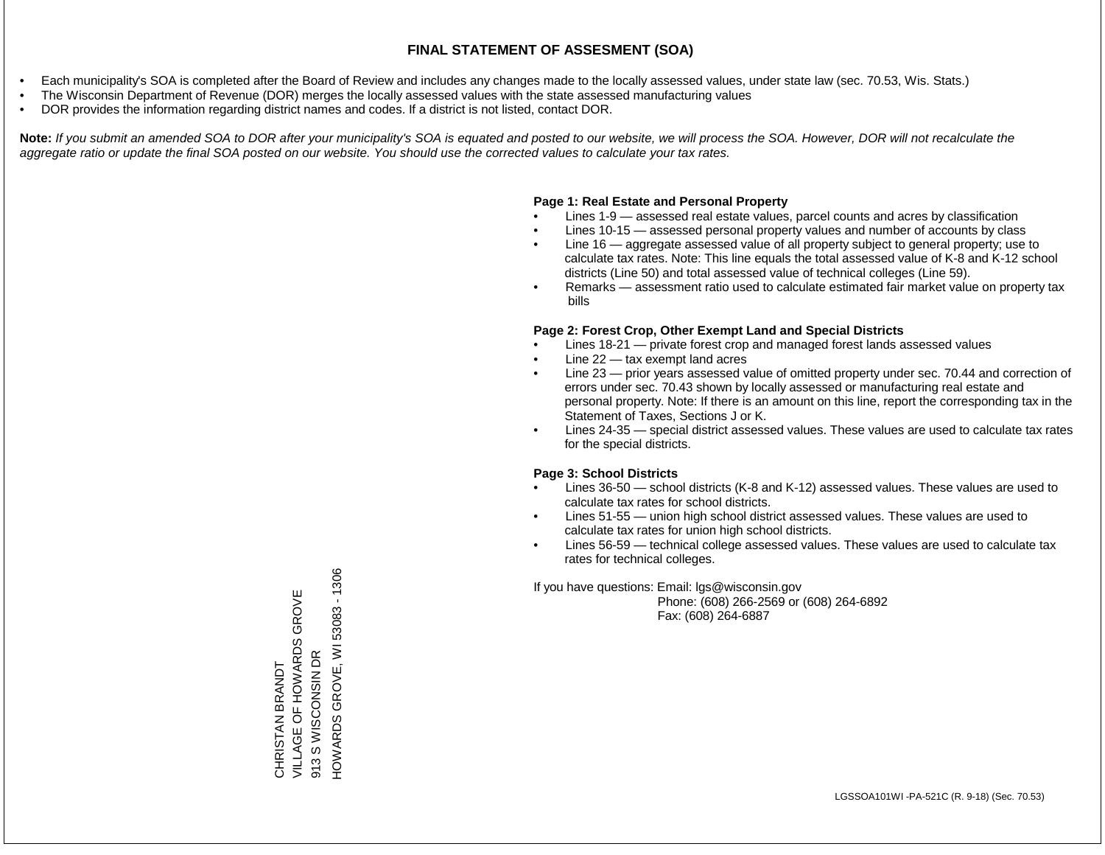- Each municipality's SOA is completed after the Board of Review and includes any changes made to the locally assessed values, under state law (sec. 70.53, Wis. Stats.)
- The Wisconsin Department of Revenue (DOR) merges the locally assessed values with the state assessed manufacturing values
- DOR provides the information regarding district names and codes. If a district is not listed, contact DOR.

Note: If you submit an amended SOA to DOR after your municipality's SOA is equated and posted to our website, we will process the SOA. However, DOR will not recalculate the *aggregate ratio or update the final SOA posted on our website. You should use the corrected values to calculate your tax rates.*

# **Page 1: Real Estate and Personal Property**

- Lines 1-9 assessed real estate values, parcel counts and acres by classification
- Lines 10-15 assessed personal property values and number of accounts by class
- Line 16 aggregate assessed value of all property subject to general property; use to calculate tax rates. Note: This line equals the total assessed value of K-8 and K-12 school districts (Line 50) and total assessed value of technical colleges (Line 59).
- Remarks assessment ratio used to calculate estimated fair market value on property tax bills

# **Page 2: Forest Crop, Other Exempt Land and Special Districts**

- Lines 18-21 private forest crop and managed forest lands assessed values
- Line  $22 -$  tax exempt land acres
- Line 23 prior years assessed value of omitted property under sec. 70.44 and correction of errors under sec. 70.43 shown by locally assessed or manufacturing real estate and personal property. Note: If there is an amount on this line, report the corresponding tax in the Statement of Taxes, Sections J or K.
- Lines 24-35 special district assessed values. These values are used to calculate tax rates for the special districts.

# **Page 3: School Districts**

- Lines 36-50 school districts (K-8 and K-12) assessed values. These values are used to calculate tax rates for school districts.
- Lines 51-55 union high school district assessed values. These values are used to calculate tax rates for union high school districts.
- Lines 56-59 technical college assessed values. These values are used to calculate tax rates for technical colleges.

If you have questions: Email: lgs@wisconsin.gov

 Phone: (608) 266-2569 or (608) 264-6892 Fax: (608) 264-6887

HOWARDS GROVE, WI 53083 - 1306 HOWARDS GROVE, WI 53083 - 1306VILLAGE OF HOWARDS GROVE **VILLAGE OF HOWARDS GROVE** S WISCONSIN DR 913 S WISCONSIN DR CHRISTAN BRANDT CHRISTAN BRANDT  $913$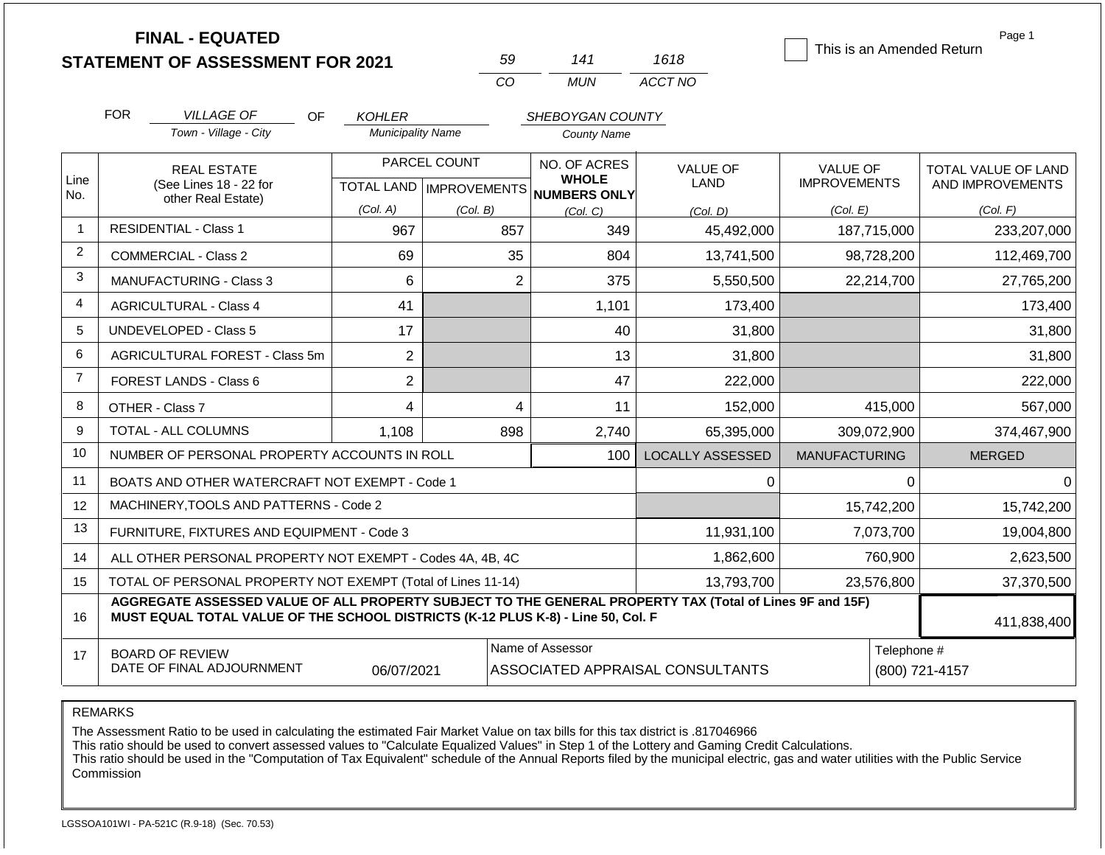|                | <b>FINAL - EQUATED</b>                                                                                                                                                                       |                          |                           |                              |                         |                           | Page 1              |
|----------------|----------------------------------------------------------------------------------------------------------------------------------------------------------------------------------------------|--------------------------|---------------------------|------------------------------|-------------------------|---------------------------|---------------------|
|                | <b>STATEMENT OF ASSESSMENT FOR 2021</b>                                                                                                                                                      |                          | 59                        | 141                          | 1618                    | This is an Amended Return |                     |
|                |                                                                                                                                                                                              |                          | CO                        | <b>MUN</b>                   | ACCT NO                 |                           |                     |
|                | <b>FOR</b><br><b>VILLAGE OF</b><br>OF                                                                                                                                                        | <b>KOHLER</b>            |                           | SHEBOYGAN COUNTY             |                         |                           |                     |
|                | Town - Village - City                                                                                                                                                                        | <b>Municipality Name</b> |                           | <b>County Name</b>           |                         |                           |                     |
|                | <b>REAL ESTATE</b>                                                                                                                                                                           |                          | PARCEL COUNT              | NO. OF ACRES<br><b>WHOLE</b> | <b>VALUE OF</b>         | <b>VALUE OF</b>           | TOTAL VALUE OF LAND |
| Line<br>No.    | (See Lines 18 - 22 for<br>other Real Estate)                                                                                                                                                 |                          | TOTAL LAND   IMPROVEMENTS | NUMBERS ONLY                 | LAND                    | <b>IMPROVEMENTS</b>       | AND IMPROVEMENTS    |
|                |                                                                                                                                                                                              | (Col. A)                 | (Col. B)                  | (Col, C)                     | (Col. D)                | (Col. E)                  | (Col. F)            |
| $\overline{1}$ | <b>RESIDENTIAL - Class 1</b>                                                                                                                                                                 | 967                      | 857                       | 349                          | 45,492,000              | 187,715,000               | 233,207,000         |
| 2              | <b>COMMERCIAL - Class 2</b>                                                                                                                                                                  | 69                       | 35                        | 804                          | 13,741,500              | 98,728,200                | 112,469,700         |
| 3              | <b>MANUFACTURING - Class 3</b>                                                                                                                                                               | 6                        | $\overline{2}$            | 375                          | 5,550,500               | 22,214,700                | 27,765,200          |
| $\overline{4}$ | <b>AGRICULTURAL - Class 4</b>                                                                                                                                                                | 41                       |                           | 1,101                        | 173,400                 |                           | 173,400             |
| 5              | <b>UNDEVELOPED - Class 5</b>                                                                                                                                                                 |                          |                           | 40                           | 31,800                  |                           | 31,800              |
| 6              | AGRICULTURAL FOREST - Class 5m                                                                                                                                                               | $\overline{2}$           |                           | 13                           | 31,800                  |                           | 31,800              |
| $\overline{7}$ | <b>FOREST LANDS - Class 6</b>                                                                                                                                                                | $\overline{2}$           |                           | 47                           | 222,000                 |                           | 222,000             |
| 8              | OTHER - Class 7                                                                                                                                                                              | 4                        | $\overline{\mathbf{4}}$   | 11                           | 152,000                 | 415,000                   | 567,000             |
| 9              | TOTAL - ALL COLUMNS                                                                                                                                                                          | 1,108                    | 898                       | 2,740                        | 65,395,000              | 309,072,900               | 374,467,900         |
| 10             | NUMBER OF PERSONAL PROPERTY ACCOUNTS IN ROLL                                                                                                                                                 |                          |                           | 100                          | <b>LOCALLY ASSESSED</b> | <b>MANUFACTURING</b>      | <b>MERGED</b>       |
| 11             | BOATS AND OTHER WATERCRAFT NOT EXEMPT - Code 1                                                                                                                                               |                          |                           |                              | 0                       | $\Omega$                  | $\Omega$            |
| 12             | MACHINERY, TOOLS AND PATTERNS - Code 2                                                                                                                                                       |                          |                           |                              |                         | 15,742,200                | 15,742,200          |
| 13             | FURNITURE, FIXTURES AND EQUIPMENT - Code 3                                                                                                                                                   |                          |                           |                              | 11,931,100              | 7,073,700                 | 19,004,800          |
| 14             | ALL OTHER PERSONAL PROPERTY NOT EXEMPT - Codes 4A, 4B, 4C                                                                                                                                    |                          |                           |                              | 1,862,600               | 760,900                   | 2,623,500           |
| 15             | TOTAL OF PERSONAL PROPERTY NOT EXEMPT (Total of Lines 11-14)                                                                                                                                 |                          |                           |                              | 13,793,700              | 23,576,800                | 37,370,500          |
| 16             | AGGREGATE ASSESSED VALUE OF ALL PROPERTY SUBJECT TO THE GENERAL PROPERTY TAX (Total of Lines 9F and 15F)<br>MUST EQUAL TOTAL VALUE OF THE SCHOOL DISTRICTS (K-12 PLUS K-8) - Line 50, Col. F |                          |                           |                              |                         |                           | 411,838,400         |
| 17             | <b>BOARD OF REVIEW</b>                                                                                                                                                                       |                          |                           | Name of Assessor             |                         | Telephone #               |                     |
|                | DATE OF FINAL ADJOURNMENT                                                                                                                                                                    |                          | (800) 721-4157            |                              |                         |                           |                     |

The Assessment Ratio to be used in calculating the estimated Fair Market Value on tax bills for this tax district is .817046966

This ratio should be used to convert assessed values to "Calculate Equalized Values" in Step 1 of the Lottery and Gaming Credit Calculations.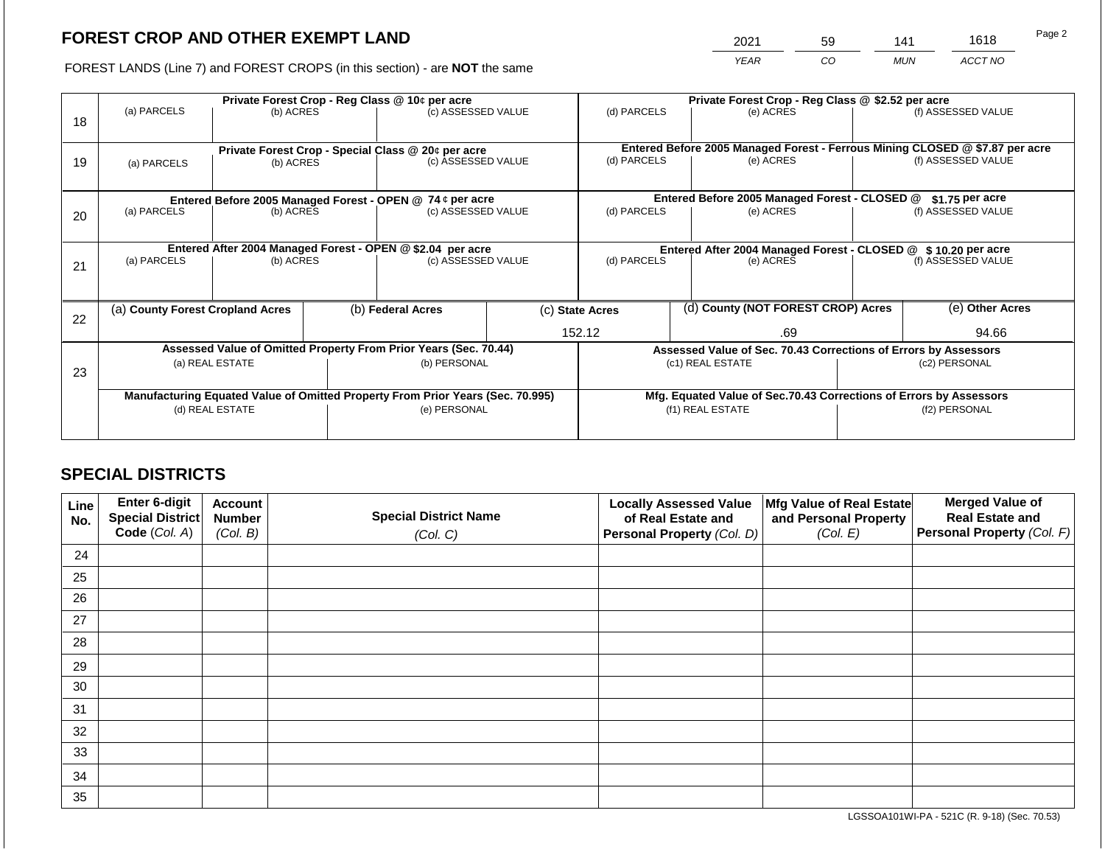2021 59 141 1618

FOREST LANDS (Line 7) and FOREST CROPS (in this section) - are **NOT** the same *YEAR CO MUN ACCT NO*

| 18 | (a) PARCELS<br>(b) ACRES                                   |                                                                 |  | Private Forest Crop - Reg Class @ 10¢ per acre<br>(c) ASSESSED VALUE           |                                   | (d) PARCELS                                                        |                                                               | Private Forest Crop - Reg Class @ \$2.52 per acre<br>(e) ACRES                            |                    | (f) ASSESSED VALUE |  |
|----|------------------------------------------------------------|-----------------------------------------------------------------|--|--------------------------------------------------------------------------------|-----------------------------------|--------------------------------------------------------------------|---------------------------------------------------------------|-------------------------------------------------------------------------------------------|--------------------|--------------------|--|
| 19 | (a) PARCELS                                                | Private Forest Crop - Special Class @ 20¢ per acre<br>(b) ACRES |  | (c) ASSESSED VALUE                                                             |                                   | (d) PARCELS                                                        |                                                               | Entered Before 2005 Managed Forest - Ferrous Mining CLOSED @ \$7.87 per acre<br>(e) ACRES |                    | (f) ASSESSED VALUE |  |
|    |                                                            |                                                                 |  | Entered Before 2005 Managed Forest - OPEN @ 74 ¢ per acre                      |                                   |                                                                    |                                                               | Entered Before 2005 Managed Forest - CLOSED @                                             |                    | $$1.75$ per acre   |  |
| 20 | (a) PARCELS                                                | (b) ACRES                                                       |  | (c) ASSESSED VALUE                                                             |                                   | (d) PARCELS<br>(e) ACRES                                           |                                                               |                                                                                           | (f) ASSESSED VALUE |                    |  |
|    | Entered After 2004 Managed Forest - OPEN @ \$2.04 per acre |                                                                 |  |                                                                                |                                   |                                                                    | Entered After 2004 Managed Forest - CLOSED @ \$10.20 per acre |                                                                                           |                    |                    |  |
| 21 | (a) PARCELS                                                | (b) ACRES                                                       |  |                                                                                | (d) PARCELS<br>(c) ASSESSED VALUE |                                                                    | (e) ACRES                                                     |                                                                                           | (f) ASSESSED VALUE |                    |  |
|    |                                                            |                                                                 |  |                                                                                |                                   |                                                                    |                                                               |                                                                                           |                    |                    |  |
| 22 | (a) County Forest Cropland Acres                           |                                                                 |  | (b) Federal Acres                                                              |                                   | (d) County (NOT FOREST CROP) Acres<br>(c) State Acres              |                                                               |                                                                                           | (e) Other Acres    |                    |  |
|    |                                                            |                                                                 |  |                                                                                |                                   | 152.12<br>.69                                                      |                                                               |                                                                                           |                    | 94.66              |  |
|    |                                                            |                                                                 |  | Assessed Value of Omitted Property From Prior Years (Sec. 70.44)               |                                   |                                                                    |                                                               | Assessed Value of Sec. 70.43 Corrections of Errors by Assessors                           |                    |                    |  |
| 23 |                                                            | (a) REAL ESTATE                                                 |  | (b) PERSONAL                                                                   |                                   |                                                                    |                                                               | (c1) REAL ESTATE                                                                          | (c2) PERSONAL      |                    |  |
|    |                                                            |                                                                 |  |                                                                                |                                   |                                                                    |                                                               |                                                                                           |                    |                    |  |
|    |                                                            |                                                                 |  | Manufacturing Equated Value of Omitted Property From Prior Years (Sec. 70.995) |                                   | Mfg. Equated Value of Sec.70.43 Corrections of Errors by Assessors |                                                               |                                                                                           |                    |                    |  |
|    | (d) REAL ESTATE                                            |                                                                 |  | (e) PERSONAL                                                                   |                                   | (f1) REAL ESTATE                                                   |                                                               |                                                                                           | (f2) PERSONAL      |                    |  |
|    |                                                            |                                                                 |  |                                                                                |                                   |                                                                    |                                                               |                                                                                           |                    |                    |  |

# **SPECIAL DISTRICTS**

| Line<br>No. | <b>Enter 6-digit</b><br>Special District | <b>Account</b><br><b>Number</b> | <b>Special District Name</b> | <b>Locally Assessed Value</b><br>of Real Estate and | Mfg Value of Real Estate<br>and Personal Property | <b>Merged Value of</b><br><b>Real Estate and</b> |
|-------------|------------------------------------------|---------------------------------|------------------------------|-----------------------------------------------------|---------------------------------------------------|--------------------------------------------------|
|             | Code (Col. A)                            | (Col. B)                        | (Col. C)                     | Personal Property (Col. D)                          | (Col. E)                                          | <b>Personal Property (Col. F)</b>                |
| 24          |                                          |                                 |                              |                                                     |                                                   |                                                  |
| 25          |                                          |                                 |                              |                                                     |                                                   |                                                  |
| 26          |                                          |                                 |                              |                                                     |                                                   |                                                  |
| 27          |                                          |                                 |                              |                                                     |                                                   |                                                  |
| 28          |                                          |                                 |                              |                                                     |                                                   |                                                  |
| 29          |                                          |                                 |                              |                                                     |                                                   |                                                  |
| 30          |                                          |                                 |                              |                                                     |                                                   |                                                  |
| 31          |                                          |                                 |                              |                                                     |                                                   |                                                  |
| 32          |                                          |                                 |                              |                                                     |                                                   |                                                  |
| 33          |                                          |                                 |                              |                                                     |                                                   |                                                  |
| 34          |                                          |                                 |                              |                                                     |                                                   |                                                  |
| 35          |                                          |                                 |                              |                                                     |                                                   |                                                  |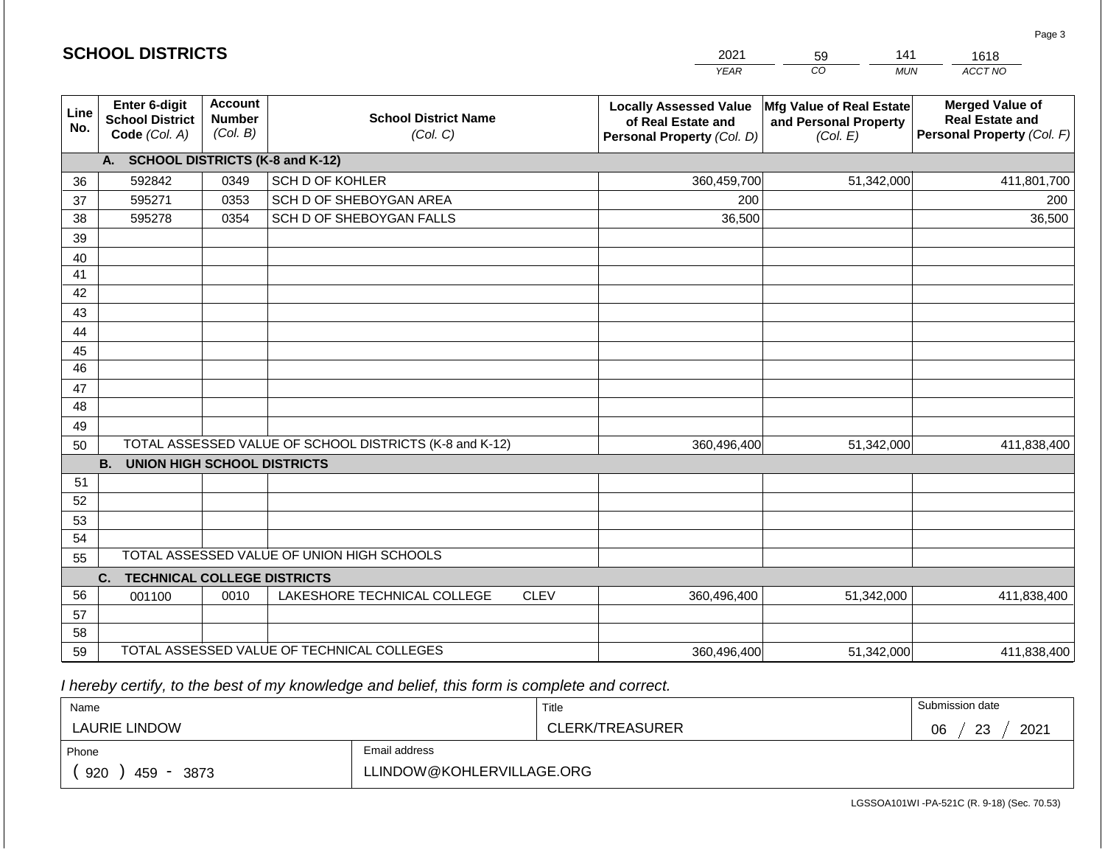|                 | <b>SCHOOL DISTRICTS</b>                                  |                                             |                                                         |             | 2021<br>141<br>59<br>1618                                                         |                                                               |                                                                                |  |
|-----------------|----------------------------------------------------------|---------------------------------------------|---------------------------------------------------------|-------------|-----------------------------------------------------------------------------------|---------------------------------------------------------------|--------------------------------------------------------------------------------|--|
|                 |                                                          |                                             |                                                         |             | <b>YEAR</b>                                                                       | CO<br><b>MUN</b>                                              | ACCT NO                                                                        |  |
| Line<br>No.     | Enter 6-digit<br><b>School District</b><br>Code (Col. A) | <b>Account</b><br><b>Number</b><br>(Col. B) | <b>School District Name</b><br>(Col. C)                 |             | <b>Locally Assessed Value</b><br>of Real Estate and<br>Personal Property (Col. D) | Mfg Value of Real Estate<br>and Personal Property<br>(Col. E) | <b>Merged Value of</b><br><b>Real Estate and</b><br>Personal Property (Col. F) |  |
|                 | A. SCHOOL DISTRICTS (K-8 and K-12)                       |                                             |                                                         |             |                                                                                   |                                                               |                                                                                |  |
| 36              | 592842                                                   | 0349                                        | SCH D OF KOHLER                                         |             | 360,459,700                                                                       | 51,342,000                                                    | 411,801,700                                                                    |  |
| 37              | 595271                                                   | 0353                                        | SCH D OF SHEBOYGAN AREA                                 |             | 200                                                                               |                                                               | 200                                                                            |  |
| 38              | 595278                                                   | 0354                                        | SCH D OF SHEBOYGAN FALLS                                |             | 36,500                                                                            |                                                               | 36,500                                                                         |  |
| 39              |                                                          |                                             |                                                         |             |                                                                                   |                                                               |                                                                                |  |
| 40              |                                                          |                                             |                                                         |             |                                                                                   |                                                               |                                                                                |  |
| 41              |                                                          |                                             |                                                         |             |                                                                                   |                                                               |                                                                                |  |
| 42              |                                                          |                                             |                                                         |             |                                                                                   |                                                               |                                                                                |  |
| 43              |                                                          |                                             |                                                         |             |                                                                                   |                                                               |                                                                                |  |
| 44              |                                                          |                                             |                                                         |             |                                                                                   |                                                               |                                                                                |  |
| 45              |                                                          |                                             |                                                         |             |                                                                                   |                                                               |                                                                                |  |
| $\overline{46}$ |                                                          |                                             |                                                         |             |                                                                                   |                                                               |                                                                                |  |
| 47              |                                                          |                                             |                                                         |             |                                                                                   |                                                               |                                                                                |  |
| 48              |                                                          |                                             |                                                         |             |                                                                                   |                                                               |                                                                                |  |
| 49<br>50        |                                                          |                                             | TOTAL ASSESSED VALUE OF SCHOOL DISTRICTS (K-8 and K-12) |             | 360,496,400                                                                       | 51,342,000                                                    | 411,838,400                                                                    |  |
|                 | <b>B.</b><br><b>UNION HIGH SCHOOL DISTRICTS</b>          |                                             |                                                         |             |                                                                                   |                                                               |                                                                                |  |
| 51              |                                                          |                                             |                                                         |             |                                                                                   |                                                               |                                                                                |  |
| 52              |                                                          |                                             |                                                         |             |                                                                                   |                                                               |                                                                                |  |
| 53              |                                                          |                                             |                                                         |             |                                                                                   |                                                               |                                                                                |  |
| 54              |                                                          |                                             |                                                         |             |                                                                                   |                                                               |                                                                                |  |
| 55              |                                                          |                                             | TOTAL ASSESSED VALUE OF UNION HIGH SCHOOLS              |             |                                                                                   |                                                               |                                                                                |  |
|                 | <b>TECHNICAL COLLEGE DISTRICTS</b><br>C.                 |                                             |                                                         |             |                                                                                   |                                                               |                                                                                |  |
| 56              | 001100                                                   | 0010                                        | LAKESHORE TECHNICAL COLLEGE                             | <b>CLEV</b> | 360,496,400                                                                       | 51,342,000                                                    | 411,838,400                                                                    |  |
| 57              |                                                          |                                             |                                                         |             |                                                                                   |                                                               |                                                                                |  |
| 58              |                                                          |                                             |                                                         |             |                                                                                   |                                                               |                                                                                |  |
| 59              |                                                          |                                             | TOTAL ASSESSED VALUE OF TECHNICAL COLLEGES              |             | 360,496,400                                                                       | 51,342,000                                                    | 411,838,400                                                                    |  |

 *I hereby certify, to the best of my knowledge and belief, this form is complete and correct.*

**SCHOOL DISTRICTS**

| Name               |                           | Title           | Submission date  |  |  |
|--------------------|---------------------------|-----------------|------------------|--|--|
| LAURIE LINDOW      |                           | CLERK/TREASURER | 2021<br>06<br>23 |  |  |
| Phone              | Email address             |                 |                  |  |  |
| 920<br>459<br>3873 | LLINDOW@KOHLERVILLAGE.ORG |                 |                  |  |  |

Page 3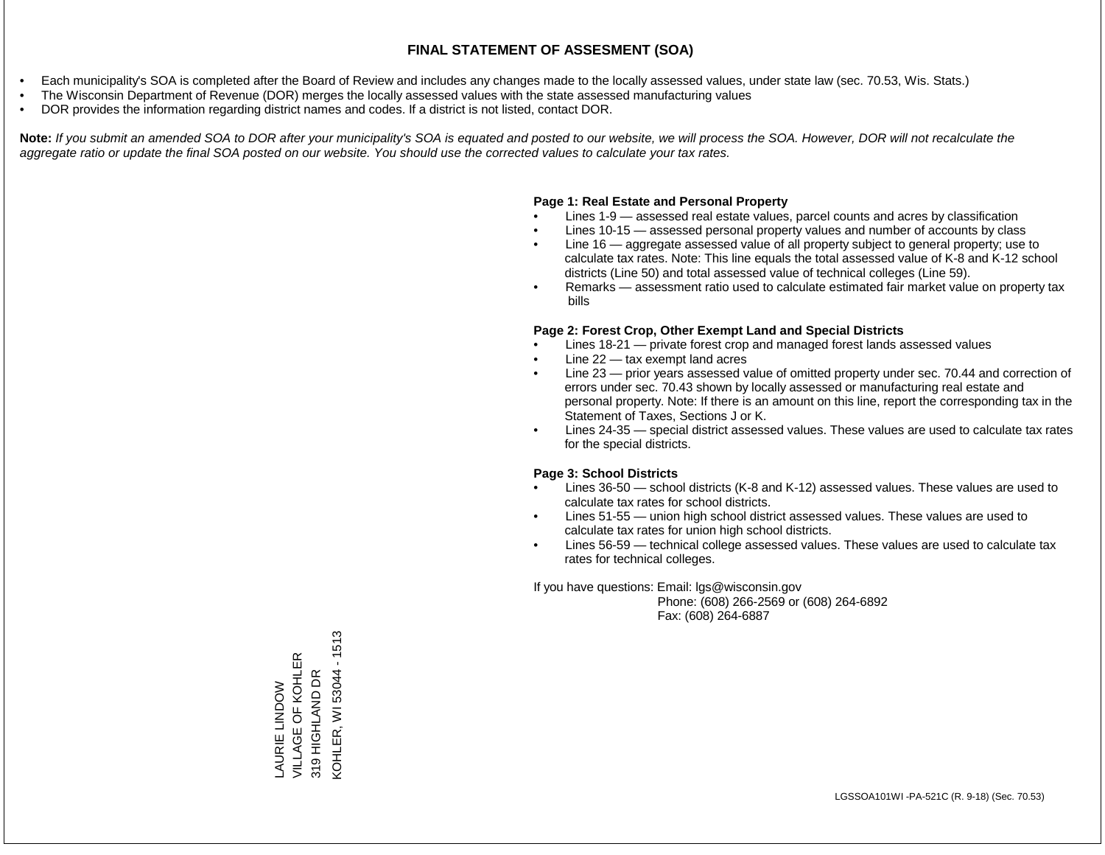- Each municipality's SOA is completed after the Board of Review and includes any changes made to the locally assessed values, under state law (sec. 70.53, Wis. Stats.)
- The Wisconsin Department of Revenue (DOR) merges the locally assessed values with the state assessed manufacturing values
- DOR provides the information regarding district names and codes. If a district is not listed, contact DOR.

Note: If you submit an amended SOA to DOR after your municipality's SOA is equated and posted to our website, we will process the SOA. However, DOR will not recalculate the *aggregate ratio or update the final SOA posted on our website. You should use the corrected values to calculate your tax rates.*

#### **Page 1: Real Estate and Personal Property**

- Lines 1-9 assessed real estate values, parcel counts and acres by classification
- Lines 10-15 assessed personal property values and number of accounts by class
- Line 16 aggregate assessed value of all property subject to general property; use to calculate tax rates. Note: This line equals the total assessed value of K-8 and K-12 school districts (Line 50) and total assessed value of technical colleges (Line 59).
- Remarks assessment ratio used to calculate estimated fair market value on property tax bills

#### **Page 2: Forest Crop, Other Exempt Land and Special Districts**

- Lines 18-21 private forest crop and managed forest lands assessed values
- Line  $22 -$  tax exempt land acres
- Line 23 prior years assessed value of omitted property under sec. 70.44 and correction of errors under sec. 70.43 shown by locally assessed or manufacturing real estate and personal property. Note: If there is an amount on this line, report the corresponding tax in the Statement of Taxes, Sections J or K.
- Lines 24-35 special district assessed values. These values are used to calculate tax rates for the special districts.

#### **Page 3: School Districts**

- Lines 36-50 school districts (K-8 and K-12) assessed values. These values are used to calculate tax rates for school districts.
- Lines 51-55 union high school district assessed values. These values are used to calculate tax rates for union high school districts.
- Lines 56-59 technical college assessed values. These values are used to calculate tax rates for technical colleges.

If you have questions: Email: lgs@wisconsin.gov

 Phone: (608) 266-2569 or (608) 264-6892 Fax: (608) 264-6887

 $-1513$ KOHLER, WI 53044 - 1513VILLAGE OF KOHLER LAURIE LINDOW 319 HIGHLAND DR **KOHLER, WI 53044** 319 HIGHLAND DR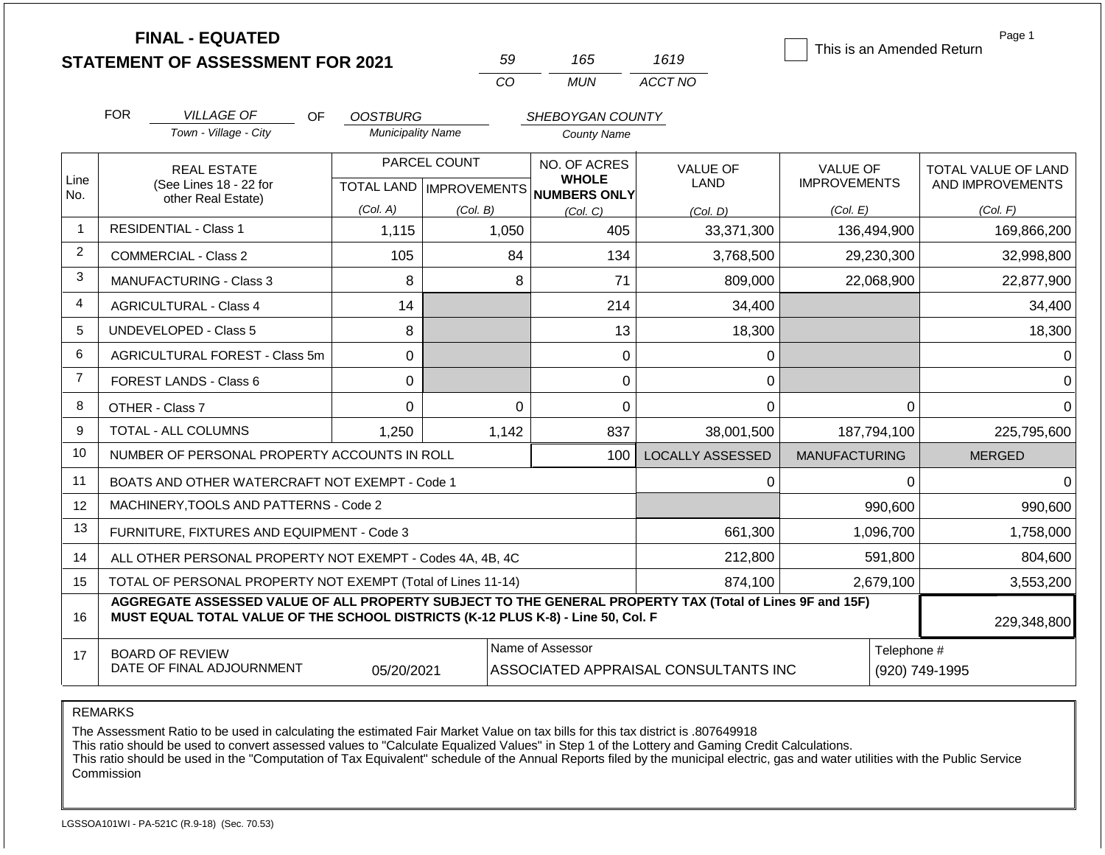|                | <b>FINAL - EQUATED</b><br><b>STATEMENT OF ASSESSMENT FOR 2021</b>                                                                                                                            |                          | 59                                        | 165                                          | 1619                    | This is an Amended Return              | Page 1                                  |
|----------------|----------------------------------------------------------------------------------------------------------------------------------------------------------------------------------------------|--------------------------|-------------------------------------------|----------------------------------------------|-------------------------|----------------------------------------|-----------------------------------------|
|                |                                                                                                                                                                                              |                          | CO                                        | <b>MUN</b>                                   | ACCT NO                 |                                        |                                         |
|                | <b>FOR</b><br><b>VILLAGE OF</b><br><b>OF</b>                                                                                                                                                 | <b>OOSTBURG</b>          |                                           | SHEBOYGAN COUNTY                             |                         |                                        |                                         |
|                | Town - Village - City                                                                                                                                                                        | <b>Municipality Name</b> |                                           | <b>County Name</b>                           |                         |                                        |                                         |
| Line           | <b>REAL ESTATE</b><br>(See Lines 18 - 22 for                                                                                                                                                 |                          | PARCEL COUNT<br>TOTAL LAND   IMPROVEMENTS | NO. OF ACRES<br><b>WHOLE</b><br>NUMBERS ONLY | <b>VALUE OF</b><br>LAND | <b>VALUE OF</b><br><b>IMPROVEMENTS</b> | TOTAL VALUE OF LAND<br>AND IMPROVEMENTS |
| No.            | other Real Estate)                                                                                                                                                                           | (Col. A)                 | (Col. B)                                  | (Col, C)                                     | (Col. D)                | (Col. E)                               | (Col. F)                                |
| $\overline{1}$ | <b>RESIDENTIAL - Class 1</b>                                                                                                                                                                 | 1,115                    | 1,050                                     | 405                                          | 33,371,300              | 136,494,900                            | 169,866,200                             |
| $\overline{2}$ | <b>COMMERCIAL - Class 2</b>                                                                                                                                                                  | 105                      | 84                                        | 134                                          | 3,768,500               | 29,230,300                             | 32,998,800                              |
| 3              | MANUFACTURING - Class 3                                                                                                                                                                      | 8                        | 8                                         | 71                                           | 809,000                 | 22,068,900                             | 22,877,900                              |
| 4              | <b>AGRICULTURAL - Class 4</b>                                                                                                                                                                | 14                       |                                           | 214                                          | 34,400                  |                                        | 34,400                                  |
| 5              | <b>UNDEVELOPED - Class 5</b>                                                                                                                                                                 | 8                        |                                           | 13                                           | 18,300                  |                                        | 18,300                                  |
| 6              | <b>AGRICULTURAL FOREST - Class 5m</b>                                                                                                                                                        | $\mathbf 0$              |                                           | $\mathbf 0$                                  | 0                       |                                        | 0                                       |
| $\overline{7}$ | FOREST LANDS - Class 6                                                                                                                                                                       | $\Omega$                 |                                           | 0                                            | 0                       |                                        | $\Omega$                                |
| 8              | OTHER - Class 7                                                                                                                                                                              | $\Omega$                 | $\Omega$                                  | $\Omega$                                     | $\overline{0}$          |                                        | $\Omega$<br>$\Omega$                    |
| 9              | <b>TOTAL - ALL COLUMNS</b>                                                                                                                                                                   | 1,250                    | 1,142                                     | 837                                          | 38,001,500              | 187,794,100                            | 225,795,600                             |
| 10             | NUMBER OF PERSONAL PROPERTY ACCOUNTS IN ROLL                                                                                                                                                 |                          |                                           | 100                                          | <b>LOCALLY ASSESSED</b> | <b>MANUFACTURING</b>                   | <b>MERGED</b>                           |
| 11             | BOATS AND OTHER WATERCRAFT NOT EXEMPT - Code 1                                                                                                                                               |                          |                                           |                                              | 0                       |                                        | 0<br>0                                  |
| 12             | MACHINERY, TOOLS AND PATTERNS - Code 2                                                                                                                                                       |                          |                                           |                                              |                         | 990,600                                | 990,600                                 |
| 13             | FURNITURE, FIXTURES AND EQUIPMENT - Code 3                                                                                                                                                   |                          |                                           |                                              | 661,300                 | 1,096,700                              | 1,758,000                               |
| 14             | ALL OTHER PERSONAL PROPERTY NOT EXEMPT - Codes 4A, 4B, 4C                                                                                                                                    |                          |                                           |                                              | 212,800                 | 591,800                                | 804,600                                 |
| 15             | TOTAL OF PERSONAL PROPERTY NOT EXEMPT (Total of Lines 11-14)                                                                                                                                 |                          |                                           |                                              | 874,100                 | 2,679,100                              | 3,553,200                               |
| 16             | AGGREGATE ASSESSED VALUE OF ALL PROPERTY SUBJECT TO THE GENERAL PROPERTY TAX (Total of Lines 9F and 15F)<br>MUST EQUAL TOTAL VALUE OF THE SCHOOL DISTRICTS (K-12 PLUS K-8) - Line 50, Col. F |                          |                                           |                                              |                         |                                        | 229,348,800                             |
| 17             | Name of Assessor<br>Telephone #<br><b>BOARD OF REVIEW</b><br>DATE OF FINAL ADJOURNMENT<br>ASSOCIATED APPRAISAL CONSULTANTS INC<br>(920) 749-1995<br>05/20/2021                               |                          |                                           |                                              |                         |                                        |                                         |

The Assessment Ratio to be used in calculating the estimated Fair Market Value on tax bills for this tax district is .807649918

This ratio should be used to convert assessed values to "Calculate Equalized Values" in Step 1 of the Lottery and Gaming Credit Calculations.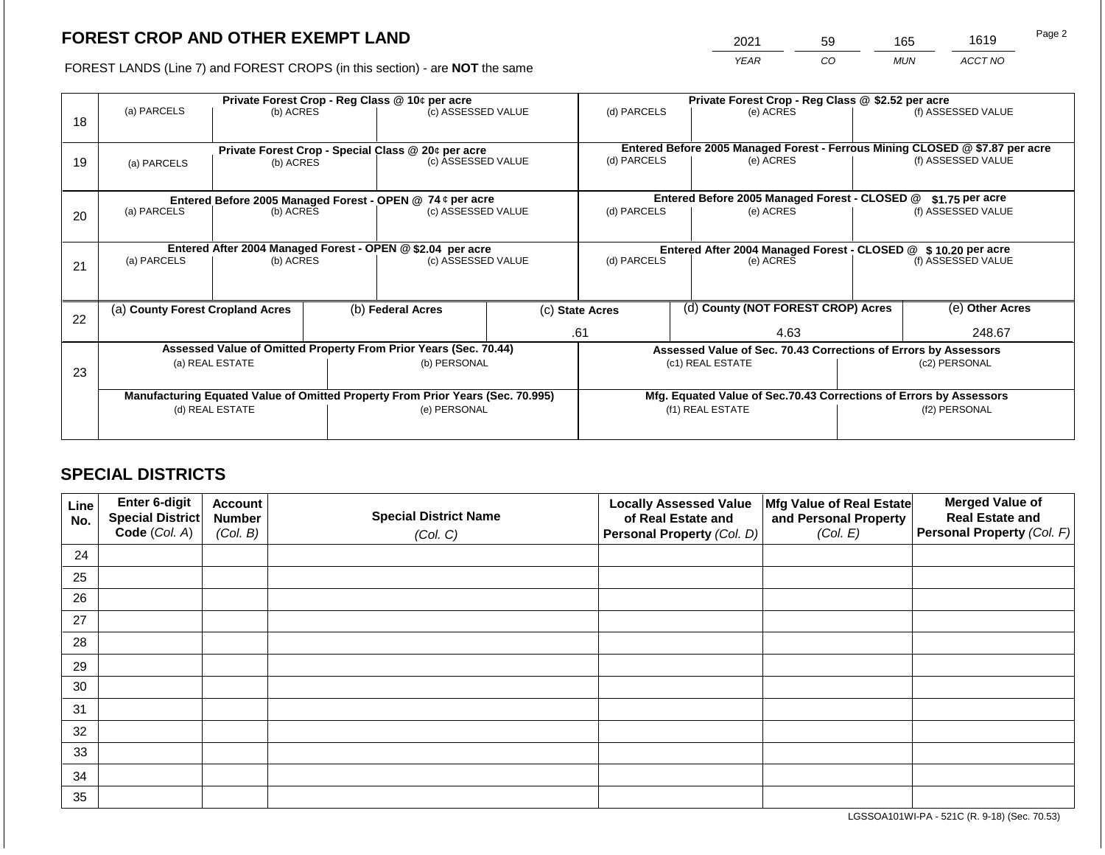2021 59 165 1619

FOREST LANDS (Line 7) and FOREST CROPS (in this section) - are **NOT** the same *YEAR CO MUN ACCT NO*

|    |                                                                                |                                                    |                    | Private Forest Crop - Reg Class @ 10¢ per acre                   |                                               | Private Forest Crop - Reg Class @ \$2.52 per acre     |                 |                                                                                           |                 |                    |
|----|--------------------------------------------------------------------------------|----------------------------------------------------|--------------------|------------------------------------------------------------------|-----------------------------------------------|-------------------------------------------------------|-----------------|-------------------------------------------------------------------------------------------|-----------------|--------------------|
|    | (a) PARCELS                                                                    | (b) ACRES                                          |                    | (c) ASSESSED VALUE                                               |                                               | (d) PARCELS                                           |                 | (e) ACRES                                                                                 |                 | (f) ASSESSED VALUE |
| 18 |                                                                                |                                                    |                    |                                                                  |                                               |                                                       |                 |                                                                                           |                 |                    |
|    |                                                                                |                                                    |                    |                                                                  |                                               |                                                       |                 |                                                                                           |                 |                    |
|    |                                                                                | Private Forest Crop - Special Class @ 20¢ per acre |                    |                                                                  |                                               | (d) PARCELS                                           |                 | Entered Before 2005 Managed Forest - Ferrous Mining CLOSED @ \$7.87 per acre<br>(e) ACRES |                 | (f) ASSESSED VALUE |
| 19 | (a) PARCELS                                                                    | (b) ACRES                                          | (c) ASSESSED VALUE |                                                                  |                                               |                                                       |                 |                                                                                           |                 |                    |
|    |                                                                                |                                                    |                    |                                                                  |                                               |                                                       |                 |                                                                                           |                 |                    |
|    | Entered Before 2005 Managed Forest - OPEN @ 74 ¢ per acre                      |                                                    |                    |                                                                  | Entered Before 2005 Managed Forest - CLOSED @ |                                                       | \$1.75 per acre |                                                                                           |                 |                    |
| 20 | (a) PARCELS                                                                    | (b) ACRES                                          |                    | (c) ASSESSED VALUE                                               |                                               | (d) PARCELS                                           |                 | (e) ACRES                                                                                 |                 | (f) ASSESSED VALUE |
|    |                                                                                |                                                    |                    |                                                                  |                                               |                                                       |                 |                                                                                           |                 |                    |
|    |                                                                                |                                                    |                    |                                                                  |                                               |                                                       |                 |                                                                                           |                 |                    |
|    |                                                                                |                                                    |                    | Entered After 2004 Managed Forest - OPEN @ \$2.04 per acre       |                                               |                                                       |                 | Entered After 2004 Managed Forest - CLOSED @ \$10.20 per acre                             |                 |                    |
| 21 | (a) PARCELS                                                                    | (b) ACRES                                          |                    | (c) ASSESSED VALUE                                               |                                               | (d) PARCELS                                           |                 | (e) ACRES                                                                                 |                 | (f) ASSESSED VALUE |
|    |                                                                                |                                                    |                    |                                                                  |                                               |                                                       |                 |                                                                                           |                 |                    |
|    |                                                                                |                                                    |                    |                                                                  |                                               |                                                       |                 |                                                                                           |                 |                    |
|    | (a) County Forest Cropland Acres                                               |                                                    |                    | (b) Federal Acres                                                |                                               | (d) County (NOT FOREST CROP) Acres<br>(c) State Acres |                 |                                                                                           | (e) Other Acres |                    |
| 22 |                                                                                |                                                    |                    |                                                                  |                                               |                                                       |                 |                                                                                           |                 |                    |
|    |                                                                                |                                                    |                    |                                                                  |                                               | .61                                                   | 4.63            |                                                                                           | 248.67          |                    |
|    |                                                                                |                                                    |                    | Assessed Value of Omitted Property From Prior Years (Sec. 70.44) |                                               |                                                       |                 | Assessed Value of Sec. 70.43 Corrections of Errors by Assessors                           |                 |                    |
|    |                                                                                | (a) REAL ESTATE                                    |                    | (b) PERSONAL                                                     |                                               |                                                       |                 | (c1) REAL ESTATE                                                                          |                 | (c2) PERSONAL      |
| 23 |                                                                                |                                                    |                    |                                                                  |                                               |                                                       |                 |                                                                                           |                 |                    |
|    | Manufacturing Equated Value of Omitted Property From Prior Years (Sec. 70.995) |                                                    |                    |                                                                  |                                               |                                                       |                 | Mfg. Equated Value of Sec.70.43 Corrections of Errors by Assessors                        |                 |                    |
|    |                                                                                | (d) REAL ESTATE                                    |                    | (e) PERSONAL                                                     |                                               |                                                       |                 | (f1) REAL ESTATE                                                                          | (f2) PERSONAL   |                    |
|    |                                                                                |                                                    |                    |                                                                  |                                               |                                                       |                 |                                                                                           |                 |                    |
|    |                                                                                |                                                    |                    |                                                                  |                                               |                                                       |                 |                                                                                           |                 |                    |

# **SPECIAL DISTRICTS**

| Line<br>No. | Enter 6-digit<br>Special District | <b>Account</b><br><b>Number</b> | <b>Special District Name</b> | <b>Locally Assessed Value</b><br>of Real Estate and | Mfg Value of Real Estate<br>and Personal Property | <b>Merged Value of</b><br><b>Real Estate and</b> |
|-------------|-----------------------------------|---------------------------------|------------------------------|-----------------------------------------------------|---------------------------------------------------|--------------------------------------------------|
|             | Code (Col. A)                     | (Col. B)                        | (Col. C)                     | Personal Property (Col. D)                          | (Col. E)                                          | Personal Property (Col. F)                       |
| 24          |                                   |                                 |                              |                                                     |                                                   |                                                  |
| 25          |                                   |                                 |                              |                                                     |                                                   |                                                  |
| 26          |                                   |                                 |                              |                                                     |                                                   |                                                  |
| 27          |                                   |                                 |                              |                                                     |                                                   |                                                  |
| 28          |                                   |                                 |                              |                                                     |                                                   |                                                  |
| 29          |                                   |                                 |                              |                                                     |                                                   |                                                  |
| 30          |                                   |                                 |                              |                                                     |                                                   |                                                  |
| 31          |                                   |                                 |                              |                                                     |                                                   |                                                  |
| 32          |                                   |                                 |                              |                                                     |                                                   |                                                  |
| 33          |                                   |                                 |                              |                                                     |                                                   |                                                  |
| 34          |                                   |                                 |                              |                                                     |                                                   |                                                  |
| 35          |                                   |                                 |                              |                                                     |                                                   |                                                  |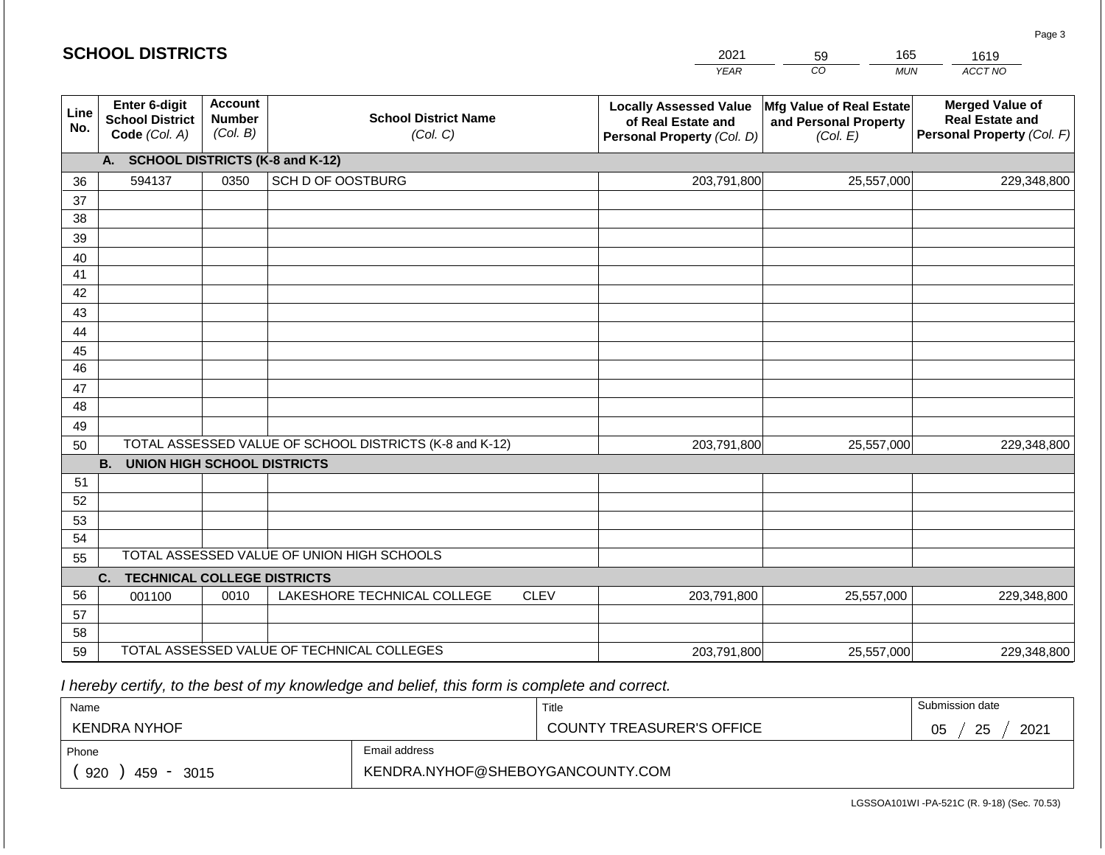|             | <b>SCHOOL DISTRICTS</b>                                  |                                             |                                                         |             | 2021                                                                              | 165<br>59                                                     | 1619                                                                           |  |  |
|-------------|----------------------------------------------------------|---------------------------------------------|---------------------------------------------------------|-------------|-----------------------------------------------------------------------------------|---------------------------------------------------------------|--------------------------------------------------------------------------------|--|--|
|             |                                                          |                                             |                                                         |             | <b>YEAR</b>                                                                       | CO<br><b>MUN</b>                                              | ACCT NO                                                                        |  |  |
| Line<br>No. | Enter 6-digit<br><b>School District</b><br>Code (Col. A) | <b>Account</b><br><b>Number</b><br>(Col. B) | <b>School District Name</b><br>(Col. C)                 |             | <b>Locally Assessed Value</b><br>of Real Estate and<br>Personal Property (Col. D) | Mfg Value of Real Estate<br>and Personal Property<br>(Col. E) | <b>Merged Value of</b><br><b>Real Estate and</b><br>Personal Property (Col. F) |  |  |
|             | <b>SCHOOL DISTRICTS (K-8 and K-12)</b><br>A.             |                                             |                                                         |             |                                                                                   |                                                               |                                                                                |  |  |
| 36          | 594137                                                   | 0350                                        | SCH D OF OOSTBURG                                       |             | 203,791,800                                                                       | 25,557,000                                                    | 229,348,800                                                                    |  |  |
| 37          |                                                          |                                             |                                                         |             |                                                                                   |                                                               |                                                                                |  |  |
| 38          |                                                          |                                             |                                                         |             |                                                                                   |                                                               |                                                                                |  |  |
| 39          |                                                          |                                             |                                                         |             |                                                                                   |                                                               |                                                                                |  |  |
| 40          |                                                          |                                             |                                                         |             |                                                                                   |                                                               |                                                                                |  |  |
| 41          |                                                          |                                             |                                                         |             |                                                                                   |                                                               |                                                                                |  |  |
| 42          |                                                          |                                             |                                                         |             |                                                                                   |                                                               |                                                                                |  |  |
| 43          |                                                          |                                             |                                                         |             |                                                                                   |                                                               |                                                                                |  |  |
| 44<br>45    |                                                          |                                             |                                                         |             |                                                                                   |                                                               |                                                                                |  |  |
| 46          |                                                          |                                             |                                                         |             |                                                                                   |                                                               |                                                                                |  |  |
| 47          |                                                          |                                             |                                                         |             |                                                                                   |                                                               |                                                                                |  |  |
| 48          |                                                          |                                             |                                                         |             |                                                                                   |                                                               |                                                                                |  |  |
| 49          |                                                          |                                             |                                                         |             |                                                                                   |                                                               |                                                                                |  |  |
| 50          |                                                          |                                             | TOTAL ASSESSED VALUE OF SCHOOL DISTRICTS (K-8 and K-12) |             | 203,791,800                                                                       | 25,557,000                                                    | 229,348,800                                                                    |  |  |
|             | <b>B.</b><br><b>UNION HIGH SCHOOL DISTRICTS</b>          |                                             |                                                         |             |                                                                                   |                                                               |                                                                                |  |  |
| 51          |                                                          |                                             |                                                         |             |                                                                                   |                                                               |                                                                                |  |  |
| 52          |                                                          |                                             |                                                         |             |                                                                                   |                                                               |                                                                                |  |  |
| 53          |                                                          |                                             |                                                         |             |                                                                                   |                                                               |                                                                                |  |  |
| 54          |                                                          |                                             |                                                         |             |                                                                                   |                                                               |                                                                                |  |  |
|             | TOTAL ASSESSED VALUE OF UNION HIGH SCHOOLS<br>55         |                                             |                                                         |             |                                                                                   |                                                               |                                                                                |  |  |
|             | <b>TECHNICAL COLLEGE DISTRICTS</b><br>C.                 |                                             |                                                         |             |                                                                                   |                                                               |                                                                                |  |  |
| 56          | 001100                                                   | 0010                                        | LAKESHORE TECHNICAL COLLEGE                             | <b>CLEV</b> | 203,791,800                                                                       | 25,557,000                                                    | 229,348,800                                                                    |  |  |
| 57          |                                                          |                                             |                                                         |             |                                                                                   |                                                               |                                                                                |  |  |
| 58<br>59    |                                                          |                                             | TOTAL ASSESSED VALUE OF TECHNICAL COLLEGES              |             |                                                                                   |                                                               |                                                                                |  |  |
|             |                                                          |                                             |                                                         |             | 203,791,800                                                                       | 25,557,000                                                    | 229,348,800                                                                    |  |  |

 *I hereby certify, to the best of my knowledge and belief, this form is complete and correct.*

| Name                                           |                                  | Title                            | Submission date  |  |  |
|------------------------------------------------|----------------------------------|----------------------------------|------------------|--|--|
| <b>KENDRA NYHOF</b>                            |                                  | <b>COUNTY TREASURER'S OFFICE</b> | 2021<br>25<br>∩ҕ |  |  |
| Phone                                          | Email address                    |                                  |                  |  |  |
| 920<br>459<br>3015<br>$\overline{\phantom{a}}$ | KENDRA.NYHOF@SHEBOYGANCOUNTY.COM |                                  |                  |  |  |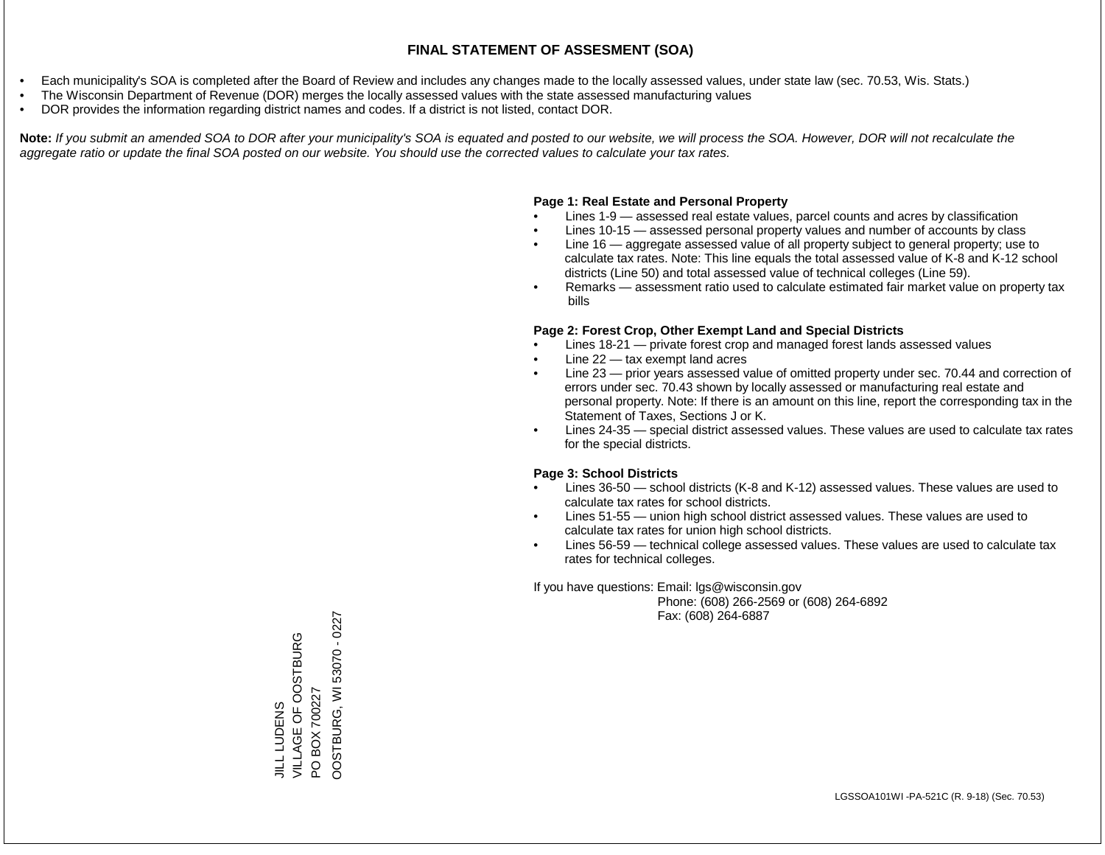- Each municipality's SOA is completed after the Board of Review and includes any changes made to the locally assessed values, under state law (sec. 70.53, Wis. Stats.)
- The Wisconsin Department of Revenue (DOR) merges the locally assessed values with the state assessed manufacturing values
- DOR provides the information regarding district names and codes. If a district is not listed, contact DOR.

Note: If you submit an amended SOA to DOR after your municipality's SOA is equated and posted to our website, we will process the SOA. However, DOR will not recalculate the *aggregate ratio or update the final SOA posted on our website. You should use the corrected values to calculate your tax rates.*

# **Page 1: Real Estate and Personal Property**

- Lines 1-9 assessed real estate values, parcel counts and acres by classification
- Lines 10-15 assessed personal property values and number of accounts by class
- Line 16 aggregate assessed value of all property subject to general property; use to calculate tax rates. Note: This line equals the total assessed value of K-8 and K-12 school districts (Line 50) and total assessed value of technical colleges (Line 59).
- Remarks assessment ratio used to calculate estimated fair market value on property tax bills

# **Page 2: Forest Crop, Other Exempt Land and Special Districts**

- Lines 18-21 private forest crop and managed forest lands assessed values
- Line  $22 -$  tax exempt land acres
- Line 23 prior years assessed value of omitted property under sec. 70.44 and correction of errors under sec. 70.43 shown by locally assessed or manufacturing real estate and personal property. Note: If there is an amount on this line, report the corresponding tax in the Statement of Taxes, Sections J or K.
- Lines 24-35 special district assessed values. These values are used to calculate tax rates for the special districts.

# **Page 3: School Districts**

- Lines 36-50 school districts (K-8 and K-12) assessed values. These values are used to calculate tax rates for school districts.
- Lines 51-55 union high school district assessed values. These values are used to calculate tax rates for union high school districts.
- Lines 56-59 technical college assessed values. These values are used to calculate tax rates for technical colleges.

If you have questions: Email: lgs@wisconsin.gov

 Phone: (608) 266-2569 or (608) 264-6892 Fax: (608) 264-6887

OOSTBURG, WI53070 - 0227 OOSTBURG, WI 53070 - 0227VILLAGE OF OOSTBURG JILL LUDENS<br>VILLAGE OF OOSTBURG PO BOX 700227 PO BOX 700227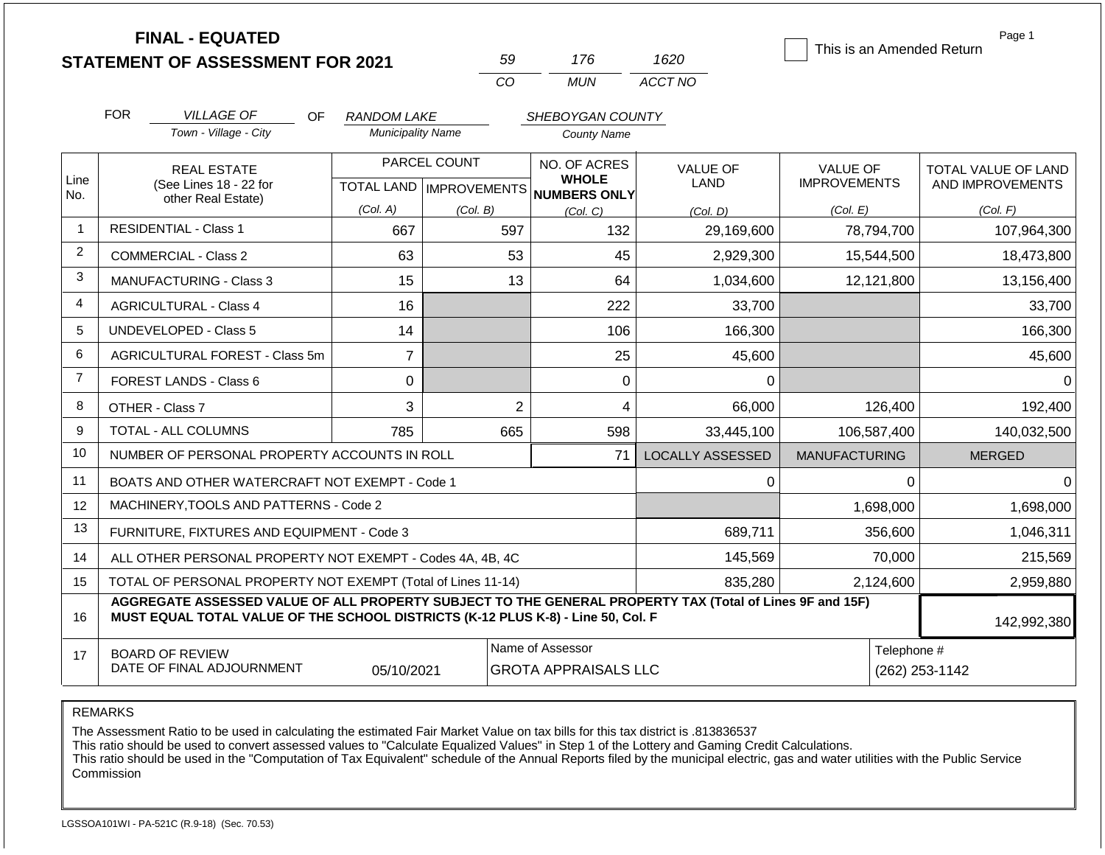|                | <b>FINAL - EQUATED</b><br><b>STATEMENT OF ASSESSMENT FOR 2021</b>                                                                                                                            |                          | 59                                               | 176                                          | 1620                    | This is an Amended Return              | Page 1                                  |
|----------------|----------------------------------------------------------------------------------------------------------------------------------------------------------------------------------------------|--------------------------|--------------------------------------------------|----------------------------------------------|-------------------------|----------------------------------------|-----------------------------------------|
|                |                                                                                                                                                                                              |                          | CO                                               | <b>MUN</b>                                   | ACCT NO                 |                                        |                                         |
|                | <b>FOR</b><br><b>VILLAGE OF</b><br>OF.                                                                                                                                                       | <b>RANDOM LAKE</b>       |                                                  | SHEBOYGAN COUNTY                             |                         |                                        |                                         |
|                | Town - Village - City                                                                                                                                                                        | <b>Municipality Name</b> |                                                  | <b>County Name</b>                           |                         |                                        |                                         |
| Line<br>No.    | <b>REAL ESTATE</b><br>(See Lines 18 - 22 for<br>other Real Estate)                                                                                                                           |                          | PARCEL COUNT<br><b>TOTAL LAND   IMPROVEMENTS</b> | NO. OF ACRES<br><b>WHOLE</b><br>NUMBERS ONLY | <b>VALUE OF</b><br>LAND | <b>VALUE OF</b><br><b>IMPROVEMENTS</b> | TOTAL VALUE OF LAND<br>AND IMPROVEMENTS |
|                |                                                                                                                                                                                              | (Col. A)                 | (Col. B)                                         | (Col. C)                                     | (Col, D)                | (Col. E)                               | (Col. F)                                |
| $\mathbf{1}$   | <b>RESIDENTIAL - Class 1</b>                                                                                                                                                                 | 667                      | 597                                              | 132                                          | 29,169,600              | 78,794,700                             | 107,964,300                             |
| $\overline{2}$ | <b>COMMERCIAL - Class 2</b>                                                                                                                                                                  | 63                       | 53                                               | 45                                           | 2,929,300               | 15,544,500                             | 18,473,800                              |
| 3              | <b>MANUFACTURING - Class 3</b>                                                                                                                                                               | 15                       | 13                                               | 64                                           | 1,034,600               | 12,121,800                             | 13,156,400                              |
| 4              | <b>AGRICULTURAL - Class 4</b>                                                                                                                                                                | 16                       |                                                  | 222                                          | 33,700                  |                                        | 33,700                                  |
| 5              | <b>UNDEVELOPED - Class 5</b>                                                                                                                                                                 | 14                       |                                                  | 106                                          | 166,300                 |                                        | 166,300                                 |
| 6              | AGRICULTURAL FOREST - Class 5m                                                                                                                                                               | $\overline{7}$           |                                                  | 25                                           | 45,600                  |                                        | 45,600                                  |
| $\overline{7}$ | FOREST LANDS - Class 6                                                                                                                                                                       | 0                        |                                                  | 0                                            | $\Omega$                |                                        | $\Omega$                                |
| 8              | OTHER - Class 7                                                                                                                                                                              | 3                        | $\overline{2}$                                   | 4                                            | 66,000                  | 126,400                                | 192,400                                 |
| 9              | <b>TOTAL - ALL COLUMNS</b>                                                                                                                                                                   | 785                      | 665                                              | 598                                          | 33,445,100              | 106,587,400                            | 140,032,500                             |
| 10             | NUMBER OF PERSONAL PROPERTY ACCOUNTS IN ROLL                                                                                                                                                 |                          |                                                  | 71                                           | <b>LOCALLY ASSESSED</b> | <b>MANUFACTURING</b>                   | <b>MERGED</b>                           |
| 11             | BOATS AND OTHER WATERCRAFT NOT EXEMPT - Code 1                                                                                                                                               |                          |                                                  |                                              | 0                       | $\Omega$                               | $\Omega$                                |
| 12             | MACHINERY, TOOLS AND PATTERNS - Code 2                                                                                                                                                       |                          |                                                  |                                              |                         | 1,698,000                              | 1,698,000                               |
| 13             | FURNITURE, FIXTURES AND EQUIPMENT - Code 3                                                                                                                                                   |                          |                                                  |                                              | 689,711                 | 356,600                                | 1,046,311                               |
| 14             | ALL OTHER PERSONAL PROPERTY NOT EXEMPT - Codes 4A, 4B, 4C                                                                                                                                    |                          |                                                  |                                              | 145,569                 | 70,000                                 | 215,569                                 |
| 15             | TOTAL OF PERSONAL PROPERTY NOT EXEMPT (Total of Lines 11-14)                                                                                                                                 |                          |                                                  |                                              | 835,280                 | 2,124,600                              | 2,959,880                               |
| 16             | AGGREGATE ASSESSED VALUE OF ALL PROPERTY SUBJECT TO THE GENERAL PROPERTY TAX (Total of Lines 9F and 15F)<br>MUST EQUAL TOTAL VALUE OF THE SCHOOL DISTRICTS (K-12 PLUS K-8) - Line 50, Col. F |                          |                                                  |                                              |                         |                                        | 142,992,380                             |
| 17             | <b>BOARD OF REVIEW</b>                                                                                                                                                                       |                          |                                                  | Name of Assessor                             |                         | Telephone #                            |                                         |
|                | DATE OF FINAL ADJOURNMENT                                                                                                                                                                    | 05/10/2021               |                                                  | <b>GROTA APPRAISALS LLC</b>                  |                         | (262) 253-1142                         |                                         |

The Assessment Ratio to be used in calculating the estimated Fair Market Value on tax bills for this tax district is .813836537

This ratio should be used to convert assessed values to "Calculate Equalized Values" in Step 1 of the Lottery and Gaming Credit Calculations.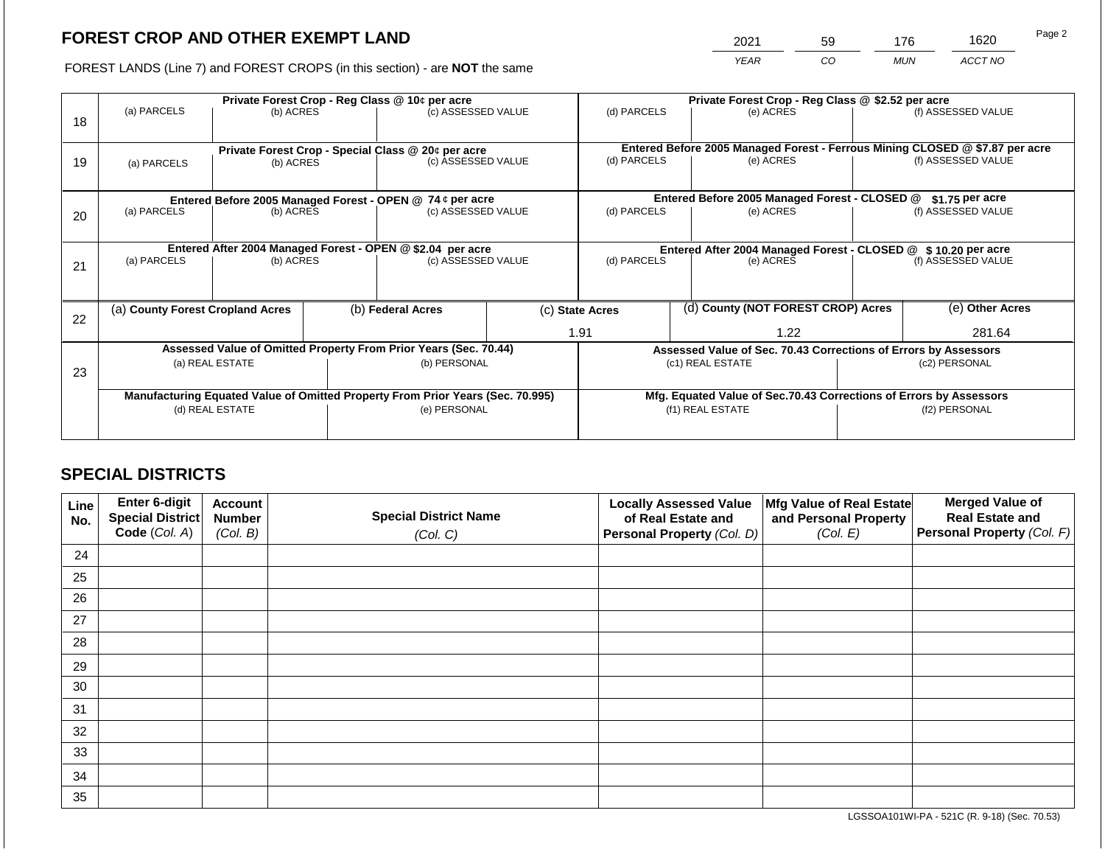2021 59 176 1620

FOREST LANDS (Line 7) and FOREST CROPS (in this section) - are **NOT** the same *YEAR CO MUN ACCT NO*

|    | Private Forest Crop - Reg Class @ 10¢ per acre |                 |  |                                                                                |  | Private Forest Crop - Reg Class @ \$2.52 per acre     |                                                               |                                                                              |  |                    |
|----|------------------------------------------------|-----------------|--|--------------------------------------------------------------------------------|--|-------------------------------------------------------|---------------------------------------------------------------|------------------------------------------------------------------------------|--|--------------------|
|    | (a) PARCELS                                    | (b) ACRES       |  | (c) ASSESSED VALUE                                                             |  | (d) PARCELS                                           |                                                               | (e) ACRES                                                                    |  | (f) ASSESSED VALUE |
| 18 |                                                |                 |  |                                                                                |  |                                                       |                                                               |                                                                              |  |                    |
|    |                                                |                 |  |                                                                                |  |                                                       |                                                               | Entered Before 2005 Managed Forest - Ferrous Mining CLOSED @ \$7.87 per acre |  |                    |
|    |                                                |                 |  | Private Forest Crop - Special Class @ 20¢ per acre<br>(c) ASSESSED VALUE       |  | (d) PARCELS                                           |                                                               | (e) ACRES                                                                    |  | (f) ASSESSED VALUE |
| 19 | (a) PARCELS                                    | (b) ACRES       |  |                                                                                |  |                                                       |                                                               |                                                                              |  |                    |
|    |                                                |                 |  |                                                                                |  |                                                       |                                                               |                                                                              |  |                    |
|    |                                                |                 |  | Entered Before 2005 Managed Forest - OPEN @ 74 ¢ per acre                      |  |                                                       |                                                               | Entered Before 2005 Managed Forest - CLOSED @                                |  | $$1.75$ per acre   |
| 20 | (a) PARCELS                                    | (b) ACRES       |  | (c) ASSESSED VALUE                                                             |  | (d) PARCELS                                           |                                                               | (e) ACRES                                                                    |  | (f) ASSESSED VALUE |
|    |                                                |                 |  |                                                                                |  |                                                       |                                                               |                                                                              |  |                    |
|    |                                                |                 |  |                                                                                |  |                                                       |                                                               |                                                                              |  |                    |
|    | (a) PARCELS                                    |                 |  | Entered After 2004 Managed Forest - OPEN @ \$2.04 per acre                     |  | (d) PARCELS                                           | Entered After 2004 Managed Forest - CLOSED @ \$10.20 per acre |                                                                              |  |                    |
| 21 |                                                | (b) ACRES       |  | (c) ASSESSED VALUE                                                             |  |                                                       |                                                               | (e) ACRES                                                                    |  | (f) ASSESSED VALUE |
|    |                                                |                 |  |                                                                                |  |                                                       |                                                               |                                                                              |  |                    |
|    |                                                |                 |  |                                                                                |  |                                                       |                                                               |                                                                              |  |                    |
|    | (a) County Forest Cropland Acres               |                 |  | (b) Federal Acres                                                              |  | (d) County (NOT FOREST CROP) Acres<br>(c) State Acres |                                                               |                                                                              |  | (e) Other Acres    |
| 22 |                                                |                 |  |                                                                                |  |                                                       |                                                               |                                                                              |  |                    |
|    |                                                |                 |  |                                                                                |  | 1.91                                                  |                                                               | 1.22                                                                         |  | 281.64             |
|    |                                                |                 |  | Assessed Value of Omitted Property From Prior Years (Sec. 70.44)               |  |                                                       |                                                               | Assessed Value of Sec. 70.43 Corrections of Errors by Assessors              |  |                    |
| 23 |                                                | (a) REAL ESTATE |  | (b) PERSONAL                                                                   |  |                                                       |                                                               | (c1) REAL ESTATE                                                             |  | (c2) PERSONAL      |
|    |                                                |                 |  |                                                                                |  |                                                       |                                                               |                                                                              |  |                    |
|    |                                                |                 |  | Manufacturing Equated Value of Omitted Property From Prior Years (Sec. 70.995) |  |                                                       |                                                               | Mfg. Equated Value of Sec.70.43 Corrections of Errors by Assessors           |  |                    |
|    |                                                | (d) REAL ESTATE |  | (e) PERSONAL                                                                   |  |                                                       |                                                               | (f1) REAL ESTATE                                                             |  | (f2) PERSONAL      |
|    |                                                |                 |  |                                                                                |  |                                                       |                                                               |                                                                              |  |                    |
|    |                                                |                 |  |                                                                                |  |                                                       |                                                               |                                                                              |  |                    |

# **SPECIAL DISTRICTS**

| Line<br>No. | Enter 6-digit<br>Special District<br>Code (Col. A) | <b>Account</b><br><b>Number</b><br>(Col. B) | <b>Special District Name</b><br>(Col. C) | <b>Locally Assessed Value</b><br>of Real Estate and<br><b>Personal Property (Col. D)</b> | Mfg Value of Real Estate<br>and Personal Property<br>(Col. E) | <b>Merged Value of</b><br><b>Real Estate and</b><br>Personal Property (Col. F) |
|-------------|----------------------------------------------------|---------------------------------------------|------------------------------------------|------------------------------------------------------------------------------------------|---------------------------------------------------------------|--------------------------------------------------------------------------------|
| 24          |                                                    |                                             |                                          |                                                                                          |                                                               |                                                                                |
| 25          |                                                    |                                             |                                          |                                                                                          |                                                               |                                                                                |
| 26          |                                                    |                                             |                                          |                                                                                          |                                                               |                                                                                |
| 27          |                                                    |                                             |                                          |                                                                                          |                                                               |                                                                                |
| 28          |                                                    |                                             |                                          |                                                                                          |                                                               |                                                                                |
| 29          |                                                    |                                             |                                          |                                                                                          |                                                               |                                                                                |
| 30          |                                                    |                                             |                                          |                                                                                          |                                                               |                                                                                |
| 31          |                                                    |                                             |                                          |                                                                                          |                                                               |                                                                                |
| 32          |                                                    |                                             |                                          |                                                                                          |                                                               |                                                                                |
| 33          |                                                    |                                             |                                          |                                                                                          |                                                               |                                                                                |
| 34          |                                                    |                                             |                                          |                                                                                          |                                                               |                                                                                |
| 35          |                                                    |                                             |                                          |                                                                                          |                                                               |                                                                                |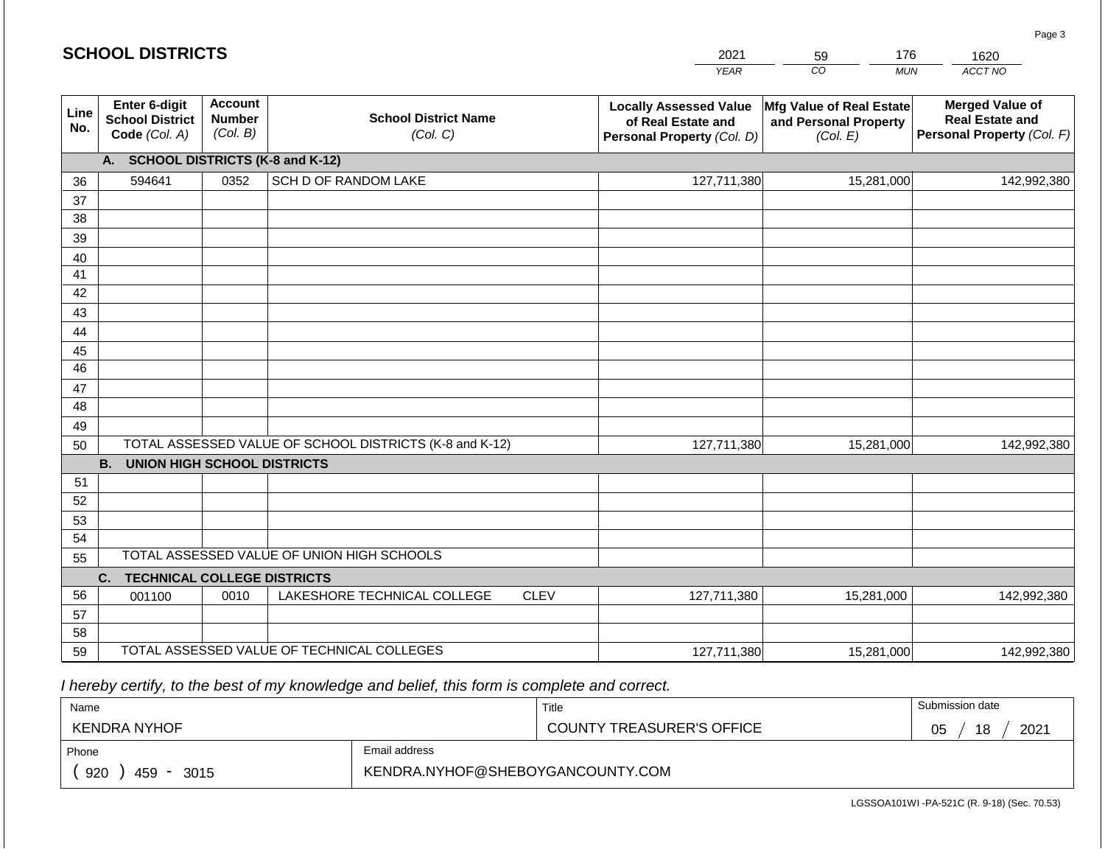#### *YEAR*  2021 *CO MUN ACCT NO*  1620 **Line No. Enter 6-digit School District Code** *(Col. A)* **Account Number** *(Col. B)* **School District Name** *(Col. C)* **Locally Assessed Value of Real Estate and Personal Property** *(Col. D)* **Mfg Value of Real Estate and Personal Property** *(Col. E)* **Merged Value of Real Estate and Personal Property** *(Col. F)* **A. SCHOOL DISTRICTS (K-8 and K-12)** 36 37 38 39 40 41 42 43 44 45 46 47 48 49 50 TOTAL ASSESSED VALUE OF SCHOOL DISTRICTS (K-8 and K-12) **B. UNION HIGH SCHOOL DISTRICTS** 51 52 53 54 55 **C. TECHNICAL COLLEGE DISTRICTS** 56 57 58 59 TOTAL ASSESSED VALUE OF TECHNICAL COLLEGES TOTAL ASSESSED VALUE OF UNION HIGH SCHOOLS 594641 0352 SCH D OF RANDOM LAKE 127,711,380 127,711,380 001100 | 0010 | LAKESHORE TECHNICAL COLLEGE CLEV 127,711,380 15,281,000 142,992,380 15,281,000 142,992,380 15,281,000 142,992,380 127,711,380 15,281,000 142,992,380

 *I hereby certify, to the best of my knowledge and belief, this form is complete and correct.*

| Name                 |                                  | Title                            | Submission date  |  |  |
|----------------------|----------------------------------|----------------------------------|------------------|--|--|
| KENDRA NYHOF         |                                  | <b>COUNTY TREASURER'S OFFICE</b> | 2021<br>18<br>05 |  |  |
| Phone                | Email address                    |                                  |                  |  |  |
| 920<br>459 -<br>3015 | KENDRA.NYHOF@SHEBOYGANCOUNTY.COM |                                  |                  |  |  |

Page 3

|  | <b>SCHOOL DISTRICTS</b> |
|--|-------------------------|
|--|-------------------------|

| 59 |  |
|----|--|
| rη |  |

176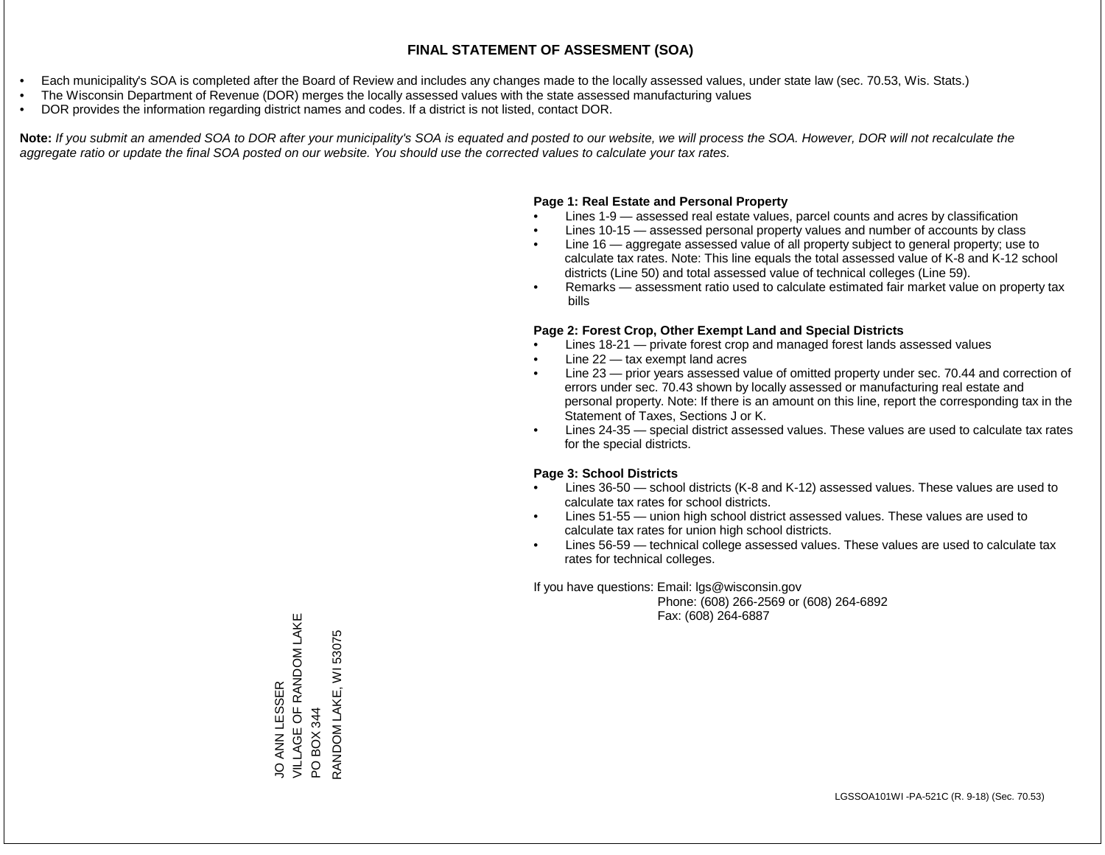- Each municipality's SOA is completed after the Board of Review and includes any changes made to the locally assessed values, under state law (sec. 70.53, Wis. Stats.)
- The Wisconsin Department of Revenue (DOR) merges the locally assessed values with the state assessed manufacturing values
- DOR provides the information regarding district names and codes. If a district is not listed, contact DOR.

Note: If you submit an amended SOA to DOR after your municipality's SOA is equated and posted to our website, we will process the SOA. However, DOR will not recalculate the *aggregate ratio or update the final SOA posted on our website. You should use the corrected values to calculate your tax rates.*

#### **Page 1: Real Estate and Personal Property**

- Lines 1-9 assessed real estate values, parcel counts and acres by classification
- Lines 10-15 assessed personal property values and number of accounts by class
- Line 16 aggregate assessed value of all property subject to general property; use to calculate tax rates. Note: This line equals the total assessed value of K-8 and K-12 school districts (Line 50) and total assessed value of technical colleges (Line 59).
- Remarks assessment ratio used to calculate estimated fair market value on property tax bills

#### **Page 2: Forest Crop, Other Exempt Land and Special Districts**

- Lines 18-21 private forest crop and managed forest lands assessed values
- Line  $22 -$  tax exempt land acres
- Line 23 prior years assessed value of omitted property under sec. 70.44 and correction of errors under sec. 70.43 shown by locally assessed or manufacturing real estate and personal property. Note: If there is an amount on this line, report the corresponding tax in the Statement of Taxes, Sections J or K.
- Lines 24-35 special district assessed values. These values are used to calculate tax rates for the special districts.

#### **Page 3: School Districts**

- Lines 36-50 school districts (K-8 and K-12) assessed values. These values are used to calculate tax rates for school districts.
- Lines 51-55 union high school district assessed values. These values are used to calculate tax rates for union high school districts.
- Lines 56-59 technical college assessed values. These values are used to calculate tax rates for technical colleges.

If you have questions: Email: lgs@wisconsin.gov

 Phone: (608) 266-2569 or (608) 264-6892 Fax: (608) 264-6887

VILLAGE OF RANDOM LAKE JO ANN LESSER<br>VILLAGE OF RANDOM LAKE PO BOX 344<br>RANDOM LAKE, WI 53075 RANDOM LAKE, WI 53075JO ANN LESSER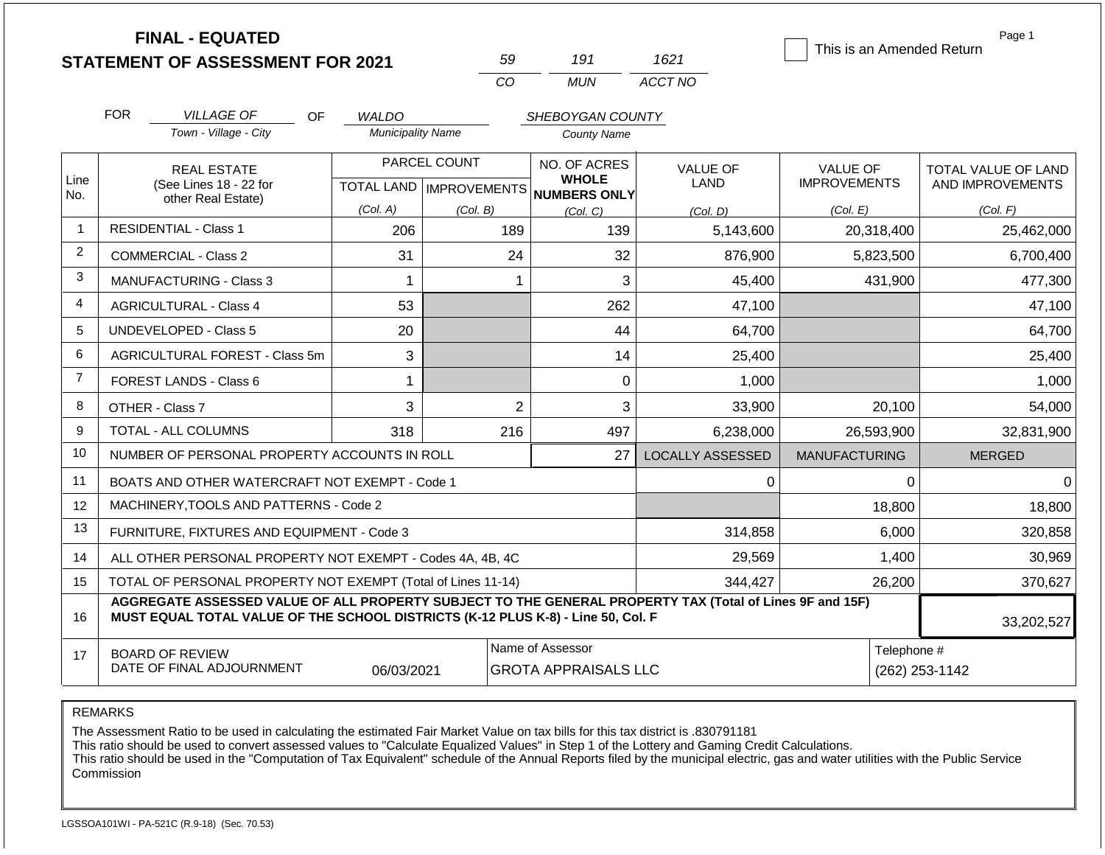| <b>STATEMENT OF ASSESSMENT FOR 2021</b> |  |
|-----------------------------------------|--|
|                                         |  |

**FINAL - EQUATED**

| 50         | 197   | 1621    |
|------------|-------|---------|
| $\sqrt{ }$ | MI IN | ACCT NO |

This is an Amended Return

Page 1

|                | <b>FOR</b>                                                              | <b>VILLAGE OF</b><br>OF.                                                                                                                                                                     | <b>WALDO</b>             |                | SHEBOYGAN COUNTY                                         |                         |                      |                     |
|----------------|-------------------------------------------------------------------------|----------------------------------------------------------------------------------------------------------------------------------------------------------------------------------------------|--------------------------|----------------|----------------------------------------------------------|-------------------------|----------------------|---------------------|
|                |                                                                         | Town - Village - City                                                                                                                                                                        | <b>Municipality Name</b> |                | <b>County Name</b>                                       |                         |                      |                     |
|                |                                                                         | <b>REAL ESTATE</b>                                                                                                                                                                           |                          | PARCEL COUNT   | NO. OF ACRES                                             | <b>VALUE OF</b>         | <b>VALUE OF</b>      | TOTAL VALUE OF LAND |
| Line<br>No.    |                                                                         | (See Lines 18 - 22 for<br>other Real Estate)                                                                                                                                                 |                          |                | <b>WHOLE</b><br>TOTAL LAND   IMPROVEMENTS   NUMBERS ONLY | LAND                    | <b>IMPROVEMENTS</b>  | AND IMPROVEMENTS    |
|                |                                                                         |                                                                                                                                                                                              | (Col. A)                 | (Col. B)       | (Col. C)                                                 | (Col. D)                | (Col. E)             | (Col. F)            |
| $\mathbf{1}$   |                                                                         | <b>RESIDENTIAL - Class 1</b>                                                                                                                                                                 | 206                      | 189            | 139                                                      | 5,143,600               | 20,318,400           | 25,462,000          |
| $\overline{2}$ |                                                                         | <b>COMMERCIAL - Class 2</b>                                                                                                                                                                  | 31                       | 24             | 32                                                       | 876,900                 | 5,823,500            | 6,700,400           |
| 3              |                                                                         | <b>MANUFACTURING - Class 3</b>                                                                                                                                                               | 1                        | 1              | 3                                                        | 45,400                  | 431,900              | 477,300             |
| 4              |                                                                         | <b>AGRICULTURAL - Class 4</b>                                                                                                                                                                | 53                       |                | 262                                                      | 47,100                  |                      | 47,100              |
| 5              |                                                                         | UNDEVELOPED - Class 5                                                                                                                                                                        | 20                       |                | 44                                                       | 64,700                  |                      | 64,700              |
| 6              |                                                                         | AGRICULTURAL FOREST - Class 5m                                                                                                                                                               | 3                        |                | 14                                                       | 25,400                  |                      | 25,400              |
| $\overline{7}$ |                                                                         | FOREST LANDS - Class 6                                                                                                                                                                       | $\mathbf{1}$             |                | $\mathbf{0}$                                             | 1,000                   |                      | 1,000               |
| 8              |                                                                         | OTHER - Class 7                                                                                                                                                                              | 3                        | $\overline{2}$ | 3                                                        | 33,900                  | 20,100               | 54,000              |
| 9              |                                                                         | <b>TOTAL - ALL COLUMNS</b>                                                                                                                                                                   | 318                      | 216            | 497                                                      | 6,238,000               | 26,593,900           | 32,831,900          |
| 10             |                                                                         | NUMBER OF PERSONAL PROPERTY ACCOUNTS IN ROLL                                                                                                                                                 |                          |                | 27                                                       | <b>LOCALLY ASSESSED</b> | <b>MANUFACTURING</b> | <b>MERGED</b>       |
| 11             |                                                                         | BOATS AND OTHER WATERCRAFT NOT EXEMPT - Code 1                                                                                                                                               |                          |                |                                                          | 0                       | 0                    | $\Omega$            |
| 12             |                                                                         | MACHINERY, TOOLS AND PATTERNS - Code 2                                                                                                                                                       |                          |                |                                                          |                         | 18,800               | 18,800              |
| 13             |                                                                         | FURNITURE, FIXTURES AND EQUIPMENT - Code 3                                                                                                                                                   |                          |                |                                                          | 314,858                 | 6,000                | 320,858             |
| 14             |                                                                         | ALL OTHER PERSONAL PROPERTY NOT EXEMPT - Codes 4A, 4B, 4C                                                                                                                                    |                          |                |                                                          | 29,569                  | 1,400                | 30,969              |
| 15             | TOTAL OF PERSONAL PROPERTY NOT EXEMPT (Total of Lines 11-14)<br>344,427 |                                                                                                                                                                                              |                          |                |                                                          |                         | 26,200               | 370,627             |
| 16             |                                                                         | AGGREGATE ASSESSED VALUE OF ALL PROPERTY SUBJECT TO THE GENERAL PROPERTY TAX (Total of Lines 9F and 15F)<br>MUST EQUAL TOTAL VALUE OF THE SCHOOL DISTRICTS (K-12 PLUS K-8) - Line 50, Col. F |                          |                |                                                          |                         |                      | 33,202,527          |
| 17             |                                                                         | <b>BOARD OF REVIEW</b><br>DATE OF FINAL ADJOURNMENT                                                                                                                                          | 06/03/2021               |                | Name of Assessor<br><b>GROTA APPRAISALS LLC</b>          |                         | Telephone #          | (262) 253-1142      |

REMARKS

The Assessment Ratio to be used in calculating the estimated Fair Market Value on tax bills for this tax district is .830791181

This ratio should be used to convert assessed values to "Calculate Equalized Values" in Step 1 of the Lottery and Gaming Credit Calculations.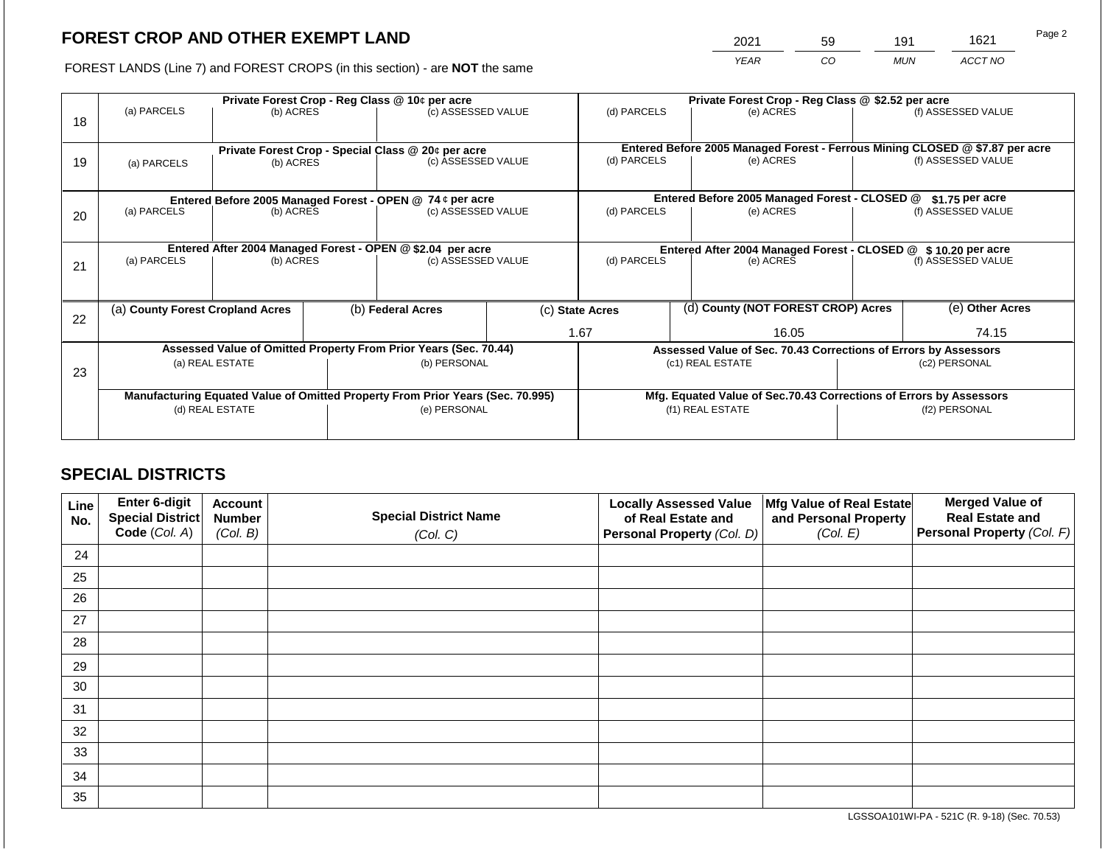2021 59 191 1621

FOREST LANDS (Line 7) and FOREST CROPS (in this section) - are **NOT** the same *YEAR CO MUN ACCT NO*

|    | Private Forest Crop - Reg Class @ 10¢ per acre |                 |  |                                                                                |  | Private Forest Crop - Reg Class @ \$2.52 per acre             |  |                                                                              |                    |                    |
|----|------------------------------------------------|-----------------|--|--------------------------------------------------------------------------------|--|---------------------------------------------------------------|--|------------------------------------------------------------------------------|--------------------|--------------------|
| 18 | (a) PARCELS                                    | (b) ACRES       |  | (c) ASSESSED VALUE                                                             |  | (d) PARCELS                                                   |  | (e) ACRES                                                                    |                    | (f) ASSESSED VALUE |
|    |                                                |                 |  |                                                                                |  |                                                               |  | Entered Before 2005 Managed Forest - Ferrous Mining CLOSED @ \$7.87 per acre |                    |                    |
| 19 | (a) PARCELS                                    | (b) ACRES       |  | Private Forest Crop - Special Class @ 20¢ per acre<br>(c) ASSESSED VALUE       |  | (d) PARCELS                                                   |  | (e) ACRES                                                                    |                    | (f) ASSESSED VALUE |
|    |                                                |                 |  |                                                                                |  |                                                               |  |                                                                              |                    |                    |
|    |                                                |                 |  | Entered Before 2005 Managed Forest - OPEN @ 74 ¢ per acre                      |  |                                                               |  | Entered Before 2005 Managed Forest - CLOSED @                                |                    | $$1.75$ per acre   |
| 20 | (a) PARCELS                                    | (b) ACRES       |  | (c) ASSESSED VALUE                                                             |  | (d) PARCELS                                                   |  | (e) ACRES                                                                    |                    | (f) ASSESSED VALUE |
|    |                                                |                 |  |                                                                                |  |                                                               |  |                                                                              |                    |                    |
|    |                                                |                 |  | Entered After 2004 Managed Forest - OPEN @ \$2.04 per acre                     |  | Entered After 2004 Managed Forest - CLOSED @ \$10.20 per acre |  |                                                                              |                    |                    |
| 21 | (a) PARCELS                                    | (b) ACRES       |  | (c) ASSESSED VALUE                                                             |  | (d) PARCELS<br>(e) ACRES                                      |  |                                                                              | (f) ASSESSED VALUE |                    |
|    |                                                |                 |  |                                                                                |  |                                                               |  |                                                                              |                    |                    |
|    | (a) County Forest Cropland Acres               |                 |  | (b) Federal Acres                                                              |  | (c) State Acres                                               |  | (d) County (NOT FOREST CROP) Acres                                           |                    | (e) Other Acres    |
| 22 |                                                |                 |  |                                                                                |  | 1.67                                                          |  | 16.05                                                                        |                    | 74.15              |
|    |                                                |                 |  | Assessed Value of Omitted Property From Prior Years (Sec. 70.44)               |  |                                                               |  | Assessed Value of Sec. 70.43 Corrections of Errors by Assessors              |                    |                    |
|    |                                                | (a) REAL ESTATE |  | (b) PERSONAL                                                                   |  |                                                               |  | (c1) REAL ESTATE                                                             |                    | (c2) PERSONAL      |
| 23 |                                                |                 |  |                                                                                |  |                                                               |  |                                                                              |                    |                    |
|    |                                                |                 |  | Manufacturing Equated Value of Omitted Property From Prior Years (Sec. 70.995) |  |                                                               |  | Mfg. Equated Value of Sec.70.43 Corrections of Errors by Assessors           |                    |                    |
|    |                                                | (d) REAL ESTATE |  | (e) PERSONAL                                                                   |  |                                                               |  | (f1) REAL ESTATE                                                             |                    | (f2) PERSONAL      |
|    |                                                |                 |  |                                                                                |  |                                                               |  |                                                                              |                    |                    |
|    |                                                |                 |  |                                                                                |  |                                                               |  |                                                                              |                    |                    |

# **SPECIAL DISTRICTS**

| Line<br>No. | Enter 6-digit<br>Special District | <b>Account</b><br><b>Number</b> | <b>Special District Name</b> | <b>Locally Assessed Value</b><br>of Real Estate and | Mfg Value of Real Estate<br>and Personal Property | <b>Merged Value of</b><br><b>Real Estate and</b> |
|-------------|-----------------------------------|---------------------------------|------------------------------|-----------------------------------------------------|---------------------------------------------------|--------------------------------------------------|
|             | Code (Col. A)                     | (Col. B)                        | (Col. C)                     | Personal Property (Col. D)                          | (Col. E)                                          | Personal Property (Col. F)                       |
| 24          |                                   |                                 |                              |                                                     |                                                   |                                                  |
| 25          |                                   |                                 |                              |                                                     |                                                   |                                                  |
| 26          |                                   |                                 |                              |                                                     |                                                   |                                                  |
| 27          |                                   |                                 |                              |                                                     |                                                   |                                                  |
| 28          |                                   |                                 |                              |                                                     |                                                   |                                                  |
| 29          |                                   |                                 |                              |                                                     |                                                   |                                                  |
| 30          |                                   |                                 |                              |                                                     |                                                   |                                                  |
| 31          |                                   |                                 |                              |                                                     |                                                   |                                                  |
| 32          |                                   |                                 |                              |                                                     |                                                   |                                                  |
| 33          |                                   |                                 |                              |                                                     |                                                   |                                                  |
| 34          |                                   |                                 |                              |                                                     |                                                   |                                                  |
| 35          |                                   |                                 |                              |                                                     |                                                   |                                                  |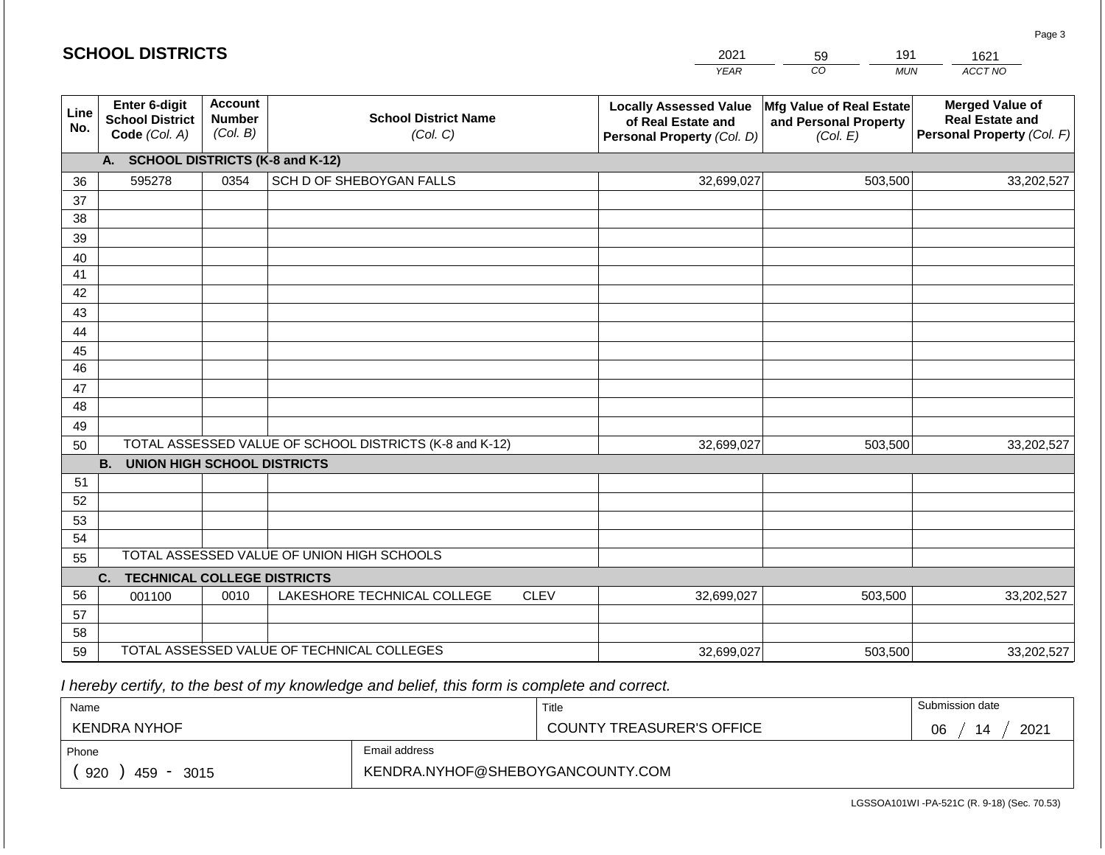#### *YEAR*  2021  $\overline{co}$ *MUN*  191 *ACCT NO*  1621 **Line No. Enter 6-digit School District Code** *(Col. A)* **Account Number** *(Col. B)* **School District Name** *(Col. C)* **Locally Assessed Value of Real Estate and Personal Property** *(Col. D)* **Mfg Value of Real Estate and Personal Property** *(Col. E)* **Merged Value of Real Estate and Personal Property** *(Col. F)* **A. SCHOOL DISTRICTS (K-8 and K-12)** 36 37 38 39 40 41 42 43 44 45 46 47 48 49 50 TOTAL ASSESSED VALUE OF SCHOOL DISTRICTS (K-8 and K-12) **B. UNION HIGH SCHOOL DISTRICTS** 51 52 53 54 55 **C. TECHNICAL COLLEGE DISTRICTS** 56 57 58 59 TOTAL ASSESSED VALUE OF TECHNICAL COLLEGES TOTAL ASSESSED VALUE OF UNION HIGH SCHOOLS 595278 0354 SCH D OF SHEBOYGAN FALLS 32,699,027 32,699,027 001100 | 0010 | LAKESHORE TECHNICAL COLLEGE CLEV 32,699,027 503,500 33,202,527 503,500 33,202,527 503,500 33,202,527 32,699,027 503,500 33,202,527

 *I hereby certify, to the best of my knowledge and belief, this form is complete and correct.*

| Name                                           |                                  | Title                            | Submission date  |  |  |
|------------------------------------------------|----------------------------------|----------------------------------|------------------|--|--|
| KENDRA NYHOF                                   |                                  | <b>COUNTY TREASURER'S OFFICE</b> | 2021<br>06<br>14 |  |  |
| Phone                                          | Email address                    |                                  |                  |  |  |
| 920<br>459<br>3015<br>$\overline{\phantom{0}}$ | KENDRA.NYHOF@SHEBOYGANCOUNTY.COM |                                  |                  |  |  |

Page 3

| <b>SCHOOL DISTRICTS</b> |  |
|-------------------------|--|
|-------------------------|--|

59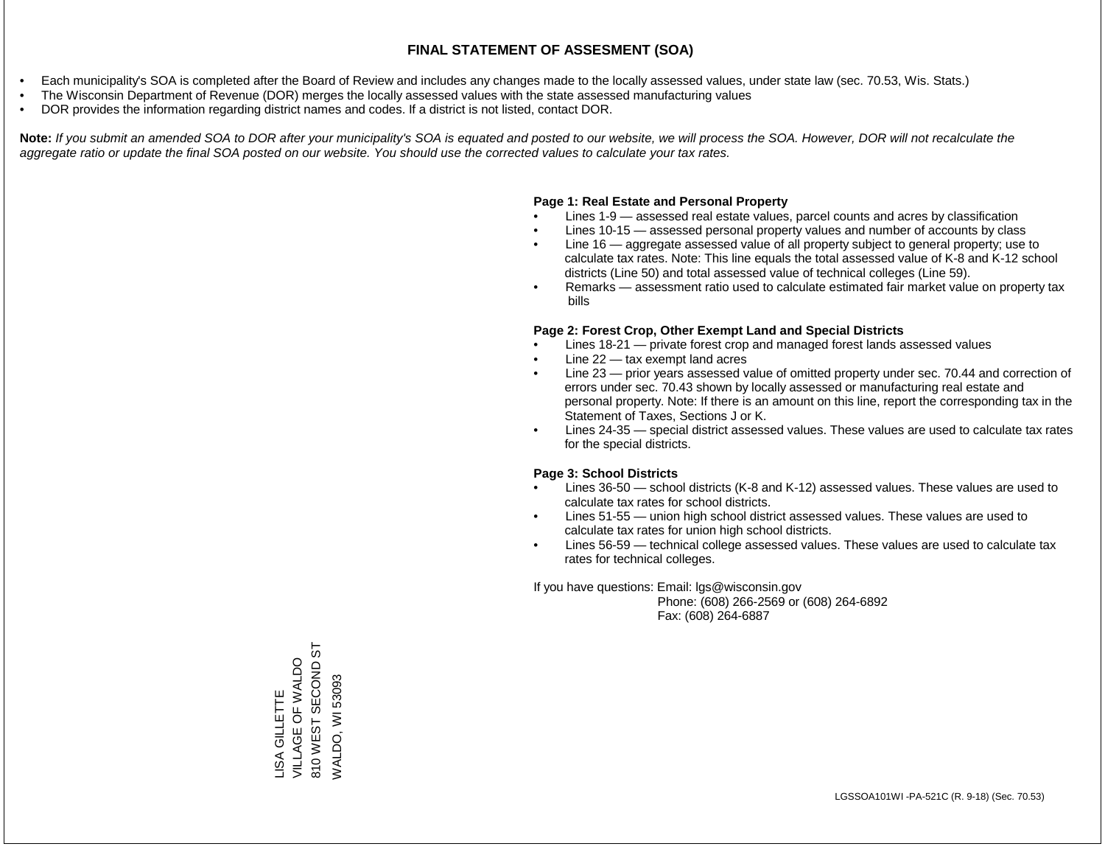- Each municipality's SOA is completed after the Board of Review and includes any changes made to the locally assessed values, under state law (sec. 70.53, Wis. Stats.)
- The Wisconsin Department of Revenue (DOR) merges the locally assessed values with the state assessed manufacturing values
- DOR provides the information regarding district names and codes. If a district is not listed, contact DOR.

Note: If you submit an amended SOA to DOR after your municipality's SOA is equated and posted to our website, we will process the SOA. However, DOR will not recalculate the *aggregate ratio or update the final SOA posted on our website. You should use the corrected values to calculate your tax rates.*

# **Page 1: Real Estate and Personal Property**

- Lines 1-9 assessed real estate values, parcel counts and acres by classification
- Lines 10-15 assessed personal property values and number of accounts by class
- Line 16 aggregate assessed value of all property subject to general property; use to calculate tax rates. Note: This line equals the total assessed value of K-8 and K-12 school districts (Line 50) and total assessed value of technical colleges (Line 59).
- Remarks assessment ratio used to calculate estimated fair market value on property tax bills

# **Page 2: Forest Crop, Other Exempt Land and Special Districts**

- Lines 18-21 private forest crop and managed forest lands assessed values
- Line  $22 -$  tax exempt land acres
- Line 23 prior years assessed value of omitted property under sec. 70.44 and correction of errors under sec. 70.43 shown by locally assessed or manufacturing real estate and personal property. Note: If there is an amount on this line, report the corresponding tax in the Statement of Taxes, Sections J or K.
- Lines 24-35 special district assessed values. These values are used to calculate tax rates for the special districts.

# **Page 3: School Districts**

- Lines 36-50 school districts (K-8 and K-12) assessed values. These values are used to calculate tax rates for school districts.
- Lines 51-55 union high school district assessed values. These values are used to calculate tax rates for union high school districts.
- Lines 56-59 technical college assessed values. These values are used to calculate tax rates for technical colleges.

If you have questions: Email: lgs@wisconsin.gov

 Phone: (608) 266-2569 or (608) 264-6892 Fax: (608) 264-6887

55 810 WEST SECOND ST LISA GILLETTE VILLAGE OF WALDO 810 WEST SECOND WALDO, WI 53093 WALDO, WI 53093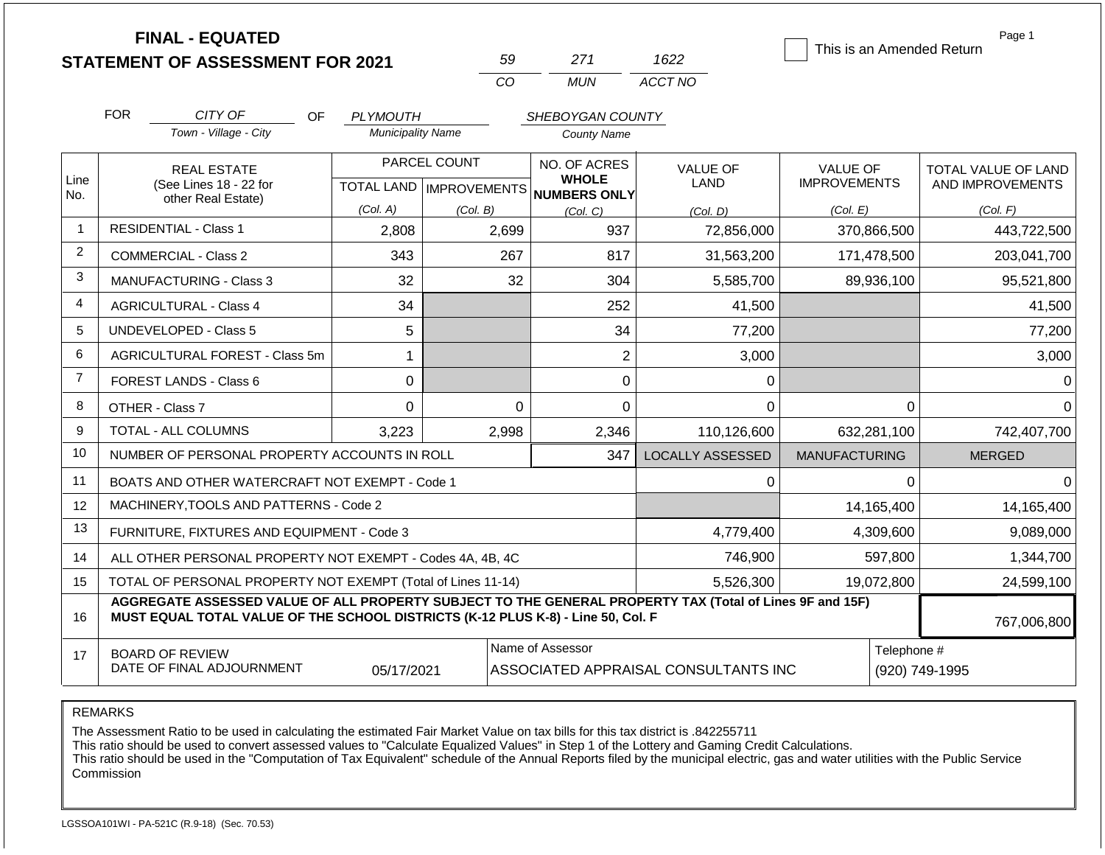|                | <b>FINAL - EQUATED</b>                                                                                                                                                                       |                          | 59                        | 271                              | 1622                                 | This is an Amended Return | Page 1              |
|----------------|----------------------------------------------------------------------------------------------------------------------------------------------------------------------------------------------|--------------------------|---------------------------|----------------------------------|--------------------------------------|---------------------------|---------------------|
|                | <b>STATEMENT OF ASSESSMENT FOR 2021</b>                                                                                                                                                      |                          | CO                        | <b>MUN</b>                       | ACCT NO                              |                           |                     |
|                |                                                                                                                                                                                              |                          |                           |                                  |                                      |                           |                     |
|                | <b>FOR</b><br>CITY OF<br>OF                                                                                                                                                                  | <b>PLYMOUTH</b>          |                           | SHEBOYGAN COUNTY                 |                                      |                           |                     |
|                | Town - Village - City                                                                                                                                                                        | <b>Municipality Name</b> |                           | <b>County Name</b>               |                                      |                           |                     |
|                | <b>REAL ESTATE</b>                                                                                                                                                                           |                          | PARCEL COUNT              | NO. OF ACRES                     | <b>VALUE OF</b>                      | <b>VALUE OF</b>           | TOTAL VALUE OF LAND |
| Line<br>No.    | (See Lines 18 - 22 for<br>other Real Estate)                                                                                                                                                 |                          | TOTAL LAND   IMPROVEMENTS | <b>WHOLE</b><br>NUMBERS ONLY     | <b>LAND</b>                          | <b>IMPROVEMENTS</b>       | AND IMPROVEMENTS    |
|                |                                                                                                                                                                                              | (Col. A)                 | (Col. B)                  | (Col, C)                         | (Col. D)                             | (Col. E)                  | (Col. F)            |
| $\overline{1}$ | <b>RESIDENTIAL - Class 1</b>                                                                                                                                                                 | 2,808                    | 2,699                     | 937                              | 72,856,000                           | 370,866,500               | 443,722,500         |
| $\overline{2}$ | <b>COMMERCIAL - Class 2</b>                                                                                                                                                                  | 343                      | 267                       | 817                              | 31,563,200                           | 171,478,500               | 203,041,700         |
| 3              | <b>MANUFACTURING - Class 3</b>                                                                                                                                                               | 32                       | 32                        | 304                              | 5,585,700                            | 89,936,100                | 95,521,800          |
| $\overline{4}$ | <b>AGRICULTURAL - Class 4</b>                                                                                                                                                                | 34                       |                           | 252                              | 41,500                               |                           | 41,500              |
| 5              | <b>UNDEVELOPED - Class 5</b>                                                                                                                                                                 | 5                        |                           | 34                               | 77,200                               |                           | 77,200              |
| 6              | AGRICULTURAL FOREST - Class 5m                                                                                                                                                               | 1                        |                           | $\overline{2}$                   | 3,000                                |                           | 3,000               |
| $\overline{7}$ | FOREST LANDS - Class 6                                                                                                                                                                       | 0                        |                           | 0                                | 0                                    |                           |                     |
| 8              | OTHER - Class 7                                                                                                                                                                              | $\overline{0}$           |                           | $\overline{0}$<br>$\overline{0}$ | $\Omega$                             | 0                         | $\Omega$            |
| 9              | TOTAL - ALL COLUMNS                                                                                                                                                                          | 3,223                    | 2,998                     | 2,346                            | 110,126,600                          | 632,281,100               | 742,407,700         |
| 10             | NUMBER OF PERSONAL PROPERTY ACCOUNTS IN ROLL                                                                                                                                                 |                          |                           | 347                              | <b>LOCALLY ASSESSED</b>              | <b>MANUFACTURING</b>      | <b>MERGED</b>       |
| 11             | BOATS AND OTHER WATERCRAFT NOT EXEMPT - Code 1                                                                                                                                               |                          |                           |                                  | 0                                    | 0                         | $\Omega$            |
| 12             | MACHINERY, TOOLS AND PATTERNS - Code 2                                                                                                                                                       |                          |                           |                                  |                                      | 14,165,400                | 14,165,400          |
| 13             | FURNITURE, FIXTURES AND EQUIPMENT - Code 3                                                                                                                                                   |                          |                           |                                  | 4,779,400                            | 4,309,600                 | 9,089,000           |
| 14             | ALL OTHER PERSONAL PROPERTY NOT EXEMPT - Codes 4A, 4B, 4C                                                                                                                                    |                          |                           | 746,900                          | 597,800                              | 1,344,700                 |                     |
| 15             | TOTAL OF PERSONAL PROPERTY NOT EXEMPT (Total of Lines 11-14)                                                                                                                                 |                          |                           |                                  | 5,526,300                            | 19,072,800                | 24,599,100          |
| 16             | AGGREGATE ASSESSED VALUE OF ALL PROPERTY SUBJECT TO THE GENERAL PROPERTY TAX (Total of Lines 9F and 15F)<br>MUST EQUAL TOTAL VALUE OF THE SCHOOL DISTRICTS (K-12 PLUS K-8) - Line 50, Col. F |                          |                           |                                  |                                      |                           | 767,006,800         |
| 17             | <b>BOARD OF REVIEW</b><br>DATE OF FINAL ADJOURNMENT                                                                                                                                          | 05/17/2021               |                           | Name of Assessor                 | ASSOCIATED APPRAISAL CONSULTANTS INC | Telephone #               | (920) 749-1995      |

The Assessment Ratio to be used in calculating the estimated Fair Market Value on tax bills for this tax district is .842255711

This ratio should be used to convert assessed values to "Calculate Equalized Values" in Step 1 of the Lottery and Gaming Credit Calculations.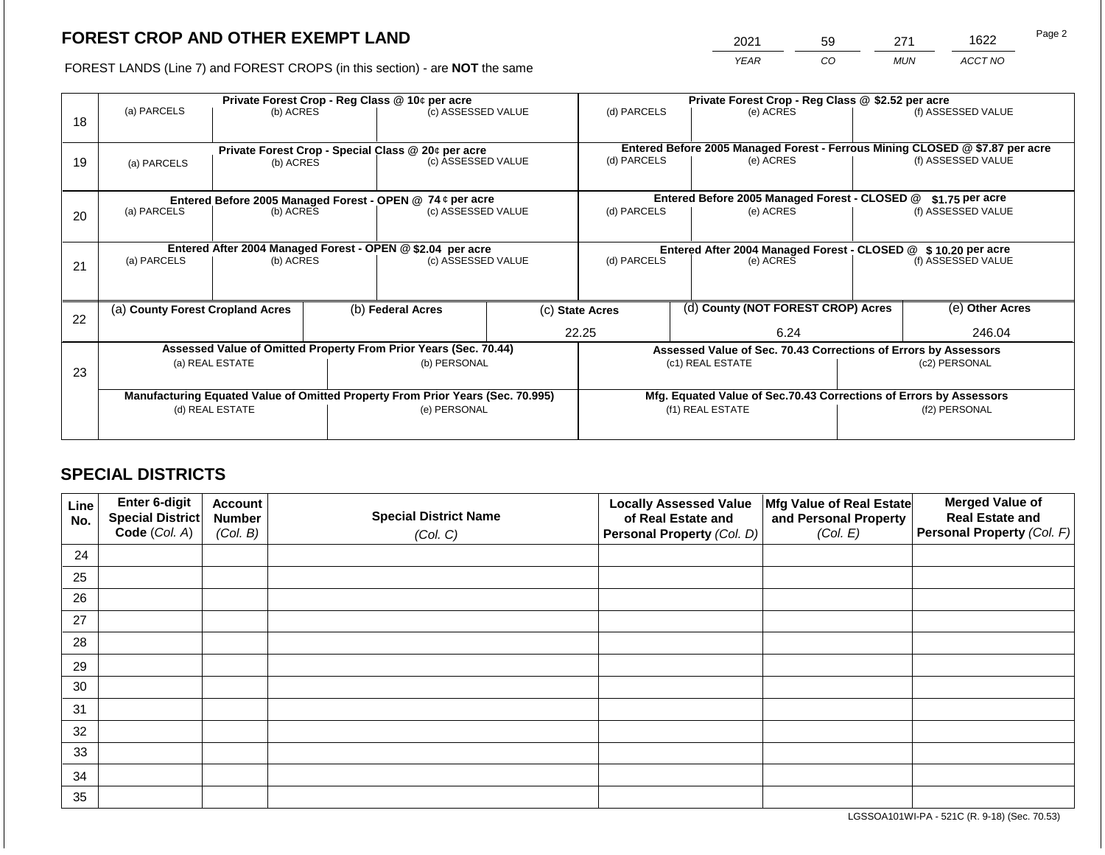2021 59 271 1622

FOREST LANDS (Line 7) and FOREST CROPS (in this section) - are **NOT** the same *YEAR CO MUN ACCT NO*

|    | Private Forest Crop - Reg Class @ 10¢ per acre |                                                       |  |                                                                                |  | Private Forest Crop - Reg Class @ \$2.52 per acre             |  |                                                                                           |                                                                 |                    |  |
|----|------------------------------------------------|-------------------------------------------------------|--|--------------------------------------------------------------------------------|--|---------------------------------------------------------------|--|-------------------------------------------------------------------------------------------|-----------------------------------------------------------------|--------------------|--|
| 18 | (a) PARCELS                                    | (b) ACRES                                             |  | (c) ASSESSED VALUE                                                             |  | (d) PARCELS                                                   |  | (e) ACRES                                                                                 |                                                                 | (f) ASSESSED VALUE |  |
|    |                                                |                                                       |  |                                                                                |  |                                                               |  |                                                                                           |                                                                 |                    |  |
| 19 |                                                | (b) ACRES                                             |  | Private Forest Crop - Special Class @ 20¢ per acre                             |  | (d) PARCELS                                                   |  | Entered Before 2005 Managed Forest - Ferrous Mining CLOSED @ \$7.87 per acre<br>(e) ACRES |                                                                 | (f) ASSESSED VALUE |  |
|    | (a) PARCELS                                    |                                                       |  | (c) ASSESSED VALUE                                                             |  |                                                               |  |                                                                                           |                                                                 |                    |  |
|    |                                                |                                                       |  |                                                                                |  |                                                               |  |                                                                                           |                                                                 |                    |  |
|    |                                                |                                                       |  | Entered Before 2005 Managed Forest - OPEN @ 74 ¢ per acre                      |  |                                                               |  | Entered Before 2005 Managed Forest - CLOSED @                                             |                                                                 | $$1.75$ per acre   |  |
| 20 | (a) PARCELS                                    | (b) ACRES                                             |  | (c) ASSESSED VALUE                                                             |  | (d) PARCELS                                                   |  | (e) ACRES                                                                                 |                                                                 | (f) ASSESSED VALUE |  |
|    |                                                |                                                       |  |                                                                                |  |                                                               |  |                                                                                           |                                                                 |                    |  |
|    |                                                |                                                       |  | Entered After 2004 Managed Forest - OPEN @ \$2.04 per acre                     |  | Entered After 2004 Managed Forest - CLOSED @ \$10.20 per acre |  |                                                                                           |                                                                 |                    |  |
| 21 | (a) PARCELS                                    | (b) ACRES                                             |  | (c) ASSESSED VALUE                                                             |  | (d) PARCELS<br>(e) ACRES                                      |  | (f) ASSESSED VALUE                                                                        |                                                                 |                    |  |
|    |                                                |                                                       |  |                                                                                |  |                                                               |  |                                                                                           |                                                                 |                    |  |
|    |                                                |                                                       |  |                                                                                |  |                                                               |  |                                                                                           |                                                                 |                    |  |
|    |                                                | (b) Federal Acres<br>(a) County Forest Cropland Acres |  |                                                                                |  | (c) State Acres                                               |  | (d) County (NOT FOREST CROP) Acres                                                        |                                                                 | (e) Other Acres    |  |
| 22 |                                                |                                                       |  |                                                                                |  |                                                               |  |                                                                                           |                                                                 |                    |  |
|    |                                                |                                                       |  |                                                                                |  | 22.25                                                         |  | 6.24                                                                                      |                                                                 | 246.04             |  |
|    |                                                |                                                       |  | Assessed Value of Omitted Property From Prior Years (Sec. 70.44)               |  |                                                               |  |                                                                                           | Assessed Value of Sec. 70.43 Corrections of Errors by Assessors |                    |  |
| 23 |                                                | (a) REAL ESTATE                                       |  | (b) PERSONAL                                                                   |  |                                                               |  | (c1) REAL ESTATE                                                                          |                                                                 | (c2) PERSONAL      |  |
|    |                                                |                                                       |  |                                                                                |  |                                                               |  |                                                                                           |                                                                 |                    |  |
|    |                                                |                                                       |  | Manufacturing Equated Value of Omitted Property From Prior Years (Sec. 70.995) |  |                                                               |  | Mfg. Equated Value of Sec.70.43 Corrections of Errors by Assessors                        |                                                                 |                    |  |
|    | (d) REAL ESTATE                                |                                                       |  | (e) PERSONAL                                                                   |  |                                                               |  | (f1) REAL ESTATE                                                                          |                                                                 | (f2) PERSONAL      |  |
|    |                                                |                                                       |  |                                                                                |  |                                                               |  |                                                                                           |                                                                 |                    |  |
|    |                                                |                                                       |  |                                                                                |  |                                                               |  |                                                                                           |                                                                 |                    |  |

# **SPECIAL DISTRICTS**

| Line<br>No. | Enter 6-digit<br>Special District<br>Code (Col. A) | <b>Account</b><br><b>Number</b><br>(Col. B) | <b>Special District Name</b><br>(Col. C) | <b>Locally Assessed Value</b><br>of Real Estate and<br><b>Personal Property (Col. D)</b> | Mfg Value of Real Estate<br>and Personal Property<br>(Col. E) | <b>Merged Value of</b><br><b>Real Estate and</b><br>Personal Property (Col. F) |
|-------------|----------------------------------------------------|---------------------------------------------|------------------------------------------|------------------------------------------------------------------------------------------|---------------------------------------------------------------|--------------------------------------------------------------------------------|
| 24          |                                                    |                                             |                                          |                                                                                          |                                                               |                                                                                |
| 25          |                                                    |                                             |                                          |                                                                                          |                                                               |                                                                                |
| 26          |                                                    |                                             |                                          |                                                                                          |                                                               |                                                                                |
| 27          |                                                    |                                             |                                          |                                                                                          |                                                               |                                                                                |
| 28          |                                                    |                                             |                                          |                                                                                          |                                                               |                                                                                |
| 29          |                                                    |                                             |                                          |                                                                                          |                                                               |                                                                                |
| 30          |                                                    |                                             |                                          |                                                                                          |                                                               |                                                                                |
| 31          |                                                    |                                             |                                          |                                                                                          |                                                               |                                                                                |
| 32          |                                                    |                                             |                                          |                                                                                          |                                                               |                                                                                |
| 33          |                                                    |                                             |                                          |                                                                                          |                                                               |                                                                                |
| 34          |                                                    |                                             |                                          |                                                                                          |                                                               |                                                                                |
| 35          |                                                    |                                             |                                          |                                                                                          |                                                               |                                                                                |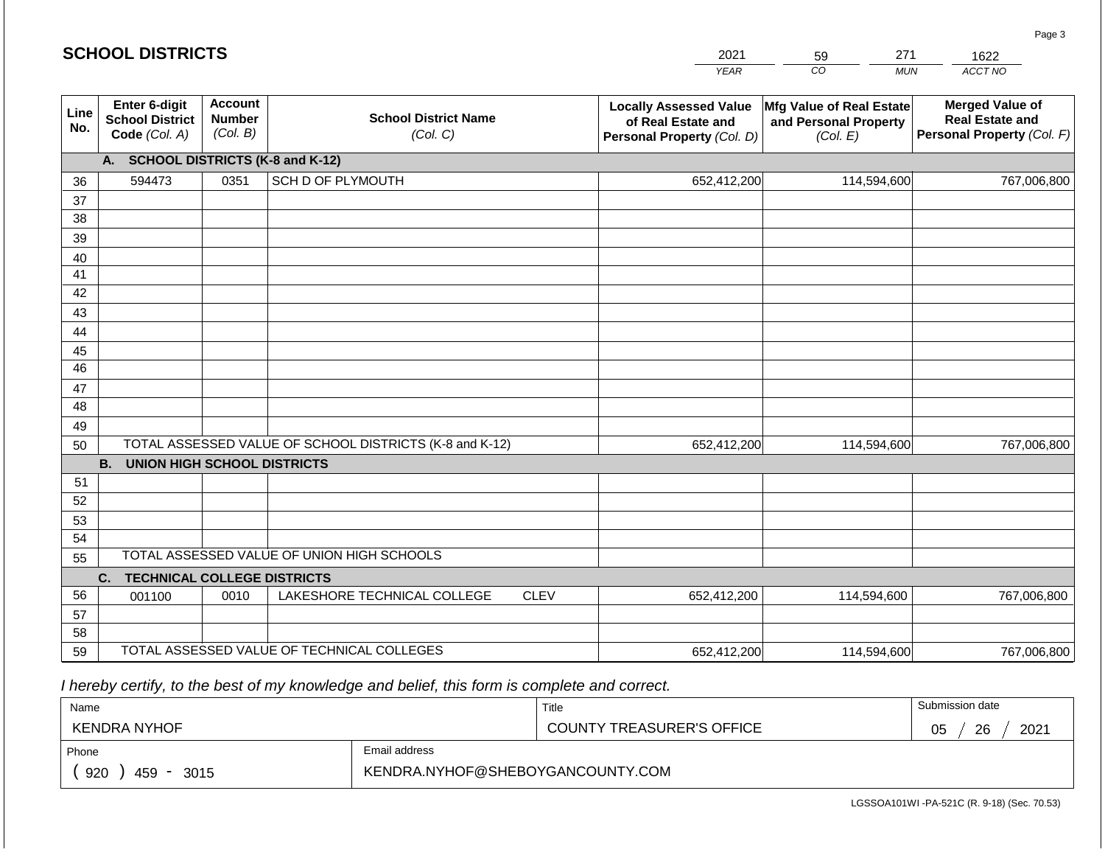#### *YEAR*  2021  $\overline{co}$ 59 *MUN*  271 *ACCT NO*  1622 **SCHOOL DISTRICTS Line No. Enter 6-digit School District Code** *(Col. A)* **Account Number** *(Col. B)* **School District Name** *(Col. C)* **Locally Assessed Value of Real Estate and Personal Property** *(Col. D)* **Mfg Value of Real Estate and Personal Property** *(Col. E)* **Merged Value of Real Estate and Personal Property** *(Col. F)* **A. SCHOOL DISTRICTS (K-8 and K-12)** 36 37 38 39 40 41 42 43 44 45 46 47 48 49 50 TOTAL ASSESSED VALUE OF SCHOOL DISTRICTS (K-8 and K-12) **B. UNION HIGH SCHOOL DISTRICTS** 51 52 53 54 55 **C. TECHNICAL COLLEGE DISTRICTS** 56 57 58 59 TOTAL ASSESSED VALUE OF TECHNICAL COLLEGES TOTAL ASSESSED VALUE OF UNION HIGH SCHOOLS 594473 0351 SCH D OF PLYMOUTH 652,412,200 652,412,200 001100 | 0010 | LAKESHORE TECHNICAL COLLEGE CLEV 652,412,200 114,594,600 767,006,800 114,594,600 767,006,800 114,594,600 767,006,800 652,412,200 114,594,600 767,006,800

 *I hereby certify, to the best of my knowledge and belief, this form is complete and correct.*

| Name                |                                  | Title                            | Submission date  |  |  |  |
|---------------------|----------------------------------|----------------------------------|------------------|--|--|--|
| <b>KENDRA NYHOF</b> |                                  | <b>COUNTY TREASURER'S OFFICE</b> | 2021<br>26<br>05 |  |  |  |
| Phone               | Email address                    |                                  |                  |  |  |  |
| 920<br>459<br>3015  | KENDRA.NYHOF@SHEBOYGANCOUNTY.COM |                                  |                  |  |  |  |

Page 3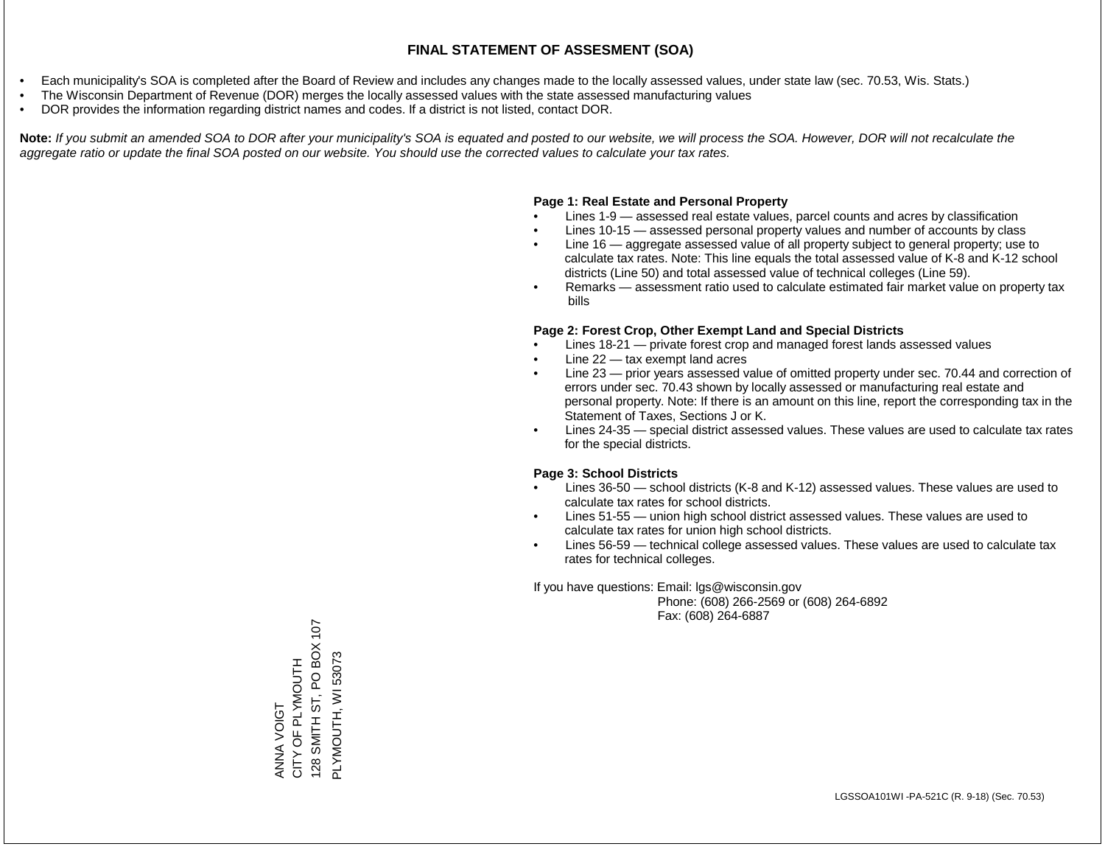- Each municipality's SOA is completed after the Board of Review and includes any changes made to the locally assessed values, under state law (sec. 70.53, Wis. Stats.)
- The Wisconsin Department of Revenue (DOR) merges the locally assessed values with the state assessed manufacturing values
- DOR provides the information regarding district names and codes. If a district is not listed, contact DOR.

Note: If you submit an amended SOA to DOR after your municipality's SOA is equated and posted to our website, we will process the SOA. However, DOR will not recalculate the *aggregate ratio or update the final SOA posted on our website. You should use the corrected values to calculate your tax rates.*

#### **Page 1: Real Estate and Personal Property**

- Lines 1-9 assessed real estate values, parcel counts and acres by classification
- Lines 10-15 assessed personal property values and number of accounts by class
- Line 16 aggregate assessed value of all property subject to general property; use to calculate tax rates. Note: This line equals the total assessed value of K-8 and K-12 school districts (Line 50) and total assessed value of technical colleges (Line 59).
- Remarks assessment ratio used to calculate estimated fair market value on property tax bills

#### **Page 2: Forest Crop, Other Exempt Land and Special Districts**

- Lines 18-21 private forest crop and managed forest lands assessed values
- Line  $22 -$  tax exempt land acres
- Line 23 prior years assessed value of omitted property under sec. 70.44 and correction of errors under sec. 70.43 shown by locally assessed or manufacturing real estate and personal property. Note: If there is an amount on this line, report the corresponding tax in the Statement of Taxes, Sections J or K.
- Lines 24-35 special district assessed values. These values are used to calculate tax rates for the special districts.

#### **Page 3: School Districts**

- Lines 36-50 school districts (K-8 and K-12) assessed values. These values are used to calculate tax rates for school districts.
- Lines 51-55 union high school district assessed values. These values are used to calculate tax rates for union high school districts.
- Lines 56-59 technical college assessed values. These values are used to calculate tax rates for technical colleges.

If you have questions: Email: lgs@wisconsin.gov

 Phone: (608) 266-2569 or (608) 264-6892 Fax: (608) 264-6887

128 SMITH ST, PO BOX 107 128 SMITH ST, PO BOX 107 PLYMOUTH, WI 53073 PLYMOUTH, WI 53073ANNA VOIGT<br>CITY OF PLYMOUTH CITY OF PLYMOUTH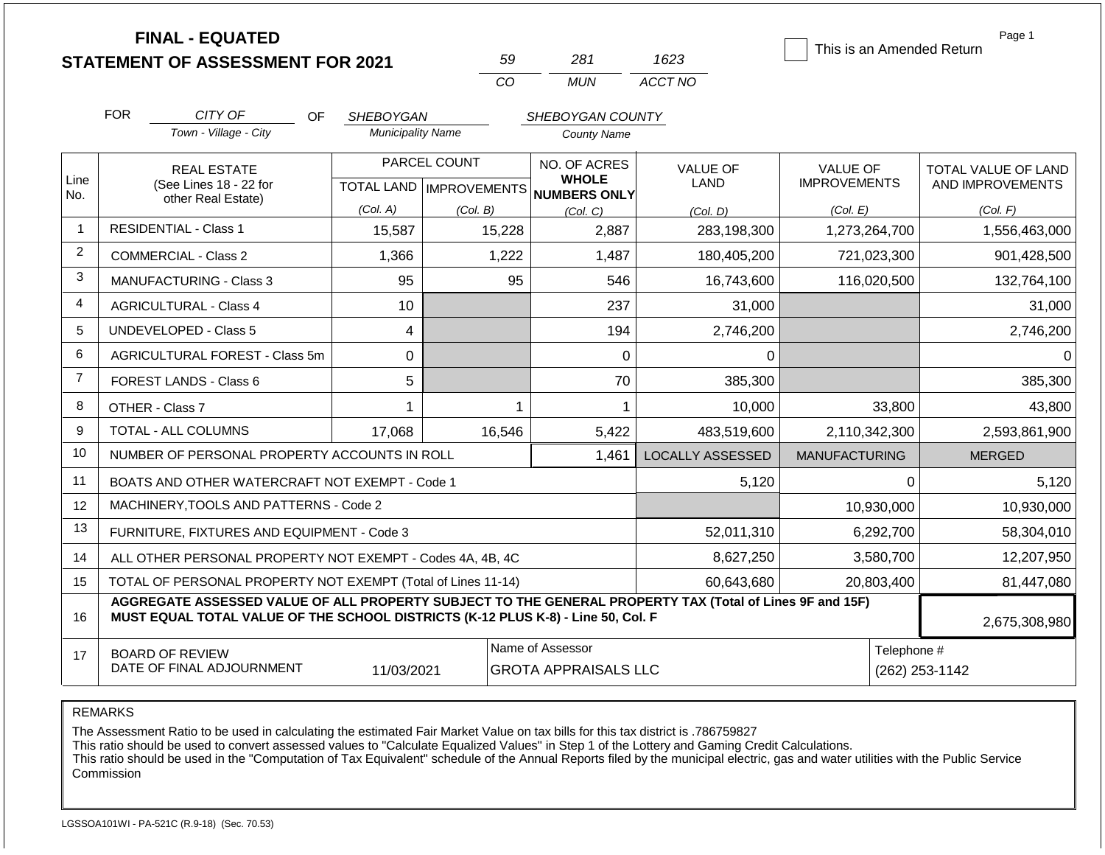|                |                                                                                                                                                                                              | <b>FINAL - EQUATED</b><br><b>STATEMENT OF ASSESSMENT FOR 2021</b>  |                          | 59                                               | 281                                          | 1623                    | This is an Amended Return              | Page 1                                  |  |
|----------------|----------------------------------------------------------------------------------------------------------------------------------------------------------------------------------------------|--------------------------------------------------------------------|--------------------------|--------------------------------------------------|----------------------------------------------|-------------------------|----------------------------------------|-----------------------------------------|--|
|                |                                                                                                                                                                                              |                                                                    |                          | CO                                               | <b>MUN</b>                                   | ACCT NO                 |                                        |                                         |  |
|                | <b>FOR</b>                                                                                                                                                                                   | CITY OF<br>OF.                                                     | SHEBOYGAN                |                                                  | SHEBOYGAN COUNTY                             |                         |                                        |                                         |  |
|                |                                                                                                                                                                                              | Town - Village - City                                              | <b>Municipality Name</b> |                                                  | <b>County Name</b>                           |                         |                                        |                                         |  |
| Line<br>No.    |                                                                                                                                                                                              | <b>REAL ESTATE</b><br>(See Lines 18 - 22 for<br>other Real Estate) |                          | PARCEL COUNT<br><b>TOTAL LAND   IMPROVEMENTS</b> | NO. OF ACRES<br><b>WHOLE</b><br>NUMBERS ONLY | <b>VALUE OF</b><br>LAND | <b>VALUE OF</b><br><b>IMPROVEMENTS</b> | TOTAL VALUE OF LAND<br>AND IMPROVEMENTS |  |
|                |                                                                                                                                                                                              |                                                                    | (Col. A)                 | (Col. B)                                         | (Col, C)                                     | (Col, D)                | (Col. E)                               | (Col. F)                                |  |
| $\mathbf{1}$   |                                                                                                                                                                                              | <b>RESIDENTIAL - Class 1</b>                                       | 15,587                   | 15,228                                           | 2,887                                        | 283,198,300             | 1,273,264,700                          | 1,556,463,000                           |  |
| $\overline{2}$ |                                                                                                                                                                                              | <b>COMMERCIAL - Class 2</b>                                        | 1,366                    | 1,222                                            | 1,487                                        | 180,405,200             | 721,023,300                            | 901,428,500                             |  |
| 3              |                                                                                                                                                                                              | <b>MANUFACTURING - Class 3</b>                                     | 95                       | 95                                               | 546                                          | 16,743,600              | 116,020,500                            | 132,764,100                             |  |
| 4              |                                                                                                                                                                                              | <b>AGRICULTURAL - Class 4</b>                                      | 10                       |                                                  | 237                                          | 31,000                  |                                        | 31,000                                  |  |
| 5              |                                                                                                                                                                                              | <b>UNDEVELOPED - Class 5</b>                                       | 4                        |                                                  | 194                                          | 2,746,200               |                                        | 2,746,200                               |  |
| 6              |                                                                                                                                                                                              | AGRICULTURAL FOREST - Class 5m                                     | 0                        |                                                  | 0                                            | 0                       |                                        | $\Omega$                                |  |
| $\overline{7}$ |                                                                                                                                                                                              | FOREST LANDS - Class 6                                             | 5                        |                                                  | 70                                           | 385,300                 |                                        | 385,300                                 |  |
| 8              |                                                                                                                                                                                              | OTHER - Class 7                                                    | 1                        |                                                  | $\mathbf{1}$                                 | 10,000                  | 33,800                                 | 43,800                                  |  |
| 9              |                                                                                                                                                                                              | TOTAL - ALL COLUMNS                                                | 17,068                   | 16,546                                           | 5,422                                        | 483,519,600             | 2,110,342,300                          | 2,593,861,900                           |  |
| 10             |                                                                                                                                                                                              | NUMBER OF PERSONAL PROPERTY ACCOUNTS IN ROLL                       |                          |                                                  | 1,461                                        | <b>LOCALLY ASSESSED</b> | <b>MANUFACTURING</b>                   | <b>MERGED</b>                           |  |
| 11             |                                                                                                                                                                                              | BOATS AND OTHER WATERCRAFT NOT EXEMPT - Code 1                     |                          |                                                  |                                              | 5,120                   | $\Omega$                               | 5,120                                   |  |
| 12             |                                                                                                                                                                                              | MACHINERY, TOOLS AND PATTERNS - Code 2                             |                          |                                                  |                                              |                         | 10,930,000                             | 10,930,000                              |  |
| 13             |                                                                                                                                                                                              | FURNITURE, FIXTURES AND EQUIPMENT - Code 3                         |                          |                                                  |                                              | 52,011,310              | 6,292,700                              | 58,304,010                              |  |
| 14             |                                                                                                                                                                                              | ALL OTHER PERSONAL PROPERTY NOT EXEMPT - Codes 4A, 4B, 4C          |                          |                                                  | 8,627,250                                    | 3,580,700               | 12,207,950                             |                                         |  |
| 15             |                                                                                                                                                                                              | TOTAL OF PERSONAL PROPERTY NOT EXEMPT (Total of Lines 11-14)       |                          |                                                  |                                              | 60,643,680              | 20,803,400                             | 81,447,080                              |  |
| 16             | AGGREGATE ASSESSED VALUE OF ALL PROPERTY SUBJECT TO THE GENERAL PROPERTY TAX (Total of Lines 9F and 15F)<br>MUST EQUAL TOTAL VALUE OF THE SCHOOL DISTRICTS (K-12 PLUS K-8) - Line 50, Col. F |                                                                    |                          |                                                  |                                              |                         |                                        |                                         |  |
| 17             |                                                                                                                                                                                              | <b>BOARD OF REVIEW</b><br>DATE OF FINAL ADJOURNMENT                | 11/03/2021               | <b>GROTA APPRAISALS LLC</b>                      | Telephone #                                  | (262) 253-1142          |                                        |                                         |  |

The Assessment Ratio to be used in calculating the estimated Fair Market Value on tax bills for this tax district is .786759827

This ratio should be used to convert assessed values to "Calculate Equalized Values" in Step 1 of the Lottery and Gaming Credit Calculations.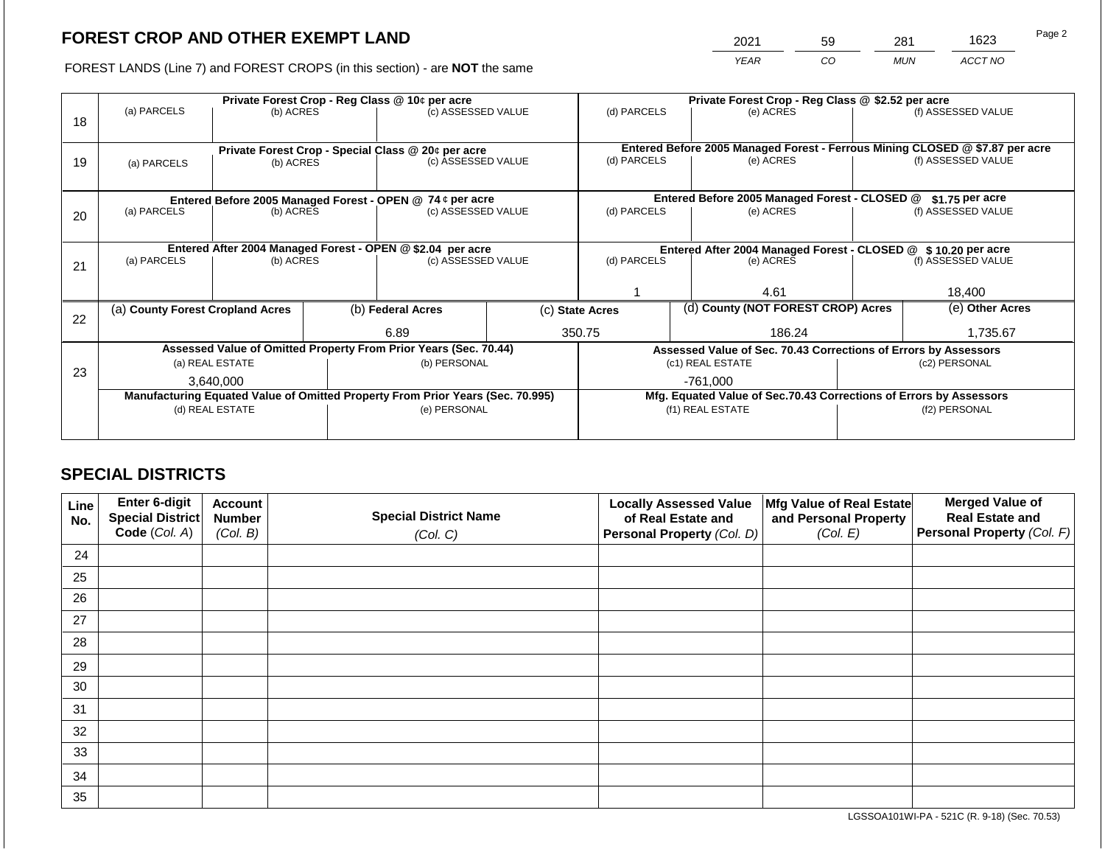2021 59 281 1623

FOREST LANDS (Line 7) and FOREST CROPS (in this section) - are **NOT** the same *YEAR CO MUN ACCT NO*

|    | Private Forest Crop - Reg Class @ 10¢ per acre                                 |                 |             |                                                                                 |           | Private Forest Crop - Reg Class @ \$2.52 per acre             |                    |                                                                              |                                                                    |                    |
|----|--------------------------------------------------------------------------------|-----------------|-------------|---------------------------------------------------------------------------------|-----------|---------------------------------------------------------------|--------------------|------------------------------------------------------------------------------|--------------------------------------------------------------------|--------------------|
| 18 | (a) PARCELS                                                                    | (b) ACRES       |             | (c) ASSESSED VALUE                                                              |           | (d) PARCELS                                                   |                    | (e) ACRES                                                                    |                                                                    | (f) ASSESSED VALUE |
|    |                                                                                |                 |             |                                                                                 |           |                                                               |                    |                                                                              |                                                                    |                    |
|    |                                                                                |                 |             | Private Forest Crop - Special Class @ 20¢ per acre                              |           |                                                               |                    | Entered Before 2005 Managed Forest - Ferrous Mining CLOSED @ \$7.87 per acre |                                                                    |                    |
| 19 | (c) ASSESSED VALUE<br>(b) ACRES<br>(a) PARCELS                                 |                 | (d) PARCELS |                                                                                 | (e) ACRES |                                                               | (f) ASSESSED VALUE |                                                                              |                                                                    |                    |
|    |                                                                                |                 |             |                                                                                 |           |                                                               |                    |                                                                              |                                                                    |                    |
|    |                                                                                |                 |             |                                                                                 |           |                                                               |                    | Entered Before 2005 Managed Forest - CLOSED @                                |                                                                    | $$1.75$ per acre   |
|    | (a) PARCELS                                                                    | (b) ACRES       |             | Entered Before 2005 Managed Forest - OPEN @ 74 ¢ per acre<br>(c) ASSESSED VALUE |           | (d) PARCELS                                                   |                    | (e) ACRES                                                                    |                                                                    | (f) ASSESSED VALUE |
| 20 |                                                                                |                 |             |                                                                                 |           |                                                               |                    |                                                                              |                                                                    |                    |
|    |                                                                                |                 |             |                                                                                 |           |                                                               |                    |                                                                              |                                                                    |                    |
|    | Entered After 2004 Managed Forest - OPEN @ \$2.04 per acre                     |                 |             |                                                                                 |           | Entered After 2004 Managed Forest - CLOSED @ \$10.20 per acre |                    |                                                                              |                                                                    |                    |
| 21 | (a) PARCELS                                                                    | (b) ACRES       |             | (c) ASSESSED VALUE                                                              |           | (d) PARCELS                                                   |                    | (e) ACRES                                                                    |                                                                    | (f) ASSESSED VALUE |
|    |                                                                                |                 |             |                                                                                 |           |                                                               |                    |                                                                              |                                                                    |                    |
|    |                                                                                |                 |             |                                                                                 |           |                                                               |                    | 4.61                                                                         |                                                                    | 18,400             |
|    | (a) County Forest Cropland Acres                                               |                 |             | (b) Federal Acres                                                               |           | (c) State Acres                                               |                    | (d) County (NOT FOREST CROP) Acres                                           |                                                                    | (e) Other Acres    |
| 22 |                                                                                |                 |             |                                                                                 |           |                                                               |                    |                                                                              |                                                                    |                    |
|    |                                                                                |                 |             | 6.89                                                                            |           | 350.75<br>186.24                                              |                    |                                                                              |                                                                    | 1,735.67           |
|    |                                                                                |                 |             | Assessed Value of Omitted Property From Prior Years (Sec. 70.44)                |           |                                                               |                    | Assessed Value of Sec. 70.43 Corrections of Errors by Assessors              |                                                                    |                    |
| 23 |                                                                                | (a) REAL ESTATE |             | (b) PERSONAL                                                                    |           | (c1) REAL ESTATE                                              |                    |                                                                              |                                                                    | (c2) PERSONAL      |
|    |                                                                                | 3.640.000       |             |                                                                                 |           | -761,000                                                      |                    |                                                                              |                                                                    |                    |
|    | Manufacturing Equated Value of Omitted Property From Prior Years (Sec. 70.995) |                 |             |                                                                                 |           |                                                               |                    |                                                                              | Mfg. Equated Value of Sec.70.43 Corrections of Errors by Assessors |                    |
|    |                                                                                | (d) REAL ESTATE |             | (e) PERSONAL                                                                    |           |                                                               |                    | (f1) REAL ESTATE                                                             |                                                                    | (f2) PERSONAL      |
|    |                                                                                |                 |             |                                                                                 |           |                                                               |                    |                                                                              |                                                                    |                    |
|    |                                                                                |                 |             |                                                                                 |           |                                                               |                    |                                                                              |                                                                    |                    |

# **SPECIAL DISTRICTS**

| Line<br>No. | Enter 6-digit<br>Special District<br>Code (Col. A) | <b>Account</b><br><b>Number</b><br>(Col. B) | <b>Special District Name</b><br>(Col. C) | <b>Locally Assessed Value</b><br>of Real Estate and<br><b>Personal Property (Col. D)</b> | Mfg Value of Real Estate<br>and Personal Property<br>(Col. E) | <b>Merged Value of</b><br><b>Real Estate and</b><br>Personal Property (Col. F) |
|-------------|----------------------------------------------------|---------------------------------------------|------------------------------------------|------------------------------------------------------------------------------------------|---------------------------------------------------------------|--------------------------------------------------------------------------------|
| 24          |                                                    |                                             |                                          |                                                                                          |                                                               |                                                                                |
| 25          |                                                    |                                             |                                          |                                                                                          |                                                               |                                                                                |
| 26          |                                                    |                                             |                                          |                                                                                          |                                                               |                                                                                |
| 27          |                                                    |                                             |                                          |                                                                                          |                                                               |                                                                                |
| 28          |                                                    |                                             |                                          |                                                                                          |                                                               |                                                                                |
| 29          |                                                    |                                             |                                          |                                                                                          |                                                               |                                                                                |
| 30          |                                                    |                                             |                                          |                                                                                          |                                                               |                                                                                |
| 31          |                                                    |                                             |                                          |                                                                                          |                                                               |                                                                                |
| 32          |                                                    |                                             |                                          |                                                                                          |                                                               |                                                                                |
| 33          |                                                    |                                             |                                          |                                                                                          |                                                               |                                                                                |
| 34          |                                                    |                                             |                                          |                                                                                          |                                                               |                                                                                |
| 35          |                                                    |                                             |                                          |                                                                                          |                                                               |                                                                                |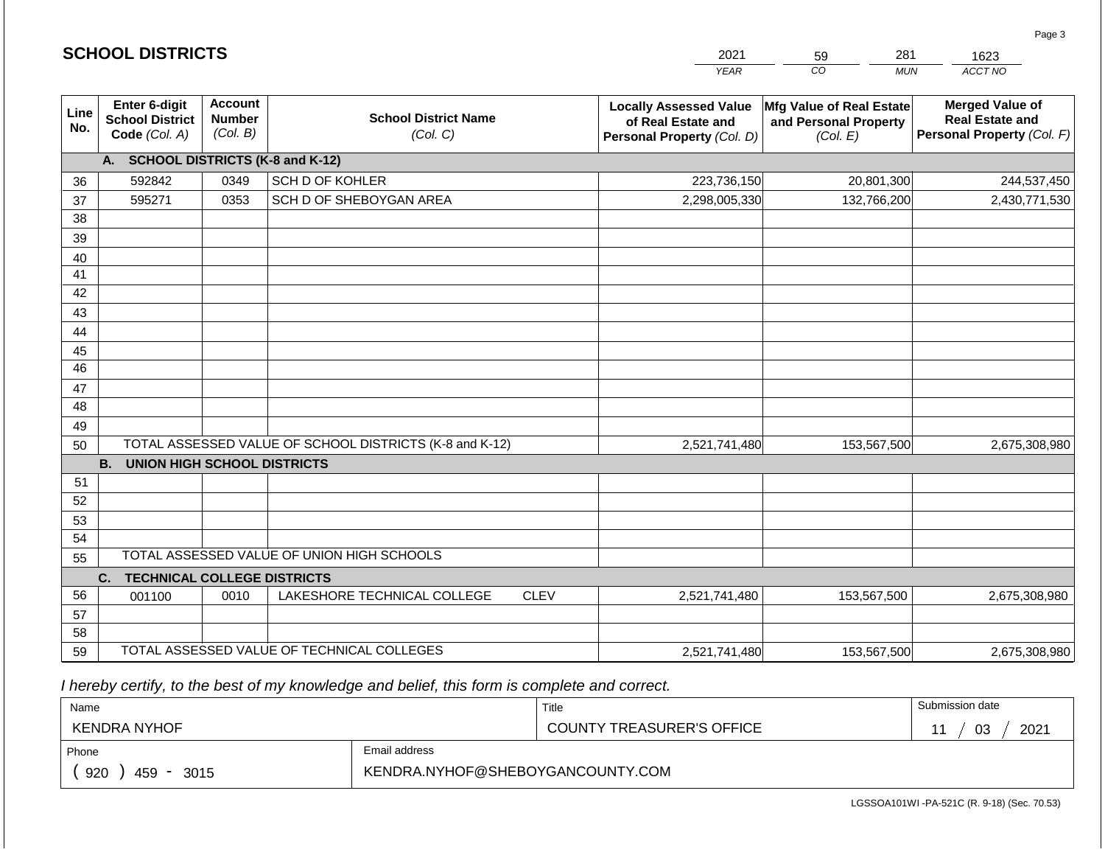|                 | <b>SCHOOL DISTRICTS</b>                                  |                                             |                                                         | 2021        | 281<br>59                                                                         | 1623                                                          |                                                                                |
|-----------------|----------------------------------------------------------|---------------------------------------------|---------------------------------------------------------|-------------|-----------------------------------------------------------------------------------|---------------------------------------------------------------|--------------------------------------------------------------------------------|
|                 |                                                          |                                             |                                                         |             | <b>YEAR</b>                                                                       | CO<br><b>MUN</b>                                              | ACCT NO                                                                        |
| Line<br>No.     | Enter 6-digit<br><b>School District</b><br>Code (Col. A) | <b>Account</b><br><b>Number</b><br>(Col. B) | <b>School District Name</b><br>(Col. C)                 |             | <b>Locally Assessed Value</b><br>of Real Estate and<br>Personal Property (Col. D) | Mfg Value of Real Estate<br>and Personal Property<br>(Col. E) | <b>Merged Value of</b><br><b>Real Estate and</b><br>Personal Property (Col. F) |
|                 | A. SCHOOL DISTRICTS (K-8 and K-12)                       |                                             |                                                         |             |                                                                                   |                                                               |                                                                                |
| 36              | 592842                                                   | 0349                                        | SCH D OF KOHLER                                         |             | 223,736,150                                                                       | 20,801,300                                                    | 244,537,450                                                                    |
| 37              | 595271                                                   | 0353                                        | SCH D OF SHEBOYGAN AREA                                 |             | 2,298,005,330                                                                     | 132,766,200                                                   | 2,430,771,530                                                                  |
| 38              |                                                          |                                             |                                                         |             |                                                                                   |                                                               |                                                                                |
| 39              |                                                          |                                             |                                                         |             |                                                                                   |                                                               |                                                                                |
| 40              |                                                          |                                             |                                                         |             |                                                                                   |                                                               |                                                                                |
| 41              |                                                          |                                             |                                                         |             |                                                                                   |                                                               |                                                                                |
| 42              |                                                          |                                             |                                                         |             |                                                                                   |                                                               |                                                                                |
| 43              |                                                          |                                             |                                                         |             |                                                                                   |                                                               |                                                                                |
| 44<br>45        |                                                          |                                             |                                                         |             |                                                                                   |                                                               |                                                                                |
| $\overline{46}$ |                                                          |                                             |                                                         |             |                                                                                   |                                                               |                                                                                |
| 47              |                                                          |                                             |                                                         |             |                                                                                   |                                                               |                                                                                |
| 48              |                                                          |                                             |                                                         |             |                                                                                   |                                                               |                                                                                |
| 49              |                                                          |                                             |                                                         |             |                                                                                   |                                                               |                                                                                |
| 50              |                                                          |                                             | TOTAL ASSESSED VALUE OF SCHOOL DISTRICTS (K-8 and K-12) |             | 2,521,741,480                                                                     | 153,567,500                                                   | 2,675,308,980                                                                  |
|                 | <b>B.</b><br><b>UNION HIGH SCHOOL DISTRICTS</b>          |                                             |                                                         |             |                                                                                   |                                                               |                                                                                |
| 51              |                                                          |                                             |                                                         |             |                                                                                   |                                                               |                                                                                |
| 52              |                                                          |                                             |                                                         |             |                                                                                   |                                                               |                                                                                |
| 53              |                                                          |                                             |                                                         |             |                                                                                   |                                                               |                                                                                |
| 54              |                                                          |                                             |                                                         |             |                                                                                   |                                                               |                                                                                |
| 55              |                                                          |                                             | TOTAL ASSESSED VALUE OF UNION HIGH SCHOOLS              |             |                                                                                   |                                                               |                                                                                |
|                 | C.<br><b>TECHNICAL COLLEGE DISTRICTS</b>                 |                                             |                                                         |             |                                                                                   |                                                               |                                                                                |
| 56              | 001100                                                   | 0010                                        | LAKESHORE TECHNICAL COLLEGE                             | <b>CLEV</b> | 2,521,741,480                                                                     | 153,567,500                                                   | 2,675,308,980                                                                  |
| 57              |                                                          |                                             |                                                         |             |                                                                                   |                                                               |                                                                                |
| 58              |                                                          |                                             | TOTAL ASSESSED VALUE OF TECHNICAL COLLEGES              |             |                                                                                   |                                                               |                                                                                |
| 59              |                                                          |                                             |                                                         |             | 2,521,741,480                                                                     | 153,567,500                                                   | 2,675,308,980                                                                  |

 *I hereby certify, to the best of my knowledge and belief, this form is complete and correct.*

**SCHOOL DISTRICTS**

| Name                |                                  | Title                     | Submission date |  |  |  |
|---------------------|----------------------------------|---------------------------|-----------------|--|--|--|
| <b>KENDRA NYHOF</b> |                                  | COUNTY TREASURER'S OFFICE | 2021<br>03      |  |  |  |
| Phone               | Email address                    |                           |                 |  |  |  |
| 920<br>459<br>3015  | KENDRA.NYHOF@SHEBOYGANCOUNTY.COM |                           |                 |  |  |  |

Page 3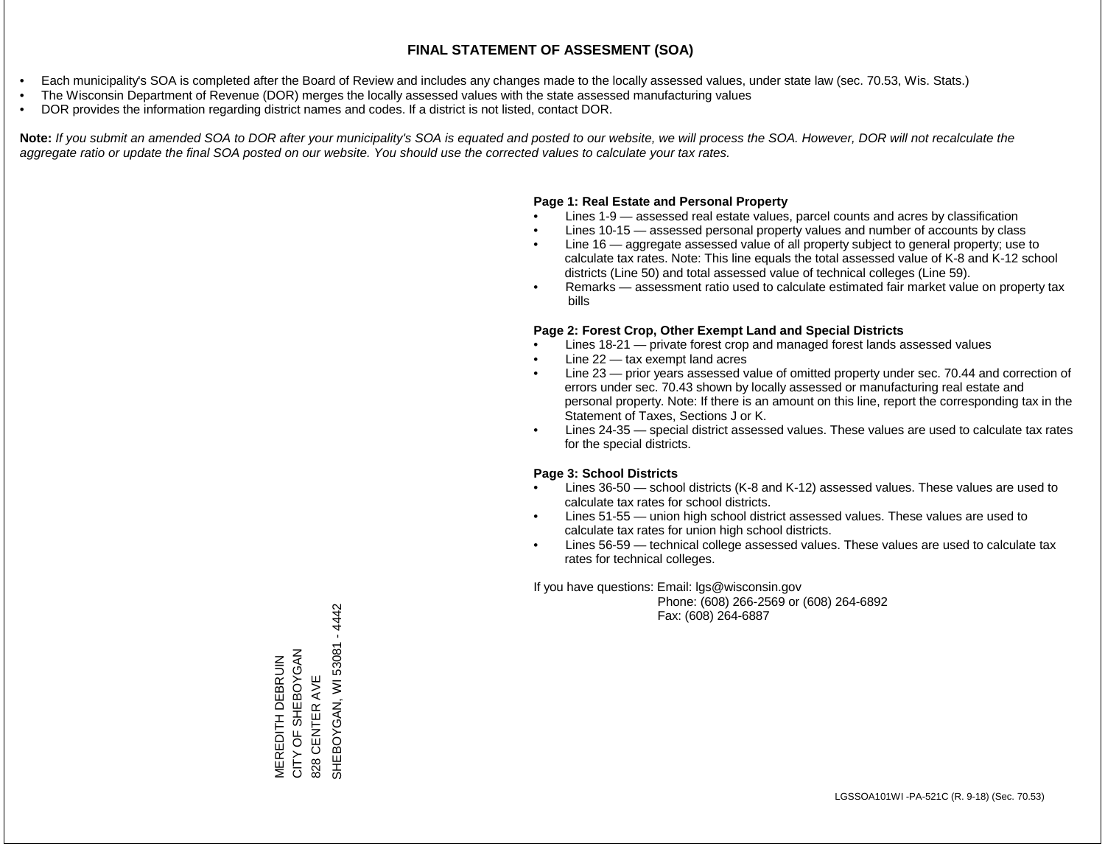- Each municipality's SOA is completed after the Board of Review and includes any changes made to the locally assessed values, under state law (sec. 70.53, Wis. Stats.)
- The Wisconsin Department of Revenue (DOR) merges the locally assessed values with the state assessed manufacturing values
- DOR provides the information regarding district names and codes. If a district is not listed, contact DOR.

Note: If you submit an amended SOA to DOR after your municipality's SOA is equated and posted to our website, we will process the SOA. However, DOR will not recalculate the *aggregate ratio or update the final SOA posted on our website. You should use the corrected values to calculate your tax rates.*

# **Page 1: Real Estate and Personal Property**

- Lines 1-9 assessed real estate values, parcel counts and acres by classification
- Lines 10-15 assessed personal property values and number of accounts by class
- Line 16 aggregate assessed value of all property subject to general property; use to calculate tax rates. Note: This line equals the total assessed value of K-8 and K-12 school districts (Line 50) and total assessed value of technical colleges (Line 59).
- Remarks assessment ratio used to calculate estimated fair market value on property tax bills

# **Page 2: Forest Crop, Other Exempt Land and Special Districts**

- Lines 18-21 private forest crop and managed forest lands assessed values
- Line  $22 -$  tax exempt land acres
- Line 23 prior years assessed value of omitted property under sec. 70.44 and correction of errors under sec. 70.43 shown by locally assessed or manufacturing real estate and personal property. Note: If there is an amount on this line, report the corresponding tax in the Statement of Taxes, Sections J or K.
- Lines 24-35 special district assessed values. These values are used to calculate tax rates for the special districts.

# **Page 3: School Districts**

- Lines 36-50 school districts (K-8 and K-12) assessed values. These values are used to calculate tax rates for school districts.
- Lines 51-55 union high school district assessed values. These values are used to calculate tax rates for union high school districts.
- Lines 56-59 technical college assessed values. These values are used to calculate tax rates for technical colleges.

If you have questions: Email: lgs@wisconsin.gov

 Phone: (608) 266-2569 or (608) 264-6892 Fax: (608) 264-6887

SHEBOYGAN, WI 53081 - 4442 SHEBOYGAN, XYOYOBIH5 CITY OF SHEBOYGAN MEREDITH DEBRUIN<br>CITY OF SHEBOYGAN MEREDITH DEBRUIN 828 CENTER AVE 828 CENTER AVE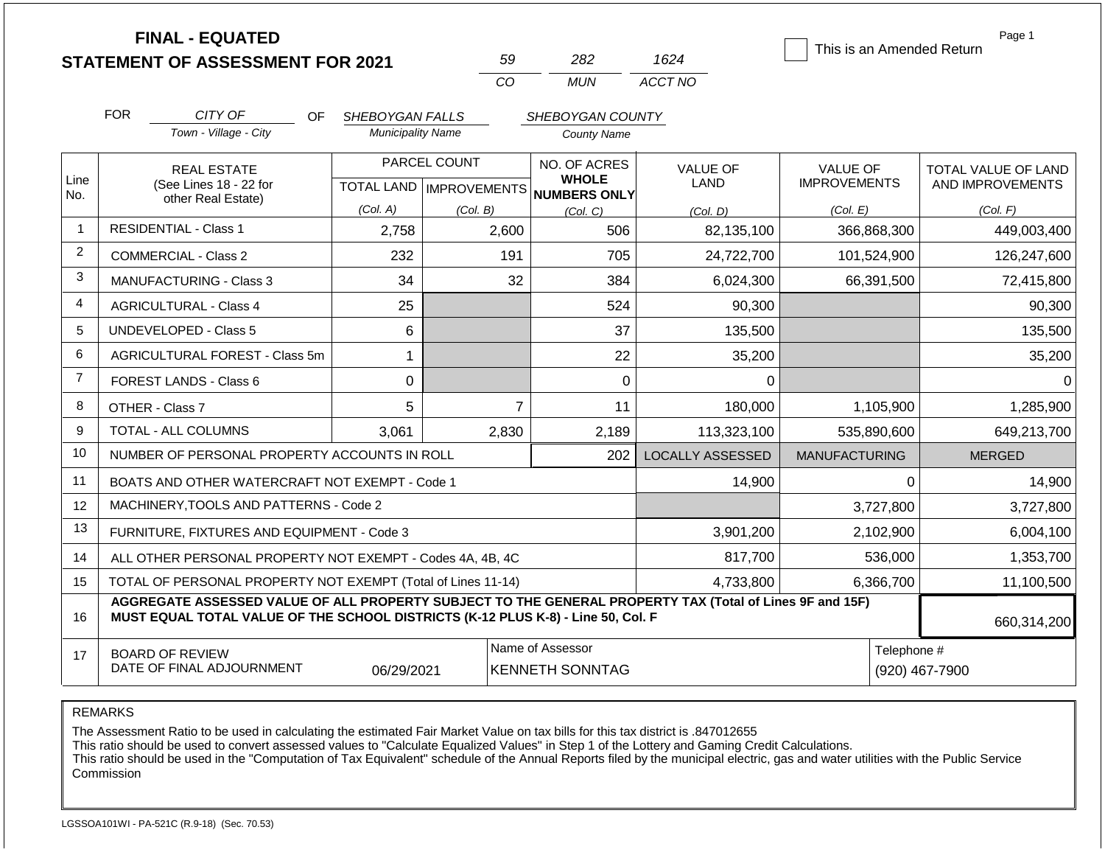|                |                                                                                                                                                                                              | <b>FINAL - EQUATED</b><br><b>STATEMENT OF ASSESSMENT FOR 2021</b> |                                                     |          | 59             | 282                | 1624                    |                      |                  | Page 1<br>This is an Amended Return |
|----------------|----------------------------------------------------------------------------------------------------------------------------------------------------------------------------------------------|-------------------------------------------------------------------|-----------------------------------------------------|----------|----------------|--------------------|-------------------------|----------------------|------------------|-------------------------------------|
|                |                                                                                                                                                                                              |                                                                   |                                                     | CO       |                | <b>MUN</b>         | ACCT NO                 |                      |                  |                                     |
|                | <b>FOR</b>                                                                                                                                                                                   | CITY OF<br>OF.                                                    | SHEBOYGAN FALLS                                     |          |                | SHEBOYGAN COUNTY   |                         |                      |                  |                                     |
|                |                                                                                                                                                                                              | Town - Village - City                                             | <b>Municipality Name</b>                            |          |                | <b>County Name</b> |                         |                      |                  |                                     |
|                |                                                                                                                                                                                              | <b>REAL ESTATE</b><br>(See Lines 18 - 22 for                      | PARCEL COUNT<br>TOTAL LAND MPROVEMENTS NUMBERS ONLY |          |                | NO. OF ACRES       | <b>VALUE OF</b>         | <b>VALUE OF</b>      |                  | TOTAL VALUE OF LAND                 |
| Line<br>No.    |                                                                                                                                                                                              |                                                                   |                                                     |          | <b>WHOLE</b>   |                    | LAND                    | <b>IMPROVEMENTS</b>  | AND IMPROVEMENTS |                                     |
|                |                                                                                                                                                                                              | other Real Estate)                                                | (Col. A)                                            | (Col. B) |                | (Col. C)           | (Col. D)                | (Col. E)             |                  | (Col. F)                            |
| $\overline{1}$ |                                                                                                                                                                                              | <b>RESIDENTIAL - Class 1</b>                                      | 2,758                                               |          | 2,600          | 506                | 82,135,100              |                      | 366,868,300      | 449,003,400                         |
| 2              | <b>COMMERCIAL - Class 2</b><br>232                                                                                                                                                           |                                                                   |                                                     | 191      | 705            | 24,722,700         |                         | 101,524,900          | 126,247,600      |                                     |
| 3              | 34<br><b>MANUFACTURING - Class 3</b>                                                                                                                                                         |                                                                   |                                                     | 32       | 384            | 6,024,300          |                         | 66,391,500           | 72,415,800       |                                     |
| 4              | 25<br><b>AGRICULTURAL - Class 4</b>                                                                                                                                                          |                                                                   |                                                     |          | 524            | 90,300             |                         |                      | 90,300           |                                     |
| 5              |                                                                                                                                                                                              | UNDEVELOPED - Class 5<br>6                                        |                                                     |          |                | 37                 | 135,500                 |                      |                  | 135,500                             |
| 6              | AGRICULTURAL FOREST - Class 5m<br>$\mathbf 1$                                                                                                                                                |                                                                   |                                                     |          | 22             | 35,200             |                         |                      | 35,200           |                                     |
| $\overline{7}$ |                                                                                                                                                                                              | <b>FOREST LANDS - Class 6</b>                                     | $\mathbf 0$                                         |          |                | $\mathbf 0$        | $\mathbf 0$             |                      |                  | $\Omega$                            |
| 8              |                                                                                                                                                                                              | OTHER - Class 7                                                   | 5                                                   |          | $\overline{7}$ | 11                 | 180,000                 | 1,105,900            |                  | 1,285,900                           |
| 9              |                                                                                                                                                                                              | TOTAL - ALL COLUMNS                                               | 3,061                                               | 2,830    |                | 2,189              | 113,323,100             | 535,890,600          |                  | 649,213,700                         |
| 10             | NUMBER OF PERSONAL PROPERTY ACCOUNTS IN ROLL<br>202                                                                                                                                          |                                                                   |                                                     |          |                |                    | <b>LOCALLY ASSESSED</b> | <b>MANUFACTURING</b> |                  | <b>MERGED</b>                       |
| 11             | BOATS AND OTHER WATERCRAFT NOT EXEMPT - Code 1                                                                                                                                               |                                                                   |                                                     |          |                |                    | 14,900                  |                      | $\Omega$         | 14,900                              |
| 12             | MACHINERY, TOOLS AND PATTERNS - Code 2                                                                                                                                                       |                                                                   |                                                     |          |                |                    |                         |                      | 3,727,800        | 3,727,800                           |
| 13             | FURNITURE, FIXTURES AND EQUIPMENT - Code 3<br>3,901,200                                                                                                                                      |                                                                   |                                                     |          |                |                    |                         | 2,102,900            | 6,004,100        |                                     |
| 14             | 817,700<br>536,000<br>ALL OTHER PERSONAL PROPERTY NOT EXEMPT - Codes 4A, 4B, 4C                                                                                                              |                                                                   |                                                     |          |                |                    |                         | 1,353,700            |                  |                                     |
| 15             | TOTAL OF PERSONAL PROPERTY NOT EXEMPT (Total of Lines 11-14)<br>6,366,700<br>4,733,800                                                                                                       |                                                                   |                                                     |          |                |                    |                         |                      | 11,100,500       |                                     |
| 16             | AGGREGATE ASSESSED VALUE OF ALL PROPERTY SUBJECT TO THE GENERAL PROPERTY TAX (Total of Lines 9F and 15F)<br>MUST EQUAL TOTAL VALUE OF THE SCHOOL DISTRICTS (K-12 PLUS K-8) - Line 50, Col. F |                                                                   |                                                     |          |                |                    |                         |                      | 660,314,200      |                                     |
| 17             | Name of Assessor<br><b>BOARD OF REVIEW</b><br>DATE OF FINAL ADJOURNMENT<br>06/29/2021<br><b>KENNETH SONNTAG</b>                                                                              |                                                                   |                                                     |          |                | Telephone #        | (920) 467-7900          |                      |                  |                                     |

REMARKS

The Assessment Ratio to be used in calculating the estimated Fair Market Value on tax bills for this tax district is .847012655

This ratio should be used to convert assessed values to "Calculate Equalized Values" in Step 1 of the Lottery and Gaming Credit Calculations.

 This ratio should be used in the "Computation of Tax Equivalent" schedule of the Annual Reports filed by the municipal electric, gas and water utilities with the Public Service Commission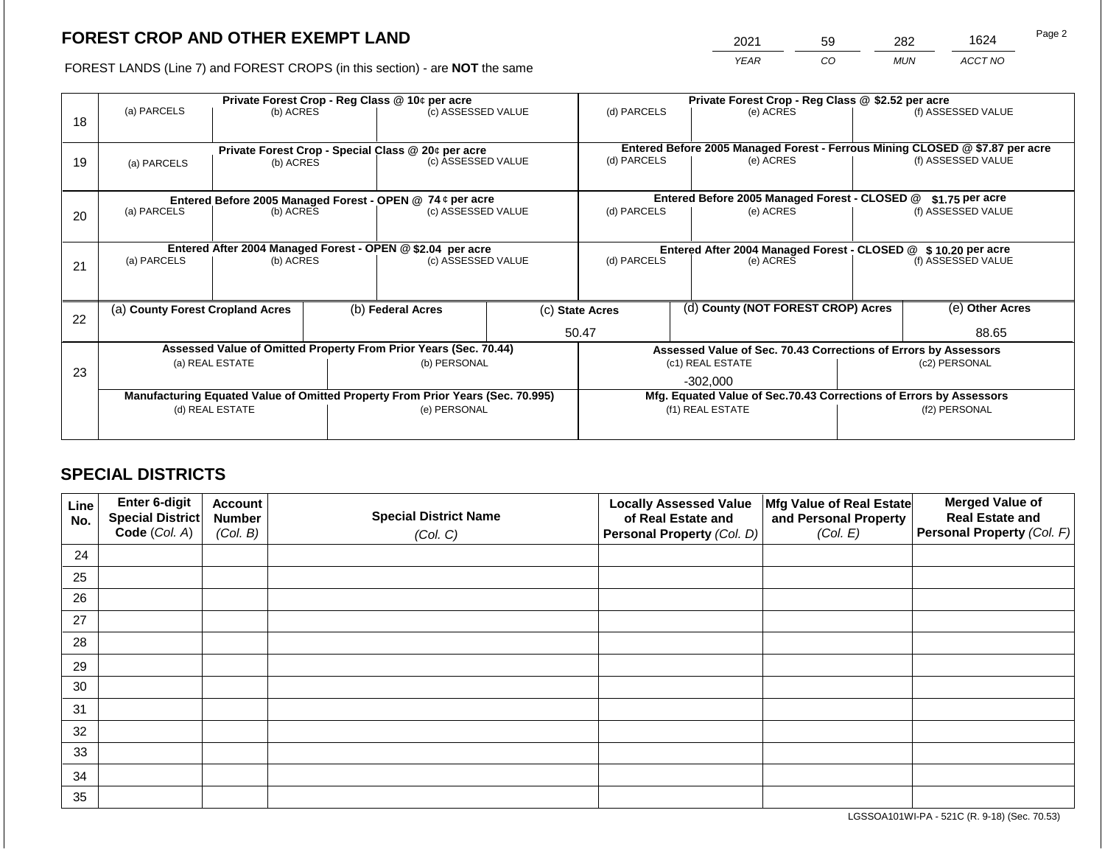# **FOREST CROP AND OTHER EXEMPT LAND**

2021 59 282 1624

FOREST LANDS (Line 7) and FOREST CROPS (in this section) - are **NOT** the same *YEAR CO MUN ACCT NO*

|    |                                                                                |                                                             | Private Forest Crop - Reg Class @ \$2.52 per acre                  |                                                                              |                                                                |                                                                  |                                                                 |                                    |                    |                    |  |
|----|--------------------------------------------------------------------------------|-------------------------------------------------------------|--------------------------------------------------------------------|------------------------------------------------------------------------------|----------------------------------------------------------------|------------------------------------------------------------------|-----------------------------------------------------------------|------------------------------------|--------------------|--------------------|--|
| 18 | (a) PARCELS                                                                    | Private Forest Crop - Reg Class @ 10¢ per acre<br>(b) ACRES |                                                                    | (c) ASSESSED VALUE                                                           |                                                                | (d) PARCELS                                                      |                                                                 | (e) ACRES                          |                    | (f) ASSESSED VALUE |  |
|    |                                                                                |                                                             |                                                                    |                                                                              |                                                                |                                                                  |                                                                 |                                    |                    |                    |  |
|    | Private Forest Crop - Special Class @ 20¢ per acre                             |                                                             |                                                                    | Entered Before 2005 Managed Forest - Ferrous Mining CLOSED @ \$7.87 per acre |                                                                |                                                                  |                                                                 |                                    |                    |                    |  |
| 19 | (c) ASSESSED VALUE<br>(b) ACRES<br>(a) PARCELS                                 |                                                             | (d) PARCELS                                                        |                                                                              | (e) ACRES                                                      |                                                                  | (f) ASSESSED VALUE                                              |                                    |                    |                    |  |
|    |                                                                                |                                                             |                                                                    |                                                                              |                                                                |                                                                  |                                                                 |                                    |                    |                    |  |
|    |                                                                                |                                                             |                                                                    | Entered Before 2005 Managed Forest - OPEN @ 74 ¢ per acre                    |                                                                | Entered Before 2005 Managed Forest - CLOSED @<br>\$1.75 per acre |                                                                 |                                    |                    |                    |  |
| 20 | (a) PARCELS<br>(b) ACRES                                                       |                                                             |                                                                    | (c) ASSESSED VALUE                                                           |                                                                | (d) PARCELS                                                      |                                                                 | (e) ACRES                          | (f) ASSESSED VALUE |                    |  |
|    |                                                                                |                                                             |                                                                    |                                                                              |                                                                |                                                                  |                                                                 |                                    |                    |                    |  |
|    |                                                                                |                                                             |                                                                    | Entered After 2004 Managed Forest - OPEN @ \$2.04 per acre                   | Entered After 2004 Managed Forest - CLOSED @ \$ 10.20 per acre |                                                                  |                                                                 |                                    |                    |                    |  |
| 21 | (a) PARCELS<br>(b) ACRES                                                       |                                                             |                                                                    | (c) ASSESSED VALUE                                                           |                                                                | (d) PARCELS<br>(e) ACRES                                         |                                                                 | (f) ASSESSED VALUE                 |                    |                    |  |
|    |                                                                                |                                                             |                                                                    |                                                                              |                                                                |                                                                  |                                                                 |                                    |                    |                    |  |
|    |                                                                                |                                                             |                                                                    |                                                                              |                                                                |                                                                  |                                                                 |                                    |                    |                    |  |
| 22 | (a) County Forest Cropland Acres                                               |                                                             |                                                                    | (b) Federal Acres                                                            |                                                                | (c) State Acres                                                  |                                                                 | (d) County (NOT FOREST CROP) Acres |                    | (e) Other Acres    |  |
|    |                                                                                |                                                             |                                                                    |                                                                              |                                                                | 50.47                                                            |                                                                 |                                    |                    | 88.65              |  |
|    | Assessed Value of Omitted Property From Prior Years (Sec. 70.44)               |                                                             |                                                                    |                                                                              |                                                                |                                                                  | Assessed Value of Sec. 70.43 Corrections of Errors by Assessors |                                    |                    |                    |  |
| 23 | (a) REAL ESTATE                                                                |                                                             |                                                                    |                                                                              | (b) PERSONAL                                                   |                                                                  |                                                                 | (c1) REAL ESTATE                   |                    | (c2) PERSONAL      |  |
|    |                                                                                |                                                             |                                                                    |                                                                              |                                                                | -302,000                                                         |                                                                 |                                    |                    |                    |  |
|    | Manufacturing Equated Value of Omitted Property From Prior Years (Sec. 70.995) |                                                             | Mfg. Equated Value of Sec.70.43 Corrections of Errors by Assessors |                                                                              |                                                                |                                                                  |                                                                 |                                    |                    |                    |  |
|    | (d) REAL ESTATE                                                                |                                                             |                                                                    | (e) PERSONAL                                                                 |                                                                | (f1) REAL ESTATE                                                 |                                                                 | (f2) PERSONAL                      |                    |                    |  |
|    |                                                                                |                                                             |                                                                    |                                                                              |                                                                |                                                                  |                                                                 |                                    |                    |                    |  |
|    |                                                                                |                                                             |                                                                    |                                                                              |                                                                |                                                                  |                                                                 |                                    |                    |                    |  |

## **SPECIAL DISTRICTS**

| Line<br>No. | Enter 6-digit<br>Special District<br>Code (Col. A) | <b>Account</b><br><b>Number</b><br>(Col. B) | <b>Special District Name</b><br>(Col. C) | <b>Locally Assessed Value</b><br>of Real Estate and<br><b>Personal Property (Col. D)</b> | Mfg Value of Real Estate<br>and Personal Property<br>(Col. E) | <b>Merged Value of</b><br><b>Real Estate and</b><br>Personal Property (Col. F) |
|-------------|----------------------------------------------------|---------------------------------------------|------------------------------------------|------------------------------------------------------------------------------------------|---------------------------------------------------------------|--------------------------------------------------------------------------------|
| 24          |                                                    |                                             |                                          |                                                                                          |                                                               |                                                                                |
| 25          |                                                    |                                             |                                          |                                                                                          |                                                               |                                                                                |
| 26          |                                                    |                                             |                                          |                                                                                          |                                                               |                                                                                |
| 27          |                                                    |                                             |                                          |                                                                                          |                                                               |                                                                                |
| 28          |                                                    |                                             |                                          |                                                                                          |                                                               |                                                                                |
| 29          |                                                    |                                             |                                          |                                                                                          |                                                               |                                                                                |
| 30          |                                                    |                                             |                                          |                                                                                          |                                                               |                                                                                |
| 31          |                                                    |                                             |                                          |                                                                                          |                                                               |                                                                                |
| 32          |                                                    |                                             |                                          |                                                                                          |                                                               |                                                                                |
| 33          |                                                    |                                             |                                          |                                                                                          |                                                               |                                                                                |
| 34          |                                                    |                                             |                                          |                                                                                          |                                                               |                                                                                |
| 35          |                                                    |                                             |                                          |                                                                                          |                                                               |                                                                                |

LGSSOA101WI-PA - 521C (R. 9-18) (Sec. 70.53)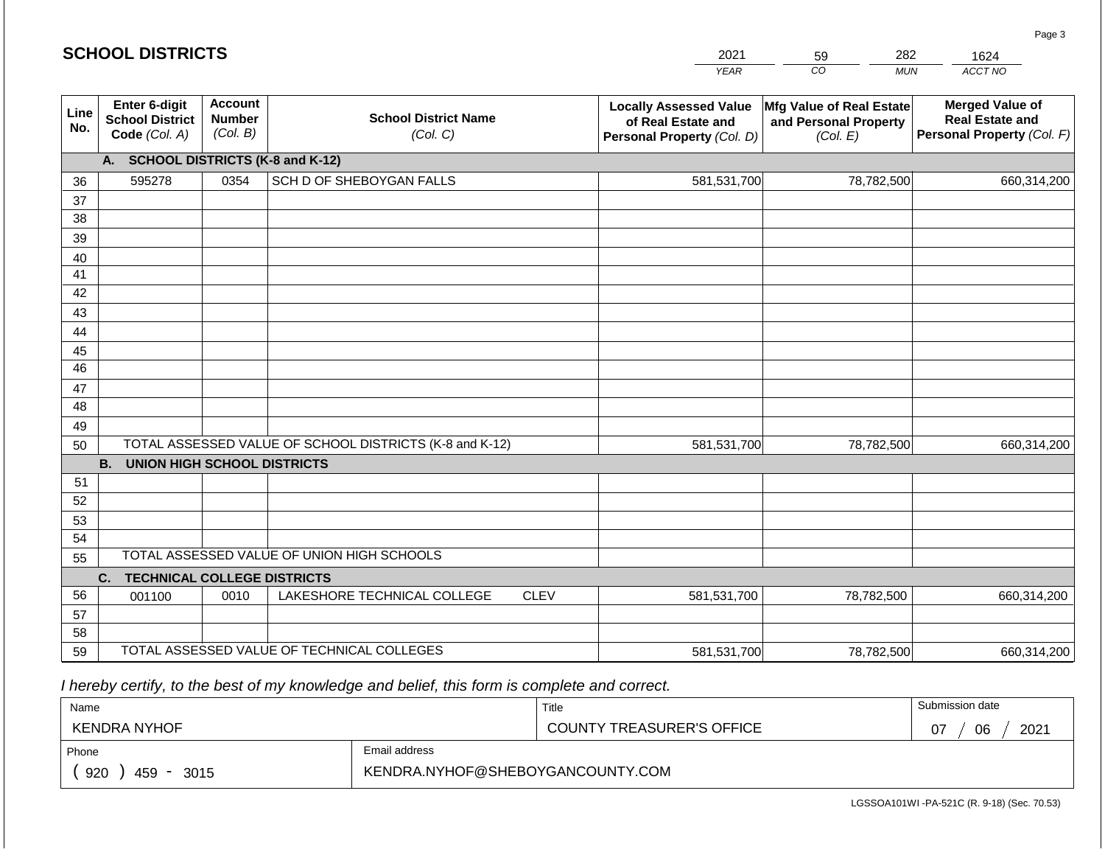#### *YEAR*   $\overline{co}$ *MUN ACCT NO*  **Line No. Enter 6-digit School District Code** *(Col. A)* **Account Number** *(Col. B)* **School District Name** *(Col. C)* **Locally Assessed Value of Real Estate and Personal Property** *(Col. D)* **Mfg Value of Real Estate and Personal Property** *(Col. E)* **Merged Value of Real Estate and Personal Property** *(Col. F)* **A. SCHOOL DISTRICTS (K-8 and K-12)** 36 37 38 39 40 41 42 43 44 45 46 47 48 49 50 TOTAL ASSESSED VALUE OF SCHOOL DISTRICTS (K-8 and K-12) **B. UNION HIGH SCHOOL DISTRICTS** 51 52 53 54 55 **C. TECHNICAL COLLEGE DISTRICTS** 56 57 58 TOTAL ASSESSED VALUE OF UNION HIGH SCHOOLS 595278 0354 SCH D OF SHEBOYGAN FALLS 581,531,700 581,531,700 001100 | 0010 | LAKESHORE TECHNICAL COLLEGE CLEV 78,782,500 660,314,200 78,782,500 660,314,200 581,531,700 78,782,500 660,314,200

 *I hereby certify, to the best of my knowledge and belief, this form is complete and correct.*

59 TOTAL ASSESSED VALUE OF TECHNICAL COLLEGES

| Name               |                                  | Title                            | Submission date  |  |  |
|--------------------|----------------------------------|----------------------------------|------------------|--|--|
| KENDRA NYHOF       |                                  | <b>COUNTY TREASURER'S OFFICE</b> | 2021<br>06<br>07 |  |  |
| Phone              | Email address                    |                                  |                  |  |  |
| 920<br>459<br>3015 | KENDRA.NYHOF@SHEBOYGANCOUNTY.COM |                                  |                  |  |  |

581,531,700

78,782,500 660,314,200

Page 3

| <b>SCHOOL DISTRICTS</b> |  |  |
|-------------------------|--|--|
|-------------------------|--|--|

2021 59 282

1624